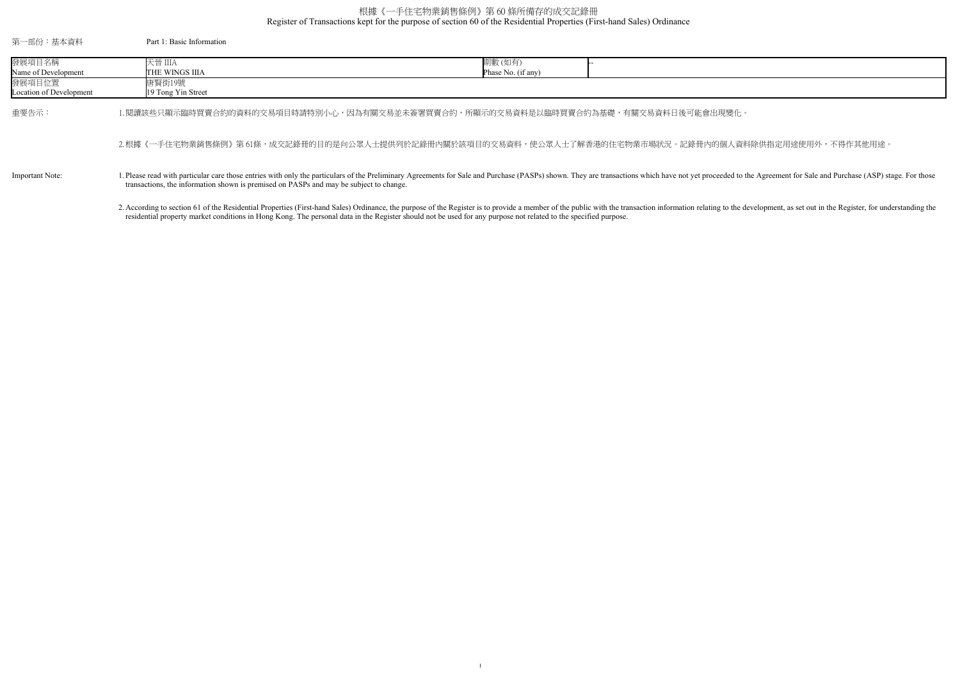Register of Transactions kept for the purpose of section 60 of the Residential Properties (First-hand Sales) Ordinance

## 根據《一手住宅物業銷售條例》第 60 條所備存的成交記錄冊

| 第一部份:基本資料               | Part 1: Basic Information                                                                                                                                                                                                                                                                          |                    |  |
|-------------------------|----------------------------------------------------------------------------------------------------------------------------------------------------------------------------------------------------------------------------------------------------------------------------------------------------|--------------------|--|
| 發展項目名稱                  | 天晉 IIIA                                                                                                                                                                                                                                                                                            | 期數 (如有)            |  |
| Name of Development     | ITHE WINGS IIIA                                                                                                                                                                                                                                                                                    | Phase No. (if any) |  |
| 發展項目位置                  | 唐賢街19號                                                                                                                                                                                                                                                                                             |                    |  |
| Location of Development | 19 Tong Yin Street                                                                                                                                                                                                                                                                                 |                    |  |
| 重要告示:                   | 1.閱讀該些只顯示臨時買賣合約的資料的交易項目時請特別小心,因為有關交易並未簽署買賣合約,所顯示的交易資料是以臨時買賣合約為基礎,有關交易資料日後可能會出現變化。                                                                                                                                                                                                                  |                    |  |
|                         | 2.根據《一手住宅物業銷售條例》第61條,成交記錄冊的目的是向公眾人士提供列於記錄冊內關於該項目的交易資料,使公眾人士了解香港的住宅物業市場狀況。記錄冊內的個人資料                                                                                                                                                                                                                 |                    |  |
| Important Note:         | 1. Please read with particular care those entries with only the particulars of the Preliminary Agreements for Sale and Purchase (PASPs) shown. They are transactions which have not yet proceeded to the<br>transactions, the information shown is premised on PASPs and may be subject to change. |                    |  |
|                         | 2. According to section 61 of the Residential Properties (First-hand Sales) Ordinance, the purpose of the Register is to provide a member of the public with the transaction information relating to the de                                                                                        |                    |  |

residential property market conditions in Hong Kong. The personal data in the Register should not be used for any purpose not related to the specified purpose.

<sub>。</sub><br>图人資料除供指定用途使用外,不得作其他用途。

ded to the Agreement for Sale and Purchase (ASP) stage. For those

g to the development, as set out in the Register, for understanding the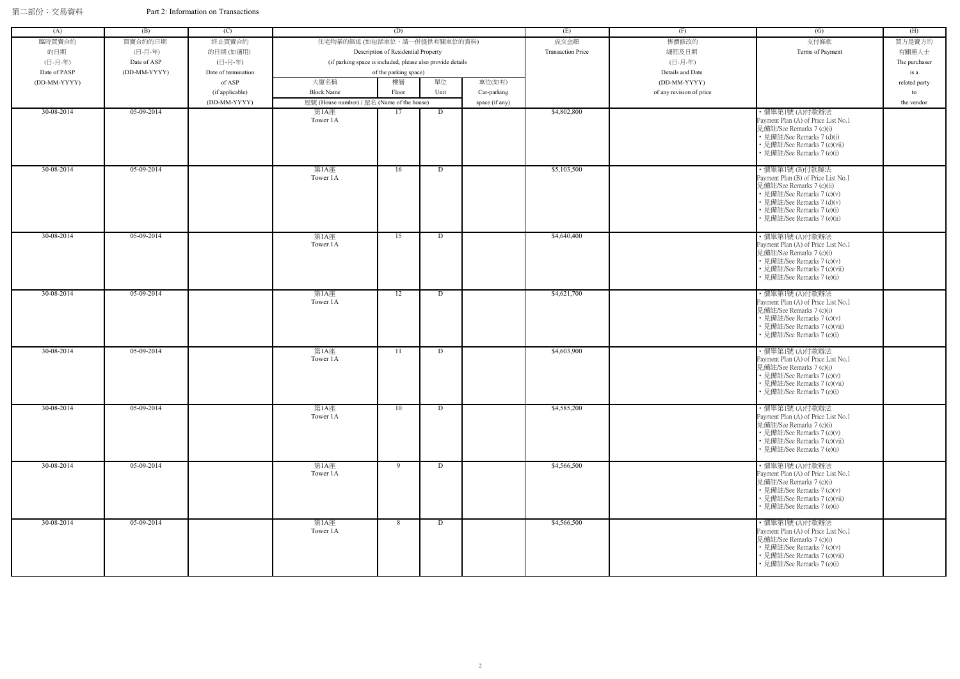| (A)          | (B)          | (C)                 |                                                            | (D)                                 |      |                | (E)                      | (F)                      | (G)                                                                                                                                                                                                       | (H)           |
|--------------|--------------|---------------------|------------------------------------------------------------|-------------------------------------|------|----------------|--------------------------|--------------------------|-----------------------------------------------------------------------------------------------------------------------------------------------------------------------------------------------------------|---------------|
| 臨時買賣合約       | 買賣合約的日期      | 終止買賣合約              | 住宅物業的描述 (如包括車位,請一併提供有關車位的資料)                               |                                     |      |                | 成交金額                     | 售價修改的                    | 支付條款                                                                                                                                                                                                      | 買方是賣方的        |
| 的日期          | (日-月-年)      | 的日期(如適用)            |                                                            |                                     |      |                | <b>Transaction Price</b> | 細節及日期                    | Terms of Payment                                                                                                                                                                                          | 有關連人士         |
|              |              |                     |                                                            | Description of Residential Property |      |                |                          |                          |                                                                                                                                                                                                           |               |
| (日-月-年)      | Date of ASP  | (日-月-年)             | (if parking space is included, please also provide details |                                     |      |                |                          | (日-月-年)                  |                                                                                                                                                                                                           | The purchaser |
| Date of PASP | (DD-MM-YYYY) | Date of termination |                                                            | of the parking space)               |      |                |                          | Details and Date         |                                                                                                                                                                                                           | is a          |
| (DD-MM-YYYY) |              | of ASP              | 大廈名稱                                                       | 樓層                                  | 單位   | 車位(如有)         |                          | (DD-MM-YYYY)             |                                                                                                                                                                                                           | related party |
|              |              | (if applicable)     | <b>Block Name</b>                                          | Floor                               | Unit | Car-parking    |                          | of any revision of price |                                                                                                                                                                                                           | to            |
|              |              | (DD-MM-YYYY)        | 屋號 (House number) / 屋名 (Name of the house)                 |                                     |      | space (if any) |                          |                          |                                                                                                                                                                                                           | the vendor    |
| 30-08-2014   | 05-09-2014   |                     | 第1A座<br>Tower 1A                                           | 17                                  | D    |                | \$4,802,800              |                          | ・價單第1號(A)付款辦法<br>Payment Plan (A) of Price List No.1<br>見備註/See Remarks 7 (c)(i)<br>• 見備註/See Remarks 7 (d)(i)<br>· 見備註/See Remarks 7 (c)(vii)<br>見備註/See Remarks 7 (e)(i)                                |               |
| 30-08-2014   | 05-09-2014   |                     | 第1A座<br>Tower 1A                                           | 16                                  | D    |                | \$5,103,500              |                          | ・價單第1號 (B)付款辦法<br>Payment Plan (B) of Price List No.1<br>見備註/See Remarks 7 (c)(ii)<br>• 見備註/See Remarks 7 (c)(v)<br>· 見備註/See Remarks 7 (d)(v)<br>見備註/See Remarks 7 (e)(i)<br>• 見備註/See Remarks 7 (e)(ii) |               |
| 30-08-2014   | 05-09-2014   |                     | 第1A座<br>Tower 1A                                           | 15                                  | D    |                | \$4,640,400              |                          | ・價單第1號 (A)付款辦法<br>Payment Plan (A) of Price List No.1<br>見備註/See Remarks 7 (c)(i)<br>• 見備註/See Remarks 7 (c)(v)<br>見備註/See Remarks 7 (c)(vii)<br>見備註/See Remarks 7 (e)(i)                                 |               |
| 30-08-2014   | 05-09-2014   |                     | 第1A座<br>Tower 1A                                           | 12                                  | D    |                | \$4,621,700              |                          | ・價單第1號 (A)付款辦法<br>Payment Plan (A) of Price List No.1<br>見備註/See Remarks 7 (c)(i)<br>• 見備註/See Remarks 7 (c)(v)<br>· 見備註/See Remarks 7 (c)(vii)<br>• 見備註/See Remarks 7 (e)(i)                             |               |
| 30-08-2014   | 05-09-2014   |                     | 第1A座<br>Tower 1A                                           | 11                                  | D    |                | \$4,603,900              |                          | ・價單第1號 (A)付款辦法<br>Payment Plan (A) of Price List No.1<br>見備註/See Remarks 7 (c)(i)<br>• 見備註/See Remarks 7 (c)(v)<br>• 見備註/See Remarks 7 (c)(vii)<br>見備註/See Remarks 7 (e)(i)                               |               |
| 30-08-2014   | 05-09-2014   |                     | 第1A座<br>Tower 1A                                           | 10                                  | D    |                | \$4,585,200              |                          | ・價單第1號 (A)付款辦法<br>Payment Plan (A) of Price List No.1<br>見備註/See Remarks 7 (c)(i)<br>• 見備註/See Remarks 7 (c)(v)<br>• 見備註/See Remarks 7 (c)(vii)<br>· 見備註/See Remarks 7 (e)(i)                             |               |
| 30-08-2014   | 05-09-2014   |                     | 第1A座<br>Tower 1A                                           | $\overline{9}$                      | D    |                | \$4,566,500              |                          | ・價單第1號 (A)付款辦法<br>Payment Plan (A) of Price List No.1<br>見備註/See Remarks 7 (c)(i)<br>• 見備註/See Remarks 7 (c)(v)<br>• 見備註/See Remarks 7 (c)(vii)<br>· 見備註/See Remarks 7 (e)(i)                             |               |
| 30-08-2014   | 05-09-2014   |                     | 第1A座<br>Tower 1A                                           | 8                                   | D    |                | \$4,566,500              |                          | 便單第1號 (A)付款辦法<br>Payment Plan (A) of Price List No.1<br>見備註/See Remarks 7 (c)(i)<br>• 見備註/See Remarks 7 (c)(v)<br>· 見備註/See Remarks 7 (c)(vii)<br>· 見備註/See Remarks 7 (e)(i)                              |               |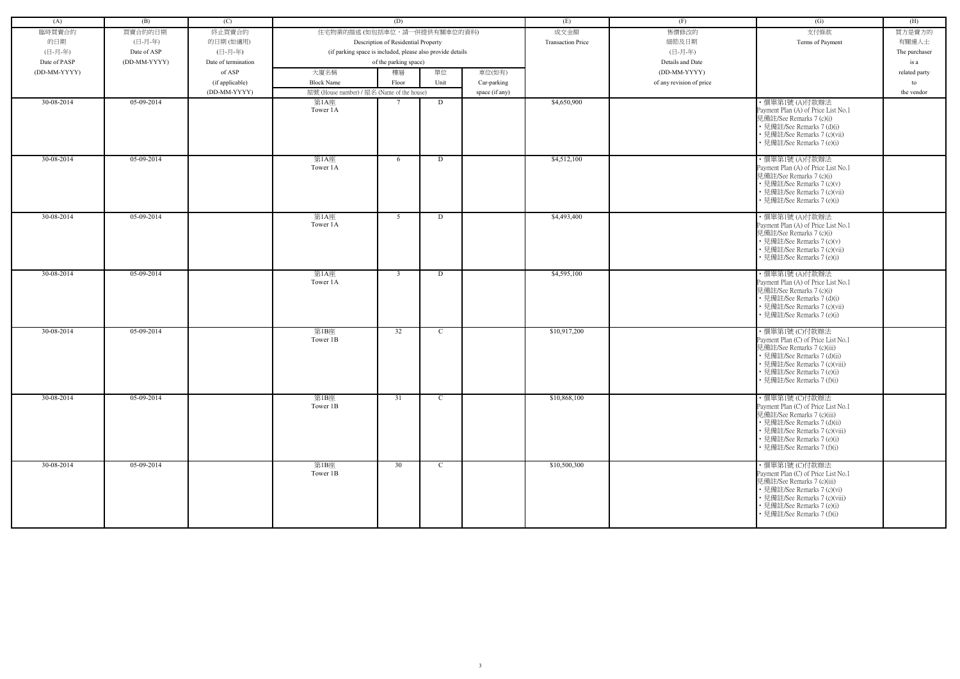| (A)          | (B)                         | (C)                             |                                                            | (D)                                 |              |                | (E)                      | (F)                      | (G)                                                                                                                                                                                                             | (H)                   |
|--------------|-----------------------------|---------------------------------|------------------------------------------------------------|-------------------------------------|--------------|----------------|--------------------------|--------------------------|-----------------------------------------------------------------------------------------------------------------------------------------------------------------------------------------------------------------|-----------------------|
| 臨時買賣合約       | 買賣合約的日期                     | 終止買賣合約                          | 住宅物業的描述 (如包括車位,請一併提供有關車位的資料)                               |                                     |              |                | 成交金額                     | 售價修改的                    | 支付條款                                                                                                                                                                                                            | 買方是賣方的                |
| 的日期          | (日-月-年)                     | 的日期(如適用)                        |                                                            | Description of Residential Property |              |                | <b>Transaction Price</b> | 細節及日期                    | Terms of Payment                                                                                                                                                                                                | 有關連人士                 |
| (日-月-年)      |                             | (日-月-年)                         | (if parking space is included, please also provide details |                                     |              |                |                          | (日-月-年)                  |                                                                                                                                                                                                                 |                       |
| Date of PASP | Date of ASP<br>(DD-MM-YYYY) | Date of termination             |                                                            | of the parking space)               |              |                |                          | Details and Date         |                                                                                                                                                                                                                 | The purchaser<br>is a |
| (DD-MM-YYYY) |                             | of ASP                          | 大廈名稱                                                       | 樓層                                  | 單位           | 車位(如有)         |                          | (DD-MM-YYYY)             |                                                                                                                                                                                                                 |                       |
|              |                             |                                 | <b>Block Name</b>                                          |                                     | Unit         |                |                          |                          |                                                                                                                                                                                                                 | related party         |
|              |                             | (if applicable)<br>(DD-MM-YYYY) | 屋號 (House number) / 屋名 (Name of the house)                 | Floor                               |              | Car-parking    |                          | of any revision of price |                                                                                                                                                                                                                 | to                    |
| 30-08-2014   | 05-09-2014                  |                                 | 第1A座                                                       | $\tau$                              | D            | space (if any) | \$4,650,900              |                          | ・價單第1號 (A)付款辦法                                                                                                                                                                                                  | the vendor            |
|              |                             |                                 | Tower 1A                                                   |                                     |              |                |                          |                          | Payment Plan (A) of Price List No.1<br>見備註/See Remarks 7 (c)(i)<br>• 見備註/See Remarks 7 (d)(i)<br>• 見備註/See Remarks 7 (c)(vii)<br>• 見備註/See Remarks 7 (e)(i)                                                     |                       |
| 30-08-2014   | $05-09-2014$                |                                 | 第1A座<br>Tower 1A                                           | 6                                   | D            |                | \$4,512,100              |                          | ・價單第1號 (A)付款辦法<br>Payment Plan (A) of Price List No.1<br>見備註/See Remarks 7 (c)(i)<br>• 見備註/See Remarks 7 (c)(v)<br>· 見備註/See Remarks 7 (c)(vii)<br>• 見備註/See Remarks 7 (e)(i)                                   |                       |
| $30-08-2014$ | 05-09-2014                  |                                 | 第1A座<br>Tower 1A                                           | 5                                   | D            |                | \$4,493,400              |                          | ・價單第1號 (A)付款辦法<br>Payment Plan (A) of Price List No.1<br>見備註/See Remarks 7 (c)(i)<br>• 見備註/See Remarks 7 (c)(v)<br>• 見備註/See Remarks 7 (c)(vii)<br>• 見備註/See Remarks 7 (e)(i)                                   |                       |
| 30-08-2014   | 05-09-2014                  |                                 | 第1A座<br>Tower 1A                                           | $\mathbf{3}$                        | D            |                | \$4,595,100              |                          | ・價單第1號 (A)付款辦法<br>Payment Plan (A) of Price List No.1<br>見備註/See Remarks 7 (c)(i)<br>• 見備註/See Remarks 7 (d)(i)<br>• 見備註/See Remarks 7 (c)(vii)<br>• 見備註/See Remarks 7 (e)(i)                                   |                       |
| 30-08-2014   | 05-09-2014                  |                                 | 第1B座<br>Tower 1B                                           | 32                                  | $\mathbf C$  |                | \$10,917,200             |                          | ・價單第1號 (C)付款辦法<br>Payment Plan (C) of Price List No.1<br>見備註/See Remarks 7 (c)(iii)<br>• 見備註/See Remarks 7 (d)(ii)<br>• 見備註/See Remarks 7 (c)(viii)<br>• 見備註/See Remarks 7 (e)(i)<br>• 見備註/See Remarks 7 (f)(i) |                       |
| 30-08-2014   | 05-09-2014                  |                                 | 第1B座<br>Tower 1B                                           | 31                                  | $\mathbf{C}$ |                | \$10,868,100             |                          | ・價單第1號 (C)付款辦法<br>Payment Plan (C) of Price List No.1<br>見備註/See Remarks 7 (c)(iii)<br>• 見備註/See Remarks 7 (d)(ii)<br>• 見備註/See Remarks 7 (c)(viii)<br>• 見備註/See Remarks 7 (e)(i)<br>• 見備註/See Remarks 7 (f)(i) |                       |
| 30-08-2014   | 05-09-2014                  |                                 | 第1B座<br>Tower 1B                                           | 30                                  | $\mathbf{C}$ |                | \$10,500,300             |                          | ・價單第1號 (C)付款辦法<br>Payment Plan (C) of Price List No.1<br>見備註/See Remarks 7 (c)(iii)<br>• 見備註/See Remarks 7 (c)(vi)<br>• 見備註/See Remarks 7 (c)(viii)<br>• 見備註/See Remarks 7 (e)(i)<br>• 見備註/See Remarks 7 (f)(i) |                       |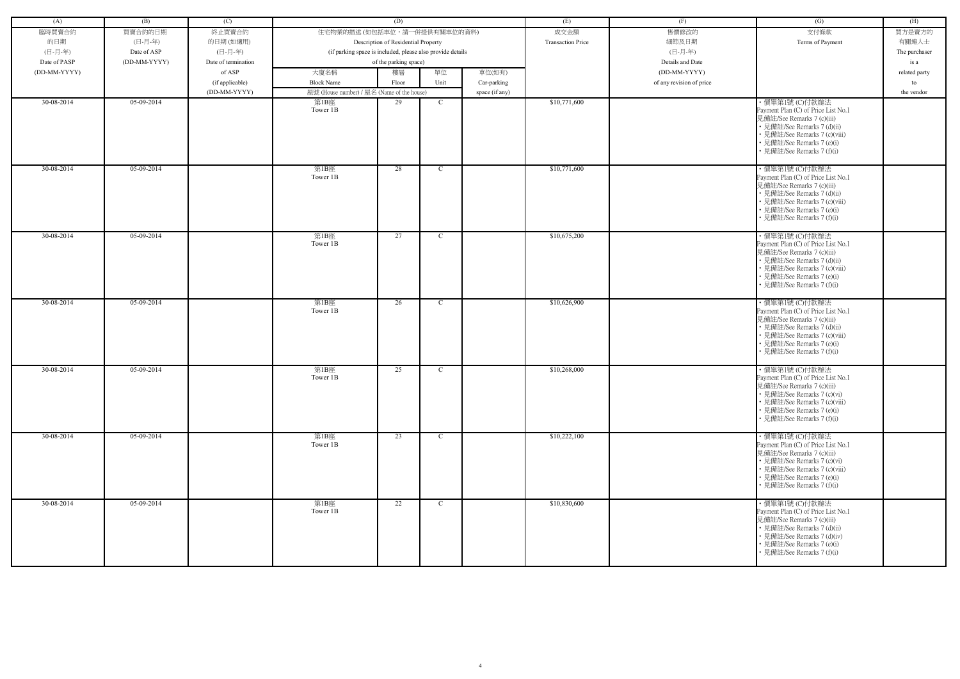| (A)          | (B)          | (C)                 |                                                            | (D)                                 |              |                | (E)                      | (F)                      | (G)                                                                                                                                                                                                              | (H)           |
|--------------|--------------|---------------------|------------------------------------------------------------|-------------------------------------|--------------|----------------|--------------------------|--------------------------|------------------------------------------------------------------------------------------------------------------------------------------------------------------------------------------------------------------|---------------|
| 臨時買賣合約       | 買賣合約的日期      | 終止買賣合約              | 住宅物業的描述 (如包括車位,請一併提供有關車位的資料)                               |                                     |              |                | 成交金額                     | 售價修改的                    | 支付條款                                                                                                                                                                                                             | 買方是賣方的        |
| 的日期          | (日-月-年)      | 的日期(如適用)            |                                                            | Description of Residential Property |              |                | <b>Transaction Price</b> | 細節及日期                    | Terms of Payment                                                                                                                                                                                                 | 有關連人士         |
| (日-月-年)      | Date of ASP  | (日-月-年)             | (if parking space is included, please also provide details |                                     |              |                |                          | (日-月-年)                  |                                                                                                                                                                                                                  |               |
|              |              |                     |                                                            |                                     |              |                |                          |                          |                                                                                                                                                                                                                  | The purchaser |
| Date of PASP | (DD-MM-YYYY) | Date of termination |                                                            | of the parking space)               |              |                |                          | Details and Date         |                                                                                                                                                                                                                  | is a          |
| (DD-MM-YYYY) |              | of ASP              | 大廈名稱                                                       | 樓層                                  | 單位           | 車位(如有)         |                          | (DD-MM-YYYY)             |                                                                                                                                                                                                                  | related party |
|              |              | (if applicable)     | <b>Block Name</b>                                          | Floor                               | Unit         | Car-parking    |                          | of any revision of price |                                                                                                                                                                                                                  | to            |
|              |              | (DD-MM-YYYY)        | 屋號 (House number) / 屋名 (Name of the house)                 |                                     |              | space (if any) |                          |                          |                                                                                                                                                                                                                  | the vendor    |
| 30-08-2014   | 05-09-2014   |                     | 第1B座<br>Tower 1B                                           | 29                                  | $\mathbf C$  |                | \$10,771,600             |                          | ·價單第1號 (C)付款辦法<br>Payment Plan (C) of Price List No.1<br>見備註/See Remarks 7 (c)(iii)<br>• 見備註/See Remarks 7 (d)(ii)<br>• 見備註/See Remarks 7 (c)(viii)<br>• 見備註/See Remarks 7 (e)(i)<br>• 見備註/See Remarks 7 (f)(i)  |               |
| 30-08-2014   | $05-09-2014$ |                     | 第1B座<br>Tower 1B                                           | 28                                  | $\mathbf C$  |                | \$10,771,600             |                          | ·價單第1號 (C)付款辦法<br>Payment Plan (C) of Price List No.1<br>見備註/See Remarks 7 (c)(iii)<br>• 見備註/See Remarks 7 (d)(ii)<br>• 見備註/See Remarks 7 (c)(viii)<br>• 見備註/See Remarks 7 (e)(i)<br>• 見備註/See Remarks 7 (f)(i)  |               |
| 30-08-2014   | 05-09-2014   |                     | 第1B座<br>Tower 1B                                           | 27                                  | $\mathbf C$  |                | \$10,675,200             |                          | ・價單第1號 (C)付款辦法<br>Payment Plan (C) of Price List No.1<br>見備註/See Remarks 7 (c)(iii)<br>• 見備註/See Remarks 7 (d)(ii)<br>• 見備註/See Remarks 7 (c)(viii)<br>• 見備註/See Remarks 7 (e)(i)<br>• 見備註/See Remarks 7 (f)(i)  |               |
| 30-08-2014   | 05-09-2014   |                     | 第1B座<br>Tower 1B                                           | 26                                  | $\mathbf C$  |                | \$10,626,900             |                          | ・價單第1號 (C)付款辦法<br>Payment Plan (C) of Price List No.1<br>見備註/See Remarks 7 (c)(iii)<br>• 見備註/See Remarks 7 (d)(ii)<br>• 見備註/See Remarks 7 (c)(viii)<br>• 見備註/See Remarks 7 (e)(i)<br>• 見備註/See Remarks 7 (f)(i)  |               |
| 30-08-2014   | 05-09-2014   |                     | 第1B座<br>Tower 1B                                           | 25                                  | $\mathbf C$  |                | \$10,268,000             |                          | · 價單第1號 (C)付款辦法<br>Payment Plan (C) of Price List No.1<br>見備註/See Remarks 7 (c)(iii)<br>• 見備註/See Remarks 7 (c)(vi)<br>• 見備註/See Remarks 7 (c)(viii)<br>• 見備註/See Remarks 7 (e)(i)<br>• 見備註/See Remarks 7 (f)(i) |               |
| 30-08-2014   | 05-09-2014   |                     | 第1B座<br>Tower 1B                                           | 23                                  | $\mathbf C$  |                | \$10,222,100             |                          | ・價單第1號 (C)付款辦法<br>Payment Plan (C) of Price List No.1<br>見備註/See Remarks 7 (c)(iii)<br>• 見備註/See Remarks 7 (c)(vi)<br>• 見備註/See Remarks 7 (c)(viii)<br>• 見備註/See Remarks 7 (e)(i)<br>• 見備註/See Remarks 7 (f)(i)  |               |
| 30-08-2014   | 05-09-2014   |                     | 第1B座<br>Tower 1B                                           | 22                                  | $\mathbf{C}$ |                | \$10,830,600             |                          | ・價單第1號 (C)付款辦法<br>Payment Plan (C) of Price List No.1<br>見備註/See Remarks 7 (c)(iii)<br>• 見備註/See Remarks 7 (d)(ii)<br>• 見備註/See Remarks 7 (d)(iv)<br>• 見備註/See Remarks 7 (e)(i)<br>• 見備註/See Remarks 7 (f)(i)    |               |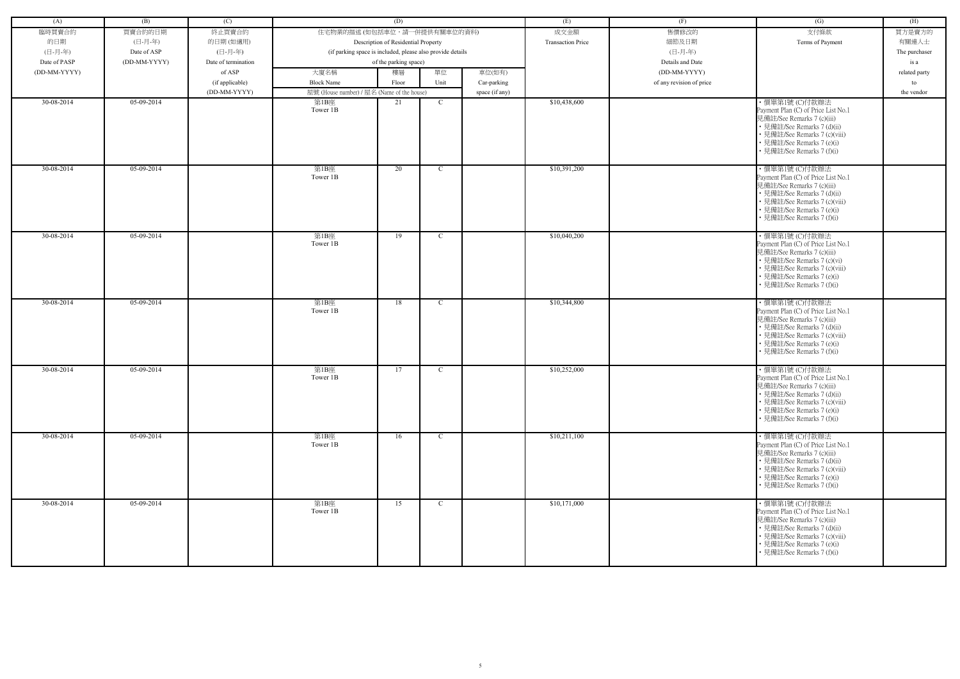| (A)          | (B)          | (C)                 |                                                            | (D)                                 |              |                | (E)                      | (F)                      | (G)                                                                                                                                                                                                              | (H)           |
|--------------|--------------|---------------------|------------------------------------------------------------|-------------------------------------|--------------|----------------|--------------------------|--------------------------|------------------------------------------------------------------------------------------------------------------------------------------------------------------------------------------------------------------|---------------|
| 臨時買賣合約       | 買賣合約的日期      | 終止買賣合約              | 住宅物業的描述 (如包括車位,請一併提供有關車位的資料)                               |                                     |              |                | 成交金額                     | 售價修改的                    | 支付條款                                                                                                                                                                                                             | 買方是賣方的        |
| 的日期          | (日-月-年)      | 的日期(如適用)            |                                                            | Description of Residential Property |              |                | <b>Transaction Price</b> | 細節及日期                    | Terms of Payment                                                                                                                                                                                                 | 有關連人士         |
| (日-月-年)      | Date of ASP  | (日-月-年)             | (if parking space is included, please also provide details |                                     |              |                |                          | (日-月-年)                  |                                                                                                                                                                                                                  |               |
|              |              |                     |                                                            |                                     |              |                |                          |                          |                                                                                                                                                                                                                  | The purchaser |
| Date of PASP | (DD-MM-YYYY) | Date of termination |                                                            | of the parking space)               |              |                |                          | Details and Date         |                                                                                                                                                                                                                  | is a          |
| (DD-MM-YYYY) |              | of ASP              | 大廈名稱                                                       | 樓層                                  | 單位           | 車位(如有)         |                          | (DD-MM-YYYY)             |                                                                                                                                                                                                                  | related party |
|              |              | (if applicable)     | <b>Block Name</b>                                          | Floor                               | Unit         | Car-parking    |                          | of any revision of price |                                                                                                                                                                                                                  | to            |
|              |              | (DD-MM-YYYY)        | 屋號 (House number) / 屋名 (Name of the house)                 |                                     |              | space (if any) |                          |                          |                                                                                                                                                                                                                  | the vendor    |
| 30-08-2014   | 05-09-2014   |                     | 第1B座<br>Tower 1B                                           | 21                                  | $\mathbf C$  |                | \$10,438,600             |                          | ·價單第1號 (C)付款辦法<br>Payment Plan (C) of Price List No.1<br>見備註/See Remarks 7 (c)(iii)<br>• 見備註/See Remarks 7 (d)(ii)<br>• 見備註/See Remarks 7 (c)(viii)<br>• 見備註/See Remarks 7 (e)(i)<br>• 見備註/See Remarks 7 (f)(i)  |               |
| 30-08-2014   | $05-09-2014$ |                     | 第1B座<br>Tower 1B                                           | 20                                  | $\mathbf C$  |                | \$10,391,200             |                          | ·價單第1號 (C)付款辦法<br>Payment Plan (C) of Price List No.1<br>見備註/See Remarks 7 (c)(iii)<br>• 見備註/See Remarks 7 (d)(ii)<br>• 見備註/See Remarks 7 (c)(viii)<br>• 見備註/See Remarks 7 (e)(i)<br>• 見備註/See Remarks 7 (f)(i)  |               |
| 30-08-2014   | 05-09-2014   |                     | 第1B座<br>Tower 1B                                           | 19                                  | $\mathbf C$  |                | \$10,040,200             |                          | ・價單第1號 (C)付款辦法<br>Payment Plan (C) of Price List No.1<br>見備註/See Remarks 7 (c)(iii)<br>• 見備註/See Remarks 7 (c)(vi)<br>• 見備註/See Remarks 7 (c)(viii)<br>• 見備註/See Remarks 7 (e)(i)<br>• 見備註/See Remarks 7 (f)(i)  |               |
| 30-08-2014   | 05-09-2014   |                     | 第1B座<br>Tower 1B                                           | 18                                  | $\mathbf C$  |                | \$10,344,800             |                          | ・價單第1號 (C)付款辦法<br>Payment Plan (C) of Price List No.1<br>見備註/See Remarks 7 (c)(iii)<br>• 見備註/See Remarks 7 (d)(ii)<br>• 見備註/See Remarks 7 (c)(viii)<br>• 見備註/See Remarks 7 (e)(i)<br>• 見備註/See Remarks 7 (f)(i)  |               |
| 30-08-2014   | 05-09-2014   |                     | 第1B座<br>Tower 1B                                           | 17                                  | $\mathbf C$  |                | \$10,252,000             |                          | · 價單第1號 (C)付款辦法<br>Payment Plan (C) of Price List No.1<br>見備註/See Remarks 7 (c)(iii)<br>• 見備註/See Remarks 7 (d)(ii)<br>• 見備註/See Remarks 7 (c)(viii)<br>• 見備註/See Remarks 7 (e)(i)<br>• 見備註/See Remarks 7 (f)(i) |               |
| 30-08-2014   | 05-09-2014   |                     | 第1B座<br>Tower 1B                                           | 16                                  | $\mathbf C$  |                | \$10,211,100             |                          | ・價單第1號 (C)付款辦法<br>Payment Plan (C) of Price List No.1<br>見備註/See Remarks 7 (c)(iii)<br>• 見備註/See Remarks 7 (d)(ii)<br>• 見備註/See Remarks 7 (c)(viii)<br>• 見備註/See Remarks 7 (e)(i)<br>• 見備註/See Remarks 7 (f)(i)  |               |
| 30-08-2014   | 05-09-2014   |                     | 第1B座<br>Tower 1B                                           | 15                                  | $\mathbf{C}$ |                | \$10,171,000             |                          | ・價單第1號 (C)付款辦法<br>Payment Plan (C) of Price List No.1<br>見備註/See Remarks 7 (c)(iii)<br>• 見備註/See Remarks 7 (d)(ii)<br>• 見備註/See Remarks 7 (c)(viii)<br>• 見備註/See Remarks 7 (e)(i)<br>• 見備註/See Remarks 7 (f)(i)  |               |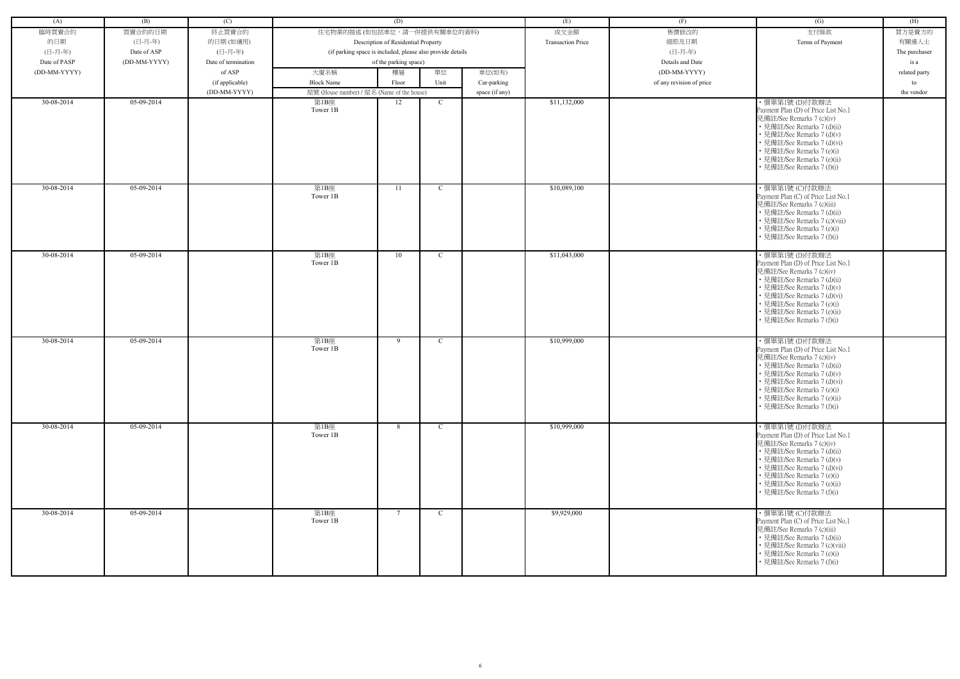| (A)          | (B)          | (C)                 |                                            | (D)                                                        |              |                | (E)                      | (F)                      | $\overline{(G)}$                                                                                                                                                                                                                                                          | (H)           |
|--------------|--------------|---------------------|--------------------------------------------|------------------------------------------------------------|--------------|----------------|--------------------------|--------------------------|---------------------------------------------------------------------------------------------------------------------------------------------------------------------------------------------------------------------------------------------------------------------------|---------------|
| 臨時買賣合約       | 買賣合約的日期      | 終止買賣合約              | 住宅物業的描述 (如包括車位,請一併提供有關車位的資料)               |                                                            |              |                | 成交金額                     | 售價修改的                    | 支付條款                                                                                                                                                                                                                                                                      | 買方是賣方的        |
| 的日期          | (日-月-年)      | 的日期(如適用)            |                                            | Description of Residential Property                        |              |                | <b>Transaction Price</b> | 細節及日期                    | Terms of Payment                                                                                                                                                                                                                                                          | 有關連人士         |
| (日-月-年)      | Date of ASP  | (日-月-年)             |                                            | (if parking space is included, please also provide details |              |                |                          | (日-月-年)                  |                                                                                                                                                                                                                                                                           | The purchaser |
| Date of PASP | (DD-MM-YYYY) | Date of termination |                                            | of the parking space)                                      |              |                |                          | Details and Date         |                                                                                                                                                                                                                                                                           | is a          |
| (DD-MM-YYYY) |              | of ASP              | 大廈名稱                                       | 樓層                                                         | 單位           | 車位(如有)         |                          | (DD-MM-YYYY)             |                                                                                                                                                                                                                                                                           | related party |
|              |              | (if applicable)     | <b>Block Name</b>                          | Floor                                                      | Unit         | Car-parking    |                          | of any revision of price |                                                                                                                                                                                                                                                                           | to            |
|              |              | (DD-MM-YYYY)        | 屋號 (House number) / 屋名 (Name of the house) |                                                            |              | space (if any) |                          |                          |                                                                                                                                                                                                                                                                           | the vendor    |
| 30-08-2014   | 05-09-2014   |                     | 第1B座<br>Tower 1B                           | 12                                                         | $\mathbf C$  |                | \$11,132,000             |                          | ・價單第1號 (D)付款辦法<br>Payment Plan (D) of Price List No.1<br>見備註/See Remarks 7 (c)(iv)<br>• 見備註/See Remarks 7 (d)(ii)<br>• 見備註/See Remarks 7 (d)(v)<br>• 見備註/See Remarks 7 (d)(vi)<br>• 見備註/See Remarks 7 (e)(i)<br>• 見備註/See Remarks 7 (e)(ii)<br>見備註/See Remarks 7 (f)(i)   |               |
| 30-08-2014   | 05-09-2014   |                     | 第1B座<br>Tower 1B                           | 11                                                         | $\mathbf C$  |                | \$10,089,100             |                          | ・價單第1號 (C)付款辦法<br>Payment Plan (C) of Price List No.1<br>見備註/See Remarks 7 (c)(iii)<br>• 見備註/See Remarks 7 (d)(ii)<br>• 見備註/See Remarks 7 (c)(viii)<br>• 見備註/See Remarks 7 (e)(i)<br>• 見備註/See Remarks 7 (f)(i)                                                           |               |
| 30-08-2014   | 05-09-2014   |                     | 第1B座<br>Tower 1B                           | 10                                                         | $\mathbf C$  |                | \$11,043,000             |                          | ・價單第1號 (D)付款辦法<br>Payment Plan (D) of Price List No.1<br>見備註/See Remarks 7 (c)(iv)<br>• 見備註/See Remarks 7 (d)(ii)<br>• 見備註/See Remarks 7 (d)(v)<br>• 見備註/See Remarks 7 (d)(vi)<br>• 見備註/See Remarks 7 (e)(i)<br>• 見備註/See Remarks 7 (e)(ii)<br>• 見備註/See Remarks 7 (f)(i) |               |
| 30-08-2014   | 05-09-2014   |                     | 第1B座<br>Tower 1B                           | 9                                                          | $\mathbf C$  |                | \$10,999,000             |                          | ・價單第1號 (D)付款辦法<br>Payment Plan (D) of Price List No.1<br>見備註/See Remarks 7 (c)(iv)<br>• 見備註/See Remarks 7 (d)(ii)<br>• 見備註/See Remarks 7 (d)(v)<br>• 見備註/See Remarks 7 (d)(vi)<br>• 見備註/See Remarks 7 (e)(i)<br>• 見備註/See Remarks 7 (e)(ii)<br>• 見備註/See Remarks 7 (f)(i) |               |
| 30-08-2014   | 05-09-2014   |                     | 第1B座<br>Tower 1B                           | 8                                                          | $\mathbf{C}$ |                | \$10,999,000             |                          | ・價單第1號 (D)付款辦法<br>Payment Plan (D) of Price List No.1<br>見備註/See Remarks 7 (c)(iv)<br>• 見備註/See Remarks 7 (d)(ii)<br>• 見備註/See Remarks 7 (d)(v)<br>• 見備註/See Remarks 7 (d)(vi)<br>• 見備註/See Remarks 7 (e)(i)<br>• 見備註/See Remarks 7 (e)(ii)<br>• 見備註/See Remarks 7 (f)(i) |               |
| 30-08-2014   | 05-09-2014   |                     | 第1B座<br>Tower 1B                           | $7\phantom{.0}$                                            | $\mathbf{C}$ |                | \$9,929,000              |                          | ・價單第1號 (C)付款辦法<br>Payment Plan (C) of Price List No.1<br>見備註/See Remarks 7 (c)(iii)<br>• 見備註/See Remarks 7 (d)(ii)<br>• 見備註/See Remarks 7 (c)(viii)<br>• 見備註/See Remarks 7 (e)(i)<br>• 見備註/See Remarks 7 (f)(i)                                                           |               |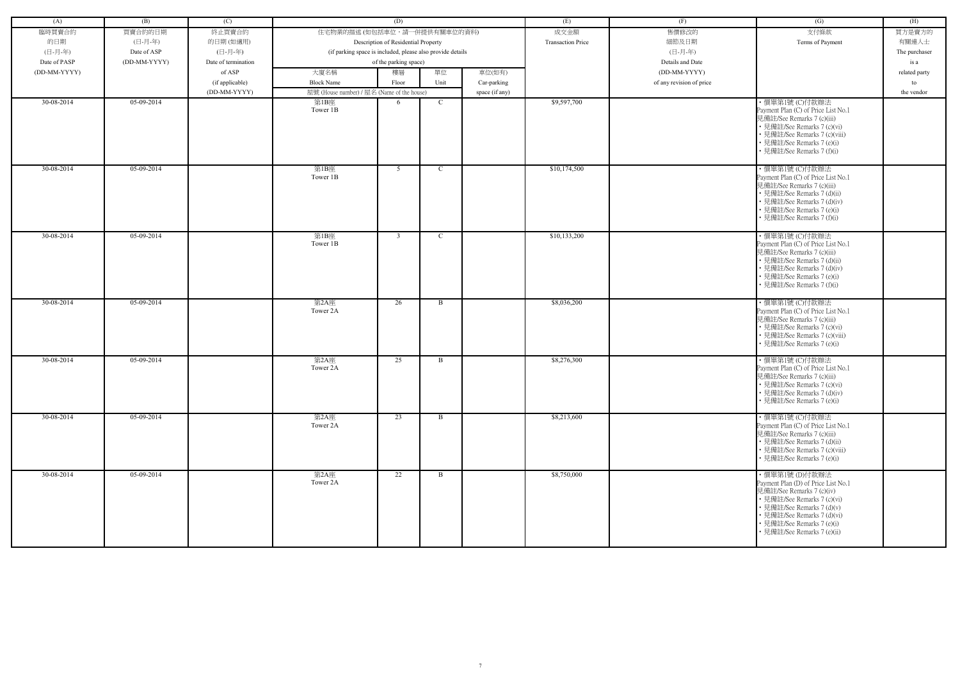| (A)          | (B)          | (C)                 |                                                            | (D)                                 |              |                | (E)                      | (F)                      | (G)                                                               | (H)           |
|--------------|--------------|---------------------|------------------------------------------------------------|-------------------------------------|--------------|----------------|--------------------------|--------------------------|-------------------------------------------------------------------|---------------|
| 臨時買賣合約       | 買賣合約的日期      | 終止買賣合約              | 住宅物業的描述 (如包括車位,請一併提供有關車位的資料)                               |                                     |              |                | 成交金額                     | 售價修改的                    | 支付條款                                                              | 買方是賣方的        |
| 的日期          | (日-月-年)      | 的日期(如適用)            |                                                            | Description of Residential Property |              |                | <b>Transaction Price</b> | 細節及日期                    | Terms of Payment                                                  | 有關連人士         |
| (日-月-年)      | Date of ASP  | (日-月-年)             | (if parking space is included, please also provide details |                                     |              |                |                          | (日-月-年)                  |                                                                   | The purchaser |
| Date of PASP | (DD-MM-YYYY) | Date of termination |                                                            | of the parking space)               |              |                |                          | Details and Date         |                                                                   | is a          |
| (DD-MM-YYYY) |              | of ASP              | 大廈名稱                                                       | 樓層                                  | 單位           | 車位(如有)         |                          | (DD-MM-YYYY)             |                                                                   | related party |
|              |              | (if applicable)     | <b>Block Name</b>                                          | Floor                               | Unit         | Car-parking    |                          | of any revision of price |                                                                   | to            |
|              |              | (DD-MM-YYYY)        | 屋號 (House number) / 屋名 (Name of the house)                 |                                     |              | space (if any) |                          |                          |                                                                   | the vendor    |
| 30-08-2014   | 05-09-2014   |                     | 第1B座                                                       | 6                                   | $\mathbf C$  |                | \$9,597,700              |                          | ·價單第1號 (C)付款辦法                                                    |               |
|              |              |                     | Tower 1B                                                   |                                     |              |                |                          |                          | Payment Plan (C) of Price List No.1                               |               |
|              |              |                     |                                                            |                                     |              |                |                          |                          | 見備註/See Remarks 7 (c)(iii)                                        |               |
|              |              |                     |                                                            |                                     |              |                |                          |                          | • 見備註/See Remarks 7 (c)(vi)<br>• 見備註/See Remarks 7 (c)(viii)      |               |
|              |              |                     |                                                            |                                     |              |                |                          |                          | • 見備註/See Remarks 7 (e)(i)                                        |               |
|              |              |                     |                                                            |                                     |              |                |                          |                          | • 見備註/See Remarks 7 (f)(i)                                        |               |
|              |              |                     |                                                            |                                     |              |                |                          |                          |                                                                   |               |
| 30-08-2014   | 05-09-2014   |                     | 第1B座                                                       | 5                                   | $\mathbf C$  |                | \$10,174,500             |                          | ·價單第1號 (C)付款辦法                                                    |               |
|              |              |                     | Tower 1B                                                   |                                     |              |                |                          |                          | Payment Plan (C) of Price List No.1                               |               |
|              |              |                     |                                                            |                                     |              |                |                          |                          | 見備註/See Remarks 7 (c)(iii)<br>• 見備註/See Remarks 7 (d)(ii)         |               |
|              |              |                     |                                                            |                                     |              |                |                          |                          | • 見備註/See Remarks 7 (d)(iv)                                       |               |
|              |              |                     |                                                            |                                     |              |                |                          |                          | • 見備註/See Remarks 7 (e)(i)                                        |               |
|              |              |                     |                                                            |                                     |              |                |                          |                          | • 見備註/See Remarks 7 (f)(i)                                        |               |
|              | 05-09-2014   |                     |                                                            |                                     |              |                | \$10,133,200             |                          |                                                                   |               |
| 30-08-2014   |              |                     | 第1B座<br>Tower 1B                                           | $\mathbf{3}$                        | $\mathbf C$  |                |                          |                          | ・價單第1號 (C)付款辦法<br>Payment Plan (C) of Price List No.1             |               |
|              |              |                     |                                                            |                                     |              |                |                          |                          | 見備註/See Remarks 7 (c)(iii)                                        |               |
|              |              |                     |                                                            |                                     |              |                |                          |                          | • 見備註/See Remarks 7 (d)(ii)                                       |               |
|              |              |                     |                                                            |                                     |              |                |                          |                          | • 見備註/See Remarks 7 (d)(iv)                                       |               |
|              |              |                     |                                                            |                                     |              |                |                          |                          | • 見備註/See Remarks 7 (e)(i)                                        |               |
|              |              |                     |                                                            |                                     |              |                |                          |                          | • 見備註/See Remarks 7 (f)(i)                                        |               |
| 30-08-2014   | 05-09-2014   |                     | 第2A座                                                       | 26                                  | B            |                | \$8,036,200              |                          | ・價單第1號 (C)付款辦法                                                    |               |
|              |              |                     | Tower 2A                                                   |                                     |              |                |                          |                          | Payment Plan (C) of Price List No.1                               |               |
|              |              |                     |                                                            |                                     |              |                |                          |                          | 見備註/See Remarks 7 (c)(iii)                                        |               |
|              |              |                     |                                                            |                                     |              |                |                          |                          | • 見備註/See Remarks 7 (c)(vi)<br>• 見備註/See Remarks 7 (c)(viii)      |               |
|              |              |                     |                                                            |                                     |              |                |                          |                          | • 見備註/See Remarks 7 (e)(i)                                        |               |
|              |              |                     |                                                            |                                     |              |                |                          |                          |                                                                   |               |
| 30-08-2014   | 05-09-2014   |                     | 第2A座                                                       | 25                                  | B            |                | \$8,276,300              |                          | ·價單第1號 (C)付款辦法                                                    |               |
|              |              |                     | Tower 2A                                                   |                                     |              |                |                          |                          | Payment Plan (C) of Price List No.1<br>見備註/See Remarks 7 (c)(iii) |               |
|              |              |                     |                                                            |                                     |              |                |                          |                          | • 見備註/See Remarks 7 (c)(vi)                                       |               |
|              |              |                     |                                                            |                                     |              |                |                          |                          | • 見備註/See Remarks 7 (d)(iv)                                       |               |
|              |              |                     |                                                            |                                     |              |                |                          |                          | • 見備註/See Remarks 7 (e)(i)                                        |               |
| 30-08-2014   | $05-09-2014$ |                     | 第2A座                                                       | 23                                  | B            |                | \$8,213,600              |                          | ·價單第1號(C)付款辦法                                                     |               |
|              |              |                     | Tower 2A                                                   |                                     |              |                |                          |                          | Payment Plan (C) of Price List No.1                               |               |
|              |              |                     |                                                            |                                     |              |                |                          |                          | 見備註/See Remarks 7 (c)(iii)                                        |               |
|              |              |                     |                                                            |                                     |              |                |                          |                          | • 見備註/See Remarks 7 (d)(ii)                                       |               |
|              |              |                     |                                                            |                                     |              |                |                          |                          | • 見備註/See Remarks 7 (c)(viii)                                     |               |
|              |              |                     |                                                            |                                     |              |                |                          |                          | • 見備註/See Remarks 7 (e)(i)                                        |               |
| 30-08-2014   | 05-09-2014   |                     | 第2A座                                                       | 22                                  | $\mathbf{B}$ |                | \$8,750,000              |                          | ・價單第1號 (D)付款辦法                                                    |               |
|              |              |                     | Tower 2A                                                   |                                     |              |                |                          |                          | Payment Plan (D) of Price List No.1                               |               |
|              |              |                     |                                                            |                                     |              |                |                          |                          | 見備註/See Remarks 7 (c)(iv)                                         |               |
|              |              |                     |                                                            |                                     |              |                |                          |                          | • 見備註/See Remarks 7 (c)(vi)<br>• 見備註/See Remarks 7 (d)(v)         |               |
|              |              |                     |                                                            |                                     |              |                |                          |                          | • 見備註/See Remarks 7 (d)(vi)                                       |               |
|              |              |                     |                                                            |                                     |              |                |                          |                          | • 見備註/See Remarks 7 (e)(i)                                        |               |
|              |              |                     |                                                            |                                     |              |                |                          |                          | • 見備註/See Remarks 7 (e)(ii)                                       |               |
|              |              |                     |                                                            |                                     |              |                |                          |                          |                                                                   |               |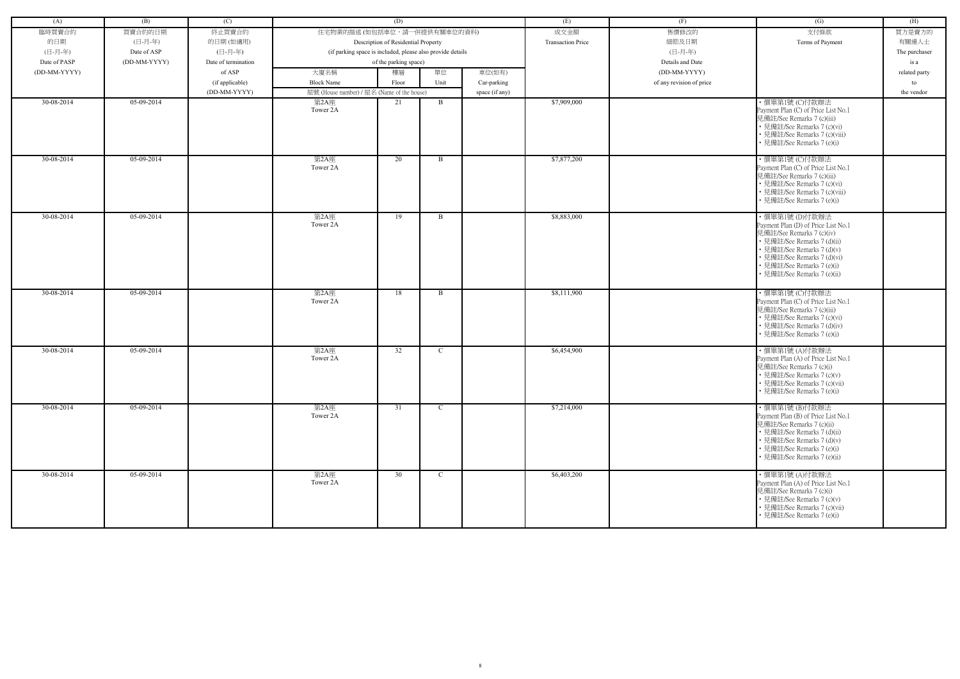| (A)          | (B)          | (C)                 |                                                            | (D)                                 |              |                | (E)                      | (F)                      | (G)                                                                                                                                                                                                                                       | (H)           |
|--------------|--------------|---------------------|------------------------------------------------------------|-------------------------------------|--------------|----------------|--------------------------|--------------------------|-------------------------------------------------------------------------------------------------------------------------------------------------------------------------------------------------------------------------------------------|---------------|
| 臨時買賣合約       | 買賣合約的日期      | 終止買賣合約              | 住宅物業的描述 (如包括車位,請一併提供有關車位的資料)                               |                                     |              |                | 成交金額                     | 售價修改的                    | 支付條款                                                                                                                                                                                                                                      | 買方是賣方的        |
| 的日期          | (日-月-年)      | 的日期(如適用)            |                                                            | Description of Residential Property |              |                | <b>Transaction Price</b> | 細節及日期                    | Terms of Payment                                                                                                                                                                                                                          | 有關連人士         |
| (日-月-年)      | Date of ASP  | (日-月-年)             | (if parking space is included, please also provide details |                                     |              |                |                          | (日-月-年)                  |                                                                                                                                                                                                                                           | The purchaser |
| Date of PASP | (DD-MM-YYYY) | Date of termination |                                                            | of the parking space)               |              |                |                          | Details and Date         |                                                                                                                                                                                                                                           | is a          |
|              |              |                     |                                                            |                                     |              |                |                          |                          |                                                                                                                                                                                                                                           |               |
| (DD-MM-YYYY) |              | of ASP              | 大廈名稱                                                       | 樓層                                  | 單位           | 車位(如有)         |                          | (DD-MM-YYYY)             |                                                                                                                                                                                                                                           | related party |
|              |              | (if applicable)     | <b>Block Name</b>                                          | Floor                               | Unit         | Car-parking    |                          | of any revision of price |                                                                                                                                                                                                                                           | to            |
|              |              | (DD-MM-YYYY)        | 屋號 (House number) / 屋名 (Name of the house)                 |                                     |              | space (if any) |                          |                          |                                                                                                                                                                                                                                           | the vendor    |
| 30-08-2014   | 05-09-2014   |                     | 第2A座<br>Tower 2A                                           | 21                                  | B            |                | \$7,909,000              |                          | ·價單第1號 (C)付款辦法<br>Payment Plan (C) of Price List No.1<br>見備註/See Remarks 7 (c)(iii)<br>• 見備註/See Remarks 7 (c)(vi)<br>• 見備註/See Remarks 7 (c)(viii)<br>• 見備註/See Remarks 7 (e)(i)                                                         |               |
| 30-08-2014   | 05-09-2014   |                     | 第2A座<br>Tower 2A                                           | 20                                  | B            |                | \$7,877,200              |                          | ・價單第1號 (C)付款辦法<br>Payment Plan (C) of Price List No.1<br>見備註/See Remarks 7 (c)(iii)<br>• 見備註/See Remarks 7 (c)(vi)<br>· 見備註/See Remarks 7 (c)(viii)<br>見備註/See Remarks 7 (e)(i)                                                           |               |
| 30-08-2014   | $05-09-2014$ |                     | 第2A座<br>Tower 2A                                           | 19                                  | B            |                | \$8,883,000              |                          | ・價單第1號 (D)付款辦法<br>Payment Plan (D) of Price List No.1<br>見備註/See Remarks 7 (c)(iv)<br>• 見備註/See Remarks 7 (d)(ii)<br>• 見備註/See Remarks 7 (d)(v)<br>• 見備註/See Remarks 7 (d)(vi)<br>• 見備註/See Remarks 7 (e)(i)<br>見備註/See Remarks 7 (e)(ii) |               |
| 30-08-2014   | 05-09-2014   |                     | 第2A座<br>Tower 2A                                           | 18                                  | B            |                | \$8,111,900              |                          | · 價單第1號 (C)付款辦法<br>Payment Plan (C) of Price List No.1<br>見備註/See Remarks 7 (c)(iii)<br>• 見備註/See Remarks 7 (c)(vi)<br>見備註/See Remarks 7 (d)(iv)<br>• 見備註/See Remarks 7 (e)(i)                                                            |               |
| 30-08-2014   | 05-09-2014   |                     | 第2A座<br>Tower 2A                                           | 32                                  | $\mathbf C$  |                | \$6,454,900              |                          | ・價單第1號 (A)付款辦法<br>Payment Plan (A) of Price List No.1<br>見備註/See Remarks 7 (c)(i)<br>• 見備註/See Remarks 7 (c)(v)<br>• 見備註/See Remarks 7 (c)(vii)<br>• 見備註/See Remarks 7 (e)(i)                                                             |               |
| 30-08-2014   | 05-09-2014   |                     | 第2A座<br>Tower 2A                                           | 31                                  | $\mathbf{C}$ |                | \$7,214,000              |                          | ・價單第1號 (B)付款辦法<br>Payment Plan (B) of Price List No.1<br>見備註/See Remarks 7 (c)(ii)<br>• 見備註/See Remarks 7 (d)(ii)<br>• 見備註/See Remarks 7 (d)(v)<br>• 見備註/See Remarks 7 (e)(i)<br>· 見備註/See Remarks 7 (e)(ii)                              |               |
| 30-08-2014   | 05-09-2014   |                     | 第2A座<br>Tower 2A                                           | 30                                  | $\mathbf C$  |                | \$6,403,200              |                          | ・價單第1號 (A)付款辦法<br>Payment Plan (A) of Price List No.1<br>見備註/See Remarks 7 (c)(i)<br>• 見備註/See Remarks 7 (c)(v)<br>• 見備註/See Remarks 7 (c)(vii)<br>• 見備註/See Remarks 7 (e)(i)                                                             |               |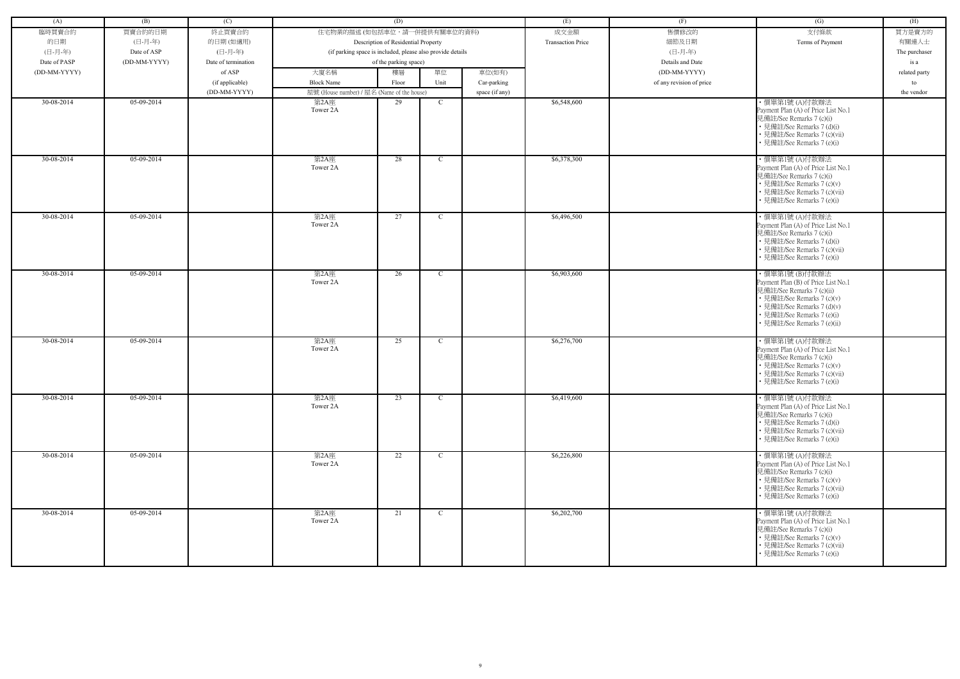| (A)          | (B)          | (C)                 |                                                            | (D)                                 |              |                | (E)                      | (F)                      | (G)                                                                                                                                                                                       | (H)           |
|--------------|--------------|---------------------|------------------------------------------------------------|-------------------------------------|--------------|----------------|--------------------------|--------------------------|-------------------------------------------------------------------------------------------------------------------------------------------------------------------------------------------|---------------|
| 臨時買賣合約       | 買賣合約的日期      | 終止買賣合約              | 住宅物業的描述 (如包括車位,請一併提供有關車位的資料)                               |                                     |              |                | 成交金額                     | 售價修改的                    | 支付條款                                                                                                                                                                                      | 買方是賣方的        |
| 的日期          | (日-月-年)      | 的日期(如適用)            |                                                            | Description of Residential Property |              |                | <b>Transaction Price</b> | 細節及日期                    | Terms of Payment                                                                                                                                                                          | 有關連人士         |
| (日-月-年)      | Date of ASP  | (日-月-年)             | (if parking space is included, please also provide details |                                     |              |                |                          | (日-月-年)                  |                                                                                                                                                                                           | The purchaser |
| Date of PASP | (DD-MM-YYYY) | Date of termination |                                                            | of the parking space)               |              |                |                          | Details and Date         |                                                                                                                                                                                           | is a          |
| (DD-MM-YYYY) |              | of ASP              | 大廈名稱                                                       | 樓層                                  | 單位           | 車位(如有)         |                          | (DD-MM-YYYY)             |                                                                                                                                                                                           | related party |
|              |              |                     |                                                            |                                     | Unit         |                |                          |                          |                                                                                                                                                                                           |               |
|              |              | (if applicable)     | <b>Block Name</b>                                          | Floor                               |              | Car-parking    |                          | of any revision of price |                                                                                                                                                                                           | to            |
| 30-08-2014   | 05-09-2014   | (DD-MM-YYYY)        | 屋號 (House number) / 屋名 (Name of the house)<br>第2A座         | 29                                  | $\mathbf C$  | space (if any) | \$6,548,600              |                          | ・價單第1號 (A)付款辦法                                                                                                                                                                            | the vendor    |
|              |              |                     | Tower 2A                                                   |                                     |              |                |                          |                          | Payment Plan (A) of Price List No.1<br>見備註/See Remarks 7 (c)(i)<br>• 見備註/See Remarks 7 (d)(i)<br>· 見備註/See Remarks 7 (c)(vii)<br>• 見備註/See Remarks 7 (e)(i)                               |               |
| 30-08-2014   | 05-09-2014   |                     | 第2A座<br>Tower 2A                                           | 28                                  | $\mathbf C$  |                | \$6,378,300              |                          | ・價單第1號 (A)付款辦法<br>Payment Plan (A) of Price List No.1<br>見備註/See Remarks 7 (c)(i)<br>• 見備註/See Remarks 7 (c)(v)<br>• 見備註/See Remarks 7 (c)(vii)<br>• 見備註/See Remarks 7 (e)(i)             |               |
| 30-08-2014   | 05-09-2014   |                     | 第2A座<br>Tower 2A                                           | 27                                  | $\mathbf C$  |                | \$6,496,500              |                          | ・價單第1號 (A)付款辦法<br>Payment Plan (A) of Price List No.1<br>見備註/See Remarks 7 (c)(i)<br>• 見備註/See Remarks 7 (d)(i)<br>• 見備註/See Remarks 7 (c)(vii)<br>• 見備註/See Remarks 7 (e)(i)             |               |
| 30-08-2014   | 05-09-2014   |                     | 第2A座                                                       | 26                                  | $\mathbf C$  |                | \$6,903,600              |                          | ・價單第1號 (B)付款辦法                                                                                                                                                                            |               |
|              |              |                     | Tower 2A                                                   |                                     |              |                |                          |                          | Payment Plan (B) of Price List No.1<br>見備註/See Remarks 7 (c)(ii)<br>• 見備註/See Remarks 7 (c)(v)<br>· 見備註/See Remarks 7 (d)(v)<br>• 見備註/See Remarks 7 (e)(i)<br>· 見備註/See Remarks 7 (e)(ii) |               |
| 30-08-2014   | $05-09-2014$ |                     | 第2A座<br>Tower 2A                                           | 25                                  | $\mathbf{C}$ |                | \$6,276,700              |                          | ・價單第1號 (A)付款辦法<br>Payment Plan (A) of Price List No.1                                                                                                                                     |               |
|              |              |                     |                                                            |                                     |              |                |                          |                          | 見備註/See Remarks 7 (c)(i)<br>• 見備註/See Remarks 7 (c)(v)<br>• 見備註/See Remarks 7 (c)(vii)<br>• 見備註/See Remarks 7 (e)(i)                                                                      |               |
| 30-08-2014   | 05-09-2014   |                     | 第2A座                                                       | 23                                  | $\mathbf{C}$ |                | \$6,419,600              |                          | ・價單第1號 (A)付款辦法                                                                                                                                                                            |               |
|              |              |                     | Tower 2A                                                   |                                     |              |                |                          |                          | Payment Plan (A) of Price List No.1<br>見備註/See Remarks 7 (c)(i)<br>• 見備註/See Remarks 7 (d)(i)<br>• 見備註/See Remarks 7 (c)(vii)<br>• 見備註/See Remarks 7 (e)(i)                               |               |
| 30-08-2014   | 05-09-2014   |                     | 第2A座<br>Tower 2A                                           | 22                                  | $\mathbf{C}$ |                | \$6,226,800              |                          | ・價單第1號 (A)付款辦法<br>Payment Plan (A) of Price List No.1                                                                                                                                     |               |
|              |              |                     |                                                            |                                     |              |                |                          |                          | 見備註/See Remarks 7 (c)(i)<br>• 見備註/See Remarks 7 (c)(v)<br>• 見備註/See Remarks 7 (c)(vii)<br>• 見備註/See Remarks 7 (e)(i)                                                                      |               |
| 30-08-2014   | 05-09-2014   |                     | 第2A座                                                       | 21                                  | $\mathbf{C}$ |                | \$6,202,700              |                          | ・價單第1號 (A)付款辦法                                                                                                                                                                            |               |
|              |              |                     | Tower 2A                                                   |                                     |              |                |                          |                          | Payment Plan (A) of Price List No.1<br>見備註/See Remarks 7 (c)(i)<br>• 見備註/See Remarks 7 (c)(v)<br>• 見備註/See Remarks 7 (c)(vii)<br>• 見備註/See Remarks 7 (e)(i)                               |               |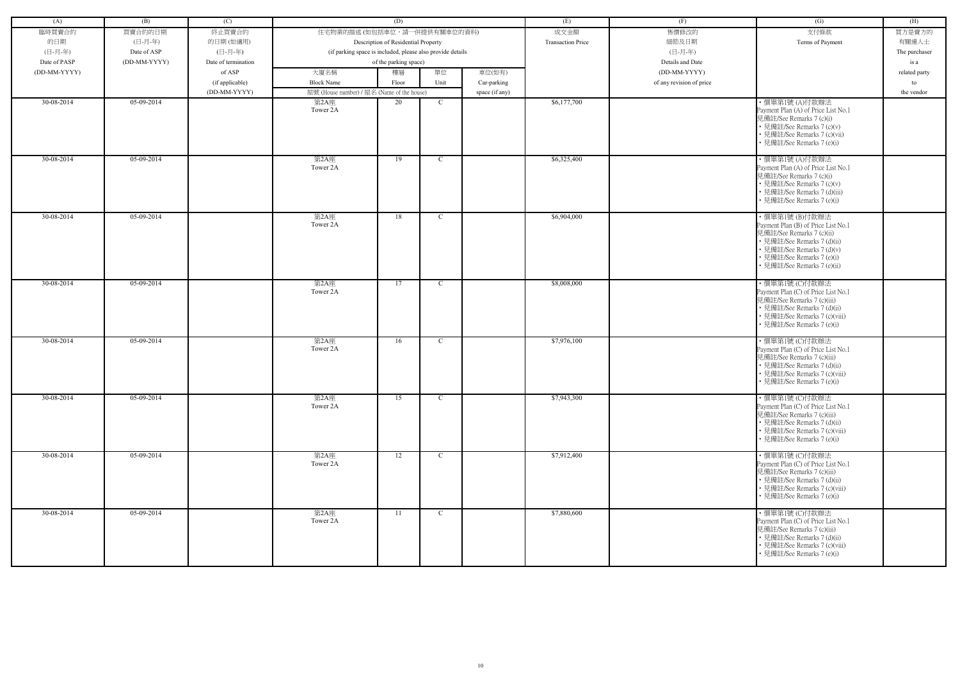| (A)          | (B)          | (C)                 |                                                            | (D)                                 |              |                | (E)                      | (F)                      | (G)                                                                                                                                                                                                          | (H)           |
|--------------|--------------|---------------------|------------------------------------------------------------|-------------------------------------|--------------|----------------|--------------------------|--------------------------|--------------------------------------------------------------------------------------------------------------------------------------------------------------------------------------------------------------|---------------|
| 臨時買賣合約       | 買賣合約的日期      | 終止買賣合約              | 住宅物業的描述 (如包括車位,請一併提供有關車位的資料)                               |                                     |              |                | 成交金額                     | 售價修改的                    | 支付條款                                                                                                                                                                                                         | 買方是賣方的        |
| 的日期          | (日-月-年)      | 的日期(如適用)            |                                                            | Description of Residential Property |              |                | <b>Transaction Price</b> | 細節及日期                    | Terms of Payment                                                                                                                                                                                             | 有關連人士         |
| (日-月-年)      | Date of ASP  | (日-月-年)             | (if parking space is included, please also provide details |                                     |              |                |                          | (日-月-年)                  |                                                                                                                                                                                                              | The purchaser |
| Date of PASP | (DD-MM-YYYY) | Date of termination |                                                            | of the parking space)               |              |                |                          | Details and Date         |                                                                                                                                                                                                              | is a          |
| (DD-MM-YYYY) |              | of ASP              | 大廈名稱                                                       | 樓層                                  | 單位           | 車位(如有)         |                          | (DD-MM-YYYY)             |                                                                                                                                                                                                              | related party |
|              |              | (if applicable)     | <b>Block Name</b>                                          | Floor                               | Unit         | Car-parking    |                          | of any revision of price |                                                                                                                                                                                                              | to            |
|              |              | (DD-MM-YYYY)        | 屋號 (House number) / 屋名 (Name of the house)                 |                                     |              | space (if any) |                          |                          |                                                                                                                                                                                                              | the vendor    |
| 30-08-2014   | 05-09-2014   |                     | 第2A座<br>Tower 2A                                           | 20                                  | $\mathbf C$  |                | \$6,177,700              |                          | ・價單第1號 (A)付款辦法<br>Payment Plan (A) of Price List No.1<br>見備註/See Remarks 7 (c)(i)<br>• 見備註/See Remarks 7 (c)(v)<br>· 見備註/See Remarks 7 (c)(vii)<br>• 見備註/See Remarks 7 (e)(i)                                |               |
| 30-08-2014   | 05-09-2014   |                     | 第2A座<br>Tower 2A                                           | 19                                  | $\mathbf C$  |                | \$6,325,400              |                          | ・價單第1號 (A)付款辦法<br>Payment Plan (A) of Price List No.1<br>見備註/See Remarks 7 (c)(i)<br>• 見備註/See Remarks 7 (c)(v)<br>• 見備註/See Remarks 7 (d)(iii)<br>• 見備註/See Remarks 7 (e)(i)                                |               |
| 30-08-2014   | 05-09-2014   |                     | 第2A座<br>Tower 2A                                           | 18                                  | $\mathbf C$  |                | \$6,904,000              |                          | ・價單第1號 (B)付款辦法<br>Payment Plan (B) of Price List No.1<br>見備註/See Remarks 7 (c)(ii)<br>• 見備註/See Remarks 7 (d)(ii)<br>· 見備註/See Remarks 7 (d)(v)<br>• 見備註/See Remarks 7 (e)(i)<br>· 見備註/See Remarks 7 (e)(ii) |               |
| 30-08-2014   | 05-09-2014   |                     | 第2A座<br>Tower 2A                                           | 17                                  | $\mathbf{C}$ |                | \$8,008,000              |                          | ・價單第1號 (C)付款辦法<br>Payment Plan (C) of Price List No.1<br>見備註/See Remarks 7 (c)(iii)<br>• 見備註/See Remarks 7 (d)(ii)<br>• 見備註/See Remarks 7 (c)(viii)<br>• 見備註/See Remarks 7 (e)(i)                            |               |
| 30-08-2014   | $05-09-2014$ |                     | 第2A座<br>Tower 2A                                           | 16                                  | $\mathbf{C}$ |                | \$7,976,100              |                          | ·價單第1號 (C)付款辦法<br>Payment Plan (C) of Price List No.1<br>見備註/See Remarks 7 (c)(iii)<br>• 見備註/See Remarks 7 (d)(ii)<br>• 見備註/See Remarks 7 (c)(viii)<br>• 見備註/See Remarks 7 (e)(i)                            |               |
| 30-08-2014   | 05-09-2014   |                     | 第2A座<br>Tower 2A                                           | 15                                  | $\mathbf{C}$ |                | \$7,943,300              |                          | ・價單第1號 (C)付款辦法<br>Payment Plan (C) of Price List No.1<br>見備註/See Remarks 7 (c)(iii)<br>• 見備註/See Remarks 7 (d)(ii)<br>• 見備註/See Remarks 7 (c)(viii)<br>• 見備註/See Remarks 7 (e)(i)                            |               |
| 30-08-2014   | 05-09-2014   |                     | 第2A座<br>Tower 2A                                           | 12                                  | $\mathbf{C}$ |                | \$7,912,400              |                          | ・價單第1號 (C)付款辦法<br>Payment Plan (C) of Price List No.1<br>見備註/See Remarks 7 (c)(iii)<br>• 見備註/See Remarks 7 (d)(ii)<br>• 見備註/See Remarks 7 (c)(viii)<br>• 見備註/See Remarks 7 (e)(i)                            |               |
| 30-08-2014   | 05-09-2014   |                     | 第2A座<br>Tower 2A                                           | 11                                  | $\mathbf{C}$ |                | \$7,880,600              |                          | ・價單第1號 (C)付款辦法<br>Payment Plan (C) of Price List No.1<br>見備註/See Remarks 7 (c)(iii)<br>• 見備註/See Remarks 7 (d)(ii)<br>• 見備註/See Remarks 7 (c)(viii)<br>• 見備註/See Remarks 7 (e)(i)                            |               |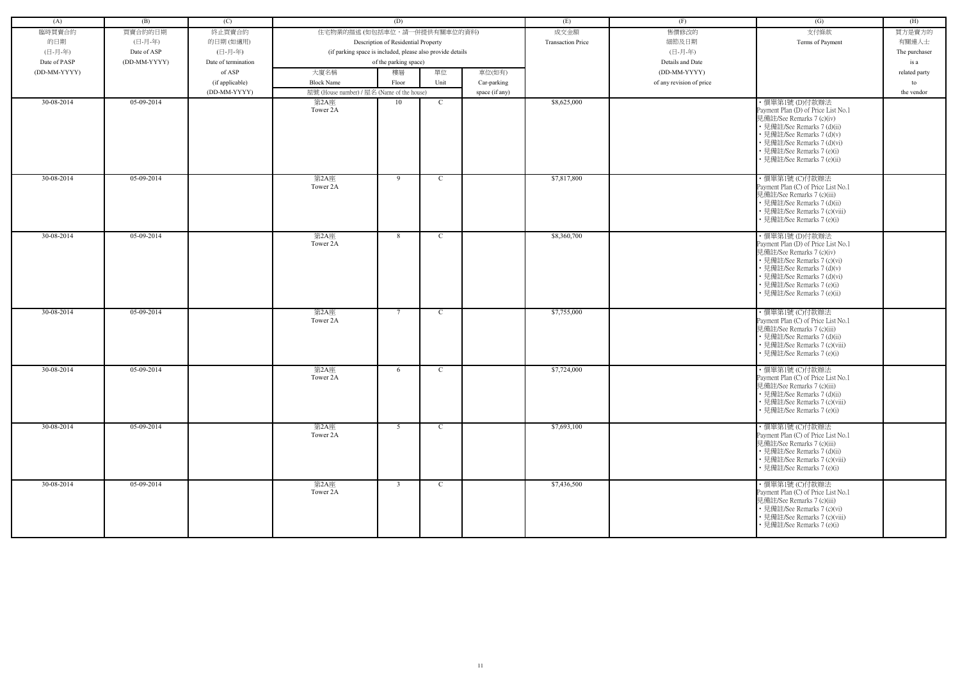| (A)          | (B)          | (C)                 |                                                            | (D)                                 |               |                | (E)                      | (F)                      | (G)                                                                                                                                                                                                                                         | (H)           |
|--------------|--------------|---------------------|------------------------------------------------------------|-------------------------------------|---------------|----------------|--------------------------|--------------------------|---------------------------------------------------------------------------------------------------------------------------------------------------------------------------------------------------------------------------------------------|---------------|
|              |              |                     |                                                            |                                     |               |                |                          |                          |                                                                                                                                                                                                                                             |               |
| 臨時買賣合約       | 買賣合約的日期      | 終止買賣合約              | 住宅物業的描述 (如包括車位,請一併提供有關車位的資料)                               |                                     |               |                | 成交金額                     | 售價修改的                    | 支付條款                                                                                                                                                                                                                                        | 買方是賣方的        |
| 的日期          | (日-月-年)      | 的日期(如適用)            |                                                            | Description of Residential Property |               |                | <b>Transaction Price</b> | 細節及日期                    | Terms of Payment                                                                                                                                                                                                                            | 有關連人士         |
| (日-月-年)      | Date of ASP  | (日-月-年)             | (if parking space is included, please also provide details |                                     |               |                |                          | (日-月-年)                  |                                                                                                                                                                                                                                             | The purchaser |
| Date of PASP | (DD-MM-YYYY) | Date of termination |                                                            | of the parking space)               |               |                |                          | Details and Date         |                                                                                                                                                                                                                                             | is a          |
| (DD-MM-YYYY) |              | of ASP              | 大廈名稱                                                       | 樓層                                  | 單位            | 車位(如有)         |                          | (DD-MM-YYYY)             |                                                                                                                                                                                                                                             | related party |
|              |              | (if applicable)     | <b>Block Name</b>                                          | Floor                               | Unit          | Car-parking    |                          | of any revision of price |                                                                                                                                                                                                                                             | to            |
|              |              | (DD-MM-YYYY)        | 屋號 (House number) / 屋名 (Name of the house)                 |                                     |               | space (if any) |                          |                          |                                                                                                                                                                                                                                             | the vendor    |
| 30-08-2014   | 05-09-2014   |                     | 第2A座<br>Tower 2A                                           | 10                                  | $\mathbf C$   |                | \$8,625,000              |                          | ・價單第1號 (D)付款辦法<br>Payment Plan (D) of Price List No.1<br>見備註/See Remarks 7 (c)(iv)<br>• 見備註/See Remarks 7 (d)(ii)<br>• 見備註/See Remarks 7 (d)(v)<br>• 見備註/See Remarks 7 (d)(vi)<br>• 見備註/See Remarks 7 (e)(i)<br>• 見備註/See Remarks 7 (e)(ii) |               |
| 30-08-2014   | 05-09-2014   |                     | 第2A座<br>Tower 2A                                           | 9                                   | $\mathcal{C}$ |                | \$7,817,800              |                          | ·價單第1號 (C)付款辦法<br>Payment Plan (C) of Price List No.1<br>見備註/See Remarks 7 (c)(iii)<br>• 見備註/See Remarks 7 (d)(ii)<br>• 見備註/See Remarks 7 (c)(viii)<br>• 見備註/See Remarks 7 (e)(i)                                                           |               |
| 30-08-2014   | 05-09-2014   |                     | 第2A座<br>Tower 2A                                           | 8 <sup>8</sup>                      | C             |                | \$8,360,700              |                          | ・價單第1號 (D)付款辦法<br>Payment Plan (D) of Price List No.1<br>見備註/See Remarks 7 (c)(iv)<br>• 見備註/See Remarks 7 (c)(vi)<br>• 見備註/See Remarks 7 (d)(v)<br>• 見備註/See Remarks 7 (d)(vi)<br>• 見備註/See Remarks 7 (e)(i)<br>• 見備註/See Remarks 7 (e)(ii) |               |
| 30-08-2014   | 05-09-2014   |                     | 第2A座<br>Tower 2A                                           | $\overline{7}$                      | C             |                | \$7,755,000              |                          | ·價單第1號 (C)付款辦法<br>Payment Plan (C) of Price List No.1<br>見備註/See Remarks 7 (c)(iii)<br>• 見備註/See Remarks 7 (d)(ii)<br>• 見備註/See Remarks 7 (c)(viii)<br>• 見備註/See Remarks 7 (e)(i)                                                           |               |
| 30-08-2014   | 05-09-2014   |                     | 第2A座<br>Tower 2A                                           | 6                                   | $\mathcal{C}$ |                | \$7,724,000              |                          | ·價單第1號 (C)付款辦法<br>Payment Plan (C) of Price List No.1<br>見備註/See Remarks 7 (c)(iii)<br>• 見備註/See Remarks 7 (d)(ii)<br>• 見備註/See Remarks 7 (c)(viii)<br>• 見備註/See Remarks 7 (e)(i)                                                           |               |
| 30-08-2014   | 05-09-2014   |                     | 第2A座<br>Tower 2A                                           | 5 <sup>5</sup>                      | $\mathcal{C}$ |                | \$7,693,100              |                          | ・價單第1號 (C)付款辦法<br>Payment Plan (C) of Price List No.1<br>見備註/See Remarks 7 (c)(iii)<br>• 見備註/See Remarks 7 (d)(ii)<br>• 見備註/See Remarks 7 (c)(viii)<br>• 見備註/See Remarks 7 (e)(i)                                                           |               |
| 30-08-2014   | 05-09-2014   |                     | 第2A座<br>Tower 2A                                           | $\overline{3}$                      | $\mathbf C$   |                | \$7,436,500              |                          | ・價單第1號 (C)付款辦法<br>Payment Plan (C) of Price List No.1<br>見備註/See Remarks 7 (c)(iii)<br>• 見備註/See Remarks 7 (c)(vi)<br>• 見備註/See Remarks 7 (c)(viii)<br>• 見備註/See Remarks 7 (e)(i)                                                           |               |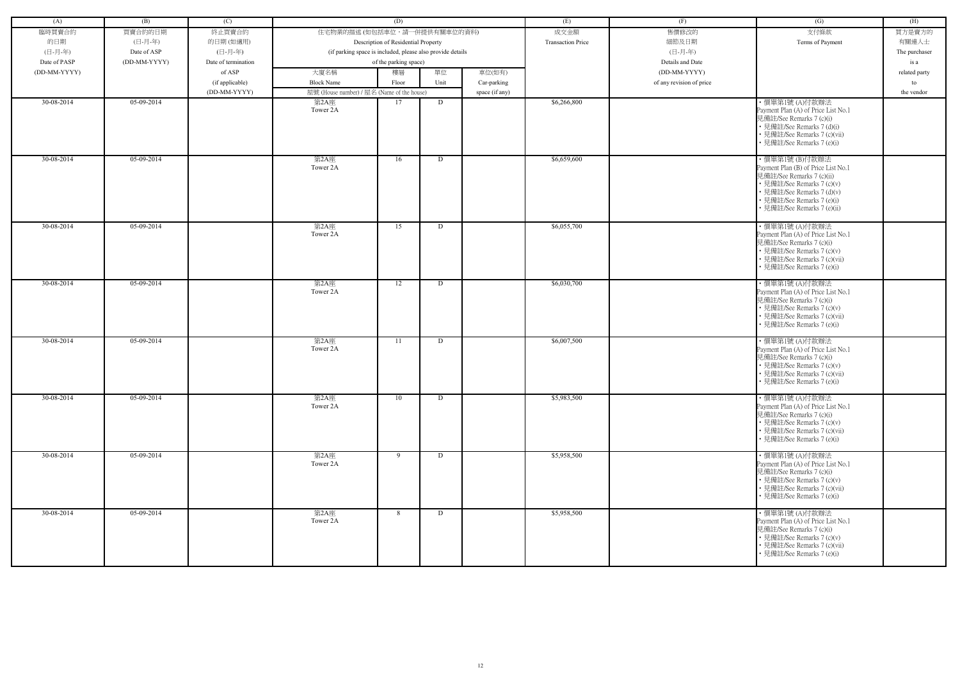| (A)          | (B)          | (C)                 |                                                            | (D)                                 |      |                | (E)                      | (F)                      | (G)                                                                                                                                                                                                         | (H)           |
|--------------|--------------|---------------------|------------------------------------------------------------|-------------------------------------|------|----------------|--------------------------|--------------------------|-------------------------------------------------------------------------------------------------------------------------------------------------------------------------------------------------------------|---------------|
| 臨時買賣合約       | 買賣合約的日期      | 終止買賣合約              | 住宅物業的描述 (如包括車位,請一併提供有關車位的資料)                               |                                     |      |                | 成交金額                     | 售價修改的                    | 支付條款                                                                                                                                                                                                        | 買方是賣方的        |
| 的日期          | (日-月-年)      | 的日期(如適用)            |                                                            | Description of Residential Property |      |                | <b>Transaction Price</b> | 細節及日期                    | Terms of Payment                                                                                                                                                                                            | 有關連人士         |
| (日-月-年)      | Date of ASP  | (日-月-年)             | (if parking space is included, please also provide details |                                     |      |                |                          | (日-月-年)                  |                                                                                                                                                                                                             | The purchaser |
| Date of PASP | (DD-MM-YYYY) | Date of termination |                                                            | of the parking space)               |      |                |                          | Details and Date         |                                                                                                                                                                                                             | is a          |
| (DD-MM-YYYY) |              | of ASP              | 大廈名稱                                                       | 樓層                                  | 單位   | 車位(如有)         |                          | (DD-MM-YYYY)             |                                                                                                                                                                                                             | related party |
|              |              | (if applicable)     | <b>Block Name</b>                                          | Floor                               | Unit | Car-parking    |                          | of any revision of price |                                                                                                                                                                                                             | to            |
|              |              | (DD-MM-YYYY)        | 屋號 (House number) / 屋名 (Name of the house)                 |                                     |      | space (if any) |                          |                          |                                                                                                                                                                                                             | the vendor    |
| 30-08-2014   | 05-09-2014   |                     | 第2A座                                                       | 17                                  | D    |                | \$6,266,800              |                          | ・價單第1號 (A)付款辦法                                                                                                                                                                                              |               |
|              |              |                     | Tower 2A                                                   |                                     |      |                |                          |                          | Payment Plan (A) of Price List No.1<br>見備註/See Remarks 7 (c)(i)<br>• 見備註/See Remarks 7 (d)(i)<br>· 見備註/See Remarks 7 (c)(vii)<br>• 見備註/See Remarks 7 (e)(i)                                                 |               |
| 30-08-2014   | 05-09-2014   |                     | 第2A座<br>Tower 2A                                           | 16                                  | D    |                | \$6,659,600              |                          | ・價單第1號 (B)付款辦法<br>Payment Plan (B) of Price List No.1<br>見備註/See Remarks 7 (c)(ii)<br>• 見備註/See Remarks 7 (c)(v)<br>• 見備註/See Remarks 7 (d)(v)<br>• 見備註/See Remarks 7 (e)(i)<br>• 見備註/See Remarks 7 (e)(ii) |               |
| 30-08-2014   | 05-09-2014   |                     | 第2A座<br>Tower 2A                                           | 15                                  | D    |                | \$6,055,700              |                          | ・價單第1號 (A)付款辦法<br>Payment Plan (A) of Price List No.1<br>見備註/See Remarks 7 (c)(i)<br>• 見備註/See Remarks 7 (c)(v)<br>• 見備註/See Remarks 7 (c)(vii)<br>• 見備註/See Remarks 7 (e)(i)                               |               |
| 30-08-2014   | 05-09-2014   |                     | 第2A座<br>Tower 2A                                           | 12                                  | D    |                | \$6,030,700              |                          | ・價單第1號 (A)付款辦法<br>Payment Plan (A) of Price List No.1<br>見備註/See Remarks 7 (c)(i)<br>• 見備註/See Remarks 7 (c)(v)<br>• 見備註/See Remarks 7 (c)(vii)<br>• 見備註/See Remarks 7 (e)(i)                               |               |
| 30-08-2014   | $05-09-2014$ |                     | 第2A座<br>Tower 2A                                           | -11                                 | D    |                | \$6,007,500              |                          | ・價單第1號 (A)付款辦法<br>Payment Plan (A) of Price List No.1<br>見備註/See Remarks 7 (c)(i)<br>• 見備註/See Remarks 7 (c)(v)<br>• 見備註/See Remarks 7 (c)(vii)<br>• 見備註/See Remarks 7 (e)(i)                               |               |
| 30-08-2014   | 05-09-2014   |                     | 第2A座<br>Tower 2A                                           | 10                                  | D    |                | \$5,983,500              |                          | ・價單第1號 (A)付款辦法<br>Payment Plan (A) of Price List No.1<br>見備註/See Remarks 7 (c)(i)<br>• 見備註/See Remarks 7 (c)(v)<br>• 見備註/See Remarks 7 (c)(vii)<br>• 見備註/See Remarks 7 (e)(i)                               |               |
| 30-08-2014   | 05-09-2014   |                     | 第2A座<br>Tower 2A                                           | 9                                   | D    |                | \$5,958,500              |                          | ・價單第1號 (A)付款辦法<br>Payment Plan (A) of Price List No.1<br>見備註/See Remarks 7 (c)(i)<br>• 見備註/See Remarks 7 (c)(v)<br>• 見備註/See Remarks 7 (c)(vii)<br>• 見備註/See Remarks 7 (e)(i)                               |               |
| 30-08-2014   | 05-09-2014   |                     | 第2A座<br>Tower 2A                                           | 8                                   | D    |                | \$5,958,500              |                          | ・價單第1號 (A)付款辦法<br>Payment Plan (A) of Price List No.1<br>見備註/See Remarks 7 (c)(i)<br>• 見備註/See Remarks 7 (c)(v)<br>• 見備註/See Remarks 7 (c)(vii)<br>• 見備註/See Remarks 7 (e)(i)                               |               |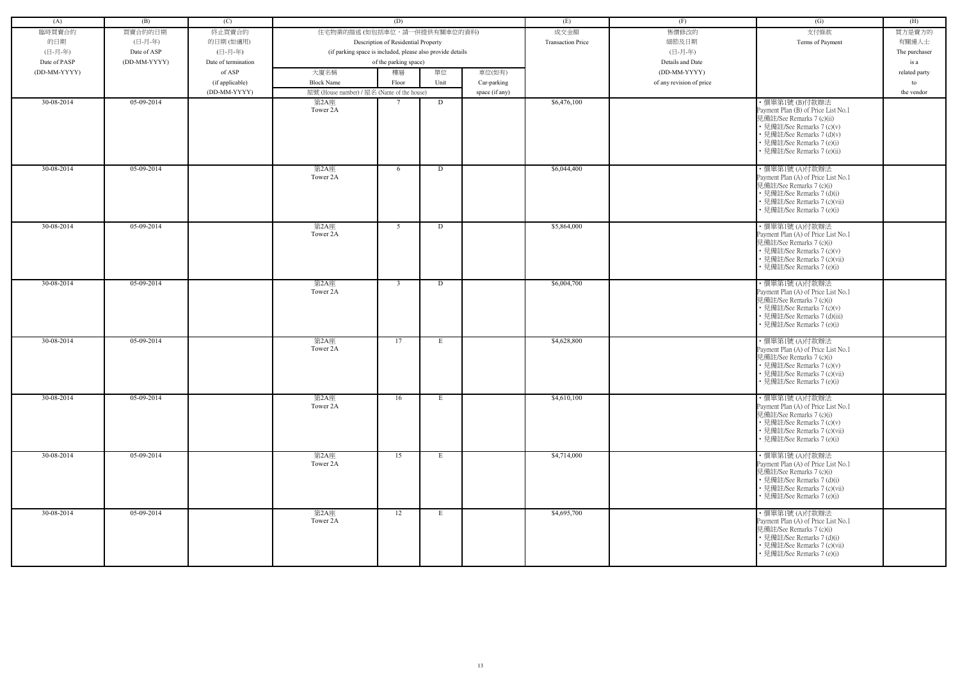| (A)          | (B)          | (C)                 |                                                            | (D)                                 |             |                | (E)                      | (F)                      | (G)                                                                                                                                                                                                         | (H)           |
|--------------|--------------|---------------------|------------------------------------------------------------|-------------------------------------|-------------|----------------|--------------------------|--------------------------|-------------------------------------------------------------------------------------------------------------------------------------------------------------------------------------------------------------|---------------|
| 臨時買賣合約       | 買賣合約的日期      | 終止買賣合約              | 住宅物業的描述 (如包括車位,請一併提供有關車位的資料)                               |                                     |             |                | 成交金額                     | 售價修改的                    | 支付條款                                                                                                                                                                                                        | 買方是賣方的        |
|              |              |                     |                                                            |                                     |             |                | <b>Transaction Price</b> |                          |                                                                                                                                                                                                             |               |
| 的日期          | (日-月-年)      | 的日期(如適用)            |                                                            | Description of Residential Property |             |                |                          | 細節及日期                    | Terms of Payment                                                                                                                                                                                            | 有關連人士         |
| (日-月-年)      | Date of ASP  | (日-月-年)             | (if parking space is included, please also provide details |                                     |             |                |                          | (日-月-年)                  |                                                                                                                                                                                                             | The purchaser |
| Date of PASP | (DD-MM-YYYY) | Date of termination |                                                            | of the parking space)               |             |                |                          | Details and Date         |                                                                                                                                                                                                             | is a          |
| (DD-MM-YYYY) |              | of ASP              | 大廈名稱                                                       | 樓層                                  | 單位          | 車位(如有)         |                          | (DD-MM-YYYY)             |                                                                                                                                                                                                             | related party |
|              |              | (if applicable)     | <b>Block Name</b>                                          | Floor                               | Unit        | Car-parking    |                          | of any revision of price |                                                                                                                                                                                                             | to            |
|              |              | (DD-MM-YYYY)        | 屋號 (House number) / 屋名 (Name of the house)                 |                                     |             | space (if any) |                          |                          |                                                                                                                                                                                                             | the vendor    |
| 30-08-2014   | 05-09-2014   |                     | 第2A座<br>Tower 2A                                           | $\tau$                              | D           |                | \$6,476,100              |                          | ・價單第1號 (B)付款辦法<br>Payment Plan (B) of Price List No.1<br>見備註/See Remarks 7 (c)(ii)<br>• 見備註/See Remarks 7 (c)(v)<br>• 見備註/See Remarks 7 (d)(v)<br>• 見備註/See Remarks 7 (e)(i)<br>· 見備註/See Remarks 7 (e)(ii) |               |
| 30-08-2014   | $05-09-2014$ |                     | 第2A座<br>Tower 2A                                           | 6                                   | D           |                | \$6,044,400              |                          | ・價單第1號 (A)付款辦法<br>Payment Plan (A) of Price List No.1<br>見備註/See Remarks 7 (c)(i)<br>• 見備註/See Remarks 7 (d)(i)<br>· 見備註/See Remarks 7 (c)(vii)<br>• 見備註/See Remarks 7 (e)(i)                               |               |
| 30-08-2014   | 05-09-2014   |                     | 第2A座<br>Tower 2A                                           | 5                                   | D           |                | \$5,864,000              |                          | ・價單第1號 (A)付款辦法<br>Payment Plan (A) of Price List No.1<br>見備註/See Remarks 7 (c)(i)<br>• 見備註/See Remarks 7 (c)(v)<br>• 見備註/See Remarks 7 (c)(vii)<br>• 見備註/See Remarks 7 (e)(i)                               |               |
| 30-08-2014   | 05-09-2014   |                     | 第2A座<br>Tower 2A                                           | $\mathbf{3}$                        | D           |                | \$6,004,700              |                          | ・價單第1號 (A)付款辦法<br>Payment Plan (A) of Price List No.1<br>見備註/See Remarks 7 (c)(i)<br>• 見備註/See Remarks 7 (c)(v)<br>· 見備註/See Remarks 7 (d)(iii)<br>• 見備註/See Remarks 7 (e)(i)                               |               |
| 30-08-2014   | 05-09-2014   |                     | 第2A座<br>Tower 2A                                           | 17                                  | E           |                | \$4,628,800              |                          | ・價單第1號 (A)付款辦法<br>Payment Plan (A) of Price List No.1<br>見備註/See Remarks 7 (c)(i)<br>• 見備註/See Remarks 7 (c)(v)<br>• 見備註/See Remarks 7 (c)(vii)<br>• 見備註/See Remarks 7 (e)(i)                               |               |
| 30-08-2014   | 05-09-2014   |                     | 第2A座<br>Tower 2A                                           | 16                                  | E           |                | \$4,610,100              |                          | ・價單第1號 (A)付款辦法<br>Payment Plan (A) of Price List No.1<br>見備註/See Remarks 7 (c)(i)<br>• 見備註/See Remarks 7 (c)(v)<br>• 見備註/See Remarks 7 (c)(vii)<br>• 見備註/See Remarks 7 (e)(i)                               |               |
| 30-08-2014   | 05-09-2014   |                     | 第2A座<br>Tower 2A                                           | 15                                  | E           |                | \$4,714,000              |                          | ・價單第1號 (A)付款辦法<br>Payment Plan (A) of Price List No.1<br>見備註/See Remarks 7 (c)(i)<br>• 見備註/See Remarks 7 (d)(i)<br>• 見備註/See Remarks 7 (c)(vii)<br>• 見備註/See Remarks 7 (e)(i)                               |               |
| 30-08-2014   | 05-09-2014   |                     | 第2A座<br>Tower 2A                                           | 12                                  | $E_{\perp}$ |                | \$4,695,700              |                          | · 價單第1號(A)付款辦法<br>Payment Plan (A) of Price List No.1<br>見備註/See Remarks 7 (c)(i)<br>• 見備註/See Remarks 7 (d)(i)<br>• 見備註/See Remarks 7 (c)(vii)<br>• 見備註/See Remarks 7 (e)(i)                               |               |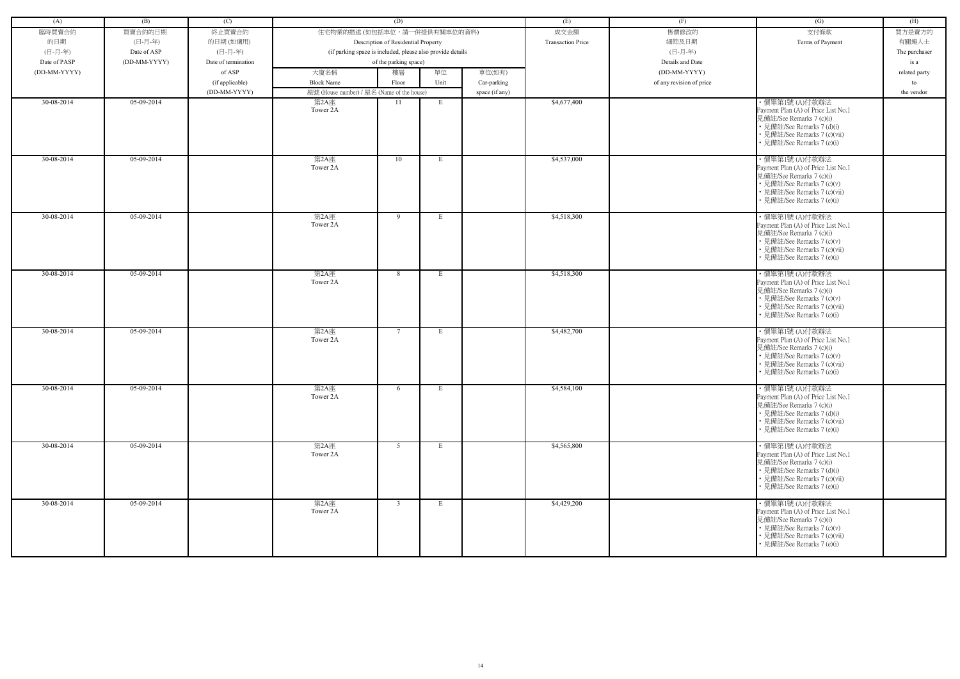| (A)          | (B)          | (C)                 |                                                            | (D)                                 |      |                | (E)                      | (F)                      | (G)                                                                                                                                                                           | (H)           |
|--------------|--------------|---------------------|------------------------------------------------------------|-------------------------------------|------|----------------|--------------------------|--------------------------|-------------------------------------------------------------------------------------------------------------------------------------------------------------------------------|---------------|
| 臨時買賣合約       | 買賣合約的日期      | 終止買賣合約              | 住宅物業的描述 (如包括車位,請一併提供有關車位的資料)                               |                                     |      |                | 成交金額                     | 售價修改的                    | 支付條款                                                                                                                                                                          | 買方是賣方的        |
| 的日期          | (日-月-年)      | 的日期(如適用)            |                                                            | Description of Residential Property |      |                | <b>Transaction Price</b> | 細節及日期                    | Terms of Payment                                                                                                                                                              | 有關連人士         |
| (日-月-年)      | Date of ASP  | (日-月-年)             | (if parking space is included, please also provide details |                                     |      |                |                          | (日-月-年)                  |                                                                                                                                                                               | The purchaser |
| Date of PASP | (DD-MM-YYYY) | Date of termination |                                                            | of the parking space)               |      |                |                          | Details and Date         |                                                                                                                                                                               | is a          |
| (DD-MM-YYYY) |              | of ASP              | 大廈名稱                                                       | 樓層                                  | 單位   | 車位(如有)         |                          | (DD-MM-YYYY)             |                                                                                                                                                                               | related party |
|              |              | (if applicable)     | <b>Block Name</b>                                          | Floor                               | Unit | Car-parking    |                          | of any revision of price |                                                                                                                                                                               | to            |
|              |              | (DD-MM-YYYY)        | 屋號 (House number) / 屋名 (Name of the house)                 |                                     |      | space (if any) |                          |                          |                                                                                                                                                                               | the vendor    |
| 30-08-2014   | 05-09-2014   |                     | 第2A座                                                       | 11                                  | E    |                | \$4,677,400              |                          | ・價單第1號 (A)付款辦法                                                                                                                                                                |               |
|              |              |                     | Tower 2A                                                   |                                     |      |                |                          |                          | Payment Plan (A) of Price List No.1<br>見備註/See Remarks 7 (c)(i)<br>• 見備註/See Remarks 7 (d)(i)<br>• 見備註/See Remarks 7 (c)(vii)<br>• 見備註/See Remarks 7 (e)(i)                   |               |
| 30-08-2014   | $05-09-2014$ |                     | 第2A座<br>Tower 2A                                           | 10                                  | E    |                | \$4,537,000              |                          | ・價單第1號 (A)付款辦法<br>Payment Plan (A) of Price List No.1<br>見備註/See Remarks 7 (c)(i)<br>• 見備註/See Remarks 7 (c)(v)<br>· 見備註/See Remarks 7 (c)(vii)<br>• 見備註/See Remarks 7 (e)(i) |               |
| $30-08-2014$ | 05-09-2014   |                     | 第2A座<br>Tower 2A                                           | 9                                   | E    |                | \$4,518,300              |                          | ・價單第1號 (A)付款辦法<br>Payment Plan (A) of Price List No.1<br>見備註/See Remarks 7 (c)(i)<br>• 見備註/See Remarks 7 (c)(v)<br>• 見備註/See Remarks 7 (c)(vii)<br>• 見備註/See Remarks 7 (e)(i) |               |
| 30-08-2014   | 05-09-2014   |                     | 第2A座<br>Tower 2A                                           | 8                                   | E    |                | \$4,518,300              |                          | ・價單第1號 (A)付款辦法<br>Payment Plan (A) of Price List No.1<br>見備註/See Remarks 7 (c)(i)<br>• 見備註/See Remarks 7 (c)(v)<br>• 見備註/See Remarks 7 (c)(vii)<br>• 見備註/See Remarks 7 (e)(i) |               |
| 30-08-2014   | 05-09-2014   |                     | 第2A座<br>Tower 2A                                           | $\tau$                              | E    |                | \$4,482,700              |                          | ・價單第1號 (A)付款辦法<br>Payment Plan (A) of Price List No.1<br>見備註/See Remarks 7 (c)(i)<br>• 見備註/See Remarks 7 (c)(v)<br>• 見備註/See Remarks 7 (c)(vii)<br>• 見備註/See Remarks 7 (e)(i) |               |
| 30-08-2014   | 05-09-2014   |                     | 第2A座<br>Tower 2A                                           | 6                                   | E    |                | \$4,584,100              |                          | ・價單第1號 (A)付款辦法<br>Payment Plan (A) of Price List No.1<br>見備註/See Remarks 7 (c)(i)<br>• 見備註/See Remarks 7 (d)(i)<br>• 見備註/See Remarks 7 (c)(vii)<br>• 見備註/See Remarks 7 (e)(i) |               |
| 30-08-2014   | $05-09-2014$ |                     | 第2A座<br>Tower 2A                                           | 5 <sup>5</sup>                      | E    |                | \$4,565,800              |                          | ・價單第1號 (A)付款辦法<br>Payment Plan (A) of Price List No.1<br>見備註/See Remarks 7 (c)(i)<br>• 見備註/See Remarks 7 (d)(i)<br>• 見備註/See Remarks 7 (c)(vii)<br>• 見備註/See Remarks 7 (e)(i) |               |
| 30-08-2014   | 05-09-2014   |                     | 第2A座<br>Tower 2A                                           | $\mathbf{3}$                        | E    |                | \$4,429,200              |                          | ・價單第1號 (A)付款辦法<br>Payment Plan (A) of Price List No.1<br>見備註/See Remarks 7 (c)(i)<br>• 見備註/See Remarks 7 (c)(v)<br>• 見備註/See Remarks 7 (c)(vii)<br>• 見備註/See Remarks 7 (e)(i) |               |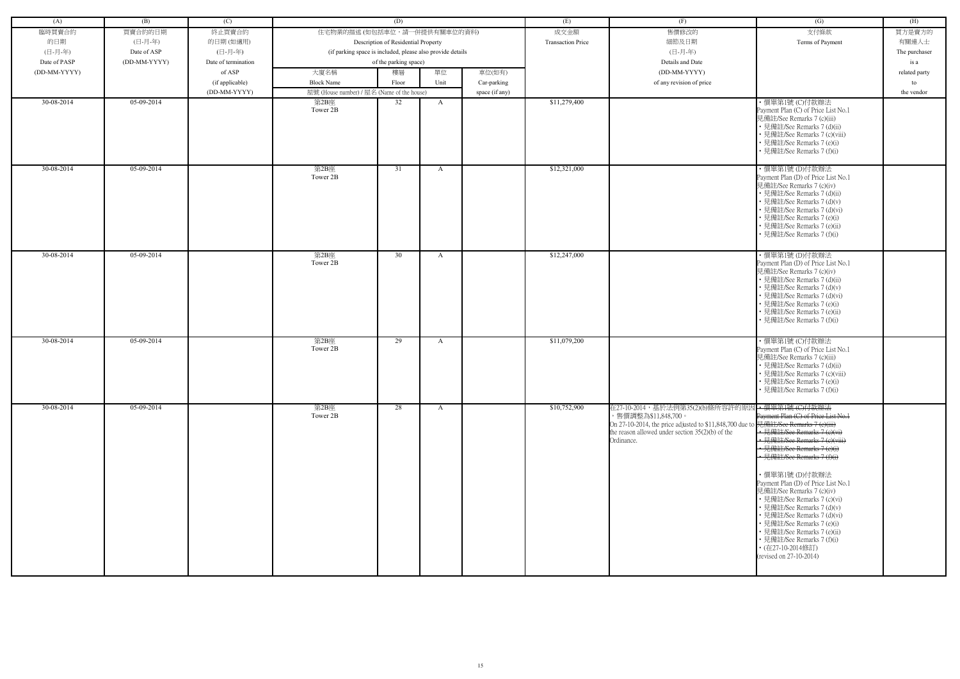| (A)          | (B)          | (C)                 |                                                            | (D)                                 |              |                | (E)                      | (F)                                                                                                                                                                                     | (G)                                                                                                                                                                                                                                                                                                                                                                                                                                                                                                                                          | (H)           |
|--------------|--------------|---------------------|------------------------------------------------------------|-------------------------------------|--------------|----------------|--------------------------|-----------------------------------------------------------------------------------------------------------------------------------------------------------------------------------------|----------------------------------------------------------------------------------------------------------------------------------------------------------------------------------------------------------------------------------------------------------------------------------------------------------------------------------------------------------------------------------------------------------------------------------------------------------------------------------------------------------------------------------------------|---------------|
| 臨時買賣合約       | 買賣合約的日期      | 終止買賣合約              | 住宅物業的描述 (如包括車位,請一併提供有關車位的資料)                               |                                     |              |                | 成交金額                     | 售價修改的                                                                                                                                                                                   | 支付條款                                                                                                                                                                                                                                                                                                                                                                                                                                                                                                                                         | 買方是賣方的        |
| 的日期          | (日-月-年)      | 的日期(如適用)            |                                                            | Description of Residential Property |              |                | <b>Transaction Price</b> | 細節及日期                                                                                                                                                                                   | Terms of Payment                                                                                                                                                                                                                                                                                                                                                                                                                                                                                                                             | 有關連人士         |
|              |              |                     |                                                            |                                     |              |                |                          |                                                                                                                                                                                         |                                                                                                                                                                                                                                                                                                                                                                                                                                                                                                                                              |               |
| (日-月-年)      | Date of ASP  | (日-月-年)             | (if parking space is included, please also provide details |                                     |              |                |                          | (日-月-年)                                                                                                                                                                                 |                                                                                                                                                                                                                                                                                                                                                                                                                                                                                                                                              | The purchaser |
| Date of PASP | (DD-MM-YYYY) | Date of termination |                                                            | of the parking space)               |              |                |                          | Details and Date                                                                                                                                                                        |                                                                                                                                                                                                                                                                                                                                                                                                                                                                                                                                              | is a          |
| (DD-MM-YYYY) |              | of ASP              | 大廈名稱                                                       | 樓層                                  | 單位           | 車位(如有)         |                          | (DD-MM-YYYY)                                                                                                                                                                            |                                                                                                                                                                                                                                                                                                                                                                                                                                                                                                                                              | related party |
|              |              | (if applicable)     | <b>Block Name</b>                                          | Floor                               | Unit         | Car-parking    |                          | of any revision of price                                                                                                                                                                |                                                                                                                                                                                                                                                                                                                                                                                                                                                                                                                                              | to            |
|              |              | (DD-MM-YYYY)        | 屋號 (House number) / 屋名 (Name of the house)                 |                                     |              | space (if any) |                          |                                                                                                                                                                                         |                                                                                                                                                                                                                                                                                                                                                                                                                                                                                                                                              | the vendor    |
| 30-08-2014   | 05-09-2014   |                     | 第2B座<br>Tower 2B                                           | 32                                  | $\mathbf{A}$ |                | \$11,279,400             |                                                                                                                                                                                         | ·價單第1號 (C)付款辦法<br>Payment Plan (C) of Price List No.1<br>見備註/See Remarks 7 (c)(iii)<br>• 見備註/See Remarks 7 (d)(ii)<br>• 見備註/See Remarks 7 (c)(viii)<br>· 見備註/See Remarks 7 (e)(i)<br>• 見備註/See Remarks 7 (f)(i)                                                                                                                                                                                                                                                                                                                              |               |
| 30-08-2014   | 05-09-2014   |                     | 第2B座<br>Tower 2B                                           | 31                                  | $\mathbf{A}$ |                | \$12,321,000             |                                                                                                                                                                                         | ・價單第1號 (D)付款辦法<br>Payment Plan (D) of Price List No.1<br>見備註/See Remarks 7 (c)(iv)<br>• 見備註/See Remarks 7 (d)(ii)<br>• 見備註/See Remarks 7 (d)(v)<br>• 見備註/See Remarks 7 (d)(vi)<br>• 見備註/See Remarks 7 (e)(i)<br>• 見備註/See Remarks 7 (e)(ii)<br>• 見備註/See Remarks 7 (f)(i)                                                                                                                                                                                                                                                                    |               |
| 30-08-2014   | 05-09-2014   |                     | 第2B座<br>Tower 2B                                           | 30                                  | A            |                | \$12,247,000             |                                                                                                                                                                                         | ・價單第1號 (D)付款辦法<br>Payment Plan (D) of Price List No.1<br>見備註/See Remarks 7 (c)(iv)<br>• 見備註/See Remarks 7 (d)(ii)<br>• 見備註/See Remarks 7 (d)(v)<br>• 見備註/See Remarks 7 (d)(vi)<br>• 見備註/See Remarks 7 (e)(i)<br>· 見備註/See Remarks 7 (e)(ii)<br>• 見備註/See Remarks 7 (f)(i)                                                                                                                                                                                                                                                                    |               |
| 30-08-2014   | 05-09-2014   |                     | 第2B座<br>Tower 2B                                           | 29                                  | $\mathbf{A}$ |                | \$11,079,200             |                                                                                                                                                                                         | ・價單第1號 (C)付款辦法<br>Payment Plan (C) of Price List No.1<br>見備註/See Remarks 7 (c)(iii)<br>• 見備註/See Remarks 7 (d)(ii)<br>• 見備註/See Remarks 7 (c)(viii)<br>• 見備註/See Remarks 7 (e)(i)<br>• 見備註/See Remarks 7 (f)(i)                                                                                                                                                                                                                                                                                                                              |               |
| 30-08-2014   | 05-09-2014   |                     | 第2B座<br>Tower 2B                                           | 28                                  | $\mathbf{A}$ |                | \$10,752,900             | 在27-10-2014,基於法例第35(2)(b)條所容許的原D<br>,售價調整為\$11,848,700。<br>On 27-10-2014, the price adjusted to \$11,848,700 due to<br>the reason allowed under section $35(2)(b)$ of the<br>Ordinance. | ← 價單第1號 (C)付款辦法<br>Payment Plan (C) of Price List No.1<br>見備註/See Remarks 7 (e)(iii)<br>•見備註/See Remarks 7 (e)(vi)<br>• 見備註/See Remarks 7 (e)(viii)<br>• 見備註/See Remarks 7 (e)(i)<br>· 見備註/See Remarks 7 (f)(i)<br>・價單第1號 (D)付款辦法<br>Payment Plan (D) of Price List No.1<br>見備註/See Remarks 7 (c)(iv)<br>• 見備註/See Remarks 7 (c)(vi)<br>• 見備註/See Remarks 7 (d)(v)<br>• 見備註/See Remarks 7 (d)(vi)<br>• 見備註/See Remarks 7 (e)(i)<br>• 見備註/See Remarks 7 (e)(ii)<br>• 見備註/See Remarks 7 (f)(i)<br>• (在27-10-2014修訂)<br>(revised on 27-10-2014) |               |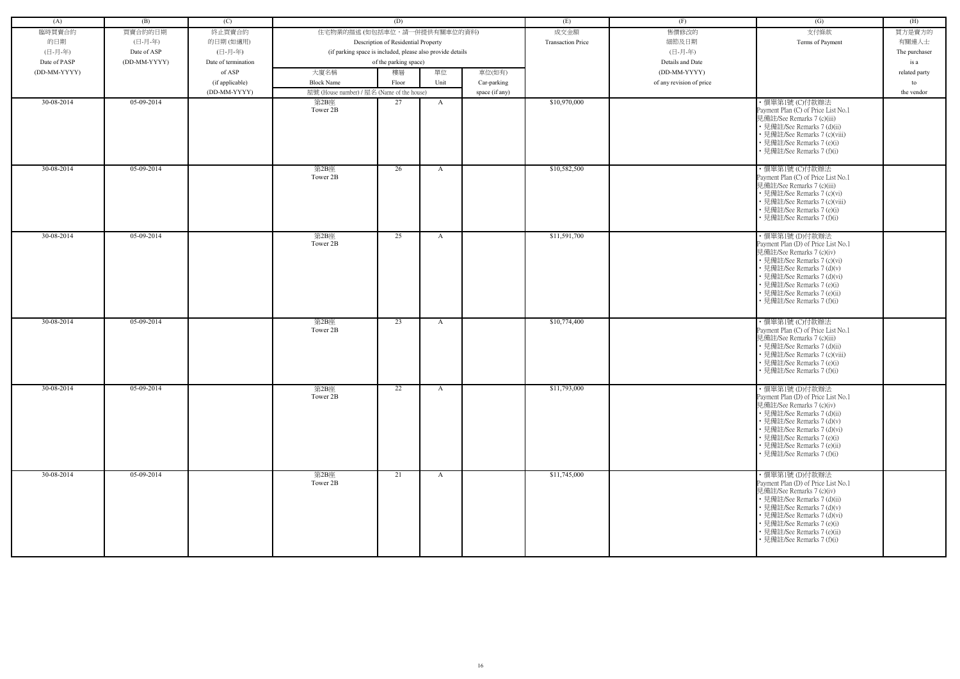| (A)          | (B)          | (C)                 |                                                            | (D)                                 |              |                | (E)                      | (F)                      | (G)                                                                                                                                                                                                                                                                       | (H)           |
|--------------|--------------|---------------------|------------------------------------------------------------|-------------------------------------|--------------|----------------|--------------------------|--------------------------|---------------------------------------------------------------------------------------------------------------------------------------------------------------------------------------------------------------------------------------------------------------------------|---------------|
| 臨時買賣合約       | 買賣合約的日期      | 終止買賣合約              | 住宅物業的描述 (如包括車位,請一併提供有關車位的資料)                               |                                     |              |                | 成交金額                     | 售價修改的                    | 支付條款                                                                                                                                                                                                                                                                      | 買方是賣方的        |
| 的日期          | (日-月-年)      | 的日期(如適用)            |                                                            | Description of Residential Property |              |                | <b>Transaction Price</b> | 細節及日期                    | Terms of Payment                                                                                                                                                                                                                                                          | 有關連人士         |
| (日-月-年)      | Date of ASP  | (日-月-年)             | (if parking space is included, please also provide details |                                     |              |                |                          | (日-月-年)                  |                                                                                                                                                                                                                                                                           | The purchaser |
| Date of PASP | (DD-MM-YYYY) | Date of termination |                                                            | of the parking space)               |              |                |                          | Details and Date         |                                                                                                                                                                                                                                                                           | is a          |
| (DD-MM-YYYY) |              | of ASP              | 大廈名稱                                                       | 樓層                                  | 單位           | 車位(如有)         |                          | (DD-MM-YYYY)             |                                                                                                                                                                                                                                                                           | related party |
|              |              | (if applicable)     | <b>Block Name</b>                                          | Floor                               | Unit         | Car-parking    |                          | of any revision of price |                                                                                                                                                                                                                                                                           | to            |
|              |              | (DD-MM-YYYY)        | 屋號 (House number) / 屋名 (Name of the house)                 |                                     |              | space (if any) |                          |                          |                                                                                                                                                                                                                                                                           | the vendor    |
| 30-08-2014   | 05-09-2014   |                     | 第2B座                                                       | 27                                  | A            |                | \$10,970,000             |                          | ·價單第1號(C)付款辦法                                                                                                                                                                                                                                                             |               |
|              |              |                     | Tower 2B                                                   |                                     |              |                |                          |                          | Payment Plan (C) of Price List No.1<br>見備註/See Remarks 7 (c)(iii)<br>• 見備註/See Remarks 7 (d)(ii)<br>• 見備註/See Remarks 7 (c)(viii)<br>• 見備註/See Remarks 7 (e)(i)<br>• 見備註/See Remarks 7 (f)(i)                                                                             |               |
| 30-08-2014   | 05-09-2014   |                     | 第2B座<br>Tower 2B                                           | 26                                  | $\mathbf{A}$ |                | \$10,582,500             |                          | ·價單第1號(C)付款辦法<br>Payment Plan (C) of Price List No.1<br>見備註/See Remarks 7 (c)(iii)<br>• 見備註/See Remarks 7 (c)(vi)<br>• 見備註/See Remarks 7 (c)(viii)<br>• 見備註/See Remarks 7 (e)(i)<br>• 見備註/See Remarks 7 (f)(i)                                                            |               |
| 30-08-2014   | 05-09-2014   |                     | 第2B座<br>Tower 2B                                           | 25                                  | A            |                | \$11,591,700             |                          | ・價單第1號 (D)付款辦法<br>Payment Plan (D) of Price List No.1<br>見備註/See Remarks 7 (c)(iv)<br>• 見備註/See Remarks 7 (c)(vi)<br>• 見備註/See Remarks 7 (d)(v)<br>· 見備註/See Remarks 7 (d)(vi)<br>• 見備註/See Remarks 7 (e)(i)<br>· 見備註/See Remarks 7 (e)(ii)<br>• 見備註/See Remarks 7 (f)(i) |               |
| 30-08-2014   | 05-09-2014   |                     | 第2B座<br>Tower 2B                                           | 23                                  | A            |                | \$10,774,400             |                          | ・價單第1號 (C)付款辦法<br>Payment Plan (C) of Price List No.1<br>見備註/See Remarks 7 (c)(iii)<br>• 見備註/See Remarks 7 (d)(ii)<br>· 見備註/See Remarks 7 (c)(viii)<br>• 見備註/See Remarks 7 (e)(i)<br>• 見備註/See Remarks 7 (f)(i)                                                           |               |
| 30-08-2014   | 05-09-2014   |                     | 第2B座<br>Tower 2B                                           | 22                                  | $\mathbf{A}$ |                | \$11,793,000             |                          | ・價單第1號 (D)付款辦法<br>Payment Plan (D) of Price List No.1<br>見備註/See Remarks 7 (c)(iv)<br>• 見備註/See Remarks 7 (d)(ii)<br>• 見備註/See Remarks 7 (d)(v)<br>• 見備註/See Remarks 7 (d)(vi)<br>• 見備註/See Remarks 7 (e)(i)<br>• 見備註/See Remarks 7 (e)(ii)<br>• 見備註/See Remarks 7 (f)(i) |               |
| 30-08-2014   | 05-09-2014   |                     | 第2B座<br>Tower 2B                                           | 21                                  | $\mathbf{A}$ |                | \$11,745,000             |                          | ·價單第1號(D)付款辦法<br>Payment Plan (D) of Price List No.1<br>見備註/See Remarks 7 (c)(iv)<br>• 見備註/See Remarks 7 (d)(ii)<br>• 見備註/See Remarks 7 (d)(v)<br>• 見備註/See Remarks 7 (d)(vi)<br>• 見備註/See Remarks 7 (e)(i)<br>• 見備註/See Remarks 7 (e)(ii)<br>• 見備註/See Remarks 7 (f)(i)  |               |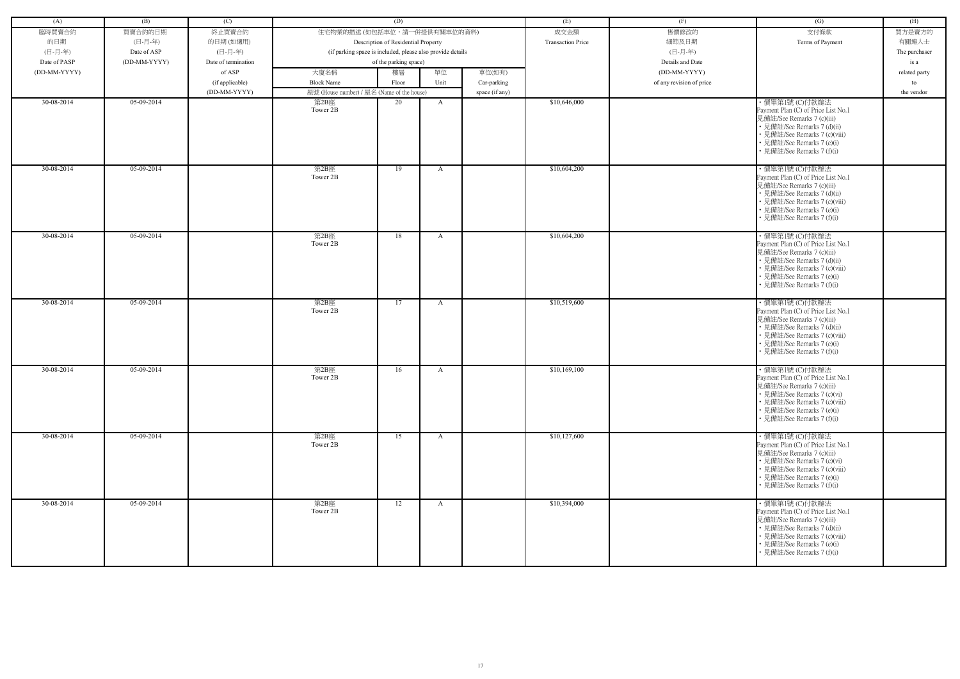| (A)          | (B)          | (C)                 |                                            | (D)                                                        |              |                | (E)                      | (F)                      | (G)                                                                                                                                                                                                              | (H)           |
|--------------|--------------|---------------------|--------------------------------------------|------------------------------------------------------------|--------------|----------------|--------------------------|--------------------------|------------------------------------------------------------------------------------------------------------------------------------------------------------------------------------------------------------------|---------------|
| 臨時買賣合約       | 買賣合約的日期      | 終止買賣合約              | 住宅物業的描述 (如包括車位,請一併提供有關車位的資料)               |                                                            |              |                | 成交金額                     | 售價修改的                    | 支付條款                                                                                                                                                                                                             | 買方是賣方的        |
| 的日期          | (日-月-年)      | 的日期(如適用)            |                                            | Description of Residential Property                        |              |                | <b>Transaction Price</b> | 細節及日期                    | Terms of Payment                                                                                                                                                                                                 | 有關連人士         |
|              |              |                     |                                            |                                                            |              |                |                          |                          |                                                                                                                                                                                                                  |               |
| (日-月-年)      | Date of ASP  | (日-月-年)             |                                            | (if parking space is included, please also provide details |              |                |                          | (日-月-年)                  |                                                                                                                                                                                                                  | The purchaser |
| Date of PASP | (DD-MM-YYYY) | Date of termination |                                            | of the parking space)                                      |              |                |                          | Details and Date         |                                                                                                                                                                                                                  | is a          |
| (DD-MM-YYYY) |              | of ASP              | 大廈名稱                                       | 樓層                                                         | 單位           | 車位(如有)         |                          | (DD-MM-YYYY)             |                                                                                                                                                                                                                  | related party |
|              |              | (if applicable)     | <b>Block Name</b>                          | Floor                                                      | Unit         | Car-parking    |                          | of any revision of price |                                                                                                                                                                                                                  | to            |
|              |              | (DD-MM-YYYY)        | 屋號 (House number) / 屋名 (Name of the house) |                                                            |              | space (if any) |                          |                          |                                                                                                                                                                                                                  | the vendor    |
| 30-08-2014   | 05-09-2014   |                     | 第2B座<br>Tower 2B                           | 20                                                         | A            |                | \$10,646,000             |                          | ·價單第1號 (C)付款辦法<br>Payment Plan (C) of Price List No.1<br>見備註/See Remarks 7 (c)(iii)<br>• 見備註/See Remarks 7 (d)(ii)<br>• 見備註/See Remarks 7 (c)(viii)<br>• 見備註/See Remarks 7 (e)(i)<br>• 見備註/See Remarks 7 (f)(i)  |               |
| 30-08-2014   | $05-09-2014$ |                     | 第2B座<br>Tower 2B                           | 19                                                         | A            |                | \$10,604,200             |                          | ·價單第1號 (C)付款辦法<br>Payment Plan (C) of Price List No.1<br>見備註/See Remarks 7 (c)(iii)<br>• 見備註/See Remarks 7 (d)(ii)<br>• 見備註/See Remarks 7 (c)(viii)<br>• 見備註/See Remarks 7 (e)(i)<br>• 見備註/See Remarks 7 (f)(i)  |               |
| 30-08-2014   | 05-09-2014   |                     | 第2B座<br>Tower 2B                           | 18                                                         | A            |                | \$10,604,200             |                          | ・價單第1號 (C)付款辦法<br>Payment Plan (C) of Price List No.1<br>見備註/See Remarks 7 (c)(iii)<br>• 見備註/See Remarks 7 (d)(ii)<br>• 見備註/See Remarks 7 (c)(viii)<br>• 見備註/See Remarks 7 (e)(i)<br>• 見備註/See Remarks 7 (f)(i)  |               |
| 30-08-2014   | 05-09-2014   |                     | 第2B座<br>Tower 2B                           | 17                                                         | A            |                | \$10,519,600             |                          | ・價單第1號 (C)付款辦法<br>Payment Plan (C) of Price List No.1<br>見備註/See Remarks 7 (c)(iii)<br>• 見備註/See Remarks 7 (d)(ii)<br>• 見備註/See Remarks 7 (c)(viii)<br>• 見備註/See Remarks 7 (e)(i)<br>• 見備註/See Remarks 7 (f)(i)  |               |
| 30-08-2014   | 05-09-2014   |                     | 第2B座<br>Tower 2B                           | 16                                                         | A            |                | \$10,169,100             |                          | · 價單第1號 (C)付款辦法<br>Payment Plan (C) of Price List No.1<br>見備註/See Remarks 7 (c)(iii)<br>• 見備註/See Remarks 7 (c)(vi)<br>• 見備註/See Remarks 7 (c)(viii)<br>• 見備註/See Remarks 7 (e)(i)<br>• 見備註/See Remarks 7 (f)(i) |               |
| 30-08-2014   | 05-09-2014   |                     | 第2B座<br>Tower 2B                           | 15                                                         | $\mathbf{A}$ |                | \$10,127,600             |                          | ・價單第1號 (C)付款辦法<br>Payment Plan (C) of Price List No.1<br>見備註/See Remarks 7 (c)(iii)<br>• 見備註/See Remarks 7 (c)(vi)<br>• 見備註/See Remarks 7 (c)(viii)<br>• 見備註/See Remarks 7 (e)(i)<br>• 見備註/See Remarks 7 (f)(i)  |               |
| 30-08-2014   | 05-09-2014   |                     | 第2B座<br>Tower 2B                           | 12                                                         | $\mathbf{A}$ |                | \$10,394,000             |                          | ・價單第1號 (C)付款辦法<br>Payment Plan (C) of Price List No.1<br>見備註/See Remarks 7 (c)(iii)<br>• 見備註/See Remarks 7 (d)(ii)<br>• 見備註/See Remarks 7 (c)(viii)<br>• 見備註/See Remarks 7 (e)(i)<br>• 見備註/See Remarks 7 (f)(i)  |               |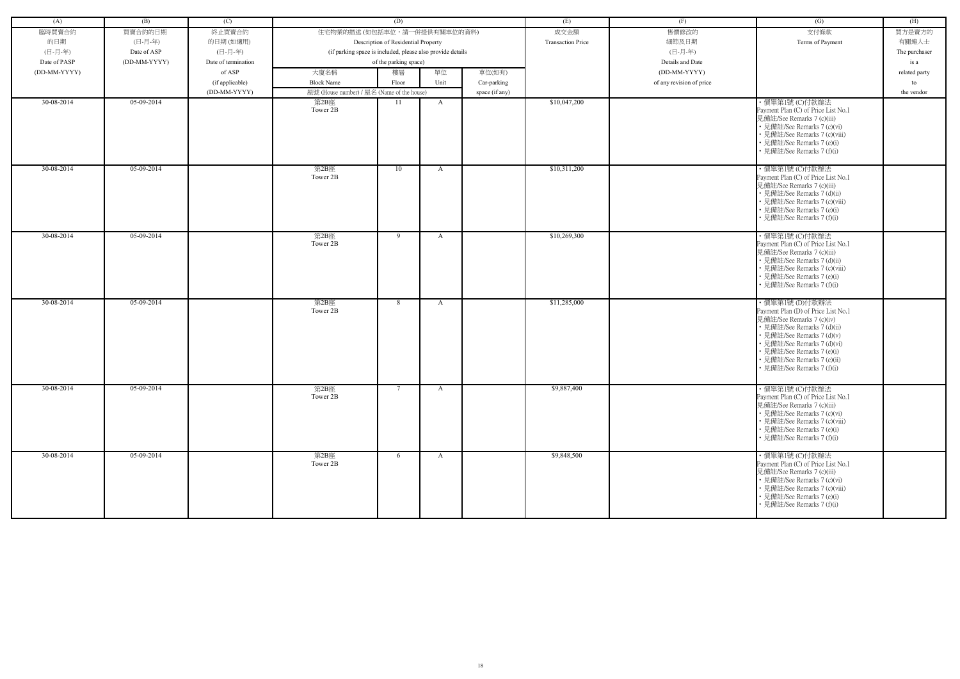| (A)          | (B)          | (C)                             |                                                            | (D)                                 |              |                | (E)                      | (F)                      | (G)                                                                                                                                                                                                                                                                       | (H)              |
|--------------|--------------|---------------------------------|------------------------------------------------------------|-------------------------------------|--------------|----------------|--------------------------|--------------------------|---------------------------------------------------------------------------------------------------------------------------------------------------------------------------------------------------------------------------------------------------------------------------|------------------|
| 臨時買賣合約       | 買賣合約的日期      | 終止買賣合約                          | 住宅物業的描述 (如包括車位,請一併提供有關車位的資料)                               |                                     |              |                | 成交金額                     | 售價修改的                    | 支付條款                                                                                                                                                                                                                                                                      | 買方是賣方的           |
| 的日期          | (日-月-年)      | 的日期(如適用)                        |                                                            | Description of Residential Property |              |                | <b>Transaction Price</b> | 細節及日期                    | Terms of Payment                                                                                                                                                                                                                                                          | 有關連人士            |
| (日-月-年)      | Date of ASP  | (日-月-年)                         | (if parking space is included, please also provide details |                                     |              |                |                          | (日-月-年)                  |                                                                                                                                                                                                                                                                           | The purchaser    |
| Date of PASP | (DD-MM-YYYY) | Date of termination             |                                                            | of the parking space)               |              |                |                          | Details and Date         |                                                                                                                                                                                                                                                                           | is a             |
| (DD-MM-YYYY) |              | of ASP                          | 大廈名稱                                                       | 樓層                                  | 單位           | 車位(如有)         |                          | (DD-MM-YYYY)             |                                                                                                                                                                                                                                                                           |                  |
|              |              |                                 | <b>Block Name</b>                                          | Floor                               | Unit         |                |                          | of any revision of price |                                                                                                                                                                                                                                                                           | related party    |
|              |              | (if applicable)<br>(DD-MM-YYYY) | 屋號 (House number) / 屋名 (Name of the house)                 |                                     |              | Car-parking    |                          |                          |                                                                                                                                                                                                                                                                           | to<br>the vendor |
| 30-08-2014   | 05-09-2014   |                                 | 第2B座                                                       | 11                                  |              | space (if any) | \$10,047,200             |                          | ·價單第1號 (C)付款辦法                                                                                                                                                                                                                                                            |                  |
|              |              |                                 | Tower 2B                                                   |                                     | A            |                |                          |                          | Payment Plan (C) of Price List No.1<br>見備註/See Remarks 7 (c)(iii)<br>• 見備註/See Remarks 7 (c)(vi)<br>• 見備註/See Remarks 7 (c)(viii)<br>• 見備註/See Remarks 7 (e)(i)<br>• 見備註/See Remarks 7 (f)(i)                                                                             |                  |
| 30-08-2014   | 05-09-2014   |                                 | 第2B座<br>Tower 2B                                           | 10                                  | A            |                | \$10,311,200             |                          | ·價單第1號 (C)付款辦法<br>Payment Plan (C) of Price List No.1<br>見備註/See Remarks 7 (c)(iii)<br>• 見備註/See Remarks 7 (d)(ii)<br>• 見備註/See Remarks 7 (c)(viii)<br>• 見備註/See Remarks 7 (e)(i)<br>• 見備註/See Remarks 7 (f)(i)                                                           |                  |
| 30-08-2014   | $05-09-2014$ |                                 | 第2B座<br>Tower 2B                                           | 9                                   | $\mathbf{A}$ |                | \$10,269,300             |                          | ・價單第1號 (C)付款辦法<br>Payment Plan (C) of Price List No.1<br>見備註/See Remarks 7 (c)(iii)<br>• 見備註/See Remarks 7 (d)(ii)<br>• 見備註/See Remarks 7 (c)(viii)<br>• 見備註/See Remarks 7 (e)(i)<br>• 見備註/See Remarks 7 (f)(i)                                                           |                  |
| 30-08-2014   | 05-09-2014   |                                 | 第2B座<br>Tower 2B                                           | 8                                   | A            |                | \$11,285,000             |                          | ・價單第1號 (D)付款辦法<br>Payment Plan (D) of Price List No.1<br>見備註/See Remarks 7 (c)(iv)<br>• 見備註/See Remarks 7 (d)(ii)<br>• 見備註/See Remarks 7 (d)(v)<br>• 見備註/See Remarks 7 (d)(vi)<br>• 見備註/See Remarks 7 (e)(i)<br>• 見備註/See Remarks 7 (e)(ii)<br>• 見備註/See Remarks 7 (f)(i) |                  |
| 30-08-2014   | 05-09-2014   |                                 | 第2B座<br>Tower 2B                                           | $7\phantom{.0}$                     | $\mathbf{A}$ |                | \$9,887,400              |                          | ·價單第1號 (C)付款辦法<br>Payment Plan (C) of Price List No.1<br>見備註/See Remarks 7 (c)(iii)<br>• 見備註/See Remarks 7 (c)(vi)<br>• 見備註/See Remarks 7 (c)(viii)<br>• 見備註/See Remarks 7 (e)(i)<br>• 見備註/See Remarks 7 (f)(i)                                                           |                  |
| 30-08-2014   | 05-09-2014   |                                 | 第2B座<br>Tower 2B                                           | 6                                   | $\mathbf{A}$ |                | \$9,848,500              |                          | ・價單第1號 (C)付款辦法<br>Payment Plan (C) of Price List No.1<br>見備註/See Remarks 7 (c)(iii)<br>• 見備註/See Remarks 7 (c)(vi)<br>• 見備註/See Remarks 7 (c)(viii)<br>• 見備註/See Remarks 7 (e)(i)<br>• 見備註/See Remarks 7 (f)(i)                                                           |                  |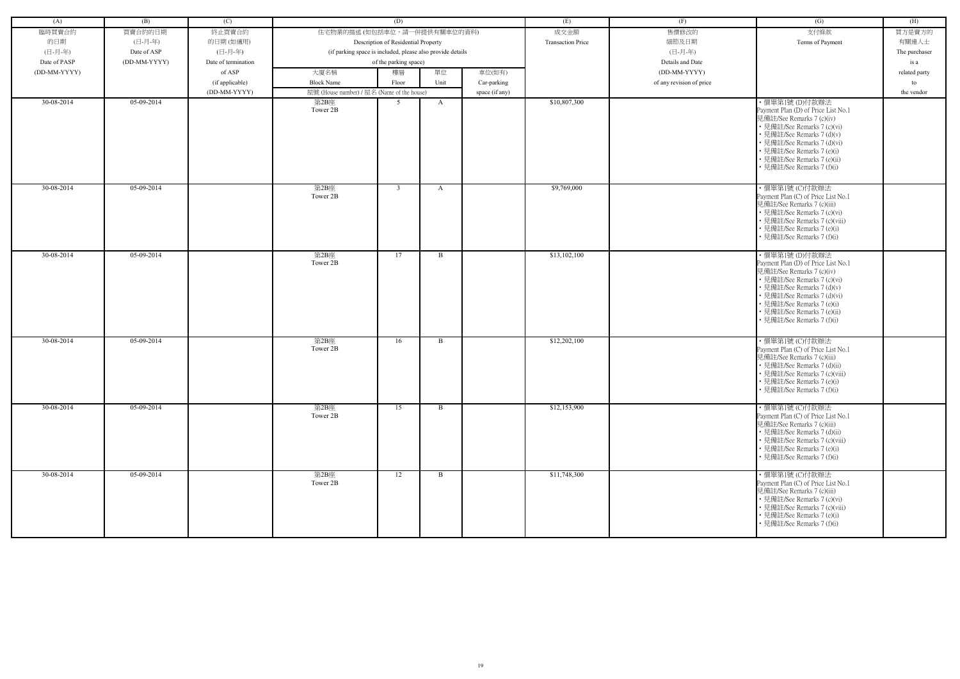| (A)          | (B)          | (C)                 |                                                            | (D)                                 |              |                | (E)                      | (F)                      | (G)                                                                                                                                                                                                                                                                       | (H)           |
|--------------|--------------|---------------------|------------------------------------------------------------|-------------------------------------|--------------|----------------|--------------------------|--------------------------|---------------------------------------------------------------------------------------------------------------------------------------------------------------------------------------------------------------------------------------------------------------------------|---------------|
| 臨時買賣合約       | 買賣合約的日期      | 終止買賣合約              | 住宅物業的描述 (如包括車位,請一併提供有關車位的資料)                               |                                     |              |                | 成交金額                     | 售價修改的                    | 支付條款                                                                                                                                                                                                                                                                      | 買方是賣方的        |
| 的日期          | (日-月-年)      | 的日期(如適用)            |                                                            | Description of Residential Property |              |                | <b>Transaction Price</b> | 細節及日期                    | Terms of Payment                                                                                                                                                                                                                                                          | 有關連人士         |
| (日-月-年)      | Date of ASP  | (日-月-年)             | (if parking space is included, please also provide details |                                     |              |                |                          | (日-月-年)                  |                                                                                                                                                                                                                                                                           | The purchaser |
|              |              |                     |                                                            |                                     |              |                |                          |                          |                                                                                                                                                                                                                                                                           |               |
| Date of PASP | (DD-MM-YYYY) | Date of termination |                                                            | of the parking space)               |              |                |                          | Details and Date         |                                                                                                                                                                                                                                                                           | is a          |
| (DD-MM-YYYY) |              | of ASP              | 大廈名稱                                                       | 樓層                                  | 單位           | 車位(如有)         |                          | (DD-MM-YYYY)             |                                                                                                                                                                                                                                                                           | related party |
|              |              | (if applicable)     | <b>Block Name</b>                                          | Floor                               | Unit         | Car-parking    |                          | of any revision of price |                                                                                                                                                                                                                                                                           | to            |
|              |              | (DD-MM-YYYY)        | 屋號 (House number) / 屋名 (Name of the house)                 |                                     |              | space (if any) |                          |                          |                                                                                                                                                                                                                                                                           | the vendor    |
| 30-08-2014   | 05-09-2014   |                     | 第2B座<br>Tower 2B                                           | 5                                   | A            |                | \$10,807,300             |                          | ・價單第1號 (D)付款辦法<br>Payment Plan (D) of Price List No.1<br>見備註/See Remarks 7 (c)(iv)<br>• 見備註/See Remarks 7 (c)(vi)<br>· 見備註/See Remarks 7 (d)(v)<br>• 見備註/See Remarks 7 (d)(vi)<br>• 見備註/See Remarks 7 (e)(i)<br>• 見備註/See Remarks 7 (e)(ii)<br>見備註/See Remarks 7 (f)(i)   |               |
| 30-08-2014   | 05-09-2014   |                     | 第2B座<br>Tower 2B                                           | $\overline{3}$                      | A            |                | \$9,769,000              |                          | ・價單第1號 (C)付款辦法<br>Payment Plan (C) of Price List No.1<br>見備註/See Remarks 7 (c)(iii)<br>• 見備註/See Remarks 7 (c)(vi)<br>• 見備註/See Remarks 7 (c)(viii)<br>• 見備註/See Remarks 7 (e)(i)<br>• 見備註/See Remarks 7 (f)(i)                                                           |               |
| 30-08-2014   | 05-09-2014   |                     | 第2B座<br>Tower 2B                                           | 17                                  | B            |                | \$13,102,100             |                          | ・價單第1號 (D)付款辦法<br>Payment Plan (D) of Price List No.1<br>見備註/See Remarks 7 (c)(iv)<br>• 見備註/See Remarks 7 (c)(vi)<br>• 見備註/See Remarks 7 (d)(v)<br>• 見備註/See Remarks 7 (d)(vi)<br>• 見備註/See Remarks 7 (e)(i)<br>• 見備註/See Remarks 7 (e)(ii)<br>• 見備註/See Remarks 7 (f)(i) |               |
| 30-08-2014   | 05-09-2014   |                     | 第2B座<br>Tower 2B                                           | 16                                  | B            |                | \$12,202,100             |                          | ・價單第1號 (C)付款辦法<br>Payment Plan (C) of Price List No.1<br>見備註/See Remarks 7 (c)(iii)<br>• 見備註/See Remarks 7 (d)(ii)<br>• 見備註/See Remarks 7 (c)(viii)<br>• 見備註/See Remarks 7 (e)(i)<br>• 見備註/See Remarks 7 (f)(i)                                                           |               |
| 30-08-2014   | 05-09-2014   |                     | 第2B座<br>Tower 2B                                           | 15                                  | $\mathbf{B}$ |                | \$12,153,900             |                          | ・價單第1號 (C)付款辦法<br>Payment Plan (C) of Price List No.1<br>見備註/See Remarks 7 (c)(iii)<br>• 見備註/See Remarks 7 (d)(ii)<br>• 見備註/See Remarks 7 (c)(viii)<br>• 見備註/See Remarks 7 (e)(i)<br>• 見備註/See Remarks 7 (f)(i)                                                           |               |
| 30-08-2014   | 05-09-2014   |                     | 第2B座<br>Tower 2B                                           | 12                                  | B            |                | \$11,748,300             |                          | ・價單第1號 (C)付款辦法<br>Payment Plan (C) of Price List No.1<br>見備註/See Remarks 7 (c)(iii)<br>• 見備註/See Remarks 7 (c)(vi)<br>• 見備註/See Remarks 7 (c)(viii)<br>• 見備註/See Remarks 7 (e)(i)<br>• 見備註/See Remarks 7 (f)(i)                                                           |               |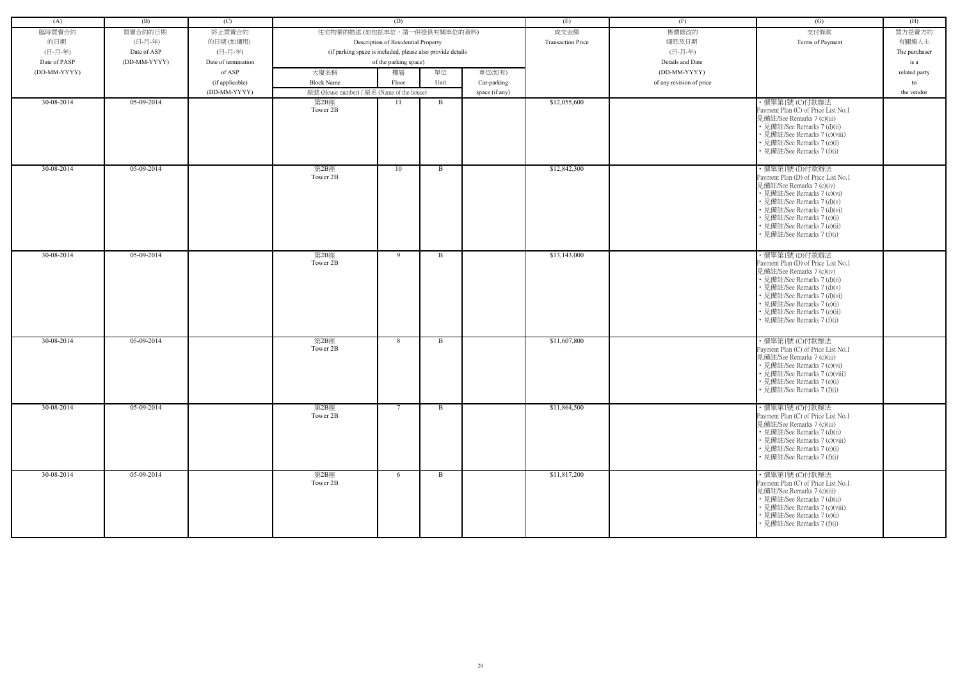| (A)          | (B)          | (C)                 |                                                            | (D)                                 |              |                | (E)                      | (F)                      | (G)                                                                                                                                                                                                                                                                       | (H)           |
|--------------|--------------|---------------------|------------------------------------------------------------|-------------------------------------|--------------|----------------|--------------------------|--------------------------|---------------------------------------------------------------------------------------------------------------------------------------------------------------------------------------------------------------------------------------------------------------------------|---------------|
| 臨時買賣合約       | 買賣合約的日期      | 終止買賣合約              | 住宅物業的描述 (如包括車位,請一併提供有關車位的資料)                               |                                     |              |                | 成交金額                     | 售價修改的                    | 支付條款                                                                                                                                                                                                                                                                      | 買方是賣方的        |
| 的日期          | (日-月-年)      | 的日期(如適用)            |                                                            | Description of Residential Property |              |                | <b>Transaction Price</b> | 細節及日期                    | Terms of Payment                                                                                                                                                                                                                                                          | 有關連人士         |
| (日-月-年)      | Date of ASP  | (日-月-年)             | (if parking space is included, please also provide details |                                     |              |                |                          | (日-月-年)                  |                                                                                                                                                                                                                                                                           | The purchaser |
| Date of PASP | (DD-MM-YYYY) | Date of termination |                                                            | of the parking space)               |              |                |                          | Details and Date         |                                                                                                                                                                                                                                                                           | is a          |
| (DD-MM-YYYY) |              | of ASP              | 大廈名稱                                                       | 樓層                                  | 單位           | 車位(如有)         |                          | (DD-MM-YYYY)             |                                                                                                                                                                                                                                                                           | related party |
|              |              | (if applicable)     | <b>Block Name</b>                                          | Floor                               | Unit         | Car-parking    |                          | of any revision of price |                                                                                                                                                                                                                                                                           | to            |
|              |              | (DD-MM-YYYY)        | 屋號 (House number) / 屋名 (Name of the house)                 |                                     |              | space (if any) |                          |                          |                                                                                                                                                                                                                                                                           | the vendor    |
| 30-08-2014   | 05-09-2014   |                     | 第2B座<br>Tower 2B                                           | 11                                  | $\mathbf{B}$ |                | \$12,055,600             |                          | ·價單第1號 (C)付款辦法<br>Payment Plan (C) of Price List No.1<br>見備註/See Remarks 7 (c)(iii)<br>• 見備註/See Remarks 7 (d)(ii)<br>• 見備註/See Remarks 7 (c)(viii)<br>• 見備註/See Remarks 7 (e)(i)<br>• 見備註/See Remarks 7 (f)(i)                                                           |               |
| 30-08-2014   | $05-09-2014$ |                     | 第2B座<br>Tower 2B                                           | 10                                  | $\mathbf{B}$ |                | \$12,842,300             |                          | ·價單第1號(D)付款辦法<br>Payment Plan (D) of Price List No.1<br>見備註/See Remarks 7 (c)(iv)<br>• 見備註/See Remarks 7 (c)(vi)<br>· 見備註/See Remarks 7 (d)(v)<br>· 見備註/See Remarks 7 (d)(vi)<br>• 見備註/See Remarks 7 (e)(i)<br>· 見備註/See Remarks 7 (e)(ii)<br>• 見備註/See Remarks 7 (f)(i)  |               |
| 30-08-2014   | 05-09-2014   |                     | 第2B座<br>Tower 2B                                           | 9                                   | $\mathbf{B}$ |                | \$13,143,000             |                          | ・價單第1號 (D)付款辦法<br>Payment Plan (D) of Price List No.1<br>見備註/See Remarks 7 (c)(iv)<br>• 見備註/See Remarks 7 (d)(ii)<br>• 見備註/See Remarks 7 (d)(v)<br>• 見備註/See Remarks 7 (d)(vi)<br>• 見備註/See Remarks 7 (e)(i)<br>· 見備註/See Remarks 7 (e)(ii)<br>• 見備註/See Remarks 7 (f)(i) |               |
| 30-08-2014   | 05-09-2014   |                     | 第2B座<br>Tower 2B                                           | 8                                   | $\mathbf{B}$ |                | \$11,607,800             |                          | ·價單第1號 (C)付款辦法<br>Payment Plan (C) of Price List No.1<br>見備註/See Remarks 7 (c)(iii)<br>• 見備註/See Remarks 7 (c)(vi)<br>• 見備註/See Remarks 7 (c)(viii)<br>• 見備註/See Remarks 7 (e)(i)<br>• 見備註/See Remarks 7 (f)(i)                                                           |               |
| 30-08-2014   | 05-09-2014   |                     | 第2B座<br>Tower 2B                                           | $7\phantom{.0}$                     | B            |                | \$11,864,500             |                          | ・價單第1號 (C)付款辦法<br>Payment Plan (C) of Price List No.1<br>見備註/See Remarks 7 (c)(iii)<br>• 見備註/See Remarks 7 (d)(ii)<br>• 見備註/See Remarks 7 (c)(viii)<br>• 見備註/See Remarks 7 (e)(i)<br>• 見備註/See Remarks 7 (f)(i)                                                           |               |
| 30-08-2014   | 05-09-2014   |                     | 第2B座<br>Tower 2B                                           | 6                                   | $\mathbf{B}$ |                | \$11,817,200             |                          | ・價單第1號 (C)付款辦法<br>Payment Plan (C) of Price List No.1<br>見備註/See Remarks 7 (c)(iii)<br>• 見備註/See Remarks 7 (d)(ii)<br>• 見備註/See Remarks 7 (c)(viii)<br>• 見備註/See Remarks 7 (e)(i)<br>• 見備註/See Remarks 7 (f)(i)                                                           |               |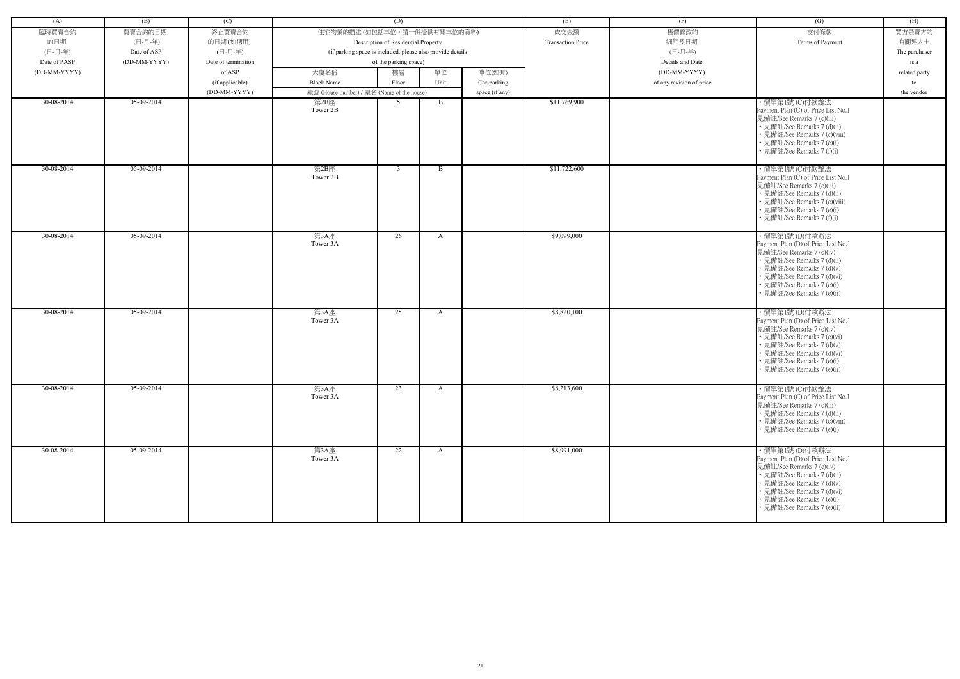| (A)          | (B)          | (C)                 |                                                            | (D)                                 |              |                | (E)                      | (F)                      | (G)                                                                                                                                                                                                                                         | (H)           |
|--------------|--------------|---------------------|------------------------------------------------------------|-------------------------------------|--------------|----------------|--------------------------|--------------------------|---------------------------------------------------------------------------------------------------------------------------------------------------------------------------------------------------------------------------------------------|---------------|
| 臨時買賣合約       | 買賣合約的日期      | 終止買賣合約              | 住宅物業的描述 (如包括車位,請一併提供有關車位的資料)                               |                                     |              |                | 成交金額                     | 售價修改的                    | 支付條款                                                                                                                                                                                                                                        | 買方是賣方的        |
| 的日期          | (日-月-年)      | 的日期(如適用)            |                                                            | Description of Residential Property |              |                | <b>Transaction Price</b> | 細節及日期                    | Terms of Payment                                                                                                                                                                                                                            | 有關連人士         |
| (日-月-年)      | Date of ASP  | (日-月-年)             | (if parking space is included, please also provide details |                                     |              |                |                          | (日-月-年)                  |                                                                                                                                                                                                                                             | The purchaser |
| Date of PASP | (DD-MM-YYYY) | Date of termination |                                                            | of the parking space)               |              |                |                          | Details and Date         |                                                                                                                                                                                                                                             | is a          |
| (DD-MM-YYYY) |              | of ASP              | 大廈名稱                                                       | 樓層                                  | 單位           | 車位(如有)         |                          | (DD-MM-YYYY)             |                                                                                                                                                                                                                                             | related party |
|              |              | (if applicable)     | <b>Block Name</b>                                          | Floor                               | Unit         | Car-parking    |                          | of any revision of price |                                                                                                                                                                                                                                             | to            |
|              |              | (DD-MM-YYYY)        | 屋號 (House number) / 屋名 (Name of the house)                 |                                     |              | space (if any) |                          |                          |                                                                                                                                                                                                                                             | the vendor    |
| 30-08-2014   | 05-09-2014   |                     | 第2B座                                                       | -5                                  | $\mathbf{B}$ |                | \$11,769,900             |                          | ·價單第1號(C)付款辦法                                                                                                                                                                                                                               |               |
|              |              |                     | Tower 2B                                                   |                                     |              |                |                          |                          | Payment Plan (C) of Price List No.1<br>見備註/See Remarks 7 (c)(iii)<br>• 見備註/See Remarks 7 (d)(ii)<br>• 見備註/See Remarks 7 (c)(viii)<br>• 見備註/See Remarks 7 (e)(i)<br>• 見備註/See Remarks 7 (f)(i)                                               |               |
| 30-08-2014   | $05-09-2014$ |                     | 第2B座<br>Tower 2B                                           | $\mathbf{3}$                        | $\mathbf{B}$ |                | \$11,722,600             |                          | ·價單第1號 (C)付款辦法<br>Payment Plan (C) of Price List No.1<br>見備註/See Remarks 7 (c)(iii)<br>• 見備註/See Remarks 7 (d)(ii)<br>• 見備註/See Remarks 7 (c)(viii)<br>• 見備註/See Remarks 7 (e)(i)<br>• 見備註/See Remarks 7 (f)(i)                             |               |
| 30-08-2014   | 05-09-2014   |                     | 第3A座<br>Tower 3A                                           | 26                                  | $\mathbf{A}$ |                | \$9,099,000              |                          | ・價單第1號 (D)付款辦法<br>Payment Plan (D) of Price List No.1<br>見備註/See Remarks 7 (c)(iv)<br>• 見備註/See Remarks 7 (d)(ii)<br>• 見備註/See Remarks 7 (d)(v)<br>• 見備註/See Remarks 7 (d)(vi)<br>• 見備註/See Remarks 7 (e)(i)<br>· 見備註/See Remarks 7 (e)(ii) |               |
| 30-08-2014   | 05-09-2014   |                     | 第3A座<br>Tower 3A                                           | 25                                  | A            |                | \$8,820,100              |                          | ・價單第1號 (D)付款辦法<br>Payment Plan (D) of Price List No.1<br>見備註/See Remarks 7 (c)(iv)<br>• 見備註/See Remarks 7 (c)(vi)<br>• 見備註/See Remarks 7 (d)(v)<br>• 見備註/See Remarks 7 (d)(vi)<br>• 見備註/See Remarks 7 (e)(i)<br>• 見備註/See Remarks 7 (e)(ii) |               |
| 30-08-2014   | 05-09-2014   |                     | 第3A座<br>Tower 3A                                           | 23                                  | $\mathbf{A}$ |                | \$8,213,600              |                          | ·價單第1號 (C)付款辦法<br>Payment Plan (C) of Price List No.1<br>見備註/See Remarks 7 (c)(iii)<br>• 見備註/See Remarks 7 (d)(ii)<br>• 見備註/See Remarks 7 (c)(viii)<br>• 見備註/See Remarks 7 (e)(i)                                                           |               |
| 30-08-2014   | 05-09-2014   |                     | 第3A座<br>Tower 3A                                           | 22                                  | A            |                | \$8,991,000              |                          | ・價單第1號 (D)付款辦法<br>Payment Plan (D) of Price List No.1<br>見備註/See Remarks 7 (c)(iv)<br>• 見備註/See Remarks 7 (d)(ii)<br>• 見備註/See Remarks 7 (d)(v)<br>• 見備註/See Remarks 7 (d)(vi)<br>• 見備註/See Remarks 7 (e)(i)<br>• 見備註/See Remarks 7 (e)(ii) |               |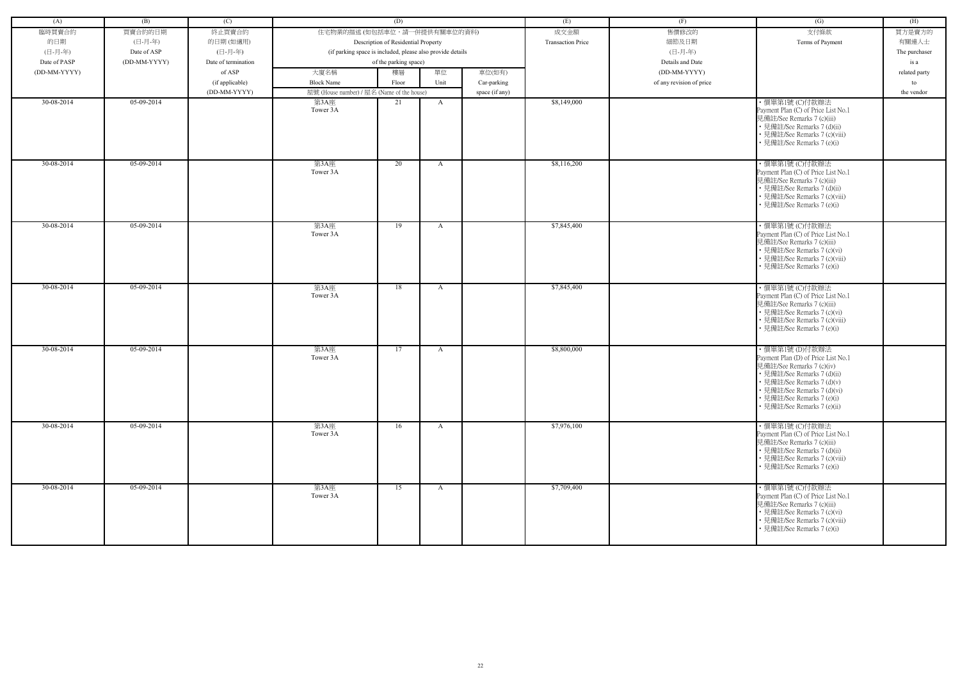| (A)          | (B)          | (C)                 |                                                            | (D)                                 |              |                | (E)                      | (F)                      | (G)                                                                                                                                                                                                                                         | (H)           |
|--------------|--------------|---------------------|------------------------------------------------------------|-------------------------------------|--------------|----------------|--------------------------|--------------------------|---------------------------------------------------------------------------------------------------------------------------------------------------------------------------------------------------------------------------------------------|---------------|
| 臨時買賣合約       | 買賣合約的日期      | 終止買賣合約              | 住宅物業的描述 (如包括車位,請一併提供有關車位的資料)                               |                                     |              |                | 成交金額                     | 售價修改的                    | 支付條款                                                                                                                                                                                                                                        | 買方是賣方的        |
|              |              |                     |                                                            |                                     |              |                | <b>Transaction Price</b> |                          |                                                                                                                                                                                                                                             |               |
| 的日期          | (日-月-年)      | 的日期(如適用)            |                                                            | Description of Residential Property |              |                |                          | 細節及日期                    | Terms of Payment                                                                                                                                                                                                                            | 有關連人士         |
| (日-月-年)      | Date of ASP  | (日-月-年)             | (if parking space is included, please also provide details |                                     |              |                |                          | (日-月-年)                  |                                                                                                                                                                                                                                             | The purchaser |
| Date of PASP | (DD-MM-YYYY) | Date of termination |                                                            | of the parking space)               |              |                |                          | Details and Date         |                                                                                                                                                                                                                                             | is a          |
| (DD-MM-YYYY) |              | of ASP              | 大廈名稱                                                       | 樓層                                  | 單位           | 車位(如有)         |                          | (DD-MM-YYYY)             |                                                                                                                                                                                                                                             | related party |
|              |              | (if applicable)     | <b>Block Name</b>                                          | Floor                               | Unit         | Car-parking    |                          | of any revision of price |                                                                                                                                                                                                                                             | to            |
|              |              | (DD-MM-YYYY)        | 屋號 (House number) / 屋名 (Name of the house)                 |                                     |              | space (if any) |                          |                          |                                                                                                                                                                                                                                             | the vendor    |
| 30-08-2014   | 05-09-2014   |                     | 第3A座<br>Tower 3A                                           | 21                                  | A            |                | \$8,149,000              |                          | ・價單第1號 (C)付款辦法<br>Payment Plan (C) of Price List No.1<br>見備註/See Remarks 7 (c)(iii)<br>• 見備註/See Remarks 7 (d)(ii)<br>• 見備註/See Remarks 7 (c)(viii)<br>• 見備註/See Remarks 7 (e)(i)                                                           |               |
| 30-08-2014   | $05-09-2014$ |                     | 第3A座<br>Tower 3A                                           | 20                                  | A            |                | \$8,116,200              |                          | ·價單第1號 (C)付款辦法<br>Payment Plan (C) of Price List No.1<br>見備註/See Remarks 7 (c)(iii)<br>• 見備註/See Remarks 7 (d)(ii)<br>• 見備註/See Remarks 7 (c)(viii)<br>見備註/See Remarks 7 (e)(i)                                                             |               |
| 30-08-2014   | 05-09-2014   |                     | 第3A座<br>Tower 3A                                           | 19                                  | A            |                | \$7,845,400              |                          | ·價單第1號 (C)付款辦法<br>Payment Plan (C) of Price List No.1<br>見備註/See Remarks 7 (c)(iii)<br>• 見備註/See Remarks 7 (c)(vi)<br>• 見備註/See Remarks 7 (c)(viii)<br>• 見備註/See Remarks 7 (e)(i)                                                           |               |
| 30-08-2014   | $05-09-2014$ |                     | 第3A座<br>Tower 3A                                           | 18                                  | A            |                | \$7,845,400              |                          | ·價單第1號 (C)付款辦法<br>Payment Plan (C) of Price List No.1<br>見備註/See Remarks 7 (c)(iii)<br>• 見備註/See Remarks 7 (c)(vi)<br>• 見備註/See Remarks 7 (c)(viii)<br>• 見備註/See Remarks 7 (e)(i)                                                           |               |
| 30-08-2014   | 05-09-2014   |                     | 第3A座<br>Tower 3A                                           | 17                                  | $\mathbf{A}$ |                | \$8,800,000              |                          | ・價單第1號 (D)付款辦法<br>Payment Plan (D) of Price List No.1<br>見備註/See Remarks 7 (c)(iv)<br>• 見備註/See Remarks 7 (d)(ii)<br>• 見備註/See Remarks 7 (d)(v)<br>• 見備註/See Remarks 7 (d)(vi)<br>• 見備註/See Remarks 7 (e)(i)<br>• 見備註/See Remarks 7 (e)(ii) |               |
| 30-08-2014   | 05-09-2014   |                     | 第3A座<br>Tower 3A                                           | 16                                  | A            |                | \$7,976,100              |                          | ・價單第1號 (C)付款辦法<br>Payment Plan (C) of Price List No.1<br>見備註/See Remarks 7 (c)(iii)<br>• 見備註/See Remarks 7 (d)(ii)<br>• 見備註/See Remarks 7 (c)(viii)<br>• 見備註/See Remarks 7 (e)(i)                                                           |               |
| 30-08-2014   | 05-09-2014   |                     | 第3A座<br>Tower 3A                                           | 15                                  | $\mathbf{A}$ |                | \$7,709,400              |                          | ·價單第1號 (C)付款辦法<br>Payment Plan (C) of Price List No.1<br>見備註/See Remarks 7 (c)(iii)<br>• 見備註/See Remarks 7 (c)(vi)<br>• 見備註/See Remarks 7 (c)(viii)<br>• 見備註/See Remarks 7 (e)(i)                                                           |               |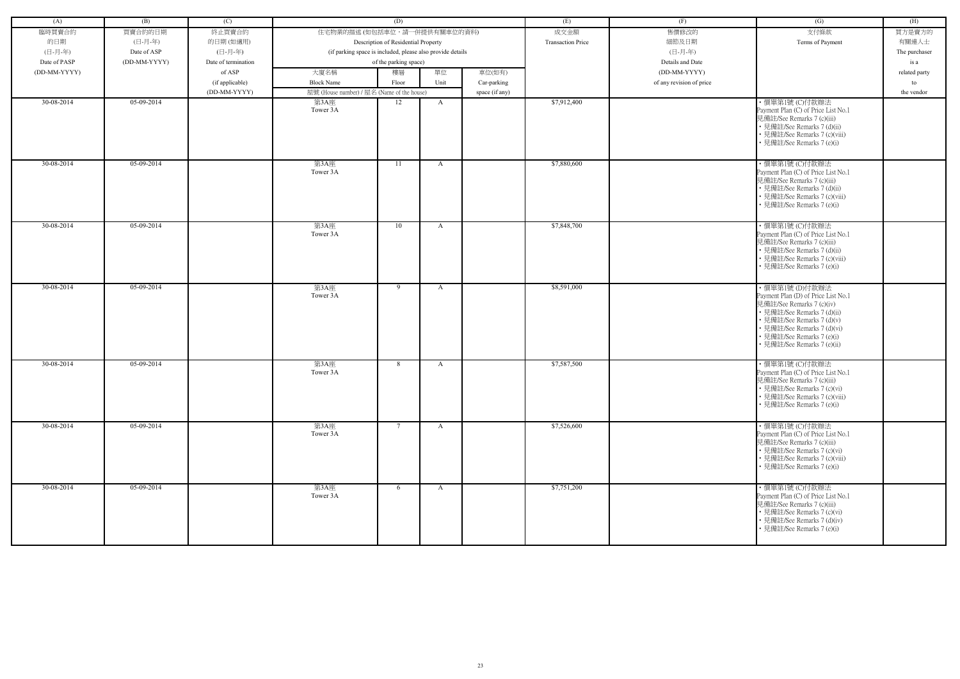| (A)          | (B)          | (C)                 |                                                    | (D)                                                        |      |                | (E)                      | (F)                      | (G)                                                                                                                                                                                                                                         | (H)           |
|--------------|--------------|---------------------|----------------------------------------------------|------------------------------------------------------------|------|----------------|--------------------------|--------------------------|---------------------------------------------------------------------------------------------------------------------------------------------------------------------------------------------------------------------------------------------|---------------|
| 臨時買賣合約       | 買賣合約的日期      | 終止買賣合約              | 住宅物業的描述 (如包括車位,請一併提供有關車位的資料)                       |                                                            |      |                | 成交金額                     | 售價修改的                    | 支付條款                                                                                                                                                                                                                                        | 買方是賣方的        |
| 的日期          | (日-月-年)      | 的日期(如適用)            |                                                    | Description of Residential Property                        |      |                | <b>Transaction Price</b> | 細節及日期                    | Terms of Payment                                                                                                                                                                                                                            | 有關連人士         |
| (日-月-年)      | Date of ASP  | (日-月-年)             |                                                    | (if parking space is included, please also provide details |      |                |                          | (日-月-年)                  |                                                                                                                                                                                                                                             |               |
| Date of PASP | (DD-MM-YYYY) | Date of termination |                                                    | of the parking space)                                      |      |                |                          | Details and Date         |                                                                                                                                                                                                                                             | The purchaser |
|              |              | of ASP              |                                                    |                                                            | 單位   |                |                          | (DD-MM-YYYY)             |                                                                                                                                                                                                                                             | is a          |
| (DD-MM-YYYY) |              |                     | 大廈名稱                                               | 樓層                                                         |      | 車位(如有)         |                          |                          |                                                                                                                                                                                                                                             | related party |
|              |              | (if applicable)     | <b>Block Name</b>                                  | Floor                                                      | Unit | Car-parking    |                          | of any revision of price |                                                                                                                                                                                                                                             | to            |
| 30-08-2014   | 05-09-2014   | (DD-MM-YYYY)        | 屋號 (House number) / 屋名 (Name of the house)<br>第3A座 | 12                                                         | A    | space (if any) | \$7,912,400              |                          | ·價單第1號 (C)付款辦法                                                                                                                                                                                                                              | the vendor    |
|              |              |                     | Tower 3A                                           |                                                            |      |                |                          |                          | Payment Plan (C) of Price List No.1<br>見備註/See Remarks 7 (c)(iii)<br>• 見備註/See Remarks 7 (d)(ii)<br>• 見備註/See Remarks 7 (c)(viii)<br>• 見備註/See Remarks 7 (e)(i)                                                                             |               |
| 30-08-2014   | $05-09-2014$ |                     | 第3A座<br>Tower 3A                                   | 11                                                         | A    |                | \$7,880,600              |                          | ·價單第1號 (C)付款辦法<br>Payment Plan (C) of Price List No.1<br>見備註/See Remarks 7 (c)(iii)<br>• 見備註/See Remarks 7 (d)(ii)<br>• 見備註/See Remarks 7 (c)(viii)<br>• 見備註/See Remarks 7 (e)(i)                                                           |               |
| 30-08-2014   | 05-09-2014   |                     | 第3A座<br>Tower 3A                                   | 10                                                         | A    |                | \$7,848,700              |                          | ・價單第1號 (C)付款辦法<br>Payment Plan (C) of Price List No.1<br>見備註/See Remarks 7 (c)(iii)<br>• 見備註/See Remarks 7 (d)(ii)<br>• 見備註/See Remarks 7 (c)(viii)<br>• 見備註/See Remarks 7 (e)(i)                                                           |               |
| 30-08-2014   | $05-09-2014$ |                     | 第3A座<br>Tower 3A                                   | 9                                                          | A    |                | \$8,591,000              |                          | ・價單第1號 (D)付款辦法<br>Payment Plan (D) of Price List No.1<br>見備註/See Remarks 7 (c)(iv)<br>• 見備註/See Remarks 7 (d)(ii)<br>• 見備註/See Remarks 7 (d)(v)<br>• 見備註/See Remarks 7 (d)(vi)<br>• 見備註/See Remarks 7 (e)(i)<br>· 見備註/See Remarks 7 (e)(ii) |               |
| 30-08-2014   | 05-09-2014   |                     | 第3A座<br>Tower 3A                                   | 8                                                          | A    |                | \$7,587,500              |                          | ·價單第1號 (C)付款辦法<br>Payment Plan (C) of Price List No.1<br>見備註/See Remarks 7 (c)(iii)<br>• 見備註/See Remarks 7 (c)(vi)<br>• 見備註/See Remarks 7 (c)(viii)<br>• 見備註/See Remarks 7 (e)(i)                                                           |               |
| 30-08-2014   | 05-09-2014   |                     | 第3A座<br>Tower 3A                                   | $7\phantom{.0}$                                            | A    |                | \$7,526,600              |                          | ・價單第1號 (C)付款辦法<br>Payment Plan (C) of Price List No.1<br>見備註/See Remarks 7 (c)(iii)<br>• 見備註/See Remarks 7 (c)(vi)<br>• 見備註/See Remarks 7 (c)(viii)<br>• 見備註/See Remarks 7 (e)(i)                                                           |               |
| 30-08-2014   | 05-09-2014   |                     | 第3A座<br>Tower 3A                                   | 6                                                          | A    |                | \$7,751,200              |                          | ·價單第1號 (C)付款辦法<br>Payment Plan (C) of Price List No.1<br>見備註/See Remarks 7 (c)(iii)<br>• 見備註/See Remarks 7 (c)(vi)<br>• 見備註/See Remarks 7 (d)(iv)<br>• 見備註/See Remarks 7 (e)(i)                                                             |               |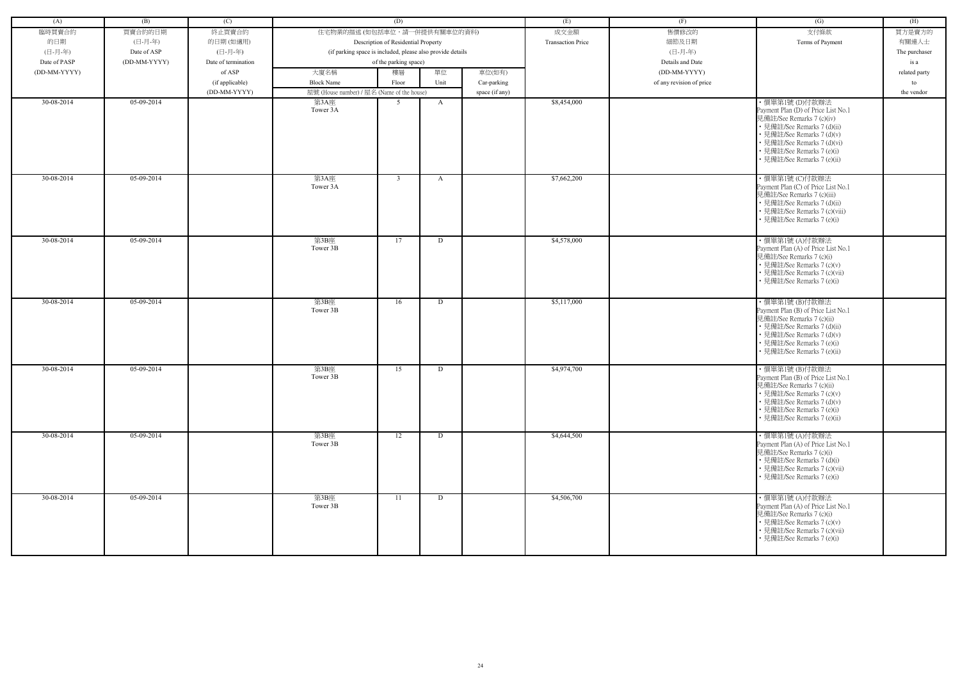| (A)          | (B)          | (C)                 |                                                            | (D)                                 |      |                | (E)                      | (F)                      | (G)                                                                                                                                                                                                                                        | (H)           |
|--------------|--------------|---------------------|------------------------------------------------------------|-------------------------------------|------|----------------|--------------------------|--------------------------|--------------------------------------------------------------------------------------------------------------------------------------------------------------------------------------------------------------------------------------------|---------------|
| 臨時買賣合約       | 買賣合約的日期      | 終止買賣合約              | 住宅物業的描述 (如包括車位,請一併提供有關車位的資料)                               |                                     |      |                | 成交金額                     | 售價修改的                    | 支付條款                                                                                                                                                                                                                                       | 買方是賣方的        |
| 的日期          | (日-月-年)      |                     |                                                            | Description of Residential Property |      |                | <b>Transaction Price</b> | 細節及日期                    | Terms of Payment                                                                                                                                                                                                                           | 有關連人士         |
|              |              | 的日期(如適用)<br>(日-月-年) |                                                            |                                     |      |                |                          | (日-月-年)                  |                                                                                                                                                                                                                                            |               |
| (日-月-年)      | Date of ASP  |                     | (if parking space is included, please also provide details |                                     |      |                |                          |                          |                                                                                                                                                                                                                                            | The purchaser |
| Date of PASP | (DD-MM-YYYY) | Date of termination |                                                            | of the parking space)               |      |                |                          | Details and Date         |                                                                                                                                                                                                                                            | is a          |
| (DD-MM-YYYY) |              | of ASP              | 大廈名稱                                                       | 樓層                                  | 單位   | 車位(如有)         |                          | (DD-MM-YYYY)             |                                                                                                                                                                                                                                            | related party |
|              |              | (if applicable)     | <b>Block Name</b>                                          | Floor                               | Unit | Car-parking    |                          | of any revision of price |                                                                                                                                                                                                                                            | to            |
|              |              | (DD-MM-YYYY)        | 屋號 (House number) / 屋名 (Name of the house)                 |                                     |      | space (if any) |                          |                          |                                                                                                                                                                                                                                            | the vendor    |
| 30-08-2014   | 05-09-2014   |                     | 第3A座<br>Tower 3A                                           | 5 <sup>5</sup>                      | A    |                | \$8,454,000              |                          | ·價單第1號(D)付款辦法<br>Payment Plan (D) of Price List No.1<br>見備註/See Remarks 7 (c)(iv)<br>• 見備註/See Remarks 7 (d)(ii)<br>• 見備註/See Remarks 7 (d)(v)<br>• 見備註/See Remarks 7 (d)(vi)<br>• 見備註/See Remarks 7 (e)(i)<br>• 見備註/See Remarks 7 (e)(ii) |               |
| 30-08-2014   | 05-09-2014   |                     | 第3A座<br>Tower 3A                                           | $\overline{3}$                      | A    |                | \$7,662,200              |                          | ·價單第1號 (C)付款辦法<br>Payment Plan (C) of Price List No.1<br>見備註/See Remarks 7 (c)(iii)<br>• 見備註/See Remarks 7 (d)(ii)<br>• 見備註/See Remarks 7 (c)(viii)<br>• 見備註/See Remarks 7 (e)(i)                                                          |               |
| 30-08-2014   | 05-09-2014   |                     | 第3B座<br>Tower 3B                                           | 17                                  | D    |                | \$4,578,000              |                          | ・價單第1號 (A)付款辦法<br>Payment Plan (A) of Price List No.1<br>見備註/See Remarks 7 (c)(i)<br>• 見備註/See Remarks 7 (c)(v)<br>• 見備註/See Remarks 7 (c)(vii)<br>• 見備註/See Remarks 7 (e)(i)                                                              |               |
| 30-08-2014   | 05-09-2014   |                     | 第3B座<br>Tower 3B                                           | 16                                  | D    |                | \$5,117,000              |                          | ・價單第1號 (B)付款辦法<br>Payment Plan (B) of Price List No.1<br>見備註/See Remarks 7 (c)(ii)<br>• 見備註/See Remarks 7 (d)(ii)<br>• 見備註/See Remarks 7 (d)(v)<br>• 見備註/See Remarks 7 (e)(i)<br>• 見備註/See Remarks 7 (e)(ii)                               |               |
| 30-08-2014   | 05-09-2014   |                     | 第3B座<br>Tower 3B                                           | 15                                  | D    |                | \$4,974,700              |                          | ・價單第1號 (B)付款辦法<br>Payment Plan (B) of Price List No.1<br>見備註/See Remarks 7 (c)(ii)<br>• 見備註/See Remarks 7 (c)(v)<br>• 見備註/See Remarks 7 (d)(v)<br>• 見備註/See Remarks 7 (e)(i)<br>• 見備註/See Remarks 7 (e)(ii)                                |               |
| 30-08-2014   | 05-09-2014   |                     | 第3B座<br>Tower 3B                                           | 12                                  | D    |                | \$4,644,500              |                          | ・價單第1號 (A)付款辦法<br>Payment Plan (A) of Price List No.1<br>見備註/See Remarks 7 (c)(i)<br>• 見備註/See Remarks 7 (d)(i)<br>• 見備註/See Remarks 7 (c)(vii)<br>• 見備註/See Remarks 7 (e)(i)                                                              |               |
| 30-08-2014   | 05-09-2014   |                     | 第3B座<br>Tower 3B                                           | 11                                  | D    |                | \$4,506,700              |                          | ・價單第1號 (A)付款辦法<br>Payment Plan (A) of Price List No.1<br>見備註/See Remarks 7 (c)(i)<br>• 見備註/See Remarks 7 (c)(v)<br>• 見備註/See Remarks 7 (c)(vii)<br>• 見備註/See Remarks 7 (e)(i)                                                              |               |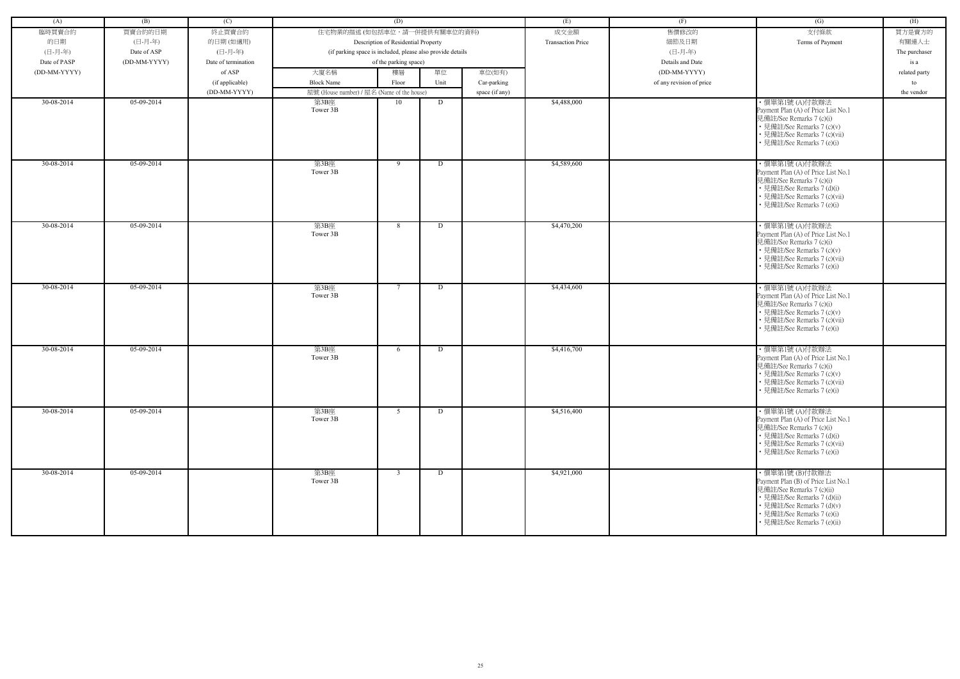| (A)          | (B)          | (C)                 |                                                            | (D)                                 |      |                | (E)                      | (F)                      | (G)                                                                                                                                                                                                          | (H)           |
|--------------|--------------|---------------------|------------------------------------------------------------|-------------------------------------|------|----------------|--------------------------|--------------------------|--------------------------------------------------------------------------------------------------------------------------------------------------------------------------------------------------------------|---------------|
| 臨時買賣合約       | 買賣合約的日期      | 終止買賣合約              | 住宅物業的描述 (如包括車位,請一併提供有關車位的資料)                               |                                     |      |                | 成交金額                     | 售價修改的                    | 支付條款                                                                                                                                                                                                         | 買方是賣方的        |
| 的日期          | (日-月-年)      | 的日期(如適用)            |                                                            | Description of Residential Property |      |                | <b>Transaction Price</b> | 細節及日期                    | Terms of Payment                                                                                                                                                                                             | 有關連人士         |
| (日-月-年)      | Date of ASP  | (日-月-年)             | (if parking space is included, please also provide details |                                     |      |                |                          | (日-月-年)                  |                                                                                                                                                                                                              | The purchaser |
| Date of PASP | (DD-MM-YYYY) | Date of termination |                                                            | of the parking space)               |      |                |                          | Details and Date         |                                                                                                                                                                                                              | is a          |
|              |              | of ASP              |                                                            |                                     | 單位   |                |                          | (DD-MM-YYYY)             |                                                                                                                                                                                                              |               |
| (DD-MM-YYYY) |              |                     | 大廈名稱                                                       | 樓層                                  |      | 車位(如有)         |                          |                          |                                                                                                                                                                                                              | related party |
|              |              | (if applicable)     | <b>Block Name</b>                                          | Floor                               | Unit | Car-parking    |                          | of any revision of price |                                                                                                                                                                                                              | to            |
|              |              | (DD-MM-YYYY)        | 屋號 (House number) / 屋名 (Name of the house)                 |                                     |      | space (if any) |                          |                          |                                                                                                                                                                                                              | the vendor    |
| 30-08-2014   | 05-09-2014   |                     | 第3B座<br>Tower 3B                                           | 10                                  | D    |                | \$4,488,000              |                          | ・價單第1號 (A)付款辦法<br>Payment Plan (A) of Price List No.1<br>見備註/See Remarks 7 (c)(i)<br>• 見備註/See Remarks 7 (c)(v)<br>• 見備註/See Remarks 7 (c)(vii)<br>• 見備註/See Remarks 7 (e)(i)                                |               |
| 30-08-2014   | $05-09-2014$ |                     | 第3B座<br>Tower 3B                                           | 9                                   | D    |                | \$4,589,600              |                          | ・價單第1號 (A)付款辦法<br>Payment Plan (A) of Price List No.1<br>見備註/See Remarks 7 (c)(i)<br>• 見備註/See Remarks 7 (d)(i)<br>• 見備註/See Remarks 7 (c)(vii)<br>• 見備註/See Remarks 7 (e)(i)                                |               |
| $30-08-2014$ | 05-09-2014   |                     | 第3B座<br>Tower 3B                                           | 8                                   | D    |                | \$4,470,200              |                          | ・價單第1號 (A)付款辦法<br>Payment Plan (A) of Price List No.1<br>見備註/See Remarks 7 (c)(i)<br>• 見備註/See Remarks 7 (c)(v)<br>• 見備註/See Remarks 7 (c)(vii)<br>• 見備註/See Remarks 7 (e)(i)                                |               |
| 30-08-2014   | 05-09-2014   |                     | 第3B座<br>Tower 3B                                           | $7\overline{ }$                     | D    |                | \$4,434,600              |                          | ・價單第1號 (A)付款辦法<br>Payment Plan (A) of Price List No.1<br>見備註/See Remarks 7 (c)(i)<br>• 見備註/See Remarks 7 (c)(v)<br>• 見備註/See Remarks 7 (c)(vii)<br>• 見備註/See Remarks 7 (e)(i)                                |               |
| 30-08-2014   | 05-09-2014   |                     | 第3B座<br>Tower 3B                                           | 6                                   | D    |                | \$4,416,700              |                          | ・價單第1號 (A)付款辦法<br>Payment Plan (A) of Price List No.1<br>見備註/See Remarks 7 (c)(i)<br>• 見備註/See Remarks 7 (c)(v)<br>• 見備註/See Remarks 7 (c)(vii)<br>• 見備註/See Remarks 7 (e)(i)                                |               |
| 30-08-2014   | 05-09-2014   |                     | 第3B座<br>Tower 3B                                           | 5 <sup>5</sup>                      | D    |                | \$4,516,400              |                          | ・價單第1號 (A)付款辦法<br>Payment Plan (A) of Price List No.1<br>見備註/See Remarks 7 (c)(i)<br>• 見備註/See Remarks 7 (d)(i)<br>• 見備註/See Remarks 7 (c)(vii)<br>• 見備註/See Remarks 7 (e)(i)                                |               |
| 30-08-2014   | 05-09-2014   |                     | 第3B座<br>Tower 3B                                           | $\mathbf{3}$                        | D    |                | \$4,921,000              |                          | ・價單第1號 (B)付款辦法<br>Payment Plan (B) of Price List No.1<br>見備註/See Remarks 7 (c)(ii)<br>• 見備註/See Remarks 7 (d)(ii)<br>• 見備註/See Remarks 7 (d)(v)<br>• 見備註/See Remarks 7 (e)(i)<br>• 見備註/See Remarks 7 (e)(ii) |               |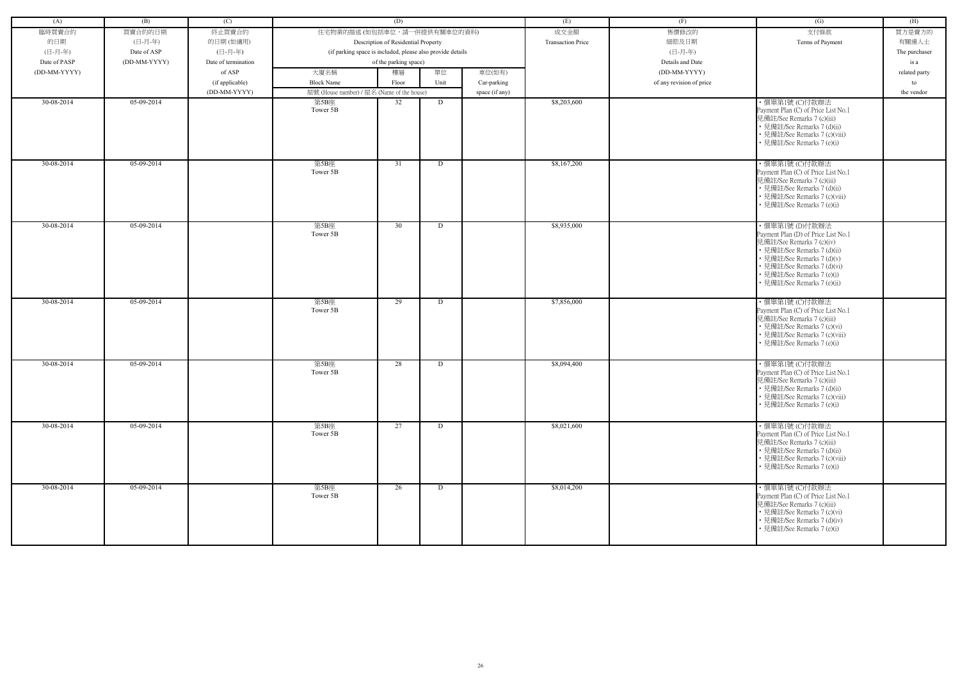| (A)          | (B)          | (C)                 |                                                            | (D)                                 |      |                | (E)                      | (F)                      | (G)                                                                                                                                                                                                                                         | (H)           |
|--------------|--------------|---------------------|------------------------------------------------------------|-------------------------------------|------|----------------|--------------------------|--------------------------|---------------------------------------------------------------------------------------------------------------------------------------------------------------------------------------------------------------------------------------------|---------------|
|              |              |                     | 住宅物業的描述 (如包括車位,請一併提供有關車位的資料)                               |                                     |      |                |                          | 售價修改的                    | 支付條款                                                                                                                                                                                                                                        |               |
| 臨時買賣合約       | 買賣合約的日期      | 終止買賣合約              |                                                            |                                     |      |                | 成交金額                     |                          |                                                                                                                                                                                                                                             | 買方是賣方的        |
| 的日期          | (日-月-年)      | 的日期(如適用)            |                                                            | Description of Residential Property |      |                | <b>Transaction Price</b> | 細節及日期                    | Terms of Payment                                                                                                                                                                                                                            | 有關連人士         |
| (日-月-年)      | Date of ASP  | (日-月-年)             | (if parking space is included, please also provide details |                                     |      |                |                          | (日-月-年)                  |                                                                                                                                                                                                                                             | The purchaser |
| Date of PASP | (DD-MM-YYYY) | Date of termination |                                                            | of the parking space)               |      |                |                          | Details and Date         |                                                                                                                                                                                                                                             | is a          |
| (DD-MM-YYYY) |              | of ASP              | 大廈名稱                                                       | 樓層                                  | 單位   | 車位(如有)         |                          | (DD-MM-YYYY)             |                                                                                                                                                                                                                                             | related party |
|              |              | (if applicable)     | <b>Block Name</b>                                          | Floor                               | Unit | Car-parking    |                          | of any revision of price |                                                                                                                                                                                                                                             | to            |
|              |              | (DD-MM-YYYY)        | 屋號 (House number) / 屋名 (Name of the house)                 |                                     |      | space (if any) |                          |                          |                                                                                                                                                                                                                                             | the vendor    |
| 30-08-2014   | 05-09-2014   |                     | 第5B座<br>Tower 5B                                           | 32                                  | D    |                | \$8,203,600              |                          | ·價單第1號 (C)付款辦法<br>Payment Plan (C) of Price List No.1<br>見備註/See Remarks 7 (c)(iii)<br>• 見備註/See Remarks 7 (d)(ii)<br>• 見備註/See Remarks 7 (c)(viii)<br>• 見備註/See Remarks 7 (e)(i)                                                           |               |
| 30-08-2014   | $05-09-2014$ |                     | 第5B座<br>Tower 5B                                           | 31                                  | D    |                | \$8,167,200              |                          | ·價單第1號 (C)付款辦法<br>Payment Plan (C) of Price List No.1<br>見備註/See Remarks 7 (c)(iii)<br>• 見備註/See Remarks 7 (d)(ii)<br>• 見備註/See Remarks 7 (c)(viii)<br>• 見備註/See Remarks 7 (e)(i)                                                           |               |
| 30-08-2014   | $05-09-2014$ |                     | 第5B座<br>Tower 5B                                           | 30                                  | D    |                | \$8,935,000              |                          | ・價單第1號 (D)付款辦法<br>Payment Plan (D) of Price List No.1<br>見備註/See Remarks 7 (c)(iv)<br>• 見備註/See Remarks 7 (d)(ii)<br>• 見備註/See Remarks 7 (d)(v)<br>• 見備註/See Remarks 7 (d)(vi)<br>• 見備註/See Remarks 7 (e)(i)<br>• 見備註/See Remarks 7 (e)(ii) |               |
| 30-08-2014   | 05-09-2014   |                     | 第5B座<br>Tower 5B                                           | 29                                  | D    |                | \$7,856,000              |                          | ·價單第1號 (C)付款辦法<br>Payment Plan (C) of Price List No.1<br>見備註/See Remarks 7 (c)(iii)<br>• 見備註/See Remarks 7 (c)(vi)<br>• 見備註/See Remarks 7 (c)(viii)<br>• 見備註/See Remarks 7 (e)(i)                                                           |               |
| 30-08-2014   | 05-09-2014   |                     | 第5B座<br>Tower 5B                                           | 28                                  | D    |                | \$8,094,400              |                          | ·價單第1號 (C)付款辦法<br>Payment Plan (C) of Price List No.1<br>見備註/See Remarks 7 (c)(iii)<br>• 見備註/See Remarks 7 (d)(ii)<br>• 見備註/See Remarks 7 (c)(viii)<br>• 見備註/See Remarks 7 (e)(i)                                                           |               |
| 30-08-2014   | 05-09-2014   |                     | 第5B座<br>Tower 5B                                           | 27                                  | D    |                | \$8,021,600              |                          | ・價單第1號 (C)付款辦法<br>Payment Plan (C) of Price List No.1<br>見備註/See Remarks 7 (c)(iii)<br>• 見備註/See Remarks 7 (d)(ii)<br>• 見備註/See Remarks 7 (c)(viii)<br>• 見備註/See Remarks 7 (e)(i)                                                           |               |
| 30-08-2014   | 05-09-2014   |                     | 第5B座<br>Tower 5B                                           | 26                                  | D    |                | \$8,014,200              |                          | ·價單第1號 (C)付款辦法<br>Payment Plan (C) of Price List No.1<br>見備註/See Remarks 7 (c)(iii)<br>• 見備註/See Remarks 7 (c)(vi)<br>• 見備註/See Remarks 7 (d)(iv)<br>• 見備註/See Remarks 7 (e)(i)                                                             |               |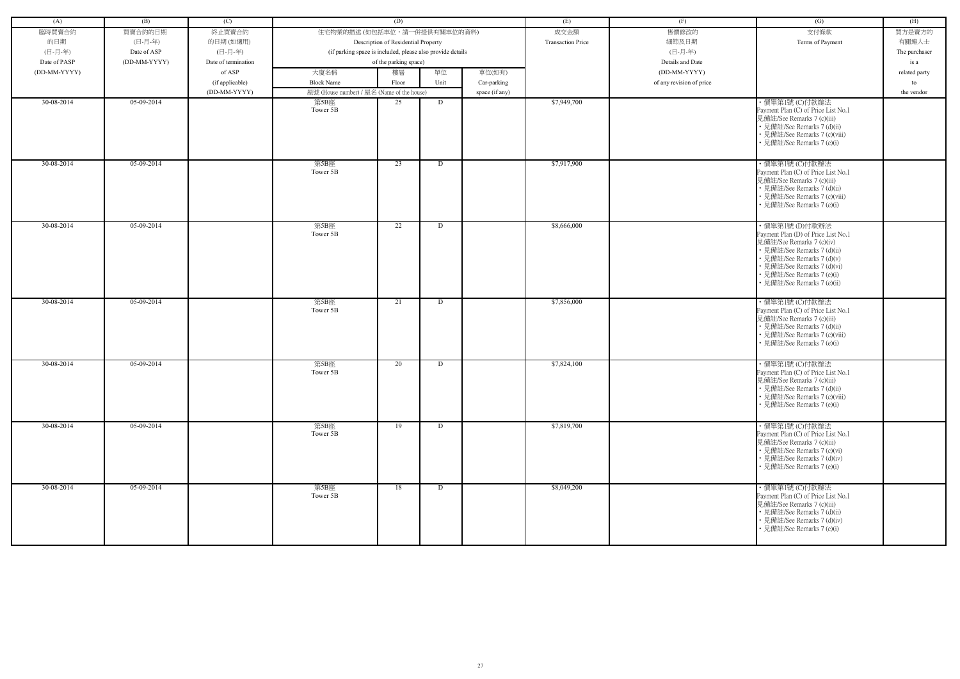| (A)          | (B)          | (C)                 |                                                            | (D)                                 |      |                | (E)                      | (F)                      | (G)                                                                                                                                                                                                                                         | (H)           |
|--------------|--------------|---------------------|------------------------------------------------------------|-------------------------------------|------|----------------|--------------------------|--------------------------|---------------------------------------------------------------------------------------------------------------------------------------------------------------------------------------------------------------------------------------------|---------------|
|              |              |                     | 住宅物業的描述 (如包括車位,請一併提供有關車位的資料)                               |                                     |      |                |                          | 售價修改的                    | 支付條款                                                                                                                                                                                                                                        |               |
| 臨時買賣合約       | 買賣合約的日期      | 終止買賣合約              |                                                            |                                     |      |                | 成交金額                     |                          |                                                                                                                                                                                                                                             | 買方是賣方的        |
| 的日期          | (日-月-年)      | 的日期(如適用)            |                                                            | Description of Residential Property |      |                | <b>Transaction Price</b> | 細節及日期                    | Terms of Payment                                                                                                                                                                                                                            | 有關連人士         |
| (日-月-年)      | Date of ASP  | (日-月-年)             | (if parking space is included, please also provide details |                                     |      |                |                          | (日-月-年)                  |                                                                                                                                                                                                                                             | The purchaser |
| Date of PASP | (DD-MM-YYYY) | Date of termination |                                                            | of the parking space)               |      |                |                          | Details and Date         |                                                                                                                                                                                                                                             | is a          |
| (DD-MM-YYYY) |              | of ASP              | 大廈名稱                                                       | 樓層                                  | 單位   | 車位(如有)         |                          | (DD-MM-YYYY)             |                                                                                                                                                                                                                                             | related party |
|              |              | (if applicable)     | <b>Block Name</b>                                          | Floor                               | Unit | Car-parking    |                          | of any revision of price |                                                                                                                                                                                                                                             | to            |
|              |              | (DD-MM-YYYY)        | 屋號 (House number) / 屋名 (Name of the house)                 |                                     |      | space (if any) |                          |                          |                                                                                                                                                                                                                                             | the vendor    |
| 30-08-2014   | 05-09-2014   |                     | 第5B座<br>Tower 5B                                           | 25                                  | D    |                | \$7,949,700              |                          | ·價單第1號 (C)付款辦法<br>Payment Plan (C) of Price List No.1<br>見備註/See Remarks 7 (c)(iii)<br>• 見備註/See Remarks 7 (d)(ii)<br>• 見備註/See Remarks 7 (c)(viii)<br>• 見備註/See Remarks 7 (e)(i)                                                           |               |
| 30-08-2014   | $05-09-2014$ |                     | 第5B座<br>Tower 5B                                           | 23                                  | D    |                | \$7,917,900              |                          | ·價單第1號 (C)付款辦法<br>Payment Plan (C) of Price List No.1<br>見備註/See Remarks 7 (c)(iii)<br>• 見備註/See Remarks 7 (d)(ii)<br>• 見備註/See Remarks 7 (c)(viii)<br>• 見備註/See Remarks 7 (e)(i)                                                           |               |
| 30-08-2014   | $05-09-2014$ |                     | 第5B座<br>Tower 5B                                           | 22                                  | D    |                | \$8,666,000              |                          | ・價單第1號 (D)付款辦法<br>Payment Plan (D) of Price List No.1<br>見備註/See Remarks 7 (c)(iv)<br>• 見備註/See Remarks 7 (d)(ii)<br>• 見備註/See Remarks 7 (d)(v)<br>• 見備註/See Remarks 7 (d)(vi)<br>• 見備註/See Remarks 7 (e)(i)<br>• 見備註/See Remarks 7 (e)(ii) |               |
| 30-08-2014   | 05-09-2014   |                     | 第5B座<br>Tower 5B                                           | 21                                  | D    |                | \$7,856,000              |                          | ·價單第1號 (C)付款辦法<br>Payment Plan (C) of Price List No.1<br>見備註/See Remarks 7 (c)(iii)<br>• 見備註/See Remarks 7 (d)(ii)<br>• 見備註/See Remarks 7 (c)(viii)<br>• 見備註/See Remarks 7 (e)(i)                                                           |               |
| 30-08-2014   | 05-09-2014   |                     | 第5B座<br>Tower 5B                                           | 20                                  | D    |                | \$7,824,100              |                          | ·價單第1號 (C)付款辦法<br>Payment Plan (C) of Price List No.1<br>見備註/See Remarks 7 (c)(iii)<br>• 見備註/See Remarks 7 (d)(ii)<br>• 見備註/See Remarks 7 (c)(viii)<br>• 見備註/See Remarks 7 (e)(i)                                                           |               |
| 30-08-2014   | 05-09-2014   |                     | 第5B座<br>Tower 5B                                           | 19                                  | D    |                | \$7,819,700              |                          | ・價單第1號 (C)付款辦法<br>Payment Plan (C) of Price List No.1<br>見備註/See Remarks 7 (c)(iii)<br>• 見備註/See Remarks 7 (c)(vi)<br>• 見備註/See Remarks 7 (d)(iv)<br>• 見備註/See Remarks 7 (e)(i)                                                             |               |
| 30-08-2014   | 05-09-2014   |                     | 第5B座<br>Tower 5B                                           | 18                                  | D    |                | \$8,049,200              |                          | ·價單第1號 (C)付款辦法<br>Payment Plan (C) of Price List No.1<br>見備註/See Remarks 7 (c)(iii)<br>• 見備註/See Remarks 7 (d)(ii)<br>• 見備註/See Remarks 7 (d)(iv)<br>• 見備註/See Remarks 7 (e)(i)                                                             |               |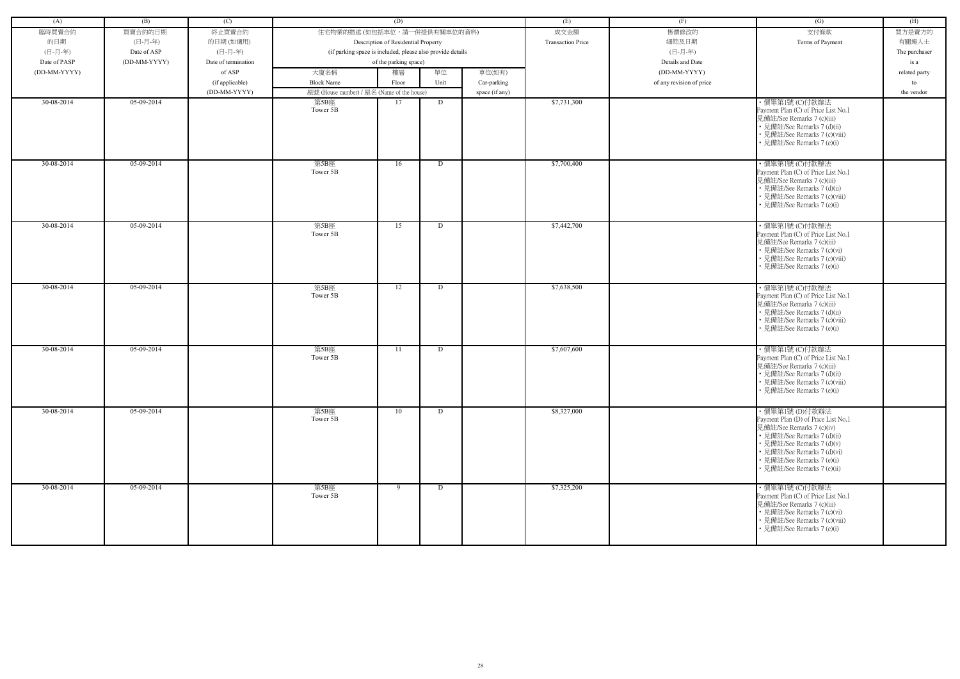| (A)          | (B)          | (C)                 |                                                            | (D)                                 |      |                | (E)                      | (F)                      | (G)                                                                                                                                                                                                                                         | (H)           |
|--------------|--------------|---------------------|------------------------------------------------------------|-------------------------------------|------|----------------|--------------------------|--------------------------|---------------------------------------------------------------------------------------------------------------------------------------------------------------------------------------------------------------------------------------------|---------------|
| 臨時買賣合約       | 買賣合約的日期      | 終止買賣合約              | 住宅物業的描述 (如包括車位,請一併提供有關車位的資料)                               |                                     |      |                | 成交金額                     | 售價修改的                    | 支付條款                                                                                                                                                                                                                                        | 買方是賣方的        |
| 的日期          | (日-月-年)      | 的日期(如適用)            |                                                            | Description of Residential Property |      |                | <b>Transaction Price</b> | 細節及日期                    | Terms of Payment                                                                                                                                                                                                                            | 有關連人士         |
| (日-月-年)      | Date of ASP  | (日-月-年)             | (if parking space is included, please also provide details |                                     |      |                |                          | (日-月-年)                  |                                                                                                                                                                                                                                             | The purchaser |
| Date of PASP | (DD-MM-YYYY) | Date of termination |                                                            | of the parking space)               |      |                |                          | Details and Date         |                                                                                                                                                                                                                                             | is a          |
| (DD-MM-YYYY) |              | of ASP              | 大廈名稱                                                       | 樓層                                  | 單位   | 車位(如有)         |                          | (DD-MM-YYYY)             |                                                                                                                                                                                                                                             | related party |
|              |              | (if applicable)     | <b>Block Name</b>                                          | Floor                               | Unit | Car-parking    |                          | of any revision of price |                                                                                                                                                                                                                                             | to            |
|              |              | (DD-MM-YYYY)        | 屋號 (House number) / 屋名 (Name of the house)                 |                                     |      | space (if any) |                          |                          |                                                                                                                                                                                                                                             | the vendor    |
| 30-08-2014   | 05-09-2014   |                     | 第5B座                                                       | 17                                  | D    |                | \$7,731,300              |                          | ・價單第1號 (C)付款辦法                                                                                                                                                                                                                              |               |
|              |              |                     | Tower 5B                                                   |                                     |      |                |                          |                          | Payment Plan (C) of Price List No.1<br>見備註/See Remarks 7 (c)(iii)<br>• 見備註/See Remarks 7 (d)(ii)<br>• 見備註/See Remarks 7 (c)(viii)<br>見備註/See Remarks 7 (e)(i)                                                                               |               |
| 30-08-2014   | $05-09-2014$ |                     | 第5B座<br>Tower 5B                                           | 16                                  | D    |                | \$7,700,400              |                          | ·價單第1號 (C)付款辦法<br>Payment Plan (C) of Price List No.1<br>見備註/See Remarks 7 (c)(iii)<br>• 見備註/See Remarks 7 (d)(ii)<br>• 見備註/See Remarks 7 (c)(viii)<br>見備註/See Remarks 7 (e)(i)                                                             |               |
| 30-08-2014   | 05-09-2014   |                     | 第5B座<br>Tower 5B                                           | 15                                  | D    |                | \$7,442,700              |                          | ・價單第1號 (C)付款辦法<br>Payment Plan (C) of Price List No.1<br>見備註/See Remarks 7 (c)(iii)<br>• 見備註/See Remarks 7 (c)(vi)<br>• 見備註/See Remarks 7 (c)(viii)<br>• 見備註/See Remarks 7 (e)(i)                                                           |               |
| 30-08-2014   | $05-09-2014$ |                     | 第5B座<br>Tower 5B                                           | 12                                  | D    |                | \$7,638,500              |                          | ・價單第1號 (C)付款辦法<br>Payment Plan (C) of Price List No.1<br>見備註/See Remarks 7 (c)(iii)<br>• 見備註/See Remarks 7 (d)(ii)<br>• 見備註/See Remarks 7 (c)(viii)<br>見備註/See Remarks 7 (e)(i)                                                             |               |
| 30-08-2014   | 05-09-2014   |                     | 第5B座<br>Tower 5B                                           | 11                                  | D    |                | \$7,607,600              |                          | ・價單第1號 (C)付款辦法<br>Payment Plan (C) of Price List No.1<br>見備註/See Remarks 7 (c)(iii)<br>• 見備註/See Remarks 7 (d)(ii)<br>• 見備註/See Remarks 7 (c)(viii)<br>• 見備註/See Remarks 7 (e)(i)                                                           |               |
| 30-08-2014   | 05-09-2014   |                     | 第5B座<br>Tower 5B                                           | 10                                  | D    |                | \$8,327,000              |                          | ・價單第1號 (D)付款辦法<br>Payment Plan (D) of Price List No.1<br>見備註/See Remarks 7 (c)(iv)<br>• 見備註/See Remarks 7 (d)(ii)<br>• 見備註/See Remarks 7 (d)(v)<br>• 見備註/See Remarks 7 (d)(vi)<br>• 見備註/See Remarks 7 (e)(i)<br>• 見備註/See Remarks 7 (e)(ii) |               |
| 30-08-2014   | 05-09-2014   |                     | 第5B座<br>Tower 5B                                           | 9                                   | D    |                | \$7,325,200              |                          | ・價單第1號 (C)付款辦法<br>Payment Plan (C) of Price List No.1<br>見備註/See Remarks 7 (c)(iii)<br>• 見備註/See Remarks 7 (c)(vi)<br>• 見備註/See Remarks 7 (c)(viii)<br>• 見備註/See Remarks 7 (e)(i)                                                           |               |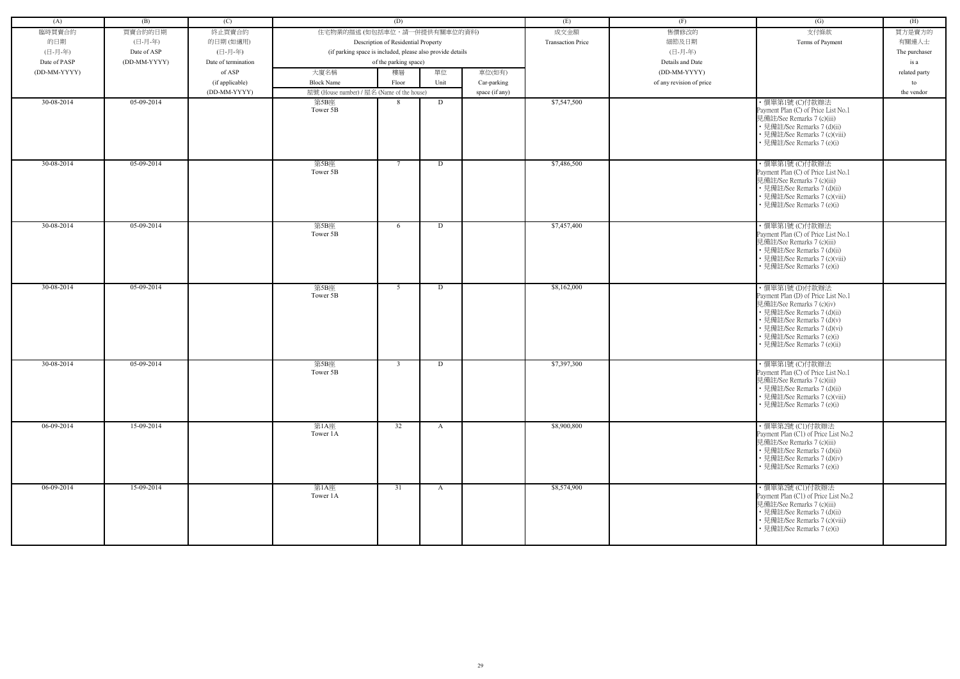| (A)          | (B)          | (C)                 |                                                            | (D)                                 |              |                | (E)                      | (F)                      | (G)                                                                                                                                                                                                                                         | (H)           |
|--------------|--------------|---------------------|------------------------------------------------------------|-------------------------------------|--------------|----------------|--------------------------|--------------------------|---------------------------------------------------------------------------------------------------------------------------------------------------------------------------------------------------------------------------------------------|---------------|
| 臨時買賣合約       | 買賣合約的日期      | 終止買賣合約              | 住宅物業的描述 (如包括車位,請一併提供有關車位的資料)                               |                                     |              |                | 成交金額                     | 售價修改的                    | 支付條款                                                                                                                                                                                                                                        | 買方是賣方的        |
|              |              |                     |                                                            |                                     |              |                | <b>Transaction Price</b> |                          |                                                                                                                                                                                                                                             |               |
| 的日期          | (日-月-年)      | 的日期(如適用)            |                                                            | Description of Residential Property |              |                |                          | 細節及日期                    | Terms of Payment                                                                                                                                                                                                                            | 有關連人士         |
| (日-月-年)      | Date of ASP  | (日-月-年)             | (if parking space is included, please also provide details |                                     |              |                |                          | (日-月-年)                  |                                                                                                                                                                                                                                             | The purchaser |
| Date of PASP | (DD-MM-YYYY) | Date of termination |                                                            | of the parking space)               |              |                |                          | Details and Date         |                                                                                                                                                                                                                                             | is a          |
| (DD-MM-YYYY) |              | of ASP              | 大廈名稱                                                       | 樓層                                  | 單位           | 車位(如有)         |                          | (DD-MM-YYYY)             |                                                                                                                                                                                                                                             | related party |
|              |              | (if applicable)     | <b>Block Name</b>                                          | Floor                               | Unit         | Car-parking    |                          | of any revision of price |                                                                                                                                                                                                                                             | to            |
|              |              | (DD-MM-YYYY)        | 屋號 (House number) / 屋名 (Name of the house)                 |                                     |              | space (if any) |                          |                          |                                                                                                                                                                                                                                             | the vendor    |
| 30-08-2014   | 05-09-2014   |                     | 第5B座<br>Tower 5B                                           | -8                                  | D            |                | \$7,547,500              |                          | ・價單第1號 (C)付款辦法<br>Payment Plan (C) of Price List No.1<br>見備註/See Remarks 7 (c)(iii)<br>• 見備註/See Remarks 7 (d)(ii)<br>• 見備註/See Remarks 7 (c)(viii)<br>• 見備註/See Remarks 7 (e)(i)                                                           |               |
| 30-08-2014   | $05-09-2014$ |                     | 第5B座<br>Tower 5B                                           | 7                                   | D            |                | \$7,486,500              |                          | ·價單第1號 (C)付款辦法<br>Payment Plan (C) of Price List No.1<br>見備註/See Remarks 7 (c)(iii)<br>• 見備註/See Remarks 7 (d)(ii)<br>• 見備註/See Remarks 7 (c)(viii)<br>• 見備註/See Remarks 7 (e)(i)                                                           |               |
| 30-08-2014   | 05-09-2014   |                     | 第5B座<br>Tower 5B                                           | 6                                   | D            |                | \$7,457,400              |                          | ·價單第1號 (C)付款辦法<br>Payment Plan (C) of Price List No.1<br>見備註/See Remarks 7 (c)(iii)<br>• 見備註/See Remarks 7 (d)(ii)<br>• 見備註/See Remarks 7 (c)(viii)<br>• 見備註/See Remarks 7 (e)(i)                                                           |               |
| 30-08-2014   | $05-09-2014$ |                     | 第5B座<br>Tower 5B                                           | 5                                   | D            |                | \$8,162,000              |                          | ・價單第1號 (D)付款辦法<br>Payment Plan (D) of Price List No.1<br>見備註/See Remarks 7 (c)(iv)<br>• 見備註/See Remarks 7 (d)(ii)<br>• 見備註/See Remarks 7 (d)(v)<br>• 見備註/See Remarks 7 (d)(vi)<br>• 見備註/See Remarks 7 (e)(i)<br>• 見備註/See Remarks 7 (e)(ii) |               |
| 30-08-2014   | 05-09-2014   |                     | 第5B座<br>Tower 5B                                           | $\mathcal{R}$                       | D            |                | \$7,397,300              |                          | ·價單第1號 (C)付款辦法<br>Payment Plan (C) of Price List No.1<br>見備註/See Remarks 7 (c)(iii)<br>• 見備註/See Remarks 7 (d)(ii)<br>• 見備註/See Remarks 7 (c)(viii)<br>• 見備註/See Remarks 7 (e)(i)                                                           |               |
| 06-09-2014   | 15-09-2014   |                     | 第1A座<br>Tower 1A                                           | 32                                  | A            |                | \$8,900,800              |                          | ·價單第2號(C1)付款辦法<br>Payment Plan (C1) of Price List No.2<br>見備註/See Remarks 7 (c)(iii)<br>• 見備註/See Remarks 7 (d)(ii)<br>• 見備註/See Remarks 7 (d)(iv)<br>• 見備註/See Remarks 7 (e)(i)                                                            |               |
| 06-09-2014   | 15-09-2014   |                     | 第1A座<br>Tower 1A                                           | 31                                  | $\mathbf{A}$ |                | \$8,574,900              |                          | ・價單第2號 (C1)付款辦法<br>Payment Plan (C1) of Price List No.2<br>見備註/See Remarks 7 (c)(iii)<br>• 見備註/See Remarks 7 (d)(ii)<br>• 見備註/See Remarks 7 (c)(viii)<br>• 見備註/See Remarks 7 (e)(i)                                                         |               |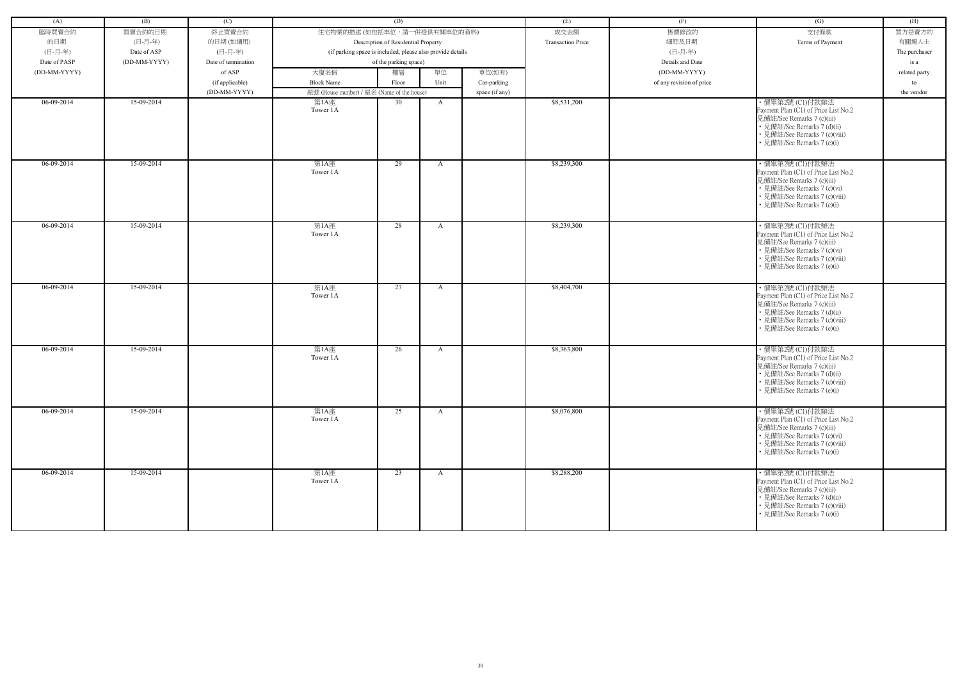| (A)          | (B)          | (C)                 |                                                            | (D)                                 |              |                | (E)                      | (F)                      | (G)                                                                                                                                                                                  | (H)           |
|--------------|--------------|---------------------|------------------------------------------------------------|-------------------------------------|--------------|----------------|--------------------------|--------------------------|--------------------------------------------------------------------------------------------------------------------------------------------------------------------------------------|---------------|
| 臨時買賣合約       | 買賣合約的日期      | 終止買賣合約              | 住宅物業的描述 (如包括車位,請一併提供有關車位的資料)                               |                                     |              |                | 成交金額                     | 售價修改的                    | 支付條款                                                                                                                                                                                 | 買方是賣方的        |
| 的日期          | (日-月-年)      | 的日期(如適用)            |                                                            | Description of Residential Property |              |                | <b>Transaction Price</b> | 細節及日期                    | Terms of Payment                                                                                                                                                                     | 有關連人士         |
| (日-月-年)      | Date of ASP  | (日-月-年)             | (if parking space is included, please also provide details |                                     |              |                |                          | (日-月-年)                  |                                                                                                                                                                                      | The purchaser |
| Date of PASP | (DD-MM-YYYY) | Date of termination |                                                            | of the parking space)               |              |                |                          | Details and Date         |                                                                                                                                                                                      | is a          |
| (DD-MM-YYYY) |              | of ASP              | 大廈名稱                                                       | 樓層                                  | 單位           | 車位(如有)         |                          | (DD-MM-YYYY)             |                                                                                                                                                                                      | related party |
|              |              | (if applicable)     | <b>Block Name</b>                                          | Floor                               | Unit         | Car-parking    |                          | of any revision of price |                                                                                                                                                                                      | to            |
|              |              | (DD-MM-YYYY)        | 屋號 (House number) / 屋名 (Name of the house)                 |                                     |              | space (if any) |                          |                          |                                                                                                                                                                                      | the vendor    |
| 06-09-2014   | 15-09-2014   |                     | 第1A座                                                       | 30                                  | A            |                | \$8,531,200              |                          | ・價單第2號 (C1)付款辦法                                                                                                                                                                      |               |
|              |              |                     | Tower 1A                                                   |                                     |              |                |                          |                          | Payment Plan (C1) of Price List No.2<br>見備註/See Remarks 7 (c)(iii)<br>• 見備註/See Remarks 7 (d)(ii)<br>• 見備註/See Remarks 7 (c)(viii)<br>• 見備註/See Remarks 7 (e)(i)                     |               |
| $06-09-2014$ | 15-09-2014   |                     | 第1A座<br>Tower 1A                                           | 29                                  | $\mathbf{A}$ |                | \$8,239,300              |                          | ·價單第2號 (C1)付款辦法<br>Payment Plan (C1) of Price List No.2<br>見備註/See Remarks 7 (c)(iii)<br>• 見備註/See Remarks 7 (c)(vi)<br>• 見備註/See Remarks 7 (c)(viii)<br>• 見備註/See Remarks 7 (e)(i)  |               |
| $06-09-2014$ | 15-09-2014   |                     | 第1A座<br>Tower 1A                                           | 28                                  | $\mathbf{A}$ |                | \$8,239,300              |                          | ・價單第2號 (C1)付款辦法<br>Payment Plan (C1) of Price List No.2<br>見備註/See Remarks 7 (c)(iii)<br>• 見備註/See Remarks 7 (c)(vi)<br>• 見備註/See Remarks 7 (c)(viii)<br>• 見備註/See Remarks 7 (e)(i)  |               |
| 06-09-2014   | 15-09-2014   |                     | 第1A座<br>Tower 1A                                           | 27                                  | $\mathbf{A}$ |                | \$8,404,700              |                          | · 價單第2號 (C1)付款辦法<br>Payment Plan (C1) of Price List No.2<br>見備註/See Remarks 7 (c)(iii)<br>• 見備註/See Remarks 7 (d)(ii)<br>• 見備註/See Remarks 7 (c)(viii)<br>• 見備註/See Remarks 7 (e)(i) |               |
| 06-09-2014   | 15-09-2014   |                     | 第1A座<br>Tower 1A                                           | 26                                  | A            |                | \$8,363,800              |                          | ・價單第2號 (C1)付款辦法<br>Payment Plan (C1) of Price List No.2<br>見備註/See Remarks 7 (c)(iii)<br>• 見備註/See Remarks 7 (d)(ii)<br>• 見備註/See Remarks 7 (c)(viii)<br>• 見備註/See Remarks 7 (e)(i)  |               |
| $06-09-2014$ | 15-09-2014   |                     | 第1A座<br>Tower 1A                                           | 25                                  | $\mathbf{A}$ |                | \$8,076,800              |                          | ・價單第2號 (C1)付款辦法<br>Payment Plan (C1) of Price List No.2<br>見備註/See Remarks 7 (c)(iii)<br>• 見備註/See Remarks 7 (c)(vi)<br>• 見備註/See Remarks 7 (c)(viii)<br>• 見備註/See Remarks 7 (e)(i)  |               |
| $06-09-2014$ | 15-09-2014   |                     | 第1A座<br>Tower 1A                                           | $\overline{23}$                     | $\mathbf{A}$ |                | \$8,288,200              |                          | ・價單第2號 (C1)付款辦法<br>Payment Plan (C1) of Price List No.2<br>見備註/See Remarks 7 (c)(iii)<br>• 見備註/See Remarks 7 (d)(ii)<br>• 見備註/See Remarks 7 (c)(viii)<br>• 見備註/See Remarks 7 (e)(i)  |               |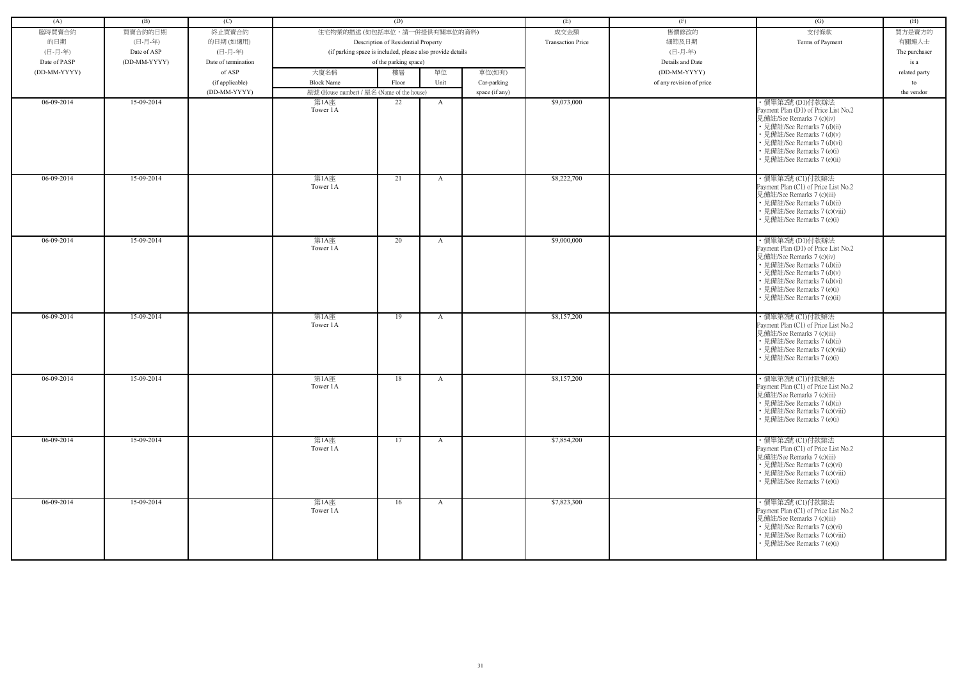| (A)          | (B)          | (C)                 |                                            | (D)                                                        |              |                | (E)                      | (F)                      | (G)                                                                                                                                                                                                                                           | (H)           |
|--------------|--------------|---------------------|--------------------------------------------|------------------------------------------------------------|--------------|----------------|--------------------------|--------------------------|-----------------------------------------------------------------------------------------------------------------------------------------------------------------------------------------------------------------------------------------------|---------------|
| 臨時買賣合約       | 買賣合約的日期      | 終止買賣合約              | 住宅物業的描述 (如包括車位,請一併提供有關車位的資料)               |                                                            |              |                | 成交金額                     | 售價修改的                    | 支付條款                                                                                                                                                                                                                                          | 買方是賣方的        |
| 的日期          | (日-月-年)      | 的日期(如適用)            |                                            | Description of Residential Property                        |              |                | <b>Transaction Price</b> | 細節及日期                    | Terms of Payment                                                                                                                                                                                                                              | 有關連人士         |
| (日-月-年)      | Date of ASP  | (日-月-年)             |                                            | (if parking space is included, please also provide details |              |                |                          | (日-月-年)                  |                                                                                                                                                                                                                                               | The purchaser |
| Date of PASP | (DD-MM-YYYY) | Date of termination |                                            | of the parking space)                                      |              |                |                          | Details and Date         |                                                                                                                                                                                                                                               | is a          |
| (DD-MM-YYYY) |              | of ASP              | 大廈名稱                                       | 樓層                                                         | 單位           | 車位(如有)         |                          | (DD-MM-YYYY)             |                                                                                                                                                                                                                                               | related party |
|              |              | (if applicable)     | <b>Block Name</b>                          | Floor                                                      | Unit         | Car-parking    |                          | of any revision of price |                                                                                                                                                                                                                                               | to            |
|              |              | (DD-MM-YYYY)        | 屋號 (House number) / 屋名 (Name of the house) |                                                            |              | space (if any) |                          |                          |                                                                                                                                                                                                                                               | the vendor    |
| 06-09-2014   | 15-09-2014   |                     | 第1A座                                       | 22                                                         | A            |                | \$9,073,000              |                          | ・價單第2號 (D1)付款辦法                                                                                                                                                                                                                               |               |
|              |              |                     | Tower 1A                                   |                                                            |              |                |                          |                          | Payment Plan (D1) of Price List No.2<br>見備註/See Remarks 7 (c)(iv)<br>• 見備註/See Remarks 7 (d)(ii)<br>• 見備註/See Remarks 7 (d)(v)<br>• 見備註/See Remarks 7 (d)(vi)<br>• 見備註/See Remarks 7 (e)(i)<br>• 見備註/See Remarks 7 (e)(ii)                    |               |
| 06-09-2014   | 15-09-2014   |                     | 第1A座<br>Tower 1A                           | 21                                                         | A            |                | \$8,222,700              |                          | ·價單第2號 (C1)付款辦法<br>Payment Plan (C1) of Price List No.2<br>見備註/See Remarks 7 (c)(iii)<br>• 見備註/See Remarks 7 (d)(ii)<br>• 見備註/See Remarks 7 (c)(viii)<br>• 見備註/See Remarks 7 (e)(i)                                                           |               |
| $06-09-2014$ | 15-09-2014   |                     | 第1A座<br>Tower 1A                           | 20                                                         | A            |                | \$9,000,000              |                          | ·價單第2號 (D1)付款辦法<br>Payment Plan (D1) of Price List No.2<br>見備註/See Remarks 7 (c)(iv)<br>• 見備註/See Remarks 7 (d)(ii)<br>• 見備註/See Remarks 7 (d)(v)<br>• 見備註/See Remarks 7 (d)(vi)<br>• 見備註/See Remarks 7 (e)(i)<br>· 見備註/See Remarks 7 (e)(ii) |               |
| 06-09-2014   | 15-09-2014   |                     | 第1A座<br>Tower 1A                           | 19                                                         | A            |                | \$8,157,200              |                          | ・價單第2號 (C1)付款辦法<br>Payment Plan (C1) of Price List No.2<br>見備註/See Remarks 7 (c)(iii)<br>• 見備註/See Remarks 7 (d)(ii)<br>• 見備註/See Remarks 7 (c)(viii)<br>• 見備註/See Remarks 7 (e)(i)                                                           |               |
| 06-09-2014   | 15-09-2014   |                     | 第1A座<br>Tower 1A                           | 18                                                         | A            |                | \$8,157,200              |                          | ・價單第2號 (C1)付款辦法<br>Payment Plan (C1) of Price List No.2<br>見備註/See Remarks 7 (c)(iii)<br>• 見備註/See Remarks 7 (d)(ii)<br>• 見備註/See Remarks 7 (c)(viii)<br>• 見備註/See Remarks 7 (e)(i)                                                           |               |
| $06-09-2014$ | 15-09-2014   |                     | 第1A座<br>Tower 1A                           | 17                                                         | $\mathbf{A}$ |                | \$7,854,200              |                          | ・價單第2號 (C1)付款辦法<br>Payment Plan (C1) of Price List No.2<br>見備註/See Remarks 7 (c)(iii)<br>• 見備註/See Remarks 7 (c)(vi)<br>• 見備註/See Remarks 7 (c)(viii)<br>• 見備註/See Remarks 7 (e)(i)                                                           |               |
| $06-09-2014$ | 15-09-2014   |                     | 第1A座<br>Tower 1A                           | 16                                                         | A            |                | \$7,823,300              |                          | ·價單第2號 (C1)付款辦法<br>Payment Plan (C1) of Price List No.2<br>見備註/See Remarks 7 (c)(iii)<br>• 見備註/See Remarks 7 (c)(vi)<br>• 見備註/See Remarks 7 (c)(viii)<br>• 見備註/See Remarks 7 (e)(i)                                                           |               |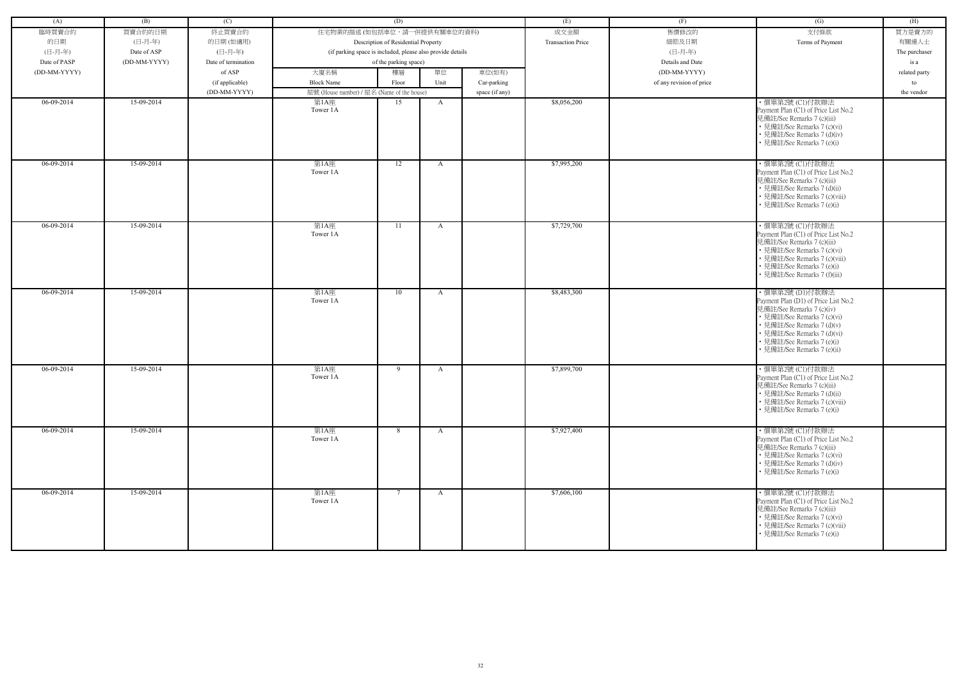| (A)          | (B)          | (C)                 |                                            | (D)                                                        |              |                | (E)                      | (F)                      | (G)                                                                                                                                                                                                                        | (H)           |
|--------------|--------------|---------------------|--------------------------------------------|------------------------------------------------------------|--------------|----------------|--------------------------|--------------------------|----------------------------------------------------------------------------------------------------------------------------------------------------------------------------------------------------------------------------|---------------|
| 臨時買賣合約       | 買賣合約的日期      | 終止買賣合約              | 住宅物業的描述 (如包括車位,請一併提供有關車位的資料)               |                                                            |              |                | 成交金額                     | 售價修改的                    | 支付條款                                                                                                                                                                                                                       | 買方是賣方的        |
| 的日期          | (日-月-年)      | 的日期(如適用)            |                                            | Description of Residential Property                        |              |                | <b>Transaction Price</b> | 細節及日期                    | Terms of Payment                                                                                                                                                                                                           | 有關連人士         |
| (日-月-年)      | Date of ASP  | (日-月-年)             |                                            | (if parking space is included, please also provide details |              |                |                          | (日-月-年)                  |                                                                                                                                                                                                                            | The purchaser |
| Date of PASP | (DD-MM-YYYY) | Date of termination |                                            | of the parking space)                                      |              |                |                          | Details and Date         |                                                                                                                                                                                                                            | is a          |
| (DD-MM-YYYY) |              | of ASP              | 大廈名稱                                       | 樓層                                                         | 單位           | 車位(如有)         |                          | (DD-MM-YYYY)             |                                                                                                                                                                                                                            | related party |
|              |              | (if applicable)     | <b>Block Name</b>                          | Floor                                                      | Unit         | Car-parking    |                          | of any revision of price |                                                                                                                                                                                                                            | to            |
|              |              | (DD-MM-YYYY)        | 屋號 (House number) / 屋名 (Name of the house) |                                                            |              | space (if any) |                          |                          |                                                                                                                                                                                                                            | the vendor    |
| 06-09-2014   | 15-09-2014   |                     | 第1A座<br>Tower 1A                           | 15                                                         | A            |                | \$8,056,200              |                          | ・價單第2號 (C1)付款辦法<br>Payment Plan (C1) of Price List No.2<br>見備註/See Remarks 7 (c)(iii)                                                                                                                                      |               |
|              |              |                     |                                            |                                                            |              |                |                          |                          | • 見備註/See Remarks 7 (c)(vi)<br>• 見備註/See Remarks 7 (d)(iv)<br>• 見備註/See Remarks 7 (e)(i)                                                                                                                                   |               |
| 06-09-2014   | 15-09-2014   |                     | 第1A座<br>Tower 1A                           | 12                                                         | $\mathbf{A}$ |                | \$7,995,200              |                          | ·價單第2號 (C1)付款辦法<br>Payment Plan (C1) of Price List No.2<br>見備註/See Remarks 7 (c)(iii)<br>• 見備註/See Remarks 7 (d)(ii)<br>• 見備註/See Remarks 7 (c)(viii)<br>• 見備註/See Remarks 7 (e)(i)                                        |               |
|              |              |                     |                                            |                                                            |              |                |                          |                          |                                                                                                                                                                                                                            |               |
| 06-09-2014   | 15-09-2014   |                     | 第1A座<br>Tower 1A                           | 11                                                         | A            |                | \$7,729,700              |                          | ・價單第2號 (C1)付款辦法<br>Payment Plan (C1) of Price List No.2<br>見備註/See Remarks 7 (c)(iii)<br>• 見備註/See Remarks 7 (c)(vi)<br>• 見備註/See Remarks 7 (c)(viii)<br>• 見備註/See Remarks 7 (e)(i)<br>· 見備註/See Remarks 7 (f)(iii)        |               |
| 06-09-2014   | 15-09-2014   |                     | 第1A座                                       | 10                                                         | A            |                | \$8,483,300              |                          | ・價單第2號 (D1)付款辦法                                                                                                                                                                                                            |               |
|              |              |                     | Tower 1A                                   |                                                            |              |                |                          |                          | Payment Plan (D1) of Price List No.2<br>見備註/See Remarks 7 (c)(iv)<br>• 見備註/See Remarks 7 (c)(vi)<br>• 見備註/See Remarks 7 (d)(v)<br>• 見備註/See Remarks 7 (d)(vi)<br>• 見備註/See Remarks 7 (e)(i)<br>• 見備註/See Remarks 7 (e)(ii) |               |
| 06-09-2014   | 15-09-2014   |                     | 第1A座<br>Tower 1A                           | 9                                                          | A            |                | \$7,899,700              |                          | ・價單第2號 (C1)付款辦法<br>Payment Plan (C1) of Price List No.2<br>見備註/See Remarks 7 (c)(iii)<br>• 見備註/See Remarks 7 (d)(ii)<br>• 見備註/See Remarks 7 (c)(viii)<br>• 見備註/See Remarks 7 (e)(i)                                        |               |
| $06-09-2014$ | 15-09-2014   |                     | 第1A座<br>Tower 1A                           | 8                                                          | $\mathbf{A}$ |                | \$7,927,400              |                          | ·價單第2號 (C1)付款辦法<br>Payment Plan (C1) of Price List No.2<br>見備註/See Remarks 7 (c)(iii)<br>• 見備註/See Remarks 7 (c)(vi)<br>• 見備註/See Remarks 7 (d)(iv)<br>• 見備註/See Remarks 7 (e)(i)                                          |               |
| $06-09-2014$ | 15-09-2014   |                     | 第1A座<br>Tower 1A                           | $7\phantom{0}$                                             | $\mathbf{A}$ |                | \$7,606,100              |                          | ・價單第2號 (C1)付款辦法<br>Payment Plan (C1) of Price List No.2<br>見備註/See Remarks 7 (c)(iii)<br>• 見備註/See Remarks 7 (c)(vi)<br>• 見備註/See Remarks 7 (c)(viii)<br>• 見備註/See Remarks 7 (e)(i)                                        |               |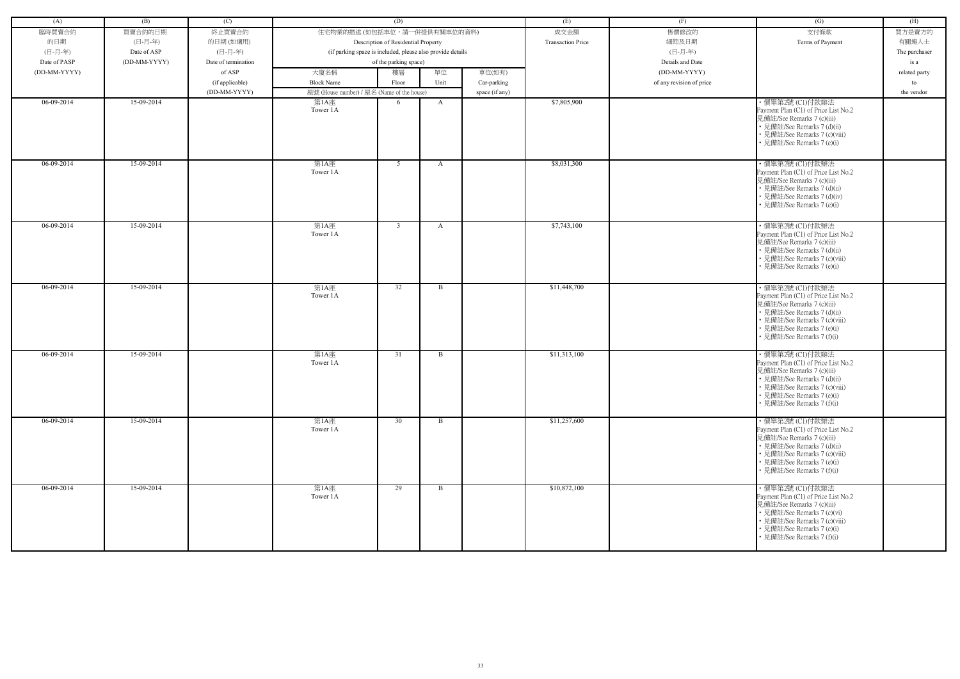| (A)          | (B)          | (C)                 |                                            | (D)                                                        |              |                | (E)                      | (F)                      | (G)                                                                                                                                                                                                               | (H)           |
|--------------|--------------|---------------------|--------------------------------------------|------------------------------------------------------------|--------------|----------------|--------------------------|--------------------------|-------------------------------------------------------------------------------------------------------------------------------------------------------------------------------------------------------------------|---------------|
| 臨時買賣合約       | 買賣合約的日期      | 終止買賣合約              | 住宅物業的描述 (如包括車位,請一併提供有關車位的資料)               |                                                            |              |                | 成交金額                     | 售價修改的                    | 支付條款                                                                                                                                                                                                              | 買方是賣方的        |
| 的日期          | (日-月-年)      | 的日期(如適用)            |                                            | Description of Residential Property                        |              |                | <b>Transaction Price</b> | 細節及日期                    | Terms of Payment                                                                                                                                                                                                  | 有關連人士         |
| (日-月-年)      | Date of ASP  | (日-月-年)             |                                            | (if parking space is included, please also provide details |              |                |                          | (日-月-年)                  |                                                                                                                                                                                                                   | The purchaser |
| Date of PASP | (DD-MM-YYYY) | Date of termination |                                            | of the parking space)                                      |              |                |                          | Details and Date         |                                                                                                                                                                                                                   | is a          |
| (DD-MM-YYYY) |              | of ASP              | 大廈名稱                                       | 樓層                                                         | 單位           | 車位(如有)         |                          | (DD-MM-YYYY)             |                                                                                                                                                                                                                   | related party |
|              |              | (if applicable)     | <b>Block Name</b>                          | Floor                                                      | Unit         | Car-parking    |                          | of any revision of price |                                                                                                                                                                                                                   | to            |
|              |              | (DD-MM-YYYY)        | 屋號 (House number) / 屋名 (Name of the house) |                                                            |              | space (if any) |                          |                          |                                                                                                                                                                                                                   | the vendor    |
| 06-09-2014   | 15-09-2014   |                     | 第1A座                                       | 6                                                          | $\mathbf{A}$ |                | \$7,805,900              |                          | ·價單第2號 (Cl)付款辦法                                                                                                                                                                                                   |               |
|              |              |                     | Tower 1A                                   |                                                            |              |                |                          |                          | Payment Plan (C1) of Price List No.2<br>見備註/See Remarks 7 (c)(iii)<br>• 見備註/See Remarks 7 (d)(ii)<br>• 見備註/See Remarks 7 (c)(viii)<br>• 見備註/See Remarks 7 (e)(i)                                                  |               |
|              |              |                     |                                            |                                                            |              |                |                          |                          |                                                                                                                                                                                                                   |               |
| $06-09-2014$ | 15-09-2014   |                     | 第1A座<br>Tower 1A                           | 5 <sup>5</sup>                                             | A            |                | \$8,031,300              |                          | ・價單第2號 (C1)付款辦法<br>Payment Plan (C1) of Price List No.2<br>見備註/See Remarks 7 (c)(iii)<br>• 見備註/See Remarks 7 (d)(ii)<br>• 見備註/See Remarks 7 (d)(iv)<br>見備註/See Remarks 7 (e)(i)                                   |               |
| 06-09-2014   | 15-09-2014   |                     | 第1A座<br>Tower 1A                           | $\overline{3}$                                             | A            |                | \$7,743,100              |                          | ・價單第2號 (C1)付款辦法<br>Payment Plan (C1) of Price List No.2<br>見備註/See Remarks 7 (c)(iii)<br>• 見備註/See Remarks 7 (d)(ii)<br>• 見備註/See Remarks 7 (c)(viii)<br>• 見備註/See Remarks 7 (e)(i)                               |               |
| 06-09-2014   | 15-09-2014   |                     | 第1A座                                       | 32                                                         | B            |                | \$11,448,700             |                          | ・價單第2號 (C1)付款辦法                                                                                                                                                                                                   |               |
|              |              |                     | Tower 1A                                   |                                                            |              |                |                          |                          | Payment Plan (C1) of Price List No.2<br>見備註/See Remarks 7 (c)(iii)<br>• 見備註/See Remarks 7 (d)(ii)<br>• 見備註/See Remarks 7 (c)(viii)<br>• 見備註/See Remarks 7 (e)(i)<br>見備註/See Remarks 7 (f)(i)                      |               |
| 06-09-2014   | 15-09-2014   |                     | 第1A座<br>Tower 1A                           | 31                                                         | B            |                | \$11,313,100             |                          | ・價單第2號 (C1)付款辦法<br>Payment Plan (C1) of Price List No.2<br>見備註/See Remarks 7 (c)(iii)<br>• 見備註/See Remarks 7 (d)(ii)<br>• 見備註/See Remarks 7 (c)(viii)<br>• 見備註/See Remarks 7 (e)(i)<br>• 見備註/See Remarks 7 (f)(i) |               |
| $06-09-2014$ | 15-09-2014   |                     | 第1A座<br>Tower 1A                           | 30                                                         | $\mathbf{B}$ |                | \$11,257,600             |                          | ・價單第2號 (C1)付款辦法<br>Payment Plan (C1) of Price List No.2<br>見備註/See Remarks 7 (c)(iii)<br>• 見備註/See Remarks 7 (d)(ii)<br>• 見備註/See Remarks 7 (c)(viii)<br>• 見備註/See Remarks 7 (e)(i)<br>• 見備註/See Remarks 7 (f)(i) |               |
| 06-09-2014   | 15-09-2014   |                     | 第1A座<br>Tower 1A                           | 29                                                         | B            |                | \$10,872,100             |                          | ・價單第2號 (C1)付款辦法<br>Payment Plan (C1) of Price List No.2<br>見備註/See Remarks 7 (c)(iii)<br>• 見備註/See Remarks 7 (c)(vi)<br>• 見備註/See Remarks 7 (c)(viii)<br>• 見備註/See Remarks 7 (e)(i)<br>• 見備註/See Remarks 7 (f)(i) |               |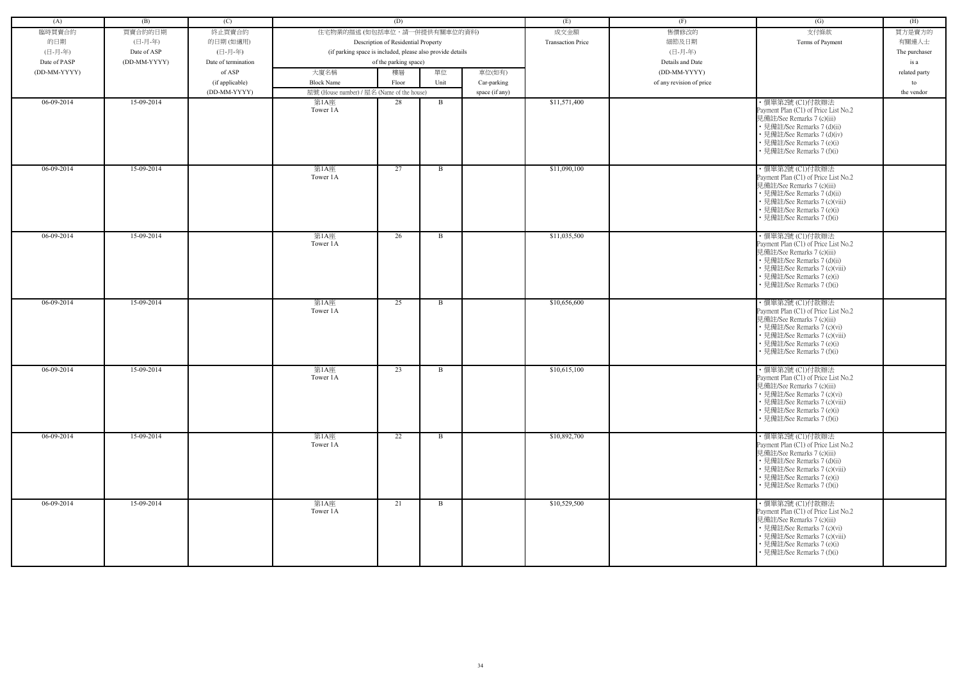| (A)          | (B)          | (C)                 |                                            | (D)                                                        |              |                | (E)                      | (F)                      | (G)                                                                                                                                                                                                                | (H)           |
|--------------|--------------|---------------------|--------------------------------------------|------------------------------------------------------------|--------------|----------------|--------------------------|--------------------------|--------------------------------------------------------------------------------------------------------------------------------------------------------------------------------------------------------------------|---------------|
|              |              |                     |                                            |                                                            |              |                |                          |                          |                                                                                                                                                                                                                    |               |
| 臨時買賣合約       | 買賣合約的日期      | 終止買賣合約              | 住宅物業的描述 (如包括車位,請一併提供有關車位的資料)               |                                                            |              |                | 成交金額                     | 售價修改的                    | 支付條款                                                                                                                                                                                                               | 買方是賣方的        |
| 的日期          | (日-月-年)      | 的日期(如適用)            |                                            | Description of Residential Property                        |              |                | <b>Transaction Price</b> | 細節及日期                    | Terms of Payment                                                                                                                                                                                                   | 有關連人士         |
| (日-月-年)      | Date of ASP  | (日-月-年)             |                                            | (if parking space is included, please also provide details |              |                |                          | (日-月-年)                  |                                                                                                                                                                                                                    | The purchaser |
| Date of PASP | (DD-MM-YYYY) | Date of termination |                                            | of the parking space)                                      |              |                |                          | Details and Date         |                                                                                                                                                                                                                    | is a          |
| (DD-MM-YYYY) |              | of ASP              | 大廈名稱                                       | 樓層                                                         | 單位           | 車位(如有)         |                          | (DD-MM-YYYY)             |                                                                                                                                                                                                                    | related party |
|              |              | (if applicable)     | <b>Block Name</b>                          | Floor                                                      | Unit         | Car-parking    |                          | of any revision of price |                                                                                                                                                                                                                    | to            |
|              |              | (DD-MM-YYYY)        | 屋號 (House number) / 屋名 (Name of the house) |                                                            |              | space (if any) |                          |                          |                                                                                                                                                                                                                    | the vendor    |
| 06-09-2014   | 15-09-2014   |                     | 第1A座<br>Tower 1A                           | 28                                                         | B            |                | \$11,571,400             |                          | ・價單第2號 (C1)付款辦法<br>Payment Plan (C1) of Price List No.2<br>見備註/See Remarks 7 (c)(iii)<br>• 見備註/See Remarks 7 (d)(ii)<br>• 見備註/See Remarks 7 (d)(iv)<br>• 見備註/See Remarks 7 (e)(i)<br>• 見備註/See Remarks 7 (f)(i)    |               |
| 06-09-2014   | 15-09-2014   |                     | 第1A座<br>Tower 1A                           | 27                                                         | $\mathbf{B}$ |                | \$11,090,100             |                          | ・價單第2號 (C1)付款辦法<br>Payment Plan (C1) of Price List No.2<br>見備註/See Remarks 7 (c)(iii)<br>• 見備註/See Remarks 7 (d)(ii)<br>• 見備註/See Remarks 7 (c)(viii)<br>• 見備註/See Remarks 7 (e)(i)<br>• 見備註/See Remarks 7 (f)(i)  |               |
| 06-09-2014   | 15-09-2014   |                     | 第1A座<br>Tower 1A                           | 26                                                         | $\mathbf{B}$ |                | \$11,035,500             |                          | ・價單第2號 (C1)付款辦法<br>Payment Plan (C1) of Price List No.2<br>見備註/See Remarks 7 (c)(iii)<br>• 見備註/See Remarks 7 (d)(ii)<br>• 見備註/See Remarks 7 (c)(viii)<br>• 見備註/See Remarks 7 (e)(i)<br>• 見備註/See Remarks 7 (f)(i)  |               |
| 06-09-2014   | 15-09-2014   |                     | 第1A座<br>Tower 1A                           | 25                                                         | B            |                | \$10,656,600             |                          | ・價單第2號 (C1)付款辦法<br>Payment Plan (C1) of Price List No.2<br>見備註/See Remarks 7 (c)(iii)<br>• 見備註/See Remarks 7 (c)(vi)<br>• 見備註/See Remarks 7 (c)(viii)<br>• 見備註/See Remarks 7 (e)(i)<br>• 見備註/See Remarks 7 (f)(i)  |               |
| 06-09-2014   | 15-09-2014   |                     | 第1A座<br>Tower 1A                           | 23                                                         | $\mathbf{B}$ |                | \$10,615,100             |                          | · 價單第2號 (C1)付款辦法<br>Payment Plan (C1) of Price List No.2<br>見備註/See Remarks 7 (c)(iii)<br>• 見備註/See Remarks 7 (c)(vi)<br>• 見備註/See Remarks 7 (c)(viii)<br>• 見備註/See Remarks 7 (e)(i)<br>• 見備註/See Remarks 7 (f)(i) |               |
| 06-09-2014   | 15-09-2014   |                     | 第1A座<br>Tower 1A                           | 22                                                         | B            |                | \$10,892,700             |                          | ・價單第2號 (C1)付款辦法<br>Payment Plan (C1) of Price List No.2<br>見備註/See Remarks 7 (c)(iii)<br>• 見備註/See Remarks 7 (d)(ii)<br>• 見備註/See Remarks 7 (c)(viii)<br>• 見備註/See Remarks 7 (e)(i)<br>• 見備註/See Remarks 7 (f)(i)  |               |
| 06-09-2014   | 15-09-2014   |                     | 第1A座<br>Tower 1A                           | 21                                                         | $\mathbf{B}$ |                | \$10,529,500             |                          | ・價單第2號 (C1)付款辦法<br>Payment Plan (C1) of Price List No.2<br>見備註/See Remarks 7 (c)(iii)<br>• 見備註/See Remarks 7 (c)(vi)<br>• 見備註/See Remarks 7 (c)(viii)<br>• 見備註/See Remarks 7 (e)(i)<br>• 見備註/See Remarks 7 (f)(i)  |               |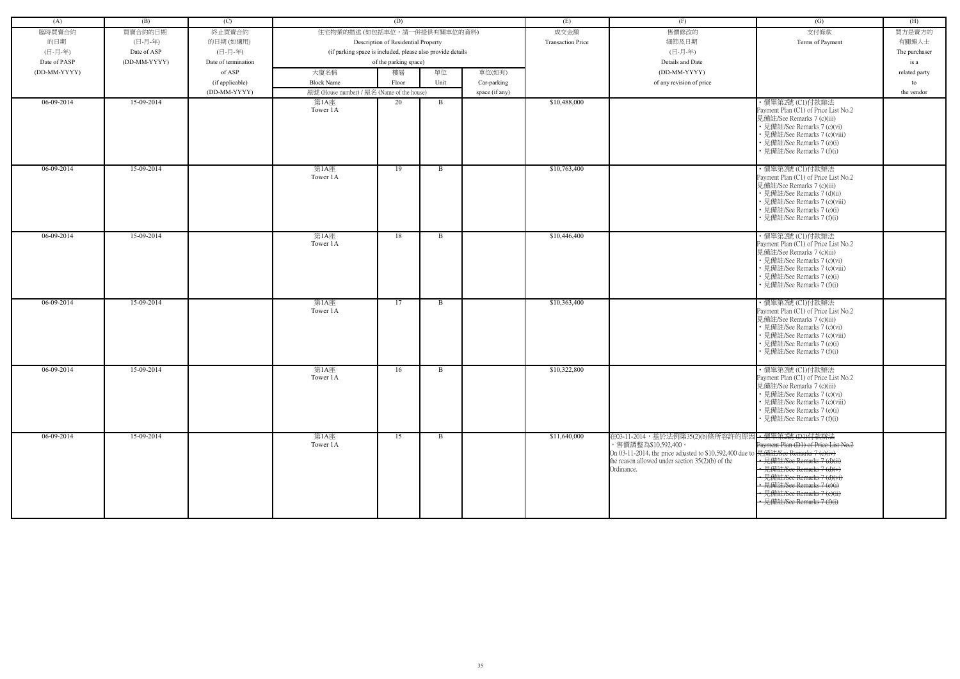| (A)          | (B)          | (C)                 |                                                            | (D)                                 |              |                | (E)                      | (F)                                                                                                                                                                                     | (G)                                                                                                                                                                                                                                                                          | (H)           |
|--------------|--------------|---------------------|------------------------------------------------------------|-------------------------------------|--------------|----------------|--------------------------|-----------------------------------------------------------------------------------------------------------------------------------------------------------------------------------------|------------------------------------------------------------------------------------------------------------------------------------------------------------------------------------------------------------------------------------------------------------------------------|---------------|
| 臨時買賣合約       | 買賣合約的日期      | 終止買賣合約              | 住宅物業的描述 (如包括車位,請一併提供有關車位的資料)                               |                                     |              |                | 成交金額                     | 售價修改的                                                                                                                                                                                   | 支付條款                                                                                                                                                                                                                                                                         | 買方是賣方的        |
| 的日期          | (日-月-年)      | 的日期(如適用)            |                                                            | Description of Residential Property |              |                | <b>Transaction Price</b> | 細節及日期                                                                                                                                                                                   | Terms of Payment                                                                                                                                                                                                                                                             | 有關連人士         |
| (日-月-年)      | Date of ASP  | (日-月-年)             | (if parking space is included, please also provide details |                                     |              |                |                          | (日-月-年)                                                                                                                                                                                 |                                                                                                                                                                                                                                                                              | The purchaser |
| Date of PASP | (DD-MM-YYYY) | Date of termination |                                                            | of the parking space)               |              |                |                          | Details and Date                                                                                                                                                                        |                                                                                                                                                                                                                                                                              | is a          |
| (DD-MM-YYYY) |              | of ASP              | 大廈名稱                                                       | 樓層                                  | 單位           | 車位(如有)         |                          | (DD-MM-YYYY)                                                                                                                                                                            |                                                                                                                                                                                                                                                                              |               |
|              |              |                     |                                                            |                                     |              |                |                          |                                                                                                                                                                                         |                                                                                                                                                                                                                                                                              | related party |
|              |              | (if applicable)     | <b>Block Name</b>                                          | Floor                               | Unit         | Car-parking    |                          | of any revision of price                                                                                                                                                                |                                                                                                                                                                                                                                                                              | to            |
| $06-09-2014$ | 15-09-2014   | (DD-MM-YYYY)        | 屋號 (House number) / 屋名 (Name of the house)                 | 20                                  | $\mathbf{B}$ | space (if any) | \$10,488,000             |                                                                                                                                                                                         | ・價單第2號 (C1)付款辦法                                                                                                                                                                                                                                                              | the vendor    |
|              |              |                     | 第1A座<br>Tower 1A                                           |                                     |              |                |                          |                                                                                                                                                                                         | Payment Plan (C1) of Price List No.2<br>見備註/See Remarks 7 (c)(iii)<br>• 見備註/See Remarks 7 (c)(vi)<br>• 見備註/See Remarks 7 (c)(viii)<br>• 見備註/See Remarks 7 (e)(i)<br>• 見備註/See Remarks 7 (f)(i)                                                                               |               |
| 06-09-2014   | 15-09-2014   |                     | 第1A座<br>Tower 1A                                           | 19                                  | B            |                | \$10,763,400             |                                                                                                                                                                                         | ・價單第2號 (C1)付款辦法<br>Payment Plan (C1) of Price List No.2<br>見備註/See Remarks 7 (c)(iii)<br>• 見備註/See Remarks 7 (d)(ii)<br>• 見備註/See Remarks 7 (c)(viii)<br>• 見備註/See Remarks 7 (e)(i)<br>• 見備註/See Remarks 7 (f)(i)                                                            |               |
| 06-09-2014   | 15-09-2014   |                     | 第1A座<br>Tower 1A                                           | 18                                  | B            |                | \$10,446,400             |                                                                                                                                                                                         | ・價單第2號 (C1)付款辦法<br>Payment Plan (C1) of Price List No.2<br>見備註/See Remarks 7 (c)(iii)<br>• 見備註/See Remarks 7 (c)(vi)<br>• 見備註/See Remarks 7 (c)(viii)<br>• 見備註/See Remarks 7 (e)(i)<br>• 見備註/See Remarks 7 (f)(i)                                                            |               |
| 06-09-2014   | 15-09-2014   |                     | 第1A座<br>Tower 1A                                           | 17                                  | B            |                | \$10,363,400             |                                                                                                                                                                                         | ・價單第2號 (C1)付款辦法<br>Payment Plan (C1) of Price List No.2<br>見備註/See Remarks 7 (c)(iii)<br>• 見備註/See Remarks 7 (c)(vi)<br>• 見備註/See Remarks 7 (c)(viii)<br>• 見備註/See Remarks 7 (e)(i)<br>• 見備註/See Remarks 7 (f)(i)                                                            |               |
| 06-09-2014   | 15-09-2014   |                     | 第1A座<br>Tower 1A                                           | 16                                  | $\mathbf{B}$ |                | \$10,322,800             |                                                                                                                                                                                         | ・價單第2號 (C1)付款辦法<br>Payment Plan (C1) of Price List No.2<br>見備註/See Remarks 7 (c)(iii)<br>• 見備註/See Remarks 7 (c)(vi)<br>• 見備註/See Remarks 7 (c)(viii)<br>• 見備註/See Remarks 7 (e)(i)<br>• 見備註/See Remarks 7 (f)(i)                                                            |               |
| 06-09-2014   | 15-09-2014   |                     | 第1A座<br>Tower 1A                                           | 15                                  | B            |                | \$11,640,000             | 在03-11-2014,基於法例第35(2)(b)條所容許的原因<br>,售價調整為\$10,592,400。<br>On 03-11-2014, the price adjusted to \$10,592,400 due to<br>the reason allowed under section $35(2)(b)$ of the<br>Ordinance. | ← 價單第2號 (D1)付款辦法<br>Payment Plan (D1) of Price List No.2<br>見備註/See Remarks 7 (e)(iv)<br>• 見備註/See Remarks 7 (d)(ii)<br>• 見備註/See Remarks 7 (d)(v)<br>• 見備註/See Remarks 7 (d)(vi)<br>• 見備註/See Remarks 7 (e)(i)<br>• 見備註/See Remarks 7 (e)(ii)<br>• 見備註/See Remarks 7 (f)(i) |               |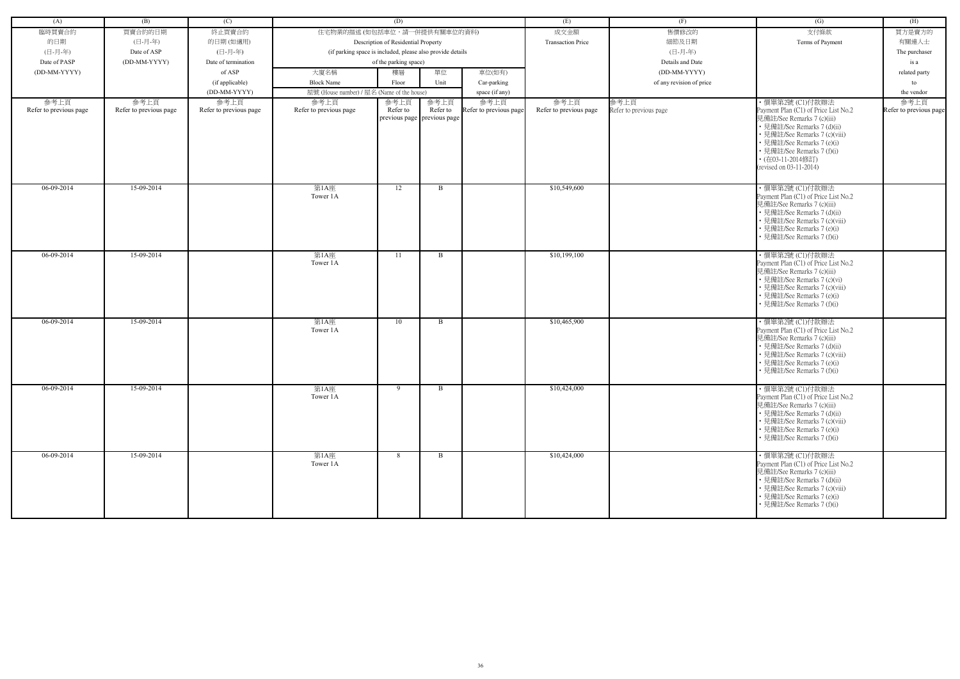| (A)                            | (B)                            | (C)                            |                                                            | (D)                                 |                                                   |                                | (E)                            | (F)                            | (G)                                                                                                                                                                                                                                                               | (H)                            |
|--------------------------------|--------------------------------|--------------------------------|------------------------------------------------------------|-------------------------------------|---------------------------------------------------|--------------------------------|--------------------------------|--------------------------------|-------------------------------------------------------------------------------------------------------------------------------------------------------------------------------------------------------------------------------------------------------------------|--------------------------------|
|                                |                                |                                |                                                            |                                     |                                                   |                                |                                |                                |                                                                                                                                                                                                                                                                   |                                |
| 臨時買賣合約                         | 買賣合約的日期                        | 終止買賣合約                         | 住宅物業的描述 (如包括車位,請一併提供有關車位的資料)                               |                                     |                                                   |                                | 成交金額                           | 售價修改的                          | 支付條款                                                                                                                                                                                                                                                              | 買方是賣方的                         |
| 的日期                            | (日-月-年)                        | 的日期(如適用)                       |                                                            | Description of Residential Property |                                                   |                                | <b>Transaction Price</b>       | 細節及日期                          | Terms of Payment                                                                                                                                                                                                                                                  | 有關連人士                          |
| (日-月-年)                        | Date of ASP                    | (日-月-年)                        | (if parking space is included, please also provide details |                                     |                                                   |                                |                                | (日-月-年)                        |                                                                                                                                                                                                                                                                   | The purchaser                  |
| Date of PASP                   | (DD-MM-YYYY)                   | Date of termination            |                                                            | of the parking space)               |                                                   |                                |                                | Details and Date               |                                                                                                                                                                                                                                                                   | is a                           |
| (DD-MM-YYYY)                   |                                | of ASP                         | 大廈名稱                                                       | 樓層                                  | 單位                                                | 車位(如有)                         |                                | (DD-MM-YYYY)                   |                                                                                                                                                                                                                                                                   | related party                  |
|                                |                                | (if applicable)                | <b>Block Name</b>                                          | Floor                               | Unit                                              | Car-parking                    |                                | of any revision of price       |                                                                                                                                                                                                                                                                   | to                             |
|                                |                                | (DD-MM-YYYY)                   | 屋號 (House number) / 屋名 (Name of the house)                 |                                     |                                                   | space (if any)                 |                                |                                |                                                                                                                                                                                                                                                                   | the vendor                     |
| 參考上頁<br>Refer to previous page | 參考上頁<br>Refer to previous page | 參考上頁<br>Refer to previous page | 參考上頁<br>Refer to previous page                             | 參考上頁<br>Refer to                    | 參考上頁<br>Refer to<br>previous page   previous page | 參考上頁<br>Refer to previous page | 參考上頁<br>Refer to previous page | 參考上頁<br>Refer to previous page | ・價單第2號 (C1)付款辦法<br>Payment Plan (C1) of Price List No.2<br>見備註/See Remarks 7 (c)(iii)<br>• 見備註/See Remarks 7 (d)(ii)<br>• 見備註/See Remarks 7 (c)(viii)<br>• 見備註/See Remarks 7 (e)(i)<br>• 見備註/See Remarks 7 (f)(i)<br>• (在03-11-2014修訂)<br>(revised on 03-11-2014) | 參考上頁<br>Refer to previous page |
| 06-09-2014                     | 15-09-2014                     |                                | 第1A座<br>Tower 1A                                           | 12                                  | B                                                 |                                | \$10,549,600                   |                                | ・價單第2號 (C1)付款辦法<br>Payment Plan (C1) of Price List No.2<br>見備註/See Remarks 7 (c)(iii)<br>• 見備註/See Remarks 7 (d)(ii)<br>• 見備註/See Remarks 7 (c)(viii)<br>• 見備註/See Remarks 7 (e)(i)<br>• 見備註/See Remarks 7 (f)(i)                                                 |                                |
| 06-09-2014                     | 15-09-2014                     |                                | 第1A座<br>Tower 1A                                           | -11                                 | B                                                 |                                | \$10,199,100                   |                                | ・價單第2號 (C1)付款辦法<br>Payment Plan (C1) of Price List No.2<br>見備註/See Remarks 7 (c)(iii)<br>• 見備註/See Remarks 7 (c)(vi)<br>· 見備註/See Remarks 7 (c)(viii)<br>• 見備註/See Remarks 7 (e)(i)<br>• 見備註/See Remarks 7 (f)(i)                                                 |                                |
| $06-09-2014$                   | 15-09-2014                     |                                | 第1A座<br>Tower 1A                                           | 10                                  | B                                                 |                                | \$10,465,900                   |                                | · 價單第2號 (C1)付款辦法<br>Payment Plan (C1) of Price List No.2<br>見備註/See Remarks 7 (c)(iii)<br>• 見備註/See Remarks 7 (d)(ii)<br>• 見備註/See Remarks 7 (c)(viii)<br>• 見備註/See Remarks 7 (e)(i)<br>• 見備註/See Remarks 7 (f)(i)                                                |                                |
| 06-09-2014                     | 15-09-2014                     |                                | 第1A座<br>Tower 1A                                           | 9                                   | $\mathbf{B}$                                      |                                | \$10,424,000                   |                                | ・價單第2號 (C1)付款辦法<br>Payment Plan (C1) of Price List No.2<br>見備註/See Remarks 7 (c)(iii)<br>• 見備註/See Remarks 7 (d)(ii)<br>• 見備註/See Remarks 7 (c)(viii)<br>• 見備註/See Remarks 7 (e)(i)<br>• 見備註/See Remarks 7 (f)(i)                                                 |                                |
| 06-09-2014                     | 15-09-2014                     |                                | 第1A座<br>Tower 1A                                           | 8                                   | B                                                 |                                | \$10,424,000                   |                                | ・價單第2號 (C1)付款辦法<br>Payment Plan (C1) of Price List No.2<br>見備註/See Remarks 7 (c)(iii)<br>• 見備註/See Remarks 7 (d)(ii)<br>• 見備註/See Remarks 7 (c)(viii)<br>• 見備註/See Remarks 7 (e)(i)<br>• 見備註/See Remarks 7 (f)(i)                                                 |                                |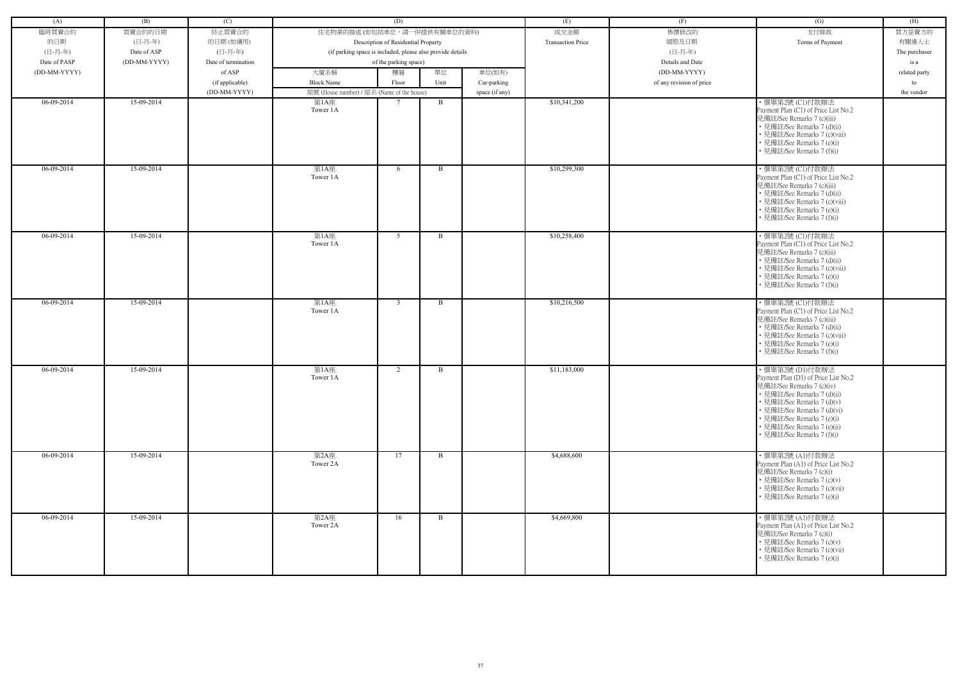| (A)          | (B)          | (C)                 |                                                            | (D)                                 |      |                | (E)                      | (F)                      | (G)                                                                                                                                                                                                                                                                          | (H)           |
|--------------|--------------|---------------------|------------------------------------------------------------|-------------------------------------|------|----------------|--------------------------|--------------------------|------------------------------------------------------------------------------------------------------------------------------------------------------------------------------------------------------------------------------------------------------------------------------|---------------|
| 臨時買賣合約       | 買賣合約的日期      | 終止買賣合約              | 住宅物業的描述 (如包括車位,請一併提供有關車位的資料)                               |                                     |      |                | 成交金額                     | 售價修改的                    | 支付條款                                                                                                                                                                                                                                                                         | 買方是賣方的        |
| 的日期          | (日-月-年)      | 的日期(如適用)            |                                                            | Description of Residential Property |      |                | <b>Transaction Price</b> | 細節及日期                    | Terms of Payment                                                                                                                                                                                                                                                             | 有關連人士         |
| (日-月-年)      | Date of ASP  | (日-月-年)             | (if parking space is included, please also provide details |                                     |      |                |                          | (日-月-年)                  |                                                                                                                                                                                                                                                                              | The purchaser |
| Date of PASP | (DD-MM-YYYY) | Date of termination |                                                            | of the parking space)               |      |                |                          | Details and Date         |                                                                                                                                                                                                                                                                              | is a          |
| (DD-MM-YYYY) |              | of ASP              | 大廈名稱                                                       | 樓層                                  | 單位   | 車位(如有)         |                          | (DD-MM-YYYY)             |                                                                                                                                                                                                                                                                              | related party |
|              |              | (if applicable)     | <b>Block Name</b>                                          | Floor                               | Unit | Car-parking    |                          | of any revision of price |                                                                                                                                                                                                                                                                              | to            |
|              |              | (DD-MM-YYYY)        | 屋號 (House number) / 屋名 (Name of the house)                 |                                     |      | space (if any) |                          |                          |                                                                                                                                                                                                                                                                              | the vendor    |
| 06-09-2014   | 15-09-2014   |                     | 第1A座<br>Tower 1A                                           |                                     | B    |                | \$10,341,200             |                          | ・價單第2號 (C1)付款辦法<br>Payment Plan (C1) of Price List No.2<br>見備註/See Remarks 7 (c)(iii)<br>• 見備註/See Remarks 7 (d)(ii)<br>• 見備註/See Remarks 7 (c)(viii)<br>• 見備註/See Remarks 7 (e)(i)<br>• 見備註/See Remarks 7 (f)(i)                                                            |               |
| 06-09-2014   | 15-09-2014   |                     | 第1A座<br>Tower 1A                                           | 6                                   | B    |                | \$10,299,300             |                          | ・價單第2號 (C1)付款辦法<br>Payment Plan (C1) of Price List No.2<br>見備註/See Remarks 7 (c)(iii)<br>• 見備註/See Remarks 7 (d)(ii)<br>• 見備註/See Remarks 7 (c)(viii)<br>• 見備註/See Remarks 7 (e)(i)<br>• 見備註/See Remarks 7 (f)(i)                                                            |               |
| 06-09-2014   | 15-09-2014   |                     | 第1A座<br>Tower 1A                                           | 5                                   | B    |                | \$10,258,400             |                          | ・價單第2號 (C1)付款辦法<br>Payment Plan (C1) of Price List No.2<br>見備註/See Remarks 7 (c)(iii)<br>• 見備註/See Remarks 7 (d)(ii)<br>• 見備註/See Remarks 7 (c)(viii)<br>• 見備註/See Remarks 7 (e)(i)<br>• 見備註/See Remarks 7 (f)(i)                                                            |               |
| 06-09-2014   | 15-09-2014   |                     | 第1A座<br>Tower 1A                                           | $\mathbf{3}$                        | B    |                | \$10,216,500             |                          | ・價單第2號 (C1)付款辦法<br>Payment Plan (C1) of Price List No.2<br>見備註/See Remarks 7 (c)(iii)<br>• 見備註/See Remarks 7 (d)(ii)<br>• 見備註/See Remarks 7 (c)(viii)<br>• 見備註/See Remarks 7 (e)(i)<br>• 見備註/See Remarks 7 (f)(i)                                                            |               |
| 06-09-2014   | 15-09-2014   |                     | 第1A座<br>Tower 1A                                           | 2                                   | B    |                | \$11,183,000             |                          | · 價單第2號 (D1)付款辦法<br>Payment Plan (D1) of Price List No.2<br>見備註/See Remarks 7 (c)(iv)<br>• 見備註/See Remarks 7 (d)(ii)<br>• 見備註/See Remarks 7 (d)(v)<br>• 見備註/See Remarks 7 (d)(vi)<br>• 見備註/See Remarks 7 (e)(i)<br>• 見備註/See Remarks 7 (e)(ii)<br>• 見備註/See Remarks 7 (f)(i) |               |
| $06-09-2014$ | 15-09-2014   |                     | 第2A座<br>Tower 2A                                           | 17                                  | B    |                | \$4,688,600              |                          | ・價單第2號 (A1)付款辦法<br>Payment Plan (A1) of Price List No.2<br>見備註/See Remarks 7 (c)(i)<br>• 見備註/See Remarks 7 (c)(v)<br>• 見備註/See Remarks 7 (c)(vii)<br>• 見備註/See Remarks 7 (e)(i)                                                                                              |               |
| $06-09-2014$ | 15-09-2014   |                     | 第2A座<br>Tower 2A                                           | 16                                  | B    |                | \$4,669,800              |                          | ・價單第2號 (A1)付款辦法<br>Payment Plan (A1) of Price List No.2<br>見備註/See Remarks 7 (c)(i)<br>• 見備註/See Remarks 7 (c)(v)<br>• 見備註/See Remarks 7 (c)(vii)<br>• 見備註/See Remarks 7 (e)(i)                                                                                              |               |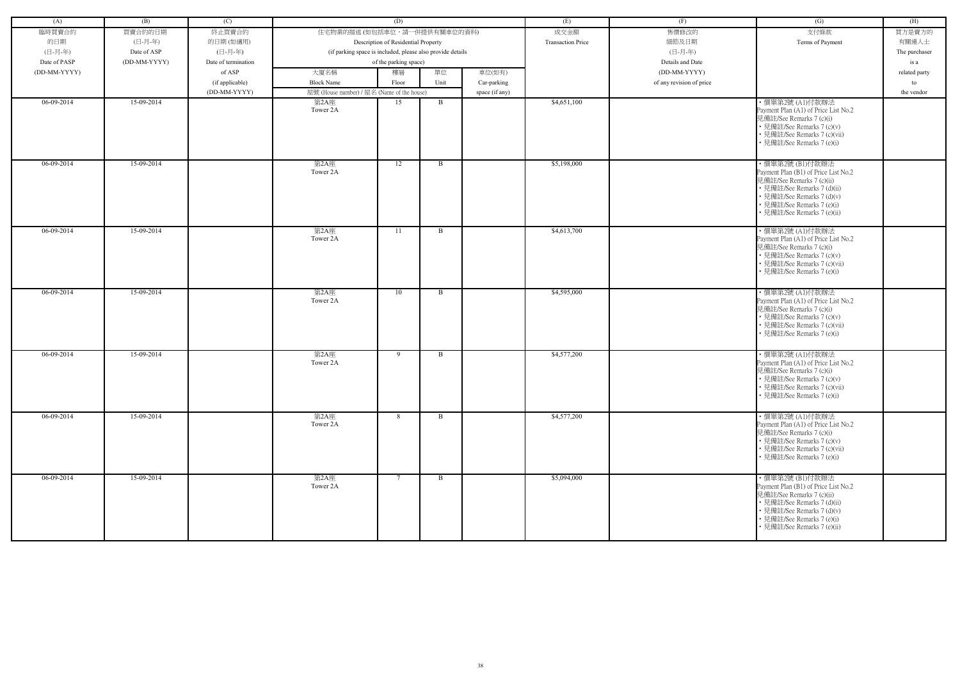| (A)          | (B)          | (C)                 |                                                            | (D)                                 |              |                | (E)                      | (F)                      | (G)                                                                                                                                                                                                            | (H)           |
|--------------|--------------|---------------------|------------------------------------------------------------|-------------------------------------|--------------|----------------|--------------------------|--------------------------|----------------------------------------------------------------------------------------------------------------------------------------------------------------------------------------------------------------|---------------|
| 臨時買賣合約       | 買賣合約的日期      | 終止買賣合約              | 住宅物業的描述 (如包括車位,請一併提供有關車位的資料)                               |                                     |              |                | 成交金額                     | 售價修改的                    | 支付條款                                                                                                                                                                                                           | 買方是賣方的        |
| 的日期          | (日-月-年)      | 的日期(如適用)            |                                                            | Description of Residential Property |              |                | <b>Transaction Price</b> | 細節及日期                    | Terms of Payment                                                                                                                                                                                               | 有關連人士         |
| (日-月-年)      | Date of ASP  | (日-月-年)             | (if parking space is included, please also provide details |                                     |              |                |                          | (日-月-年)                  |                                                                                                                                                                                                                | The purchaser |
| Date of PASP | (DD-MM-YYYY) | Date of termination |                                                            | of the parking space)               |              |                |                          | Details and Date         |                                                                                                                                                                                                                | is a          |
| (DD-MM-YYYY) |              | of ASP              | 大廈名稱                                                       | 樓層                                  | 單位           | 車位(如有)         |                          | (DD-MM-YYYY)             |                                                                                                                                                                                                                | related party |
|              |              |                     |                                                            |                                     |              |                |                          |                          |                                                                                                                                                                                                                |               |
|              |              | (if applicable)     | <b>Block Name</b>                                          | Floor                               | Unit         | Car-parking    |                          | of any revision of price |                                                                                                                                                                                                                | to            |
|              |              | (DD-MM-YYYY)        | 屋號 (House number) / 屋名 (Name of the house)                 |                                     |              | space (if any) |                          |                          |                                                                                                                                                                                                                | the vendor    |
| 06-09-2014   | 15-09-2014   |                     | 第2A座<br>Tower 2A                                           | 15                                  | B            |                | \$4,651,100              |                          | ・價單第2號 (A1)付款辦法<br>Payment Plan (A1) of Price List No.2<br>見備註/See Remarks 7 (c)(i)<br>• 見備註/See Remarks 7 (c)(v)<br>• 見備註/See Remarks 7 (c)(vii)<br>• 見備註/See Remarks 7 (e)(i)                                |               |
| $06-09-2014$ | 15-09-2014   |                     | 第2A座<br>Tower 2A                                           | 12                                  | B            |                | \$5,198,000              |                          | ・價單第2號 (B1)付款辦法<br>Payment Plan (B1) of Price List No.2<br>見備註/See Remarks 7 (c)(ii)<br>• 見備註/See Remarks 7 (d)(ii)<br>• 見備註/See Remarks 7 (d)(v)<br>• 見備註/See Remarks 7 (e)(i)<br>• 見備註/See Remarks 7 (e)(ii) |               |
| 06-09-2014   | 15-09-2014   |                     | 第2A座<br>Tower 2A                                           | 11                                  | B            |                | \$4,613,700              |                          | ・價單第2號 (A1)付款辦法<br>Payment Plan (A1) of Price List No.2<br>見備註/See Remarks 7 (c)(i)<br>• 見備註/See Remarks 7 (c)(v)<br>• 見備註/See Remarks 7 (c)(vii)<br>• 見備註/See Remarks 7 (e)(i)                                |               |
| 06-09-2014   | 15-09-2014   |                     | 第2A座<br>Tower 2A                                           | 10                                  | B            |                | \$4,595,000              |                          | ・價單第2號 (A1)付款辦法<br>Payment Plan (A1) of Price List No.2<br>見備註/See Remarks 7 (c)(i)<br>• 見備註/See Remarks 7 (c)(v)<br>• 見備註/See Remarks 7 (c)(vii)<br>• 見備註/See Remarks 7 (e)(i)                                |               |
| 06-09-2014   | 15-09-2014   |                     | 第2A座<br>Tower 2A                                           | 9                                   | B            |                | \$4,577,200              |                          | ・價單第2號 (A1)付款辦法<br>Payment Plan (A1) of Price List No.2<br>見備註/See Remarks 7 (c)(i)<br>• 見備註/See Remarks 7 (c)(v)<br>• 見備註/See Remarks 7 (c)(vii)<br>• 見備註/See Remarks 7 (e)(i)                                |               |
| 06-09-2014   | 15-09-2014   |                     | 第2A座<br>Tower 2A                                           | 8                                   | B            |                | \$4,577,200              |                          | ・價單第2號 (A1)付款辦法<br>Payment Plan (A1) of Price List No.2<br>見備註/See Remarks 7 (c)(i)<br>• 見備註/See Remarks 7 (c)(v)<br>• 見備註/See Remarks 7 (c)(vii)<br>• 見備註/See Remarks 7 (e)(i)                                |               |
| $06-09-2014$ | 15-09-2014   |                     | 第2A座<br>Tower 2A                                           | $7\phantom{.0}\phantom{.0}7$        | $\mathbf{B}$ |                | \$5,094,000              |                          | ・價單第2號 (B1)付款辦法<br>Payment Plan (B1) of Price List No.2<br>見備註/See Remarks 7 (c)(ii)<br>• 見備註/See Remarks 7 (d)(ii)<br>• 見備註/See Remarks 7 (d)(v)<br>• 見備註/See Remarks 7 (e)(i)<br>• 見備註/See Remarks 7 (e)(ii) |               |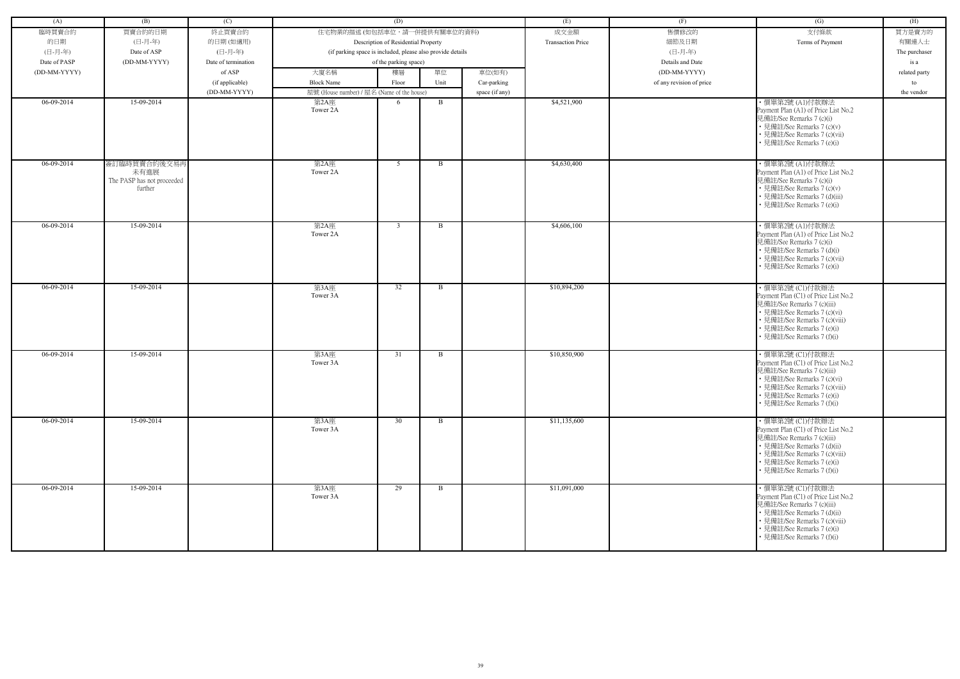| (A)          | (B)                                                           | (C)                 |                                            | (D)                                                        |      |                | (E)                      | (F)                      | (G)                                                                                                                                                                                                                | (H)           |
|--------------|---------------------------------------------------------------|---------------------|--------------------------------------------|------------------------------------------------------------|------|----------------|--------------------------|--------------------------|--------------------------------------------------------------------------------------------------------------------------------------------------------------------------------------------------------------------|---------------|
| 臨時買賣合約       | 買賣合約的日期                                                       | 終止買賣合約              | 住宅物業的描述 (如包括車位,請一併提供有關車位的資料)               |                                                            |      |                | 成交金額                     | 售價修改的                    | 支付條款                                                                                                                                                                                                               | 買方是賣方的        |
| 的日期          | (日-月-年)                                                       | 的日期(如適用)            |                                            | Description of Residential Property                        |      |                | <b>Transaction Price</b> | 細節及日期                    | Terms of Payment                                                                                                                                                                                                   | 有關連人士         |
| (日-月-年)      | Date of ASP                                                   | (日-月-年)             |                                            | (if parking space is included, please also provide details |      |                |                          | (日-月-年)                  |                                                                                                                                                                                                                    | The purchaser |
| Date of PASP | (DD-MM-YYYY)                                                  | Date of termination |                                            | of the parking space)                                      |      |                |                          | Details and Date         |                                                                                                                                                                                                                    | is a          |
|              |                                                               |                     |                                            |                                                            |      |                |                          |                          |                                                                                                                                                                                                                    |               |
| (DD-MM-YYYY) |                                                               | of ASP              | 大廈名稱                                       | 樓層                                                         | 單位   | 車位(如有)         |                          | (DD-MM-YYYY)             |                                                                                                                                                                                                                    | related party |
|              |                                                               | (if applicable)     | <b>Block Name</b>                          | Floor                                                      | Unit | Car-parking    |                          | of any revision of price |                                                                                                                                                                                                                    | to            |
|              |                                                               | (DD-MM-YYYY)        | 屋號 (House number) / 屋名 (Name of the house) |                                                            |      | space (if any) |                          |                          |                                                                                                                                                                                                                    | the vendor    |
| 06-09-2014   | 15-09-2014                                                    |                     | 第2A座<br>Tower 2A                           | 6                                                          | B    |                | \$4,521,900              |                          | ・價單第2號 (A1)付款辦法<br>Payment Plan (A1) of Price List No.2<br>見備註/See Remarks 7 (c)(i)<br>• 見備註/See Remarks 7 (c)(v)<br>• 見備註/See Remarks 7 (c)(vii)<br>• 見備註/See Remarks 7 (e)(i)                                    |               |
| $06-09-2014$ | 簽訂臨時買賣合約後交易再<br>未有進展<br>The PASP has not proceeded<br>further |                     | 第2A座<br>Tower 2A                           | 5                                                          | B    |                | \$4,630,400              |                          | ・價單第2號 (A1)付款辦法<br>Payment Plan (A1) of Price List No.2<br>見備註/See Remarks 7 (c)(i)<br>• 見備註/See Remarks 7 (c)(v)<br>• 見備註/See Remarks 7 (d)(iii)<br>見備註/See Remarks 7 (e)(i)                                      |               |
| 06-09-2014   | 15-09-2014                                                    |                     | 第2A座<br>Tower 2A                           | $\overline{3}$                                             | B    |                | \$4,606,100              |                          | ・價單第2號 (A1)付款辦法<br>Payment Plan (A1) of Price List No.2<br>見備註/See Remarks 7 (c)(i)<br>• 見備註/See Remarks 7 (d)(i)<br>• 見備註/See Remarks 7 (c)(vii)<br>• 見備註/See Remarks 7 (e)(i)                                    |               |
| 06-09-2014   | 15-09-2014                                                    |                     | 第3A座<br>Tower 3A                           | 32                                                         | B    |                | \$10,894,200             |                          | · 價單第2號 (C1)付款辦法<br>Payment Plan (C1) of Price List No.2<br>見備註/See Remarks 7 (c)(iii)<br>• 見備註/See Remarks 7 (c)(vi)<br>• 見備註/See Remarks 7 (c)(viii)<br>• 見備註/See Remarks 7 (e)(i)<br>見備註/See Remarks 7 (f)(i)   |               |
| 06-09-2014   | 15-09-2014                                                    |                     | 第3A座<br>Tower 3A                           | 31                                                         | B    |                | \$10,850,900             |                          | ·價單第2號 (C1)付款辦法<br>Payment Plan (C1) of Price List No.2<br>見備註/See Remarks 7 (c)(iii)<br>• 見備註/See Remarks 7 (c)(vi)<br>• 見備註/See Remarks 7 (c)(viii)<br>• 見備註/See Remarks 7 (e)(i)<br>• 見備註/See Remarks 7 (f)(i)  |               |
| $06-09-2014$ | 15-09-2014                                                    |                     | 第3A座<br>Tower 3A                           | 30                                                         | B    |                | \$11,135,600             |                          | · 價單第2號 (Cl)付款辦法<br>Payment Plan (C1) of Price List No.2<br>見備註/See Remarks 7 (c)(iii)<br>• 見備註/See Remarks 7 (d)(ii)<br>• 見備註/See Remarks 7 (c)(viii)<br>• 見備註/See Remarks 7 (e)(i)<br>• 見備註/See Remarks 7 (f)(i) |               |
| 06-09-2014   | 15-09-2014                                                    |                     | 第3A座<br>Tower 3A                           | 29                                                         | B    |                | \$11,091,000             |                          | ・價單第2號 (C1)付款辦法<br>Payment Plan (C1) of Price List No.2<br>見備註/See Remarks 7 (c)(iii)<br>• 見備註/See Remarks 7 (d)(ii)<br>• 見備註/See Remarks 7 (c)(viii)<br>• 見備註/See Remarks 7 (e)(i)<br>• 見備註/See Remarks 7 (f)(i)  |               |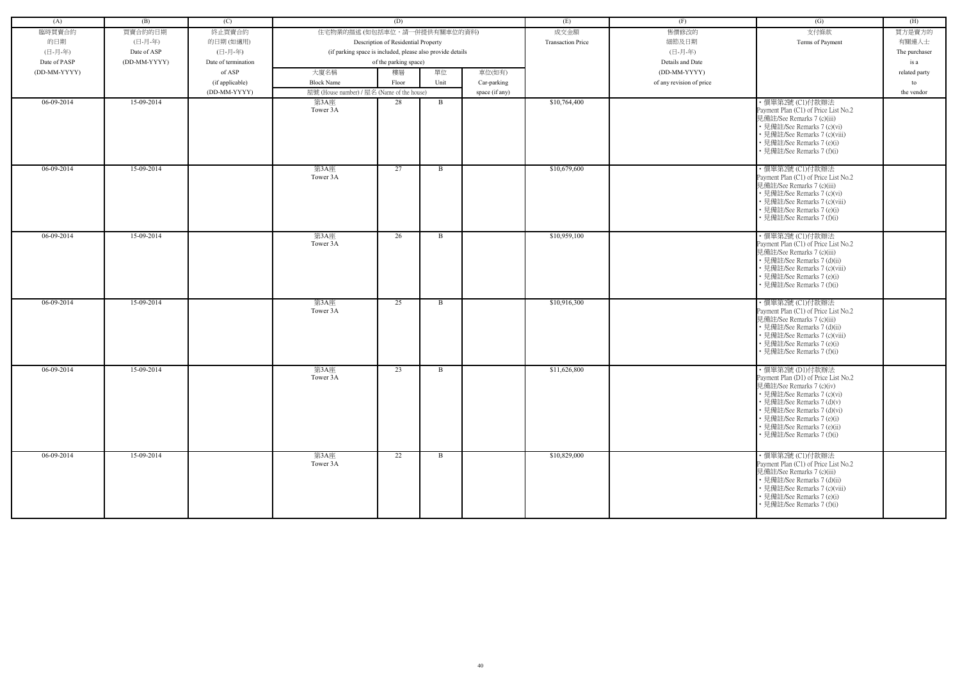| (A)          | (B)          | (C)                 |                                                            | (D)                                 |              |                | (E)                      | (F)                      | (G)                                                                                                                                                                                                                                                                        | (H)           |
|--------------|--------------|---------------------|------------------------------------------------------------|-------------------------------------|--------------|----------------|--------------------------|--------------------------|----------------------------------------------------------------------------------------------------------------------------------------------------------------------------------------------------------------------------------------------------------------------------|---------------|
| 臨時買賣合約       | 買賣合約的日期      | 終止買賣合約              | 住宅物業的描述 (如包括車位,請一併提供有關車位的資料)                               |                                     |              |                | 成交金額                     | 售價修改的                    | 支付條款                                                                                                                                                                                                                                                                       | 買方是賣方的        |
| 的日期          | (日-月-年)      | 的日期(如適用)            |                                                            | Description of Residential Property |              |                | <b>Transaction Price</b> | 細節及日期                    | Terms of Payment                                                                                                                                                                                                                                                           | 有關連人士         |
| (日-月-年)      | Date of ASP  | (日-月-年)             | (if parking space is included, please also provide details |                                     |              |                |                          | (日-月-年)                  |                                                                                                                                                                                                                                                                            | The purchaser |
| Date of PASP | (DD-MM-YYYY) | Date of termination |                                                            | of the parking space)               |              |                |                          | Details and Date         |                                                                                                                                                                                                                                                                            | is a          |
| (DD-MM-YYYY) |              | of ASP              | 大廈名稱                                                       | 樓層                                  | 單位           | 車位(如有)         |                          | (DD-MM-YYYY)             |                                                                                                                                                                                                                                                                            | related party |
|              |              | (if applicable)     | <b>Block Name</b>                                          | Floor                               | Unit         | Car-parking    |                          | of any revision of price |                                                                                                                                                                                                                                                                            | to            |
|              |              | (DD-MM-YYYY)        | 屋號 (House number) / 屋名 (Name of the house)                 |                                     |              | space (if any) |                          |                          |                                                                                                                                                                                                                                                                            | the vendor    |
| 06-09-2014   | 15-09-2014   |                     | 第3A座                                                       | 28                                  | $\mathbf{B}$ |                | \$10,764,400             |                          | ·價單第2號 (C1)付款辦法                                                                                                                                                                                                                                                            |               |
|              |              |                     | Tower 3A                                                   |                                     |              |                |                          |                          | Payment Plan (C1) of Price List No.2<br>見備註/See Remarks 7 (c)(iii)<br>• 見備註/See Remarks 7 (c)(vi)<br>• 見備註/See Remarks 7 (c)(viii)<br>• 見備註/See Remarks 7 (e)(i)<br>• 見備註/See Remarks 7 (f)(i)                                                                             |               |
| 06-09-2014   | 15-09-2014   |                     | 第3A座<br>Tower 3A                                           | 27                                  | B            |                | \$10,679,600             |                          | ・價單第2號 (C1)付款辦法<br>Payment Plan (C1) of Price List No.2<br>見備註/See Remarks 7 (c)(iii)<br>• 見備註/See Remarks 7 (c)(vi)<br>• 見備註/See Remarks 7 (c)(viii)<br>• 見備註/See Remarks 7 (e)(i)<br>• 見備註/See Remarks 7 (f)(i)                                                          |               |
| 06-09-2014   | 15-09-2014   |                     | 第3A座<br>Tower 3A                                           | 26                                  | B            |                | \$10,959,100             |                          | ・價單第2號 (C1)付款辦法<br>Payment Plan (C1) of Price List No.2<br>見備註/See Remarks 7 (c)(iii)<br>• 見備註/See Remarks 7 (d)(ii)<br>• 見備註/See Remarks 7 (c)(viii)<br>• 見備註/See Remarks 7 (e)(i)<br>• 見備註/See Remarks 7 (f)(i)                                                          |               |
| 06-09-2014   | 15-09-2014   |                     | 第3A座<br>Tower 3A                                           | 25                                  | B            |                | \$10,916,300             |                          | · 價單第2號 (C1)付款辦法<br>Payment Plan (C1) of Price List No.2<br>見備註/See Remarks 7 (c)(iii)<br>• 見備註/See Remarks 7 (d)(ii)<br>• 見備註/See Remarks 7 (c)(viii)<br>• 見備註/See Remarks 7 (e)(i)<br>• 見備註/See Remarks 7 (f)(i)                                                         |               |
| 06-09-2014   | 15-09-2014   |                     | 第3A座<br>Tower 3A                                           | 23                                  | B            |                | \$11,626,800             |                          | ·價單第2號(D1)付款辦法<br>Payment Plan (D1) of Price List No.2<br>見備註/See Remarks 7 (c)(iv)<br>• 見備註/See Remarks 7 (c)(vi)<br>• 見備註/See Remarks 7 (d)(v)<br>• 見備註/See Remarks 7 (d)(vi)<br>• 見備註/See Remarks 7 (e)(i)<br>• 見備註/See Remarks 7 (e)(ii)<br>• 見備註/See Remarks 7 (f)(i) |               |
| 06-09-2014   | 15-09-2014   |                     | 第3A座<br>Tower 3A                                           | 22                                  | $\mathbf{B}$ |                | \$10,829,000             |                          | ・價單第2號 (C1)付款辦法<br>Payment Plan (C1) of Price List No.2<br>見備註/See Remarks 7 (c)(iii)<br>• 見備註/See Remarks 7 (d)(ii)<br>• 見備註/See Remarks 7 (c)(viii)<br>• 見備註/See Remarks 7 (e)(i)<br>• 見備註/See Remarks 7 (f)(i)                                                          |               |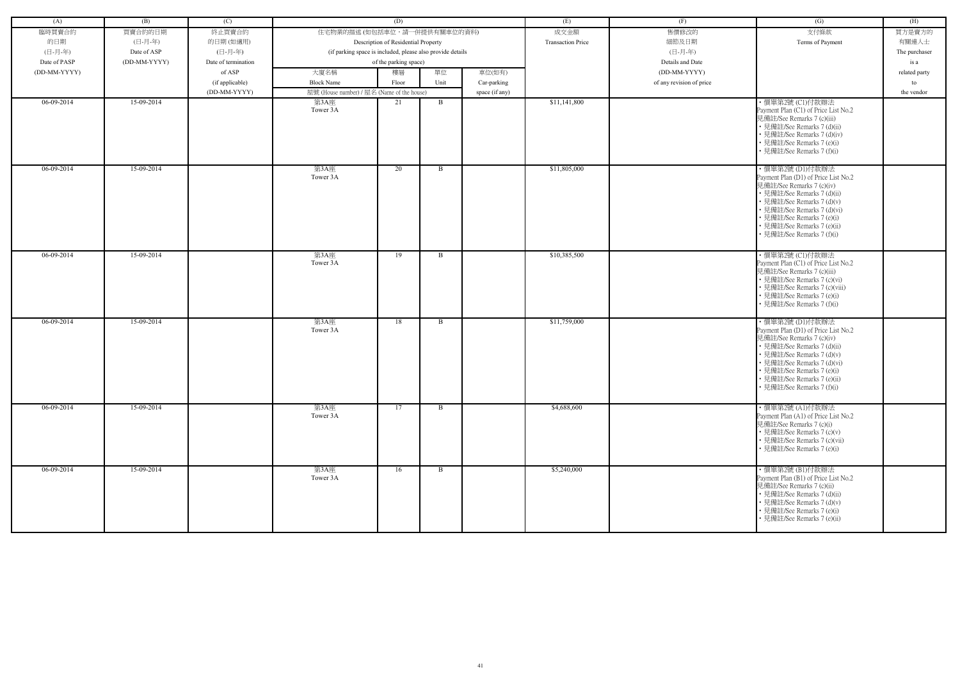| (A)          | (B)          | (C)                 |                                                            | (D)                                 |              |                | (E)                      | (F)                      | (G)                                                                                                                                                                                                                                                                         | (H)           |
|--------------|--------------|---------------------|------------------------------------------------------------|-------------------------------------|--------------|----------------|--------------------------|--------------------------|-----------------------------------------------------------------------------------------------------------------------------------------------------------------------------------------------------------------------------------------------------------------------------|---------------|
| 臨時買賣合約       | 買賣合約的日期      | 終止買賣合約              | 住宅物業的描述 (如包括車位,請一併提供有關車位的資料)                               |                                     |              |                | 成交金額                     | 售價修改的                    | 支付條款                                                                                                                                                                                                                                                                        | 買方是賣方的        |
| 的日期          | (日-月-年)      | 的日期(如適用)            |                                                            | Description of Residential Property |              |                | <b>Transaction Price</b> | 細節及日期                    | Terms of Payment                                                                                                                                                                                                                                                            | 有關連人士         |
| (日-月-年)      | Date of ASP  | (日-月-年)             | (if parking space is included, please also provide details |                                     |              |                |                          | (日-月-年)                  |                                                                                                                                                                                                                                                                             | The purchaser |
| Date of PASP | (DD-MM-YYYY) | Date of termination |                                                            | of the parking space)               |              |                |                          | Details and Date         |                                                                                                                                                                                                                                                                             | is a          |
| (DD-MM-YYYY) |              | of ASP              | 大廈名稱                                                       | 樓層                                  | 單位           | 車位(如有)         |                          | (DD-MM-YYYY)             |                                                                                                                                                                                                                                                                             | related party |
|              |              | (if applicable)     | <b>Block Name</b>                                          | Floor                               | Unit         | Car-parking    |                          | of any revision of price |                                                                                                                                                                                                                                                                             | to            |
|              |              |                     |                                                            |                                     |              |                |                          |                          |                                                                                                                                                                                                                                                                             |               |
|              |              | (DD-MM-YYYY)        | 屋號 (House number) / 屋名 (Name of the house)                 |                                     |              | space (if any) | \$11,141,800             |                          |                                                                                                                                                                                                                                                                             | the vendor    |
| 06-09-2014   | 15-09-2014   |                     | 第3A座<br>Tower 3A                                           | 21                                  | B            |                |                          |                          | ・價單第2號 (C1)付款辦法<br>Payment Plan (C1) of Price List No.2<br>見備註/See Remarks 7 (c)(iii)<br>• 見備註/See Remarks 7 (d)(ii)<br>• 見備註/See Remarks 7 (d)(iv)<br>• 見備註/See Remarks 7 (e)(i)<br>• 見備註/See Remarks 7 (f)(i)                                                             |               |
| 06-09-2014   | 15-09-2014   |                     | 第3A座<br>Tower 3A                                           | 20                                  | $\mathbf{B}$ |                | \$11,805,000             |                          | ・價單第2號 (D1)付款辦法<br>Payment Plan (D1) of Price List No.2<br>見備註/See Remarks 7 (c)(iv)<br>• 見備註/See Remarks 7 (d)(ii)<br>• 見備註/See Remarks 7 (d)(v)<br>• 見備註/See Remarks 7 (d)(vi)<br>• 見備註/See Remarks 7 (e)(i)<br>• 見備註/See Remarks 7 (e)(ii)<br>• 見備註/See Remarks 7 (f)(i) |               |
| 06-09-2014   | 15-09-2014   |                     | 第3A座<br>Tower 3A                                           | 19                                  | $\mathbf{B}$ |                | \$10,385,500             |                          | ・價單第2號 (C1)付款辦法<br>Payment Plan (C1) of Price List No.2<br>見備註/See Remarks 7 (c)(iii)<br>• 見備註/See Remarks 7 (c)(vi)<br>• 見備註/See Remarks 7 (c)(viii)<br>• 見備註/See Remarks 7 (e)(i)<br>• 見備註/See Remarks 7 (f)(i)                                                           |               |
| 06-09-2014   | 15-09-2014   |                     | 第3A座<br>Tower 3A                                           | 18                                  | $\mathbf{B}$ |                | \$11,759,000             |                          | ・價單第2號 (D1)付款辦法<br>Payment Plan (D1) of Price List No.2<br>見備註/See Remarks 7 (c)(iv)<br>• 見備註/See Remarks 7 (d)(ii)<br>• 見備註/See Remarks 7 (d)(v)<br>• 見備註/See Remarks 7 (d)(vi)<br>• 見備註/See Remarks 7 (e)(i)<br>· 見備註/See Remarks 7 (e)(ii)<br>• 見備註/See Remarks 7 (f)(i) |               |
| 06-09-2014   | 15-09-2014   |                     | 第3A座<br>Tower 3A                                           | 17                                  | B            |                | \$4,688,600              |                          | ・價單第2號 (A1)付款辦法<br>Payment Plan (A1) of Price List No.2<br>見備註/See Remarks 7 (c)(i)<br>• 見備註/See Remarks 7 (c)(v)<br>• 見備註/See Remarks 7 (c)(vii)<br>• 見備註/See Remarks 7 (e)(i)                                                                                             |               |
| $06-09-2014$ | 15-09-2014   |                     | 第3A座<br>Tower 3A                                           | 16                                  | $\mathbf{B}$ |                | \$5,240,000              |                          | ・價單第2號 (B1)付款辦法<br>Payment Plan (B1) of Price List No.2<br>見備註/See Remarks 7 (c)(ii)<br>• 見備註/See Remarks 7 (d)(ii)<br>• 見備註/See Remarks 7 (d)(v)<br>• 見備註/See Remarks 7 (e)(i)<br>• 見備註/See Remarks 7 (e)(ii)                                                              |               |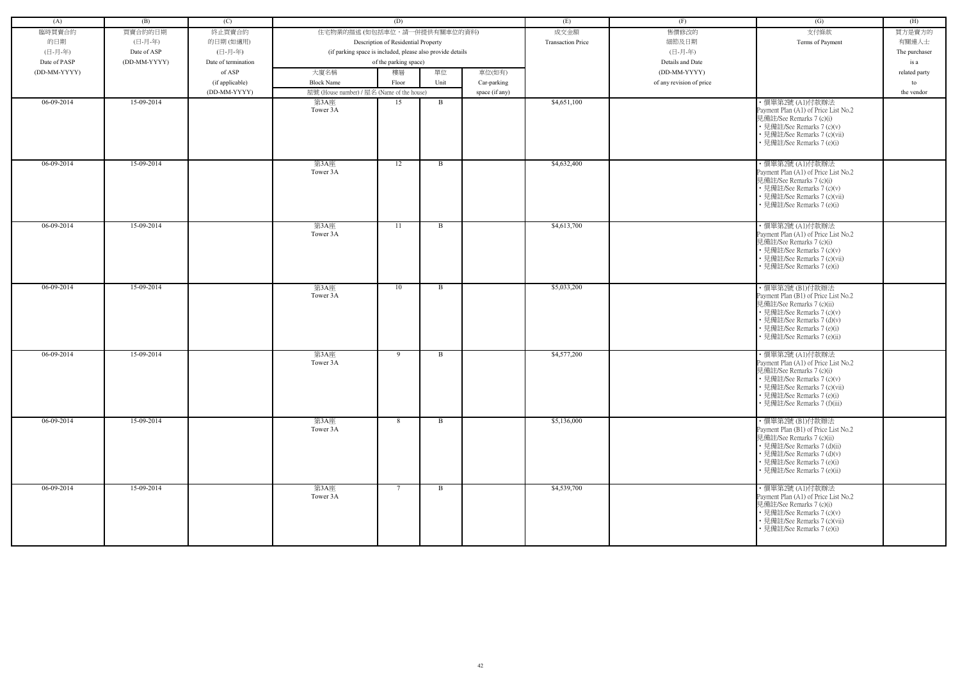| (A)          | (B)          | (C)                 |                                                    | (D)                                                        |              |                | (E)                      | (F)                      | (G)                                                                                                                                                                                                             | (H)           |
|--------------|--------------|---------------------|----------------------------------------------------|------------------------------------------------------------|--------------|----------------|--------------------------|--------------------------|-----------------------------------------------------------------------------------------------------------------------------------------------------------------------------------------------------------------|---------------|
| 臨時買賣合約       | 買賣合約的日期      | 終止買賣合約              | 住宅物業的描述 (如包括車位,請一併提供有關車位的資料)                       |                                                            |              |                | 成交金額                     | 售價修改的                    | 支付條款                                                                                                                                                                                                            | 買方是賣方的        |
| 的日期          | (日-月-年)      | 的日期(如適用)            |                                                    | Description of Residential Property                        |              |                | <b>Transaction Price</b> | 細節及日期                    | Terms of Payment                                                                                                                                                                                                | 有關連人士         |
| (日-月-年)      | Date of ASP  | (日-月-年)             |                                                    | (if parking space is included, please also provide details |              |                |                          | (日-月-年)                  |                                                                                                                                                                                                                 | The purchaser |
| Date of PASP | (DD-MM-YYYY) | Date of termination |                                                    | of the parking space)                                      |              |                |                          | Details and Date         |                                                                                                                                                                                                                 | is a          |
| (DD-MM-YYYY) |              | of ASP              | 大廈名稱                                               | 樓層                                                         | 單位           | 車位(如有)         |                          | (DD-MM-YYYY)             |                                                                                                                                                                                                                 |               |
|              |              |                     | <b>Block Name</b>                                  |                                                            | Unit         |                |                          |                          |                                                                                                                                                                                                                 | related party |
|              |              | (if applicable)     |                                                    | Floor                                                      |              | Car-parking    |                          | of any revision of price |                                                                                                                                                                                                                 | to            |
| 06-09-2014   | 15-09-2014   | (DD-MM-YYYY)        | 屋號 (House number) / 屋名 (Name of the house)<br>第3A座 | 15                                                         | B            | space (if any) | \$4,651,100              |                          | ・價單第2號 (A1)付款辦法                                                                                                                                                                                                 | the vendor    |
|              |              |                     | Tower 3A                                           |                                                            |              |                |                          |                          | Payment Plan (A1) of Price List No.2<br>見備註/See Remarks 7 (c)(i)<br>• 見備註/See Remarks 7 (c)(v)<br>• 見備註/See Remarks 7 (c)(vii)<br>• 見備註/See Remarks 7 (e)(i)                                                    |               |
| $06-09-2014$ | 15-09-2014   |                     | 第3A座<br>Tower 3A                                   | 12                                                         | B            |                | \$4,632,400              |                          | ・價單第2號 (A1)付款辦法<br>Payment Plan (A1) of Price List No.2<br>見備註/See Remarks 7 (c)(i)<br>• 見備註/See Remarks 7 (c)(v)<br>• 見備註/See Remarks 7 (c)(vii)<br>• 見備註/See Remarks 7 (e)(i)                                 |               |
| 06-09-2014   | 15-09-2014   |                     | 第3A座<br>Tower 3A                                   | 11                                                         | B            |                | \$4,613,700              |                          | ・價單第2號 (A1)付款辦法<br>Payment Plan (A1) of Price List No.2<br>見備註/See Remarks 7 (c)(i)<br>• 見備註/See Remarks 7 (c)(v)<br>• 見備註/See Remarks 7 (c)(vii)<br>• 見備註/See Remarks 7 (e)(i)                                 |               |
| 06-09-2014   | 15-09-2014   |                     | 第3A座<br>Tower 3A                                   | 10                                                         | <sub>B</sub> |                | \$5,033,200              |                          | ・價單第2號 (B1)付款辦法<br>Payment Plan (B1) of Price List No.2<br>見備註/See Remarks 7 (c)(ii)<br>• 見備註/See Remarks 7 (c)(v)<br>• 見備註/See Remarks 7 (d)(v)<br>• 見備註/See Remarks 7 (e)(i)<br>· 見備註/See Remarks 7 (e)(ii)   |               |
| 06-09-2014   | 15-09-2014   |                     | 第3A座<br>Tower 3A                                   | 9                                                          | B            |                | \$4,577,200              |                          | ・價單第2號 (A1)付款辦法<br>Payment Plan (A1) of Price List No.2<br>見備註/See Remarks 7 (c)(i)<br>• 見備註/See Remarks 7 (c)(v)<br>• 見備註/See Remarks 7 (c)(vii)<br>• 見備註/See Remarks 7 (e)(i)<br>• 見備註/See Remarks 7 (f)(iii) |               |
| $06-09-2014$ | 15-09-2014   |                     | 第3A座<br>Tower 3A                                   | 8                                                          | $\mathbf{B}$ |                | \$5,136,000              |                          | ・價單第2號 (B1)付款辦法<br>Payment Plan (B1) of Price List No.2<br>見備註/See Remarks 7 (c)(ii)<br>• 見備註/See Remarks 7 (d)(ii)<br>• 見備註/See Remarks 7 (d)(v)<br>• 見備註/See Remarks 7 (e)(i)<br>• 見備註/See Remarks 7 (e)(ii)  |               |
| 06-09-2014   | 15-09-2014   |                     | 第3A座<br>Tower 3A                                   | $7\phantom{.0}$                                            | B            |                | \$4,539,700              |                          | ・價單第2號 (A1)付款辦法<br>Payment Plan (A1) of Price List No.2<br>見備註/See Remarks 7 (c)(i)<br>• 見備註/See Remarks 7 (c)(v)<br>• 見備註/See Remarks 7 (c)(vii)<br>• 見備註/See Remarks 7 (e)(i)                                 |               |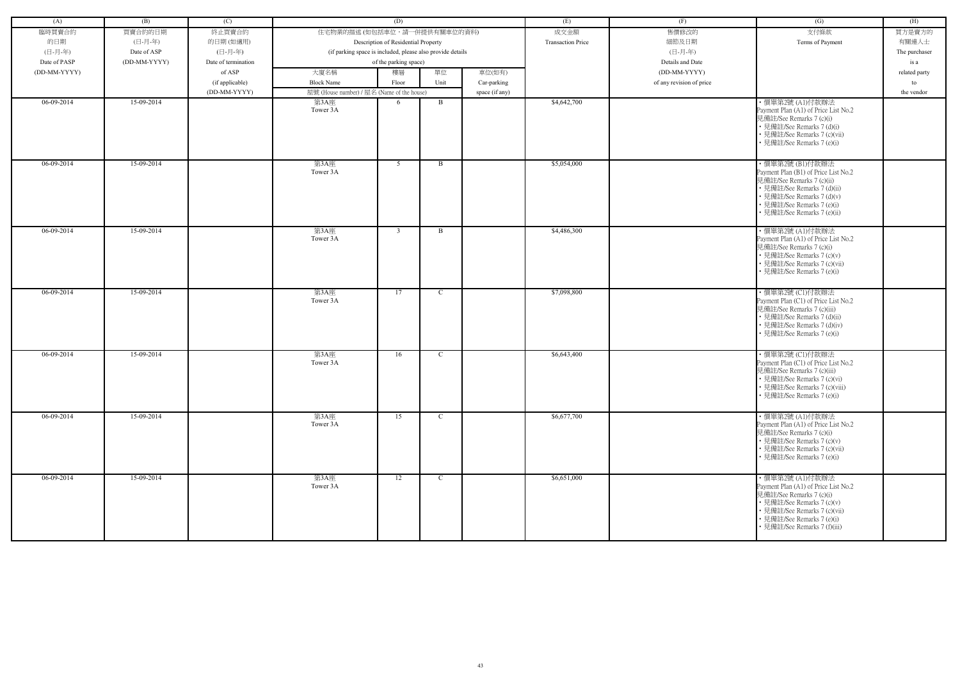| (A)          | (B)          | (C)                 |                                                            | (D)                                 |              |                | (E)                      | (F)                      | (G)                                                                                                                                                                                                             | (H)           |
|--------------|--------------|---------------------|------------------------------------------------------------|-------------------------------------|--------------|----------------|--------------------------|--------------------------|-----------------------------------------------------------------------------------------------------------------------------------------------------------------------------------------------------------------|---------------|
| 臨時買賣合約       | 買賣合約的日期      | 終止買賣合約              | 住宅物業的描述 (如包括車位,請一併提供有關車位的資料)                               |                                     |              |                | 成交金額                     | 售價修改的                    | 支付條款                                                                                                                                                                                                            | 買方是賣方的        |
| 的日期          | (日-月-年)      | 的日期(如適用)            |                                                            | Description of Residential Property |              |                | <b>Transaction Price</b> | 細節及日期                    | Terms of Payment                                                                                                                                                                                                | 有關連人士         |
| (日-月-年)      | Date of ASP  | (日-月-年)             | (if parking space is included, please also provide details |                                     |              |                |                          | (日-月-年)                  |                                                                                                                                                                                                                 | The purchaser |
| Date of PASP | (DD-MM-YYYY) | Date of termination |                                                            | of the parking space)               |              |                |                          | Details and Date         |                                                                                                                                                                                                                 | is a          |
| (DD-MM-YYYY) |              | of ASP              | 大廈名稱                                                       | 樓層                                  | 單位           | 車位(如有)         |                          | (DD-MM-YYYY)             |                                                                                                                                                                                                                 | related party |
|              |              |                     |                                                            |                                     |              |                |                          |                          |                                                                                                                                                                                                                 |               |
|              |              | (if applicable)     | <b>Block Name</b>                                          | Floor                               | Unit         | Car-parking    |                          | of any revision of price |                                                                                                                                                                                                                 | to            |
|              |              | (DD-MM-YYYY)        | 屋號 (House number) / 屋名 (Name of the house)                 |                                     |              | space (if any) |                          |                          |                                                                                                                                                                                                                 | the vendor    |
| 06-09-2014   | 15-09-2014   |                     | 第3A座<br>Tower 3A                                           | 6                                   | B            |                | \$4,642,700              |                          | ・價單第2號 (A1)付款辦法<br>Payment Plan (A1) of Price List No.2<br>見備註/See Remarks 7 (c)(i)<br>• 見備註/See Remarks 7 (d)(i)<br>• 見備註/See Remarks 7 (c)(vii)<br>• 見備註/See Remarks 7 (e)(i)                                 |               |
| $06-09-2014$ | 15-09-2014   |                     | 第3A座<br>Tower 3A                                           | 5                                   | B            |                | \$5,054,000              |                          | ・價單第2號 (B1)付款辦法<br>Payment Plan (B1) of Price List No.2<br>見備註/See Remarks 7 (c)(ii)<br>• 見備註/See Remarks 7 (d)(ii)<br>• 見備註/See Remarks 7 (d)(v)<br>• 見備註/See Remarks 7 (e)(i)<br>• 見備註/See Remarks 7 (e)(ii)  |               |
| 06-09-2014   | 15-09-2014   |                     | 第3A座<br>Tower 3A                                           | $\overline{3}$                      | B            |                | \$4,486,300              |                          | ・價單第2號 (A1)付款辦法<br>Payment Plan (A1) of Price List No.2<br>見備註/See Remarks 7 (c)(i)<br>• 見備註/See Remarks 7 (c)(v)<br>• 見備註/See Remarks 7 (c)(vii)<br>• 見備註/See Remarks 7 (e)(i)                                 |               |
| 06-09-2014   | 15-09-2014   |                     | 第3A座<br>Tower 3A                                           | 17                                  | C            |                | \$7,098,800              |                          | ·價單第2號 (C1)付款辦法<br>Payment Plan (C1) of Price List No.2<br>見備註/See Remarks 7 (c)(iii)<br>• 見備註/See Remarks 7 (d)(ii)<br>• 見備註/See Remarks 7 (d)(iv)<br>• 見備註/See Remarks 7 (e)(i)                               |               |
| 06-09-2014   | 15-09-2014   |                     | 第3A座<br>Tower 3A                                           | 16                                  | $\mathbf{C}$ |                | \$6,643,400              |                          | ・價單第2號 (C1)付款辦法<br>Payment Plan (C1) of Price List No.2<br>見備註/See Remarks 7 (c)(iii)<br>• 見備註/See Remarks 7 (c)(vi)<br>• 見備註/See Remarks 7 (c)(viii)<br>• 見備註/See Remarks 7 (e)(i)                             |               |
| 06-09-2014   | 15-09-2014   |                     | 第3A座<br>Tower 3A                                           | 15                                  | $\mathbf C$  |                | \$6,677,700              |                          | ・價單第2號 (A1)付款辦法<br>Payment Plan (A1) of Price List No.2<br>見備註/See Remarks 7 (c)(i)<br>• 見備註/See Remarks 7 (c)(v)<br>• 見備註/See Remarks 7 (c)(vii)<br>• 見備註/See Remarks 7 (e)(i)                                 |               |
| $06-09-2014$ | 15-09-2014   |                     | 第3A座<br>Tower 3A                                           | 12                                  | $\mathbf{C}$ |                | \$6,651,000              |                          | ・價單第2號 (A1)付款辦法<br>Payment Plan (A1) of Price List No.2<br>見備註/See Remarks 7 (c)(i)<br>• 見備註/See Remarks 7 (c)(v)<br>• 見備註/See Remarks 7 (c)(vii)<br>• 見備註/See Remarks 7 (e)(i)<br>• 見備註/See Remarks 7 (f)(iii) |               |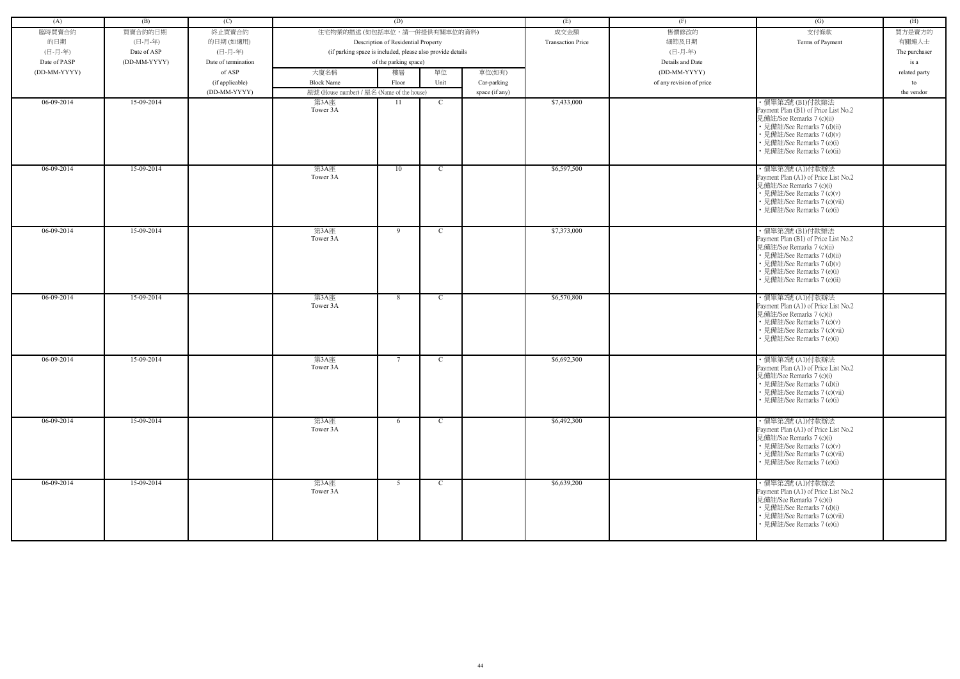| (A)          | (B)          | (C)                 |                                            | (D)                                                        |              |                | (E)                      | (F)                      | (G)                                                                                                                                                                                                            | (H)           |
|--------------|--------------|---------------------|--------------------------------------------|------------------------------------------------------------|--------------|----------------|--------------------------|--------------------------|----------------------------------------------------------------------------------------------------------------------------------------------------------------------------------------------------------------|---------------|
|              | 買賣合約的日期      |                     | 住宅物業的描述 (如包括車位,請一併提供有關車位的資料)               |                                                            |              |                |                          | 售價修改的                    | 支付條款                                                                                                                                                                                                           |               |
| 臨時買賣合約       |              | 終止買賣合約              |                                            |                                                            |              |                | 成交金額                     |                          |                                                                                                                                                                                                                | 買方是賣方的        |
| 的日期          | (日-月-年)      | 的日期(如適用)            |                                            | Description of Residential Property                        |              |                | <b>Transaction Price</b> | 細節及日期                    | Terms of Payment                                                                                                                                                                                               | 有關連人士         |
| (日-月-年)      | Date of ASP  | (日-月-年)             |                                            | (if parking space is included, please also provide details |              |                |                          | (日-月-年)                  |                                                                                                                                                                                                                | The purchaser |
| Date of PASP | (DD-MM-YYYY) | Date of termination |                                            | of the parking space)                                      |              |                |                          | Details and Date         |                                                                                                                                                                                                                | is a          |
| (DD-MM-YYYY) |              | of ASP              | 大廈名稱                                       | 樓層                                                         | 單位           | 車位(如有)         |                          | (DD-MM-YYYY)             |                                                                                                                                                                                                                | related party |
|              |              | (if applicable)     | <b>Block Name</b>                          | Floor                                                      | Unit         | Car-parking    |                          | of any revision of price |                                                                                                                                                                                                                | to            |
|              |              | (DD-MM-YYYY)        | 屋號 (House number) / 屋名 (Name of the house) |                                                            |              | space (if any) |                          |                          |                                                                                                                                                                                                                | the vendor    |
| 06-09-2014   | 15-09-2014   |                     | 第3A座<br>Tower 3A                           | 11                                                         | $\mathbf C$  |                | \$7,433,000              |                          | ・價單第2號 (B1)付款辦法<br>Payment Plan (B1) of Price List No.2<br>見備註/See Remarks 7 (c)(ii)<br>• 見備註/See Remarks 7 (d)(ii)<br>• 見備註/See Remarks 7 (d)(v)<br>• 見備註/See Remarks 7 (e)(i)<br>· 見備註/See Remarks 7 (e)(ii) |               |
| $06-09-2014$ | 15-09-2014   |                     | 第3A座<br>Tower 3A                           | 10                                                         | $\mathbf C$  |                | \$6,597,500              |                          | ·價單第2號 (A1)付款辦法<br>Payment Plan (A1) of Price List No.2<br>見備註/See Remarks 7 (c)(i)<br>• 見備註/See Remarks 7 (c)(v)<br>• 見備註/See Remarks 7 (c)(vii)<br>• 見備註/See Remarks 7 (e)(i)                                |               |
| $06-09-2014$ | 15-09-2014   |                     | 第3A座<br>Tower 3A                           | 9                                                          | $\mathbf C$  |                | \$7,373,000              |                          | ・價單第2號 (B1)付款辦法<br>Payment Plan (B1) of Price List No.2<br>見備註/See Remarks 7 (c)(ii)<br>• 見備註/See Remarks 7 (d)(ii)<br>• 見備註/See Remarks 7 (d)(v)<br>• 見備註/See Remarks 7 (e)(i)<br>• 見備註/See Remarks 7 (e)(ii) |               |
| 06-09-2014   | 15-09-2014   |                     | 第3A座<br>Tower 3A                           | 8                                                          | $\mathbf C$  |                | \$6,570,800              |                          | ・價單第2號 (A1)付款辦法<br>Payment Plan (A1) of Price List No.2<br>見備註/See Remarks 7 (c)(i)<br>• 見備註/See Remarks 7 (c)(v)<br>• 見備註/See Remarks 7 (c)(vii)<br>• 見備註/See Remarks 7 (e)(i)                                |               |
| 06-09-2014   | 15-09-2014   |                     | 第3A座<br>Tower 3A                           | $7\phantom{.0}$                                            | $\mathbf C$  |                | \$6,692,300              |                          | ・價單第2號 (A1)付款辦法<br>Payment Plan (A1) of Price List No.2<br>見備註/See Remarks 7 (c)(i)<br>• 見備註/See Remarks 7 (d)(i)<br>• 見備註/See Remarks 7 (c)(vii)<br>• 見備註/See Remarks 7 (e)(i)                                |               |
| $06-09-2014$ | 15-09-2014   |                     | 第3A座<br>Tower 3A                           | 6                                                          | $\mathbf{C}$ |                | \$6,492,300              |                          | ・價單第2號 (A1)付款辦法<br>Payment Plan (A1) of Price List No.2<br>見備註/See Remarks 7 (c)(i)<br>• 見備註/See Remarks 7 (c)(v)<br>• 見備註/See Remarks 7 (c)(vii)<br>• 見備註/See Remarks 7 (e)(i)                                |               |
| $06-09-2014$ | 15-09-2014   |                     | 第3A座<br>Tower 3A                           | 5                                                          | $\mathbf{C}$ |                | \$6,639,200              |                          | ・價單第2號 (A1)付款辦法<br>Payment Plan (A1) of Price List No.2<br>見備註/See Remarks 7 (c)(i)<br>• 見備註/See Remarks 7 (d)(i)<br>• 見備註/See Remarks 7 (c)(vii)<br>• 見備註/See Remarks 7 (e)(i)                                |               |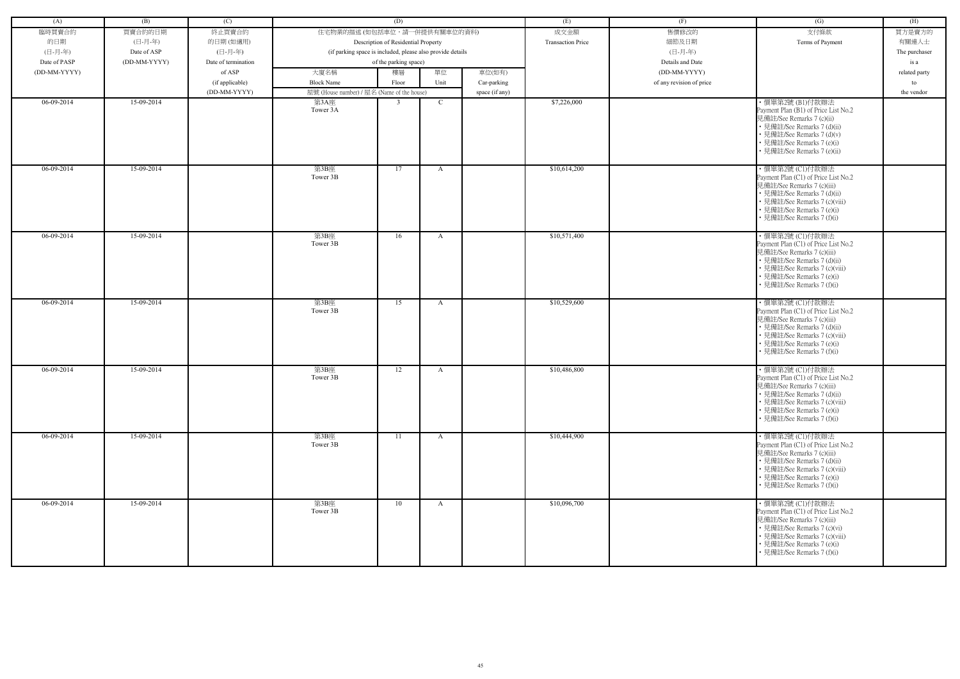| (A)          | (B)          | (C)                 |                                            | (D)                                                        |              |                | (E)                      | (F)                      | (G)                                                                                                                                                                                                               | (H)           |
|--------------|--------------|---------------------|--------------------------------------------|------------------------------------------------------------|--------------|----------------|--------------------------|--------------------------|-------------------------------------------------------------------------------------------------------------------------------------------------------------------------------------------------------------------|---------------|
| 臨時買賣合約       | 買賣合約的日期      | 終止買賣合約              | 住宅物業的描述 (如包括車位,請一併提供有關車位的資料)               |                                                            |              |                | 成交金額                     | 售價修改的                    | 支付條款                                                                                                                                                                                                              | 買方是賣方的        |
| 的日期          | (日-月-年)      | 的日期(如適用)            |                                            | Description of Residential Property                        |              |                | <b>Transaction Price</b> | 細節及日期                    | Terms of Payment                                                                                                                                                                                                  | 有關連人士         |
| (日-月-年)      | Date of ASP  | (日-月-年)             |                                            | (if parking space is included, please also provide details |              |                |                          | (日-月-年)                  |                                                                                                                                                                                                                   | The purchaser |
| Date of PASP | (DD-MM-YYYY) | Date of termination |                                            | of the parking space)                                      |              |                |                          | Details and Date         |                                                                                                                                                                                                                   | is a          |
| (DD-MM-YYYY) |              | of ASP              | 大廈名稱                                       | 樓層                                                         | 單位           | 車位(如有)         |                          | (DD-MM-YYYY)             |                                                                                                                                                                                                                   | related party |
|              |              | (if applicable)     | <b>Block Name</b>                          | Floor                                                      | Unit         | Car-parking    |                          | of any revision of price |                                                                                                                                                                                                                   | to            |
|              |              | (DD-MM-YYYY)        | 屋號 (House number) / 屋名 (Name of the house) |                                                            |              | space (if any) |                          |                          |                                                                                                                                                                                                                   | the vendor    |
| 06-09-2014   | 15-09-2014   |                     | 第3A座                                       | $\overline{3}$                                             | $\mathbf{C}$ |                | \$7,226,000              |                          | ・價單第2號 (B1)付款辦法                                                                                                                                                                                                   |               |
|              |              |                     | Tower 3A                                   |                                                            |              |                |                          |                          | Payment Plan (B1) of Price List No.2<br>見備註/See Remarks 7 (c)(ii)<br>• 見備註/See Remarks 7 (d)(ii)<br>• 見備註/See Remarks 7 (d)(v)<br>• 見備註/See Remarks 7 (e)(i)<br>· 見備註/See Remarks 7 (e)(ii)                       |               |
| 06-09-2014   | 15-09-2014   |                     | 第3B座<br>Tower 3B                           | 17                                                         | A            |                | \$10,614,200             |                          | ・價單第2號 (C1)付款辦法<br>Payment Plan (C1) of Price List No.2<br>見備註/See Remarks 7 (c)(iii)<br>• 見備註/See Remarks 7 (d)(ii)<br>• 見備註/See Remarks 7 (c)(viii)<br>• 見備註/See Remarks 7 (e)(i)<br>• 見備註/See Remarks 7 (f)(i) |               |
| 06-09-2014   | 15-09-2014   |                     | 第3B座<br>Tower 3B                           | 16                                                         | A            |                | \$10,571,400             |                          | ・價單第2號 (C1)付款辦法<br>Payment Plan (C1) of Price List No.2<br>見備註/See Remarks 7 (c)(iii)<br>• 見備註/See Remarks 7 (d)(ii)<br>• 見備註/See Remarks 7 (c)(viii)<br>• 見備註/See Remarks 7 (e)(i)<br>• 見備註/See Remarks 7 (f)(i) |               |
| $06-09-2014$ | 15-09-2014   |                     | 第3B座<br>Tower 3B                           | 15                                                         | $\mathbf{A}$ |                | \$10,529,600             |                          | ・價單第2號 (C1)付款辦法<br>Payment Plan (C1) of Price List No.2<br>見備註/See Remarks 7 (c)(iii)<br>• 見備註/See Remarks 7 (d)(ii)<br>• 見備註/See Remarks 7 (c)(viii)<br>• 見備註/See Remarks 7 (e)(i)<br>• 見備註/See Remarks 7 (f)(i) |               |
| 06-09-2014   | 15-09-2014   |                     | 第3B座<br>Tower 3B                           | 12                                                         | A            |                | \$10,486,800             |                          | ・價單第2號 (C1)付款辦法<br>Payment Plan (C1) of Price List No.2<br>見備註/See Remarks 7 (c)(iii)<br>• 見備註/See Remarks 7 (d)(ii)<br>• 見備註/See Remarks 7 (c)(viii)<br>• 見備註/See Remarks 7 (e)(i)<br>• 見備註/See Remarks 7 (f)(i) |               |
| 06-09-2014   | 15-09-2014   |                     | 第3B座<br>Tower 3B                           | 11                                                         | $\mathbf{A}$ |                | \$10,444,900             |                          | ・價單第2號 (C1)付款辦法<br>Payment Plan (C1) of Price List No.2<br>見備註/See Remarks 7 (c)(iii)<br>• 見備註/See Remarks 7 (d)(ii)<br>• 見備註/See Remarks 7 (c)(viii)<br>• 見備註/See Remarks 7 (e)(i)<br>• 見備註/See Remarks 7 (f)(i) |               |
| $06-09-2014$ | 15-09-2014   |                     | 第3B座<br>Tower 3B                           | 10                                                         | $\mathbf{A}$ |                | \$10,096,700             |                          | ・價單第2號 (C1)付款辦法<br>Payment Plan (C1) of Price List No.2<br>見備註/See Remarks 7 (c)(iii)<br>• 見備註/See Remarks 7 (c)(vi)<br>• 見備註/See Remarks 7 (c)(viii)<br>• 見備註/See Remarks 7 (e)(i)<br>• 見備註/See Remarks 7 (f)(i) |               |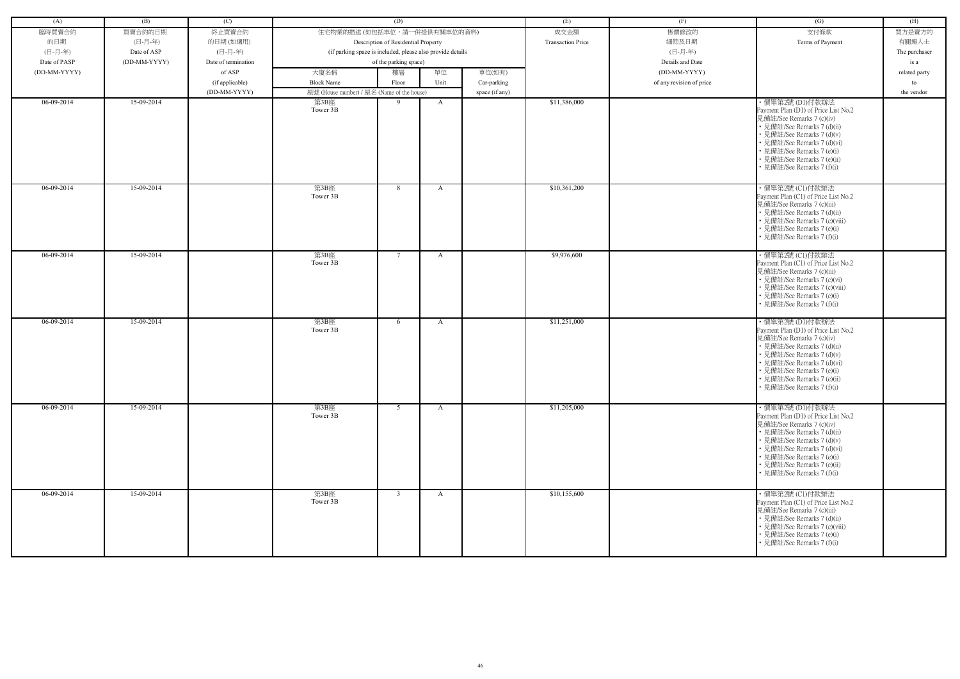| (A)          | (B)          | (C)                 |                                            | (D)                                                        |              |                | (E)                      | (F)                      | (G)                                                                                                                                                                                                                                                                         | (H)           |
|--------------|--------------|---------------------|--------------------------------------------|------------------------------------------------------------|--------------|----------------|--------------------------|--------------------------|-----------------------------------------------------------------------------------------------------------------------------------------------------------------------------------------------------------------------------------------------------------------------------|---------------|
| 臨時買賣合約       | 買賣合約的日期      | 終止買賣合約              | 住宅物業的描述 (如包括車位,請一併提供有關車位的資料)               |                                                            |              |                | 成交金額                     | 售價修改的                    | 支付條款                                                                                                                                                                                                                                                                        | 買方是賣方的        |
| 的日期          | (日-月-年)      | 的日期(如適用)            |                                            | Description of Residential Property                        |              |                | <b>Transaction Price</b> | 細節及日期                    | Terms of Payment                                                                                                                                                                                                                                                            | 有關連人士         |
| (日-月-年)      | Date of ASP  | (日-月-年)             |                                            | (if parking space is included, please also provide details |              |                |                          | (日-月-年)                  |                                                                                                                                                                                                                                                                             | The purchaser |
| Date of PASP | (DD-MM-YYYY) | Date of termination |                                            | of the parking space)                                      |              |                |                          | Details and Date         |                                                                                                                                                                                                                                                                             | is a          |
| (DD-MM-YYYY) |              | of ASP              | 大廈名稱                                       | 樓層                                                         | 單位           | 車位(如有)         |                          | (DD-MM-YYYY)             |                                                                                                                                                                                                                                                                             | related party |
|              |              | (if applicable)     | <b>Block Name</b>                          | Floor                                                      | Unit         | Car-parking    |                          | of any revision of price |                                                                                                                                                                                                                                                                             | to            |
|              |              | (DD-MM-YYYY)        | 屋號 (House number) / 屋名 (Name of the house) |                                                            |              | space (if any) |                          |                          |                                                                                                                                                                                                                                                                             | the vendor    |
| 06-09-2014   | 15-09-2014   |                     | 第3B座                                       | 9                                                          | A            |                | \$11,386,000             |                          | ・價單第2號 (D1)付款辦法                                                                                                                                                                                                                                                             |               |
|              |              |                     | Tower 3B                                   |                                                            |              |                |                          |                          | Payment Plan (D1) of Price List No.2<br>見備註/See Remarks 7 (c)(iv)<br>• 見備註/See Remarks 7 (d)(ii)<br>• 見備註/See Remarks 7 (d)(v)<br>• 見備註/See Remarks 7 (d)(vi)<br>• 見備註/See Remarks 7 (e)(i)<br>• 見備註/See Remarks 7 (e)(ii)<br>• 見備註/See Remarks 7 (f)(i)                    |               |
| $06-09-2014$ | 15-09-2014   |                     | 第3B座<br>Tower 3B                           | 8                                                          | A            |                | \$10,361,200             |                          | ・價單第2號 (C1)付款辦法<br>Payment Plan (C1) of Price List No.2<br>見備註/See Remarks 7 (c)(iii)<br>• 見備註/See Remarks 7 (d)(ii)<br>• 見備註/See Remarks 7 (c)(viii)<br>• 見備註/See Remarks 7 (e)(i)<br>• 見備註/See Remarks 7 (f)(i)                                                           |               |
| 06-09-2014   | 15-09-2014   |                     | 第3B座<br>Tower 3B                           | 7                                                          | A            |                | \$9,976,600              |                          | ・價單第2號 (C1)付款辦法<br>Payment Plan (C1) of Price List No.2<br>見備註/See Remarks 7 (c)(iii)<br>• 見備註/See Remarks 7 (c)(vi)<br>• 見備註/See Remarks 7 (c)(viii)<br>• 見備註/See Remarks 7 (e)(i)<br>• 見備註/See Remarks 7 (f)(i)                                                           |               |
| 06-09-2014   | 15-09-2014   |                     | 第3B座<br>Tower 3B                           | 6                                                          | A            |                | \$11,251,000             |                          | ·價單第2號(D1)付款辦法<br>Payment Plan (D1) of Price List No.2<br>見備註/See Remarks 7 (c)(iv)<br>• 見備註/See Remarks 7 (d)(ii)<br>• 見備註/See Remarks 7 (d)(v)<br>• 見備註/See Remarks 7 (d)(vi)<br>• 見備註/See Remarks 7 (e)(i)<br>• 見備註/See Remarks 7 (e)(ii)<br>• 見備註/See Remarks 7 (f)(i)  |               |
| 06-09-2014   | 15-09-2014   |                     | 第3B座<br>Tower 3B                           | 5                                                          | $\mathbf{A}$ |                | \$11,205,000             |                          | ・價單第2號 (D1)付款辦法<br>Payment Plan (D1) of Price List No.2<br>見備註/See Remarks 7 (c)(iv)<br>• 見備註/See Remarks 7 (d)(ii)<br>• 見備註/See Remarks 7 (d)(v)<br>• 見備註/See Remarks 7 (d)(vi)<br>• 見備註/See Remarks 7 (e)(i)<br>• 見備註/See Remarks 7 (e)(ii)<br>• 見備註/See Remarks 7 (f)(i) |               |
| 06-09-2014   | 15-09-2014   |                     | 第3B座<br>Tower 3B                           | $\overline{3}$                                             | $\mathbf{A}$ |                | \$10,155,600             |                          | ・價單第2號 (C1)付款辦法<br>Payment Plan (C1) of Price List No.2<br>見備註/See Remarks 7 (c)(iii)<br>• 見備註/See Remarks 7 (d)(ii)<br>• 見備註/See Remarks 7 (c)(viii)<br>• 見備註/See Remarks 7 (e)(i)<br>• 見備註/See Remarks 7 (f)(i)                                                           |               |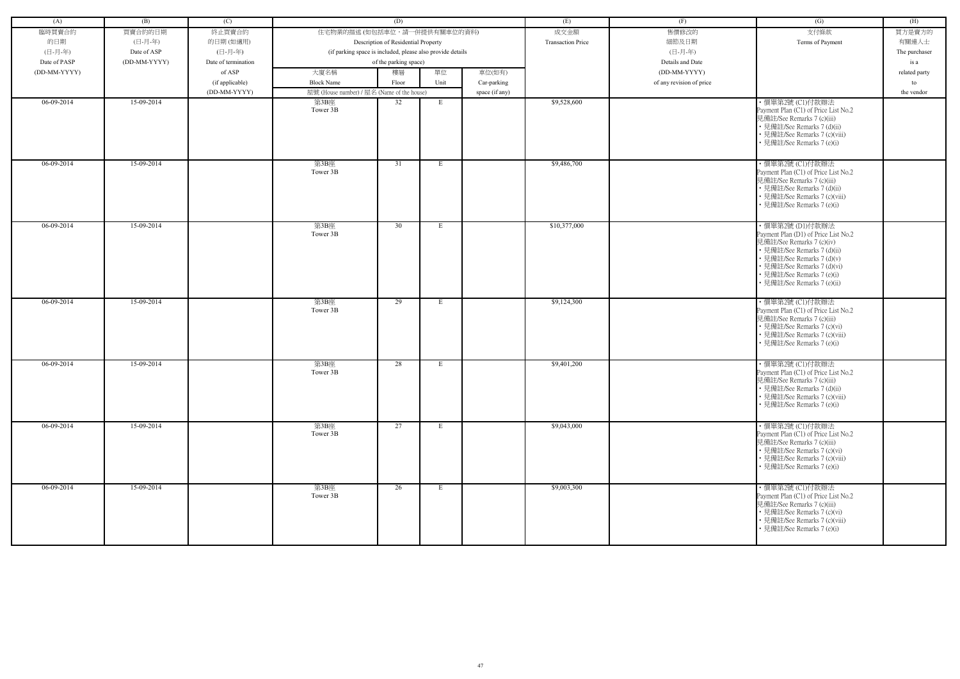| (A)          | (B)          | (C)                 |                                                            | (D)                                 |      |                | (E)                      | (F)                      | (G)                                                                | (H)           |
|--------------|--------------|---------------------|------------------------------------------------------------|-------------------------------------|------|----------------|--------------------------|--------------------------|--------------------------------------------------------------------|---------------|
| 臨時買賣合約       | 買賣合約的日期      | 終止買賣合約              | 住宅物業的描述 (如包括車位,請一併提供有關車位的資料)                               |                                     |      |                | 成交金額                     | 售價修改的                    | 支付條款                                                               | 買方是賣方的        |
| 的日期          | (日-月-年)      | 的日期(如適用)            |                                                            | Description of Residential Property |      |                | <b>Transaction Price</b> | 細節及日期                    | Terms of Payment                                                   | 有關連人士         |
| (日-月-年)      | Date of ASP  | (日-月-年)             | (if parking space is included, please also provide details |                                     |      |                |                          | (日-月-年)                  |                                                                    | The purchaser |
| Date of PASP | (DD-MM-YYYY) | Date of termination |                                                            | of the parking space)               |      |                |                          | Details and Date         |                                                                    | is a          |
| (DD-MM-YYYY) |              | of ASP              | 大廈名稱                                                       | 樓層                                  | 單位   | 車位(如有)         |                          | (DD-MM-YYYY)             |                                                                    | related party |
|              |              | (if applicable)     | <b>Block Name</b>                                          | Floor                               | Unit | Car-parking    |                          | of any revision of price |                                                                    | to            |
|              |              | (DD-MM-YYYY)        | 屋號 (House number) / 屋名 (Name of the house)                 |                                     |      | space (if any) |                          |                          |                                                                    | the vendor    |
| 06-09-2014   | 15-09-2014   |                     | 第3B座                                                       | 32                                  | E    |                | \$9,528,600              |                          | ·價單第2號 (C1)付款辦法                                                    |               |
|              |              |                     | Tower 3B                                                   |                                     |      |                |                          |                          | Payment Plan (C1) of Price List No.2<br>見備註/See Remarks 7 (c)(iii) |               |
|              |              |                     |                                                            |                                     |      |                |                          |                          | • 見備註/See Remarks 7 (d)(ii)                                        |               |
|              |              |                     |                                                            |                                     |      |                |                          |                          | • 見備註/See Remarks 7 (c)(viii)                                      |               |
|              |              |                     |                                                            |                                     |      |                |                          |                          | • 見備註/See Remarks 7 (e)(i)                                         |               |
|              |              |                     |                                                            |                                     |      |                |                          |                          |                                                                    |               |
| $06-09-2014$ | 15-09-2014   |                     | 第3B座<br>Tower 3B                                           | 31                                  | E    |                | \$9,486,700              |                          | ・價單第2號 (C1)付款辦法<br>Payment Plan (C1) of Price List No.2            |               |
|              |              |                     |                                                            |                                     |      |                |                          |                          | 見備註/See Remarks 7 (c)(iii)                                         |               |
|              |              |                     |                                                            |                                     |      |                |                          |                          | • 見備註/See Remarks 7 (d)(ii)                                        |               |
|              |              |                     |                                                            |                                     |      |                |                          |                          | • 見備註/See Remarks 7 (c)(viii)                                      |               |
|              |              |                     |                                                            |                                     |      |                |                          |                          | • 見備註/See Remarks 7 (e)(i)                                         |               |
| 06-09-2014   | 15-09-2014   |                     | 第3B座                                                       | 30                                  | E    |                | \$10,377,000             |                          | ・價單第2號(D1)付款辦法                                                     |               |
|              |              |                     | Tower 3B                                                   |                                     |      |                |                          |                          | Payment Plan (D1) of Price List No.2                               |               |
|              |              |                     |                                                            |                                     |      |                |                          |                          | 見備註/See Remarks 7 (c)(iv)<br>• 見備註/See Remarks 7 (d)(ii)           |               |
|              |              |                     |                                                            |                                     |      |                |                          |                          | • 見備註/See Remarks 7 (d)(v)                                         |               |
|              |              |                     |                                                            |                                     |      |                |                          |                          | • 見備註/See Remarks 7 (d)(vi)                                        |               |
|              |              |                     |                                                            |                                     |      |                |                          |                          | • 見備註/See Remarks 7 (e)(i)                                         |               |
|              |              |                     |                                                            |                                     |      |                |                          |                          | · 見備註/See Remarks 7 (e)(ii)                                        |               |
| 06-09-2014   | 15-09-2014   |                     | 第3B座                                                       | 29                                  | E    |                | \$9,124,300              |                          | ・價單第2號 (C1)付款辦法                                                    |               |
|              |              |                     | Tower 3B                                                   |                                     |      |                |                          |                          | Payment Plan (C1) of Price List No.2                               |               |
|              |              |                     |                                                            |                                     |      |                |                          |                          | 見備註/See Remarks 7 (c)(iii)<br>• 見備註/See Remarks 7 (c)(vi)          |               |
|              |              |                     |                                                            |                                     |      |                |                          |                          | • 見備註/See Remarks 7 (c)(viii)                                      |               |
|              |              |                     |                                                            |                                     |      |                |                          |                          | • 見備註/See Remarks 7 (e)(i)                                         |               |
|              |              |                     |                                                            |                                     |      |                |                          |                          |                                                                    |               |
| 06-09-2014   | 15-09-2014   |                     | 第3B座<br>Tower 3B                                           | 28                                  | Е    |                | \$9,401,200              |                          | ·價單第2號 (C1)付款辦法                                                    |               |
|              |              |                     |                                                            |                                     |      |                |                          |                          | Payment Plan (C1) of Price List No.2<br>見備註/See Remarks 7 (c)(iii) |               |
|              |              |                     |                                                            |                                     |      |                |                          |                          | • 見備註/See Remarks 7 (d)(ii)                                        |               |
|              |              |                     |                                                            |                                     |      |                |                          |                          | • 見備註/See Remarks 7 (c)(viii)                                      |               |
|              |              |                     |                                                            |                                     |      |                |                          |                          | • 見備註/See Remarks 7 (e)(i)                                         |               |
| 06-09-2014   | 15-09-2014   |                     | 第3B座                                                       | 27                                  | E    |                | \$9,043,000              |                          | ・價單第2號 (C1)付款辦法                                                    |               |
|              |              |                     | Tower 3B                                                   |                                     |      |                |                          |                          | Payment Plan (C1) of Price List No.2                               |               |
|              |              |                     |                                                            |                                     |      |                |                          |                          | 見備註/See Remarks 7 (c)(iii)                                         |               |
|              |              |                     |                                                            |                                     |      |                |                          |                          | • 見備註/See Remarks 7 (c)(vi)<br>• 見備註/See Remarks 7 (c)(viii)       |               |
|              |              |                     |                                                            |                                     |      |                |                          |                          | • 見備註/See Remarks 7 (e)(i)                                         |               |
|              |              |                     |                                                            |                                     |      |                |                          |                          |                                                                    |               |
| $06-09-2014$ | 15-09-2014   |                     | 第3B座<br>Tower 3B                                           | 26                                  | E    |                | \$9,003,300              |                          | ・價單第2號 (C1)付款辦法                                                    |               |
|              |              |                     |                                                            |                                     |      |                |                          |                          | Payment Plan (C1) of Price List No.2<br>見備註/See Remarks 7 (c)(iii) |               |
|              |              |                     |                                                            |                                     |      |                |                          |                          | • 見備註/See Remarks 7 (c)(vi)                                        |               |
|              |              |                     |                                                            |                                     |      |                |                          |                          | • 見備註/See Remarks 7 (c)(viii)                                      |               |
|              |              |                     |                                                            |                                     |      |                |                          |                          | • 見備註/See Remarks 7 (e)(i)                                         |               |
|              |              |                     |                                                            |                                     |      |                |                          |                          |                                                                    |               |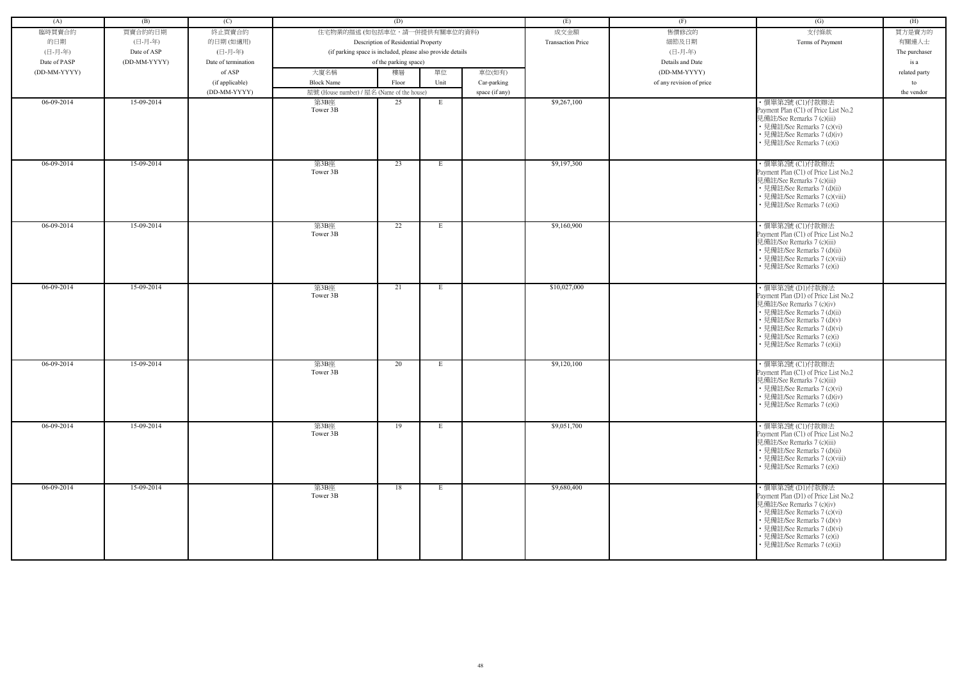| (A)          | (B)          | (C)                 |                                                            | (D)                                 |      |                | (E)                      | (F)                      | (G)                                                                                                                                                                                                                                           | (H)           |
|--------------|--------------|---------------------|------------------------------------------------------------|-------------------------------------|------|----------------|--------------------------|--------------------------|-----------------------------------------------------------------------------------------------------------------------------------------------------------------------------------------------------------------------------------------------|---------------|
| 臨時買賣合約       | 買賣合約的日期      | 終止買賣合約              | 住宅物業的描述 (如包括車位,請一併提供有關車位的資料)                               |                                     |      |                | 成交金額                     | 售價修改的                    | 支付條款                                                                                                                                                                                                                                          | 買方是賣方的        |
| 的日期          | (日-月-年)      | 的日期(如適用)            |                                                            |                                     |      |                | <b>Transaction Price</b> | 細節及日期                    |                                                                                                                                                                                                                                               | 有關連人士         |
| (日-月-年)      |              | (日-月-年)             |                                                            | Description of Residential Property |      |                |                          | (日-月-年)                  | Terms of Payment                                                                                                                                                                                                                              |               |
|              | Date of ASP  |                     | (if parking space is included, please also provide details |                                     |      |                |                          |                          |                                                                                                                                                                                                                                               | The purchaser |
| Date of PASP | (DD-MM-YYYY) | Date of termination |                                                            | of the parking space)               |      |                |                          | Details and Date         |                                                                                                                                                                                                                                               | is a          |
| (DD-MM-YYYY) |              | of ASP              | 大廈名稱                                                       | 樓層                                  | 單位   | 車位(如有)         |                          | (DD-MM-YYYY)             |                                                                                                                                                                                                                                               | related party |
|              |              | (if applicable)     | <b>Block Name</b>                                          | Floor                               | Unit | Car-parking    |                          | of any revision of price |                                                                                                                                                                                                                                               | to            |
|              |              | (DD-MM-YYYY)        | 屋號 (House number) / 屋名 (Name of the house)                 |                                     |      | space (if any) |                          |                          |                                                                                                                                                                                                                                               | the vendor    |
| 06-09-2014   | 15-09-2014   |                     | 第3B座<br>Tower 3B                                           | 25                                  | E    |                | \$9,267,100              |                          | ·價單第2號 (C1)付款辦法<br>Payment Plan (C1) of Price List No.2<br>見備註/See Remarks 7 (c)(iii)<br>• 見備註/See Remarks 7 (c)(vi)<br>• 見備註/See Remarks 7 (d)(iv)<br>• 見備註/See Remarks 7 (e)(i)                                                             |               |
| $06-09-2014$ | 15-09-2014   |                     | 第3B座<br>Tower 3B                                           | 23                                  | E    |                | \$9,197,300              |                          | ・價單第2號 (C1)付款辦法<br>Payment Plan (C1) of Price List No.2<br>見備註/See Remarks 7 (c)(iii)<br>• 見備註/See Remarks 7 (d)(ii)<br>• 見備註/See Remarks 7 (c)(viii)<br>• 見備註/See Remarks 7 (e)(i)                                                           |               |
| 06-09-2014   | 15-09-2014   |                     | 第3B座<br>Tower 3B                                           | 22                                  | E    |                | \$9,160,900              |                          | ・價單第2號 (C1)付款辦法<br>Payment Plan (C1) of Price List No.2<br>見備註/See Remarks 7 (c)(iii)<br>• 見備註/See Remarks 7 (d)(ii)<br>• 見備註/See Remarks 7 (c)(viii)<br>• 見備註/See Remarks 7 (e)(i)                                                           |               |
| 06-09-2014   | 15-09-2014   |                     | 第3B座<br>Tower 3B                                           | 21                                  | E    |                | \$10,027,000             |                          | ・價單第2號 (D1)付款辦法<br>Payment Plan (D1) of Price List No.2<br>見備註/See Remarks 7 (c)(iv)<br>• 見備註/See Remarks 7 (d)(ii)<br>• 見備註/See Remarks 7 (d)(v)<br>• 見備註/See Remarks 7 (d)(vi)<br>• 見備註/See Remarks 7 (e)(i)<br>· 見備註/See Remarks 7 (e)(ii) |               |
| 06-09-2014   | 15-09-2014   |                     | 第3B座<br>Tower 3B                                           | 20                                  | E    |                | \$9,120,100              |                          | · 價單第2號 (C1)付款辦法<br>Payment Plan (C1) of Price List No.2<br>見備註/See Remarks 7 (c)(iii)<br>• 見備註/See Remarks 7 (c)(vi)<br>• 見備註/See Remarks 7 (d)(iv)<br>• 見備註/See Remarks 7 (e)(i)                                                            |               |
| 06-09-2014   | 15-09-2014   |                     | 第3B座<br>Tower 3B                                           | 19                                  | E    |                | \$9,051,700              |                          | ・價單第2號 (C1)付款辦法<br>Payment Plan (C1) of Price List No.2<br>見備註/See Remarks 7 (c)(iii)<br>• 見備註/See Remarks 7 (d)(ii)<br>• 見備註/See Remarks 7 (c)(viii)<br>• 見備註/See Remarks 7 (e)(i)                                                           |               |
| 06-09-2014   | 15-09-2014   |                     | 第3B座<br>Tower 3B                                           | 18                                  | E    |                | \$9,680,400              |                          | ・價單第2號 (D1)付款辦法<br>Payment Plan (D1) of Price List No.2<br>見備註/See Remarks 7 (c)(iv)<br>• 見備註/See Remarks 7 (c)(vi)<br>• 見備註/See Remarks 7 (d)(v)<br>• 見備註/See Remarks 7 (d)(vi)<br>• 見備註/See Remarks 7 (e)(i)<br>• 見備註/See Remarks 7 (e)(ii) |               |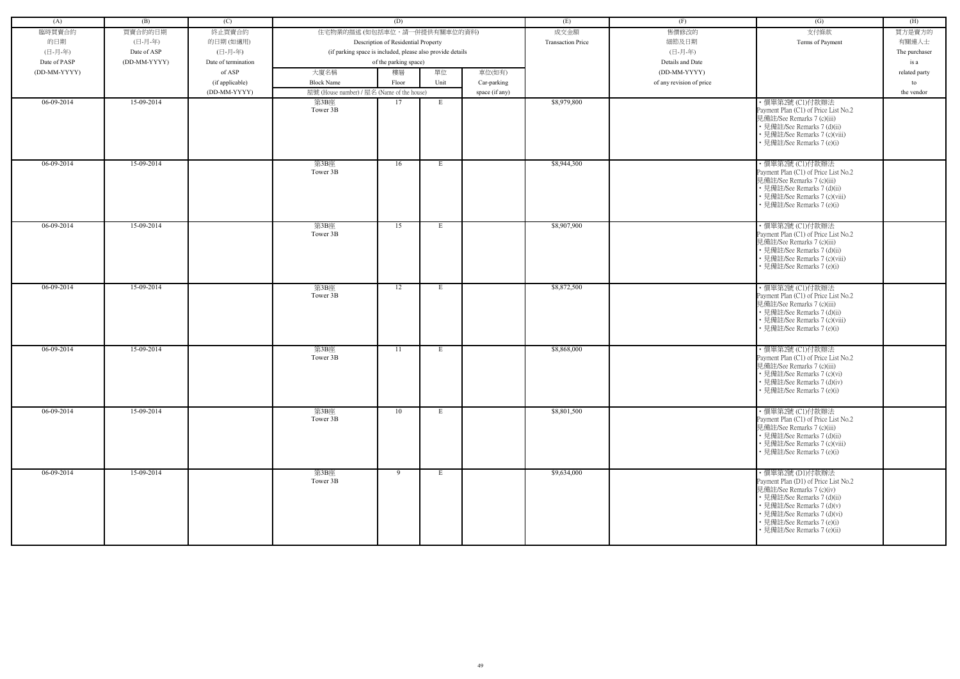| (A)          | (B)          | (C)                 |                                            | (D)                                                        |             |                | (E)                      | (F)                      | (G)                                                                                                                                                                                                                                           | (H)           |
|--------------|--------------|---------------------|--------------------------------------------|------------------------------------------------------------|-------------|----------------|--------------------------|--------------------------|-----------------------------------------------------------------------------------------------------------------------------------------------------------------------------------------------------------------------------------------------|---------------|
| 臨時買賣合約       | 買賣合約的日期      | 終止買賣合約              | 住宅物業的描述 (如包括車位,請一併提供有關車位的資料)               |                                                            |             |                | 成交金額                     | 售價修改的                    | 支付條款                                                                                                                                                                                                                                          | 買方是賣方的        |
| 的日期          | (日-月-年)      | 的日期(如適用)            |                                            | Description of Residential Property                        |             |                | <b>Transaction Price</b> | 細節及日期                    | Terms of Payment                                                                                                                                                                                                                              | 有關連人士         |
| (日-月-年)      | Date of ASP  | (日-月-年)             |                                            | (if parking space is included, please also provide details |             |                |                          | (日-月-年)                  |                                                                                                                                                                                                                                               | The purchaser |
| Date of PASP | (DD-MM-YYYY) | Date of termination |                                            | of the parking space)                                      |             |                |                          | Details and Date         |                                                                                                                                                                                                                                               | is a          |
| (DD-MM-YYYY) |              | of ASP              | 大廈名稱                                       | 樓層                                                         | 單位          | 車位(如有)         |                          | (DD-MM-YYYY)             |                                                                                                                                                                                                                                               | related party |
|              |              | (if applicable)     | <b>Block Name</b>                          | Floor                                                      | Unit        | Car-parking    |                          | of any revision of price |                                                                                                                                                                                                                                               | to            |
|              |              | (DD-MM-YYYY)        | 屋號 (House number) / 屋名 (Name of the house) |                                                            |             | space (if any) |                          |                          |                                                                                                                                                                                                                                               | the vendor    |
| 06-09-2014   | 15-09-2014   |                     | 第3B座                                       | 17                                                         | E           |                | \$8,979,800              |                          | ・價單第2號 (C1)付款辦法                                                                                                                                                                                                                               |               |
|              |              |                     | Tower 3B                                   |                                                            |             |                |                          |                          | Payment Plan (C1) of Price List No.2<br>見備註/See Remarks 7 (c)(iii)<br>• 見備註/See Remarks 7 (d)(ii)<br>• 見備註/See Remarks 7 (c)(viii)<br>• 見備註/See Remarks 7 (e)(i)                                                                              |               |
| $06-09-2014$ | 15-09-2014   |                     | 第3B座<br>Tower 3B                           | 16                                                         | E           |                | \$8,944,300              |                          | ·價單第2號 (C1)付款辦法<br>Payment Plan (C1) of Price List No.2<br>見備註/See Remarks 7 (c)(iii)<br>• 見備註/See Remarks 7 (d)(ii)<br>• 見備註/See Remarks 7 (c)(viii)<br>• 見備註/See Remarks 7 (e)(i)                                                           |               |
| $06-09-2014$ | 15-09-2014   |                     | 第3B座<br>Tower 3B                           | 15                                                         | E           |                | \$8,907,900              |                          | ・價單第2號 (C1)付款辦法<br>Payment Plan (C1) of Price List No.2<br>見備註/See Remarks 7 (c)(iii)<br>• 見備註/See Remarks 7 (d)(ii)<br>• 見備註/See Remarks 7 (c)(viii)<br>• 見備註/See Remarks 7 (e)(i)                                                           |               |
| 06-09-2014   | 15-09-2014   |                     | 第3B座<br>Tower 3B                           | 12                                                         | E           |                | \$8,872,500              |                          | · 價單第2號 (C1)付款辦法<br>Payment Plan (C1) of Price List No.2<br>見備註/See Remarks 7 (c)(iii)<br>• 見備註/See Remarks 7 (d)(ii)<br>• 見備註/See Remarks 7 (c)(viii)<br>• 見備註/See Remarks 7 (e)(i)                                                          |               |
| 06-09-2014   | 15-09-2014   |                     | 第3B座<br>Tower 3B                           | 11                                                         | E           |                | \$8,868,000              |                          | ・價單第2號 (C1)付款辦法<br>Payment Plan (C1) of Price List No.2<br>見備註/See Remarks 7 (c)(iii)<br>• 見備註/See Remarks 7 (c)(vi)<br>• 見備註/See Remarks 7 (d)(iv)<br>• 見備註/See Remarks 7 (e)(i)                                                             |               |
| 06-09-2014   | 15-09-2014   |                     | 第3B座<br>Tower 3B                           | 10                                                         | E           |                | \$8,801,500              |                          | ・價單第2號 (C1)付款辦法<br>Payment Plan (C1) of Price List No.2<br>見備註/See Remarks 7 (c)(iii)<br>• 見備註/See Remarks 7 (d)(ii)<br>• 見備註/See Remarks 7 (c)(viii)<br>• 見備註/See Remarks 7 (e)(i)                                                           |               |
| $06-09-2014$ | 15-09-2014   |                     | 第3B座<br>Tower 3B                           | 9                                                          | $E_{\perp}$ |                | \$9,634,000              |                          | ・價單第2號 (D1)付款辦法<br>Payment Plan (D1) of Price List No.2<br>見備註/See Remarks 7 (c)(iv)<br>• 見備註/See Remarks 7 (d)(ii)<br>• 見備註/See Remarks 7 (d)(v)<br>• 見備註/See Remarks 7 (d)(vi)<br>• 見備註/See Remarks 7 (e)(i)<br>· 見備註/See Remarks 7 (e)(ii) |               |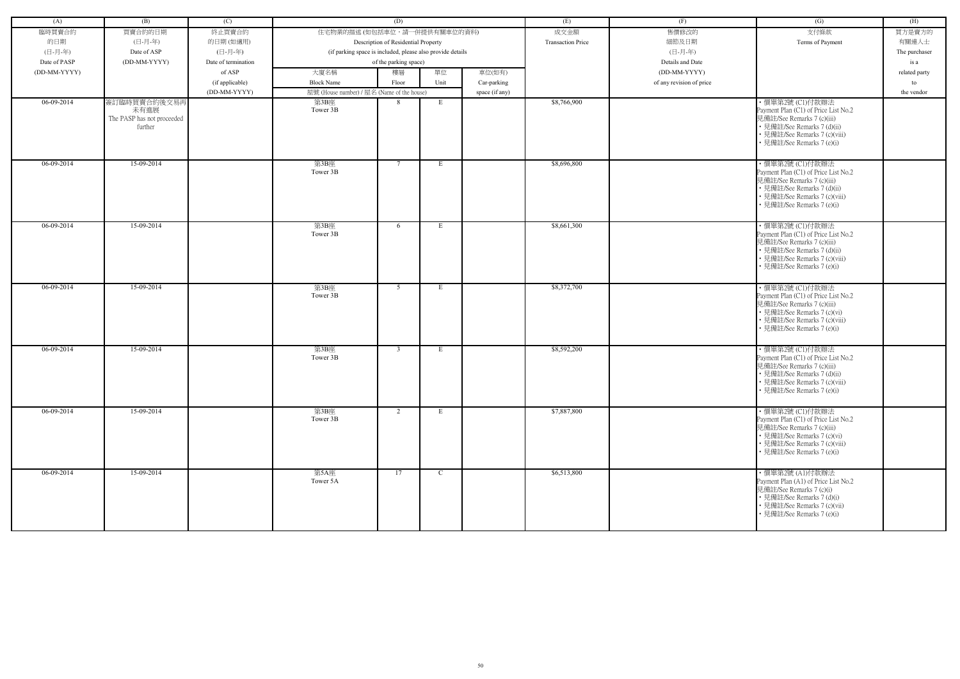| (A)          | (B)                                | (C)                 |                                                            | (D)                                 |             |                | (E)                      | (F)                      | (G)                                                                | (H)           |
|--------------|------------------------------------|---------------------|------------------------------------------------------------|-------------------------------------|-------------|----------------|--------------------------|--------------------------|--------------------------------------------------------------------|---------------|
| 臨時買賣合約       | 買賣合約的日期                            | 終止買賣合約              | 住宅物業的描述 (如包括車位,請一併提供有關車位的資料)                               |                                     |             |                | 成交金額                     | 售價修改的                    | 支付條款                                                               | 買方是賣方的        |
| 的日期          | (日-月-年)                            | 的日期(如適用)            |                                                            | Description of Residential Property |             |                | <b>Transaction Price</b> | 細節及日期                    | Terms of Payment                                                   | 有關連人士         |
| (日-月-年)      | Date of ASP                        | (日-月-年)             | (if parking space is included, please also provide details |                                     |             |                |                          | (日-月-年)                  |                                                                    | The purchaser |
| Date of PASP | (DD-MM-YYYY)                       | Date of termination |                                                            | of the parking space)               |             |                |                          | Details and Date         |                                                                    | is a          |
| (DD-MM-YYYY) |                                    | of ASP              | 大廈名稱                                                       | 樓層                                  | 單位          | 車位(如有)         |                          | (DD-MM-YYYY)             |                                                                    | related party |
|              |                                    | (if applicable)     | <b>Block Name</b>                                          | Floor                               | Unit        | Car-parking    |                          | of any revision of price |                                                                    | to            |
|              |                                    | (DD-MM-YYYY)        | 屋號 (House number) / 屋名 (Name of the house)                 |                                     |             | space (if any) |                          |                          |                                                                    | the vendor    |
| 06-09-2014   | 簽訂臨時買賣合約後交易再                       |                     | 第3B座                                                       | 8                                   | E           |                | \$8,766,900              |                          | ・價單第2號 (C1)付款辦法                                                    |               |
|              | 未有進展<br>The PASP has not proceeded |                     | Tower 3B                                                   |                                     |             |                |                          |                          | Payment Plan (C1) of Price List No.2<br>見備註/See Remarks 7 (c)(iii) |               |
|              | further                            |                     |                                                            |                                     |             |                |                          |                          | • 見備註/See Remarks 7 (d)(ii)                                        |               |
|              |                                    |                     |                                                            |                                     |             |                |                          |                          | • 見備註/See Remarks 7 (c)(viii)                                      |               |
|              |                                    |                     |                                                            |                                     |             |                |                          |                          | • 見備註/See Remarks 7 (e)(i)                                         |               |
|              |                                    |                     |                                                            |                                     |             |                |                          |                          |                                                                    |               |
| $06-09-2014$ | 15-09-2014                         |                     | 第3B座<br>Tower 3B                                           | $7\phantom{.0}$                     | E           |                | \$8,696,800              |                          | ·價單第2號 (C1)付款辦法                                                    |               |
|              |                                    |                     |                                                            |                                     |             |                |                          |                          | Payment Plan (C1) of Price List No.2<br>見備註/See Remarks 7 (c)(iii) |               |
|              |                                    |                     |                                                            |                                     |             |                |                          |                          | • 見備註/See Remarks 7 (d)(ii)                                        |               |
|              |                                    |                     |                                                            |                                     |             |                |                          |                          | • 見備註/See Remarks 7 (c)(viii)                                      |               |
|              |                                    |                     |                                                            |                                     |             |                |                          |                          | • 見備註/See Remarks 7 (e)(i)                                         |               |
|              |                                    |                     |                                                            |                                     |             |                |                          |                          |                                                                    |               |
| 06-09-2014   | 15-09-2014                         |                     | 第3B座                                                       | 6                                   | E           |                | \$8,661,300              |                          | ・價單第2號 (C1)付款辦法                                                    |               |
|              |                                    |                     | Tower 3B                                                   |                                     |             |                |                          |                          | Payment Plan (C1) of Price List No.2<br>見備註/See Remarks 7 (c)(iii) |               |
|              |                                    |                     |                                                            |                                     |             |                |                          |                          | • 見備註/See Remarks 7 (d)(ii)                                        |               |
|              |                                    |                     |                                                            |                                     |             |                |                          |                          | • 見備註/See Remarks 7 (c)(viii)                                      |               |
|              |                                    |                     |                                                            |                                     |             |                |                          |                          | • 見備註/See Remarks 7 (e)(i)                                         |               |
|              |                                    |                     |                                                            |                                     |             |                |                          |                          |                                                                    |               |
| 06-09-2014   | 15-09-2014                         |                     | 第3B座                                                       | 5                                   | E           |                | \$8,372,700              |                          | · 價單第2號 (C1)付款辦法                                                   |               |
|              |                                    |                     | Tower 3B                                                   |                                     |             |                |                          |                          | Payment Plan (C1) of Price List No.2<br>見備註/See Remarks 7 (c)(iii) |               |
|              |                                    |                     |                                                            |                                     |             |                |                          |                          | • 見備註/See Remarks 7 (c)(vi)                                        |               |
|              |                                    |                     |                                                            |                                     |             |                |                          |                          | • 見備註/See Remarks 7 (c)(viii)                                      |               |
|              |                                    |                     |                                                            |                                     |             |                |                          |                          | • 見備註/See Remarks 7 (e)(i)                                         |               |
|              |                                    |                     |                                                            |                                     |             |                |                          |                          |                                                                    |               |
| 06-09-2014   | 15-09-2014                         |                     | 第3B座                                                       | $\overline{3}$                      | E           |                | \$8,592,200              |                          | ・價單第2號 (C1)付款辦法                                                    |               |
|              |                                    |                     | Tower 3B                                                   |                                     |             |                |                          |                          | Payment Plan (C1) of Price List No.2                               |               |
|              |                                    |                     |                                                            |                                     |             |                |                          |                          | 見備註/See Remarks 7 (c)(iii)<br>• 見備註/See Remarks 7 (d)(ii)          |               |
|              |                                    |                     |                                                            |                                     |             |                |                          |                          | • 見備註/See Remarks 7 (c)(viii)                                      |               |
|              |                                    |                     |                                                            |                                     |             |                |                          |                          | • 見備註/See Remarks 7 (e)(i)                                         |               |
|              |                                    |                     |                                                            |                                     |             |                |                          |                          |                                                                    |               |
| 06-09-2014   | 15-09-2014                         |                     | 第3B座                                                       | 2                                   | $E_{\perp}$ |                | \$7,887,800              |                          | ・價單第2號 (C1)付款辦法                                                    |               |
|              |                                    |                     | Tower 3B                                                   |                                     |             |                |                          |                          | Payment Plan (C1) of Price List No.2                               |               |
|              |                                    |                     |                                                            |                                     |             |                |                          |                          | 見備註/See Remarks 7 (c)(iii)                                         |               |
|              |                                    |                     |                                                            |                                     |             |                |                          |                          | • 見備註/See Remarks 7 (c)(vi)<br>• 見備註/See Remarks 7 (c)(viii)       |               |
|              |                                    |                     |                                                            |                                     |             |                |                          |                          | • 見備註/See Remarks 7 (e)(i)                                         |               |
|              |                                    |                     |                                                            |                                     |             |                |                          |                          |                                                                    |               |
| $06-09-2014$ | 15-09-2014                         |                     | 第5A座                                                       | 17                                  | $\mathbf C$ |                | \$6,513,800              |                          | ・價單第2號 (A1)付款辦法                                                    |               |
|              |                                    |                     | Tower 5A                                                   |                                     |             |                |                          |                          | Payment Plan (A1) of Price List No.2                               |               |
|              |                                    |                     |                                                            |                                     |             |                |                          |                          | 見備註/See Remarks 7 (c)(i)                                           |               |
|              |                                    |                     |                                                            |                                     |             |                |                          |                          | • 見備註/See Remarks 7 (d)(i)<br>• 見備註/See Remarks 7 (c)(vii)         |               |
|              |                                    |                     |                                                            |                                     |             |                |                          |                          | • 見備註/See Remarks 7 (e)(i)                                         |               |
|              |                                    |                     |                                                            |                                     |             |                |                          |                          |                                                                    |               |
|              |                                    |                     |                                                            |                                     |             |                |                          |                          |                                                                    |               |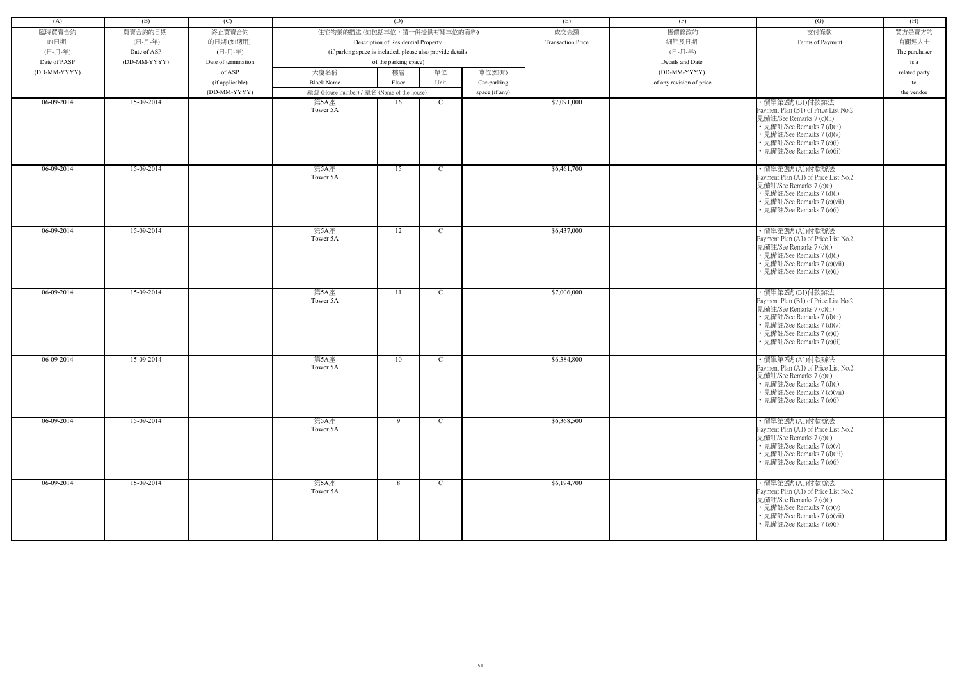| (A)          | (B)          | (C)                 |                                            | (D)                                                        |              |                | (E)                      | (F)                      | (G)                                                                                                                                                                                                            | (H)           |
|--------------|--------------|---------------------|--------------------------------------------|------------------------------------------------------------|--------------|----------------|--------------------------|--------------------------|----------------------------------------------------------------------------------------------------------------------------------------------------------------------------------------------------------------|---------------|
|              |              |                     | 住宅物業的描述 (如包括車位,請一併提供有關車位的資料)               |                                                            |              |                |                          | 售價修改的                    | 支付條款                                                                                                                                                                                                           |               |
| 臨時買賣合約       | 買賣合約的日期      | 終止買賣合約              |                                            |                                                            |              |                | 成交金額                     |                          |                                                                                                                                                                                                                | 買方是賣方的        |
| 的日期          | (日-月-年)      | 的日期(如適用)            |                                            | Description of Residential Property                        |              |                | <b>Transaction Price</b> | 細節及日期                    | Terms of Payment                                                                                                                                                                                               | 有關連人士         |
| (日-月-年)      | Date of ASP  | (日-月-年)             |                                            | (if parking space is included, please also provide details |              |                |                          | (日-月-年)                  |                                                                                                                                                                                                                | The purchaser |
| Date of PASP | (DD-MM-YYYY) | Date of termination |                                            | of the parking space)                                      |              |                |                          | Details and Date         |                                                                                                                                                                                                                | is a          |
| (DD-MM-YYYY) |              | of ASP              | 大廈名稱                                       | 樓層                                                         | 單位           | 車位(如有)         |                          | (DD-MM-YYYY)             |                                                                                                                                                                                                                | related party |
|              |              | (if applicable)     | <b>Block Name</b>                          | Floor                                                      | Unit         | Car-parking    |                          | of any revision of price |                                                                                                                                                                                                                | to            |
|              |              | (DD-MM-YYYY)        | 屋號 (House number) / 屋名 (Name of the house) |                                                            |              | space (if any) |                          |                          |                                                                                                                                                                                                                | the vendor    |
| 06-09-2014   | 15-09-2014   |                     | 第5A座<br>Tower 5A                           | 16                                                         | $\mathbf C$  |                | \$7,091,000              |                          | ・價單第2號 (B1)付款辦法<br>Payment Plan (B1) of Price List No.2<br>見備註/See Remarks 7 (c)(ii)<br>• 見備註/See Remarks 7 (d)(ii)<br>• 見備註/See Remarks 7 (d)(v)<br>• 見備註/See Remarks 7 (e)(i)<br>• 見備註/See Remarks 7 (e)(ii) |               |
| $06-09-2014$ | 15-09-2014   |                     | 第5A座<br>Tower 5A                           | 15                                                         | $\mathbf C$  |                | \$6,461,700              |                          | ・價單第2號 (A1)付款辦法<br>Payment Plan (A1) of Price List No.2<br>見備註/See Remarks 7 (c)(i)<br>• 見備註/See Remarks 7 (d)(i)<br>• 見備註/See Remarks 7 (c)(vii)<br>• 見備註/See Remarks 7 (e)(i)                                |               |
| $06-09-2014$ | 15-09-2014   |                     | 第5A座<br>Tower 5A                           | 12                                                         | $\mathbf C$  |                | \$6,437,000              |                          | ・價單第2號 (A1)付款辦法<br>Payment Plan (A1) of Price List No.2<br>見備註/See Remarks 7 (c)(i)<br>• 見備註/See Remarks 7 (d)(i)<br>• 見備註/See Remarks 7 (c)(vii)<br>• 見備註/See Remarks 7 (e)(i)                                |               |
| 06-09-2014   | 15-09-2014   |                     | 第5A座<br>Tower 5A                           | 11                                                         | $\mathbf{C}$ |                | \$7,006,000              |                          | ・價單第2號 (B1)付款辦法<br>Payment Plan (B1) of Price List No.2<br>見備註/See Remarks 7 (c)(ii)<br>• 見備註/See Remarks 7 (d)(ii)<br>• 見備註/See Remarks 7 (d)(v)<br>• 見備註/See Remarks 7 (e)(i)<br>• 見備註/See Remarks 7 (e)(ii) |               |
| 06-09-2014   | 15-09-2014   |                     | 第5A座<br>Tower 5A                           | 10                                                         | $\mathbf C$  |                | \$6,384,800              |                          | ・價單第2號 (A1)付款辦法<br>Payment Plan (A1) of Price List No.2<br>見備註/See Remarks 7 (c)(i)<br>• 見備註/See Remarks 7 (d)(i)<br>• 見備註/See Remarks 7 (c)(vii)<br>• 見備註/See Remarks 7 (e)(i)                                |               |
| $06-09-2014$ | 15-09-2014   |                     | 第5A座<br>Tower 5A                           | 9                                                          | $\mathbf{C}$ |                | \$6,368,500              |                          | ・價單第2號 (A1)付款辦法<br>Payment Plan (A1) of Price List No.2<br>見備註/See Remarks 7 (c)(i)<br>• 見備註/See Remarks 7 (c)(v)<br>• 見備註/See Remarks 7 (d)(iii)<br>• 見備註/See Remarks 7 (e)(i)                                |               |
| 06-09-2014   | 15-09-2014   |                     | 第5A座<br>Tower 5A                           | 8                                                          | $\mathbf{C}$ |                | \$6,194,700              |                          | ・價單第2號 (A1)付款辦法<br>Payment Plan (A1) of Price List No.2<br>見備註/See Remarks 7 (c)(i)<br>• 見備註/See Remarks 7 (c)(v)<br>• 見備註/See Remarks 7 (c)(vii)<br>• 見備註/See Remarks 7 (e)(i)                                |               |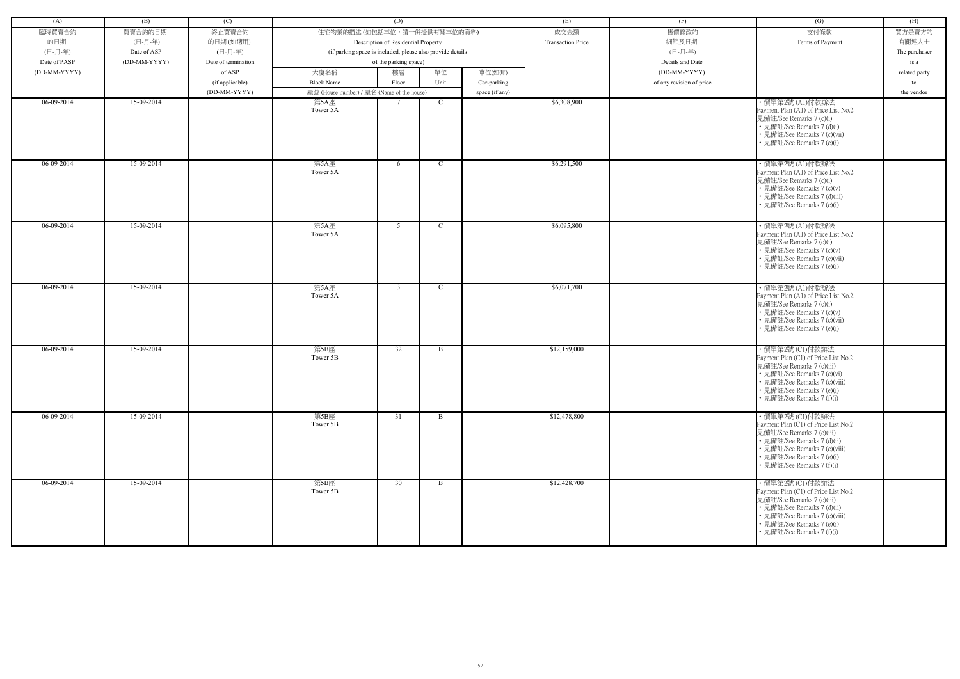| (A)          | (B)          | (C)                 |                                            | (D)                                                        |               |                | (E)                      | (F)                      | (G)                                                                                                                                                                                                               | (H)           |
|--------------|--------------|---------------------|--------------------------------------------|------------------------------------------------------------|---------------|----------------|--------------------------|--------------------------|-------------------------------------------------------------------------------------------------------------------------------------------------------------------------------------------------------------------|---------------|
|              |              |                     |                                            |                                                            |               |                |                          |                          |                                                                                                                                                                                                                   |               |
| 臨時買賣合約       | 買賣合約的日期      | 終止買賣合約              | 住宅物業的描述 (如包括車位,請一併提供有關車位的資料)               |                                                            |               |                | 成交金額                     | 售價修改的                    | 支付條款                                                                                                                                                                                                              | 買方是賣方的        |
| 的日期          | (日-月-年)      | 的日期(如適用)            |                                            | Description of Residential Property                        |               |                | <b>Transaction Price</b> | 細節及日期                    | Terms of Payment                                                                                                                                                                                                  | 有關連人士         |
| (日-月-年)      | Date of ASP  | (日-月-年)             |                                            | (if parking space is included, please also provide details |               |                |                          | (日-月-年)                  |                                                                                                                                                                                                                   | The purchaser |
| Date of PASP | (DD-MM-YYYY) | Date of termination |                                            | of the parking space)                                      |               |                |                          | Details and Date         |                                                                                                                                                                                                                   | is a          |
| (DD-MM-YYYY) |              | of ASP              | 大廈名稱                                       | 樓層                                                         | 單位            | 車位(如有)         |                          | (DD-MM-YYYY)             |                                                                                                                                                                                                                   | related party |
|              |              | (if applicable)     | <b>Block Name</b>                          | Floor                                                      | Unit          | Car-parking    |                          | of any revision of price |                                                                                                                                                                                                                   | to            |
|              |              | (DD-MM-YYYY)        | 屋號 (House number) / 屋名 (Name of the house) |                                                            |               | space (if any) |                          |                          |                                                                                                                                                                                                                   | the vendor    |
| 06-09-2014   | 15-09-2014   |                     | 第5A座<br>Tower 5A                           |                                                            | $\mathbf C$   |                | \$6,308,900              |                          | ・價單第2號 (A1)付款辦法<br>Payment Plan (A1) of Price List No.2<br>見備註/See Remarks 7 (c)(i)<br>• 見備註/See Remarks 7 (d)(i)<br>• 見備註/See Remarks 7 (c)(vii)<br>• 見備註/See Remarks 7 (e)(i)                                   |               |
| $06-09-2014$ | 15-09-2014   |                     | 第5A座<br>Tower 5A                           | 6                                                          | $\mathbf C$   |                | \$6,291,500              |                          | · 價單第2號 (A1)付款辦法<br>Payment Plan (A1) of Price List No.2<br>見備註/See Remarks 7 (c)(i)<br>• 見備註/See Remarks 7 (c)(v)<br>• 見備註/See Remarks 7 (d)(iii)<br>• 見備註/See Remarks 7 (e)(i)                                  |               |
| 06-09-2014   | 15-09-2014   |                     | 第5A座<br>Tower 5A                           | 5                                                          | $\mathcal{C}$ |                | \$6,095,800              |                          | ・價單第2號 (A1)付款辦法<br>Payment Plan (A1) of Price List No.2<br>見備註/See Remarks 7 (c)(i)<br>• 見備註/See Remarks 7 (c)(v)<br>• 見備註/See Remarks 7 (c)(vii)<br>• 見備註/See Remarks 7 (e)(i)                                   |               |
| 06-09-2014   | 15-09-2014   |                     | 第5A座<br>Tower 5A                           | $\overline{3}$                                             | C             |                | \$6,071,700              |                          | ・價單第2號 (A1)付款辦法<br>Payment Plan (A1) of Price List No.2<br>見備註/See Remarks 7 (c)(i)<br>• 見備註/See Remarks 7 (c)(v)<br>• 見備註/See Remarks 7 (c)(vii)<br>• 見備註/See Remarks 7 (e)(i)                                   |               |
| 06-09-2014   | 15-09-2014   |                     | 第5B座<br>Tower 5B                           | 32                                                         | B             |                | \$12,159,000             |                          | ・價單第2號 (C1)付款辦法<br>Payment Plan (C1) of Price List No.2<br>見備註/See Remarks 7 (c)(iii)<br>• 見備註/See Remarks 7 (c)(vi)<br>• 見備註/See Remarks 7 (c)(viii)<br>• 見備註/See Remarks 7 (e)(i)<br>• 見備註/See Remarks 7 (f)(i) |               |
| $06-09-2014$ | 15-09-2014   |                     | 第5B座<br>Tower 5B                           | 31                                                         | $\mathbf{B}$  |                | \$12,478,800             |                          | ・價單第2號 (C1)付款辦法<br>Payment Plan (C1) of Price List No.2<br>見備註/See Remarks 7 (c)(iii)<br>• 見備註/See Remarks 7 (d)(ii)<br>• 見備註/See Remarks 7 (c)(viii)<br>• 見備註/See Remarks 7 (e)(i)<br>• 見備註/See Remarks 7 (f)(i) |               |
| $06-09-2014$ | 15-09-2014   |                     | 第5B座<br>Tower 5B                           | 30                                                         | $\mathbf{B}$  |                | \$12,428,700             |                          | ・價單第2號 (C1)付款辦法<br>Payment Plan (C1) of Price List No.2<br>見備註/See Remarks 7 (c)(iii)<br>• 見備註/See Remarks 7 (d)(ii)<br>• 見備註/See Remarks 7 (c)(viii)<br>• 見備註/See Remarks 7 (e)(i)<br>• 見備註/See Remarks 7 (f)(i) |               |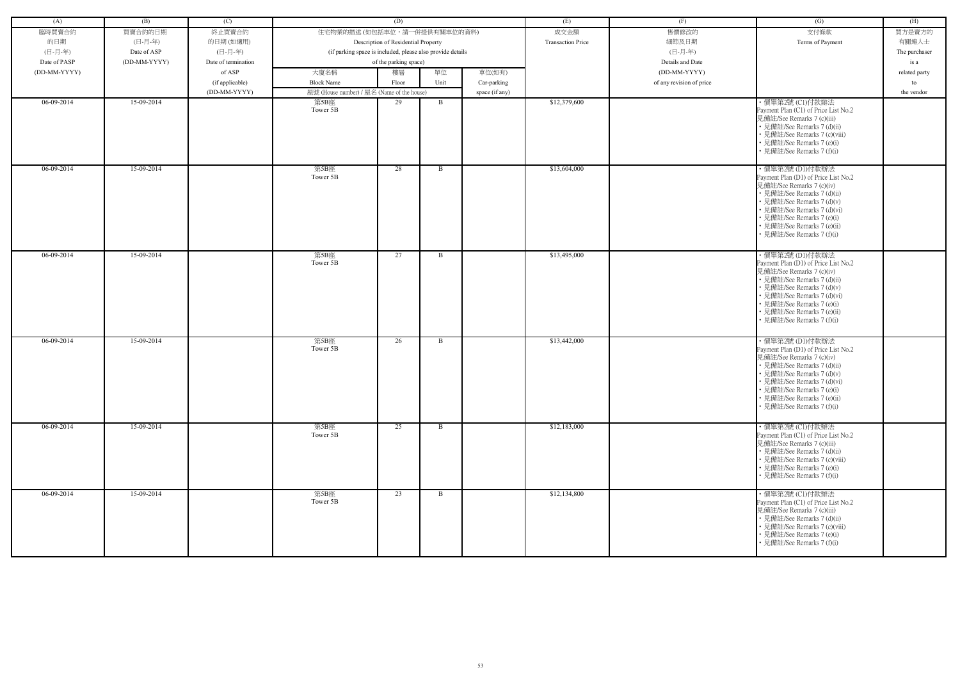| (A)          | (B)          | (C)                 |                                                            | (D)                                 |              |                | (E)                      | (F)                      | (G)                                                                                                                                                                                                                                                                         | (H)           |
|--------------|--------------|---------------------|------------------------------------------------------------|-------------------------------------|--------------|----------------|--------------------------|--------------------------|-----------------------------------------------------------------------------------------------------------------------------------------------------------------------------------------------------------------------------------------------------------------------------|---------------|
| 臨時買賣合約       | 買賣合約的日期      | 終止買賣合約              | 住宅物業的描述 (如包括車位,請一併提供有關車位的資料)                               |                                     |              |                | 成交金額                     | 售價修改的                    | 支付條款                                                                                                                                                                                                                                                                        | 買方是賣方的        |
| 的日期          | (日-月-年)      | 的日期(如適用)            |                                                            | Description of Residential Property |              |                | <b>Transaction Price</b> | 細節及日期                    | Terms of Payment                                                                                                                                                                                                                                                            | 有關連人士         |
| (日-月-年)      | Date of ASP  | (日-月-年)             | (if parking space is included, please also provide details |                                     |              |                |                          | (日-月-年)                  |                                                                                                                                                                                                                                                                             | The purchaser |
| Date of PASP | (DD-MM-YYYY) | Date of termination |                                                            | of the parking space)               |              |                |                          | Details and Date         |                                                                                                                                                                                                                                                                             | is a          |
| (DD-MM-YYYY) |              | of ASP              | 大廈名稱                                                       | 樓層                                  | 單位           | 車位(如有)         |                          | (DD-MM-YYYY)             |                                                                                                                                                                                                                                                                             | related party |
|              |              | (if applicable)     | <b>Block Name</b>                                          | Floor                               | Unit         | Car-parking    |                          | of any revision of price |                                                                                                                                                                                                                                                                             | to            |
|              |              | (DD-MM-YYYY)        | 屋號 (House number) / 屋名 (Name of the house)                 |                                     |              | space (if any) |                          |                          |                                                                                                                                                                                                                                                                             | the vendor    |
| 06-09-2014   | 15-09-2014   |                     | 第5B座                                                       | 29                                  | $\mathbf{B}$ |                | \$12,379,600             |                          | ・價單第2號 (C1)付款辦法                                                                                                                                                                                                                                                             |               |
|              |              |                     | Tower 5B                                                   |                                     |              |                |                          |                          | Payment Plan (C1) of Price List No.2<br>見備註/See Remarks 7 (c)(iii)<br>• 見備註/See Remarks 7 (d)(ii)<br>• 見備註/See Remarks 7 (c)(viii)<br>• 見備註/See Remarks 7 (e)(i)<br>• 見備註/See Remarks 7 (f)(i)                                                                              |               |
| $06-09-2014$ | 15-09-2014   |                     | 第5B座<br>Tower 5B                                           | 28                                  | $\mathbf{B}$ |                | \$13,604,000             |                          | ・價單第2號 (D1)付款辦法<br>Payment Plan (D1) of Price List No.2<br>見備註/See Remarks 7 (c)(iv)<br>• 見備註/See Remarks 7 (d)(ii)<br>· 見備註/See Remarks 7 (d)(v)<br>· 見備註/See Remarks 7 (d)(vi)<br>• 見備註/See Remarks 7 (e)(i)<br>· 見備註/See Remarks 7 (e)(ii)<br>• 見備註/See Remarks 7 (f)(i) |               |
| $06-09-2014$ | 15-09-2014   |                     | 第5B座<br>Tower 5B                                           | 27                                  | $\mathbf{B}$ |                | \$13,495,000             |                          | ・價單第2號 (D1)付款辦法<br>Payment Plan (D1) of Price List No.2<br>見備註/See Remarks 7 (c)(iv)<br>• 見備註/See Remarks 7 (d)(ii)<br>· 見備註/See Remarks 7 (d)(v)<br>• 見備註/See Remarks 7 (d)(vi)<br>• 見備註/See Remarks 7 (e)(i)<br>• 見備註/See Remarks 7 (e)(ii)<br>• 見備註/See Remarks 7 (f)(i) |               |
| 06-09-2014   | 15-09-2014   |                     | 第5B座<br>Tower 5B                                           | 26                                  | B            |                | \$13,442,000             |                          | ・價單第2號 (D1)付款辦法<br>Payment Plan (D1) of Price List No.2<br>見備註/See Remarks 7 (c)(iv)<br>• 見備註/See Remarks 7 (d)(ii)<br>• 見備註/See Remarks 7 (d)(v)<br>• 見備註/See Remarks 7 (d)(vi)<br>• 見備註/See Remarks 7 (e)(i)<br>• 見備註/See Remarks 7 (e)(ii)<br>• 見備註/See Remarks 7 (f)(i) |               |
| $06-09-2014$ | 15-09-2014   |                     | 第5B座<br>Tower 5B                                           | 25                                  | $\mathbf{B}$ |                | \$12,183,000             |                          | ・價單第2號 (C1)付款辦法<br>Payment Plan (C1) of Price List No.2<br>見備註/See Remarks 7 (c)(iii)<br>• 見備註/See Remarks 7 (d)(ii)<br>• 見備註/See Remarks 7 (c)(viii)<br>• 見備註/See Remarks 7 (e)(i)<br>• 見備註/See Remarks 7 (f)(i)                                                           |               |
| $06-09-2014$ | 15-09-2014   |                     | 第5B座<br>Tower 5B                                           | 23                                  | $\mathbf{B}$ |                | \$12,134,800             |                          | ・價單第2號 (C1)付款辦法<br>Payment Plan (C1) of Price List No.2<br>見備註/See Remarks 7 (c)(iii)<br>• 見備註/See Remarks 7 (d)(ii)<br>• 見備註/See Remarks 7 (c)(viii)<br>• 見備註/See Remarks 7 (e)(i)<br>• 見備註/See Remarks 7 (f)(i)                                                           |               |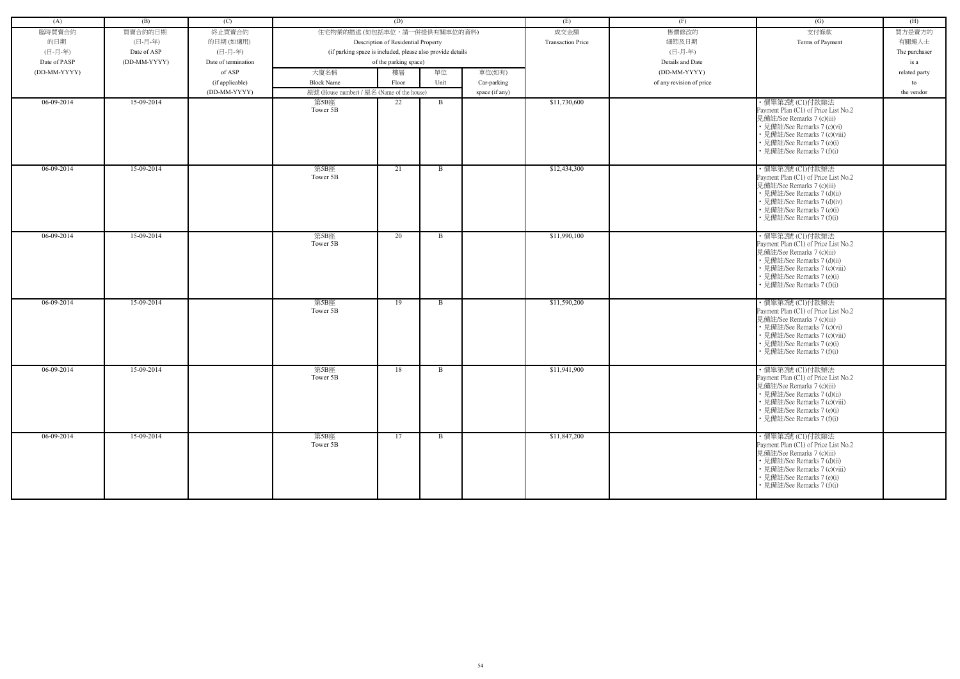| (A)          | (B)          | (C)                 |                                                            | (D)                                 |              |                | (E)                      | (F)                      | (G)                                                                                                                                                                                                                | (H)           |
|--------------|--------------|---------------------|------------------------------------------------------------|-------------------------------------|--------------|----------------|--------------------------|--------------------------|--------------------------------------------------------------------------------------------------------------------------------------------------------------------------------------------------------------------|---------------|
| 臨時買賣合約       | 買賣合約的日期      | 終止買賣合約              | 住宅物業的描述 (如包括車位,請一併提供有關車位的資料)                               |                                     |              |                | 成交金額                     | 售價修改的                    | 支付條款                                                                                                                                                                                                               | 買方是賣方的        |
| 的日期          | (日-月-年)      | 的日期(如適用)            |                                                            | Description of Residential Property |              |                | <b>Transaction Price</b> | 細節及日期                    | Terms of Payment                                                                                                                                                                                                   | 有關連人士         |
| (日-月-年)      | Date of ASP  | (日-月-年)             | (if parking space is included, please also provide details |                                     |              |                |                          | (日-月-年)                  |                                                                                                                                                                                                                    | The purchaser |
| Date of PASP | (DD-MM-YYYY) | Date of termination |                                                            | of the parking space)               |              |                |                          | Details and Date         |                                                                                                                                                                                                                    | is a          |
| (DD-MM-YYYY) |              | of ASP              | 大廈名稱                                                       | 樓層                                  | 單位           | 車位(如有)         |                          | (DD-MM-YYYY)             |                                                                                                                                                                                                                    | related party |
|              |              |                     |                                                            |                                     |              |                |                          |                          |                                                                                                                                                                                                                    |               |
|              |              | (if applicable)     | <b>Block Name</b>                                          | Floor                               | Unit         | Car-parking    |                          | of any revision of price |                                                                                                                                                                                                                    | to            |
|              |              | (DD-MM-YYYY)        | 屋號 (House number) / 屋名 (Name of the house)                 |                                     |              | space (if any) |                          |                          |                                                                                                                                                                                                                    | the vendor    |
| 06-09-2014   | 15-09-2014   |                     | 第5B座<br>Tower 5B                                           | 22                                  | B            |                | \$11,730,600             |                          | ・價單第2號 (C1)付款辦法<br>Payment Plan (C1) of Price List No.2<br>見備註/See Remarks 7 (c)(iii)<br>• 見備註/See Remarks 7 (c)(vi)<br>• 見備註/See Remarks 7 (c)(viii)<br>• 見備註/See Remarks 7 (e)(i)<br>• 見備註/See Remarks 7 (f)(i)  |               |
| 06-09-2014   | 15-09-2014   |                     | 第5B座<br>Tower 5B                                           | 21                                  | $\mathbf{B}$ |                | \$12,434,300             |                          | ·價單第2號 (C1)付款辦法<br>Payment Plan (C1) of Price List No.2<br>見備註/See Remarks 7 (c)(iii)<br>• 見備註/See Remarks 7 (d)(ii)<br>• 見備註/See Remarks 7 (d)(iv)<br>• 見備註/See Remarks 7 (e)(i)<br>• 見備註/See Remarks 7 (f)(i)    |               |
| 06-09-2014   | 15-09-2014   |                     | 第5B座<br>Tower 5B                                           | 20                                  | B            |                | \$11,990,100             |                          | ・價單第2號 (C1)付款辦法<br>Payment Plan (C1) of Price List No.2<br>見備註/See Remarks 7 (c)(iii)<br>• 見備註/See Remarks 7 (d)(ii)<br>• 見備註/See Remarks 7 (c)(viii)<br>• 見備註/See Remarks 7 (e)(i)<br>• 見備註/See Remarks 7 (f)(i)  |               |
| 06-09-2014   | 15-09-2014   |                     | 第5B座<br>Tower 5B                                           | 19                                  | B            |                | \$11,590,200             |                          | ・價單第2號 (C1)付款辦法<br>Payment Plan (C1) of Price List No.2<br>見備註/See Remarks 7 (c)(iii)<br>• 見備註/See Remarks 7 (c)(vi)<br>• 見備註/See Remarks 7 (c)(viii)<br>• 見備註/See Remarks 7 (e)(i)<br>• 見備註/See Remarks 7 (f)(i)  |               |
| 06-09-2014   | 15-09-2014   |                     | 第5B座<br>Tower 5B                                           | 18                                  | B            |                | \$11,941,900             |                          | · 價單第2號 (C1)付款辦法<br>Payment Plan (C1) of Price List No.2<br>見備註/See Remarks 7 (c)(iii)<br>• 見備註/See Remarks 7 (d)(ii)<br>• 見備註/See Remarks 7 (c)(viii)<br>• 見備註/See Remarks 7 (e)(i)<br>• 見備註/See Remarks 7 (f)(i) |               |
| $06-09-2014$ | 15-09-2014   |                     | 第5B座<br>Tower 5B                                           | 17                                  | $\mathbf{B}$ |                | \$11,847,200             |                          | ・價單第2號 (C1)付款辦法<br>Payment Plan (C1) of Price List No.2<br>見備註/See Remarks 7 (c)(iii)<br>• 見備註/See Remarks 7 (d)(ii)<br>• 見備註/See Remarks 7 (c)(viii)<br>• 見備註/See Remarks 7 (e)(i)<br>• 見備註/See Remarks 7 (f)(i)  |               |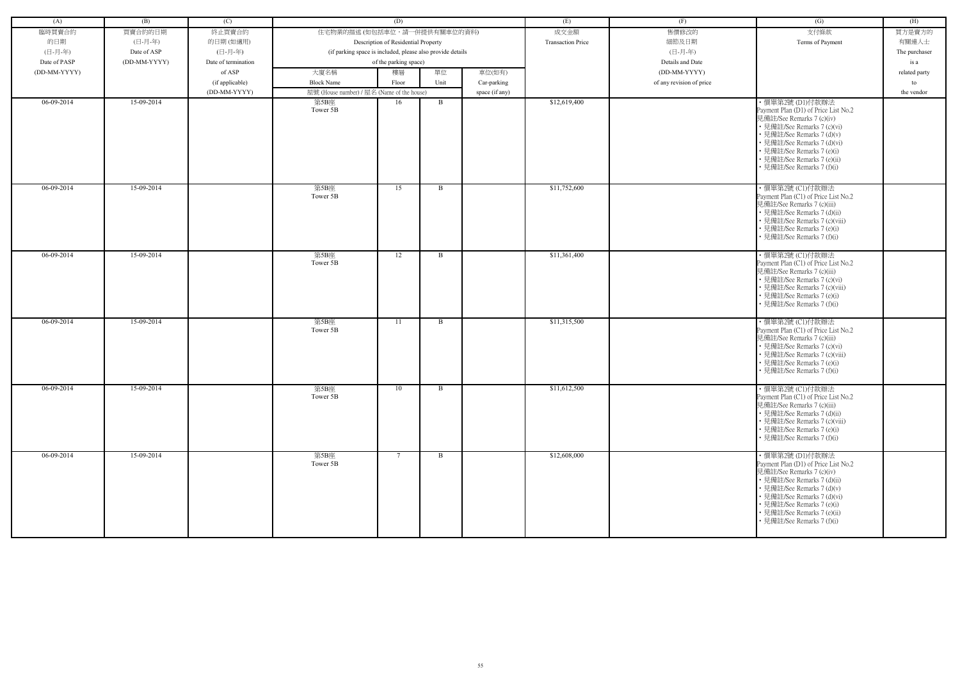| (A)          | (B)          | (C)                 |                                                            | (D)                                 |      |                | (E)                      | (F)                      | (G)                                                                                                                                                                                                                                                                         | (H)           |
|--------------|--------------|---------------------|------------------------------------------------------------|-------------------------------------|------|----------------|--------------------------|--------------------------|-----------------------------------------------------------------------------------------------------------------------------------------------------------------------------------------------------------------------------------------------------------------------------|---------------|
|              |              |                     |                                                            |                                     |      |                |                          |                          |                                                                                                                                                                                                                                                                             |               |
| 臨時買賣合約       | 買賣合約的日期      | 終止買賣合約              | 住宅物業的描述 (如包括車位,請一併提供有關車位的資料)                               |                                     |      |                | 成交金額                     | 售價修改的                    | 支付條款                                                                                                                                                                                                                                                                        | 買方是賣方的        |
| 的日期          | (日-月-年)      | 的日期(如適用)            |                                                            | Description of Residential Property |      |                | <b>Transaction Price</b> | 細節及日期                    | Terms of Payment                                                                                                                                                                                                                                                            | 有關連人士         |
| (日-月-年)      | Date of ASP  | (日-月-年)             | (if parking space is included, please also provide details |                                     |      |                |                          | (日-月-年)                  |                                                                                                                                                                                                                                                                             | The purchaser |
| Date of PASP | (DD-MM-YYYY) | Date of termination |                                                            | of the parking space)               |      |                |                          | Details and Date         |                                                                                                                                                                                                                                                                             | is a          |
| (DD-MM-YYYY) |              | of ASP              | 大廈名稱                                                       | 樓層                                  | 單位   | 車位(如有)         |                          | (DD-MM-YYYY)             |                                                                                                                                                                                                                                                                             | related party |
|              |              | (if applicable)     | <b>Block Name</b>                                          | Floor                               | Unit | Car-parking    |                          | of any revision of price |                                                                                                                                                                                                                                                                             | to            |
|              |              | (DD-MM-YYYY)        | 屋號 (House number) / 屋名 (Name of the house)                 |                                     |      | space (if any) |                          |                          |                                                                                                                                                                                                                                                                             | the vendor    |
| 06-09-2014   | 15-09-2014   |                     | 第5B座<br>Tower 5B                                           | 16                                  | B    |                | \$12,619,400             |                          | ・價單第2號 (D1)付款辦法<br>Payment Plan (D1) of Price List No.2<br>見備註/See Remarks 7 (c)(iv)<br>• 見備註/See Remarks 7 (c)(vi)<br>• 見備註/See Remarks 7 (d)(v)<br>• 見備註/See Remarks 7 (d)(vi)<br>• 見備註/See Remarks 7 (e)(i)<br>• 見備註/See Remarks 7 (e)(ii)<br>• 見備註/See Remarks 7 (f)(i) |               |
| 06-09-2014   | 15-09-2014   |                     | 第5B座<br>Tower 5B                                           | 15                                  | B    |                | \$11,752,600             |                          | ・價單第2號 (C1)付款辦法<br>Payment Plan (C1) of Price List No.2<br>見備註/See Remarks 7 (c)(iii)<br>• 見備註/See Remarks 7 (d)(ii)<br>• 見備註/See Remarks 7 (c)(viii)<br>• 見備註/See Remarks 7 (e)(i)<br>• 見備註/See Remarks 7 (f)(i)                                                           |               |
| 06-09-2014   | 15-09-2014   |                     | 第5B座<br>Tower 5B                                           | 12                                  | B    |                | \$11,361,400             |                          | ・價單第2號 (C1)付款辦法<br>Payment Plan (C1) of Price List No.2<br>見備註/See Remarks 7 (c)(iii)<br>• 見備註/See Remarks 7 (c)(vi)<br>• 見備註/See Remarks 7 (c)(viii)<br>• 見備註/See Remarks 7 (e)(i)<br>見備註/See Remarks 7 (f)(i)                                                             |               |
| $06-09-2014$ | 15-09-2014   |                     | 第5B座<br>Tower 5B                                           | 11                                  | B    |                | \$11,315,500             |                          | ・價單第2號 (C1)付款辦法<br>Payment Plan (C1) of Price List No.2<br>見備註/See Remarks 7 (c)(iii)<br>• 見備註/See Remarks 7 (c)(vi)<br>• 見備註/See Remarks 7 (c)(viii)<br>• 見備註/See Remarks 7 (e)(i)<br>• 見備註/See Remarks 7 (f)(i)                                                           |               |
| 06-09-2014   | 15-09-2014   |                     | 第5B座<br>Tower 5B                                           | 10                                  | B    |                | \$11,612,500             |                          | ・價單第2號 (C1)付款辦法<br>Payment Plan (C1) of Price List No.2<br>見備註/See Remarks 7 (c)(iii)<br>• 見備註/See Remarks 7 (d)(ii)<br>• 見備註/See Remarks 7 (c)(viii)<br>• 見備註/See Remarks 7 (e)(i)<br>• 見備註/See Remarks 7 (f)(i)                                                           |               |
| $06-09-2014$ | 15-09-2014   |                     | 第5B座<br>Tower 5B                                           | -7                                  | B    |                | \$12,608,000             |                          | ・價單第2號 (D1)付款辦法<br>Payment Plan (D1) of Price List No.2<br>見備註/See Remarks 7 (c)(iv)<br>• 見備註/See Remarks 7 (d)(ii)<br>• 見備註/See Remarks 7 (d)(v)<br>• 見備註/See Remarks 7 (d)(vi)<br>• 見備註/See Remarks 7 (e)(i)<br>• 見備註/See Remarks 7 (e)(ii)<br>• 見備註/See Remarks 7 (f)(i) |               |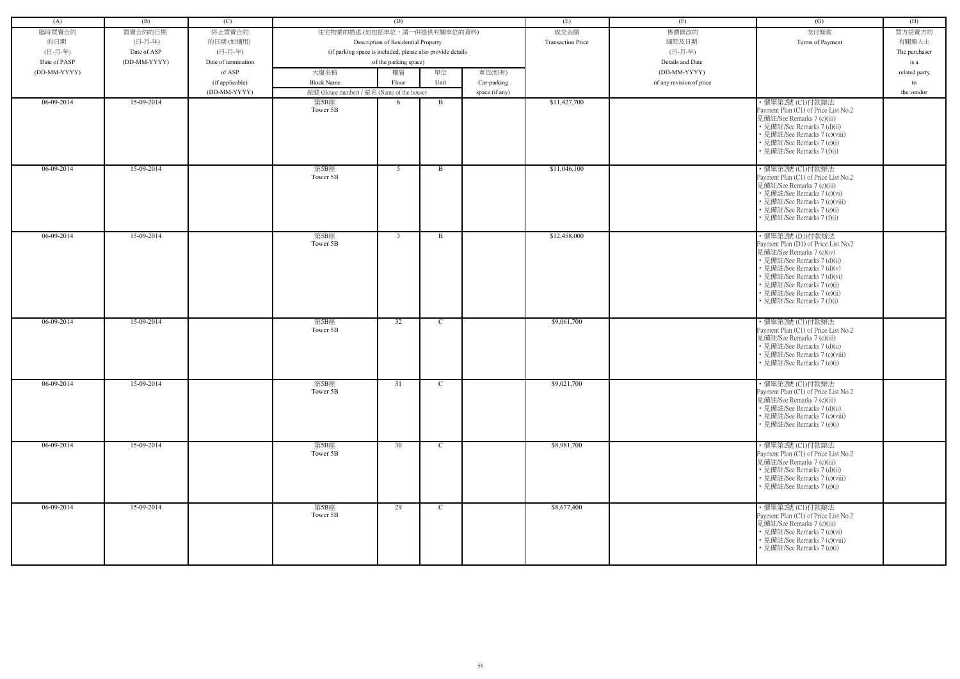| (A)          | (B)          | (C)                 |                                                            | (D)                                 |              |                | (E)                      | (F)                      | (G)                                                                                                                                                                                                                                                                         | (H)           |
|--------------|--------------|---------------------|------------------------------------------------------------|-------------------------------------|--------------|----------------|--------------------------|--------------------------|-----------------------------------------------------------------------------------------------------------------------------------------------------------------------------------------------------------------------------------------------------------------------------|---------------|
|              |              |                     | 住宅物業的描述 (如包括車位,請一併提供有關車位的資料)                               |                                     |              |                |                          |                          |                                                                                                                                                                                                                                                                             |               |
| 臨時買賣合約       | 買賣合約的日期      | 終止買賣合約              |                                                            |                                     |              |                | 成交金額                     | 售價修改的                    | 支付條款                                                                                                                                                                                                                                                                        | 買方是賣方的        |
| 的日期          | (日-月-年)      | 的日期(如適用)            |                                                            | Description of Residential Property |              |                | <b>Transaction Price</b> | 細節及日期                    | Terms of Payment                                                                                                                                                                                                                                                            | 有關連人士         |
| (日-月-年)      | Date of ASP  | (日-月-年)             | (if parking space is included, please also provide details |                                     |              |                |                          | (日-月-年)                  |                                                                                                                                                                                                                                                                             | The purchaser |
| Date of PASP | (DD-MM-YYYY) | Date of termination |                                                            | of the parking space)               |              |                |                          | Details and Date         |                                                                                                                                                                                                                                                                             | is a          |
| (DD-MM-YYYY) |              | of ASP              | 大廈名稱                                                       | 樓層                                  | 單位           | 車位(如有)         |                          | (DD-MM-YYYY)             |                                                                                                                                                                                                                                                                             | related party |
|              |              | (if applicable)     | <b>Block Name</b>                                          | Floor                               | Unit         | Car-parking    |                          | of any revision of price |                                                                                                                                                                                                                                                                             | to            |
|              |              | (DD-MM-YYYY)        | 屋號 (House number) / 屋名 (Name of the house)                 |                                     |              | space (if any) |                          |                          |                                                                                                                                                                                                                                                                             | the vendor    |
| 06-09-2014   | 15-09-2014   |                     | 第5B座<br>Tower 5B                                           | -6                                  | B            |                | \$11,427,700             |                          | ・價單第2號 (C1)付款辦法<br>Payment Plan (C1) of Price List No.2<br>見備註/See Remarks 7 (c)(iii)<br>• 見備註/See Remarks 7 (d)(ii)<br>• 見備註/See Remarks 7 (c)(viii)<br>• 見備註/See Remarks 7 (e)(i)<br>• 見備註/See Remarks 7 (f)(i)                                                           |               |
| $06-09-2014$ | 15-09-2014   |                     | 第5B座<br>Tower 5B                                           | 5                                   | $\mathbf{B}$ |                | \$11,046,100             |                          | ・價單第2號 (C1)付款辦法<br>Payment Plan (C1) of Price List No.2<br>見備註/See Remarks 7 (c)(iii)<br>• 見備註/See Remarks 7 (c)(vi)<br>• 見備註/See Remarks 7 (c)(viii)<br>• 見備註/See Remarks 7 (e)(i)<br>• 見備註/See Remarks 7 (f)(i)                                                           |               |
| $06-09-2014$ | 15-09-2014   |                     | 第5B座<br>Tower 5B                                           | $\mathbf{3}$                        | $\mathbf{B}$ |                | \$12,458,000             |                          | ・價單第2號 (D1)付款辦法<br>Payment Plan (D1) of Price List No.2<br>見備註/See Remarks 7 (c)(iv)<br>• 見備註/See Remarks 7 (d)(ii)<br>• 見備註/See Remarks 7 (d)(v)<br>• 見備註/See Remarks 7 (d)(vi)<br>• 見備註/See Remarks 7 (e)(i)<br>• 見備註/See Remarks 7 (e)(ii)<br>• 見備註/See Remarks 7 (f)(i) |               |
| 06-09-2014   | 15-09-2014   |                     | 第5B座<br>Tower 5B                                           | 32                                  | $\mathbf C$  |                | \$9,061,700              |                          | ・價單第2號 (C1)付款辦法<br>Payment Plan (C1) of Price List No.2<br>見備註/See Remarks 7 (c)(iii)<br>• 見備註/See Remarks 7 (d)(ii)<br>• 見備註/See Remarks 7 (c)(viii)<br>• 見備註/See Remarks 7 (e)(i)                                                                                         |               |
| 06-09-2014   | 15-09-2014   |                     | 第5B座<br>Tower 5B                                           | 31                                  | $\mathbf{C}$ |                | \$9,021,700              |                          | ・價單第2號 (C1)付款辦法<br>Payment Plan (C1) of Price List No.2<br>見備註/See Remarks 7 (c)(iii)<br>• 見備註/See Remarks 7 (d)(ii)<br>• 見備註/See Remarks 7 (c)(viii)<br>• 見備註/See Remarks 7 (e)(i)                                                                                         |               |
| 06-09-2014   | 15-09-2014   |                     | 第5B座<br>Tower 5B                                           | 30                                  | $\mathbf C$  |                | \$8,981,700              |                          | ・價單第2號 (C1)付款辦法<br>Payment Plan (C1) of Price List No.2<br>見備註/See Remarks 7 (c)(iii)<br>• 見備註/See Remarks 7 (d)(ii)<br>• 見備註/See Remarks 7 (c)(viii)<br>• 見備註/See Remarks 7 (e)(i)                                                                                         |               |
| $06-09-2014$ | 15-09-2014   |                     | 第5B座<br>Tower 5B                                           | 29                                  | $\mathbf{C}$ |                | \$8,677,400              |                          | ・價單第2號 (C1)付款辦法<br>Payment Plan (C1) of Price List No.2<br>見備註/See Remarks 7 (c)(iii)<br>• 見備註/See Remarks 7 (c)(vi)<br>• 見備註/See Remarks 7 (c)(viii)<br>• 見備註/See Remarks 7 (e)(i)                                                                                         |               |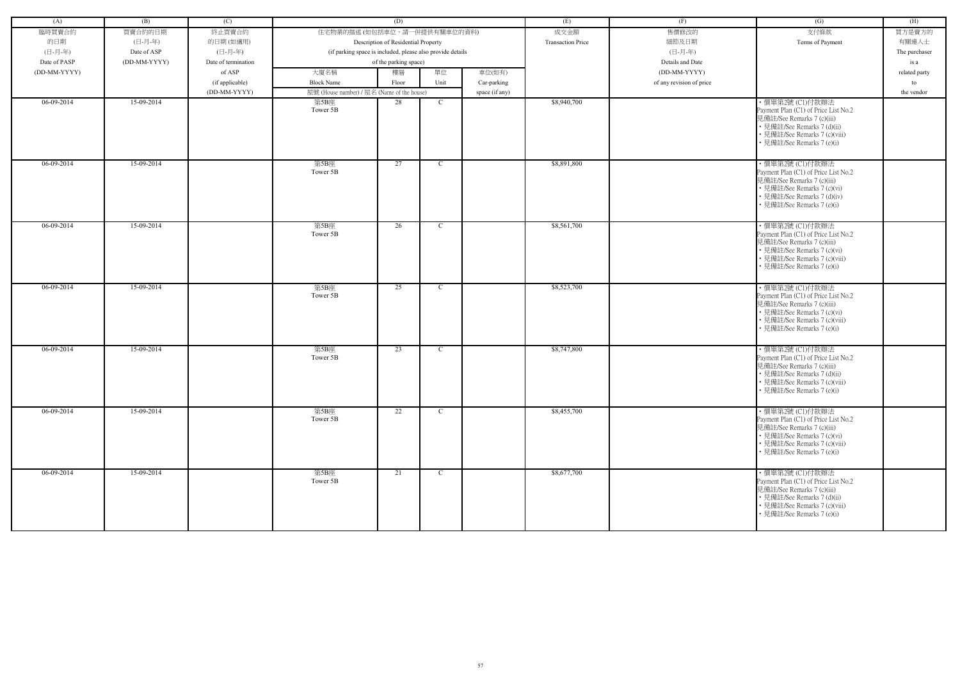| (A)          | (B)          | (C)                 |                                            | (D)                                                        |              |                | (E)                      | (F)                      | (G)                                                                                                                                                                                  | (H)           |
|--------------|--------------|---------------------|--------------------------------------------|------------------------------------------------------------|--------------|----------------|--------------------------|--------------------------|--------------------------------------------------------------------------------------------------------------------------------------------------------------------------------------|---------------|
| 臨時買賣合約       | 買賣合約的日期      | 終止買賣合約              | 住宅物業的描述 (如包括車位,請一併提供有關車位的資料)               |                                                            |              |                | 成交金額                     | 售價修改的                    | 支付條款                                                                                                                                                                                 | 買方是賣方的        |
| 的日期          | (日-月-年)      | 的日期(如適用)            |                                            | Description of Residential Property                        |              |                | <b>Transaction Price</b> | 細節及日期                    | Terms of Payment                                                                                                                                                                     | 有關連人士         |
| (日-月-年)      | Date of ASP  | (日-月-年)             |                                            | (if parking space is included, please also provide details |              |                |                          | (日-月-年)                  |                                                                                                                                                                                      | The purchaser |
| Date of PASP | (DD-MM-YYYY) | Date of termination |                                            | of the parking space)                                      |              |                |                          | Details and Date         |                                                                                                                                                                                      | is a          |
| (DD-MM-YYYY) |              | of ASP              | 大廈名稱                                       | 樓層                                                         | 單位           | 車位(如有)         |                          | (DD-MM-YYYY)             |                                                                                                                                                                                      | related party |
|              |              | (if applicable)     | <b>Block Name</b>                          | Floor                                                      | Unit         | Car-parking    |                          | of any revision of price |                                                                                                                                                                                      | to            |
|              |              | (DD-MM-YYYY)        | 屋號 (House number) / 屋名 (Name of the house) |                                                            |              | space (if any) |                          |                          |                                                                                                                                                                                      | the vendor    |
| 06-09-2014   | 15-09-2014   |                     | 第5B座                                       | 28                                                         | $\mathbf{C}$ |                | \$8,940,700              |                          | ·價單第2號 (C1)付款辦法                                                                                                                                                                      |               |
|              |              |                     | Tower 5B                                   |                                                            |              |                |                          |                          | Payment Plan (C1) of Price List No.2<br>見備註/See Remarks 7 (c)(iii)<br>• 見備註/See Remarks 7 (d)(ii)<br>• 見備註/See Remarks 7 (c)(viii)<br>• 見備註/See Remarks 7 (e)(i)                     |               |
| $06-09-2014$ | 15-09-2014   |                     | 第5B座<br>Tower 5B                           | 27                                                         | $\mathbf C$  |                | \$8,891,800              |                          | ·價單第2號 (C1)付款辦法<br>Payment Plan (C1) of Price List No.2<br>見備註/See Remarks 7 (c)(iii)<br>• 見備註/See Remarks 7 (c)(vi)<br>• 見備註/See Remarks 7 (d)(iv)<br>見備註/See Remarks 7 (e)(i)      |               |
| 06-09-2014   | 15-09-2014   |                     | 第5B座<br>Tower 5B                           | 26                                                         | $\mathbf C$  |                | \$8,561,700              |                          | ・價單第2號 (C1)付款辦法<br>Payment Plan (C1) of Price List No.2<br>見備註/See Remarks 7 (c)(iii)<br>• 見備註/See Remarks 7 (c)(vi)<br>• 見備註/See Remarks 7 (c)(viii)<br>• 見備註/See Remarks 7 (e)(i)  |               |
| 06-09-2014   | 15-09-2014   |                     | 第5B座<br>Tower 5B                           | 25                                                         | $\mathbf{C}$ |                | \$8,523,700              |                          | · 價單第2號 (C1)付款辦法<br>Payment Plan (C1) of Price List No.2<br>見備註/See Remarks 7 (c)(iii)<br>• 見備註/See Remarks 7 (c)(vi)<br>• 見備註/See Remarks 7 (c)(viii)<br>• 見備註/See Remarks 7 (e)(i) |               |
| 06-09-2014   | 15-09-2014   |                     | 第5B座<br>Tower 5B                           | 23                                                         | $\mathbf C$  |                | \$8,747,800              |                          | ・價單第2號 (C1)付款辦法<br>Payment Plan (C1) of Price List No.2<br>見備註/See Remarks 7 (c)(iii)<br>• 見備註/See Remarks 7 (d)(ii)<br>• 見備註/See Remarks 7 (c)(viii)<br>見備註/See Remarks 7 (e)(i)    |               |
| 06-09-2014   | 15-09-2014   |                     | 第5B座<br>Tower 5B                           | 22                                                         | $\mathbf{C}$ |                | \$8,455,700              |                          | ・價單第2號 (C1)付款辦法<br>Payment Plan (C1) of Price List No.2<br>見備註/See Remarks 7 (c)(iii)<br>• 見備註/See Remarks 7 (c)(vi)<br>• 見備註/See Remarks 7 (c)(viii)<br>• 見備註/See Remarks 7 (e)(i)  |               |
| 06-09-2014   | 15-09-2014   |                     | 第5B座<br>Tower 5B                           | 21                                                         | $\mathbf C$  |                | \$8,677,700              |                          | ・價單第2號 (C1)付款辦法<br>Payment Plan (C1) of Price List No.2<br>見備註/See Remarks 7 (c)(iii)<br>• 見備註/See Remarks 7 (d)(ii)<br>• 見備註/See Remarks 7 (c)(viii)<br>• 見備註/See Remarks 7 (e)(i)  |               |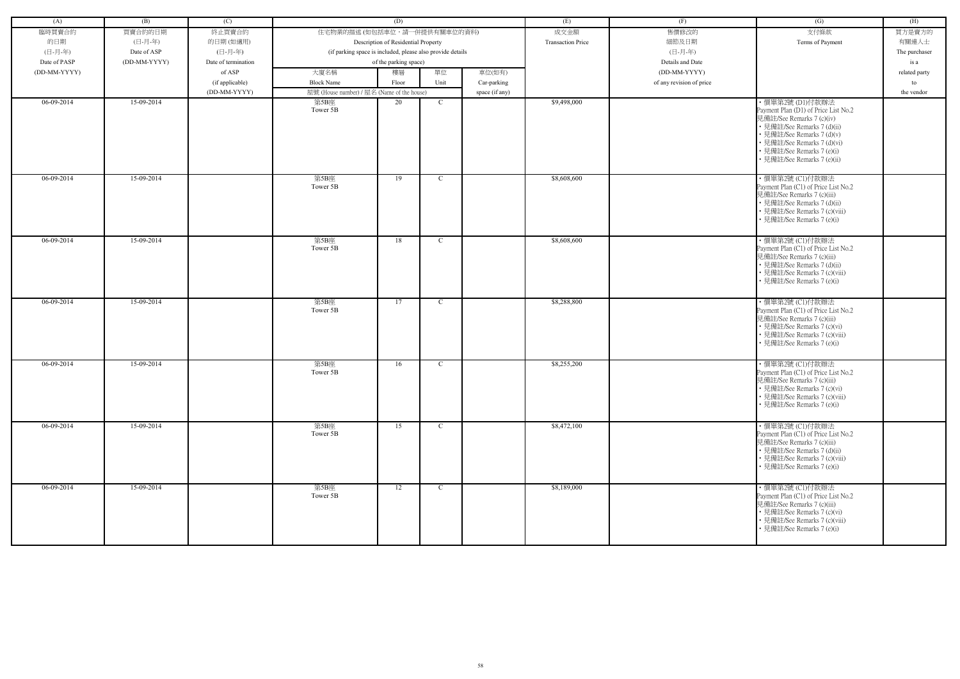| (A)          | (B)          | (C)                 |                                                            | (D)                                 |               |                | (E)                      | (F)                      | (G)                                                                                                                                                                                                                                           | (H)           |
|--------------|--------------|---------------------|------------------------------------------------------------|-------------------------------------|---------------|----------------|--------------------------|--------------------------|-----------------------------------------------------------------------------------------------------------------------------------------------------------------------------------------------------------------------------------------------|---------------|
| 臨時買賣合約       | 買賣合約的日期      | 終止買賣合約              | 住宅物業的描述 (如包括車位,請一併提供有關車位的資料)                               |                                     |               |                | 成交金額                     | 售價修改的                    | 支付條款                                                                                                                                                                                                                                          | 買方是賣方的        |
| 的日期          | (日-月-年)      | 的日期(如適用)            |                                                            | Description of Residential Property |               |                | <b>Transaction Price</b> | 細節及日期                    | Terms of Payment                                                                                                                                                                                                                              | 有關連人士         |
| (日-月-年)      | Date of ASP  | (日-月-年)             | (if parking space is included, please also provide details |                                     |               |                |                          | (日-月-年)                  |                                                                                                                                                                                                                                               | The purchaser |
| Date of PASP | (DD-MM-YYYY) | Date of termination |                                                            | of the parking space)               |               |                |                          | Details and Date         |                                                                                                                                                                                                                                               | is a          |
| (DD-MM-YYYY) |              | of ASP              | 大廈名稱                                                       | 樓層                                  | 單位            | 車位(如有)         |                          | (DD-MM-YYYY)             |                                                                                                                                                                                                                                               | related party |
|              |              | (if applicable)     | <b>Block Name</b>                                          | Floor                               | Unit          | Car-parking    |                          | of any revision of price |                                                                                                                                                                                                                                               | to            |
|              |              | (DD-MM-YYYY)        | 屋號 (House number) / 屋名 (Name of the house)                 |                                     |               | space (if any) |                          |                          |                                                                                                                                                                                                                                               | the vendor    |
| 06-09-2014   | 15-09-2014   |                     | 第5B座<br>Tower 5B                                           | 20                                  | $\mathbf C$   |                | \$9,498,000              |                          | ・價單第2號 (D1)付款辦法<br>Payment Plan (D1) of Price List No.2<br>見備註/See Remarks 7 (c)(iv)<br>• 見備註/See Remarks 7 (d)(ii)<br>• 見備註/See Remarks 7 (d)(v)<br>• 見備註/See Remarks 7 (d)(vi)<br>• 見備註/See Remarks 7 (e)(i)<br>· 見備註/See Remarks 7 (e)(ii) |               |
| 06-09-2014   | 15-09-2014   |                     | 第5B座<br>Tower 5B                                           | 19                                  | C             |                | \$8,608,600              |                          | ・價單第2號 (C1)付款辦法<br>Payment Plan (C1) of Price List No.2<br>見備註/See Remarks 7 (c)(iii)<br>• 見備註/See Remarks 7 (d)(ii)<br>• 見備註/See Remarks 7 (c)(viii)<br>• 見備註/See Remarks 7 (e)(i)                                                           |               |
| 06-09-2014   | 15-09-2014   |                     | 第5B座<br>Tower 5B                                           | 18                                  | $\mathcal{C}$ |                | \$8,608,600              |                          | ・價單第2號 (C1)付款辦法<br>Payment Plan (C1) of Price List No.2<br>見備註/See Remarks 7 (c)(iii)<br>• 見備註/See Remarks 7 (d)(ii)<br>• 見備註/See Remarks 7 (c)(viii)<br>• 見備註/See Remarks 7 (e)(i)                                                           |               |
| 06-09-2014   | 15-09-2014   |                     | 第5B座<br>Tower 5B                                           | 17                                  | $\mathcal{C}$ |                | \$8,288,800              |                          | · 價單第2號 (Cl)付款辦法<br>Payment Plan (C1) of Price List No.2<br>見備註/See Remarks 7 (c)(iii)<br>• 見備註/See Remarks 7 (c)(vi)<br>• 見備註/See Remarks 7 (c)(viii)<br>• 見備註/See Remarks 7 (e)(i)                                                          |               |
| 06-09-2014   | 15-09-2014   |                     | 第5B座<br>Tower 5B                                           | 16                                  | $\mathbf C$   |                | \$8,255,200              |                          | ·價單第2號 (C1)付款辦法<br>Payment Plan (C1) of Price List No.2<br>見備註/See Remarks 7 (c)(iii)<br>• 見備註/See Remarks 7 (c)(vi)<br>• 見備註/See Remarks 7 (c)(viii)<br>• 見備註/See Remarks 7 (e)(i)                                                           |               |
| $06-09-2014$ | 15-09-2014   |                     | 第5B座<br>Tower 5B                                           | 15                                  | C             |                | \$8,472,100              |                          | ・價單第2號 (C1)付款辦法<br>Payment Plan (C1) of Price List No.2<br>見備註/See Remarks 7 (c)(iii)<br>• 見備註/See Remarks 7 (d)(ii)<br>• 見備註/See Remarks 7 (c)(viii)<br>• 見備註/See Remarks 7 (e)(i)                                                           |               |
| 06-09-2014   | 15-09-2014   |                     | 第5B座<br>Tower 5B                                           | 12                                  | $\mathbf{C}$  |                | \$8,189,000              |                          | ・價單第2號 (C1)付款辦法<br>Payment Plan (C1) of Price List No.2<br>見備註/See Remarks 7 (c)(iii)<br>• 見備註/See Remarks 7 (c)(vi)<br>• 見備註/See Remarks 7 (c)(viii)<br>• 見備註/See Remarks 7 (e)(i)                                                           |               |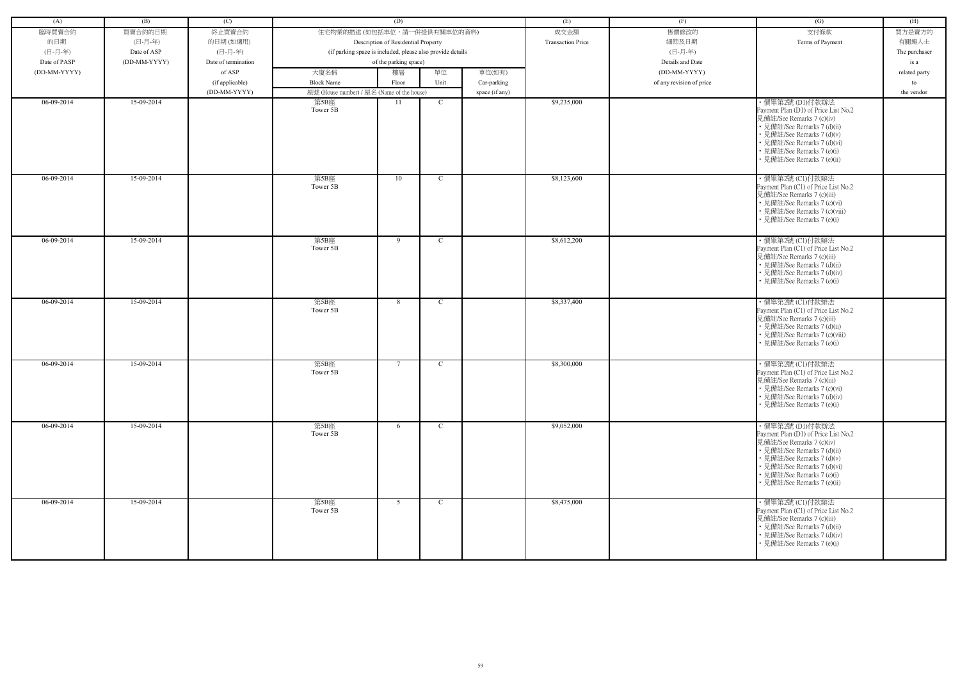| (A)          | (B)          | (C)                 |                                            | (D)                                                        |              |                | (E)                      | (F)                      | (G)                                                                                                                                                                                                                                           | (H)           |
|--------------|--------------|---------------------|--------------------------------------------|------------------------------------------------------------|--------------|----------------|--------------------------|--------------------------|-----------------------------------------------------------------------------------------------------------------------------------------------------------------------------------------------------------------------------------------------|---------------|
| 臨時買賣合約       | 買賣合約的日期      | 終止買賣合約              | 住宅物業的描述 (如包括車位,請一併提供有關車位的資料)               |                                                            |              |                | 成交金額                     | 售價修改的                    | 支付條款                                                                                                                                                                                                                                          | 買方是賣方的        |
| 的日期          | (日-月-年)      | 的日期(如適用)            |                                            | Description of Residential Property                        |              |                | <b>Transaction Price</b> | 細節及日期                    | Terms of Payment                                                                                                                                                                                                                              | 有關連人士         |
| (日-月-年)      | Date of ASP  | (日-月-年)             |                                            | (if parking space is included, please also provide details |              |                |                          | (日-月-年)                  |                                                                                                                                                                                                                                               | The purchaser |
| Date of PASP | (DD-MM-YYYY) | Date of termination |                                            | of the parking space)                                      |              |                |                          | Details and Date         |                                                                                                                                                                                                                                               | is a          |
| (DD-MM-YYYY) |              | of ASP              | 大廈名稱                                       | 樓層                                                         | 單位           | 車位(如有)         |                          | (DD-MM-YYYY)             |                                                                                                                                                                                                                                               | related party |
|              |              | (if applicable)     | <b>Block Name</b>                          | Floor                                                      | Unit         | Car-parking    |                          | of any revision of price |                                                                                                                                                                                                                                               | to            |
|              |              | (DD-MM-YYYY)        | 屋號 (House number) / 屋名 (Name of the house) |                                                            |              | space (if any) |                          |                          |                                                                                                                                                                                                                                               | the vendor    |
| 06-09-2014   | 15-09-2014   |                     | 第5B座<br>Tower 5B                           | 11                                                         | $\mathbf C$  |                | \$9,235,000              |                          | ・價單第2號 (D1)付款辦法<br>Payment Plan (D1) of Price List No.2<br>見備註/See Remarks 7 (c)(iv)<br>• 見備註/See Remarks 7 (d)(ii)<br>• 見備註/See Remarks 7 (d)(v)<br>• 見備註/See Remarks 7 (d)(vi)<br>• 見備註/See Remarks 7 (e)(i)<br>• 見備註/See Remarks 7 (e)(ii) |               |
| 06-09-2014   | 15-09-2014   |                     | 第5B座<br>Tower 5B                           | 10                                                         | $\mathbf C$  |                | \$8,123,600              |                          | ・價單第2號 (C1)付款辦法<br>Payment Plan (C1) of Price List No.2<br>見備註/See Remarks 7 (c)(iii)<br>• 見備註/See Remarks 7 (c)(vi)<br>• 見備註/See Remarks 7 (c)(viii)<br>見備註/See Remarks 7 (e)(i)                                                             |               |
| $06-09-2014$ | 15-09-2014   |                     | 第5B座<br>Tower 5B                           | 9                                                          | $\mathbf C$  |                | \$8,612,200              |                          | ・價單第2號 (C1)付款辦法<br>Payment Plan (C1) of Price List No.2<br>見備註/See Remarks 7 (c)(iii)<br>• 見備註/See Remarks 7 (d)(ii)<br>• 見備註/See Remarks 7 (d)(iv)<br>• 見備註/See Remarks 7 (e)(i)                                                             |               |
| $06-09-2014$ | 15-09-2014   |                     | 第5B座<br>Tower 5B                           | 8                                                          | C            |                | \$8,337,400              |                          | ·價單第2號 (C1)付款辦法<br>Payment Plan (C1) of Price List No.2<br>見備註/See Remarks 7 (c)(iii)<br>• 見備註/See Remarks 7 (d)(ii)<br>• 見備註/See Remarks 7 (c)(viii)<br>• 見備註/See Remarks 7 (e)(i)                                                           |               |
| 06-09-2014   | 15-09-2014   |                     | 第5B座<br>Tower 5B                           | $7\phantom{.0}$                                            | $\mathbf C$  |                | \$8,300,000              |                          | ·價單第2號 (C1)付款辦法<br>Payment Plan (C1) of Price List No.2<br>見備註/See Remarks 7 (c)(iii)<br>• 見備註/See Remarks 7 (c)(vi)<br>• 見備註/See Remarks 7 (d)(iv)<br>• 見備註/See Remarks 7 (e)(i)                                                             |               |
| 06-09-2014   | 15-09-2014   |                     | 第5B座<br>Tower 5B                           | 6                                                          | $\mathbf{C}$ |                | \$9,052,000              |                          | ·價單第2號(D1)付款辦法<br>Payment Plan (D1) of Price List No.2<br>見備註/See Remarks 7 (c)(iv)<br>• 見備註/See Remarks 7 (d)(ii)<br>• 見備註/See Remarks 7 (d)(v)<br>• 見備註/See Remarks 7 (d)(vi)<br>• 見備註/See Remarks 7 (e)(i)<br>• 見備註/See Remarks 7 (e)(ii)  |               |
| $06-09-2014$ | 15-09-2014   |                     | 第5B座<br>Tower 5B                           | 5                                                          | $\mathbf{C}$ |                | \$8,475,000              |                          | ・價單第2號 (C1)付款辦法<br>Payment Plan (C1) of Price List No.2<br>見備註/See Remarks 7 (c)(iii)<br>• 見備註/See Remarks 7 (d)(ii)<br>• 見備註/See Remarks 7 (d)(iv)<br>• 見備註/See Remarks 7 (e)(i)                                                             |               |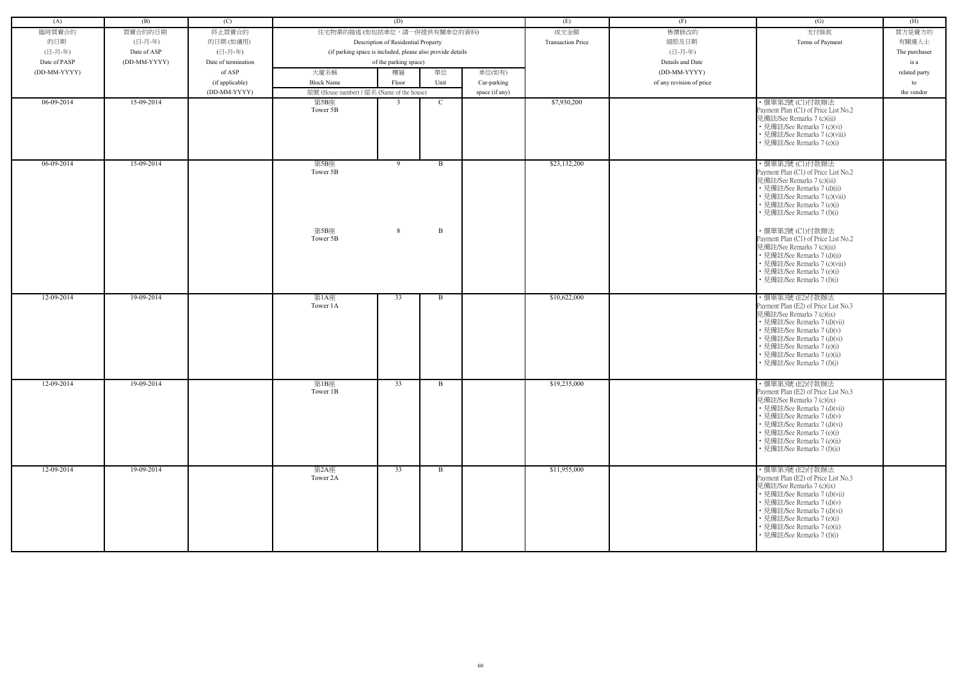| (A)          | (B)          | (C)                 |                                                            | (D)                                 |                              |                | (E)                      | (F)                      | (G)                                                                                                                                                                                                                                                                           | (H)           |
|--------------|--------------|---------------------|------------------------------------------------------------|-------------------------------------|------------------------------|----------------|--------------------------|--------------------------|-------------------------------------------------------------------------------------------------------------------------------------------------------------------------------------------------------------------------------------------------------------------------------|---------------|
| 臨時買賣合約       | 買賣合約的日期      | 終止買賣合約              | 住宅物業的描述 (如包括車位,請一併提供有關車位的資料)                               |                                     |                              |                | 成交金額                     | 售價修改的                    | 支付條款                                                                                                                                                                                                                                                                          | 買方是賣方的        |
|              |              |                     |                                                            |                                     |                              |                | <b>Transaction Price</b> |                          |                                                                                                                                                                                                                                                                               |               |
| 的日期          | (日-月-年)      | 的日期(如適用)            |                                                            | Description of Residential Property |                              |                |                          | 細節及日期                    | Terms of Payment                                                                                                                                                                                                                                                              | 有關連人士         |
| (日-月-年)      | Date of ASP  | (日-月-年)             | (if parking space is included, please also provide details |                                     |                              |                |                          | (日-月-年)                  |                                                                                                                                                                                                                                                                               | The purchaser |
| Date of PASP | (DD-MM-YYYY) | Date of termination |                                                            | of the parking space)               |                              |                |                          | Details and Date         |                                                                                                                                                                                                                                                                               | is a          |
| (DD-MM-YYYY) |              | of ASP              | 大廈名稱                                                       | 樓層                                  | 單位                           | 車位(如有)         |                          | (DD-MM-YYYY)             |                                                                                                                                                                                                                                                                               | related party |
|              |              | (if applicable)     | <b>Block Name</b>                                          | Floor                               | Unit                         | Car-parking    |                          | of any revision of price |                                                                                                                                                                                                                                                                               | to            |
|              |              | (DD-MM-YYYY)        | 屋號 (House number) / 屋名 (Name of the house)                 |                                     |                              | space (if any) |                          |                          |                                                                                                                                                                                                                                                                               | the vendor    |
| 06-09-2014   | 15-09-2014   |                     | 第5B座<br>Tower 5B                                           | $\mathcal{R}$                       | $\mathbf C$                  |                | \$7,930,200              |                          | ・價單第2號 (C1)付款辦法<br>Payment Plan (C1) of Price List No.2<br>見備註/See Remarks 7 (c)(iii)<br>• 見備註/See Remarks 7 (c)(vi)<br>• 見備註/See Remarks 7 (c)(viii)<br>• 見備註/See Remarks 7 (e)(i)                                                                                           |               |
| $06-09-2014$ | 15-09-2014   |                     | 第5B座<br>Tower 5B<br>第5B座                                   | 9<br>8                              | $\mathbf{B}$<br>$\mathbf{B}$ |                | \$23,132,200             |                          | ·價單第2號 (C1)付款辦法<br>Payment Plan (C1) of Price List No.2<br>見備註/See Remarks 7 (c)(iii)<br>• 見備註/See Remarks 7 (d)(ii)<br>• 見備註/See Remarks 7 (c)(viii)<br>• 見備註/See Remarks 7 (e)(i)<br>• 見備註/See Remarks 7 (f)(i)<br>·價單第2號 (C1)付款辦法                                          |               |
|              |              |                     | Tower 5B                                                   |                                     |                              |                |                          |                          | Payment Plan (C1) of Price List No.2<br>見備註/See Remarks 7 (c)(iii)<br>• 見備註/See Remarks 7 (d)(ii)<br>• 見備註/See Remarks 7 (c)(viii)<br>• 見備註/See Remarks 7 (e)(i)<br>見備註/See Remarks 7 (f)(i)                                                                                  |               |
| 12-09-2014   | 19-09-2014   |                     | 第1A座<br>Tower 1A                                           | 33                                  | B                            |                | \$10,622,000             |                          | ·價單第3號 (E2)付款辦法<br>Payment Plan (E2) of Price List No.3<br>見備註/See Remarks 7 (c)(ix)<br>• 見備註/See Remarks 7 (d)(vii)<br>• 見備註/See Remarks 7 (d)(v)<br>• 見備註/See Remarks 7 (d)(vi)<br>• 見備註/See Remarks 7 (e)(i)<br>• 見備註/See Remarks 7 (e)(ii)<br>• 見備註/See Remarks 7 (f)(i)  |               |
| 12-09-2014   | 19-09-2014   |                     | 第1B座<br>Tower 1B                                           | 33                                  | B                            |                | \$19,235,000             |                          | ・價單第3號 (E2)付款辦法<br>Payment Plan (E2) of Price List No.3<br>見備註/See Remarks 7 (c)(ix)<br>• 見備註/See Remarks 7 (d)(vii)<br>• 見備註/See Remarks 7 (d)(v)<br>• 見備註/See Remarks 7 (d)(vi)<br>• 見備註/See Remarks 7 (e)(i)<br>• 見備註/See Remarks 7 (e)(ii)<br>• 見備註/See Remarks 7 (f)(ii) |               |
| 12-09-2014   | 19-09-2014   |                     | 第2A座<br>Tower 2A                                           | 33                                  | $\mathbf{B}$                 |                | \$11,955,000             |                          | ·價單第3號 (E2)付款辦法<br>Payment Plan (E2) of Price List No.3<br>見備註/See Remarks 7 (c)(ix)<br>• 見備註/See Remarks 7 (d)(vii)<br>• 見備註/See Remarks 7 (d)(v)<br>• 見備註/See Remarks 7 (d)(vi)<br>• 見備註/See Remarks 7 (e)(i)<br>• 見備註/See Remarks 7 (e)(ii)<br>• 見備註/See Remarks 7 (f)(i)  |               |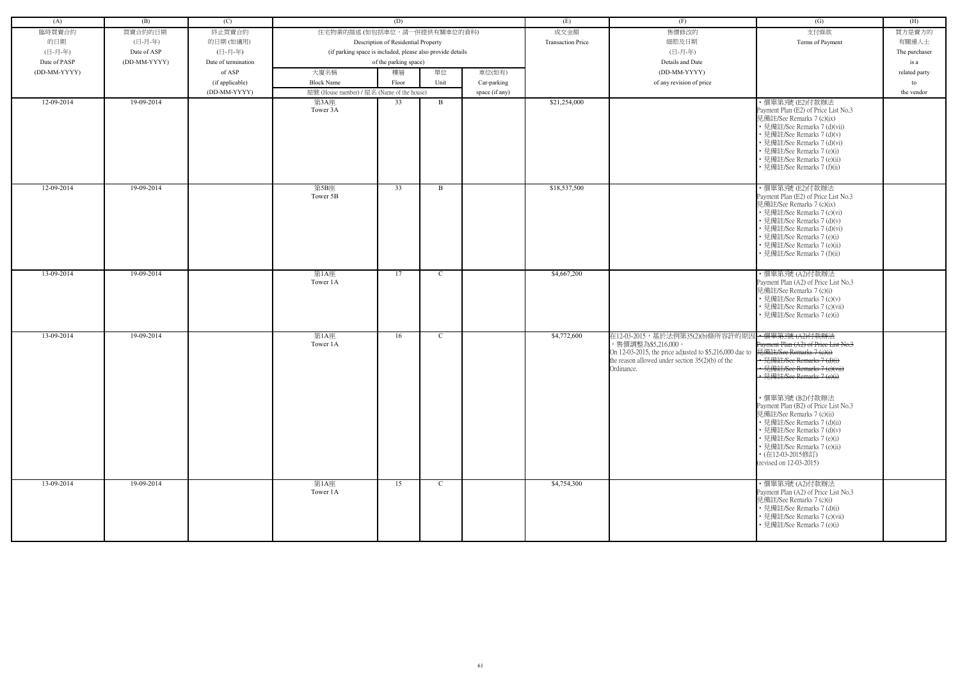| (A)          | (B)          | (C)                 |                                                            | (D)                                 |               |                | (E)                      | (F)                                                                                                                                                                                   | (G)                                                                                                                                                                                                                                                                                                                                                                                                                                               | (H)           |
|--------------|--------------|---------------------|------------------------------------------------------------|-------------------------------------|---------------|----------------|--------------------------|---------------------------------------------------------------------------------------------------------------------------------------------------------------------------------------|---------------------------------------------------------------------------------------------------------------------------------------------------------------------------------------------------------------------------------------------------------------------------------------------------------------------------------------------------------------------------------------------------------------------------------------------------|---------------|
| 臨時買賣合約       | 買賣合約的日期      | 終止買賣合約              | 住宅物業的描述 (如包括車位,請一併提供有關車位的資料)                               |                                     |               |                | 成交金額                     | 售價修改的                                                                                                                                                                                 | 支付條款                                                                                                                                                                                                                                                                                                                                                                                                                                              | 買方是賣方的        |
| 的日期          | (日-月-年)      | 的日期(如適用)            |                                                            | Description of Residential Property |               |                | <b>Transaction Price</b> | 細節及日期                                                                                                                                                                                 | Terms of Payment                                                                                                                                                                                                                                                                                                                                                                                                                                  | 有關連人士         |
| (日-月-年)      | Date of ASP  | (日-月-年)             | (if parking space is included, please also provide details |                                     |               |                |                          | (日-月-年)                                                                                                                                                                               |                                                                                                                                                                                                                                                                                                                                                                                                                                                   | The purchaser |
| Date of PASP | (DD-MM-YYYY) | Date of termination |                                                            | of the parking space)               |               |                |                          | Details and Date                                                                                                                                                                      |                                                                                                                                                                                                                                                                                                                                                                                                                                                   | is a          |
| (DD-MM-YYYY) |              | of ASP              | 大廈名稱                                                       | 樓層                                  | 單位            | 車位(如有)         |                          | (DD-MM-YYYY)                                                                                                                                                                          |                                                                                                                                                                                                                                                                                                                                                                                                                                                   | related party |
|              |              | (if applicable)     | <b>Block Name</b>                                          | Floor                               | Unit          | Car-parking    |                          | of any revision of price                                                                                                                                                              |                                                                                                                                                                                                                                                                                                                                                                                                                                                   | to            |
|              |              | (DD-MM-YYYY)        | 屋號 (House number) / 屋名 (Name of the house)                 |                                     |               | space (if any) |                          |                                                                                                                                                                                       |                                                                                                                                                                                                                                                                                                                                                                                                                                                   | the vendor    |
| 12-09-2014   | 19-09-2014   |                     | 第3A座<br>Tower 3A                                           | 33                                  | B             |                | \$21,254,000             |                                                                                                                                                                                       | ·價單第3號 (E2)付款辦法<br>Payment Plan (E2) of Price List No.3<br>見備註/See Remarks 7 (c)(ix)<br>• 見備註/See Remarks 7 (d)(vii)<br>• 見備註/See Remarks 7 (d)(v)<br>• 見備註/See Remarks 7 (d)(vi)<br>• 見備註/See Remarks 7 (e)(i)<br>• 見備註/See Remarks 7 (e)(ii)<br>• 見備註/See Remarks 7 (f)(ii)                                                                                                                                                                     |               |
| 12-09-2014   | 19-09-2014   |                     | 第5B座<br>Tower 5B                                           | 33                                  | B             |                | \$18,537,500             |                                                                                                                                                                                       | ·價單第3號 (E2)付款辦法<br>Payment Plan (E2) of Price List No.3<br>見備註/See Remarks 7 (c)(ix)<br>• 見備註/See Remarks 7 (c)(vi)<br>• 見備註/See Remarks 7 (d)(v)<br>• 見備註/See Remarks 7 (d)(vi)<br>• 見備註/See Remarks 7 (e)(i)<br>• 見備註/See Remarks 7 (e)(ii)<br>• 見備註/See Remarks 7 (f)(ii)                                                                                                                                                                      |               |
| 13-09-2014   | 19-09-2014   |                     | 第1A座<br>Tower 1A                                           | 17                                  | $\mathbf C$   |                | \$4,667,200              |                                                                                                                                                                                       | · 價單第3號 (A2)付款辦法<br>Payment Plan (A2) of Price List No.3<br>見備註/See Remarks 7 (c)(i)<br>• 見備註/See Remarks 7 (c)(v)<br>• 見備註/See Remarks 7 (c)(vii)<br>• 見備註/See Remarks 7 (e)(i)                                                                                                                                                                                                                                                                  |               |
| 13-09-2014   | 19-09-2014   |                     | 第1A座<br>Tower 1A                                           | 16                                  | $\mathcal{C}$ |                | \$4,772,600              | 在12-03-2015,基於法例第35(2)(b)條所容許的原因<br>,售價調整為\$5,216,000。<br>On 12-03-2015, the price adjusted to \$5,216,000 due to<br>the reason allowed under section $35(2)(b)$ of the<br>Ordinance. | ← 價單第3號 (A2)付款辦法<br>Payment Plan (A2) of Price List No.3<br>見備註/See Remarks 7 (e)(i)<br>• 見備註/See Remarks 7 (d)(i<br>· 見備註/See Remarks 7 (e)(vii)<br>• 見備註/See Remarks 7 (e)(i)<br>・價單第3號 (B2)付款辦法<br>Payment Plan (B2) of Price List No.3<br>見備註/See Remarks 7 (c)(ii)<br>• 見備註/See Remarks 7 (d)(ii)<br>• 見備註/See Remarks 7 (d)(v)<br>• 見備註/See Remarks 7 (e)(i)<br>• 見備註/See Remarks 7 (e)(ii)<br>• (在12-03-2015修訂)<br>(revised on 12-03-2015) |               |
| 13-09-2014   | 19-09-2014   |                     | 第1A座<br>Tower 1A                                           | 15                                  | $\mathcal{C}$ |                | \$4,754,300              |                                                                                                                                                                                       | ・價單第3號 (A2)付款辦法<br>Payment Plan (A2) of Price List No.3<br>見備註/See Remarks 7 (c)(i)<br>• 見備註/See Remarks 7 (d)(i)<br>• 見備註/See Remarks 7 (c)(vii)<br>• 見備註/See Remarks 7 (e)(i)                                                                                                                                                                                                                                                                   |               |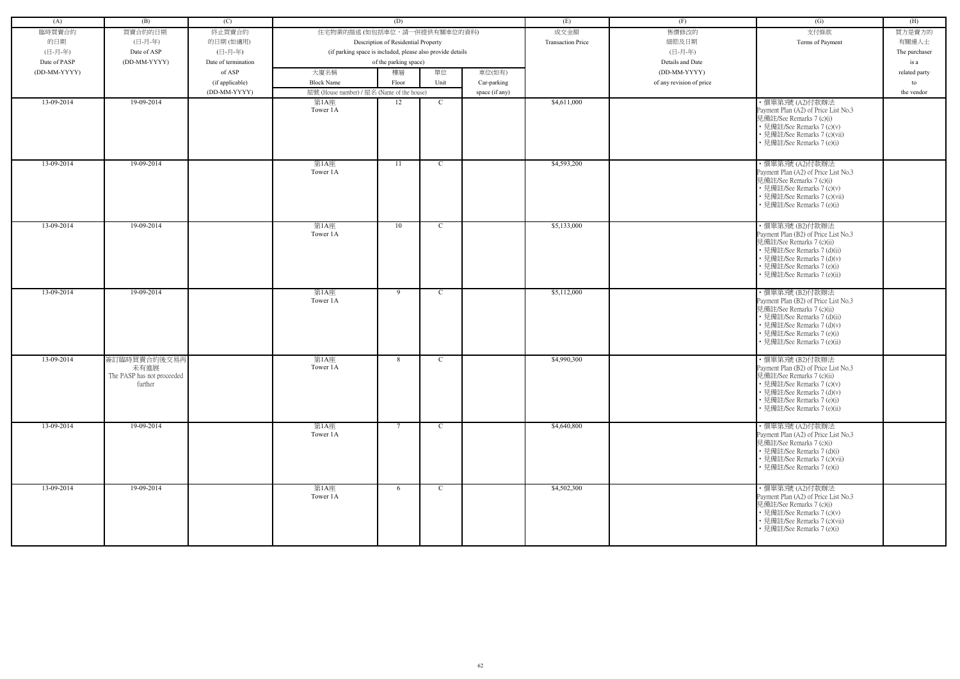| (A)          | (B)                                                           | (C)                             |                                            | (D)                                                        |               |                               | (E)                      | (F)                      | (G)                                                                                                                                                                                                            | (H)           |
|--------------|---------------------------------------------------------------|---------------------------------|--------------------------------------------|------------------------------------------------------------|---------------|-------------------------------|--------------------------|--------------------------|----------------------------------------------------------------------------------------------------------------------------------------------------------------------------------------------------------------|---------------|
| 臨時買賣合約       | 買賣合約的日期                                                       | 終止買賣合約                          | 住宅物業的描述 (如包括車位,請一併提供有關車位的資料)               |                                                            |               |                               | 成交金額                     | 售價修改的                    | 支付條款                                                                                                                                                                                                           | 買方是賣方的        |
| 的日期          | (日-月-年)                                                       | 的日期(如適用)                        |                                            | Description of Residential Property                        |               |                               | <b>Transaction Price</b> | 細節及日期                    | Terms of Payment                                                                                                                                                                                               | 有關連人士         |
| (日-月-年)      | Date of ASP                                                   | (日-月-年)                         |                                            | (if parking space is included, please also provide details |               |                               |                          | (日-月-年)                  |                                                                                                                                                                                                                | The purchaser |
| Date of PASP | (DD-MM-YYYY)                                                  | Date of termination             |                                            | of the parking space)                                      |               |                               |                          | Details and Date         |                                                                                                                                                                                                                | is a          |
| (DD-MM-YYYY) |                                                               | of ASP                          | 大廈名稱                                       | 樓層                                                         | 單位            | 車位(如有)                        |                          | (DD-MM-YYYY)             |                                                                                                                                                                                                                | related party |
|              |                                                               |                                 | <b>Block Name</b>                          | Floor                                                      | Unit          |                               |                          | of any revision of price |                                                                                                                                                                                                                | to            |
|              |                                                               | (if applicable)<br>(DD-MM-YYYY) | 屋號 (House number) / 屋名 (Name of the house) |                                                            |               | Car-parking<br>space (if any) |                          |                          |                                                                                                                                                                                                                | the vendor    |
| 13-09-2014   | 19-09-2014                                                    |                                 | 第1A座                                       | 12                                                         | C             |                               | \$4,611,000              |                          | · 價單第3號 (A2)付款辦法                                                                                                                                                                                               |               |
|              |                                                               |                                 | Tower 1A                                   |                                                            |               |                               |                          |                          | Payment Plan (A2) of Price List No.3<br>見備註/See Remarks 7 (c)(i)<br>• 見備註/See Remarks 7 (c)(v)<br>• 見備註/See Remarks 7 (c)(vii)<br>• 見備註/See Remarks 7 (e)(i)                                                   |               |
| 13-09-2014   | 19-09-2014                                                    |                                 | 第1A座<br>Tower 1A                           | 11                                                         | $\mathbf{C}$  |                               | \$4,593,200              |                          | ・價單第3號 (A2)付款辦法<br>Payment Plan (A2) of Price List No.3<br>見備註/See Remarks 7 (c)(i)<br>• 見備註/See Remarks 7 (c)(v)<br>• 見備註/See Remarks 7 (c)(vii)<br>• 見備註/See Remarks 7 (e)(i)                                |               |
| 13-09-2014   | 19-09-2014                                                    |                                 | 第1A座<br>Tower 1A                           | 10                                                         | $\mathcal{C}$ |                               | \$5,133,000              |                          | ・價單第3號 (B2)付款辦法<br>Payment Plan (B2) of Price List No.3<br>見備註/See Remarks 7 (c)(ii)<br>• 見備註/See Remarks 7 (d)(ii)<br>• 見備註/See Remarks 7 (d)(v)<br>• 見備註/See Remarks 7 (e)(i)<br>· 見備註/See Remarks 7 (e)(ii) |               |
| 13-09-2014   | 19-09-2014                                                    |                                 | 第1A座<br>Tower 1A                           | -9                                                         | $\mathcal{C}$ |                               | \$5,112,000              |                          | ・價單第3號 (B2)付款辦法<br>Payment Plan (B2) of Price List No.3<br>見備註/See Remarks 7 (c)(ii)<br>• 見備註/See Remarks 7 (d)(ii)<br>• 見備註/See Remarks 7 (d)(v)<br>• 見備註/See Remarks 7 (e)(i)<br>• 見備註/See Remarks 7 (e)(ii) |               |
| 13-09-2014   | 簽訂臨時買賣合約後交易再<br>未有進展<br>The PASP has not proceeded<br>further |                                 | 第1A座<br>Tower 1A                           | 8                                                          | C             |                               | \$4,990,300              |                          | ・價單第3號 (B2)付款辦法<br>Payment Plan (B2) of Price List No.3<br>見備註/See Remarks 7 (c)(ii)<br>• 見備註/See Remarks 7 (c)(v)<br>• 見備註/See Remarks 7 (d)(v)<br>• 見備註/See Remarks 7 (e)(i)<br>• 見備註/See Remarks 7 (e)(ii)  |               |
| 13-09-2014   | 19-09-2014                                                    |                                 | 第1A座<br>Tower 1A                           | $7\phantom{.0}$                                            | $\mathbf C$   |                               | \$4,640,800              |                          | · 價單第3號 (A2)付款辦法<br>Payment Plan (A2) of Price List No.3<br>見備註/See Remarks 7 (c)(i)<br>• 見備註/See Remarks 7 (d)(i)<br>• 見備註/See Remarks 7 (c)(vii)<br>• 見備註/See Remarks 7 (e)(i)                               |               |
| 13-09-2014   | 19-09-2014                                                    |                                 | 第1A座<br>Tower 1A                           | 6                                                          | $\mathbf{C}$  |                               | \$4,502,300              |                          | ・價單第3號 (A2)付款辦法<br>Payment Plan (A2) of Price List No.3<br>見備註/See Remarks 7 (c)(i)<br>• 見備註/See Remarks 7 (c)(v)<br>• 見備註/See Remarks 7 (c)(vii)<br>• 見備註/See Remarks 7 (e)(i)                                |               |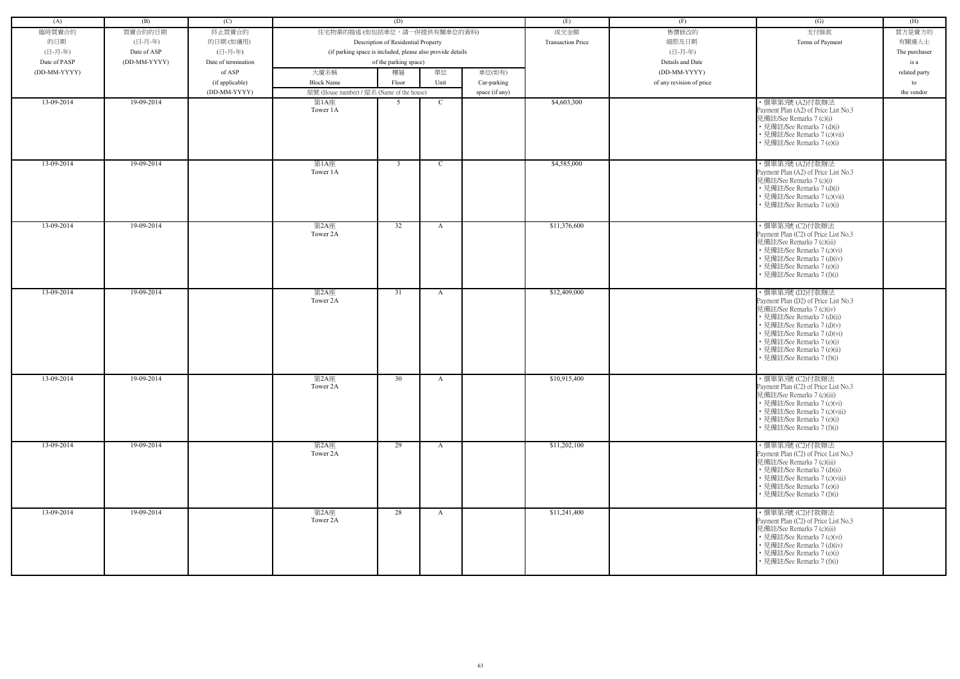| (A)          | (B)          | (C)                 |                                                            | (D)                                 |              |                | (E)                      | (F)                      | (G)                                                                                                                                                                                                                                                                         | (H)           |
|--------------|--------------|---------------------|------------------------------------------------------------|-------------------------------------|--------------|----------------|--------------------------|--------------------------|-----------------------------------------------------------------------------------------------------------------------------------------------------------------------------------------------------------------------------------------------------------------------------|---------------|
| 臨時買賣合約       | 買賣合約的日期      | 終止買賣合約              | 住宅物業的描述 (如包括車位,請一併提供有關車位的資料)                               |                                     |              |                | 成交金額                     | 售價修改的                    | 支付條款                                                                                                                                                                                                                                                                        | 買方是賣方的        |
| 的日期          | (日-月-年)      | 的日期(如適用)            |                                                            | Description of Residential Property |              |                | <b>Transaction Price</b> | 細節及日期                    | Terms of Payment                                                                                                                                                                                                                                                            | 有關連人士         |
| (日-月-年)      | Date of ASP  | (日-月-年)             | (if parking space is included, please also provide details |                                     |              |                |                          | (日-月-年)                  |                                                                                                                                                                                                                                                                             | The purchaser |
| Date of PASP | (DD-MM-YYYY) | Date of termination |                                                            | of the parking space)               |              |                |                          | Details and Date         |                                                                                                                                                                                                                                                                             | is a          |
| (DD-MM-YYYY) |              | of ASP              | 大廈名稱                                                       | 樓層                                  | 單位           | 車位(如有)         |                          | (DD-MM-YYYY)             |                                                                                                                                                                                                                                                                             |               |
|              |              |                     |                                                            |                                     |              |                |                          |                          |                                                                                                                                                                                                                                                                             | related party |
|              |              | (if applicable)     | <b>Block Name</b>                                          | Floor                               | Unit         | Car-parking    |                          | of any revision of price |                                                                                                                                                                                                                                                                             | to            |
|              |              | (DD-MM-YYYY)        | 屋號 (House number) / 屋名 (Name of the house)                 |                                     |              | space (if any) |                          |                          |                                                                                                                                                                                                                                                                             | the vendor    |
| 13-09-2014   | 19-09-2014   |                     | 第1A座<br>Tower 1A                                           | 5                                   | <sup>C</sup> |                | \$4,603,300              |                          | · 價單第3號 (A2)付款辦法<br>Payment Plan (A2) of Price List No.3<br>見備註/See Remarks 7 (c)(i)<br>• 見備註/See Remarks 7 (d)(i)<br>• 見備註/See Remarks 7 (c)(vii)<br>• 見備註/See Remarks 7 (e)(i)                                                                                            |               |
| 13-09-2014   | 19-09-2014   |                     | 第1A座<br>Tower 1A                                           | $\overline{3}$                      | $\mathbf C$  |                | \$4,585,000              |                          | ・價單第3號 (A2)付款辦法<br>Payment Plan (A2) of Price List No.3<br>見備註/See Remarks 7 (c)(i)<br>• 見備註/See Remarks 7 (d)(i)<br>• 見備註/See Remarks 7 (c)(vii)<br>• 見備註/See Remarks 7 (e)(i)                                                                                             |               |
| 13-09-2014   | 19-09-2014   |                     | 第2A座<br>Tower 2A                                           | 32                                  | $\mathbf{A}$ |                | \$11,376,600             |                          | ・價單第3號 (C2)付款辦法<br>Payment Plan (C2) of Price List No.3<br>見備註/See Remarks 7 (c)(iii)<br>• 見備註/See Remarks 7 (c)(vi)<br>• 見備註/See Remarks 7 (d)(iv)<br>• 見備註/See Remarks 7 (e)(i)<br>• 見備註/See Remarks 7 (f)(i)                                                             |               |
| 13-09-2014   | 19-09-2014   |                     | 第2A座<br>Tower 2A                                           | 31                                  | A            |                | \$12,409,000             |                          | ・價單第3號 (D2)付款辦法<br>Payment Plan (D2) of Price List No.3<br>見備註/See Remarks 7 (c)(iv)<br>• 見備註/See Remarks 7 (d)(ii)<br>• 見備註/See Remarks 7 (d)(v)<br>• 見備註/See Remarks 7 (d)(vi)<br>• 見備註/See Remarks 7 (e)(i)<br>• 見備註/See Remarks 7 (e)(ii)<br>• 見備註/See Remarks 7 (f)(i) |               |
| 13-09-2014   | 19-09-2014   |                     | 第2A座<br>Tower 2A                                           | 30                                  | A            |                | \$10,915,400             |                          | ·價單第3號 (C2)付款辦法<br>Payment Plan (C2) of Price List No.3<br>見備註/See Remarks 7 (c)(iii)<br>• 見備註/See Remarks 7 (c)(vi)<br>• 見備註/See Remarks 7 (c)(viii)<br>• 見備註/See Remarks 7 (e)(i)<br>• 見備註/See Remarks 7 (f)(i)                                                           |               |
| 13-09-2014   | 19-09-2014   |                     | 第2A座<br>Tower 2A                                           | 29                                  | $\mathbf{A}$ |                | \$11,202,100             |                          | ・價單第3號 (C2)付款辦法<br>Payment Plan (C2) of Price List No.3<br>見備註/See Remarks 7 (c)(iii)<br>• 見備註/See Remarks 7 (d)(ii)<br>• 見備註/See Remarks 7 (c)(viii)<br>• 見備註/See Remarks 7 (e)(i)<br>• 見備註/See Remarks 7 (f)(i)                                                           |               |
| 13-09-2014   | 19-09-2014   |                     | 第2A座<br>Tower 2A                                           | 28                                  | $\mathbf{A}$ |                | \$11,241,400             |                          | ・價單第3號 (C2)付款辦法<br>Payment Plan (C2) of Price List No.3<br>見備註/See Remarks 7 (c)(iii)<br>• 見備註/See Remarks 7 (c)(vi)<br>• 見備註/See Remarks 7 (d)(iv)<br>• 見備註/See Remarks 7 (e)(i)<br>• 見備註/See Remarks 7 (f)(i)                                                             |               |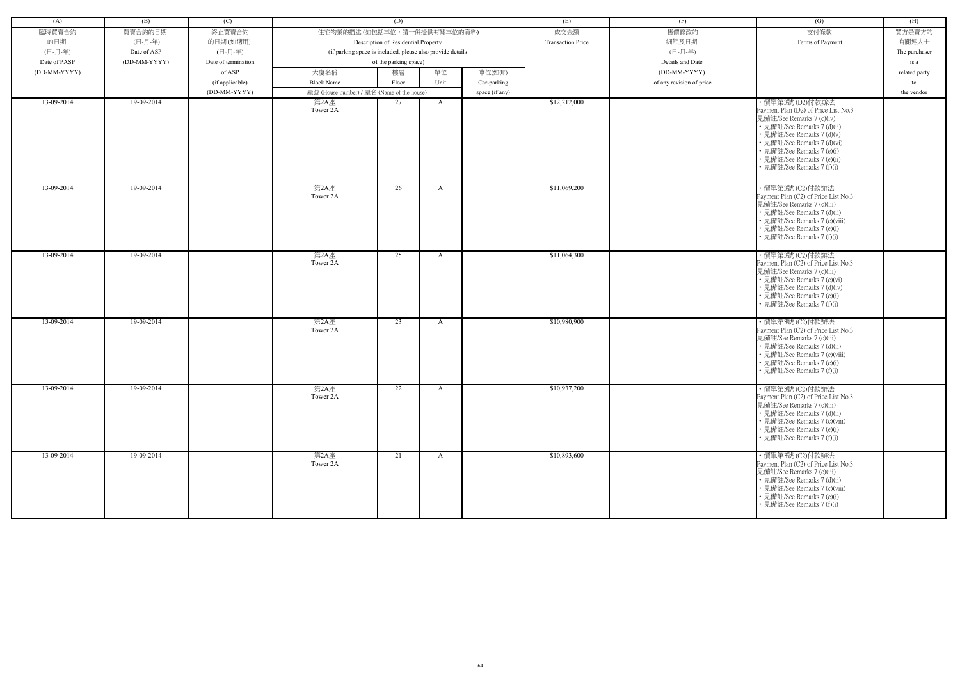| (A)          | (B)          | (C)                 |                                                            | (D)                                 |              |                | (E)                      | (F)                      | (G)                                                                                                                                                                                                                                                    | (H)           |
|--------------|--------------|---------------------|------------------------------------------------------------|-------------------------------------|--------------|----------------|--------------------------|--------------------------|--------------------------------------------------------------------------------------------------------------------------------------------------------------------------------------------------------------------------------------------------------|---------------|
| 臨時買賣合約       | 買賣合約的日期      | 終止買賣合約              | 住宅物業的描述 (如包括車位,請一併提供有關車位的資料)                               |                                     |              |                | 成交金額                     | 售價修改的                    | 支付條款                                                                                                                                                                                                                                                   | 買方是賣方的        |
| 的日期          | (日-月-年)      | 的日期(如適用)            |                                                            | Description of Residential Property |              |                | <b>Transaction Price</b> | 細節及日期                    | Terms of Payment                                                                                                                                                                                                                                       | 有關連人士         |
| (日-月-年)      | Date of ASP  | (日-月-年)             | (if parking space is included, please also provide details |                                     |              |                |                          | (日-月-年)                  |                                                                                                                                                                                                                                                        | The purchaser |
| Date of PASP | (DD-MM-YYYY) | Date of termination |                                                            | of the parking space)               |              |                |                          | Details and Date         |                                                                                                                                                                                                                                                        | is a          |
| (DD-MM-YYYY) |              | of ASP              | 大廈名稱                                                       | 樓層                                  | 單位           | 車位(如有)         |                          | (DD-MM-YYYY)             |                                                                                                                                                                                                                                                        | related party |
|              |              | (if applicable)     | <b>Block Name</b>                                          | Floor                               | Unit         | Car-parking    |                          | of any revision of price |                                                                                                                                                                                                                                                        | to            |
|              |              | (DD-MM-YYYY)        | 屋號 (House number) / 屋名 (Name of the house)                 |                                     |              | space (if any) |                          |                          |                                                                                                                                                                                                                                                        | the vendor    |
| 13-09-2014   | 19-09-2014   |                     | 第2A座                                                       | 27                                  | $\mathbf{A}$ |                | \$12,212,000             |                          | ・價單第3號 (D2)付款辦法                                                                                                                                                                                                                                        |               |
|              |              |                     | Tower 2A                                                   |                                     |              |                |                          |                          | Payment Plan (D2) of Price List No.3<br>見備註/See Remarks 7 (c)(iv)<br>• 見備註/See Remarks 7 (d)(ii)<br>· 見備註/See Remarks 7 (d)(v)<br>• 見備註/See Remarks 7 (d)(vi)<br>• 見備註/See Remarks 7 (e)(i)<br>• 見備註/See Remarks 7 (e)(ii)<br>見備註/See Remarks 7 (f)(i) |               |
| 13-09-2014   | 19-09-2014   |                     | 第2A座<br>Tower 2A                                           | 26                                  | $\mathbf{A}$ |                | \$11,069,200             |                          | ·價單第3號 (C2)付款辦法<br>Payment Plan (C2) of Price List No.3<br>見備註/See Remarks 7 (c)(iii)<br>• 見備註/See Remarks 7 (d)(ii)<br>• 見備註/See Remarks 7 (c)(viii)<br>• 見備註/See Remarks 7 (e)(i)<br>見備註/See Remarks 7 (f)(i)                                        |               |
| 13-09-2014   | 19-09-2014   |                     | 第2A座<br>Tower 2A                                           | 25                                  | A            |                | \$11,064,300             |                          | ・價單第3號 (C2)付款辦法<br>Payment Plan (C2) of Price List No.3<br>見備註/See Remarks 7 (c)(iii)<br>• 見備註/See Remarks 7 (c)(vi)<br>• 見備註/See Remarks 7 (d)(iv)<br>• 見備註/See Remarks 7 (e)(i)<br>見備註/See Remarks 7 (f)(i)                                          |               |
| 13-09-2014   | 19-09-2014   |                     | 第2A座<br>Tower 2A                                           | 23                                  | A            |                | \$10,980,900             |                          | · 價單第3號 (C2)付款辦法<br>Payment Plan (C2) of Price List No.3<br>見備註/See Remarks 7 (c)(iii)<br>• 見備註/See Remarks 7 (d)(ii)<br>• 見備註/See Remarks 7 (c)(viii)<br>• 見備註/See Remarks 7 (e)(i)<br>• 見備註/See Remarks 7 (f)(i)                                     |               |
| 13-09-2014   | 19-09-2014   |                     | 第2A座<br>Tower 2A                                           | 22                                  | $\mathbf{A}$ |                | \$10,937,200             |                          | · 價單第3號 (C2)付款辦法<br>Payment Plan (C2) of Price List No.3<br>見備註/See Remarks 7 (c)(iii)<br>• 見備註/See Remarks 7 (d)(ii)<br>• 見備註/See Remarks 7 (c)(viii)<br>• 見備註/See Remarks 7 (e)(i)<br>• 見備註/See Remarks 7 (f)(i)                                     |               |
| 13-09-2014   | 19-09-2014   |                     | 第2A座<br>Tower 2A                                           | 21                                  | $\mathbf{A}$ |                | \$10,893,600             |                          | ・價單第3號 (C2)付款辦法<br>Payment Plan (C2) of Price List No.3<br>見備註/See Remarks 7 (c)(iii)<br>• 見備註/See Remarks 7 (d)(ii)<br>• 見備註/See Remarks 7 (c)(viii)<br>• 見備註/See Remarks 7 (e)(i)<br>• 見備註/See Remarks 7 (f)(i)                                      |               |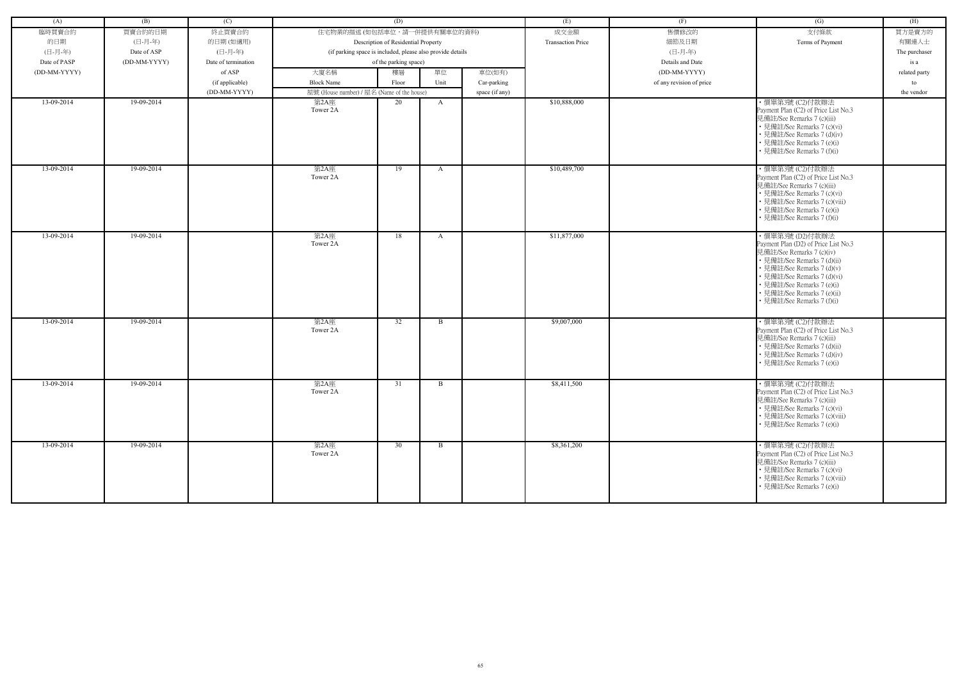| (A)          | (B)          | (C)                 |                                                            | (D)                                 |              |                | (E)                      | (F)                      | (G)                                                                                                                                                                                                                                                                         | (H)           |
|--------------|--------------|---------------------|------------------------------------------------------------|-------------------------------------|--------------|----------------|--------------------------|--------------------------|-----------------------------------------------------------------------------------------------------------------------------------------------------------------------------------------------------------------------------------------------------------------------------|---------------|
| 臨時買賣合約       | 買賣合約的日期      | 終止買賣合約              | 住宅物業的描述 (如包括車位,請一併提供有關車位的資料)                               |                                     |              |                | 成交金額                     | 售價修改的                    | 支付條款                                                                                                                                                                                                                                                                        | 買方是賣方的        |
|              |              |                     |                                                            |                                     |              |                |                          |                          |                                                                                                                                                                                                                                                                             |               |
| 的日期          | (日-月-年)      | 的日期(如適用)            |                                                            | Description of Residential Property |              |                | <b>Transaction Price</b> | 細節及日期                    | Terms of Payment                                                                                                                                                                                                                                                            | 有關連人士         |
| (日-月-年)      | Date of ASP  | (日-月-年)             | (if parking space is included, please also provide details |                                     |              |                |                          | (日-月-年)                  |                                                                                                                                                                                                                                                                             | The purchaser |
| Date of PASP | (DD-MM-YYYY) | Date of termination |                                                            | of the parking space)               |              |                |                          | Details and Date         |                                                                                                                                                                                                                                                                             | is a          |
| (DD-MM-YYYY) |              | of ASP              | 大廈名稱                                                       | 樓層                                  | 單位           | 車位(如有)         |                          | (DD-MM-YYYY)             |                                                                                                                                                                                                                                                                             | related party |
|              |              | (if applicable)     | <b>Block Name</b>                                          | Floor                               | Unit         | Car-parking    |                          | of any revision of price |                                                                                                                                                                                                                                                                             | to            |
|              |              | (DD-MM-YYYY)        | 屋號 (House number) / 屋名 (Name of the house)                 |                                     |              | space (if any) |                          |                          |                                                                                                                                                                                                                                                                             | the vendor    |
| 13-09-2014   | 19-09-2014   |                     | 第2A座<br>Tower 2A                                           | 20                                  | A            |                | \$10,888,000             |                          | ·價單第3號 (C2)付款辦法<br>Payment Plan (C2) of Price List No.3<br>見備註/See Remarks 7 (c)(iii)<br>• 見備註/See Remarks 7 (c)(vi)<br>• 見備註/See Remarks 7 (d)(iv)<br>• 見備註/See Remarks 7 (e)(i)<br>• 見備註/See Remarks 7 (f)(i)                                                             |               |
| 13-09-2014   | 19-09-2014   |                     | 第2A座<br>Tower 2A                                           | 19                                  | A            |                | \$10,489,700             |                          | ·價單第3號 (C2)付款辦法<br>Payment Plan (C2) of Price List No.3<br>見備註/See Remarks 7 (c)(iii)<br>• 見備註/See Remarks 7 (c)(vi)<br>• 見備註/See Remarks 7 (c)(viii)<br>• 見備註/See Remarks 7 (e)(i)<br>• 見備註/See Remarks 7 (f)(i)                                                           |               |
| 13-09-2014   | 19-09-2014   |                     | 第2A座<br>Tower 2A                                           | 18                                  | A            |                | \$11,877,000             |                          | ・價單第3號 (D2)付款辦法<br>Payment Plan (D2) of Price List No.3<br>見備註/See Remarks 7 (c)(iv)<br>• 見備註/See Remarks 7 (d)(ii)<br>• 見備註/See Remarks 7 (d)(v)<br>• 見備註/See Remarks 7 (d)(vi)<br>• 見備註/See Remarks 7 (e)(i)<br>• 見備註/See Remarks 7 (e)(ii)<br>• 見備註/See Remarks 7 (f)(i) |               |
| 13-09-2014   | 19-09-2014   |                     | 第2A座<br>Tower 2A                                           | 32                                  | $\mathbf{B}$ |                | \$9,007,000              |                          | ・價單第3號 (C2)付款辦法<br>Payment Plan (C2) of Price List No.3<br>見備註/See Remarks 7 (c)(iii)<br>• 見備註/See Remarks 7 (d)(ii)<br>• 見備註/See Remarks 7 (d)(iv)<br>• 見備註/See Remarks 7 (e)(i)                                                                                           |               |
| 13-09-2014   | 19-09-2014   |                     | 第2A座<br>Tower 2A                                           | 31                                  | B            |                | \$8,411,500              |                          | ・價單第3號 (C2)付款辦法<br>Payment Plan (C2) of Price List No.3<br>見備註/See Remarks 7 (c)(iii)<br>• 見備註/See Remarks 7 (c)(vi)<br>• 見備註/See Remarks 7 (c)(viii)<br>• 見備註/See Remarks 7 (e)(i)                                                                                         |               |
| 13-09-2014   | 19-09-2014   |                     | 第2A座<br>Tower 2A                                           | 30                                  | $\mathbf{B}$ |                | \$8,361,200              |                          | ·價單第3號 (C2)付款辦法<br>Payment Plan (C2) of Price List No.3<br>見備註/See Remarks 7 (c)(iii)<br>• 見備註/See Remarks 7 (c)(vi)<br>• 見備註/See Remarks 7 (c)(viii)<br>• 見備註/See Remarks 7 (e)(i)                                                                                         |               |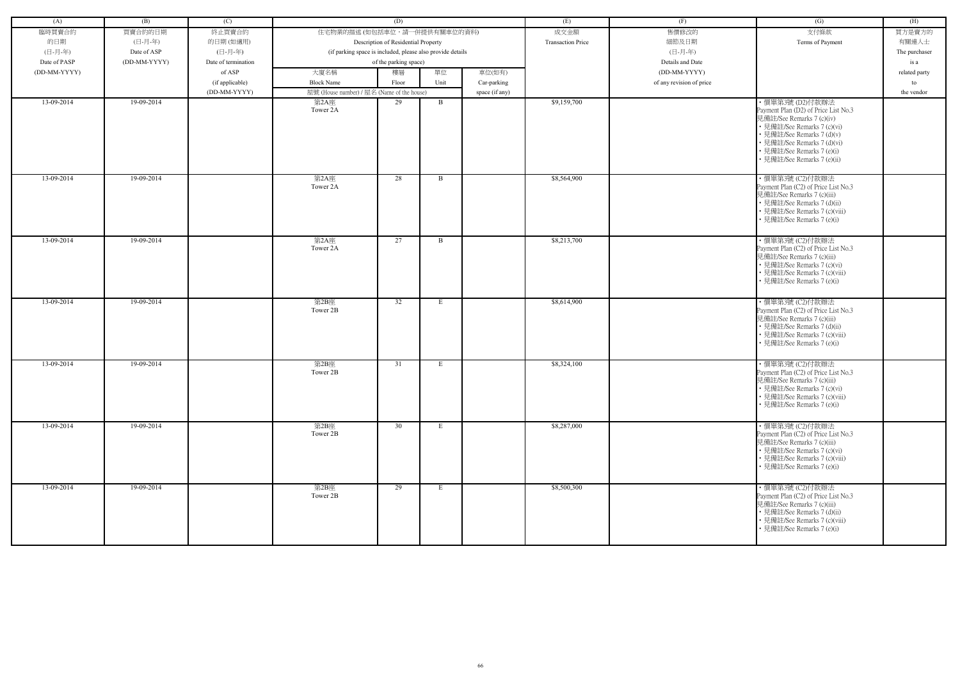| (A)          | (B)          | (C)                 |                                                            | (D)                                 |              |                | (E)                      | (F)                      | (G)                                                                                                                                                                                                                        | (H)           |
|--------------|--------------|---------------------|------------------------------------------------------------|-------------------------------------|--------------|----------------|--------------------------|--------------------------|----------------------------------------------------------------------------------------------------------------------------------------------------------------------------------------------------------------------------|---------------|
| 臨時買賣合約       | 買賣合約的日期      | 終止買賣合約              | 住宅物業的描述 (如包括車位,請一併提供有關車位的資料)                               |                                     |              |                | 成交金額                     | 售價修改的                    | 支付條款                                                                                                                                                                                                                       | 買方是賣方的        |
| 的日期          | (日-月-年)      | 的日期(如適用)            |                                                            | Description of Residential Property |              |                | <b>Transaction Price</b> | 細節及日期                    | Terms of Payment                                                                                                                                                                                                           | 有關連人士         |
| (日-月-年)      | Date of ASP  | (日-月-年)             | (if parking space is included, please also provide details |                                     |              |                |                          | (日-月-年)                  |                                                                                                                                                                                                                            | The purchaser |
| Date of PASP | (DD-MM-YYYY) | Date of termination |                                                            | of the parking space)               |              |                |                          | Details and Date         |                                                                                                                                                                                                                            | is a          |
| (DD-MM-YYYY) |              | of ASP              | 大廈名稱                                                       | 樓層                                  | 單位           | 車位(如有)         |                          | (DD-MM-YYYY)             |                                                                                                                                                                                                                            | related party |
|              |              | (if applicable)     | <b>Block Name</b>                                          | Floor                               | Unit         | Car-parking    |                          | of any revision of price |                                                                                                                                                                                                                            | to            |
|              |              | (DD-MM-YYYY)        | 屋號 (House number) / 屋名 (Name of the house)                 |                                     |              | space (if any) |                          |                          |                                                                                                                                                                                                                            | the vendor    |
| 13-09-2014   | 19-09-2014   |                     | 第2A座                                                       | 29                                  | B            |                | \$9,159,700              |                          | ・價單第3號 (D2)付款辦法                                                                                                                                                                                                            |               |
|              |              |                     | Tower 2A                                                   |                                     |              |                |                          |                          | Payment Plan (D2) of Price List No.3<br>見備註/See Remarks 7 (c)(iv)<br>• 見備註/See Remarks 7 (c)(vi)<br>• 見備註/See Remarks 7 (d)(v)<br>• 見備註/See Remarks 7 (d)(vi)<br>• 見備註/See Remarks 7 (e)(i)<br>• 見備註/See Remarks 7 (e)(ii) |               |
| 13-09-2014   | 19-09-2014   |                     | 第2A座<br>Tower 2A                                           | 28                                  | B            |                | \$8,564,900              |                          | ·價單第3號 (C2)付款辦法<br>Payment Plan (C2) of Price List No.3<br>見備註/See Remarks 7 (c)(iii)<br>• 見備註/See Remarks 7 (d)(ii)<br>• 見備註/See Remarks 7 (c)(viii)<br>見備註/See Remarks 7 (e)(i)                                          |               |
| 13-09-2014   | 19-09-2014   |                     | 第2A座<br>Tower 2A                                           | 27                                  | $\mathbf{B}$ |                | \$8,213,700              |                          | ・價單第3號 (C2)付款辦法<br>Payment Plan (C2) of Price List No.3<br>見備註/See Remarks 7 (c)(iii)<br>• 見備註/See Remarks 7 (c)(vi)<br>• 見備註/See Remarks 7 (c)(viii)<br>• 見備註/See Remarks 7 (e)(i)                                        |               |
| 13-09-2014   | 19-09-2014   |                     | 第2B座<br>Tower 2B                                           | 32                                  | -E           |                | \$8,614,900              |                          | · 價單第3號 (C2)付款辦法<br>Payment Plan (C2) of Price List No.3<br>見備註/See Remarks 7 (c)(iii)<br>• 見備註/See Remarks 7 (d)(ii)<br>• 見備註/See Remarks 7 (c)(viii)<br>• 見備註/See Remarks 7 (e)(i)                                       |               |
| 13-09-2014   | 19-09-2014   |                     | 第2B座<br>Tower 2B                                           | 31                                  | E            |                | \$8,324,100              |                          | · 價單第3號 (C2)付款辦法<br>Payment Plan (C2) of Price List No.3<br>見備註/See Remarks 7 (c)(iii)<br>• 見備註/See Remarks 7 (c)(vi)<br>• 見備註/See Remarks 7 (c)(viii)<br>• 見備註/See Remarks 7 (e)(i)                                       |               |
| 13-09-2014   | 19-09-2014   |                     | 第2B座<br>Tower 2B                                           | 30                                  | E            |                | \$8,287,000              |                          | ・價單第3號 (C2)付款辦法<br>Payment Plan (C2) of Price List No.3<br>見備註/See Remarks 7 (c)(iii)<br>• 見備註/See Remarks 7 (c)(vi)<br>• 見備註/See Remarks 7 (c)(viii)<br>• 見備註/See Remarks 7 (e)(i)                                        |               |
| 13-09-2014   | 19-09-2014   |                     | 第2B座<br>Tower 2B                                           | 29                                  | E            |                | \$8,500,300              |                          | ・價單第3號 (C2)付款辦法<br>Payment Plan (C2) of Price List No.3<br>見備註/See Remarks 7 (c)(iii)<br>• 見備註/See Remarks 7 (d)(ii)<br>• 見備註/See Remarks 7 (c)(viii)<br>• 見備註/See Remarks 7 (e)(i)                                        |               |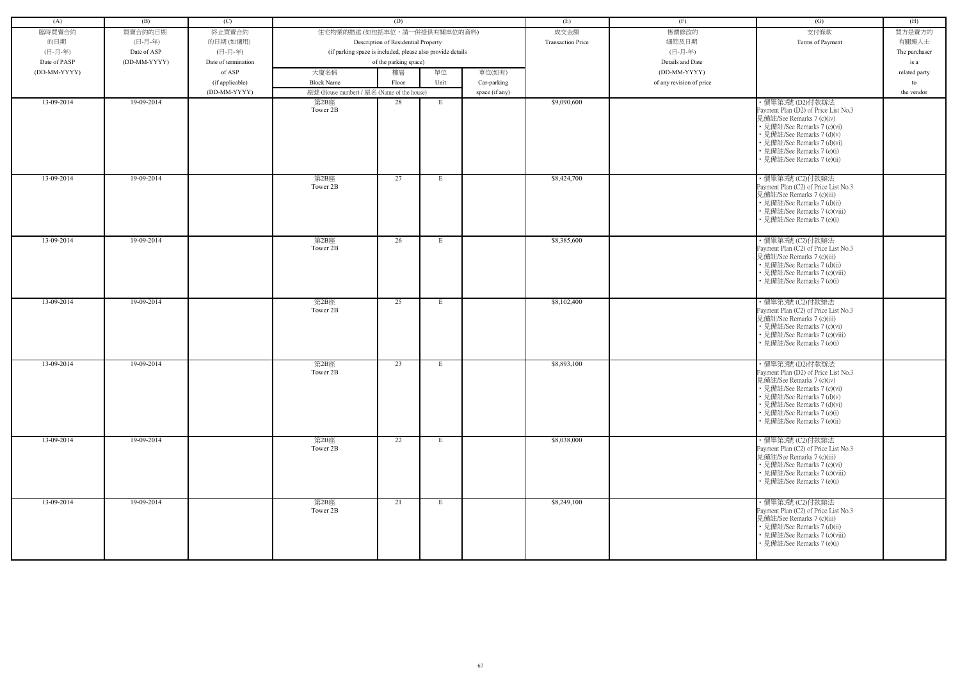| (A)          | (B)          | (C)                 |                                            | (D)                                                        |      |                | (E)                      | (F)                      | (G)                                                                                                                                                                                                                                            | (H)           |
|--------------|--------------|---------------------|--------------------------------------------|------------------------------------------------------------|------|----------------|--------------------------|--------------------------|------------------------------------------------------------------------------------------------------------------------------------------------------------------------------------------------------------------------------------------------|---------------|
| 臨時買賣合約       | 買賣合約的日期      | 終止買賣合約              | 住宅物業的描述 (如包括車位,請一併提供有關車位的資料)               |                                                            |      |                | 成交金額                     | 售價修改的                    | 支付條款                                                                                                                                                                                                                                           | 買方是賣方的        |
| 的日期          | (日-月-年)      | 的日期(如適用)            |                                            |                                                            |      |                | <b>Transaction Price</b> | 細節及日期                    |                                                                                                                                                                                                                                                | 有關連人士         |
| (日-月-年)      |              | (日-月-年)             |                                            | Description of Residential Property                        |      |                |                          | (日-月-年)                  | Terms of Payment                                                                                                                                                                                                                               |               |
|              | Date of ASP  |                     |                                            | (if parking space is included, please also provide details |      |                |                          |                          |                                                                                                                                                                                                                                                | The purchaser |
| Date of PASP | (DD-MM-YYYY) | Date of termination |                                            | of the parking space)                                      |      |                |                          | Details and Date         |                                                                                                                                                                                                                                                | is a          |
| (DD-MM-YYYY) |              | of ASP              | 大廈名稱                                       | 樓層                                                         | 單位   | 車位(如有)         |                          | (DD-MM-YYYY)             |                                                                                                                                                                                                                                                | related party |
|              |              | (if applicable)     | <b>Block Name</b>                          | Floor                                                      | Unit | Car-parking    |                          | of any revision of price |                                                                                                                                                                                                                                                | to            |
|              |              | (DD-MM-YYYY)        | 屋號 (House number) / 屋名 (Name of the house) |                                                            |      | space (if any) |                          |                          |                                                                                                                                                                                                                                                | the vendor    |
| 13-09-2014   | 19-09-2014   |                     | 第2B座<br>Tower 2B                           | 28                                                         | E    |                | \$9,090,600              |                          | ・價單第3號 (D2)付款辦法<br>Payment Plan (D2) of Price List No.3<br>見備註/See Remarks 7 (c)(iv)<br>• 見備註/See Remarks 7 (c)(vi)<br>• 見備註/See Remarks 7 (d)(v)<br>• 見備註/See Remarks 7 (d)(vi)<br>• 見備註/See Remarks 7 (e)(i)<br>• 見備註/See Remarks 7 (e)(ii)  |               |
| 13-09-2014   | 19-09-2014   |                     | 第2B座<br>Tower 2B                           | 27                                                         | E    |                | \$8,424,700              |                          | · 價單第3號 (C2)付款辦法<br>Payment Plan (C2) of Price List No.3<br>見備註/See Remarks 7 (c)(iii)<br>• 見備註/See Remarks 7 (d)(ii)<br>• 見備註/See Remarks 7 (c)(viii)<br>見備註/See Remarks 7 (e)(i)                                                             |               |
| 13-09-2014   | 19-09-2014   |                     | 第2B座<br>Tower 2B                           | 26                                                         | Е    |                | \$8,385,600              |                          | ·價單第3號 (C2)付款辦法<br>Payment Plan (C2) of Price List No.3<br>見備註/See Remarks 7 (c)(iii)<br>• 見備註/See Remarks 7 (d)(ii)<br>• 見備註/See Remarks 7 (c)(viii)<br>• 見備註/See Remarks 7 (e)(i)                                                            |               |
| 13-09-2014   | 19-09-2014   |                     | 第2B座<br>Tower 2B                           | 25                                                         | -E   |                | \$8,102,400              |                          | · 價單第3號 (C2)付款辦法<br>Payment Plan (C2) of Price List No.3<br>見備註/See Remarks 7 (c)(iii)<br>• 見備註/See Remarks 7 (c)(vi)<br>• 見備註/See Remarks 7 (c)(viii)<br>• 見備註/See Remarks 7 (e)(i)                                                           |               |
| 13-09-2014   | 19-09-2014   |                     | 第2B座<br>Tower 2B                           | 23                                                         | E    |                | \$8,893,100              |                          | · 價單第3號 (D2)付款辦法<br>Payment Plan (D2) of Price List No.3<br>見備註/See Remarks 7 (c)(iv)<br>• 見備註/See Remarks 7 (c)(vi)<br>• 見備註/See Remarks 7 (d)(v)<br>• 見備註/See Remarks 7 (d)(vi)<br>• 見備註/See Remarks 7 (e)(i)<br>• 見備註/See Remarks 7 (e)(ii) |               |
| 13-09-2014   | 19-09-2014   |                     | 第2B座<br>Tower 2B                           | 22                                                         | Е    |                | \$8,038,000              |                          | ・價單第3號 (C2)付款辦法<br>Payment Plan (C2) of Price List No.3<br>見備註/See Remarks 7 (c)(iii)<br>• 見備註/See Remarks 7 (c)(vi)<br>• 見備註/See Remarks 7 (c)(viii)<br>• 見備註/See Remarks 7 (e)(i)                                                            |               |
| 13-09-2014   | 19-09-2014   |                     | 第2B座<br>Tower 2B                           | 21                                                         | E    |                | \$8,249,100              |                          | · 價單第3號 (C2)付款辦法<br>Payment Plan (C2) of Price List No.3<br>見備註/See Remarks 7 (c)(iii)<br>• 見備註/See Remarks 7 (d)(ii)<br>• 見備註/See Remarks 7 (c)(viii)<br>• 見備註/See Remarks 7 (e)(i)                                                           |               |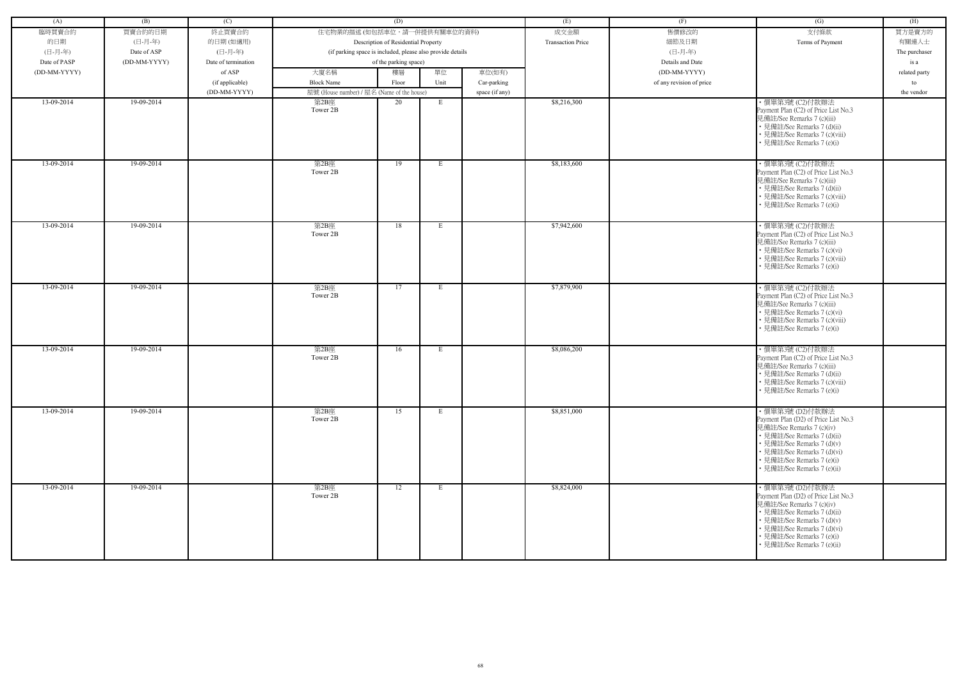| (A)          | (B)          | (C)                 |                                                            | (D)                                 |                 |                | (E)                      | (F)                      | (G)                                                                                                                                                                                                                                            | (H)           |
|--------------|--------------|---------------------|------------------------------------------------------------|-------------------------------------|-----------------|----------------|--------------------------|--------------------------|------------------------------------------------------------------------------------------------------------------------------------------------------------------------------------------------------------------------------------------------|---------------|
|              |              |                     |                                                            |                                     |                 |                |                          |                          |                                                                                                                                                                                                                                                |               |
| 臨時買賣合約       | 買賣合約的日期      | 終止買賣合約              | 住宅物業的描述 (如包括車位,請一併提供有關車位的資料)                               |                                     |                 |                | 成交金額                     | 售價修改的                    | 支付條款                                                                                                                                                                                                                                           | 買方是賣方的        |
| 的日期          | (日-月-年)      | 的日期(如適用)            |                                                            | Description of Residential Property |                 |                | <b>Transaction Price</b> | 細節及日期                    | Terms of Payment                                                                                                                                                                                                                               | 有關連人士         |
| (日-月-年)      | Date of ASP  | (日-月-年)             | (if parking space is included, please also provide details |                                     |                 |                |                          | (日-月-年)                  |                                                                                                                                                                                                                                                | The purchaser |
| Date of PASP | (DD-MM-YYYY) | Date of termination |                                                            | of the parking space)               |                 |                |                          | Details and Date         |                                                                                                                                                                                                                                                | is a          |
| (DD-MM-YYYY) |              | of ASP              | 大廈名稱                                                       | 樓層                                  | 單位              | 車位(如有)         |                          | (DD-MM-YYYY)             |                                                                                                                                                                                                                                                | related party |
|              |              | (if applicable)     | <b>Block Name</b>                                          | Floor                               | Unit            | Car-parking    |                          | of any revision of price |                                                                                                                                                                                                                                                | to            |
|              |              | (DD-MM-YYYY)        | 屋號 (House number) / 屋名 (Name of the house)                 |                                     |                 | space (if any) |                          |                          |                                                                                                                                                                                                                                                | the vendor    |
| 13-09-2014   | 19-09-2014   |                     | 第2B座<br>Tower 2B                                           | 20                                  | E               |                | \$8,216,300              |                          | ・價單第3號 (C2)付款辦法<br>Payment Plan (C2) of Price List No.3<br>見備註/See Remarks 7 (c)(iii)<br>• 見備註/See Remarks 7 (d)(ii)<br>• 見備註/See Remarks 7 (c)(viii)<br>• 見備註/See Remarks 7 (e)(i)                                                            |               |
| 13-09-2014   | 19-09-2014   |                     | 第2B座<br>Tower 2B                                           | 19                                  | E               |                | \$8,183,600              |                          | ・價單第3號 (C2)付款辦法<br>Payment Plan (C2) of Price List No.3<br>見備註/See Remarks 7 (c)(iii)<br>• 見備註/See Remarks 7 (d)(ii)<br>• 見備註/See Remarks 7 (c)(viii)<br>• 見備註/See Remarks 7 (e)(i)                                                            |               |
| 13-09-2014   | 19-09-2014   |                     | 第2B座<br>Tower 2B                                           | 18                                  | E               |                | \$7,942,600              |                          | ・價單第3號 (C2)付款辦法<br>Payment Plan (C2) of Price List No.3<br>見備註/See Remarks 7 (c)(iii)<br>• 見備註/See Remarks 7 (c)(vi)<br>• 見備註/See Remarks 7 (c)(viii)<br>• 見備註/See Remarks 7 (e)(i)                                                            |               |
| 13-09-2014   | 19-09-2014   |                     | 第2B座<br>Tower 2B                                           | 17                                  | E               |                | \$7,879,900              |                          | ·價單第3號 (C2)付款辦法<br>Payment Plan (C2) of Price List No.3<br>見備註/See Remarks 7 (c)(iii)<br>• 見備註/See Remarks 7 (c)(vi)<br>• 見備註/See Remarks 7 (c)(viii)<br>• 見備註/See Remarks 7 (e)(i)                                                            |               |
| 13-09-2014   | 19-09-2014   |                     | 第2B座<br>Tower 2B                                           | 16                                  | E               |                | \$8,086,200              |                          | · 價單第3號 (C2)付款辦法<br>Payment Plan (C2) of Price List No.3<br>見備註/See Remarks 7 (c)(iii)<br>• 見備註/See Remarks 7 (d)(ii)<br>• 見備註/See Remarks 7 (c)(viii)<br>• 見備註/See Remarks 7 (e)(i)                                                           |               |
| 13-09-2014   | 19-09-2014   |                     | 第2B座<br>Tower 2B                                           | 15                                  | E               |                | \$8,851,000              |                          | · 價單第3號 (D2)付款辦法<br>Payment Plan (D2) of Price List No.3<br>見備註/See Remarks 7 (c)(iv)<br>• 見備註/See Remarks 7 (d)(ii)<br>• 見備註/See Remarks 7 (d)(v)<br>• 見備註/See Remarks 7 (d)(vi)<br>• 見備註/See Remarks 7 (e)(i)<br>• 見備註/See Remarks 7 (e)(ii) |               |
| 13-09-2014   | 19-09-2014   |                     | 第2B座<br>Tower 2B                                           | 12                                  | $E_{\parallel}$ |                | \$8,824,000              |                          | ・價單第3號 (D2)付款辦法<br>Payment Plan (D2) of Price List No.3<br>見備註/See Remarks 7 (c)(iv)<br>• 見備註/See Remarks 7 (d)(ii)<br>• 見備註/See Remarks 7 (d)(v)<br>• 見備註/See Remarks 7 (d)(vi)<br>• 見備註/See Remarks 7 (e)(i)<br>• 見備註/See Remarks 7 (e)(ii)  |               |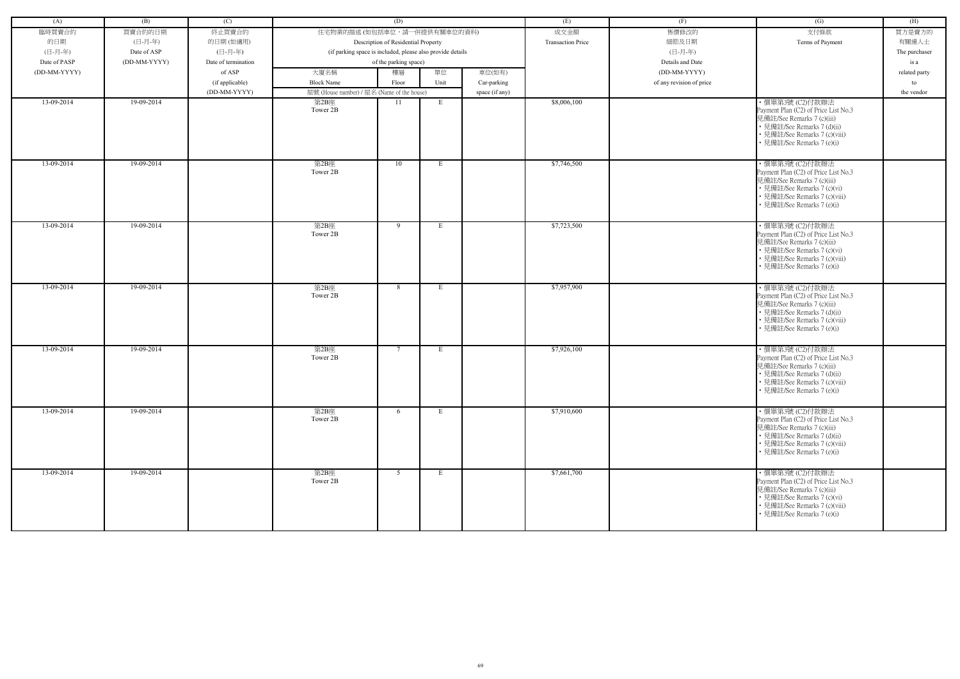| (A)          | (B)          | (C)                 |                                            | (D)                                                        |             |                | (E)                      | (F)                      | (G)                                                                                                                                                                                  | (H)           |
|--------------|--------------|---------------------|--------------------------------------------|------------------------------------------------------------|-------------|----------------|--------------------------|--------------------------|--------------------------------------------------------------------------------------------------------------------------------------------------------------------------------------|---------------|
| 臨時買賣合約       | 買賣合約的日期      | 終止買賣合約              | 住宅物業的描述 (如包括車位,請一併提供有關車位的資料)               |                                                            |             |                | 成交金額                     | 售價修改的                    | 支付條款                                                                                                                                                                                 | 買方是賣方的        |
| 的日期          | (日-月-年)      | 的日期(如適用)            |                                            | Description of Residential Property                        |             |                | <b>Transaction Price</b> | 細節及日期                    | Terms of Payment                                                                                                                                                                     | 有關連人士         |
| (日-月-年)      | Date of ASP  | (日-月-年)             |                                            | (if parking space is included, please also provide details |             |                |                          | (日-月-年)                  |                                                                                                                                                                                      | The purchaser |
| Date of PASP | (DD-MM-YYYY) | Date of termination |                                            | of the parking space)                                      |             |                |                          | Details and Date         |                                                                                                                                                                                      | is a          |
|              |              |                     |                                            |                                                            |             |                |                          |                          |                                                                                                                                                                                      |               |
| (DD-MM-YYYY) |              | of ASP              | 大廈名稱                                       | 樓層                                                         | 單位          | 車位(如有)         |                          | (DD-MM-YYYY)             |                                                                                                                                                                                      | related party |
|              |              | (if applicable)     | <b>Block Name</b>                          | Floor                                                      | Unit        | Car-parking    |                          | of any revision of price |                                                                                                                                                                                      | to            |
|              |              | (DD-MM-YYYY)        | 屋號 (House number) / 屋名 (Name of the house) |                                                            |             | space (if any) |                          |                          |                                                                                                                                                                                      | the vendor    |
| 13-09-2014   | 19-09-2014   |                     | 第2B座<br>Tower 2B                           | -11                                                        | E           |                | \$8,006,100              |                          | · 價單第3號 (C2)付款辦法<br>Payment Plan (C2) of Price List No.3<br>見備註/See Remarks 7 (c)(iii)<br>• 見備註/See Remarks 7 (d)(ii)<br>• 見備註/See Remarks 7 (c)(viii)<br>• 見備註/See Remarks 7 (e)(i) |               |
| 13-09-2014   | 19-09-2014   |                     | 第2B座<br>Tower 2B                           | 10                                                         | E           |                | \$7,746,500              |                          | ·價單第3號 (C2)付款辦法<br>Payment Plan (C2) of Price List No.3<br>見備註/See Remarks 7 (c)(iii)<br>• 見備註/See Remarks 7 (c)(vi)<br>• 見備註/See Remarks 7 (c)(viii)<br>• 見備註/See Remarks 7 (e)(i)  |               |
| 13-09-2014   | 19-09-2014   |                     | 第2B座<br>Tower 2B                           | 9                                                          | E           |                | \$7,723,500              |                          | ・價單第3號 (C2)付款辦法<br>Payment Plan (C2) of Price List No.3<br>見備註/See Remarks 7 (c)(iii)<br>• 見備註/See Remarks 7 (c)(vi)<br>• 見備註/See Remarks 7 (c)(viii)<br>• 見備註/See Remarks 7 (e)(i)  |               |
| 13-09-2014   | 19-09-2014   |                     | 第2B座<br>Tower 2B                           | 8                                                          | E           |                | \$7,957,900              |                          | · 價單第3號 (C2)付款辦法<br>Payment Plan (C2) of Price List No.3<br>見備註/See Remarks 7 (c)(iii)<br>• 見備註/See Remarks 7 (d)(ii)<br>• 見備註/See Remarks 7 (c)(viii)<br>• 見備註/See Remarks 7 (e)(i) |               |
| 13-09-2014   | 19-09-2014   |                     | 第2B座<br>Tower 2B                           | $7\phantom{.0}$                                            | E           |                | \$7,926,100              |                          | ・價單第3號 (C2)付款辦法<br>Payment Plan (C2) of Price List No.3<br>見備註/See Remarks 7 (c)(iii)<br>• 見備註/See Remarks 7 (d)(ii)<br>• 見備註/See Remarks 7 (c)(viii)<br>• 見備註/See Remarks 7 (e)(i)  |               |
| 13-09-2014   | 19-09-2014   |                     | 第2B座<br>Tower 2B                           | 6                                                          | $E_{\perp}$ |                | \$7,910,600              |                          | ・價單第3號 (C2)付款辦法<br>Payment Plan (C2) of Price List No.3<br>見備註/See Remarks 7 (c)(iii)<br>• 見備註/See Remarks 7 (d)(ii)<br>• 見備註/See Remarks 7 (c)(viii)<br>• 見備註/See Remarks 7 (e)(i)  |               |
| 13-09-2014   | 19-09-2014   |                     | 第2B座<br>Tower 2B                           | 5                                                          | $E_{\perp}$ |                | \$7,661,700              |                          | ・價單第3號 (C2)付款辦法<br>Payment Plan (C2) of Price List No.3<br>見備註/See Remarks 7 (c)(iii)<br>• 見備註/See Remarks 7 (c)(vi)<br>• 見備註/See Remarks 7 (c)(viii)<br>• 見備註/See Remarks 7 (e)(i)  |               |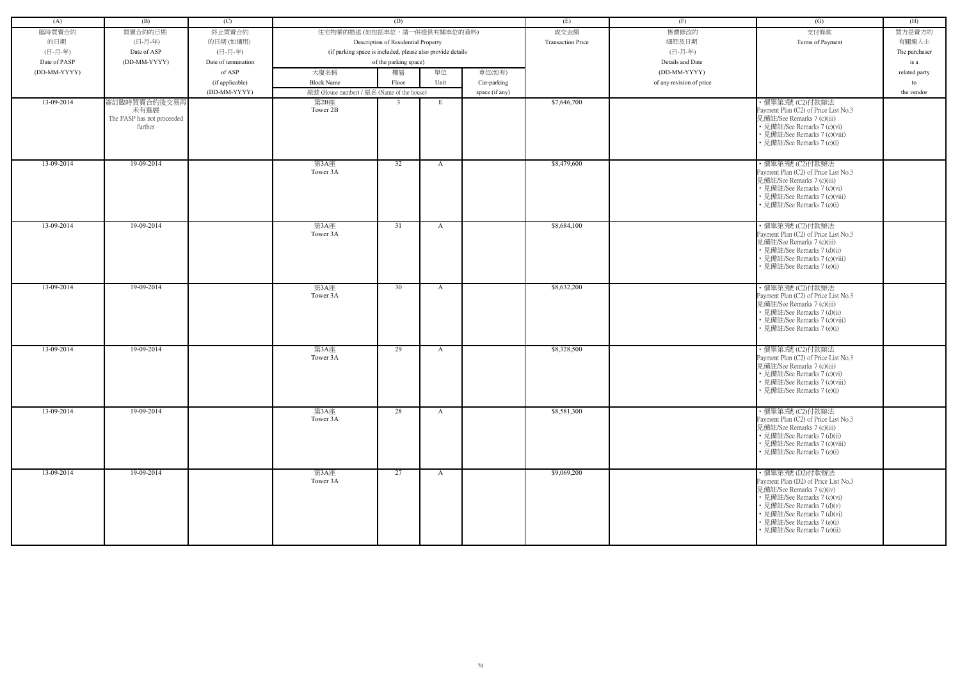| (A)          | (B)                                   | (C)                 |                                            | (D)                                                        |              |                | (E)                      | (F)                      | (G)                                                         | (H)           |
|--------------|---------------------------------------|---------------------|--------------------------------------------|------------------------------------------------------------|--------------|----------------|--------------------------|--------------------------|-------------------------------------------------------------|---------------|
| 臨時買賣合約       | 買賣合約的日期                               | 終止買賣合約              | 住宅物業的描述 (如包括車位,請一併提供有關車位的資料)               |                                                            |              |                | 成交金額                     | 售價修改的                    | 支付條款                                                        | 買方是賣方的        |
| 的日期          | (日-月-年)                               | 的日期(如適用)            |                                            | Description of Residential Property                        |              |                | <b>Transaction Price</b> | 細節及日期                    | Terms of Payment                                            | 有關連人士         |
| (日-月-年)      | Date of ASP                           | (日-月-年)             |                                            | (if parking space is included, please also provide details |              |                |                          | (日-月-年)                  |                                                             | The purchaser |
| Date of PASP | (DD-MM-YYYY)                          | Date of termination |                                            | of the parking space)                                      |              |                |                          | Details and Date         |                                                             | is a          |
|              |                                       |                     |                                            |                                                            |              |                |                          |                          |                                                             |               |
| (DD-MM-YYYY) |                                       | of ASP              | 大廈名稱                                       | 樓層                                                         | 單位           | 車位(如有)         |                          | (DD-MM-YYYY)             |                                                             | related party |
|              |                                       | (if applicable)     | <b>Block Name</b>                          | Floor                                                      | Unit         | Car-parking    |                          | of any revision of price |                                                             | to            |
|              |                                       | (DD-MM-YYYY)        | 屋號 (House number) / 屋名 (Name of the house) |                                                            |              | space (if any) |                          |                          |                                                             | the vendor    |
| 13-09-2014   | 簽訂臨時買賣合約後交易再                          |                     | 第2B座                                       | 3                                                          | E            |                | \$7,646,700              |                          | ·價單第3號 (C2)付款辦法                                             |               |
|              | 未有進展                                  |                     | Tower 2B                                   |                                                            |              |                |                          |                          | Payment Plan (C2) of Price List No.3                        |               |
|              | The PASP has not proceeded<br>further |                     |                                            |                                                            |              |                |                          |                          | 見備註/See Remarks 7 (c)(iii)<br>• 見備註/See Remarks 7 (c)(vi)   |               |
|              |                                       |                     |                                            |                                                            |              |                |                          |                          | • 見備註/See Remarks 7 (c)(viii)                               |               |
|              |                                       |                     |                                            |                                                            |              |                |                          |                          | • 見備註/See Remarks 7 (e)(i)                                  |               |
|              |                                       |                     |                                            |                                                            |              |                |                          |                          |                                                             |               |
| 13-09-2014   | 19-09-2014                            |                     | 第3A座                                       | $\overline{32}$                                            |              |                | \$8,479,600              |                          | ·價單第3號 (C2)付款辦法                                             |               |
|              |                                       |                     | Tower 3A                                   |                                                            | $\mathbf{A}$ |                |                          |                          | Payment Plan (C2) of Price List No.3                        |               |
|              |                                       |                     |                                            |                                                            |              |                |                          |                          | 見備註/See Remarks 7 (c)(iii)                                  |               |
|              |                                       |                     |                                            |                                                            |              |                |                          |                          | • 見備註/See Remarks 7 (c)(vi)                                 |               |
|              |                                       |                     |                                            |                                                            |              |                |                          |                          | • 見備註/See Remarks 7 (c)(viii)                               |               |
|              |                                       |                     |                                            |                                                            |              |                |                          |                          | • 見備註/See Remarks 7 (e)(i)                                  |               |
|              |                                       |                     |                                            |                                                            |              |                |                          |                          |                                                             |               |
| 13-09-2014   | 19-09-2014                            |                     | 第3A座                                       | 31                                                         | $\mathbf{A}$ |                | \$8,684,100              |                          | ・價單第3號 (C2)付款辦法                                             |               |
|              |                                       |                     | Tower 3A                                   |                                                            |              |                |                          |                          | Payment Plan (C2) of Price List No.3                        |               |
|              |                                       |                     |                                            |                                                            |              |                |                          |                          | 見備註/See Remarks 7 (c)(iii)                                  |               |
|              |                                       |                     |                                            |                                                            |              |                |                          |                          | • 見備註/See Remarks 7 (d)(ii)                                 |               |
|              |                                       |                     |                                            |                                                            |              |                |                          |                          | • 見備註/See Remarks 7 (c)(viii)                               |               |
|              |                                       |                     |                                            |                                                            |              |                |                          |                          | • 見備註/See Remarks 7 (e)(i)                                  |               |
|              |                                       |                     |                                            |                                                            |              |                |                          |                          |                                                             |               |
| 13-09-2014   | 19-09-2014                            |                     | 第3A座                                       | 30                                                         | $\mathbf{A}$ |                | \$8,632,200              |                          | · 價單第3號 (C2)付款辦法                                            |               |
|              |                                       |                     | Tower 3A                                   |                                                            |              |                |                          |                          | Payment Plan (C2) of Price List No.3                        |               |
|              |                                       |                     |                                            |                                                            |              |                |                          |                          | 見備註/See Remarks 7 (c)(iii)<br>• 見備註/See Remarks 7 (d)(ii)   |               |
|              |                                       |                     |                                            |                                                            |              |                |                          |                          | • 見備註/See Remarks 7 (c)(viii)                               |               |
|              |                                       |                     |                                            |                                                            |              |                |                          |                          | • 見備註/See Remarks 7 (e)(i)                                  |               |
|              |                                       |                     |                                            |                                                            |              |                |                          |                          |                                                             |               |
| 13-09-2014   | 19-09-2014                            |                     | 第3A座                                       | 29                                                         | $\mathbf{A}$ |                | \$8,328,500              |                          | ・價單第3號 (C2)付款辦法                                             |               |
|              |                                       |                     | Tower 3A                                   |                                                            |              |                |                          |                          | Payment Plan (C2) of Price List No.3                        |               |
|              |                                       |                     |                                            |                                                            |              |                |                          |                          | 見備註/See Remarks 7 (c)(iii)                                  |               |
|              |                                       |                     |                                            |                                                            |              |                |                          |                          | • 見備註/See Remarks 7 (c)(vi)                                 |               |
|              |                                       |                     |                                            |                                                            |              |                |                          |                          | • 見備註/See Remarks 7 (c)(viii)                               |               |
|              |                                       |                     |                                            |                                                            |              |                |                          |                          | • 見備註/See Remarks 7 (e)(i)                                  |               |
|              |                                       |                     |                                            |                                                            |              |                |                          |                          |                                                             |               |
| 13-09-2014   | 19-09-2014                            |                     | 第3A座                                       | 28                                                         | $\mathbf{A}$ |                | \$8,581,300              |                          | ・價單第3號 (C2)付款辦法                                             |               |
|              |                                       |                     | Tower 3A                                   |                                                            |              |                |                          |                          | Payment Plan (C2) of Price List No.3                        |               |
|              |                                       |                     |                                            |                                                            |              |                |                          |                          | 見備註/See Remarks 7 (c)(iii)                                  |               |
|              |                                       |                     |                                            |                                                            |              |                |                          |                          | • 見備註/See Remarks 7 (d)(ii)                                 |               |
|              |                                       |                     |                                            |                                                            |              |                |                          |                          | • 見備註/See Remarks 7 (c)(viii)<br>• 見備註/See Remarks 7 (e)(i) |               |
|              |                                       |                     |                                            |                                                            |              |                |                          |                          |                                                             |               |
|              |                                       |                     |                                            |                                                            |              |                |                          |                          |                                                             |               |
| 13-09-2014   | 19-09-2014                            |                     | 第3A座<br>Tower 3A                           | 27                                                         | $\mathbf{A}$ |                | \$9,069,200              |                          | ・價單第3號 (D2)付款辦法<br>Payment Plan (D2) of Price List No.3     |               |
|              |                                       |                     |                                            |                                                            |              |                |                          |                          | 見備註/See Remarks 7 (c)(iv)                                   |               |
|              |                                       |                     |                                            |                                                            |              |                |                          |                          | • 見備註/See Remarks 7 (c)(vi)                                 |               |
|              |                                       |                     |                                            |                                                            |              |                |                          |                          | • 見備註/See Remarks 7 (d)(v)                                  |               |
|              |                                       |                     |                                            |                                                            |              |                |                          |                          | • 見備註/See Remarks 7 (d)(vi)                                 |               |
|              |                                       |                     |                                            |                                                            |              |                |                          |                          | • 見備註/See Remarks 7 (e)(i)                                  |               |
|              |                                       |                     |                                            |                                                            |              |                |                          |                          | · 見備註/See Remarks 7 (e)(ii)                                 |               |
|              |                                       |                     |                                            |                                                            |              |                |                          |                          |                                                             |               |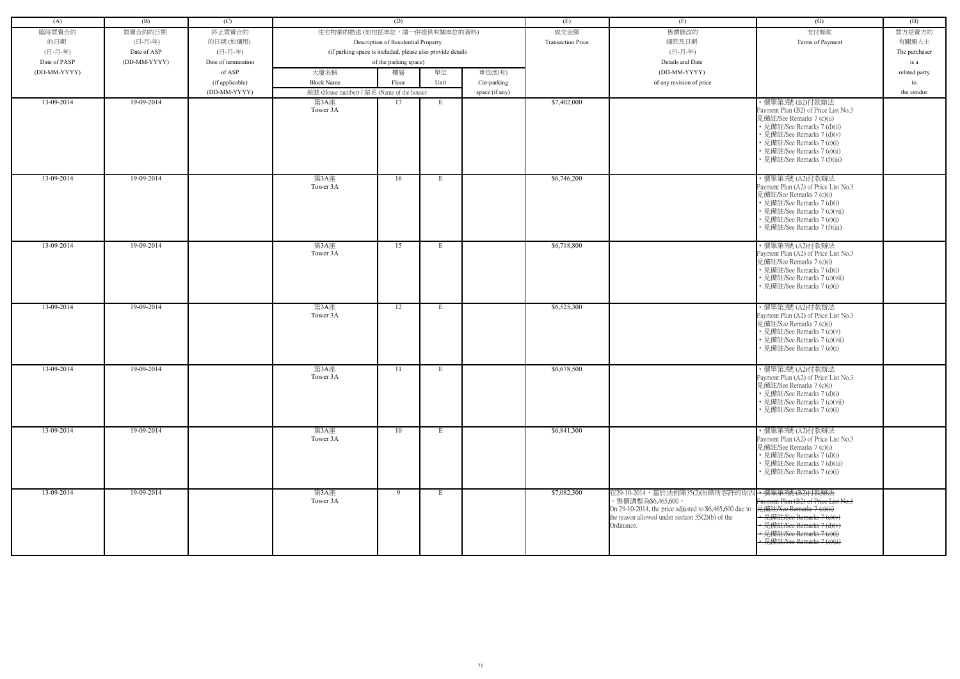| (A)          | (B)          | (C)                 |                                            | (D)                                                        |      |                | (E)                      | (F)                                                                                                                                                                                                 | (G)                                                                                                                                                                                                                         | (H)           |
|--------------|--------------|---------------------|--------------------------------------------|------------------------------------------------------------|------|----------------|--------------------------|-----------------------------------------------------------------------------------------------------------------------------------------------------------------------------------------------------|-----------------------------------------------------------------------------------------------------------------------------------------------------------------------------------------------------------------------------|---------------|
| 臨時買賣合約       | 買賣合約的日期      | 終止買賣合約              | 住宅物業的描述 (如包括車位,請一併提供有關車位的資料)               |                                                            |      |                | 成交金額                     | 售價修改的                                                                                                                                                                                               | 支付條款                                                                                                                                                                                                                        | 買方是賣方的        |
| 的日期          | (日-月-年)      | 的日期(如適用)            |                                            | Description of Residential Property                        |      |                | <b>Transaction Price</b> | 細節及日期                                                                                                                                                                                               | Terms of Payment                                                                                                                                                                                                            | 有關連人士         |
| (日-月-年)      | Date of ASP  | (日-月-年)             |                                            | (if parking space is included, please also provide details |      |                |                          | (日-月-年)                                                                                                                                                                                             |                                                                                                                                                                                                                             | The purchaser |
| Date of PASP | (DD-MM-YYYY) | Date of termination |                                            | of the parking space)                                      |      |                |                          | Details and Date                                                                                                                                                                                    |                                                                                                                                                                                                                             | is a          |
| (DD-MM-YYYY) |              | of ASP              | 大廈名稱                                       | 樓層                                                         | 單位   | 車位(如有)         |                          | (DD-MM-YYYY)                                                                                                                                                                                        |                                                                                                                                                                                                                             | related party |
|              |              | (if applicable)     | <b>Block Name</b>                          | Floor                                                      | Unit | Car-parking    |                          | of any revision of price                                                                                                                                                                            |                                                                                                                                                                                                                             | to            |
|              |              | (DD-MM-YYYY)        | 屋號 (House number) / 屋名 (Name of the house) |                                                            |      | space (if any) |                          |                                                                                                                                                                                                     |                                                                                                                                                                                                                             | the vendor    |
| 13-09-2014   | 19-09-2014   |                     | 第3A座                                       | 17                                                         | E    |                | \$7,402,000              |                                                                                                                                                                                                     | ・價單第3號 (B2)付款辦法                                                                                                                                                                                                             |               |
|              |              |                     | Tower 3A                                   |                                                            |      |                |                          |                                                                                                                                                                                                     | Payment Plan (B2) of Price List No.3<br>見備註/See Remarks 7 (c)(ii)<br>• 見備註/See Remarks 7 (d)(ii)<br>• 見備註/See Remarks 7 (d)(v)<br>• 見備註/See Remarks 7 (e)(i)<br>• 見備註/See Remarks 7 (e)(ii)<br>• 見備註/See Remarks 7 (f)(iii) |               |
| 13-09-2014   | 19-09-2014   |                     | 第3A座<br>Tower 3A                           | 16                                                         | E    |                | \$6,746,200              |                                                                                                                                                                                                     | ・價單第3號 (A2)付款辦法<br>Payment Plan (A2) of Price List No.3<br>見備註/See Remarks 7 (c)(i)<br>• 見備註/See Remarks 7 (d)(i)<br>• 見備註/See Remarks 7 (c)(vii)<br>• 見備註/See Remarks 7 (e)(i)<br>• 見備註/See Remarks 7 (f)(iii)             |               |
| 13-09-2014   | 19-09-2014   |                     | 第3A座<br>Tower 3A                           | 15                                                         | E    |                | \$6,718,800              |                                                                                                                                                                                                     | ・價單第3號 (A2)付款辦法<br>Payment Plan (A2) of Price List No.3<br>見備註/See Remarks 7 (c)(i)<br>• 見備註/See Remarks 7 (d)(i)<br>• 見備註/See Remarks 7 (c)(vii)<br>• 見備註/See Remarks 7 (e)(i)                                             |               |
| 13-09-2014   | 19-09-2014   |                     | 第3A座<br>Tower 3A                           | 12                                                         | E    |                | \$6,525,300              |                                                                                                                                                                                                     | ・價單第3號 (A2)付款辦法<br>Payment Plan (A2) of Price List No.3<br>見備註/See Remarks 7 (c)(i)<br>• 見備註/See Remarks 7 (c)(v)<br>• 見備註/See Remarks 7 (c)(vii)<br>• 見備註/See Remarks 7 (e)(i)                                             |               |
| 13-09-2014   | 19-09-2014   |                     | 第3A座<br>Tower 3A                           | 11                                                         | Е    |                | \$6,678,500              |                                                                                                                                                                                                     | ·價單第3號 (A2)付款辦法<br>Payment Plan (A2) of Price List No.3<br>見備註/See Remarks 7 (c)(i)<br>• 見備註/See Remarks 7 (d)(i)<br>• 見備註/See Remarks 7 (c)(vii)<br>• 見備註/See Remarks 7 (e)(i)                                             |               |
| 13-09-2014   | 19-09-2014   |                     | 第3A座<br>Tower 3A                           | 10                                                         | E    |                | \$6,841,300              |                                                                                                                                                                                                     | ·價單第3號 (A2)付款辦法<br>Payment Plan (A2) of Price List No.3<br>見備註/See Remarks 7 (c)(i)<br>• 見備註/See Remarks 7 (d)(i)<br>• 見備註/See Remarks 7 (d)(iii)<br>• 見備註/See Remarks 7 (e)(i)                                             |               |
| 13-09-2014   | 19-09-2014   |                     | 第3A座<br>Tower 3A                           | 9                                                          | E    |                | \$7,082,300              | 在29-10-2014,基於法例第35(2)(b)條所容許的原因→價單第3號(B2)付款辦法<br>,售價調整為\$6,465,600。<br>On 29-10-2014, the price adjusted to \$6,465,600 due to<br>the reason allowed under section $35(2)(b)$ of the<br>Ordinance. | Payment Plan (B2) of Price List No.3<br>見備註/See Remarks 7 (e)(ii)<br>• 見備註/See Remarks 7 (e)(v)<br>· 見備註/See Remarks 7 (d)(v)<br>• 見備註/See Remarks 7 (e)(i)<br>· 見備註/See Remarks 7 (e)(ii)                                  |               |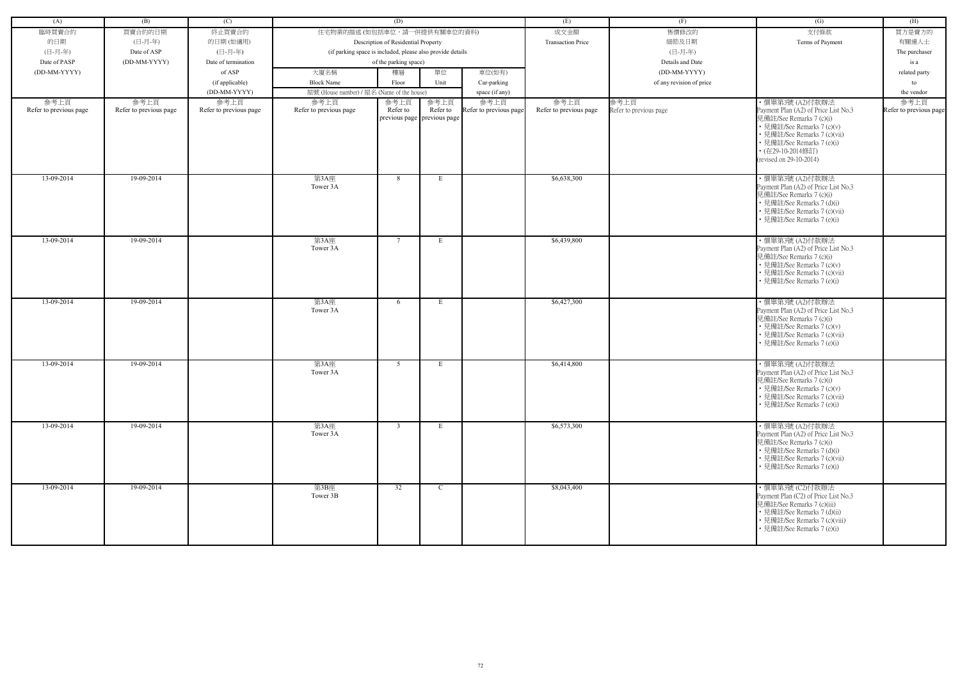| (A)                    | (B)                    | (C)                    |                                                            | (D)                                 |                                                   |                        | (E)                      | (F)                            | (G)                                                                                                                                                                                                          | (H)                    |
|------------------------|------------------------|------------------------|------------------------------------------------------------|-------------------------------------|---------------------------------------------------|------------------------|--------------------------|--------------------------------|--------------------------------------------------------------------------------------------------------------------------------------------------------------------------------------------------------------|------------------------|
| 臨時買賣合約                 | 買賣合約的日期                | 終止買賣合約                 | 住宅物業的描述 (如包括車位,請一併提供有關車位的資料)                               |                                     |                                                   |                        | 成交金額                     | 售價修改的                          | 支付條款                                                                                                                                                                                                         | 買方是賣方的                 |
| 的日期                    | (日-月-年)                | 的日期(如適用)               |                                                            | Description of Residential Property |                                                   |                        | <b>Transaction Price</b> | 細節及日期                          | Terms of Payment                                                                                                                                                                                             | 有關連人士                  |
| (日-月-年)                | Date of ASP            | (日-月-年)                | (if parking space is included, please also provide details |                                     |                                                   |                        |                          | (日-月-年)                        |                                                                                                                                                                                                              | The purchaser          |
| Date of PASP           | (DD-MM-YYYY)           | Date of termination    |                                                            | of the parking space)               |                                                   |                        |                          | Details and Date               |                                                                                                                                                                                                              | is a                   |
| (DD-MM-YYYY)           |                        | of ASP                 | 大廈名稱                                                       | 樓層                                  | 單位                                                | 車位(如有)                 |                          | (DD-MM-YYYY)                   |                                                                                                                                                                                                              | related party          |
|                        |                        | (if applicable)        | <b>Block Name</b>                                          | Floor                               | Unit                                              | Car-parking            |                          | of any revision of price       |                                                                                                                                                                                                              | to                     |
|                        |                        | (DD-MM-YYYY)           | 屋號 (House number) / 屋名 (Name of the house)                 |                                     |                                                   |                        |                          |                                |                                                                                                                                                                                                              | the vendor             |
| 參考上頁                   | 參考上頁                   | 參考上頁                   |                                                            |                                     |                                                   | space (if any)<br>參考上頁 | 參考上頁                     |                                | 便單第3號 (A2)付款辦法                                                                                                                                                                                               | 參考上頁                   |
| Refer to previous page | Refer to previous page | Refer to previous page | 參考上頁<br>Refer to previous page                             | 參考上頁<br>Refer to                    | 參考上頁<br>Refer to<br>previous page   previous page | Refer to previous page | Refer to previous page   | 參考上頁<br>Refer to previous page | Payment Plan (A2) of Price List No.3<br>見備註/See Remarks 7 (c)(i)<br>• 見備註/See Remarks 7 (c)(v)<br>· 見備註/See Remarks 7 (c)(vii)<br>• 見備註/See Remarks 7 (e)(i)<br>• (在29-10-2014修訂)<br>(revised on 29-10-2014) | Refer to previous page |
| 13-09-2014             | 19-09-2014             |                        | 第3A座<br>Tower 3A                                           | 8                                   | E                                                 |                        | \$6,638,300              |                                | · 價單第3號 (A2)付款辦法<br>Payment Plan (A2) of Price List No.3<br>見備註/See Remarks 7 (c)(i)<br>• 見備註/See Remarks 7 (d)(i)<br>• 見備註/See Remarks 7 (c)(vii)<br>見備註/See Remarks 7 (e)(i)                               |                        |
| 13-09-2014             | 19-09-2014             |                        | 第3A座<br>Tower 3A                                           | $7\phantom{.0}$                     | E                                                 |                        | \$6,439,800              |                                | ・價單第3號 (A2)付款辦法<br>Payment Plan (A2) of Price List No.3<br>見備註/See Remarks 7 (c)(i)<br>• 見備註/See Remarks 7 (c)(v)<br>• 見備註/See Remarks 7 (c)(vii)<br>見備註/See Remarks 7 (e)(i)                                |                        |
| 13-09-2014             | 19-09-2014             |                        | 第3A座<br>Tower 3A                                           | 6                                   | E                                                 |                        | \$6,427,300              |                                | ・價單第3號 (A2)付款辦法<br>Payment Plan (A2) of Price List No.3<br>見備註/See Remarks 7 (c)(i)<br>• 見備註/See Remarks 7 (c)(v)<br>• 見備註/See Remarks 7 (c)(vii)<br>見備註/See Remarks 7 (e)(i)                                |                        |
| 13-09-2014             | 19-09-2014             |                        | 第3A座<br>Tower 3A                                           | 5 <sup>5</sup>                      | E                                                 |                        | \$6,414,800              |                                | ・價單第3號 (A2)付款辦法<br>Payment Plan (A2) of Price List No.3<br>見備註/See Remarks 7 (c)(i)<br>• 見備註/See Remarks 7 (c)(v)<br>• 見備註/See Remarks 7 (c)(vii)<br>• 見備註/See Remarks 7 (e)(i)                              |                        |
| 13-09-2014             | 19-09-2014             |                        | 第3A座<br>Tower 3A                                           | $\overline{3}$                      | Е                                                 |                        | \$6,573,300              |                                | ・價單第3號 (A2)付款辦法<br>Payment Plan (A2) of Price List No.3<br>見備註/See Remarks 7 (c)(i)<br>• 見備註/See Remarks 7 (d)(i)<br>• 見備註/See Remarks 7 (c)(vii)<br>• 見備註/See Remarks 7 (e)(i)                              |                        |
| 13-09-2014             | 19-09-2014             |                        | 第3B座<br>Tower 3B                                           | 32                                  | $\mathbf{C}$                                      |                        | \$8,043,400              |                                | ·價單第3號 (C2)付款辦法<br>Payment Plan (C2) of Price List No.3<br>見備註/See Remarks 7 (c)(iii)<br>• 見備註/See Remarks 7 (d)(ii)<br>• 見備註/See Remarks 7 (c)(viii)<br>• 見備註/See Remarks 7 (e)(i)                          |                        |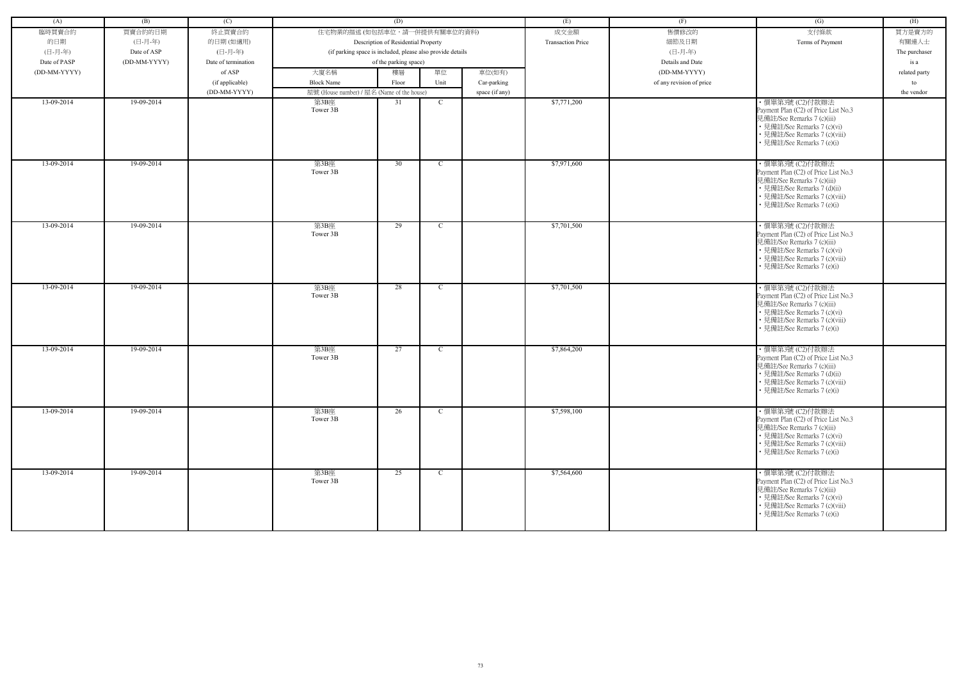| (A)          | (B)          | (C)                 |                                                            | (D)                                 |              |                | (E)                      | (F)                      | (G)                                                                                                                                                                                  | (H)           |
|--------------|--------------|---------------------|------------------------------------------------------------|-------------------------------------|--------------|----------------|--------------------------|--------------------------|--------------------------------------------------------------------------------------------------------------------------------------------------------------------------------------|---------------|
| 臨時買賣合約       | 買賣合約的日期      | 終止買賣合約              | 住宅物業的描述 (如包括車位,請一併提供有關車位的資料)                               |                                     |              |                | 成交金額                     | 售價修改的                    | 支付條款                                                                                                                                                                                 | 買方是賣方的        |
| 的日期          | (日-月-年)      | 的日期(如適用)            |                                                            | Description of Residential Property |              |                | <b>Transaction Price</b> | 細節及日期                    | Terms of Payment                                                                                                                                                                     | 有關連人士         |
| (日-月-年)      | Date of ASP  | (日-月-年)             | (if parking space is included, please also provide details |                                     |              |                |                          | (日-月-年)                  |                                                                                                                                                                                      | The purchaser |
| Date of PASP | (DD-MM-YYYY) | Date of termination |                                                            | of the parking space)               |              |                |                          | Details and Date         |                                                                                                                                                                                      | is a          |
|              |              | of ASP              |                                                            |                                     |              |                |                          | (DD-MM-YYYY)             |                                                                                                                                                                                      |               |
| (DD-MM-YYYY) |              |                     | 大廈名稱                                                       | 樓層                                  | 單位           | 車位(如有)         |                          |                          |                                                                                                                                                                                      | related party |
|              |              | (if applicable)     | <b>Block Name</b>                                          | Floor                               | Unit         | Car-parking    |                          | of any revision of price |                                                                                                                                                                                      | to            |
|              |              | (DD-MM-YYYY)        | 屋號 (House number) / 屋名 (Name of the house)                 |                                     |              | space (if any) |                          |                          |                                                                                                                                                                                      | the vendor    |
| 13-09-2014   | 19-09-2014   |                     | 第3B座<br>Tower 3B                                           | 31                                  | <sup>C</sup> |                | \$7,771,200              |                          | ·價單第3號 (C2)付款辦法<br>Payment Plan (C2) of Price List No.3<br>見備註/See Remarks 7 (c)(iii)<br>• 見備註/See Remarks 7 (c)(vi)<br>• 見備註/See Remarks 7 (c)(viii)<br>• 見備註/See Remarks 7 (e)(i)  |               |
| 13-09-2014   | 19-09-2014   |                     | 第3B座<br>Tower 3B                                           | 30                                  | $\mathbf C$  |                | \$7,971,600              |                          | ·價單第3號 (C2)付款辦法<br>Payment Plan (C2) of Price List No.3<br>見備註/See Remarks 7 (c)(iii)<br>• 見備註/See Remarks 7 (d)(ii)<br>• 見備註/See Remarks 7 (c)(viii)<br>• 見備註/See Remarks 7 (e)(i)  |               |
| 13-09-2014   | 19-09-2014   |                     | 第3B座<br>Tower 3B                                           | 29                                  | C.           |                | \$7,701,500              |                          | ・價單第3號 (C2)付款辦法<br>Payment Plan (C2) of Price List No.3<br>見備註/See Remarks 7 (c)(iii)<br>• 見備註/See Remarks 7 (c)(vi)<br>• 見備註/See Remarks 7 (c)(viii)<br>• 見備註/See Remarks 7 (e)(i)  |               |
| 13-09-2014   | 19-09-2014   |                     | 第3B座<br>Tower 3B                                           | 28                                  | $\mathbf C$  |                | \$7,701,500              |                          | · 價單第3號 (C2)付款辦法<br>Payment Plan (C2) of Price List No.3<br>見備註/See Remarks 7 (c)(iii)<br>• 見備註/See Remarks 7 (c)(vi)<br>• 見備註/See Remarks 7 (c)(viii)<br>• 見備註/See Remarks 7 (e)(i) |               |
| 13-09-2014   | 19-09-2014   |                     | 第3B座<br>Tower 3B                                           | 27                                  | $\mathbf C$  |                | \$7,864,200              |                          | ・價單第3號 (C2)付款辦法<br>Payment Plan (C2) of Price List No.3<br>見備註/See Remarks 7 (c)(iii)<br>• 見備註/See Remarks 7 (d)(ii)<br>• 見備註/See Remarks 7 (c)(viii)<br>• 見備註/See Remarks 7 (e)(i)  |               |
| 13-09-2014   | 19-09-2014   |                     | 第3B座<br>Tower 3B                                           | 26                                  | $\mathbf{C}$ |                | \$7,598,100              |                          | ・價單第3號 (C2)付款辦法<br>Payment Plan (C2) of Price List No.3<br>見備註/See Remarks 7 (c)(iii)<br>• 見備註/See Remarks 7 (c)(vi)<br>• 見備註/See Remarks 7 (c)(viii)<br>• 見備註/See Remarks 7 (e)(i)  |               |
| 13-09-2014   | 19-09-2014   |                     | 第3B座<br>Tower 3B                                           | 25                                  | $\mathbf C$  |                | \$7,564,600              |                          | ・價單第3號 (C2)付款辦法<br>Payment Plan (C2) of Price List No.3<br>見備註/See Remarks 7 (c)(iii)<br>• 見備註/See Remarks 7 (c)(vi)<br>• 見備註/See Remarks 7 (c)(viii)<br>• 見備註/See Remarks 7 (e)(i)  |               |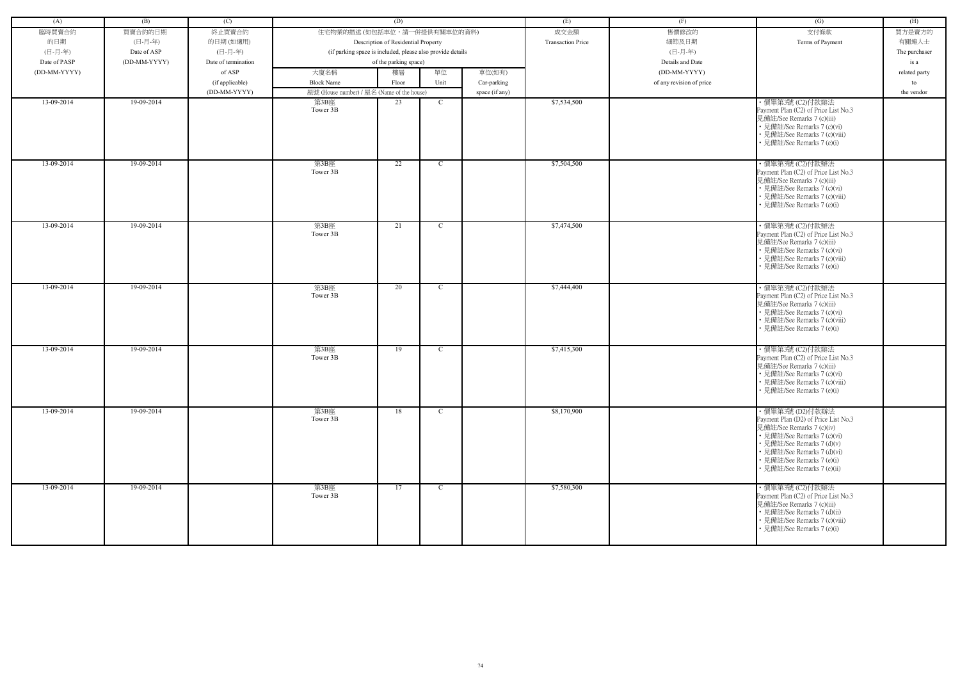| (A)          | (B)          | (C)                 |                                                            | (D)                                 |              |                | (E)                      | (F)                      | (G)                                                                                                                                                                                                                                           | (H)           |
|--------------|--------------|---------------------|------------------------------------------------------------|-------------------------------------|--------------|----------------|--------------------------|--------------------------|-----------------------------------------------------------------------------------------------------------------------------------------------------------------------------------------------------------------------------------------------|---------------|
| 臨時買賣合約       | 買賣合約的日期      | 終止買賣合約              | 住宅物業的描述 (如包括車位,請一併提供有關車位的資料)                               |                                     |              |                | 成交金額                     | 售價修改的                    | 支付條款                                                                                                                                                                                                                                          | 買方是賣方的        |
| 的日期          | (日-月-年)      | 的日期(如適用)            |                                                            | Description of Residential Property |              |                | <b>Transaction Price</b> | 細節及日期                    | Terms of Payment                                                                                                                                                                                                                              | 有關連人士         |
| (日-月-年)      | Date of ASP  | (日-月-年)             | (if parking space is included, please also provide details |                                     |              |                |                          | (日-月-年)                  |                                                                                                                                                                                                                                               | The purchaser |
| Date of PASP | (DD-MM-YYYY) | Date of termination |                                                            | of the parking space)               |              |                |                          | Details and Date         |                                                                                                                                                                                                                                               | is a          |
| (DD-MM-YYYY) |              | of ASP              | 大廈名稱                                                       | 樓層                                  | 單位           | 車位(如有)         |                          | (DD-MM-YYYY)             |                                                                                                                                                                                                                                               | related party |
|              |              | (if applicable)     | <b>Block Name</b>                                          | Floor                               | Unit         | Car-parking    |                          | of any revision of price |                                                                                                                                                                                                                                               | to            |
|              |              | (DD-MM-YYYY)        | 屋號 (House number) / 屋名 (Name of the house)                 |                                     |              | space (if any) |                          |                          |                                                                                                                                                                                                                                               | the vendor    |
| 13-09-2014   | 19-09-2014   |                     | 第3B座                                                       | 23                                  | <sup>C</sup> |                | \$7,534,500              |                          | ·價單第3號 (C2)付款辦法                                                                                                                                                                                                                               |               |
|              |              |                     | Tower 3B                                                   |                                     |              |                |                          |                          | Payment Plan (C2) of Price List No.3<br>見備註/See Remarks 7 (c)(iii)<br>• 見備註/See Remarks 7 (c)(vi)<br>• 見備註/See Remarks 7 (c)(viii)<br>• 見備註/See Remarks 7 (e)(i)                                                                              |               |
| 13-09-2014   | 19-09-2014   |                     | 第3B座<br>Tower 3B                                           | 22                                  | $\mathbf C$  |                | \$7,504,500              |                          | ·價單第3號 (C2)付款辦法<br>Payment Plan (C2) of Price List No.3<br>見備註/See Remarks 7 (c)(iii)<br>• 見備註/See Remarks 7 (c)(vi)<br>• 見備註/See Remarks 7 (c)(viii)<br>• 見備註/See Remarks 7 (e)(i)                                                           |               |
| 13-09-2014   | 19-09-2014   |                     | 第3B座<br>Tower 3B                                           | 21                                  | C.           |                | \$7,474,500              |                          | ・價單第3號 (C2)付款辦法<br>Payment Plan (C2) of Price List No.3<br>見備註/See Remarks 7 (c)(iii)<br>• 見備註/See Remarks 7 (c)(vi)<br>• 見備註/See Remarks 7 (c)(viii)<br>• 見備註/See Remarks 7 (e)(i)                                                           |               |
| 13-09-2014   | 19-09-2014   |                     | 第3B座<br>Tower 3B                                           | 20                                  | $\mathbf C$  |                | \$7,444,400              |                          | · 價單第3號 (C2)付款辦法<br>Payment Plan (C2) of Price List No.3<br>見備註/See Remarks 7 (c)(iii)<br>• 見備註/See Remarks 7 (c)(vi)<br>• 見備註/See Remarks 7 (c)(viii)<br>• 見備註/See Remarks 7 (e)(i)                                                          |               |
| 13-09-2014   | 19-09-2014   |                     | 第3B座<br>Tower 3B                                           | 19                                  | $\mathbf C$  |                | \$7,415,300              |                          | ・價單第3號 (C2)付款辦法<br>Payment Plan (C2) of Price List No.3<br>見備註/See Remarks 7 (c)(iii)<br>• 見備註/See Remarks 7 (c)(vi)<br>• 見備註/See Remarks 7 (c)(viii)<br>• 見備註/See Remarks 7 (e)(i)                                                           |               |
| 13-09-2014   | 19-09-2014   |                     | 第3B座<br>Tower 3B                                           | 18                                  | $\mathbf{C}$ |                | \$8,170,900              |                          | ・價單第3號 (D2)付款辦法<br>Payment Plan (D2) of Price List No.3<br>見備註/See Remarks 7 (c)(iv)<br>• 見備註/See Remarks 7 (c)(vi)<br>• 見備註/See Remarks 7 (d)(v)<br>• 見備註/See Remarks 7 (d)(vi)<br>• 見備註/See Remarks 7 (e)(i)<br>• 見備註/See Remarks 7 (e)(ii) |               |
| 13-09-2014   | 19-09-2014   |                     | 第3B座<br>Tower 3B                                           | 17                                  | $\mathbf{C}$ |                | \$7,580,300              |                          | ・價單第3號 (C2)付款辦法<br>Payment Plan (C2) of Price List No.3<br>見備註/See Remarks 7 (c)(iii)<br>• 見備註/See Remarks 7 (d)(ii)<br>• 見備註/See Remarks 7 (c)(viii)<br>• 見備註/See Remarks 7 (e)(i)                                                           |               |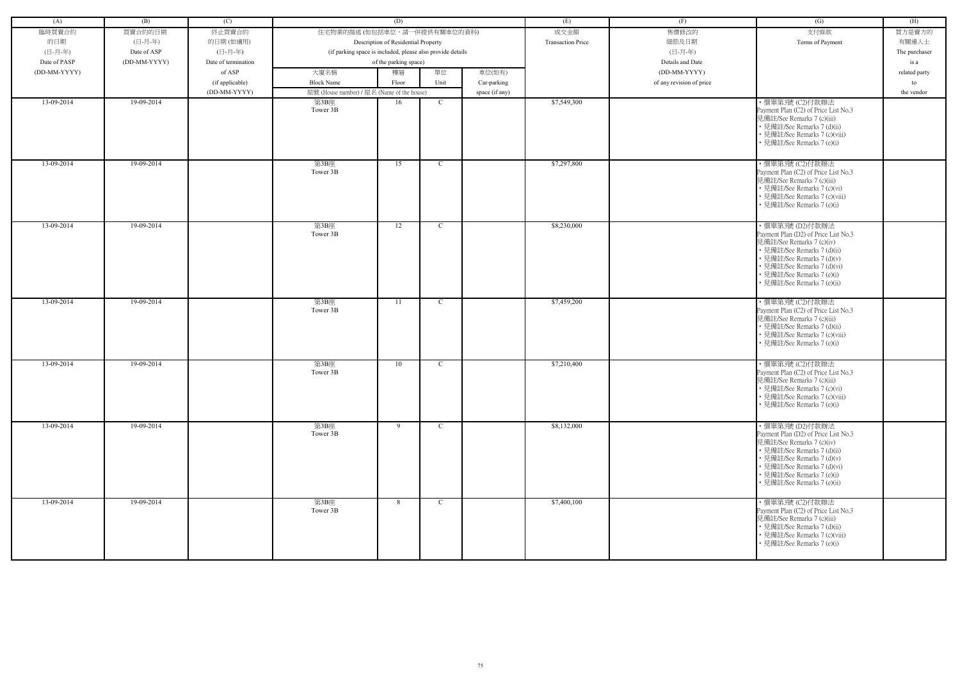| (A)          | (B)          | (C)                 |                                                            | (D)                                 |              |                | (E)                      | (F)                      | (G)                                                                                                                                                                                                                                           | (H)           |
|--------------|--------------|---------------------|------------------------------------------------------------|-------------------------------------|--------------|----------------|--------------------------|--------------------------|-----------------------------------------------------------------------------------------------------------------------------------------------------------------------------------------------------------------------------------------------|---------------|
| 臨時買賣合約       | 買賣合約的日期      | 終止買賣合約              | 住宅物業的描述 (如包括車位,請一併提供有關車位的資料)                               |                                     |              |                | 成交金額                     | 售價修改的                    | 支付條款                                                                                                                                                                                                                                          | 買方是賣方的        |
| 的日期          | (日-月-年)      |                     |                                                            |                                     |              |                | <b>Transaction Price</b> | 細節及日期                    | Terms of Payment                                                                                                                                                                                                                              | 有關連人士         |
| (日-月-年)      | Date of ASP  | 的日期(如適用)<br>(日-月-年) |                                                            | Description of Residential Property |              |                |                          | (日-月-年)                  |                                                                                                                                                                                                                                               |               |
|              |              |                     | (if parking space is included, please also provide details |                                     |              |                |                          |                          |                                                                                                                                                                                                                                               | The purchaser |
| Date of PASP | (DD-MM-YYYY) | Date of termination |                                                            | of the parking space)               |              |                |                          | Details and Date         |                                                                                                                                                                                                                                               | is a          |
| (DD-MM-YYYY) |              | of ASP              | 大廈名稱                                                       | 樓層                                  | 單位           | 車位(如有)         |                          | (DD-MM-YYYY)             |                                                                                                                                                                                                                                               | related party |
|              |              | (if applicable)     | <b>Block Name</b>                                          | Floor                               | Unit         | Car-parking    |                          | of any revision of price |                                                                                                                                                                                                                                               | to            |
|              |              | (DD-MM-YYYY)        | 屋號 (House number) / 屋名 (Name of the house)                 |                                     |              | space (if any) |                          |                          |                                                                                                                                                                                                                                               | the vendor    |
| 13-09-2014   | 19-09-2014   |                     | 第3B座<br>Tower 3B                                           | 16                                  | $\mathbf C$  |                | \$7,549,300              |                          | · 價單第3號 (C2)付款辦法<br>Payment Plan (C2) of Price List No.3<br>見備註/See Remarks 7 (c)(iii)<br>• 見備註/See Remarks 7 (d)(ii)<br>• 見備註/See Remarks 7 (c)(viii)<br>• 見備註/See Remarks 7 (e)(i)                                                          |               |
| 13-09-2014   | 19-09-2014   |                     | 第3B座<br>Tower 3B                                           | 15                                  | $\mathbf C$  |                | \$7,297,800              |                          | ·價單第3號 (C2)付款辦法<br>Payment Plan (C2) of Price List No.3<br>見備註/See Remarks 7 (c)(iii)<br>• 見備註/See Remarks 7 (c)(vi)<br>• 見備註/See Remarks 7 (c)(viii)<br>• 見備註/See Remarks 7 (e)(i)                                                           |               |
| 13-09-2014   | 19-09-2014   |                     | 第3B座<br>Tower 3B                                           | 12                                  | $\mathbf C$  |                | \$8,230,000              |                          | ・價單第3號 (D2)付款辦法<br>Payment Plan (D2) of Price List No.3<br>見備註/See Remarks 7 (c)(iv)<br>• 見備註/See Remarks 7 (d)(ii)<br>• 見備註/See Remarks 7 (d)(v)<br>• 見備註/See Remarks 7 (d)(vi)<br>• 見備註/See Remarks 7 (e)(i)<br>· 見備註/See Remarks 7 (e)(ii) |               |
| 13-09-2014   | 19-09-2014   |                     | 第3B座<br>Tower 3B                                           | 11                                  | $\mathbf C$  |                | \$7,459,200              |                          | · 價單第3號 (C2)付款辦法<br>Payment Plan (C2) of Price List No.3<br>見備註/See Remarks 7 (c)(iii)<br>• 見備註/See Remarks 7 (d)(ii)<br>• 見備註/See Remarks 7 (c)(viii)<br>• 見備註/See Remarks 7 (e)(i)                                                          |               |
| 13-09-2014   | 19-09-2014   |                     | 第3B座<br>Tower 3B                                           | 10                                  | $\mathbf C$  |                | \$7,210,400              |                          | ·價單第3號 (C2)付款辦法<br>Payment Plan (C2) of Price List No.3<br>見備註/See Remarks 7 (c)(iii)<br>• 見備註/See Remarks 7 (c)(vi)<br>• 見備註/See Remarks 7 (c)(viii)<br>• 見備註/See Remarks 7 (e)(i)                                                           |               |
| 13-09-2014   | 19-09-2014   |                     | 第3B座<br>Tower 3B                                           | 9                                   | $\mathbf{C}$ |                | \$8,132,000              |                          | ・價單第3號 (D2)付款辦法<br>Payment Plan (D2) of Price List No.3<br>見備註/See Remarks 7 (c)(iv)<br>• 見備註/See Remarks 7 (d)(ii)<br>• 見備註/See Remarks 7 (d)(v)<br>• 見備註/See Remarks 7 (d)(vi)<br>• 見備註/See Remarks 7 (e)(i)<br>• 見備註/See Remarks 7 (e)(ii) |               |
| 13-09-2014   | 19-09-2014   |                     | 第3B座<br>Tower 3B                                           | 8                                   | $\mathbf{C}$ |                | \$7,400,100              |                          | ・價單第3號 (C2)付款辦法<br>Payment Plan (C2) of Price List No.3<br>見備註/See Remarks 7 (c)(iii)<br>• 見備註/See Remarks 7 (d)(ii)<br>• 見備註/See Remarks 7 (c)(viii)<br>• 見備註/See Remarks 7 (e)(i)                                                           |               |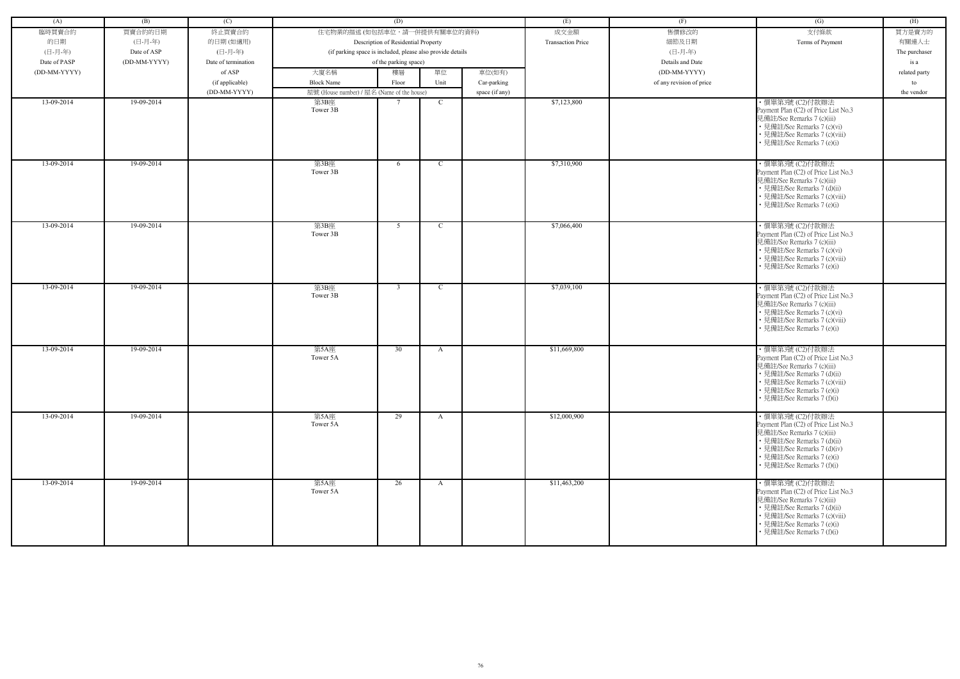| (A)          | (B)          | (C)                 |                                                    | (D)                                                        |               |                | (E)                      | (F)                      | (G)                                                                                                                                                                                                               | (H)           |
|--------------|--------------|---------------------|----------------------------------------------------|------------------------------------------------------------|---------------|----------------|--------------------------|--------------------------|-------------------------------------------------------------------------------------------------------------------------------------------------------------------------------------------------------------------|---------------|
| 臨時買賣合約       | 買賣合約的日期      | 終止買賣合約              | 住宅物業的描述 (如包括車位,請一併提供有關車位的資料)                       |                                                            |               |                | 成交金額                     | 售價修改的                    | 支付條款                                                                                                                                                                                                              | 買方是賣方的        |
| 的日期          | (日-月-年)      | 的日期(如適用)            |                                                    | Description of Residential Property                        |               |                | <b>Transaction Price</b> | 細節及日期                    | Terms of Payment                                                                                                                                                                                                  | 有關連人士         |
| (日-月-年)      | Date of ASP  | (日-月-年)             |                                                    | (if parking space is included, please also provide details |               |                |                          | (日-月-年)                  |                                                                                                                                                                                                                   | The purchaser |
| Date of PASP | (DD-MM-YYYY) | Date of termination |                                                    | of the parking space)                                      |               |                |                          | Details and Date         |                                                                                                                                                                                                                   | is a          |
| (DD-MM-YYYY) |              | of ASP              | 大廈名稱                                               | 樓層                                                         | 單位            | 車位(如有)         |                          | (DD-MM-YYYY)             |                                                                                                                                                                                                                   |               |
|              |              |                     | <b>Block Name</b>                                  |                                                            | Unit          |                |                          |                          |                                                                                                                                                                                                                   | related party |
|              |              | (if applicable)     |                                                    | Floor                                                      |               | Car-parking    |                          | of any revision of price |                                                                                                                                                                                                                   | to            |
| 13-09-2014   | 19-09-2014   | (DD-MM-YYYY)        | 屋號 (House number) / 屋名 (Name of the house)<br>第3B座 |                                                            | C             | space (if any) | \$7,123,800              |                          | ·價單第3號 (C2)付款辦法                                                                                                                                                                                                   | the vendor    |
|              |              |                     | Tower 3B                                           |                                                            |               |                |                          |                          | Payment Plan (C2) of Price List No.3<br>見備註/See Remarks 7 (c)(iii)<br>• 見備註/See Remarks 7 (c)(vi)<br>• 見備註/See Remarks 7 (c)(viii)<br>• 見備註/See Remarks 7 (e)(i)                                                  |               |
| 13-09-2014   | 19-09-2014   |                     | 第3B座<br>Tower 3B                                   | 6                                                          | $\mathbf C$   |                | \$7,310,900              |                          | ·價單第3號 (C2)付款辦法<br>Payment Plan (C2) of Price List No.3<br>見備註/See Remarks 7 (c)(iii)<br>• 見備註/See Remarks 7 (d)(ii)<br>• 見備註/See Remarks 7 (c)(viii)<br>• 見備註/See Remarks 7 (e)(i)                               |               |
| 13-09-2014   | 19-09-2014   |                     | 第3B座<br>Tower 3B                                   | 5                                                          | $\mathcal{C}$ |                | \$7,066,400              |                          | ・價單第3號 (C2)付款辦法<br>Payment Plan (C2) of Price List No.3<br>見備註/See Remarks 7 (c)(iii)<br>• 見備註/See Remarks 7 (c)(vi)<br>• 見備註/See Remarks 7 (c)(viii)<br>• 見備註/See Remarks 7 (e)(i)                               |               |
| 13-09-2014   | 19-09-2014   |                     | 第3B座<br>Tower 3B                                   | $\overline{3}$                                             | $\mathcal{C}$ |                | \$7,039,100              |                          | · 價單第3號 (C2)付款辦法<br>Payment Plan (C2) of Price List No.3<br>見備註/See Remarks 7 (c)(iii)<br>• 見備註/See Remarks 7 (c)(vi)<br>• 見備註/See Remarks 7 (c)(viii)<br>• 見備註/See Remarks 7 (e)(i)                              |               |
| 13-09-2014   | 19-09-2014   |                     | 第5A座<br>Tower 5A                                   | 30                                                         | A             |                | \$11,669,800             |                          | ・價單第3號 (C2)付款辦法<br>Payment Plan (C2) of Price List No.3<br>見備註/See Remarks 7 (c)(iii)<br>• 見備註/See Remarks 7 (d)(ii)<br>• 見備註/See Remarks 7 (c)(viii)<br>• 見備註/See Remarks 7 (e)(i)<br>• 見備註/See Remarks 7 (f)(i) |               |
| 13-09-2014   | 19-09-2014   |                     | 第5A座<br>Tower 5A                                   | 29                                                         | $\mathbf{A}$  |                | \$12,000,900             |                          | ・價單第3號 (C2)付款辦法<br>Payment Plan (C2) of Price List No.3<br>見備註/See Remarks 7 (c)(iii)<br>• 見備註/See Remarks 7 (d)(ii)<br>• 見備註/See Remarks 7 (d)(iv)<br>• 見備註/See Remarks 7 (e)(i)<br>• 見備註/See Remarks 7 (f)(i)   |               |
| 13-09-2014   | 19-09-2014   |                     | 第5A座<br>Tower 5A                                   | 26                                                         | $\mathbf{A}$  |                | \$11,463,200             |                          | ・價單第3號 (C2)付款辦法<br>Payment Plan (C2) of Price List No.3<br>見備註/See Remarks 7 (c)(iii)<br>• 見備註/See Remarks 7 (d)(ii)<br>• 見備註/See Remarks 7 (c)(viii)<br>• 見備註/See Remarks 7 (e)(i)<br>• 見備註/See Remarks 7 (f)(i) |               |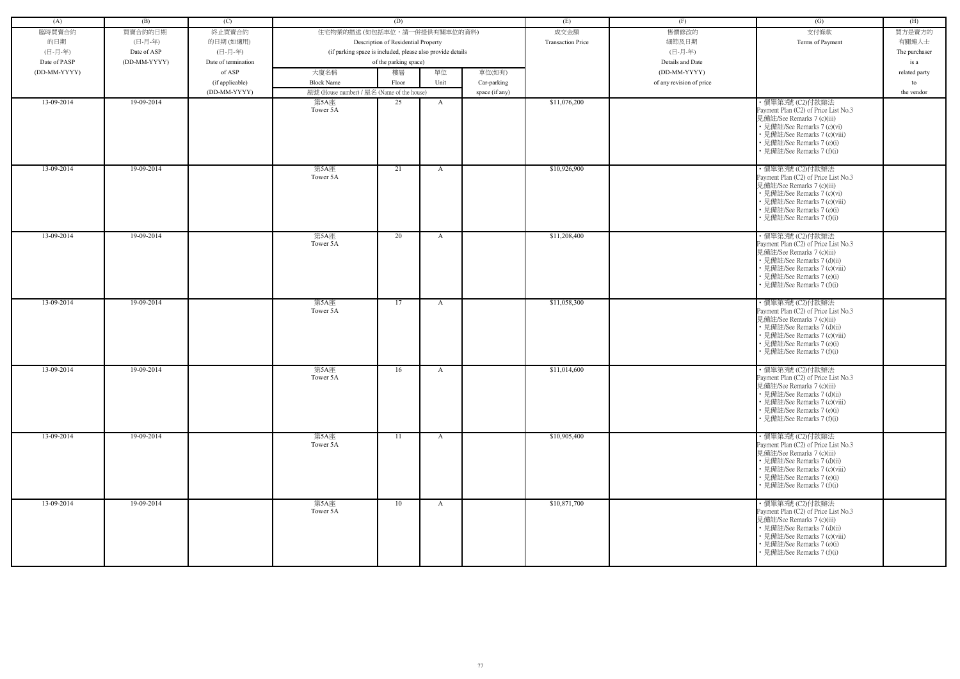| (A)          | (B)          | (C)                 |                                            | (D)                                                        |              |                | (E)                      | (F)                      | (G)                                                                                                                                                                                                                | (H)           |
|--------------|--------------|---------------------|--------------------------------------------|------------------------------------------------------------|--------------|----------------|--------------------------|--------------------------|--------------------------------------------------------------------------------------------------------------------------------------------------------------------------------------------------------------------|---------------|
| 臨時買賣合約       | 買賣合約的日期      | 終止買賣合約              | 住宅物業的描述 (如包括車位,請一併提供有關車位的資料)               |                                                            |              |                | 成交金額                     | 售價修改的                    | 支付條款                                                                                                                                                                                                               | 買方是賣方的        |
| 的日期          | (日-月-年)      | 的日期(如適用)            |                                            | Description of Residential Property                        |              |                | <b>Transaction Price</b> | 細節及日期                    | Terms of Payment                                                                                                                                                                                                   | 有關連人士         |
| (日-月-年)      | Date of ASP  | (日-月-年)             |                                            | (if parking space is included, please also provide details |              |                |                          | (日-月-年)                  |                                                                                                                                                                                                                    | The purchaser |
| Date of PASP | (DD-MM-YYYY) | Date of termination |                                            | of the parking space)                                      |              |                |                          | Details and Date         |                                                                                                                                                                                                                    | is a          |
| (DD-MM-YYYY) |              | of ASP              | 大廈名稱                                       | 樓層                                                         | 單位           | 車位(如有)         |                          | (DD-MM-YYYY)             |                                                                                                                                                                                                                    | related party |
|              |              | (if applicable)     | <b>Block Name</b>                          | Floor                                                      | Unit         | Car-parking    |                          | of any revision of price |                                                                                                                                                                                                                    | to            |
|              |              | (DD-MM-YYYY)        | 屋號 (House number) / 屋名 (Name of the house) |                                                            |              | space (if any) |                          |                          |                                                                                                                                                                                                                    | the vendor    |
| 13-09-2014   | 19-09-2014   |                     | 第5A座<br>Tower 5A                           | 25                                                         | A            |                | \$11,076,200             |                          | · 價單第3號 (C2)付款辦法<br>Payment Plan (C2) of Price List No.3<br>見備註/See Remarks 7 (c)(iii)<br>• 見備註/See Remarks 7 (c)(vi)<br>• 見備註/See Remarks 7 (c)(viii)<br>• 見備註/See Remarks 7 (e)(i)<br>見備註/See Remarks 7 (f)(i)   |               |
| 13-09-2014   | 19-09-2014   |                     | 第5A座<br>Tower 5A                           | 21                                                         | A            |                | \$10,926,900             |                          | · 價單第3號 (C2)付款辦法<br>Payment Plan (C2) of Price List No.3<br>見備註/See Remarks 7 (c)(iii)<br>• 見備註/See Remarks 7 (c)(vi)<br>• 見備註/See Remarks 7 (c)(viii)<br>• 見備註/See Remarks 7 (e)(i)<br>• 見備註/See Remarks 7 (f)(i) |               |
| 13-09-2014   | 19-09-2014   |                     | 第5A座<br>Tower 5A                           | 20                                                         | A            |                | \$11,208,400             |                          | ・價單第3號 (C2)付款辦法<br>Payment Plan (C2) of Price List No.3<br>見備註/See Remarks 7 (c)(iii)<br>• 見備註/See Remarks 7 (d)(ii)<br>• 見備註/See Remarks 7 (c)(viii)<br>• 見備註/See Remarks 7 (e)(i)<br>見備註/See Remarks 7 (f)(i)    |               |
| 13-09-2014   | 19-09-2014   |                     | 第5A座<br>Tower 5A                           | 17                                                         | A            |                | \$11,058,300             |                          | ・價單第3號 (C2)付款辦法<br>Payment Plan (C2) of Price List No.3<br>見備註/See Remarks 7 (c)(iii)<br>• 見備註/See Remarks 7 (d)(ii)<br>• 見備註/See Remarks 7 (c)(viii)<br>• 見備註/See Remarks 7 (e)(i)<br>見備註/See Remarks 7 (f)(i)    |               |
| 13-09-2014   | 19-09-2014   |                     | 第5A座<br>Tower 5A                           | 16                                                         | A            |                | \$11,014,600             |                          | · 價單第3號 (C2)付款辦法<br>Payment Plan (C2) of Price List No.3<br>見備註/See Remarks 7 (c)(iii)<br>• 見備註/See Remarks 7 (d)(ii)<br>• 見備註/See Remarks 7 (c)(viii)<br>• 見備註/See Remarks 7 (e)(i)<br>• 見備註/See Remarks 7 (f)(i) |               |
| 13-09-2014   | 19-09-2014   |                     | 第5A座<br>Tower 5A                           | 11                                                         | $\mathbf{A}$ |                | \$10,905,400             |                          | ・價單第3號 (C2)付款辦法<br>Payment Plan (C2) of Price List No.3<br>見備註/See Remarks 7 (c)(iii)<br>• 見備註/See Remarks 7 (d)(ii)<br>• 見備註/See Remarks 7 (c)(viii)<br>• 見備註/See Remarks 7 (e)(i)<br>見備註/See Remarks 7 (f)(i)    |               |
| 13-09-2014   | 19-09-2014   |                     | 第5A座<br>Tower 5A                           | 10                                                         | $\mathbf{A}$ |                | \$10,871,700             |                          | ・價單第3號 (C2)付款辦法<br>Payment Plan (C2) of Price List No.3<br>見備註/See Remarks 7 (c)(iii)<br>• 見備註/See Remarks 7 (d)(ii)<br>• 見備註/See Remarks 7 (c)(viii)<br>• 見備註/See Remarks 7 (e)(i)<br>• 見備註/See Remarks 7 (f)(i)  |               |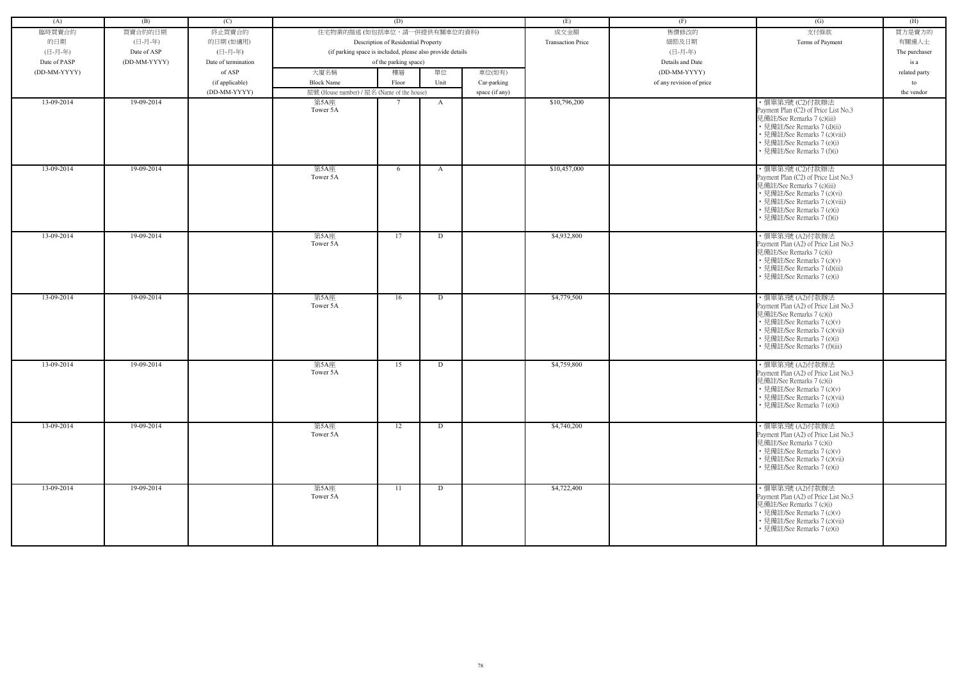| (A)          | (B)          | (C)                 |                                                            | (D)                                 |      |                | (E)                      | (F)                      | (G)                                                                                                                                                                                                               | (H)           |
|--------------|--------------|---------------------|------------------------------------------------------------|-------------------------------------|------|----------------|--------------------------|--------------------------|-------------------------------------------------------------------------------------------------------------------------------------------------------------------------------------------------------------------|---------------|
| 臨時買賣合約       | 買賣合約的日期      | 終止買賣合約              | 住宅物業的描述 (如包括車位,請一併提供有關車位的資料)                               |                                     |      |                | 成交金額                     | 售價修改的                    | 支付條款                                                                                                                                                                                                              | 買方是賣方的        |
| 的日期          | (日-月-年)      | 的日期(如適用)            |                                                            | Description of Residential Property |      |                | <b>Transaction Price</b> | 細節及日期                    | Terms of Payment                                                                                                                                                                                                  | 有關連人士         |
| (日-月-年)      | Date of ASP  | (日-月-年)             | (if parking space is included, please also provide details |                                     |      |                |                          | (日-月-年)                  |                                                                                                                                                                                                                   | The purchaser |
| Date of PASP | (DD-MM-YYYY) | Date of termination |                                                            | of the parking space)               |      |                |                          | Details and Date         |                                                                                                                                                                                                                   | is a          |
| (DD-MM-YYYY) |              | of ASP              | 大廈名稱                                                       | 樓層                                  | 單位   | 車位(如有)         |                          | (DD-MM-YYYY)             |                                                                                                                                                                                                                   | related party |
|              |              | (if applicable)     | <b>Block Name</b>                                          | Floor                               | Unit | Car-parking    |                          | of any revision of price |                                                                                                                                                                                                                   | to            |
|              |              | (DD-MM-YYYY)        | 屋號 (House number) / 屋名 (Name of the house)                 |                                     |      | space (if any) |                          |                          |                                                                                                                                                                                                                   | the vendor    |
| 13-09-2014   | 19-09-2014   |                     | 第5A座                                                       |                                     | A    |                | \$10,796,200             |                          | · 價單第3號 (C2)付款辦法                                                                                                                                                                                                  |               |
|              |              |                     | Tower 5A                                                   |                                     |      |                |                          |                          | Payment Plan (C2) of Price List No.3<br>見備註/See Remarks 7 (c)(iii)<br>• 見備註/See Remarks 7 (d)(ii)<br>• 見備註/See Remarks 7 (c)(viii)<br>• 見備註/See Remarks 7 (e)(i)<br>• 見備註/See Remarks 7 (f)(i)                    |               |
| 13-09-2014   | 19-09-2014   |                     | 第5A座<br>Tower 5A                                           | 6                                   | A    |                | \$10,457,000             |                          | ・價單第3號 (C2)付款辦法<br>Payment Plan (C2) of Price List No.3<br>見備註/See Remarks 7 (c)(iii)<br>• 見備註/See Remarks 7 (c)(vi)<br>• 見備註/See Remarks 7 (c)(viii)<br>• 見備註/See Remarks 7 (e)(i)<br>• 見備註/See Remarks 7 (f)(i) |               |
| 13-09-2014   | 19-09-2014   |                     | 第5A座<br>Tower 5A                                           | 17                                  | D    |                | \$4,932,800              |                          | ・價單第3號 (A2)付款辦法<br>Payment Plan (A2) of Price List No.3<br>見備註/See Remarks 7 (c)(i)<br>• 見備註/See Remarks 7 (c)(v)<br>• 見備註/See Remarks 7 (d)(iii)<br>• 見備註/See Remarks 7 (e)(i)                                   |               |
| 13-09-2014   | 19-09-2014   |                     | 第5A座<br>Tower 5A                                           | 16                                  | D    |                | \$4,779,500              |                          | · 價單第3號 (A2)付款辦法<br>Payment Plan (A2) of Price List No.3<br>見備註/See Remarks 7 (c)(i)<br>• 見備註/See Remarks 7 (c)(v)<br>· 見備註/See Remarks 7 (c)(vii)<br>• 見備註/See Remarks 7 (e)(i)<br>· 見備註/See Remarks 7 (f)(iii)  |               |
| 13-09-2014   | 19-09-2014   |                     | 第5A座<br>Tower 5A                                           | 15                                  | D    |                | \$4,759,800              |                          | · 價單第3號 (A2)付款辦法<br>Payment Plan (A2) of Price List No.3<br>見備註/See Remarks 7 (c)(i)<br>• 見備註/See Remarks 7 (c)(v)<br>• 見備註/See Remarks 7 (c)(vii)<br>• 見備註/See Remarks 7 (e)(i)                                  |               |
| 13-09-2014   | 19-09-2014   |                     | 第5A座<br>Tower 5A                                           | 12                                  | D    |                | \$4,740,200              |                          | · 價單第3號 (A2)付款辦法<br>Payment Plan (A2) of Price List No.3<br>見備註/See Remarks 7 (c)(i)<br>• 見備註/See Remarks 7 (c)(v)<br>• 見備註/See Remarks 7 (c)(vii)<br>• 見備註/See Remarks 7 (e)(i)                                  |               |
| 13-09-2014   | 19-09-2014   |                     | 第5A座<br>Tower 5A                                           | 11                                  | D    |                | \$4,722,400              |                          | ・價單第3號 (A2)付款辦法<br>Payment Plan (A2) of Price List No.3<br>見備註/See Remarks 7 (c)(i)<br>• 見備註/See Remarks 7 (c)(v)<br>• 見備註/See Remarks 7 (c)(vii)<br>• 見備註/See Remarks 7 (e)(i)                                   |               |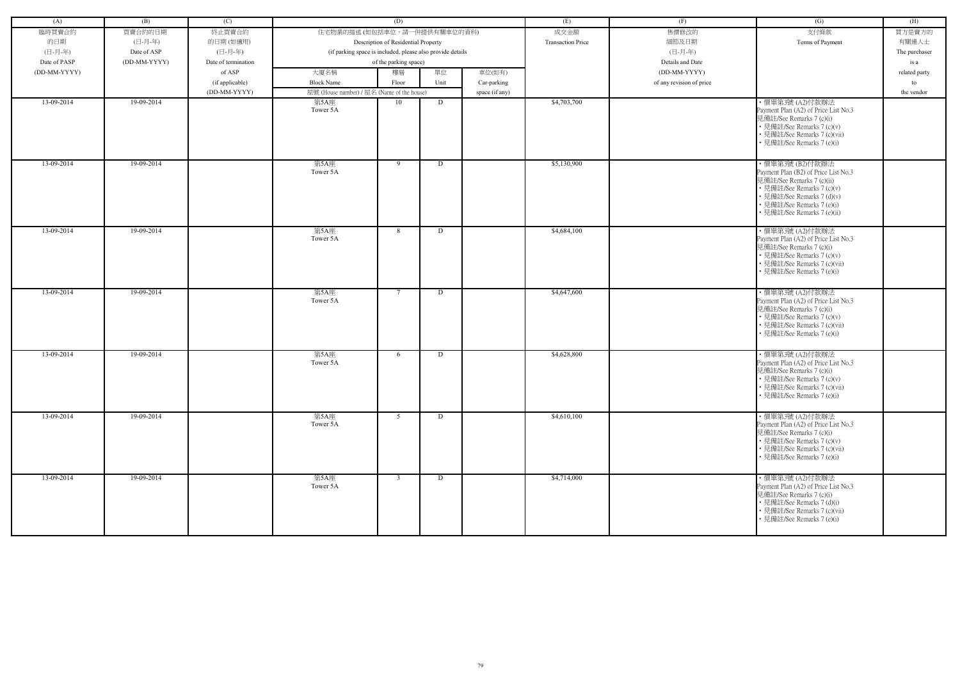| (A)          | (B)          | (C)                 |                                            | (D)                                                        |      |                | (E)                      | (F)                      | (G)                                                                                                                                                                                                           | (H)           |
|--------------|--------------|---------------------|--------------------------------------------|------------------------------------------------------------|------|----------------|--------------------------|--------------------------|---------------------------------------------------------------------------------------------------------------------------------------------------------------------------------------------------------------|---------------|
| 臨時買賣合約       | 買賣合約的日期      | 終止買賣合約              | 住宅物業的描述 (如包括車位,請一併提供有關車位的資料)               |                                                            |      |                | 成交金額                     | 售價修改的                    | 支付條款                                                                                                                                                                                                          | 買方是賣方的        |
| 的日期          | (日-月-年)      | 的日期(如適用)            |                                            | Description of Residential Property                        |      |                | <b>Transaction Price</b> | 細節及日期                    | Terms of Payment                                                                                                                                                                                              | 有關連人士         |
| (日-月-年)      | Date of ASP  | (日-月-年)             |                                            | (if parking space is included, please also provide details |      |                |                          | (日-月-年)                  |                                                                                                                                                                                                               | The purchaser |
| Date of PASP | (DD-MM-YYYY) | Date of termination |                                            | of the parking space)                                      |      |                |                          | Details and Date         |                                                                                                                                                                                                               | is a          |
| (DD-MM-YYYY) |              | of ASP              | 大廈名稱                                       | 樓層                                                         | 單位   | 車位(如有)         |                          | (DD-MM-YYYY)             |                                                                                                                                                                                                               | related party |
|              |              |                     | <b>Block Name</b>                          |                                                            | Unit |                |                          | of any revision of price |                                                                                                                                                                                                               |               |
|              |              | (if applicable)     |                                            | Floor                                                      |      | Car-parking    |                          |                          |                                                                                                                                                                                                               | to            |
|              |              | (DD-MM-YYYY)        | 屋號 (House number) / 屋名 (Name of the house) |                                                            |      | space (if any) |                          |                          |                                                                                                                                                                                                               | the vendor    |
| 13-09-2014   | 19-09-2014   |                     | 第5A座<br>Tower 5A                           | 10                                                         | D    |                | \$4,703,700              |                          | · 價單第3號 (A2)付款辦法<br>Payment Plan (A2) of Price List No.3<br>見備註/See Remarks 7 (c)(i)<br>• 見備註/See Remarks 7 (c)(v)<br>• 見備註/See Remarks 7 (c)(vii)<br>• 見備註/See Remarks 7 (e)(i)                              |               |
| 13-09-2014   | 19-09-2014   |                     | 第5A座<br>Tower 5A                           | 9                                                          | D    |                | \$5,130,900              |                          | ・價單第3號 (B2)付款辦法<br>Payment Plan (B2) of Price List No.3<br>見備註/See Remarks 7 (c)(ii)<br>• 見備註/See Remarks 7 (c)(v)<br>• 見備註/See Remarks 7 (d)(v)<br>• 見備註/See Remarks 7 (e)(i)<br>• 見備註/See Remarks 7 (e)(ii) |               |
| 13-09-2014   | 19-09-2014   |                     | 第5A座<br>Tower 5A                           | 8                                                          | D    |                | \$4,684,100              |                          | ・價單第3號 (A2)付款辦法<br>Payment Plan (A2) of Price List No.3<br>見備註/See Remarks 7 (c)(i)<br>• 見備註/See Remarks 7 (c)(v)<br>• 見備註/See Remarks 7 (c)(vii)<br>· 見備註/See Remarks 7 (e)(i)                               |               |
| 13-09-2014   | 19-09-2014   |                     | 第5A座<br>Tower 5A                           | 7                                                          | D    |                | \$4,647,600              |                          | · 價單第3號 (A2)付款辦法<br>Payment Plan (A2) of Price List No.3<br>見備註/See Remarks 7 (c)(i)<br>• 見備註/See Remarks 7 (c)(v)<br>• 見備註/See Remarks 7 (c)(vii)<br>• 見備註/See Remarks 7 (e)(i)                              |               |
| 13-09-2014   | 19-09-2014   |                     | 第5A座<br>Tower 5A                           | 6                                                          | D    |                | \$4,628,800              |                          | · 價單第3號 (A2)付款辦法<br>Payment Plan (A2) of Price List No.3<br>見備註/See Remarks 7 (c)(i)<br>見備註/See Remarks 7 (c)(v)<br>• 見備註/See Remarks 7 (c)(vii)<br>• 見備註/See Remarks 7 (e)(i)                                |               |
| $13-09-2014$ | 19-09-2014   |                     | 第5A座<br>Tower 5A                           | 5                                                          | D    |                | \$4,610,100              |                          | ・價單第3號 (A2)付款辦法<br>Payment Plan (A2) of Price List No.3<br>見備註/See Remarks 7 (c)(i)<br>• 見備註/See Remarks 7 (c)(v)<br>• 見備註/See Remarks 7 (c)(vii)<br>• 見備註/See Remarks 7 (e)(i)                               |               |
| 13-09-2014   | 19-09-2014   |                     | 第5A座<br>Tower 5A                           | $\overline{3}$                                             | D    |                | \$4,714,000              |                          | · 價單第3號 (A2)付款辦法<br>Payment Plan (A2) of Price List No.3<br>見備註/See Remarks 7 (c)(i)<br>• 見備註/See Remarks 7 (d)(i)<br>• 見備註/See Remarks 7 (c)(vii)<br>• 見備註/See Remarks 7 (e)(i)                              |               |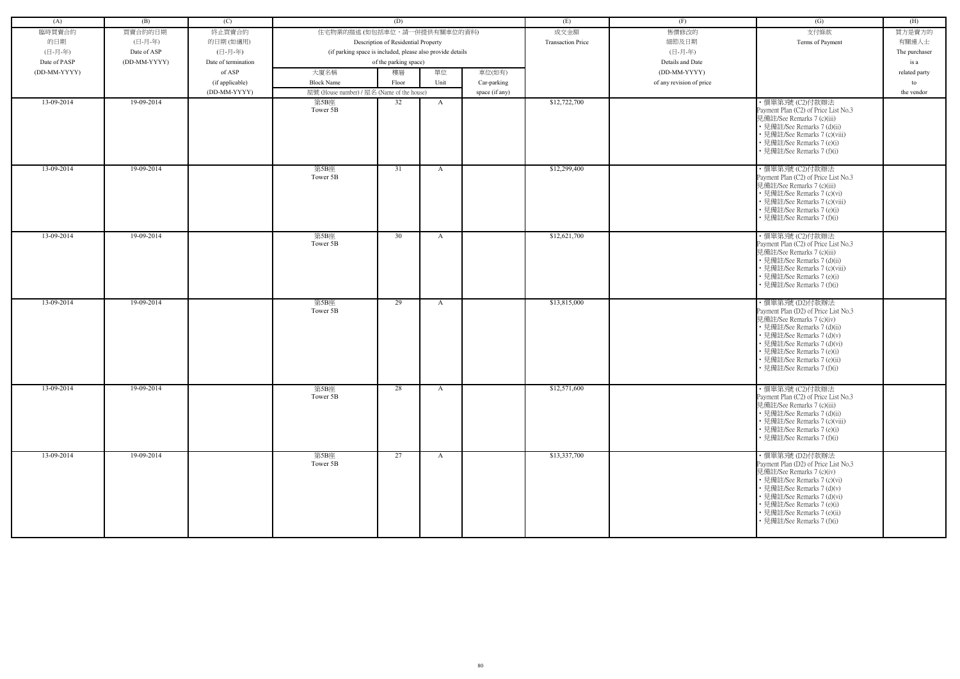| (A)          | (B)          | (C)                 |                                                            | (D)                                 |              |                | (E)                      | (F)                      | (G)                                                                                                                                                                                                                                                                         | (H)           |
|--------------|--------------|---------------------|------------------------------------------------------------|-------------------------------------|--------------|----------------|--------------------------|--------------------------|-----------------------------------------------------------------------------------------------------------------------------------------------------------------------------------------------------------------------------------------------------------------------------|---------------|
| 臨時買賣合約       | 買賣合約的日期      | 終止買賣合約              | 住宅物業的描述 (如包括車位,請一併提供有關車位的資料)                               |                                     |              |                | 成交金額                     | 售價修改的                    | 支付條款                                                                                                                                                                                                                                                                        | 買方是賣方的        |
| 的日期          | (日-月-年)      | 的日期(如適用)            |                                                            | Description of Residential Property |              |                | <b>Transaction Price</b> | 細節及日期                    | Terms of Payment                                                                                                                                                                                                                                                            | 有關連人士         |
| (日-月-年)      | Date of ASP  | (日-月-年)             | (if parking space is included, please also provide details |                                     |              |                |                          | (日-月-年)                  |                                                                                                                                                                                                                                                                             | The purchaser |
| Date of PASP | (DD-MM-YYYY) | Date of termination |                                                            | of the parking space)               |              |                |                          | Details and Date         |                                                                                                                                                                                                                                                                             | is a          |
| (DD-MM-YYYY) |              | of ASP              | 大廈名稱                                                       | 樓層                                  | 單位           | 車位(如有)         |                          | (DD-MM-YYYY)             |                                                                                                                                                                                                                                                                             | related party |
|              |              | (if applicable)     | <b>Block Name</b>                                          | Floor                               | Unit         | Car-parking    |                          | of any revision of price |                                                                                                                                                                                                                                                                             | to            |
|              |              | (DD-MM-YYYY)        | 屋號 (House number) / 屋名 (Name of the house)                 |                                     |              | space (if any) |                          |                          |                                                                                                                                                                                                                                                                             | the vendor    |
| 13-09-2014   | 19-09-2014   |                     | 第5B座<br>Tower 5B                                           | 32                                  | A            |                | \$12,722,700             |                          | ·價單第3號 (C2)付款辦法<br>Payment Plan (C2) of Price List No.3<br>見備註/See Remarks 7 (c)(iii)<br>• 見備註/See Remarks 7 (d)(ii)<br>• 見備註/See Remarks 7 (c)(viii)<br>• 見備註/See Remarks 7 (e)(i)<br>• 見備註/See Remarks 7 (f)(i)                                                           |               |
| 13-09-2014   | 19-09-2014   |                     | 第5B座<br>Tower 5B                                           | 31                                  | $\mathbf{A}$ |                | \$12,299,400             |                          | ·價單第3號 (C2)付款辦法<br>Payment Plan (C2) of Price List No.3<br>見備註/See Remarks 7 (c)(iii)<br>• 見備註/See Remarks 7 (c)(vi)<br>• 見備註/See Remarks 7 (c)(viii)<br>• 見備註/See Remarks 7 (e)(i)<br>• 見備註/See Remarks 7 (f)(i)                                                           |               |
| 13-09-2014   | 19-09-2014   |                     | 第5B座<br>Tower 5B                                           | 30                                  | $\mathbf{A}$ |                | \$12,621,700             |                          | ・價單第3號 (C2)付款辦法<br>Payment Plan (C2) of Price List No.3<br>見備註/See Remarks 7 (c)(iii)<br>• 見備註/See Remarks 7 (d)(ii)<br>• 見備註/See Remarks 7 (c)(viii)<br>• 見備註/See Remarks 7 (e)(i)<br>• 見備註/See Remarks 7 (f)(i)                                                           |               |
| 13-09-2014   | 19-09-2014   |                     | 第5B座<br>Tower 5B                                           | 29                                  | A            |                | \$13,815,000             |                          | ・價單第3號 (D2)付款辦法<br>Payment Plan (D2) of Price List No.3<br>見備註/See Remarks 7 (c)(iv)<br>• 見備註/See Remarks 7 (d)(ii)<br>• 見備註/See Remarks 7 (d)(v)<br>• 見備註/See Remarks 7 (d)(vi)<br>• 見備註/See Remarks 7 (e)(i)<br>· 見備註/See Remarks 7 (e)(ii)<br>• 見備註/See Remarks 7 (f)(i) |               |
| 13-09-2014   | 19-09-2014   |                     | 第5B座<br>Tower 5B                                           | 28                                  | $\mathbf{A}$ |                | \$12,571,600             |                          | ·價單第3號 (C2)付款辦法<br>Payment Plan (C2) of Price List No.3<br>見備註/See Remarks 7 (c)(iii)<br>• 見備註/See Remarks 7 (d)(ii)<br>• 見備註/See Remarks 7 (c)(viii)<br>• 見備註/See Remarks 7 (e)(i)<br>• 見備註/See Remarks 7 (f)(i)                                                           |               |
| 13-09-2014   | 19-09-2014   |                     | 第5B座<br>Tower 5B                                           | 27                                  | $\mathbf{A}$ |                | \$13,337,700             |                          | ・價單第3號 (D2)付款辦法<br>Payment Plan (D2) of Price List No.3<br>見備註/See Remarks 7 (c)(iv)<br>• 見備註/See Remarks 7 (c)(vi)<br>• 見備註/See Remarks 7 (d)(v)<br>• 見備註/See Remarks 7 (d)(vi)<br>• 見備註/See Remarks 7 (e)(i)<br>• 見備註/See Remarks 7 (e)(ii)<br>• 見備註/See Remarks 7 (f)(i) |               |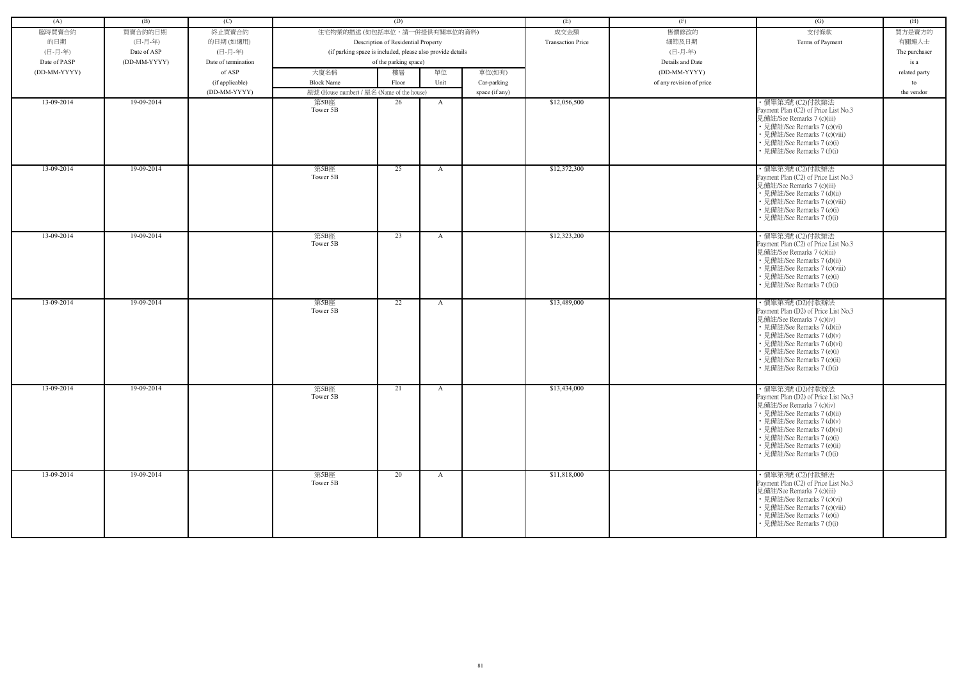| (A)          | (B)          | (C)                 |                                                            | (D)                                 |              |                | (E)                      | (F)                      | (G)                                                                                                                                                                                                                                                                         | (H)           |
|--------------|--------------|---------------------|------------------------------------------------------------|-------------------------------------|--------------|----------------|--------------------------|--------------------------|-----------------------------------------------------------------------------------------------------------------------------------------------------------------------------------------------------------------------------------------------------------------------------|---------------|
| 臨時買賣合約       | 買賣合約的日期      | 終止買賣合約              | 住宅物業的描述 (如包括車位,請一併提供有關車位的資料)                               |                                     |              |                | 成交金額                     | 售價修改的                    | 支付條款                                                                                                                                                                                                                                                                        | 買方是賣方的        |
| 的日期          | (日-月-年)      | 的日期(如適用)            |                                                            | Description of Residential Property |              |                | <b>Transaction Price</b> | 細節及日期                    | Terms of Payment                                                                                                                                                                                                                                                            | 有關連人士         |
| (日-月-年)      | Date of ASP  | (日-月-年)             | (if parking space is included, please also provide details |                                     |              |                |                          | (日-月-年)                  |                                                                                                                                                                                                                                                                             | The purchaser |
| Date of PASP | (DD-MM-YYYY) | Date of termination |                                                            | of the parking space)               |              |                |                          | Details and Date         |                                                                                                                                                                                                                                                                             | is a          |
| (DD-MM-YYYY) |              | of ASP              | 大廈名稱                                                       | 樓層                                  | 單位           | 車位(如有)         |                          | (DD-MM-YYYY)             |                                                                                                                                                                                                                                                                             | related party |
|              |              | (if applicable)     | <b>Block Name</b>                                          | Floor                               | Unit         | Car-parking    |                          | of any revision of price |                                                                                                                                                                                                                                                                             | to            |
|              |              | (DD-MM-YYYY)        | 屋號 (House number) / 屋名 (Name of the house)                 |                                     |              | space (if any) |                          |                          |                                                                                                                                                                                                                                                                             | the vendor    |
| 13-09-2014   | 19-09-2014   |                     | 第5B座                                                       | 26                                  | A            |                | \$12,056,500             |                          | ・價單第3號 (C2)付款辦法                                                                                                                                                                                                                                                             |               |
|              |              |                     | Tower 5B                                                   |                                     |              |                |                          |                          | Payment Plan (C2) of Price List No.3<br>見備註/See Remarks 7 (c)(iii)<br>• 見備註/See Remarks 7 (c)(vi)<br>• 見備註/See Remarks 7 (c)(viii)<br>• 見備註/See Remarks 7 (e)(i)<br>• 見備註/See Remarks 7 (f)(i)                                                                              |               |
| 13-09-2014   | 19-09-2014   |                     | 第5B座<br>Tower 5B                                           | 25                                  | A            |                | \$12,372,300             |                          | · 價單第3號 (C2)付款辦法<br>Payment Plan (C2) of Price List No.3<br>見備註/See Remarks 7 (c)(iii)<br>• 見備註/See Remarks 7 (d)(ii)<br>• 見備註/See Remarks 7 (c)(viii)<br>• 見備註/See Remarks 7 (e)(i)<br>• 見備註/See Remarks 7 (f)(i)                                                          |               |
| 13-09-2014   | 19-09-2014   |                     | 第5B座<br>Tower 5B                                           | 23                                  | $\mathbf{A}$ |                | \$12,323,200             |                          | ・價單第3號 (C2)付款辦法<br>Payment Plan (C2) of Price List No.3<br>見備註/See Remarks 7 (c)(iii)<br>• 見備註/See Remarks 7 (d)(ii)<br>• 見備註/See Remarks 7 (c)(viii)<br>• 見備註/See Remarks 7 (e)(i)<br>• 見備註/See Remarks 7 (f)(i)                                                           |               |
| 13-09-2014   | 19-09-2014   |                     | 第5B座<br>Tower 5B                                           | 22                                  | A            |                | \$13,489,000             |                          | ·價單第3號 (D2)付款辦法<br>Payment Plan (D2) of Price List No.3<br>見備註/See Remarks 7 (c)(iv)<br>• 見備註/See Remarks 7 (d)(ii)<br>• 見備註/See Remarks 7 (d)(v)<br>• 見備註/See Remarks 7 (d)(vi)<br>• 見備註/See Remarks 7 (e)(i)<br>• 見備註/See Remarks 7 (e)(ii)<br>• 見備註/See Remarks 7 (f)(i) |               |
| 13-09-2014   | 19-09-2014   |                     | 第5B座<br>Tower 5B                                           | 21                                  | $\mathbf{A}$ |                | \$13,434,000             |                          | ・價單第3號 (D2)付款辦法<br>Payment Plan (D2) of Price List No.3<br>見備註/See Remarks 7 (c)(iv)<br>• 見備註/See Remarks 7 (d)(ii)<br>• 見備註/See Remarks 7 (d)(v)<br>• 見備註/See Remarks 7 (d)(vi)<br>• 見備註/See Remarks 7 (e)(i)<br>• 見備註/See Remarks 7 (e)(ii)<br>• 見備註/See Remarks 7 (f)(i) |               |
| 13-09-2014   | 19-09-2014   |                     | 第5B座<br>Tower 5B                                           | 20                                  | $\mathbf{A}$ |                | \$11,818,000             |                          | ・價單第3號 (C2)付款辦法<br>Payment Plan (C2) of Price List No.3<br>見備註/See Remarks 7 (c)(iii)<br>• 見備註/See Remarks 7 (c)(vi)<br>• 見備註/See Remarks 7 (c)(viii)<br>• 見備註/See Remarks 7 (e)(i)<br>• 見備註/See Remarks 7 (f)(i)                                                           |               |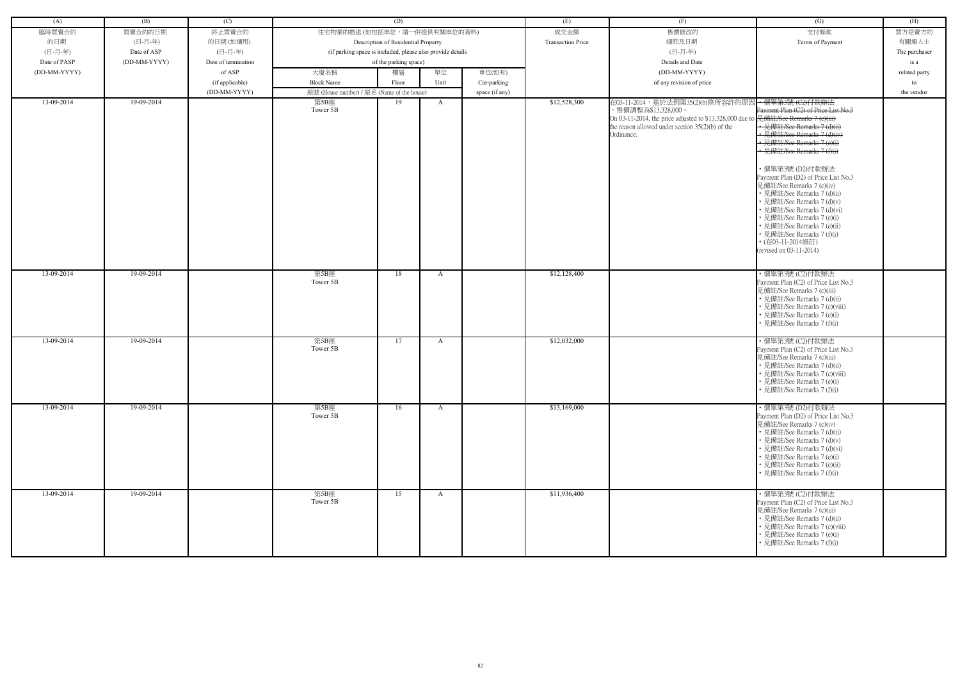| (A)          | (B)          | (C)                 |                                                            | (D)                                 |              |                | (E)                      | (F)                                                                                                                                                                                     | (G)                                                                                                                                                                                                                                                                                                                                                                                                                                                                                                                                            | (H)           |
|--------------|--------------|---------------------|------------------------------------------------------------|-------------------------------------|--------------|----------------|--------------------------|-----------------------------------------------------------------------------------------------------------------------------------------------------------------------------------------|------------------------------------------------------------------------------------------------------------------------------------------------------------------------------------------------------------------------------------------------------------------------------------------------------------------------------------------------------------------------------------------------------------------------------------------------------------------------------------------------------------------------------------------------|---------------|
| 臨時買賣合約       | 買賣合約的日期      | 終止買賣合約              | 住宅物業的描述 (如包括車位,請一併提供有關車位的資料)                               |                                     |              |                | 成交金額                     | 售價修改的                                                                                                                                                                                   | 支付條款                                                                                                                                                                                                                                                                                                                                                                                                                                                                                                                                           | 買方是賣方的        |
| 的日期          | (日-月-年)      | 的日期(如適用)            |                                                            | Description of Residential Property |              |                | <b>Transaction Price</b> | 細節及日期                                                                                                                                                                                   | Terms of Payment                                                                                                                                                                                                                                                                                                                                                                                                                                                                                                                               | 有關連人士         |
| (日-月-年)      | Date of ASP  | (日-月-年)             | (if parking space is included, please also provide details |                                     |              |                |                          | (日-月-年)                                                                                                                                                                                 |                                                                                                                                                                                                                                                                                                                                                                                                                                                                                                                                                | The purchaser |
| Date of PASP | (DD-MM-YYYY) | Date of termination |                                                            | of the parking space)               |              |                |                          | Details and Date                                                                                                                                                                        |                                                                                                                                                                                                                                                                                                                                                                                                                                                                                                                                                | is a          |
| (DD-MM-YYYY) |              | of ASP              | 大廈名稱                                                       | 樓層                                  | 單位           | 車位(如有)         |                          | (DD-MM-YYYY)                                                                                                                                                                            |                                                                                                                                                                                                                                                                                                                                                                                                                                                                                                                                                | related party |
|              |              | (if applicable)     | <b>Block Name</b>                                          | Floor                               | Unit         | Car-parking    |                          | of any revision of price                                                                                                                                                                |                                                                                                                                                                                                                                                                                                                                                                                                                                                                                                                                                | to            |
|              |              | (DD-MM-YYYY)        | 屋號 (House number) / 屋名 (Name of the house)                 |                                     |              | space (if any) |                          |                                                                                                                                                                                         |                                                                                                                                                                                                                                                                                                                                                                                                                                                                                                                                                | the vendor    |
| 13-09-2014   | 19-09-2014   |                     | 第5B座<br>Tower 5B                                           | 19                                  | A            |                | \$12,528,300             | 在03-11-2014,基於法例第35(2)(b)條所容許的原因<br>,售價調整為\$13,328,000。<br>On 03-11-2014, the price adjusted to \$13,328,000 due to<br>the reason allowed under section $35(2)(b)$ of the<br>Ordinance. | ← 價單第3號 (C2)付款辦法<br>Payment Plan (C2) of Price List No.3<br>見備註/See Remarks 7 (e)(iii)<br>-見備註/See Remarks 7 (d)(ii)<br>· 見備註/See Remarks 7 (d)(iv)<br>• 見備註/See Remarks 7 (e)(i)<br>· 見備註/See Remarks 7 (f)(i)<br>・價單第3號 (D2)付款辦法<br>Payment Plan (D2) of Price List No.3<br>見備註/See Remarks 7 (c)(iv)<br>• 見備註/See Remarks 7 (d)(ii)<br>• 見備註/See Remarks 7 (d)(v)<br>• 見備註/See Remarks 7 (d)(vi)<br>• 見備註/See Remarks 7 (e)(i)<br>· 見備註/See Remarks 7 (e)(ii)<br>• 見備註/See Remarks 7 (f)(i)<br>• (在03-11-2014修訂)<br>(revised on 03-11-2014) |               |
| 13-09-2014   | 19-09-2014   |                     | 第5B座<br>Tower 5B                                           | 18                                  | A            |                | \$12,128,400             |                                                                                                                                                                                         | · 價單第3號 (C2)付款辦法<br>Payment Plan (C2) of Price List No.3<br>見備註/See Remarks 7 (c)(iii)<br>• 見備註/See Remarks 7 (d)(ii)<br>• 見備註/See Remarks 7 (c)(viii)<br>• 見備註/See Remarks 7 (e)(i)<br>• 見備註/See Remarks 7 (f)(i)                                                                                                                                                                                                                                                                                                                             |               |
| 13-09-2014   | 19-09-2014   |                     | 第5B座<br>Tower 5B                                           | 17                                  | A            |                | \$12,032,000             |                                                                                                                                                                                         | ・價單第3號 (C2)付款辦法<br>Payment Plan (C2) of Price List No.3<br>見備註/See Remarks 7 (c)(iii)<br>• 見備註/See Remarks 7 (d)(ii)<br>• 見備註/See Remarks 7 (c)(viii)<br>• 見備註/See Remarks 7 (e)(i)<br>• 見備註/See Remarks 7 (f)(i)                                                                                                                                                                                                                                                                                                                              |               |
| 13-09-2014   | 19-09-2014   |                     | 第5B座<br>Tower 5B                                           | 16                                  | $\mathbf{A}$ |                | \$13,169,000             |                                                                                                                                                                                         | ・價單第3號 (D2)付款辦法<br>Payment Plan (D2) of Price List No.3<br>見備註/See Remarks 7 (c)(iv)<br>• 見備註/See Remarks 7 (d)(ii)<br>• 見備註/See Remarks 7 (d)(v)<br>• 見備註/See Remarks 7 (d)(vi)<br>• 見備註/See Remarks 7 (e)(i)<br>• 見備註/See Remarks 7 (e)(ii)<br>• 見備註/See Remarks 7 (f)(i)                                                                                                                                                                                                                                                                    |               |
| 13-09-2014   | 19-09-2014   |                     | 第5B座<br>Tower 5B                                           | 15                                  | $\mathbf{A}$ |                | \$11,936,400             |                                                                                                                                                                                         | ·價單第3號 (C2)付款辦法<br>Payment Plan (C2) of Price List No.3<br>見備註/See Remarks 7 (c)(iii)<br>• 見備註/See Remarks 7 (d)(ii)<br>• 見備註/See Remarks 7 (c)(viii)<br>• 見備註/See Remarks 7 (e)(i)<br>• 見備註/See Remarks 7 (f)(i)                                                                                                                                                                                                                                                                                                                              |               |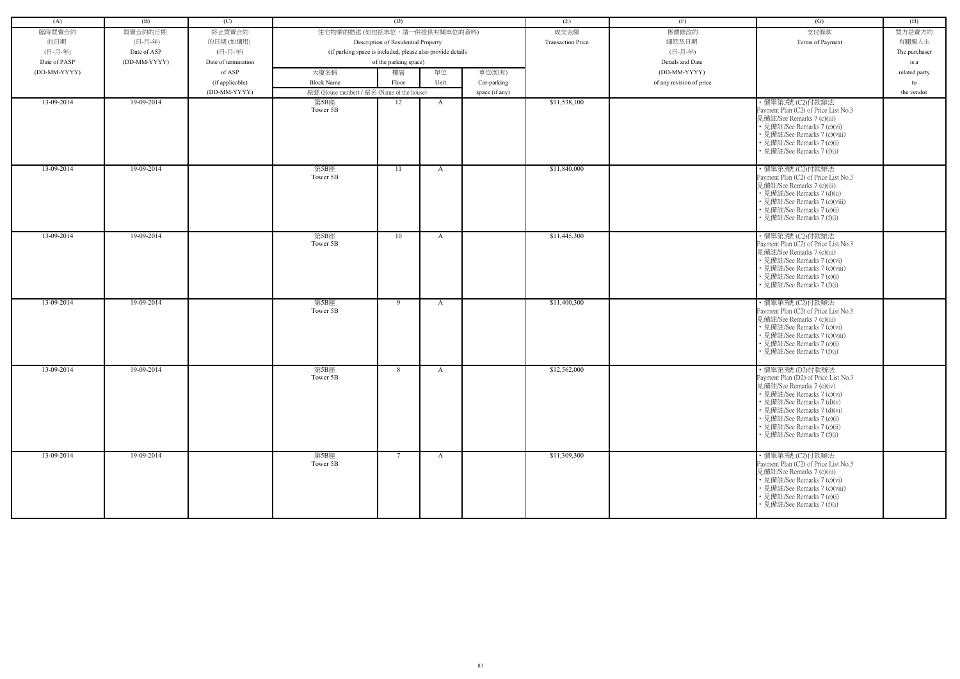| (A)          | (B)          | (C)                             |                                                            | (D)                                 |              |                               | (E)                      | (F)                      | (G)                                                                                                                                                                                                                                                                          | (H)              |
|--------------|--------------|---------------------------------|------------------------------------------------------------|-------------------------------------|--------------|-------------------------------|--------------------------|--------------------------|------------------------------------------------------------------------------------------------------------------------------------------------------------------------------------------------------------------------------------------------------------------------------|------------------|
| 臨時買賣合約       | 買賣合約的日期      | 終止買賣合約                          | 住宅物業的描述 (如包括車位,請一併提供有關車位的資料)                               |                                     |              |                               | 成交金額                     | 售價修改的                    | 支付條款                                                                                                                                                                                                                                                                         | 買方是賣方的           |
| 的日期          | (日-月-年)      | 的日期(如適用)                        |                                                            | Description of Residential Property |              |                               | <b>Transaction Price</b> | 細節及日期                    | Terms of Payment                                                                                                                                                                                                                                                             | 有關連人士            |
| (日-月-年)      | Date of ASP  | (日-月-年)                         | (if parking space is included, please also provide details |                                     |              |                               |                          | (日-月-年)                  |                                                                                                                                                                                                                                                                              | The purchaser    |
| Date of PASP | (DD-MM-YYYY) | Date of termination             |                                                            | of the parking space)               |              |                               |                          | Details and Date         |                                                                                                                                                                                                                                                                              | is a             |
| (DD-MM-YYYY) |              | of ASP                          | 大廈名稱                                                       | 樓層                                  | 單位           | 車位(如有)                        |                          | (DD-MM-YYYY)             |                                                                                                                                                                                                                                                                              | related party    |
|              |              |                                 | <b>Block Name</b>                                          | Floor                               | Unit         |                               |                          | of any revision of price |                                                                                                                                                                                                                                                                              |                  |
|              |              | (if applicable)<br>(DD-MM-YYYY) | 屋號 (House number) / 屋名 (Name of the house)                 |                                     |              | Car-parking<br>space (if any) |                          |                          |                                                                                                                                                                                                                                                                              | to<br>the vendor |
| 13-09-2014   | 19-09-2014   |                                 | 第5B座                                                       | 12                                  | A            |                               | \$11,538,100             |                          | ·價單第3號 (C2)付款辦法                                                                                                                                                                                                                                                              |                  |
|              |              |                                 | Tower 5B                                                   |                                     |              |                               |                          |                          | Payment Plan (C2) of Price List No.3<br>見備註/See Remarks 7 (c)(iii)<br>• 見備註/See Remarks 7 (c)(vi)<br>• 見備註/See Remarks 7 (c)(viii)<br>• 見備註/See Remarks 7 (e)(i)<br>• 見備註/See Remarks 7 (f)(i)                                                                               |                  |
| 13-09-2014   | 19-09-2014   |                                 | 第5B座<br>Tower 5B                                           | -11                                 | A            |                               | \$11,840,000             |                          | ·價單第3號 (C2)付款辦法<br>Payment Plan (C2) of Price List No.3<br>見備註/See Remarks 7 (c)(iii)<br>• 見備註/See Remarks 7 (d)(ii)<br>• 見備註/See Remarks 7 (c)(viii)<br>• 見備註/See Remarks 7 (e)(i)<br>• 見備註/See Remarks 7 (f)(i)                                                            |                  |
| 13-09-2014   | 19-09-2014   |                                 | 第5B座<br>Tower 5B                                           | 10                                  | A            |                               | \$11,445,300             |                          | ・價單第3號 (C2)付款辦法<br>Payment Plan (C2) of Price List No.3<br>見備註/See Remarks 7 (c)(iii)<br>• 見備註/See Remarks 7 (c)(vi)<br>• 見備註/See Remarks 7 (c)(viii)<br>• 見備註/See Remarks 7 (e)(i)<br>• 見備註/See Remarks 7 (f)(i)                                                            |                  |
| 13-09-2014   | 19-09-2014   |                                 | 第5B座<br>Tower 5B                                           | 9                                   | A            |                               | \$11,400,300             |                          | ・價單第3號 (C2)付款辦法<br>Payment Plan (C2) of Price List No.3<br>見備註/See Remarks 7 (c)(iii)<br>• 見備註/See Remarks 7 (c)(vi)<br>• 見備註/See Remarks 7 (c)(viii)<br>• 見備註/See Remarks 7 (e)(i)<br>• 見備註/See Remarks 7 (f)(i)                                                            |                  |
| 13-09-2014   | 19-09-2014   |                                 | 第5B座<br>Tower 5B                                           | 8                                   | A            |                               | \$12,562,000             |                          | · 價單第3號 (D2)付款辦法<br>Payment Plan (D2) of Price List No.3<br>見備註/See Remarks 7 (c)(iv)<br>• 見備註/See Remarks 7 (c)(vi)<br>• 見備註/See Remarks 7 (d)(v)<br>• 見備註/See Remarks 7 (d)(vi)<br>• 見備註/See Remarks 7 (e)(i)<br>• 見備註/See Remarks 7 (e)(ii)<br>• 見備註/See Remarks 7 (f)(i) |                  |
| 13-09-2014   | 19-09-2014   |                                 | 第5B座<br>Tower 5B                                           | $7\phantom{.0}$                     | $\mathbf{A}$ |                               | \$11,309,300             |                          | ・價單第3號 (C2)付款辦法<br>Payment Plan (C2) of Price List No.3<br>見備註/See Remarks 7 (c)(iii)<br>• 見備註/See Remarks 7 (c)(vi)<br>• 見備註/See Remarks 7 (c)(viii)<br>• 見備註/See Remarks 7 (e)(i)<br>• 見備註/See Remarks 7 (f)(i)                                                            |                  |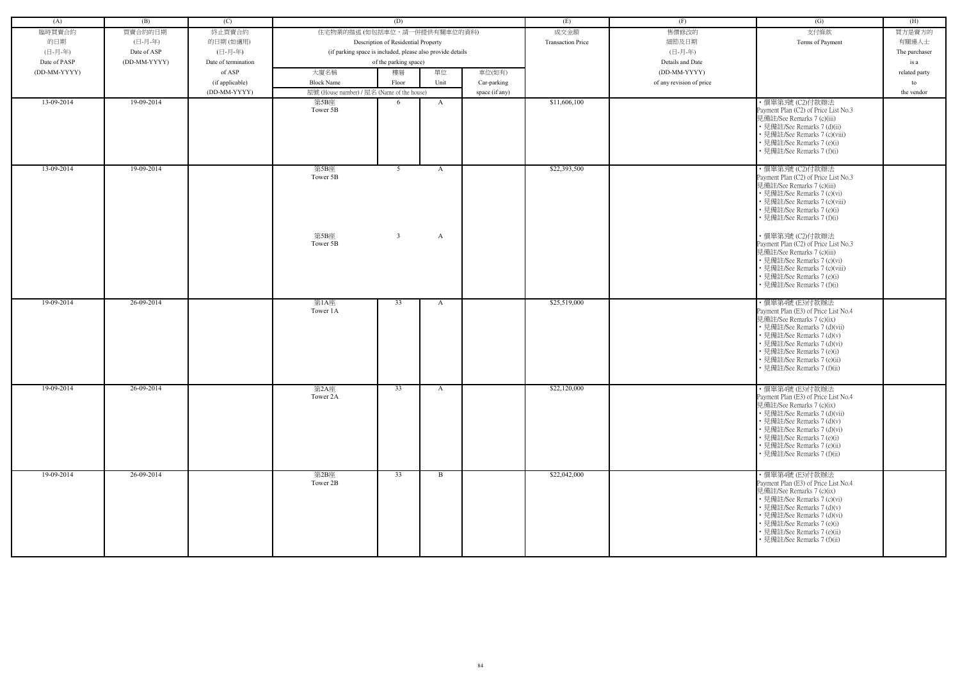| (A)          | (B)          | (C)                 |                                            | (D)                                                        |              |                | (E)                      |                          |                                                                                                                                                                                                                                                                               | (H)           |
|--------------|--------------|---------------------|--------------------------------------------|------------------------------------------------------------|--------------|----------------|--------------------------|--------------------------|-------------------------------------------------------------------------------------------------------------------------------------------------------------------------------------------------------------------------------------------------------------------------------|---------------|
|              |              |                     |                                            |                                                            |              |                |                          | (F)                      | (G)                                                                                                                                                                                                                                                                           |               |
| 臨時買賣合約       | 買賣合約的日期      | 終止買賣合約              | 住宅物業的描述 (如包括車位,請一併提供有關車位的資料)               |                                                            |              |                | 成交金額                     | 售價修改的                    | 支付條款                                                                                                                                                                                                                                                                          | 買方是賣方的        |
| 的日期          | (日-月-年)      | 的日期(如適用)            |                                            | Description of Residential Property                        |              |                | <b>Transaction Price</b> | 細節及日期                    | Terms of Payment                                                                                                                                                                                                                                                              | 有關連人士         |
| (日-月-年)      | Date of ASP  | (日-月-年)             |                                            | (if parking space is included, please also provide details |              |                |                          | (日-月-年)                  |                                                                                                                                                                                                                                                                               | The purchaser |
| Date of PASP | (DD-MM-YYYY) | Date of termination |                                            | of the parking space)                                      |              |                |                          | Details and Date         |                                                                                                                                                                                                                                                                               | is a          |
| (DD-MM-YYYY) |              | of ASP              | 大廈名稱                                       | 樓層                                                         | 單位           | 車位(如有)         |                          | (DD-MM-YYYY)             |                                                                                                                                                                                                                                                                               | related party |
|              |              | (if applicable)     | <b>Block Name</b>                          | Floor                                                      | Unit         | Car-parking    |                          | of any revision of price |                                                                                                                                                                                                                                                                               | to            |
|              |              | (DD-MM-YYYY)        | 屋號 (House number) / 屋名 (Name of the house) |                                                            |              | space (if any) |                          |                          |                                                                                                                                                                                                                                                                               | the vendor    |
| 13-09-2014   | $19-09-2014$ |                     | 第5B座<br>Tower 5B                           | -6                                                         | $\mathbf{A}$ |                | \$11,606,100             |                          | ·價單第3號 (C2)付款辦法<br>Payment Plan (C2) of Price List No.3<br>見備註/See Remarks 7 (c)(iii)<br>• 見備註/See Remarks 7 (d)(ii)<br>• 見備註/See Remarks 7 (c)(viii)<br>• 見備註/See Remarks 7 (e)(i)<br>見備註/See Remarks 7 (f)(i)                                                               |               |
| 13-09-2014   | 19-09-2014   |                     | 第5B座<br>Tower 5B                           | 5 <sup>5</sup>                                             | $\mathbf{A}$ |                | \$22,393,500             |                          | ·價單第3號 (C2)付款辦法<br>Payment Plan (C2) of Price List No.3<br>見備註/See Remarks 7 (c)(iii)<br>• 見備註/See Remarks 7 (c)(vi)<br>• 見備註/See Remarks 7 (c)(viii)<br>• 見備註/See Remarks 7 (e)(i)<br>• 見備註/See Remarks 7 (f)(i)                                                             |               |
|              |              |                     | 第5B座<br>Tower 5B                           | $\overline{3}$                                             | $\mathbf{A}$ |                |                          |                          | · 價單第3號 (C2)付款辦法<br>Payment Plan (C2) of Price List No.3<br>見備註/See Remarks 7 (c)(iii)<br>• 見備註/See Remarks 7 (c)(vi)<br>• 見備註/See Remarks 7 (c)(viii)<br>• 見備註/See Remarks 7 (e)(i)<br>• 見備註/See Remarks 7 (f)(i)                                                            |               |
| 19-09-2014   | 26-09-2014   |                     | 第1A座<br>Tower 1A                           | 33                                                         | A            |                | \$25,519,000             |                          | ·價單第4號 (E3)付款辦法<br>Payment Plan (E3) of Price List No.4<br>見備註/See Remarks 7 (c)(ix)<br>• 見備註/See Remarks 7 (d)(vii)<br>• 見備註/See Remarks 7 (d)(v)<br>• 見備註/See Remarks 7 (d)(vi)<br>• 見備註/See Remarks 7 (e)(i)<br>• 見備註/See Remarks 7 (e)(ii)<br>• 見備註/See Remarks 7 (f)(ii) |               |
| 19-09-2014   | 26-09-2014   |                     | 第2A座<br>Tower 2A                           | 33                                                         | A            |                | \$22,120,000             |                          | ·價單第4號 (E3)付款辦法<br>Payment Plan (E3) of Price List No.4<br>見備註/See Remarks 7 (c)(ix)<br>• 見備註/See Remarks 7 (d)(vii)<br>• 見備註/See Remarks 7 (d)(v)<br>• 見備註/See Remarks 7 (d)(vi)<br>• 見備註/See Remarks 7 (e)(i)<br>• 見備註/See Remarks 7 (e)(ii)<br>• 見備註/See Remarks 7 (f)(ii) |               |
| 19-09-2014   | 26-09-2014   |                     | 第2B座<br>Tower 2B                           | 33                                                         | $\mathbf{B}$ |                | \$22,042,000             |                          | ・價單第4號 (E3)付款辦法<br>Payment Plan (E3) of Price List No.4<br>見備註/See Remarks 7 (c)(ix)<br>• 見備註/See Remarks 7 (c)(vi)<br>• 見備註/See Remarks 7 (d)(v)<br>• 見備註/See Remarks 7 (d)(vi)<br>• 見備註/See Remarks 7 (e)(i)<br>• 見備註/See Remarks 7 (e)(ii)<br>• 見備註/See Remarks 7 (f)(ii)  |               |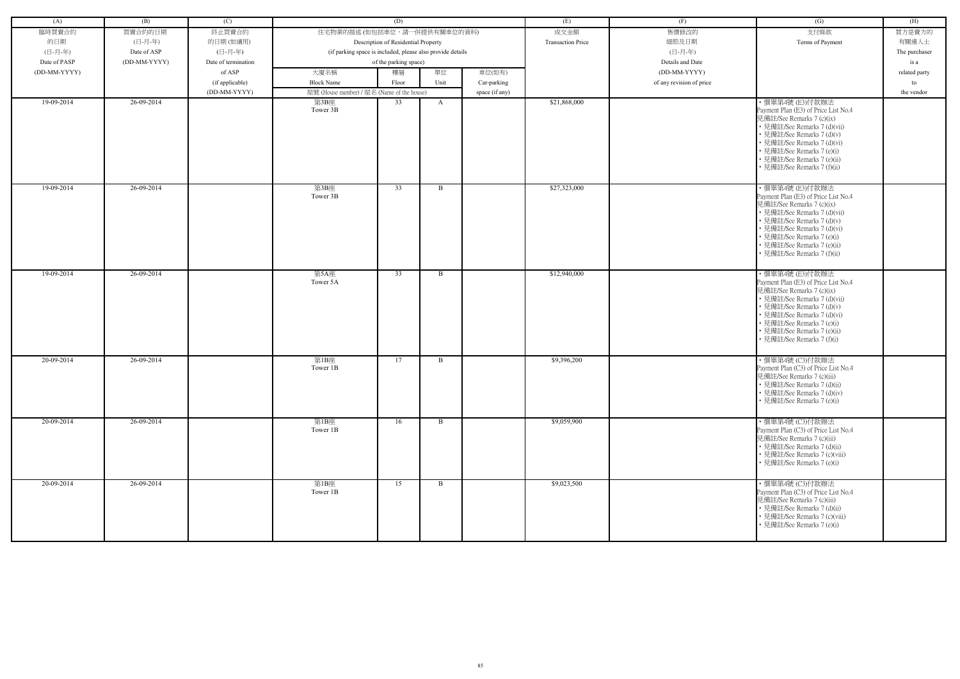| (A)          | (B)                         | (C)                 |                                                            | (D)                                 |              |                | (E)                      | (F)                      | (G)                                                                                                                                                                                                                                                                            | (H)           |
|--------------|-----------------------------|---------------------|------------------------------------------------------------|-------------------------------------|--------------|----------------|--------------------------|--------------------------|--------------------------------------------------------------------------------------------------------------------------------------------------------------------------------------------------------------------------------------------------------------------------------|---------------|
| 臨時買賣合約       | 買賣合約的日期                     | 終止買賣合約              | 住宅物業的描述 (如包括車位,請一併提供有關車位的資料)                               |                                     |              |                | 成交金額                     | 售價修改的                    | 支付條款                                                                                                                                                                                                                                                                           | 買方是賣方的        |
| 的日期          | (日-月-年)                     | 的日期(如適用)            |                                                            | Description of Residential Property |              |                | <b>Transaction Price</b> | 細節及日期                    | Terms of Payment                                                                                                                                                                                                                                                               | 有關連人士         |
| (日-月-年)      |                             | (日-月-年)             |                                                            |                                     |              |                |                          | (日-月-年)                  |                                                                                                                                                                                                                                                                                |               |
| Date of PASP | Date of ASP<br>(DD-MM-YYYY) | Date of termination | (if parking space is included, please also provide details | of the parking space)               |              |                |                          | Details and Date         |                                                                                                                                                                                                                                                                                | The purchaser |
|              |                             |                     |                                                            |                                     |              |                |                          |                          |                                                                                                                                                                                                                                                                                | is a          |
| (DD-MM-YYYY) |                             | of ASP              | 大廈名稱                                                       | 樓層                                  | 單位           | 車位(如有)         |                          | (DD-MM-YYYY)             |                                                                                                                                                                                                                                                                                | related party |
|              |                             | (if applicable)     | <b>Block Name</b>                                          | Floor                               | Unit         | Car-parking    |                          | of any revision of price |                                                                                                                                                                                                                                                                                | to            |
| 19-09-2014   | 26-09-2014                  | (DD-MM-YYYY)        | 屋號 (House number) / 屋名 (Name of the house)                 | 33                                  |              | space (if any) | \$21,868,000             |                          |                                                                                                                                                                                                                                                                                | the vendor    |
|              |                             |                     | 第3B座<br>Tower 3B                                           |                                     | A            |                |                          |                          | ·價單第4號 (E3)付款辦法<br>Payment Plan (E3) of Price List No.4<br>見備註/See Remarks 7 (c)(ix)<br>• 見備註/See Remarks 7 (d)(vii)<br>• 見備註/See Remarks 7 (d)(v)<br>• 見備註/See Remarks 7 (d)(vi)<br>• 見備註/See Remarks 7 (e)(i)<br>• 見備註/See Remarks 7 (e)(ii)<br>• 見備註/See Remarks 7 (f)(ii)  |               |
| 19-09-2014   | 26-09-2014                  |                     | 第3B座<br>Tower 3B                                           | 33                                  | B            |                | \$27,323,000             |                          | · 價單第4號 (E3)付款辦法<br>Payment Plan (E3) of Price List No.4<br>見備註/See Remarks 7 (c)(ix)<br>• 見備註/See Remarks 7 (d)(vii)<br>• 見備註/See Remarks 7 (d)(v)<br>• 見備註/See Remarks 7 (d)(vi)<br>• 見備註/See Remarks 7 (e)(i)<br>• 見備註/See Remarks 7 (e)(ii)<br>· 見備註/See Remarks 7 (f)(ii) |               |
| 19-09-2014   | 26-09-2014                  |                     | 第5A座<br>Tower 5A                                           | 33                                  | B            |                | \$12,940,000             |                          | · 價單第4號 (E3)付款辦法<br>Payment Plan (E3) of Price List No.4<br>見備註/See Remarks 7 (c)(ix)<br>• 見備註/See Remarks 7 (d)(vii)<br>• 見備註/See Remarks 7 (d)(v)<br>• 見備註/See Remarks 7 (d)(vi)<br>• 見備註/See Remarks 7 (e)(i)<br>• 見備註/See Remarks 7 (e)(ii)<br>• 見備註/See Remarks 7 (f)(i)  |               |
| 20-09-2014   | 26-09-2014                  |                     | 第1B座<br>Tower 1B                                           | 17                                  | B            |                | \$9,396,200              |                          | · 價單第4號 (C3)付款辦法<br>Payment Plan (C3) of Price List No.4<br>見備註/See Remarks 7 (c)(iii)<br>• 見備註/See Remarks 7 (d)(ii)<br>• 見備註/See Remarks 7 (d)(iv)<br>• 見備註/See Remarks 7 (e)(i)                                                                                             |               |
| 20-09-2014   | 26-09-2014                  |                     | 第1B座<br>Tower 1B                                           | 16                                  | $\mathbf{B}$ |                | \$9,059,900              |                          | ・價單第4號 (C3)付款辦法<br>Payment Plan (C3) of Price List No.4<br>見備註/See Remarks 7 (c)(iii)<br>• 見備註/See Remarks 7 (d)(ii)<br>• 見備註/See Remarks 7 (c)(viii)<br>• 見備註/See Remarks 7 (e)(i)                                                                                            |               |
| 20-09-2014   | 26-09-2014                  |                     | 第1B座<br>Tower 1B                                           | 15                                  | $\mathbf{B}$ |                | \$9,023,500              |                          | ・價單第4號 (C3)付款辦法<br>Payment Plan (C3) of Price List No.4<br>見備註/See Remarks 7 (c)(iii)<br>• 見備註/See Remarks 7 (d)(ii)<br>• 見備註/See Remarks 7 (c)(viii)<br>• 見備註/See Remarks 7 (e)(i)                                                                                            |               |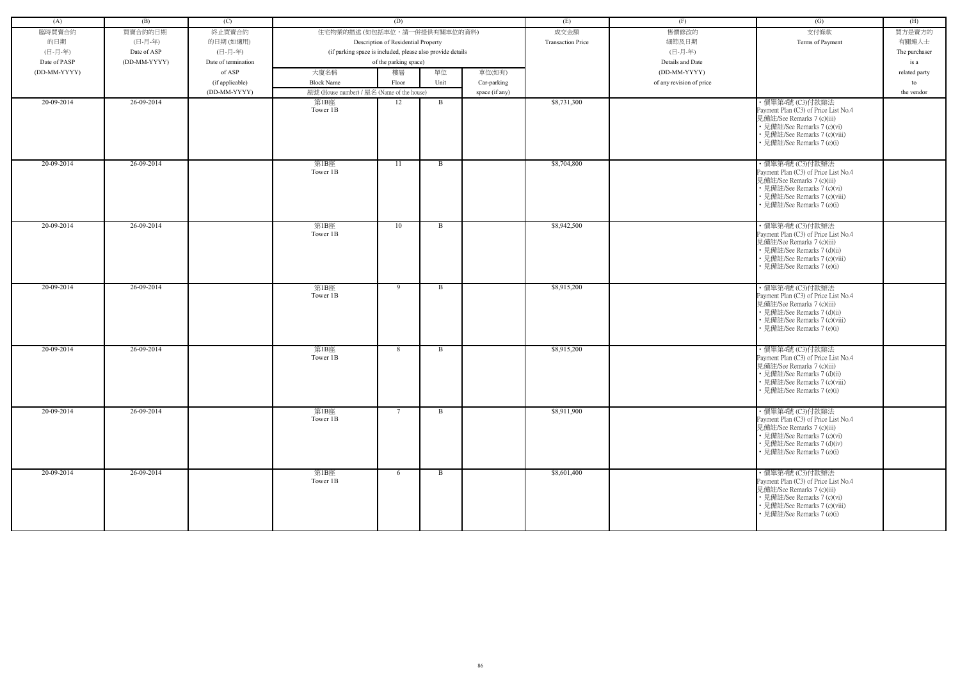| (A)          | (B)          | (C)                 |                                                            | (D)                                 |              |                | (E)                      | (F)                      | (G)                                                                                                                                                                                  | (H)           |
|--------------|--------------|---------------------|------------------------------------------------------------|-------------------------------------|--------------|----------------|--------------------------|--------------------------|--------------------------------------------------------------------------------------------------------------------------------------------------------------------------------------|---------------|
| 臨時買賣合約       | 買賣合約的日期      | 終止買賣合約              | 住宅物業的描述 (如包括車位,請一併提供有關車位的資料)                               |                                     |              |                | 成交金額                     | 售價修改的                    | 支付條款                                                                                                                                                                                 | 買方是賣方的        |
| 的日期          | (日-月-年)      | 的日期(如適用)            |                                                            | Description of Residential Property |              |                | <b>Transaction Price</b> | 細節及日期                    | Terms of Payment                                                                                                                                                                     | 有關連人士         |
| (日-月-年)      | Date of ASP  | (日-月-年)             | (if parking space is included, please also provide details |                                     |              |                |                          | (日-月-年)                  |                                                                                                                                                                                      | The purchaser |
| Date of PASP | (DD-MM-YYYY) | Date of termination |                                                            | of the parking space)               |              |                |                          | Details and Date         |                                                                                                                                                                                      | is a          |
| (DD-MM-YYYY) |              | of ASP              | 大廈名稱                                                       | 樓層                                  | 單位           | 車位(如有)         |                          | (DD-MM-YYYY)             |                                                                                                                                                                                      |               |
|              |              |                     |                                                            |                                     |              |                |                          |                          |                                                                                                                                                                                      | related party |
|              |              | (if applicable)     | <b>Block Name</b>                                          | Floor                               | Unit         | Car-parking    |                          | of any revision of price |                                                                                                                                                                                      | to            |
|              |              | (DD-MM-YYYY)        | 屋號 (House number) / 屋名 (Name of the house)                 |                                     |              | space (if any) |                          |                          |                                                                                                                                                                                      | the vendor    |
| 20-09-2014   | 26-09-2014   |                     | 第1B座<br>Tower 1B                                           | 12                                  | B            |                | \$8,731,300              |                          | ·價單第4號 (C3)付款辦法<br>Payment Plan (C3) of Price List No.4<br>見備註/See Remarks 7 (c)(iii)<br>• 見備註/See Remarks 7 (c)(vi)<br>• 見備註/See Remarks 7 (c)(viii)<br>• 見備註/See Remarks 7 (e)(i)  |               |
| 20-09-2014   | 26-09-2014   |                     | 第1B座<br>Tower 1B                                           | 11                                  | $\mathbf{B}$ |                | \$8,704,800              |                          | ·價單第4號 (C3)付款辦法<br>Payment Plan (C3) of Price List No.4<br>見備註/See Remarks 7 (c)(iii)<br>• 見備註/See Remarks 7 (c)(vi)<br>• 見備註/See Remarks 7 (c)(viii)<br>• 見備註/See Remarks 7 (e)(i)  |               |
| $20-09-2014$ | 26-09-2014   |                     | 第1B座<br>Tower 1B                                           | 10                                  | $\mathbf{B}$ |                | \$8,942,500              |                          | ・價單第4號 (C3)付款辦法<br>Payment Plan (C3) of Price List No.4<br>見備註/See Remarks 7 (c)(iii)<br>• 見備註/See Remarks 7 (d)(ii)<br>• 見備註/See Remarks 7 (c)(viii)<br>• 見備註/See Remarks 7 (e)(i)  |               |
| 20-09-2014   | 26-09-2014   |                     | 第1B座<br>Tower 1B                                           | 9                                   | B            |                | \$8,915,200              |                          | · 價單第4號 (C3)付款辦法<br>Payment Plan (C3) of Price List No.4<br>見備註/See Remarks 7 (c)(iii)<br>• 見備註/See Remarks 7 (d)(ii)<br>• 見備註/See Remarks 7 (c)(viii)<br>• 見備註/See Remarks 7 (e)(i) |               |
| 20-09-2014   | 26-09-2014   |                     | 第1B座<br>Tower 1B                                           | 8                                   | B            |                | \$8,915,200              |                          | ・價單第4號 (C3)付款辦法<br>Payment Plan (C3) of Price List No.4<br>見備註/See Remarks 7 (c)(iii)<br>• 見備註/See Remarks 7 (d)(ii)<br>• 見備註/See Remarks 7 (c)(viii)<br>• 見備註/See Remarks 7 (e)(i)  |               |
| 20-09-2014   | 26-09-2014   |                     | 第1B座<br>Tower 1B                                           | $7^{\circ}$                         | $\mathbf{B}$ |                | \$8,911,900              |                          | ・價單第4號 (C3)付款辦法<br>Payment Plan (C3) of Price List No.4<br>見備註/See Remarks 7 (c)(iii)<br>• 見備註/See Remarks 7 (c)(vi)<br>• 見備註/See Remarks 7 (d)(iv)<br>• 見備註/See Remarks 7 (e)(i)    |               |
| 20-09-2014   | 26-09-2014   |                     | 第1B座<br>Tower 1B                                           | 6                                   | B            |                | \$8,601,400              |                          | ・價單第4號 (C3)付款辦法<br>Payment Plan (C3) of Price List No.4<br>見備註/See Remarks 7 (c)(iii)<br>• 見備註/See Remarks 7 (c)(vi)<br>• 見備註/See Remarks 7 (c)(viii)<br>• 見備註/See Remarks 7 (e)(i)  |               |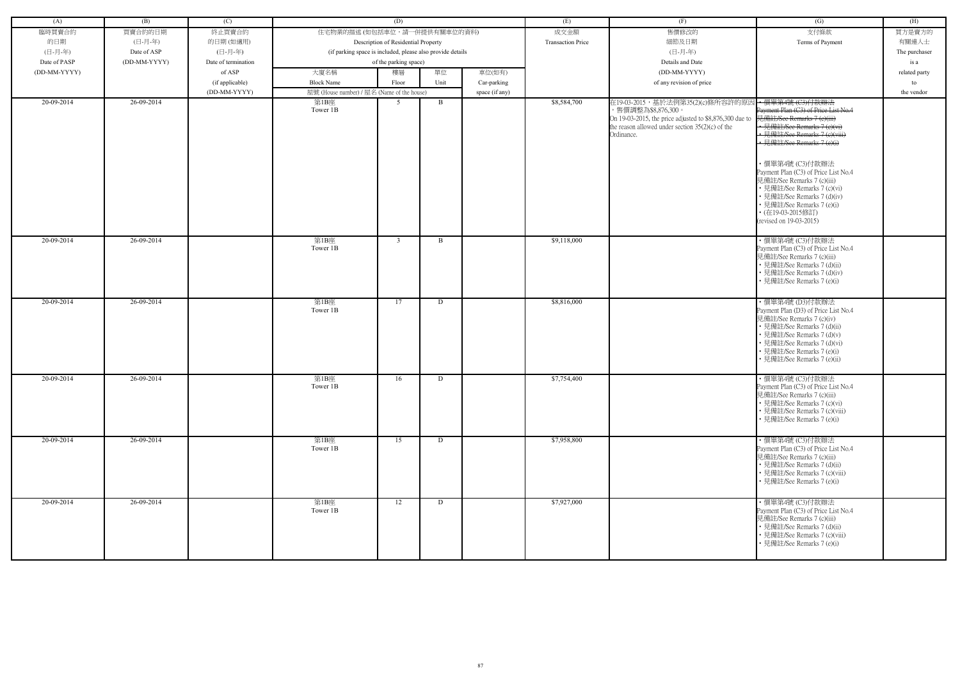| (A)          | (B)          | (C)                 |                                                            | (D)                                 |          |                | (E)                      | (F)                                                                                                                                                                                   | (G)                                                                                                                                                                                                                                                                                                                                                                                                                      | (H)           |
|--------------|--------------|---------------------|------------------------------------------------------------|-------------------------------------|----------|----------------|--------------------------|---------------------------------------------------------------------------------------------------------------------------------------------------------------------------------------|--------------------------------------------------------------------------------------------------------------------------------------------------------------------------------------------------------------------------------------------------------------------------------------------------------------------------------------------------------------------------------------------------------------------------|---------------|
| 臨時買賣合約       | 買賣合約的日期      | 終止買賣合約              | 住宅物業的描述 (如包括車位,請一併提供有關車位的資料)                               |                                     |          |                | 成交金額                     | 售價修改的                                                                                                                                                                                 | 支付條款                                                                                                                                                                                                                                                                                                                                                                                                                     | 買方是賣方的        |
| 的日期          | (日-月-年)      | 的日期(如適用)            |                                                            | Description of Residential Property |          |                | <b>Transaction Price</b> | 細節及日期                                                                                                                                                                                 | Terms of Payment                                                                                                                                                                                                                                                                                                                                                                                                         | 有關連人士         |
| (日-月-年)      | Date of ASP  | (日-月-年)             | (if parking space is included, please also provide details |                                     |          |                |                          | (日-月-年)                                                                                                                                                                               |                                                                                                                                                                                                                                                                                                                                                                                                                          | The purchaser |
| Date of PASP | (DD-MM-YYYY) | Date of termination |                                                            | of the parking space)               |          |                |                          | Details and Date                                                                                                                                                                      |                                                                                                                                                                                                                                                                                                                                                                                                                          | is a          |
| (DD-MM-YYYY) |              | of ASP              | 大廈名稱                                                       | 樓層                                  | 單位       | 車位(如有)         |                          | (DD-MM-YYYY)                                                                                                                                                                          |                                                                                                                                                                                                                                                                                                                                                                                                                          | related party |
|              |              | (if applicable)     | <b>Block Name</b>                                          | Floor                               | Unit     | Car-parking    |                          | of any revision of price                                                                                                                                                              |                                                                                                                                                                                                                                                                                                                                                                                                                          | to            |
|              |              | (DD-MM-YYYY)        | 屋號 (House number) / 屋名 (Name of the house)                 |                                     |          | space (if any) |                          |                                                                                                                                                                                       |                                                                                                                                                                                                                                                                                                                                                                                                                          | the vendor    |
| 20-09-2014   | 26-09-2014   |                     | 第1B座<br>Tower 1B                                           | 5                                   | B        |                | \$8,584,700              | 在19-03-2015,基於法例第35(2)(c)條所容許的原因<br>,售價調整為\$8,876,300。<br>On 19-03-2015, the price adjusted to \$8,876,300 due to<br>the reason allowed under section $35(2)(c)$ of the<br>Ordinance. | ← 價單第4號 (C3)付款辦法<br>Payment Plan (C3) of Price List No.4<br>見備註/See Remarks 7 (e)(iii)<br>• 見備註/See Remarks 7 (e)(vi<br>• 見備註/See Remarks 7 (e)(viii)<br>- 見備註/See Remarks 7 (e)(i)<br>·價單第4號 (C3)付款辦法<br>Payment Plan (C3) of Price List No.4<br>見備註/See Remarks 7 (c)(iii)<br>• 見備註/See Remarks 7 (c)(vi)<br>• 見備註/See Remarks 7 (d)(iv)<br>• 見備註/See Remarks 7 (e)(i)<br>• (在19-03-2015修訂)<br>(revised on 19-03-2015) |               |
| 20-09-2014   | 26-09-2014   |                     | 第1B座<br>Tower 1B                                           | $\overline{3}$                      | $\bf{B}$ |                | \$9,118,000              |                                                                                                                                                                                       | ・價單第4號 (C3)付款辦法<br>Payment Plan (C3) of Price List No.4<br>見備註/See Remarks 7 (c)(iii)<br>• 見備註/See Remarks 7 (d)(ii)<br>• 見備註/See Remarks 7 (d)(iv)<br>• 見備註/See Remarks 7 (e)(i)                                                                                                                                                                                                                                        |               |
| 20-09-2014   | 26-09-2014   |                     | 第1B座<br>Tower 1B                                           | 17                                  | D        |                | \$8,816,000              |                                                                                                                                                                                       | ・價單第4號 (D3)付款辦法<br>Payment Plan (D3) of Price List No.4<br>見備註/See Remarks 7 (c)(iv)<br>• 見備註/See Remarks 7 (d)(ii)<br>• 見備註/See Remarks 7 (d)(v)<br>• 見備註/See Remarks 7 (d)(vi)<br>• 見備註/See Remarks 7 (e)(i)<br>• 見備註/See Remarks 7 (e)(ii)                                                                                                                                                                            |               |
| 20-09-2014   | 26-09-2014   |                     | 第1B座<br>Tower 1B                                           | 16                                  | D        |                | \$7,754,400              |                                                                                                                                                                                       | · 價單第4號 (C3)付款辦法<br>Payment Plan (C3) of Price List No.4<br>見備註/See Remarks 7 (c)(iii)<br>• 見備註/See Remarks 7 (c)(vi)<br>• 見備註/See Remarks 7 (c)(viii)<br>• 見備註/See Remarks 7 (e)(i)                                                                                                                                                                                                                                     |               |
| 20-09-2014   | 26-09-2014   |                     | 第1B座<br>Tower 1B                                           | 15                                  | D        |                | \$7,958,800              |                                                                                                                                                                                       | ・價單第4號 (C3)付款辦法<br>Payment Plan (C3) of Price List No.4<br>見備註/See Remarks 7 (c)(iii)<br>• 見備註/See Remarks 7 (d)(ii)<br>• 見備註/See Remarks 7 (c)(viii)<br>• 見備註/See Remarks 7 (e)(i)                                                                                                                                                                                                                                      |               |
| 20-09-2014   | 26-09-2014   |                     | 第1B座<br>Tower 1B                                           | 12                                  | D        |                | \$7,927,000              |                                                                                                                                                                                       | ·價單第4號 (C3)付款辦法<br>Payment Plan (C3) of Price List No.4<br>見備註/See Remarks 7 (c)(iii)<br>• 見備註/See Remarks 7 (d)(ii)<br>• 見備註/See Remarks 7 (c)(viii)<br>• 見備註/See Remarks 7 (e)(i)                                                                                                                                                                                                                                      |               |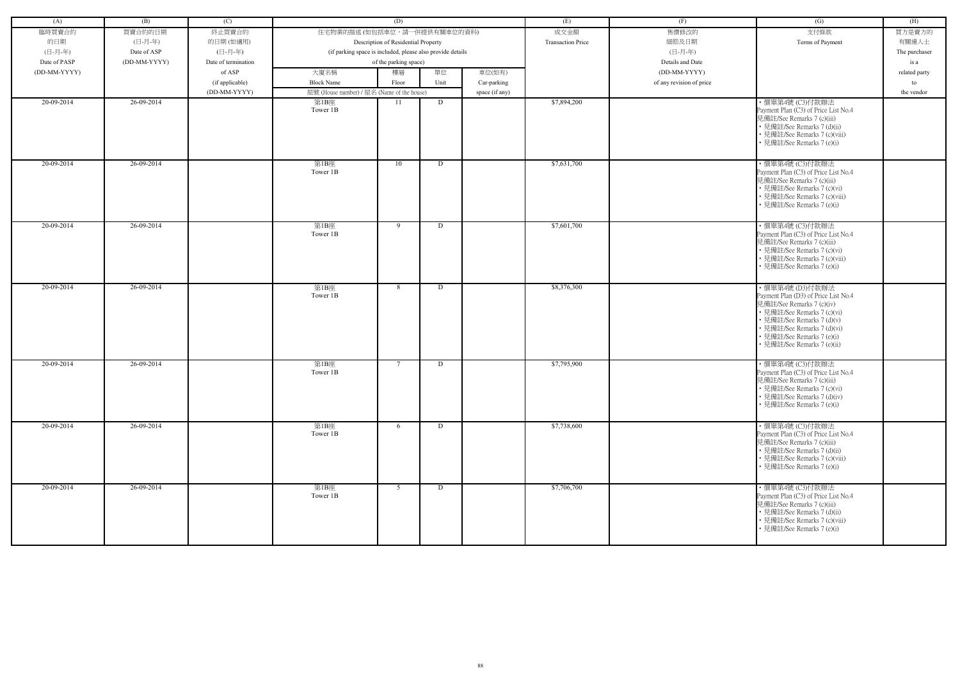| (A)          | (B)          | (C)                 |                                            | (D)                                                        |      |                | (E)                      | (F)                      | (G)                                                                                                                                                                                                                                           | (H)           |
|--------------|--------------|---------------------|--------------------------------------------|------------------------------------------------------------|------|----------------|--------------------------|--------------------------|-----------------------------------------------------------------------------------------------------------------------------------------------------------------------------------------------------------------------------------------------|---------------|
| 臨時買賣合約       | 買賣合約的日期      | 終止買賣合約              | 住宅物業的描述 (如包括車位,請一併提供有關車位的資料)               |                                                            |      |                | 成交金額                     | 售價修改的                    | 支付條款                                                                                                                                                                                                                                          | 買方是賣方的        |
| 的日期          | (日-月-年)      | 的日期(如適用)            |                                            | Description of Residential Property                        |      |                | <b>Transaction Price</b> | 細節及日期                    | Terms of Payment                                                                                                                                                                                                                              | 有關連人士         |
| (日-月-年)      | Date of ASP  | (日-月-年)             |                                            | (if parking space is included, please also provide details |      |                |                          | (日-月-年)                  |                                                                                                                                                                                                                                               | The purchaser |
| Date of PASP | (DD-MM-YYYY) | Date of termination |                                            | of the parking space)                                      |      |                |                          | Details and Date         |                                                                                                                                                                                                                                               | is a          |
| (DD-MM-YYYY) |              | of ASP              | 大廈名稱                                       | 樓層                                                         | 單位   | 車位(如有)         |                          | (DD-MM-YYYY)             |                                                                                                                                                                                                                                               | related party |
|              |              | (if applicable)     | <b>Block Name</b>                          | Floor                                                      | Unit | Car-parking    |                          | of any revision of price |                                                                                                                                                                                                                                               | to            |
|              |              | (DD-MM-YYYY)        | 屋號 (House number) / 屋名 (Name of the house) |                                                            |      | space (if any) |                          |                          |                                                                                                                                                                                                                                               | the vendor    |
| 20-09-2014   | 26-09-2014   |                     | 第1B座<br>Tower 1B                           | 11                                                         | D    |                | \$7,894,200              |                          | ·價單第4號 (C3)付款辦法<br>Payment Plan (C3) of Price List No.4<br>見備註/See Remarks 7 (c)(iii)<br>• 見備註/See Remarks 7 (d)(ii)<br>• 見備註/See Remarks 7 (c)(viii)<br>• 見備註/See Remarks 7 (e)(i)                                                           |               |
| 20-09-2014   | 26-09-2014   |                     | 第1B座<br>Tower 1B                           | 10                                                         | D    |                | \$7,631,700              |                          | ・價單第4號 (C3)付款辦法<br>Payment Plan (C3) of Price List No.4<br>見備註/See Remarks 7 (c)(iii)<br>• 見備註/See Remarks 7 (c)(vi)<br>• 見備註/See Remarks 7 (c)(viii)<br>• 見備註/See Remarks 7 (e)(i)                                                           |               |
| 20-09-2014   | 26-09-2014   |                     | 第1B座<br>Tower 1B                           | 9                                                          | D    |                | \$7,601,700              |                          | ・價單第4號 (C3)付款辦法<br>Payment Plan (C3) of Price List No.4<br>見備註/See Remarks 7 (c)(iii)<br>• 見備註/See Remarks 7 (c)(vi)<br>• 見備註/See Remarks 7 (c)(viii)<br>• 見備註/See Remarks 7 (e)(i)                                                           |               |
| 20-09-2014   | 26-09-2014   |                     | 第1B座<br>Tower 1B                           | 8                                                          | D    |                | \$8,376,300              |                          | ・價單第4號 (D3)付款辦法<br>Payment Plan (D3) of Price List No.4<br>見備註/See Remarks 7 (c)(iv)<br>• 見備註/See Remarks 7 (c)(vi)<br>• 見備註/See Remarks 7 (d)(v)<br>• 見備註/See Remarks 7 (d)(vi)<br>• 見備註/See Remarks 7 (e)(i)<br>· 見備註/See Remarks 7 (e)(ii) |               |
| 20-09-2014   | 26-09-2014   |                     | 第1B座<br>Tower 1B                           | $7\phantom{.0}$                                            | D    |                | \$7,795,900              |                          | · 價單第4號 (C3)付款辦法<br>Payment Plan (C3) of Price List No.4<br>見備註/See Remarks 7 (c)(iii)<br>• 見備註/See Remarks 7 (c)(vi)<br>• 見備註/See Remarks 7 (d)(iv)<br>• 見備註/See Remarks 7 (e)(i)                                                            |               |
| 20-09-2014   | 26-09-2014   |                     | 第1B座<br>Tower 1B                           | 6                                                          | D    |                | \$7,738,600              |                          | ・價單第4號 (C3)付款辦法<br>Payment Plan (C3) of Price List No.4<br>見備註/See Remarks 7 (c)(iii)<br>• 見備註/See Remarks 7 (d)(ii)<br>• 見備註/See Remarks 7 (c)(viii)<br>• 見備註/See Remarks 7 (e)(i)                                                           |               |
| 20-09-2014   | 26-09-2014   |                     | 第1B座<br>Tower 1B                           | 5                                                          | D    |                | \$7,706,700              |                          | ・價單第4號 (C3)付款辦法<br>Payment Plan (C3) of Price List No.4<br>見備註/See Remarks 7 (c)(iii)<br>• 見備註/See Remarks 7 (d)(ii)<br>• 見備註/See Remarks 7 (c)(viii)<br>• 見備註/See Remarks 7 (e)(i)                                                           |               |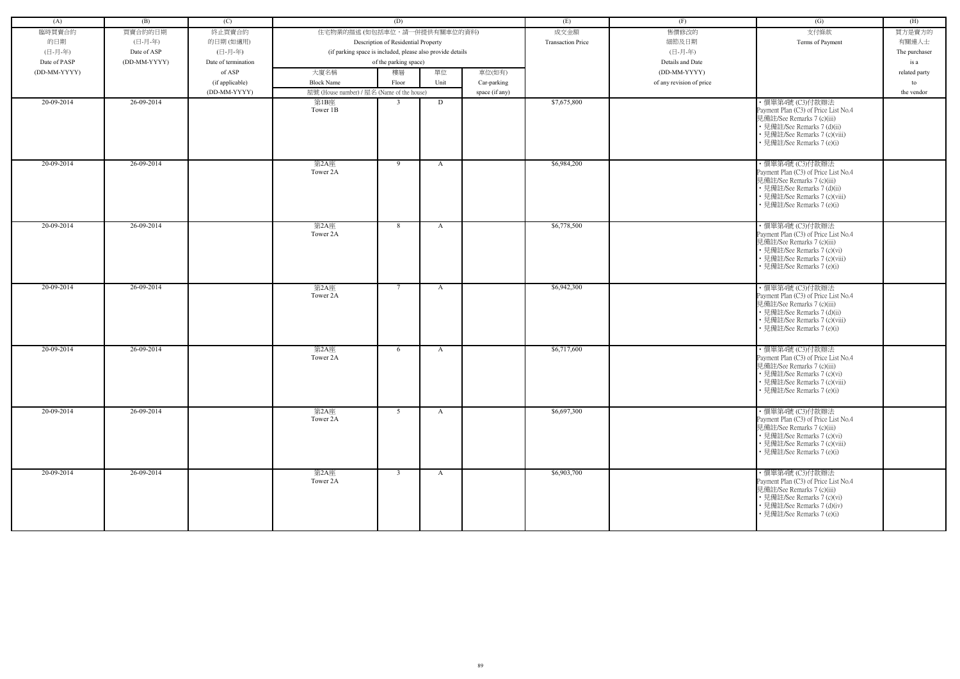| (A)          | (B)          | (C)                 |                                                            | (D)                                 |              |                | (E)                      | (F)                      | (G)                                                                                                                                                                                  | (H)           |
|--------------|--------------|---------------------|------------------------------------------------------------|-------------------------------------|--------------|----------------|--------------------------|--------------------------|--------------------------------------------------------------------------------------------------------------------------------------------------------------------------------------|---------------|
| 臨時買賣合約       | 買賣合約的日期      | 終止買賣合約              | 住宅物業的描述 (如包括車位,請一併提供有關車位的資料)                               |                                     |              |                | 成交金額                     | 售價修改的                    | 支付條款                                                                                                                                                                                 | 買方是賣方的        |
| 的日期          | (日-月-年)      | 的日期(如適用)            |                                                            | Description of Residential Property |              |                | <b>Transaction Price</b> | 細節及日期                    | Terms of Payment                                                                                                                                                                     | 有關連人士         |
| (日-月-年)      | Date of ASP  | (日-月-年)             | (if parking space is included, please also provide details |                                     |              |                |                          | (日-月-年)                  |                                                                                                                                                                                      | The purchaser |
| Date of PASP | (DD-MM-YYYY) | Date of termination |                                                            | of the parking space)               |              |                |                          | Details and Date         |                                                                                                                                                                                      | is a          |
| (DD-MM-YYYY) |              | of ASP              | 大廈名稱                                                       | 樓層                                  | 單位           | 車位(如有)         |                          | (DD-MM-YYYY)             |                                                                                                                                                                                      | related party |
|              |              |                     | <b>Block Name</b>                                          | Floor                               | Unit         |                |                          | of any revision of price |                                                                                                                                                                                      |               |
|              |              | (if applicable)     |                                                            |                                     |              | Car-parking    |                          |                          |                                                                                                                                                                                      | to            |
|              |              | (DD-MM-YYYY)        | 屋號 (House number) / 屋名 (Name of the house)                 |                                     |              | space (if any) |                          |                          |                                                                                                                                                                                      | the vendor    |
| 20-09-2014   | 26-09-2014   |                     | 第1B座<br>Tower 1B                                           | $\overline{3}$                      | D            |                | \$7,675,800              |                          | ·價單第4號 (C3)付款辦法<br>Payment Plan (C3) of Price List No.4<br>見備註/See Remarks 7 (c)(iii)<br>• 見備註/See Remarks 7 (d)(ii)<br>• 見備註/See Remarks 7 (c)(viii)<br>• 見備註/See Remarks 7 (e)(i)  |               |
| 20-09-2014   | 26-09-2014   |                     | 第2A座<br>Tower 2A                                           | 9                                   | $\mathbf{A}$ |                | \$6,984,200              |                          | ·價單第4號 (C3)付款辦法<br>Payment Plan (C3) of Price List No.4<br>見備註/See Remarks 7 (c)(iii)<br>• 見備註/See Remarks 7 (d)(ii)<br>• 見備註/See Remarks 7 (c)(viii)<br>• 見備註/See Remarks 7 (e)(i)  |               |
| $20-09-2014$ | 26-09-2014   |                     | 第2A座<br>Tower 2A                                           | 8                                   | $\mathbf{A}$ |                | \$6,778,500              |                          | ・價單第4號 (C3)付款辦法<br>Payment Plan (C3) of Price List No.4<br>見備註/See Remarks 7 (c)(iii)<br>• 見備註/See Remarks 7 (c)(vi)<br>• 見備註/See Remarks 7 (c)(viii)<br>• 見備註/See Remarks 7 (e)(i)  |               |
| 20-09-2014   | 26-09-2014   |                     | 第2A座<br>Tower 2A                                           | $7\overline{ }$                     | $\mathbf{A}$ |                | \$6,942,300              |                          | · 價單第4號 (C3)付款辦法<br>Payment Plan (C3) of Price List No.4<br>見備註/See Remarks 7 (c)(iii)<br>• 見備註/See Remarks 7 (d)(ii)<br>• 見備註/See Remarks 7 (c)(viii)<br>• 見備註/See Remarks 7 (e)(i) |               |
| 20-09-2014   | 26-09-2014   |                     | 第2A座<br>Tower 2A                                           | 6                                   | A            |                | \$6,717,600              |                          | ・價單第4號 (C3)付款辦法<br>Payment Plan (C3) of Price List No.4<br>見備註/See Remarks 7 (c)(iii)<br>• 見備註/See Remarks 7 (c)(vi)<br>• 見備註/See Remarks 7 (c)(viii)<br>• 見備註/See Remarks 7 (e)(i)  |               |
| 20-09-2014   | 26-09-2014   |                     | 第2A座<br>Tower 2A                                           | 5 <sup>5</sup>                      | $\mathbf{A}$ |                | \$6,697,300              |                          | ・價單第4號 (C3)付款辦法<br>Payment Plan (C3) of Price List No.4<br>見備註/See Remarks 7 (c)(iii)<br>• 見備註/See Remarks 7 (c)(vi)<br>• 見備註/See Remarks 7 (c)(viii)<br>• 見備註/See Remarks 7 (e)(i)  |               |
| 20-09-2014   | 26-09-2014   |                     | 第2A座<br>Tower 2A                                           | $\mathbf{3}$                        | A            |                | \$6,903,700              |                          | ・價單第4號 (C3)付款辦法<br>Payment Plan (C3) of Price List No.4<br>見備註/See Remarks 7 (c)(iii)<br>• 見備註/See Remarks 7 (c)(vi)<br>• 見備註/See Remarks 7 (d)(iv)<br>• 見備註/See Remarks 7 (e)(i)    |               |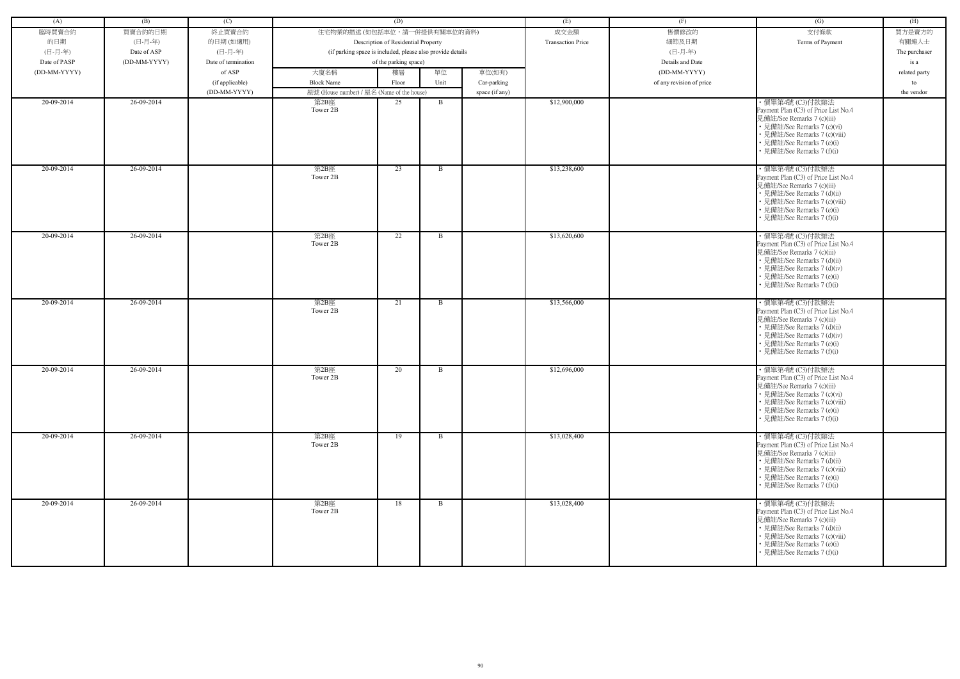| (A)          | (B)          | (C)                 |                                            | (D)                                                        |              |                | (E)                      | (F)                      | (G)                                                                                                                                                                                                                | (H)           |
|--------------|--------------|---------------------|--------------------------------------------|------------------------------------------------------------|--------------|----------------|--------------------------|--------------------------|--------------------------------------------------------------------------------------------------------------------------------------------------------------------------------------------------------------------|---------------|
|              |              |                     |                                            |                                                            |              |                |                          |                          |                                                                                                                                                                                                                    |               |
| 臨時買賣合約       | 買賣合約的日期      | 終止買賣合約              | 住宅物業的描述 (如包括車位,請一併提供有關車位的資料)               |                                                            |              |                | 成交金額                     | 售價修改的                    | 支付條款                                                                                                                                                                                                               | 買方是賣方的        |
| 的日期          | (日-月-年)      | 的日期(如適用)            |                                            | Description of Residential Property                        |              |                | <b>Transaction Price</b> | 細節及日期                    | Terms of Payment                                                                                                                                                                                                   | 有關連人士         |
| (日-月-年)      | Date of ASP  | (日-月-年)             |                                            | (if parking space is included, please also provide details |              |                |                          | (日-月-年)                  |                                                                                                                                                                                                                    | The purchaser |
| Date of PASP | (DD-MM-YYYY) | Date of termination |                                            | of the parking space)                                      |              |                |                          | Details and Date         |                                                                                                                                                                                                                    | is a          |
| (DD-MM-YYYY) |              | of ASP              | 大廈名稱                                       | 樓層                                                         | 單位           | 車位(如有)         |                          | (DD-MM-YYYY)             |                                                                                                                                                                                                                    | related party |
|              |              | (if applicable)     | <b>Block Name</b>                          | Floor                                                      | Unit         | Car-parking    |                          | of any revision of price |                                                                                                                                                                                                                    | to            |
|              |              | (DD-MM-YYYY)        | 屋號 (House number) / 屋名 (Name of the house) |                                                            |              | space (if any) |                          |                          |                                                                                                                                                                                                                    | the vendor    |
| 20-09-2014   | 26-09-2014   |                     | 第2B座<br>Tower 2B                           | 25                                                         | B            |                | \$12,900,000             |                          | · 價單第4號 (C3)付款辦法<br>Payment Plan (C3) of Price List No.4<br>見備註/See Remarks 7 (c)(iii)<br>• 見備註/See Remarks 7 (c)(vi)<br>• 見備註/See Remarks 7 (c)(viii)<br>• 見備註/See Remarks 7 (e)(i)<br>• 見備註/See Remarks 7 (f)(i) |               |
| 20-09-2014   | 26-09-2014   |                     | 第2B座<br>Tower 2B                           | 23                                                         | $\mathbf{B}$ |                | \$13,238,600             |                          | · 價單第4號 (C3)付款辦法<br>Payment Plan (C3) of Price List No.4<br>見備註/See Remarks 7 (c)(iii)<br>• 見備註/See Remarks 7 (d)(ii)<br>• 見備註/See Remarks 7 (c)(viii)<br>• 見備註/See Remarks 7 (e)(i)<br>• 見備註/See Remarks 7 (f)(i) |               |
| 20-09-2014   | 26-09-2014   |                     | 第2B座<br>Tower 2B                           | 22                                                         | B            |                | \$13,620,600             |                          | ・價單第4號 (C3)付款辦法<br>Payment Plan (C3) of Price List No.4<br>見備註/See Remarks 7 (c)(iii)<br>• 見備註/See Remarks 7 (d)(ii)<br>• 見備註/See Remarks 7 (d)(iv)<br>• 見備註/See Remarks 7 (e)(i)<br>• 見備註/See Remarks 7 (f)(i)    |               |
| 20-09-2014   | 26-09-2014   |                     | 第2B座<br>Tower 2B                           | 21                                                         | B            |                | \$13,566,000             |                          | ・價單第4號 (C3)付款辦法<br>Payment Plan (C3) of Price List No.4<br>見備註/See Remarks 7 (c)(iii)<br>• 見備註/See Remarks 7 (d)(ii)<br>• 見備註/See Remarks 7 (d)(iv)<br>• 見備註/See Remarks 7 (e)(i)<br>• 見備註/See Remarks 7 (f)(i)    |               |
| 20-09-2014   | 26-09-2014   |                     | 第2B座<br>Tower 2B                           | 20                                                         | B            |                | \$12,696,000             |                          | · 價單第4號 (C3)付款辦法<br>Payment Plan (C3) of Price List No.4<br>見備註/See Remarks 7 (c)(iii)<br>• 見備註/See Remarks 7 (c)(vi)<br>• 見備註/See Remarks 7 (c)(viii)<br>• 見備註/See Remarks 7 (e)(i)<br>• 見備註/See Remarks 7 (f)(i) |               |
| 20-09-2014   | 26-09-2014   |                     | 第2B座<br>Tower 2B                           | 19                                                         | $\mathbf{B}$ |                | \$13,028,400             |                          | ・價單第4號 (C3)付款辦法<br>Payment Plan (C3) of Price List No.4<br>見備註/See Remarks 7 (c)(iii)<br>• 見備註/See Remarks 7 (d)(ii)<br>• 見備註/See Remarks 7 (c)(viii)<br>• 見備註/See Remarks 7 (e)(i)<br>• 見備註/See Remarks 7 (f)(i)  |               |
| 20-09-2014   | 26-09-2014   |                     | 第2B座<br>Tower 2B                           | 18                                                         | $\mathbf{B}$ |                | \$13,028,400             |                          | ・價單第4號 (C3)付款辦法<br>Payment Plan (C3) of Price List No.4<br>見備註/See Remarks 7 (c)(iii)<br>• 見備註/See Remarks 7 (d)(ii)<br>• 見備註/See Remarks 7 (c)(viii)<br>• 見備註/See Remarks 7 (e)(i)<br>• 見備註/See Remarks 7 (f)(i)  |               |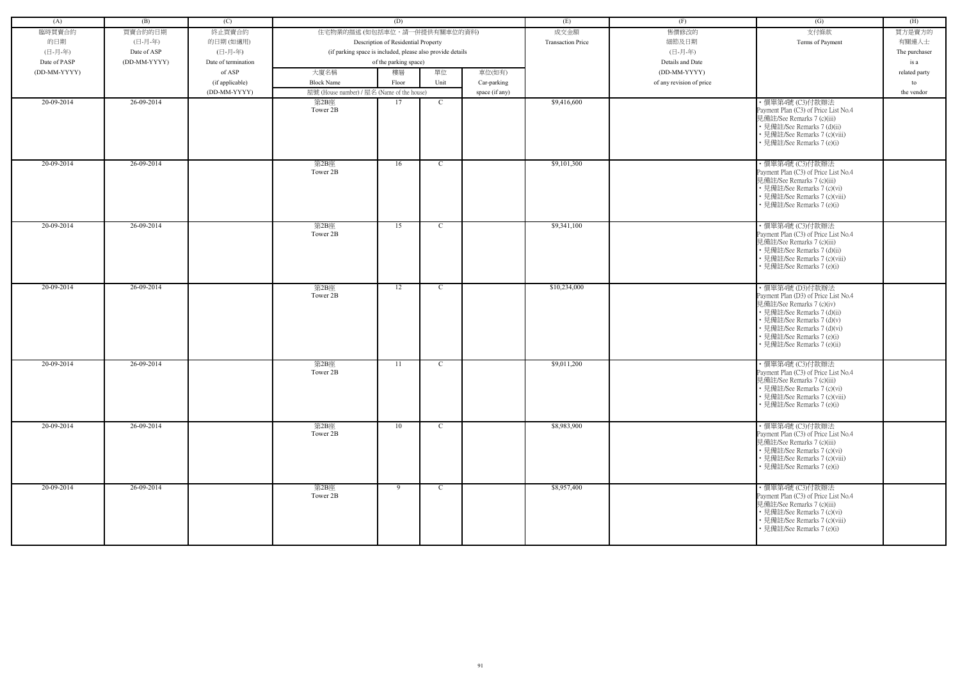| (A)          | (B)          | (C)                 |                                                            | (D)                                 |               |                | (E)                      | (F)                      | (G)                                                                                                                                                                                                                                           | (H)              |
|--------------|--------------|---------------------|------------------------------------------------------------|-------------------------------------|---------------|----------------|--------------------------|--------------------------|-----------------------------------------------------------------------------------------------------------------------------------------------------------------------------------------------------------------------------------------------|------------------|
| 臨時買賣合約       | 買賣合約的日期      | 終止買賣合約              | 住宅物業的描述 (如包括車位,請一併提供有關車位的資料)                               |                                     |               |                | 成交金額                     | 售價修改的                    | 支付條款                                                                                                                                                                                                                                          | 買方是賣方的           |
| 的日期          | (日-月-年)      | 的日期(如適用)            |                                                            | Description of Residential Property |               |                | <b>Transaction Price</b> | 細節及日期                    | Terms of Payment                                                                                                                                                                                                                              | 有關連人士            |
| (日-月-年)      | Date of ASP  | (日-月-年)             | (if parking space is included, please also provide details |                                     |               |                |                          | (日-月-年)                  |                                                                                                                                                                                                                                               |                  |
| Date of PASP | (DD-MM-YYYY) | Date of termination |                                                            | of the parking space)               |               |                |                          | Details and Date         |                                                                                                                                                                                                                                               | The purchaser    |
| (DD-MM-YYYY) |              | of ASP              | 大廈名稱                                                       | 樓層                                  | 單位            | 車位(如有)         |                          | (DD-MM-YYYY)             |                                                                                                                                                                                                                                               | is a             |
|              |              |                     | <b>Block Name</b>                                          |                                     | Unit          |                |                          |                          |                                                                                                                                                                                                                                               | related party    |
|              |              | (if applicable)     |                                                            | Floor                               |               | Car-parking    |                          | of any revision of price |                                                                                                                                                                                                                                               | to<br>the vendor |
| 20-09-2014   | 26-09-2014   | (DD-MM-YYYY)        | 屋號 (House number) / 屋名 (Name of the house)<br>第2B座         | 17                                  | C             | space (if any) | \$9,416,600              |                          | · 價單第4號 (C3)付款辦法                                                                                                                                                                                                                              |                  |
|              |              |                     | Tower 2B                                                   |                                     |               |                |                          |                          | Payment Plan (C3) of Price List No.4<br>見備註/See Remarks 7 (c)(iii)<br>• 見備註/See Remarks 7 (d)(ii)<br>• 見備註/See Remarks 7 (c)(viii)<br>• 見備註/See Remarks 7 (e)(i)                                                                              |                  |
| 20-09-2014   | 26-09-2014   |                     | 第2B座<br>Tower 2B                                           | 16                                  | $\mathbf{C}$  |                | \$9,101,300              |                          | ・價單第4號 (C3)付款辦法<br>Payment Plan (C3) of Price List No.4<br>見備註/See Remarks 7 (c)(iii)<br>• 見備註/See Remarks 7 (c)(vi)<br>• 見備註/See Remarks 7 (c)(viii)<br>• 見備註/See Remarks 7 (e)(i)                                                           |                  |
| 20-09-2014   | 26-09-2014   |                     | 第2B座<br>Tower 2B                                           | 15                                  | $\mathcal{C}$ |                | \$9,341,100              |                          | ・價單第4號 (C3)付款辦法<br>Payment Plan (C3) of Price List No.4<br>見備註/See Remarks 7 (c)(iii)<br>• 見備註/See Remarks 7 (d)(ii)<br>• 見備註/See Remarks 7 (c)(viii)<br>• 見備註/See Remarks 7 (e)(i)                                                           |                  |
| 20-09-2014   | 26-09-2014   |                     | 第2B座<br>Tower 2B                                           | 12                                  | $\mathcal{C}$ |                | \$10,234,000             |                          | ・價單第4號 (D3)付款辦法<br>Payment Plan (D3) of Price List No.4<br>見備註/See Remarks 7 (c)(iv)<br>• 見備註/See Remarks 7 (d)(ii)<br>• 見備註/See Remarks 7 (d)(v)<br>• 見備註/See Remarks 7 (d)(vi)<br>• 見備註/See Remarks 7 (e)(i)<br>· 見備註/See Remarks 7 (e)(ii) |                  |
| 20-09-2014   | 26-09-2014   |                     | 第2B座<br>Tower 2B                                           | 11                                  | C             |                | \$9,011,200              |                          | · 價單第4號 (C3)付款辦法<br>Payment Plan (C3) of Price List No.4<br>見備註/See Remarks 7 (c)(iii)<br>• 見備註/See Remarks 7 (c)(vi)<br>• 見備註/See Remarks 7 (c)(viii)<br>• 見備註/See Remarks 7 (e)(i)                                                          |                  |
| 20-09-2014   | 26-09-2014   |                     | 第2B座<br>Tower 2B                                           | 10                                  | $\mathbf C$   |                | \$8,983,900              |                          | ・價單第4號 (C3)付款辦法<br>Payment Plan (C3) of Price List No.4<br>見備註/See Remarks 7 (c)(iii)<br>• 見備註/See Remarks 7 (c)(vi)<br>• 見備註/See Remarks 7 (c)(viii)<br>• 見備註/See Remarks 7 (e)(i)                                                           |                  |
| 20-09-2014   | 26-09-2014   |                     | 第2B座<br>Tower 2B                                           | 9                                   | $\mathbf{C}$  |                | \$8,957,400              |                          | · 價單第4號 (C3)付款辦法<br>Payment Plan (C3) of Price List No.4<br>見備註/See Remarks 7 (c)(iii)<br>• 見備註/See Remarks 7 (c)(vi)<br>• 見備註/See Remarks 7 (c)(viii)<br>• 見備註/See Remarks 7 (e)(i)                                                          |                  |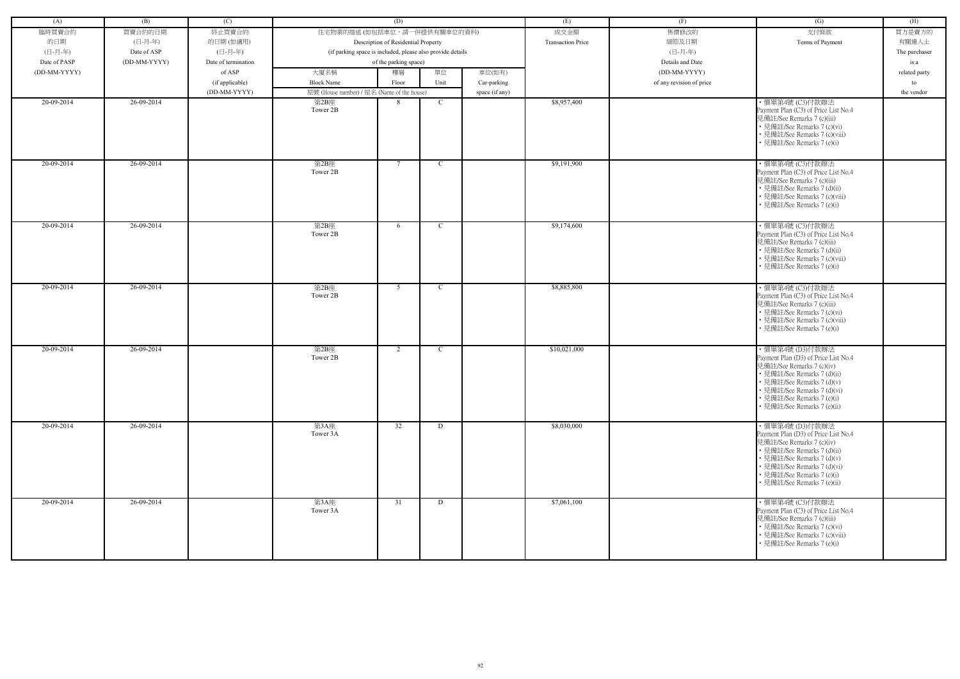| (A)          | (B)          | (C)                 |                                                            | (D)                                 |             |                | (E)                      | (F)                      | (G)                                                                                                                                                                                                                                           | (H)           |
|--------------|--------------|---------------------|------------------------------------------------------------|-------------------------------------|-------------|----------------|--------------------------|--------------------------|-----------------------------------------------------------------------------------------------------------------------------------------------------------------------------------------------------------------------------------------------|---------------|
| 臨時買賣合約       | 買賣合約的日期      | 終止買賣合約              | 住宅物業的描述 (如包括車位,請一併提供有關車位的資料)                               |                                     |             |                | 成交金額                     | 售價修改的                    | 支付條款                                                                                                                                                                                                                                          | 買方是賣方的        |
| 的日期          | (日-月-年)      | 的日期(如適用)            |                                                            | Description of Residential Property |             |                | <b>Transaction Price</b> | 細節及日期                    | Terms of Payment                                                                                                                                                                                                                              | 有關連人士         |
| (日-月-年)      |              | (日-月-年)             |                                                            |                                     |             |                |                          | (日-月-年)                  |                                                                                                                                                                                                                                               |               |
|              | Date of ASP  |                     | (if parking space is included, please also provide details |                                     |             |                |                          |                          |                                                                                                                                                                                                                                               | The purchaser |
| Date of PASP | (DD-MM-YYYY) | Date of termination |                                                            | of the parking space)               |             |                |                          | Details and Date         |                                                                                                                                                                                                                                               | is a          |
| (DD-MM-YYYY) |              | of ASP              | 大廈名稱                                                       | 樓層                                  | 單位          | 車位(如有)         |                          | (DD-MM-YYYY)             |                                                                                                                                                                                                                                               | related party |
|              |              | (if applicable)     | <b>Block Name</b>                                          | Floor                               | Unit        | Car-parking    |                          | of any revision of price |                                                                                                                                                                                                                                               | to            |
|              |              | (DD-MM-YYYY)        | 屋號 (House number) / 屋名 (Name of the house)                 |                                     |             | space (if any) |                          |                          |                                                                                                                                                                                                                                               | the vendor    |
| 20-09-2014   | 26-09-2014   |                     | 第2B座<br>Tower 2B                                           | 8                                   | $\mathbf C$ |                | \$8,957,400              |                          | ·價單第4號 (C3)付款辦法<br>Payment Plan (C3) of Price List No.4<br>見備註/See Remarks 7 (c)(iii)<br>• 見備註/See Remarks 7 (c)(vi)<br>• 見備註/See Remarks 7 (c)(viii)<br>• 見備註/See Remarks 7 (e)(i)                                                           |               |
| 20-09-2014   | 26-09-2014   |                     | 第2B座<br>Tower 2B                                           | $7\phantom{.0}$                     | $\mathbf C$ |                | \$9,191,900              |                          | ・價單第4號 (C3)付款辦法<br>Payment Plan (C3) of Price List No.4<br>見備註/See Remarks 7 (c)(iii)<br>• 見備註/See Remarks 7 (d)(ii)<br>• 見備註/See Remarks 7 (c)(viii)<br>· 見備註/See Remarks 7 (e)(i)                                                           |               |
| 20-09-2014   | 26-09-2014   |                     | 第2B座<br>Tower 2B                                           | 6                                   | $\mathbf C$ |                | \$9,174,600              |                          | ・價單第4號 (C3)付款辦法<br>Payment Plan (C3) of Price List No.4<br>見備註/See Remarks 7 (c)(iii)<br>• 見備註/See Remarks 7 (d)(ii)<br>• 見備註/See Remarks 7 (c)(viii)<br>• 見備註/See Remarks 7 (e)(i)                                                           |               |
| 20-09-2014   | 26-09-2014   |                     | 第2B座<br>Tower 2B                                           | 5 <sup>5</sup>                      | $\mathbf C$ |                | \$8,885,800              |                          | · 價單第4號 (C3)付款辦法<br>Payment Plan (C3) of Price List No.4<br>見備註/See Remarks 7 (c)(iii)<br>• 見備註/See Remarks 7 (c)(vi)<br>• 見備註/See Remarks 7 (c)(viii)<br>• 見備註/See Remarks 7 (e)(i)                                                          |               |
| 20-09-2014   | 26-09-2014   |                     | 第2B座<br>Tower 2B                                           | 2                                   | $\mathbf C$ |                | \$10,021,000             |                          | ・價單第4號 (D3)付款辦法<br>Payment Plan (D3) of Price List No.4<br>見備註/See Remarks 7 (c)(iv)<br>• 見備註/See Remarks 7 (d)(ii)<br>• 見備註/See Remarks 7 (d)(v)<br>• 見備註/See Remarks 7 (d)(vi)<br>• 見備註/See Remarks 7 (e)(i)<br>• 見備註/See Remarks 7 (e)(ii) |               |
| 20-09-2014   | 26-09-2014   |                     | 第3A座<br>Tower 3A                                           | 32                                  | D           |                | \$8,030,000              |                          | ・價單第4號 (D3)付款辦法<br>Payment Plan (D3) of Price List No.4<br>見備註/See Remarks 7 (c)(iv)<br>• 見備註/See Remarks 7 (d)(ii)<br>• 見備註/See Remarks 7 (d)(v)<br>• 見備註/See Remarks 7 (d)(vi)<br>• 見備註/See Remarks 7 (e)(i)<br>• 見備註/See Remarks 7 (e)(ii) |               |
| 20-09-2014   | 26-09-2014   |                     | 第3A座<br>Tower 3A                                           | 31                                  | D           |                | \$7,061,100              |                          | ・價單第4號 (C3)付款辦法<br>Payment Plan (C3) of Price List No.4<br>見備註/See Remarks 7 (c)(iii)<br>• 見備註/See Remarks 7 (c)(vi)<br>• 見備註/See Remarks 7 (c)(viii)<br>• 見備註/See Remarks 7 (e)(i)                                                           |               |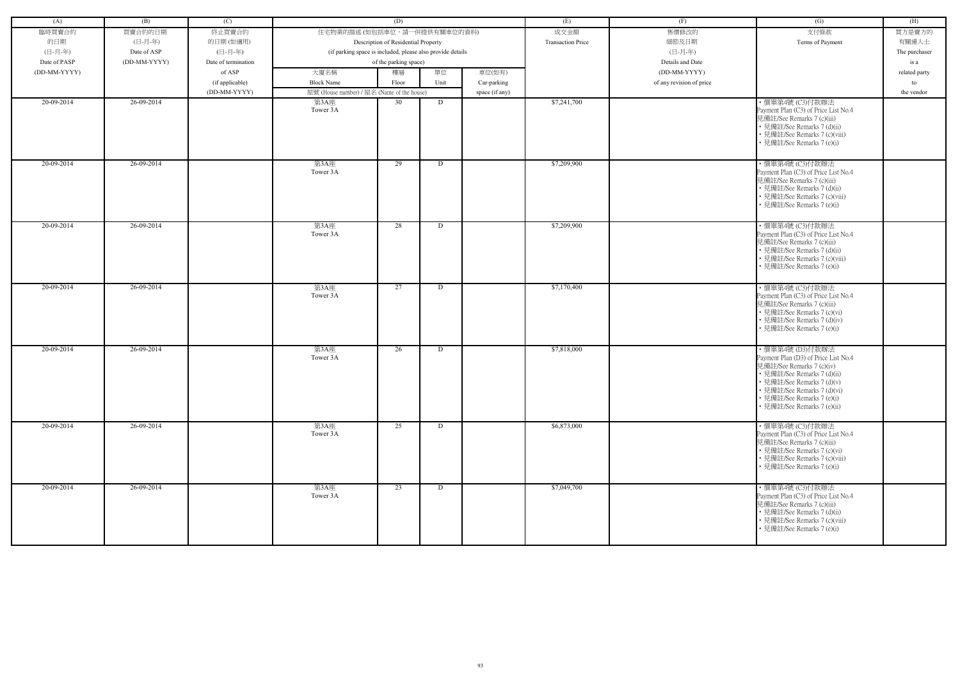| (A)          | (B)          | (C)                 |                                                            | (D)                                 |      |                | (E)                      | (F)                      | (G)                                                                                                                                                                                                                                            | (H)           |
|--------------|--------------|---------------------|------------------------------------------------------------|-------------------------------------|------|----------------|--------------------------|--------------------------|------------------------------------------------------------------------------------------------------------------------------------------------------------------------------------------------------------------------------------------------|---------------|
|              |              |                     |                                                            |                                     |      |                |                          |                          |                                                                                                                                                                                                                                                |               |
| 臨時買賣合約       | 買賣合約的日期      | 終止買賣合約              | 住宅物業的描述 (如包括車位,請一併提供有關車位的資料)                               |                                     |      |                | 成交金額                     | 售價修改的                    | 支付條款                                                                                                                                                                                                                                           | 買方是賣方的        |
| 的日期          | (日-月-年)      | 的日期(如適用)            |                                                            | Description of Residential Property |      |                | <b>Transaction Price</b> | 細節及日期                    | Terms of Payment                                                                                                                                                                                                                               | 有關連人士         |
| (日-月-年)      | Date of ASP  | (日-月-年)             | (if parking space is included, please also provide details |                                     |      |                |                          | (日-月-年)                  |                                                                                                                                                                                                                                                | The purchaser |
| Date of PASP | (DD-MM-YYYY) | Date of termination |                                                            | of the parking space)               |      |                |                          | Details and Date         |                                                                                                                                                                                                                                                | is a          |
| (DD-MM-YYYY) |              | of ASP              | 大廈名稱                                                       | 樓層                                  | 單位   | 車位(如有)         |                          | (DD-MM-YYYY)             |                                                                                                                                                                                                                                                | related party |
|              |              | (if applicable)     | <b>Block Name</b>                                          | Floor                               | Unit | Car-parking    |                          | of any revision of price |                                                                                                                                                                                                                                                | to            |
|              |              | (DD-MM-YYYY)        | 屋號 (House number) / 屋名 (Name of the house)                 |                                     |      | space (if any) |                          |                          |                                                                                                                                                                                                                                                | the vendor    |
| 20-09-2014   | 26-09-2014   |                     | 第3A座<br>Tower 3A                                           | 30                                  | D    |                | \$7,241,700              |                          | ・價單第4號 (C3)付款辦法<br>Payment Plan (C3) of Price List No.4<br>見備註/See Remarks 7 (c)(iii)<br>• 見備註/See Remarks 7 (d)(ii)<br>• 見備註/See Remarks 7 (c)(viii)<br>• 見備註/See Remarks 7 (e)(i)                                                            |               |
| 20-09-2014   | 26-09-2014   |                     | 第3A座<br>Tower 3A                                           | 29                                  | D    |                | \$7,209,900              |                          | · 價單第4號 (C3)付款辦法<br>Payment Plan (C3) of Price List No.4<br>見備註/See Remarks 7 (c)(iii)<br>• 見備註/See Remarks 7 (d)(ii)<br>• 見備註/See Remarks 7 (c)(viii)<br>• 見備註/See Remarks 7 (e)(i)                                                           |               |
| 20-09-2014   | 26-09-2014   |                     | 第3A座<br>Tower 3A                                           | 28                                  | D    |                | \$7,209,900              |                          | ・價單第4號 (C3)付款辦法<br>Payment Plan (C3) of Price List No.4<br>見備註/See Remarks 7 (c)(iii)<br>• 見備註/See Remarks 7 (d)(ii)<br>• 見備註/See Remarks 7 (c)(viii)<br>• 見備註/See Remarks 7 (e)(i)                                                            |               |
| 20-09-2014   | 26-09-2014   |                     | 第3A座<br>Tower 3A                                           | 27                                  | D    |                | \$7,170,400              |                          | ·價單第4號 (C3)付款辦法<br>Payment Plan (C3) of Price List No.4<br>見備註/See Remarks 7 (c)(iii)<br>• 見備註/See Remarks 7 (c)(vi)<br>• 見備註/See Remarks 7 (d)(iv)<br>• 見備註/See Remarks 7 (e)(i)                                                              |               |
| 20-09-2014   | 26-09-2014   |                     | 第3A座<br>Tower 3A                                           | 26                                  | D    |                | \$7,818,000              |                          | · 價單第4號 (D3)付款辦法<br>Payment Plan (D3) of Price List No.4<br>見備註/See Remarks 7 (c)(iv)<br>• 見備註/See Remarks 7 (d)(ii)<br>• 見備註/See Remarks 7 (d)(v)<br>• 見備註/See Remarks 7 (d)(vi)<br>• 見備註/See Remarks 7 (e)(i)<br>• 見備註/See Remarks 7 (e)(ii) |               |
| 20-09-2014   | 26-09-2014   |                     | 第3A座<br>Tower 3A                                           | 25                                  | D    |                | \$6,873,000              |                          | ・價單第4號 (C3)付款辦法<br>Payment Plan (C3) of Price List No.4<br>見備註/See Remarks 7 (c)(iii)<br>• 見備註/See Remarks 7 (c)(vi)<br>• 見備註/See Remarks 7 (c)(viii)<br>• 見備註/See Remarks 7 (e)(i)                                                            |               |
| 20-09-2014   | 26-09-2014   |                     | 第3A座<br>Tower 3A                                           | 23                                  | D    |                | \$7,049,700              |                          | · 價單第4號 (C3)付款辦法<br>Payment Plan (C3) of Price List No.4<br>見備註/See Remarks 7 (c)(iii)<br>• 見備註/See Remarks 7 (d)(ii)<br>• 見備註/See Remarks 7 (c)(viii)<br>• 見備註/See Remarks 7 (e)(i)                                                           |               |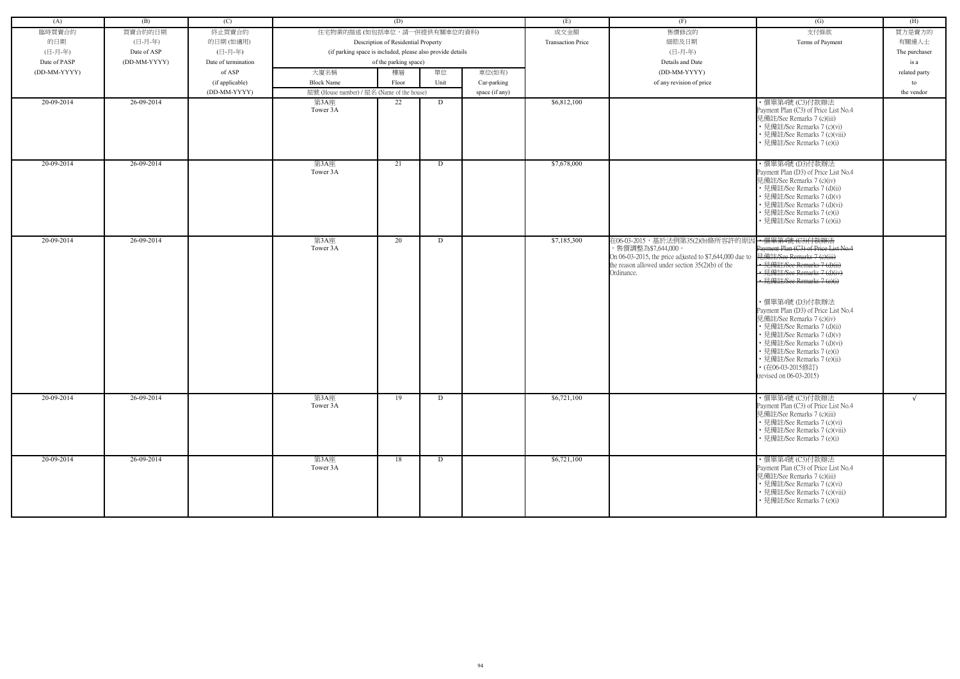| (A)          | (B)          | (C)                 |                                                            | (D)                                 |      |                | (E)                      | (F)                                                                                                                                                                                                  | (G)                                                                                                                                                                                                                                                                                                                                                                                                                                                        | (H)           |
|--------------|--------------|---------------------|------------------------------------------------------------|-------------------------------------|------|----------------|--------------------------|------------------------------------------------------------------------------------------------------------------------------------------------------------------------------------------------------|------------------------------------------------------------------------------------------------------------------------------------------------------------------------------------------------------------------------------------------------------------------------------------------------------------------------------------------------------------------------------------------------------------------------------------------------------------|---------------|
| 臨時買賣合約       | 買賣合約的日期      | 終止買賣合約              | 住宅物業的描述 (如包括車位,請一併提供有關車位的資料)                               |                                     |      |                | 成交金額                     | 售價修改的                                                                                                                                                                                                | 支付條款                                                                                                                                                                                                                                                                                                                                                                                                                                                       | 買方是賣方的        |
| 的日期          | (日-月-年)      | 的日期(如適用)            |                                                            | Description of Residential Property |      |                | <b>Transaction Price</b> | 細節及日期                                                                                                                                                                                                | Terms of Payment                                                                                                                                                                                                                                                                                                                                                                                                                                           | 有關連人士         |
| (日-月-年)      | Date of ASP  | (日-月-年)             | (if parking space is included, please also provide details |                                     |      |                |                          | (日-月-年)                                                                                                                                                                                              |                                                                                                                                                                                                                                                                                                                                                                                                                                                            | The purchaser |
| Date of PASP | (DD-MM-YYYY) | Date of termination |                                                            | of the parking space)               |      |                |                          | Details and Date                                                                                                                                                                                     |                                                                                                                                                                                                                                                                                                                                                                                                                                                            | is a          |
| (DD-MM-YYYY) |              | of ASP              | 大廈名稱                                                       | 樓層                                  | 單位   | 車位(如有)         |                          | (DD-MM-YYYY)                                                                                                                                                                                         |                                                                                                                                                                                                                                                                                                                                                                                                                                                            | related party |
|              |              | (if applicable)     | <b>Block Name</b>                                          | Floor                               | Unit | Car-parking    |                          | of any revision of price                                                                                                                                                                             |                                                                                                                                                                                                                                                                                                                                                                                                                                                            | to            |
|              |              | (DD-MM-YYYY)        | 屋號 (House number) / 屋名 (Name of the house)                 |                                     |      | space (if any) |                          |                                                                                                                                                                                                      |                                                                                                                                                                                                                                                                                                                                                                                                                                                            | the vendor    |
| 20-09-2014   | 26-09-2014   |                     | 第3A座<br>Tower 3A                                           | 22                                  | D    |                | \$6,812,100              |                                                                                                                                                                                                      | ・價單第4號 (C3)付款辦法<br>Payment Plan (C3) of Price List No.4<br>見備註/See Remarks 7 (c)(iii)<br>• 見備註/See Remarks 7 (c)(vi)<br>• 見備註/See Remarks 7 (c)(viii)<br>• 見備註/See Remarks 7 (e)(i)                                                                                                                                                                                                                                                                        |               |
| 20-09-2014   | 26-09-2014   |                     | 第3A座<br>Tower 3A                                           | 21                                  | D    |                | \$7,678,000              |                                                                                                                                                                                                      | · 價單第4號 (D3)付款辦法<br>Payment Plan (D3) of Price List No.4<br>見備註/See Remarks 7 (c)(iv)<br>• 見備註/See Remarks 7 (d)(ii)<br>· 見備註/See Remarks 7 (d)(v)<br>• 見備註/See Remarks 7 (d)(vi)<br>• 見備註/See Remarks 7 (e)(i)<br>· 見備註/See Remarks 7 (e)(ii)                                                                                                                                                                                                             |               |
| 20-09-2014   | 26-09-2014   |                     | 第3A座<br>Tower 3A                                           | 20                                  | D    |                | \$7,185,300              | 在06-03-2015,基於法例第35(2)(b)條所容許的原因--價單第4號(C3)付款辦法<br>,售價調整為\$7,644,000。<br>On 06-03-2015, the price adjusted to \$7,644,000 due to<br>the reason allowed under section $35(2)(b)$ of the<br>Ordinance. | Payment Plan (C3) of Price List No.4<br>見備註/See Remarks 7 (e)(iii)<br>• 見備註/See Remarks 7 (d)(ii)<br>· 見備註/See Remarks 7 (d)(iv<br>見備註/See Remarks 7 (e)(i)<br>・價單第4號 (D3)付款辦法<br>Payment Plan (D3) of Price List No.4<br>見備註/See Remarks 7 (c)(iv)<br>• 見備註/See Remarks 7 (d)(ii)<br>• 見備註/See Remarks 7 (d)(v)<br>· 見備註/See Remarks 7 (d)(vi)<br>• 見備註/See Remarks 7 (e)(i)<br>· 見備註/See Remarks 7 (e)(ii)<br>(在06-03-2015修訂)<br>(revised on 06-03-2015) |               |
| 20-09-2014   | 26-09-2014   |                     | 第3A座<br>Tower 3A                                           | 19                                  | D    |                | \$6,721,100              |                                                                                                                                                                                                      | ・價單第4號 (C3)付款辦法<br>Payment Plan (C3) of Price List No.4<br>見備註/See Remarks 7 (c)(iii)<br>• 見備註/See Remarks 7 (c)(vi)<br>• 見備註/See Remarks 7 (c)(viii)<br>• 見備註/See Remarks 7 (e)(i)                                                                                                                                                                                                                                                                        | $\sqrt{ }$    |
| 20-09-2014   | 26-09-2014   |                     | 第3A座<br>Tower 3A                                           | 18                                  | D    |                | \$6,721,100              |                                                                                                                                                                                                      | ・價單第4號 (C3)付款辦法<br>Payment Plan (C3) of Price List No.4<br>見備註/See Remarks 7 (c)(iii)<br>• 見備註/See Remarks 7 (c)(vi)<br>• 見備註/See Remarks 7 (c)(viii)<br>• 見備註/See Remarks 7 (e)(i)                                                                                                                                                                                                                                                                        |               |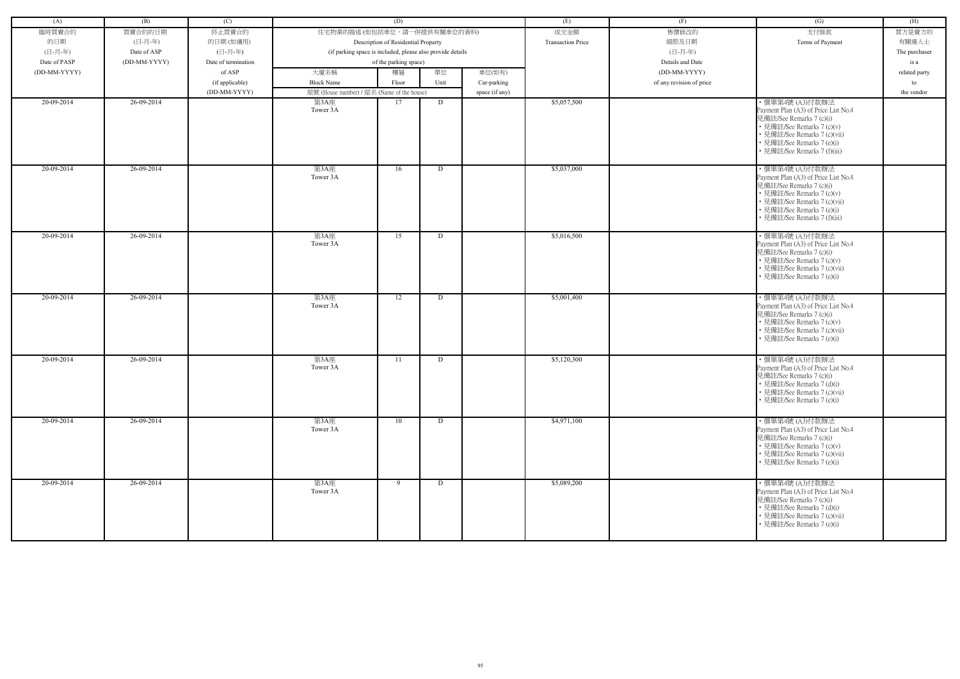| (A)          | (B)          | (C)                 |                                            | (D)                                                        |      |                | (E)                      | (F)                      | (G)                                                                                                                                                                                                             | (H)           |
|--------------|--------------|---------------------|--------------------------------------------|------------------------------------------------------------|------|----------------|--------------------------|--------------------------|-----------------------------------------------------------------------------------------------------------------------------------------------------------------------------------------------------------------|---------------|
| 臨時買賣合約       | 買賣合約的日期      | 終止買賣合約              | 住宅物業的描述 (如包括車位,請一併提供有關車位的資料)               |                                                            |      |                | 成交金額                     | 售價修改的                    | 支付條款                                                                                                                                                                                                            | 買方是賣方的        |
| 的日期          | (日-月-年)      | 的日期(如適用)            |                                            | Description of Residential Property                        |      |                | <b>Transaction Price</b> | 細節及日期                    | Terms of Payment                                                                                                                                                                                                | 有關連人士         |
| (日-月-年)      | Date of ASP  | (日-月-年)             |                                            | (if parking space is included, please also provide details |      |                |                          | (日-月-年)                  |                                                                                                                                                                                                                 | The purchaser |
| Date of PASP | (DD-MM-YYYY) | Date of termination |                                            | of the parking space)                                      |      |                |                          | Details and Date         |                                                                                                                                                                                                                 | is a          |
| (DD-MM-YYYY) |              | of ASP              | 大廈名稱                                       | 樓層                                                         | 單位   | 車位(如有)         |                          | (DD-MM-YYYY)             |                                                                                                                                                                                                                 | related party |
|              |              | (if applicable)     | <b>Block Name</b>                          | Floor                                                      | Unit | Car-parking    |                          | of any revision of price |                                                                                                                                                                                                                 | to            |
|              |              | (DD-MM-YYYY)        | 屋號 (House number) / 屋名 (Name of the house) |                                                            |      | space (if any) |                          |                          |                                                                                                                                                                                                                 | the vendor    |
| 20-09-2014   | 26-09-2014   |                     | 第3A座                                       | 17                                                         | D    |                | \$5,057,500              |                          | ・價單第4號 (A3)付款辦法                                                                                                                                                                                                 |               |
|              |              |                     | Tower 3A                                   |                                                            |      |                |                          |                          | Payment Plan (A3) of Price List No.4<br>見備註/See Remarks 7 (c)(i)<br>• 見備註/See Remarks 7 (c)(v)<br>• 見備註/See Remarks 7 (c)(vii)<br>• 見備註/See Remarks 7 (e)(i)<br>· 見備註/See Remarks 7 (f)(iii)                    |               |
| 20-09-2014   | 26-09-2014   |                     | 第3A座<br>Tower 3A                           | 16                                                         | D    |                | \$5,037,000              |                          | ·價單第4號 (A3)付款辦法<br>Payment Plan (A3) of Price List No.4<br>見備註/See Remarks 7 (c)(i)<br>• 見備註/See Remarks 7 (c)(v)<br>• 見備註/See Remarks 7 (c)(vii)<br>• 見備註/See Remarks 7 (e)(i)<br>• 見備註/See Remarks 7 (f)(iii) |               |
| 20-09-2014   | 26-09-2014   |                     | 第3A座<br>Tower 3A                           | 15                                                         | D    |                | \$5,016,500              |                          | ・價單第4號 (A3)付款辦法<br>Payment Plan (A3) of Price List No.4<br>見備註/See Remarks 7 (c)(i)<br>• 見備註/See Remarks 7 (c)(v)<br>• 見備註/See Remarks 7 (c)(vii)<br>• 見備註/See Remarks 7 (e)(i)                                 |               |
| 20-09-2014   | 26-09-2014   |                     | 第3A座<br>Tower 3A                           | 12                                                         | D    |                | \$5,001,400              |                          | · 價單第4號 (A3)付款辦法<br>Payment Plan (A3) of Price List No.4<br>見備註/See Remarks 7 (c)(i)<br>• 見備註/See Remarks 7 (c)(v)<br>• 見備註/See Remarks 7 (c)(vii)<br>• 見備註/See Remarks 7 (e)(i)                                |               |
| 20-09-2014   | 26-09-2014   |                     | 第3A座<br>Tower 3A                           | 11                                                         | D    |                | \$5,120,300              |                          | · 價單第4號 (A3)付款辦法<br>Payment Plan (A3) of Price List No.4<br>見備註/See Remarks 7 (c)(i)<br>• 見備註/See Remarks 7 (d)(i)<br>• 見備註/See Remarks 7 (c)(vii)<br>• 見備註/See Remarks 7 (e)(i)                                |               |
| 20-09-2014   | 26-09-2014   |                     | 第3A座<br>Tower 3A                           | 10                                                         | D    |                | \$4,971,100              |                          | · 價單第4號 (A3)付款辦法<br>Payment Plan (A3) of Price List No.4<br>見備註/See Remarks 7 (c)(i)<br>• 見備註/See Remarks 7 (c)(v)<br>• 見備註/See Remarks 7 (c)(vii)<br>• 見備註/See Remarks 7 (e)(i)                                |               |
| 20-09-2014   | 26-09-2014   |                     | 第3A座<br>Tower 3A                           | 9                                                          | D    |                | \$5,089,200              |                          | ・價單第4號 (A3)付款辦法<br>Payment Plan (A3) of Price List No.4<br>見備註/See Remarks 7 (c)(i)<br>• 見備註/See Remarks 7 (d)(i)<br>• 見備註/See Remarks 7 (c)(vii)<br>• 見備註/See Remarks 7 (e)(i)                                 |               |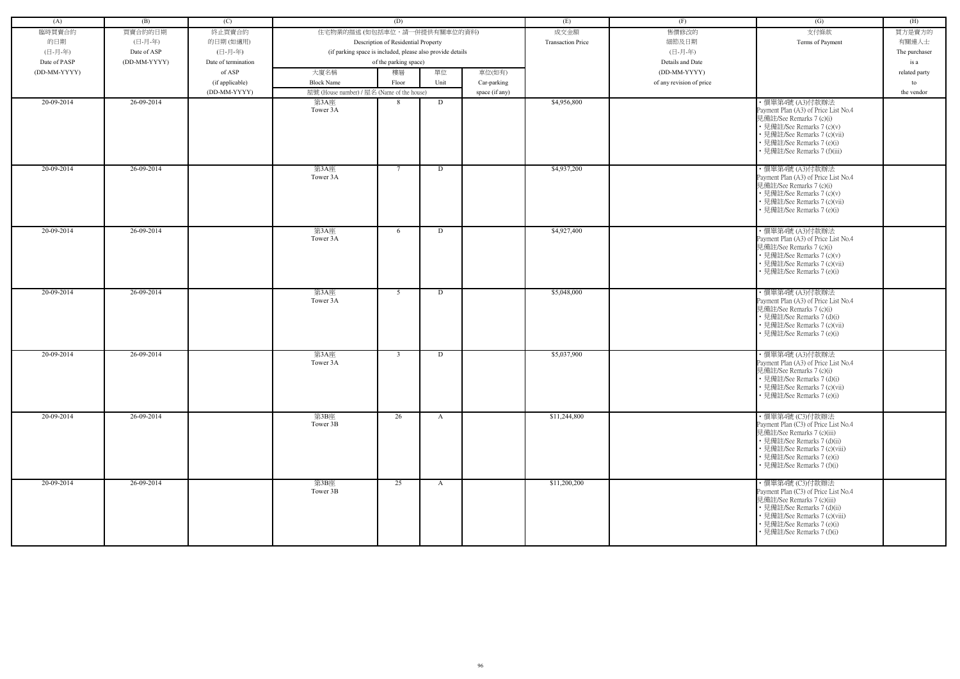| (A)          | (B)          | (C)                 |                                                            | (D)                                 |              |                | (E)                      | (F)                      | (G)                                                                                                                                                                                                               | (H)           |
|--------------|--------------|---------------------|------------------------------------------------------------|-------------------------------------|--------------|----------------|--------------------------|--------------------------|-------------------------------------------------------------------------------------------------------------------------------------------------------------------------------------------------------------------|---------------|
|              |              |                     |                                                            |                                     |              |                |                          |                          |                                                                                                                                                                                                                   |               |
| 臨時買賣合約       | 買賣合約的日期      | 終止買賣合約              | 住宅物業的描述 (如包括車位,請一併提供有關車位的資料)                               |                                     |              |                | 成交金額                     | 售價修改的                    | 支付條款                                                                                                                                                                                                              | 買方是賣方的        |
| 的日期          | (日-月-年)      | 的日期(如適用)            |                                                            | Description of Residential Property |              |                | <b>Transaction Price</b> | 細節及日期                    | Terms of Payment                                                                                                                                                                                                  | 有關連人士         |
| (日-月-年)      | Date of ASP  | (日-月-年)             | (if parking space is included, please also provide details |                                     |              |                |                          | (日-月-年)                  |                                                                                                                                                                                                                   | The purchaser |
| Date of PASP | (DD-MM-YYYY) | Date of termination |                                                            | of the parking space)               |              |                |                          | Details and Date         |                                                                                                                                                                                                                   | is a          |
| (DD-MM-YYYY) |              | of ASP              | 大廈名稱                                                       | 樓層                                  | 單位           | 車位(如有)         |                          | (DD-MM-YYYY)             |                                                                                                                                                                                                                   | related party |
|              |              | (if applicable)     | <b>Block Name</b>                                          | Floor                               | Unit         | Car-parking    |                          | of any revision of price |                                                                                                                                                                                                                   | to            |
|              |              | (DD-MM-YYYY)        | 屋號 (House number) / 屋名 (Name of the house)                 |                                     |              | space (if any) |                          |                          |                                                                                                                                                                                                                   | the vendor    |
| 20-09-2014   | 26-09-2014   |                     | 第3A座<br>Tower 3A                                           | 8                                   | D            |                | \$4,956,800              |                          | ・價單第4號 (A3)付款辦法<br>Payment Plan (A3) of Price List No.4<br>見備註/See Remarks 7 (c)(i)<br>• 見備註/See Remarks 7 (c)(v)<br>• 見備註/See Remarks 7 (c)(vii)<br>• 見備註/See Remarks 7 (e)(i)<br>見備註/See Remarks 7 (f)(iii)     |               |
| 20-09-2014   | 26-09-2014   |                     | 第3A座<br>Tower 3A                                           | -7                                  | D            |                | \$4,937,200              |                          | · 價單第4號 (A3)付款辦法<br>Payment Plan (A3) of Price List No.4<br>見備註/See Remarks 7 (c)(i)<br>• 見備註/See Remarks 7 (c)(v)<br>· 見備註/See Remarks 7 (c)(vii)<br>• 見備註/See Remarks 7 (e)(i)                                  |               |
| 20-09-2014   | 26-09-2014   |                     | 第3A座<br>Tower 3A                                           | 6                                   | D            |                | \$4,927,400              |                          | ・價單第4號 (A3)付款辦法<br>Payment Plan (A3) of Price List No.4<br>見備註/See Remarks 7 (c)(i)<br>• 見備註/See Remarks 7 (c)(v)<br>• 見備註/See Remarks 7 (c)(vii)<br>• 見備註/See Remarks 7 (e)(i)                                   |               |
| 20-09-2014   | 26-09-2014   |                     | 第3A座<br>Tower 3A                                           | 5                                   | D            |                | \$5,048,000              |                          | ·價單第4號 (A3)付款辦法<br>Payment Plan (A3) of Price List No.4<br>見備註/See Remarks 7 (c)(i)<br>• 見備註/See Remarks 7 (d)(i)<br>• 見備註/See Remarks 7 (c)(vii)<br>• 見備註/See Remarks 7 (e)(i)                                   |               |
| 20-09-2014   | 26-09-2014   |                     | 第3A座<br>Tower 3A                                           | $\overline{3}$                      | D            |                | \$5,037,900              |                          | ・價單第4號 (A3)付款辦法<br>Payment Plan (A3) of Price List No.4<br>見備註/See Remarks 7 (c)(i)<br>• 見備註/See Remarks 7 (d)(i)<br>• 見備註/See Remarks 7 (c)(vii)<br>• 見備註/See Remarks 7 (e)(i)                                   |               |
| 20-09-2014   | 26-09-2014   |                     | 第3B座<br>Tower 3B                                           | $\overline{26}$                     | $\mathbf{A}$ |                | \$11,244,800             |                          | ・價單第4號 (C3)付款辦法<br>Payment Plan (C3) of Price List No.4<br>見備註/See Remarks 7 (c)(iii)<br>• 見備註/See Remarks 7 (d)(ii)<br>• 見備註/See Remarks 7 (c)(viii)<br>• 見備註/See Remarks 7 (e)(i)<br>• 見備註/See Remarks 7 (f)(i) |               |
| 20-09-2014   | 26-09-2014   |                     | 第3B座<br>Tower 3B                                           | 25                                  | A            |                | \$11,200,200             |                          | ・價單第4號 (C3)付款辦法<br>Payment Plan (C3) of Price List No.4<br>見備註/See Remarks 7 (c)(iii)<br>• 見備註/See Remarks 7 (d)(ii)<br>• 見備註/See Remarks 7 (c)(viii)<br>• 見備註/See Remarks 7 (e)(i)<br>• 見備註/See Remarks 7 (f)(i) |               |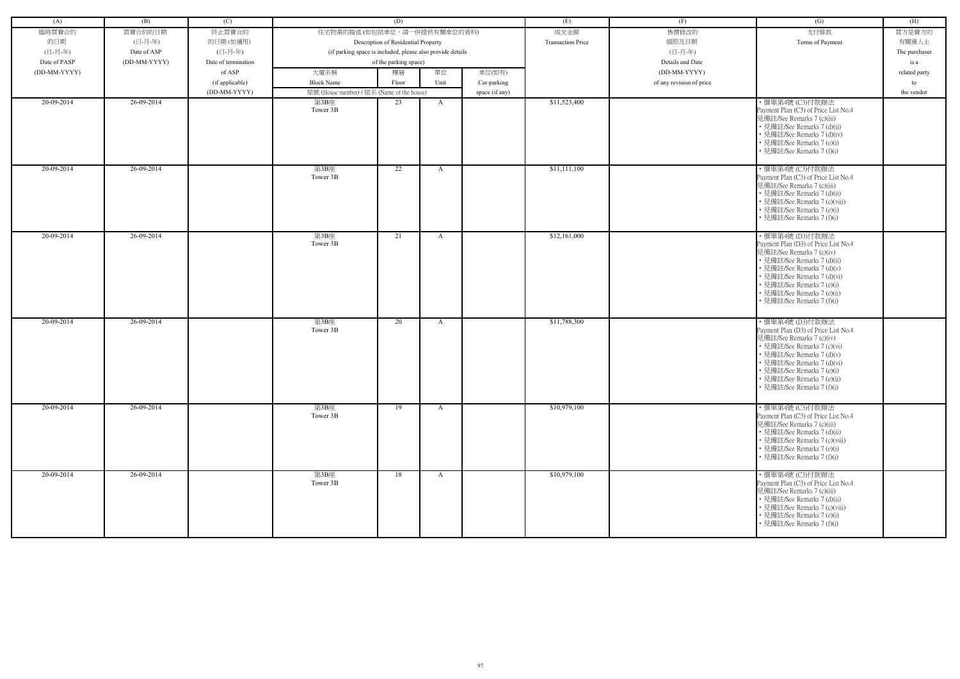| (A)          | (B)          | (C)                 |                                                            | (D)                                 |              |                | (E)                      | (F)                      | (G)                                                                                                                                                                                                                                                                         | (H)           |
|--------------|--------------|---------------------|------------------------------------------------------------|-------------------------------------|--------------|----------------|--------------------------|--------------------------|-----------------------------------------------------------------------------------------------------------------------------------------------------------------------------------------------------------------------------------------------------------------------------|---------------|
| 臨時買賣合約       | 買賣合約的日期      | 終止買賣合約              | 住宅物業的描述 (如包括車位,請一併提供有關車位的資料)                               |                                     |              |                | 成交金額                     | 售價修改的                    | 支付條款                                                                                                                                                                                                                                                                        | 買方是賣方的        |
| 的日期          | (日-月-年)      | 的日期(如適用)            |                                                            | Description of Residential Property |              |                | <b>Transaction Price</b> | 細節及日期                    | Terms of Payment                                                                                                                                                                                                                                                            | 有關連人士         |
| (日-月-年)      | Date of ASP  | (日-月-年)             | (if parking space is included, please also provide details |                                     |              |                |                          | (日-月-年)                  |                                                                                                                                                                                                                                                                             | The purchaser |
| Date of PASP | (DD-MM-YYYY) | Date of termination |                                                            | of the parking space)               |              |                |                          | Details and Date         |                                                                                                                                                                                                                                                                             | is a          |
| (DD-MM-YYYY) |              | of ASP              | 大廈名稱                                                       | 樓層                                  | 單位           | 車位(如有)         |                          | (DD-MM-YYYY)             |                                                                                                                                                                                                                                                                             | related party |
|              |              | (if applicable)     | <b>Block Name</b>                                          | Floor                               | Unit         | Car-parking    |                          | of any revision of price |                                                                                                                                                                                                                                                                             | to            |
|              |              | (DD-MM-YYYY)        | 屋號 (House number) / 屋名 (Name of the house)                 |                                     |              | space (if any) |                          |                          |                                                                                                                                                                                                                                                                             | the vendor    |
| 20-09-2014   | 26-09-2014   |                     | 第3B座<br>Tower 3B                                           | 23                                  | A            |                | \$11,523,400             |                          | ・價單第4號 (C3)付款辦法<br>Payment Plan (C3) of Price List No.4<br>見備註/See Remarks 7 (c)(iii)<br>• 見備註/See Remarks 7 (d)(ii)<br>• 見備註/See Remarks 7 (d)(iv)<br>• 見備註/See Remarks 7 (e)(i)<br>• 見備註/See Remarks 7 (f)(i)                                                             |               |
| 20-09-2014   | 26-09-2014   |                     | 第3B座<br>Tower 3B                                           | 22                                  | A            |                | \$11,111,100             |                          | · 價單第4號 (C3)付款辦法<br>Payment Plan (C3) of Price List No.4<br>見備註/See Remarks 7 (c)(iii)<br>• 見備註/See Remarks 7 (d)(ii)<br>• 見備註/See Remarks 7 (c)(viii)<br>• 見備註/See Remarks 7 (e)(i)<br>• 見備註/See Remarks 7 (f)(i)                                                          |               |
| 20-09-2014   | 26-09-2014   |                     | 第3B座<br>Tower 3B                                           | 21                                  | A            |                | \$12,161,000             |                          | ・價單第4號 (D3)付款辦法<br>Payment Plan (D3) of Price List No.4<br>見備註/See Remarks 7 (c)(iv)<br>• 見備註/See Remarks 7 (d)(ii)<br>• 見備註/See Remarks 7 (d)(v)<br>· 見備註/See Remarks 7 (d)(vi)<br>• 見備註/See Remarks 7 (e)(i)<br>· 見備註/See Remarks 7 (e)(ii)<br>• 見備註/See Remarks 7 (f)(i) |               |
| 20-09-2014   | 26-09-2014   |                     | 第3B座<br>Tower 3B                                           | 20                                  | A            |                | \$11,788,300             |                          | ・價單第4號 (D3)付款辦法<br>Payment Plan (D3) of Price List No.4<br>見備註/See Remarks 7 (c)(iv)<br>• 見備註/See Remarks 7 (c)(vi)<br>· 見備註/See Remarks 7 (d)(v)<br>• 見備註/See Remarks 7 (d)(vi)<br>• 見備註/See Remarks 7 (e)(i)<br>• 見備註/See Remarks 7 (e)(ii)<br>• 見備註/See Remarks 7 (f)(i) |               |
| 20-09-2014   | 26-09-2014   |                     | 第3B座<br>Tower 3B                                           | 19                                  | $\mathbf{A}$ |                | \$10,979,100             |                          | ・價單第4號 (C3)付款辦法<br>Payment Plan (C3) of Price List No.4<br>見備註/See Remarks 7 (c)(iii)<br>• 見備註/See Remarks 7 (d)(ii)<br>• 見備註/See Remarks 7 (c)(viii)<br>• 見備註/See Remarks 7 (e)(i)<br>• 見備註/See Remarks 7 (f)(i)                                                           |               |
| 20-09-2014   | 26-09-2014   |                     | 第3B座<br>Tower 3B                                           | 18                                  | $\mathbf{A}$ |                | \$10,979,100             |                          | ・價單第4號 (C3)付款辦法<br>Payment Plan (C3) of Price List No.4<br>見備註/See Remarks 7 (c)(iii)<br>• 見備註/See Remarks 7 (d)(ii)<br>• 見備註/See Remarks 7 (c)(viii)<br>• 見備註/See Remarks 7 (e)(i)<br>• 見備註/See Remarks 7 (f)(i)                                                           |               |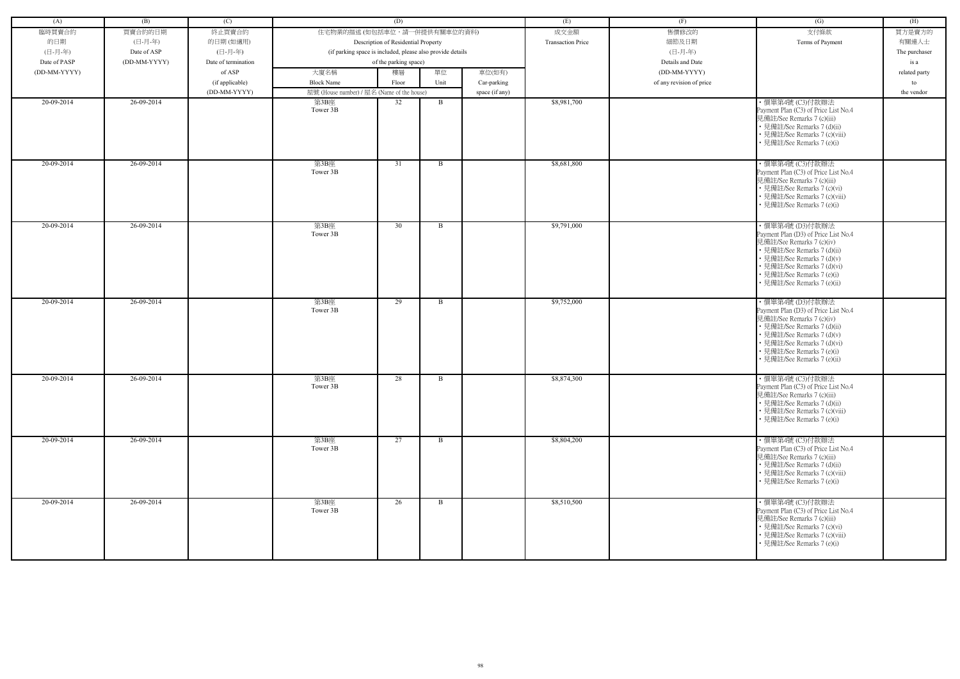| (A)          | (B)          | (C)                 |                                                            | (D)                                 |              |                | (E)                      | (F)                      | (G)                                                                                                                                                                                                                                            | (H)           |
|--------------|--------------|---------------------|------------------------------------------------------------|-------------------------------------|--------------|----------------|--------------------------|--------------------------|------------------------------------------------------------------------------------------------------------------------------------------------------------------------------------------------------------------------------------------------|---------------|
| 臨時買賣合約       | 買賣合約的日期      | 終止買賣合約              | 住宅物業的描述 (如包括車位,請一併提供有關車位的資料)                               |                                     |              |                | 成交金額                     | 售價修改的                    | 支付條款                                                                                                                                                                                                                                           | 買方是賣方的        |
| 的日期          | (日-月-年)      | 的日期(如適用)            |                                                            | Description of Residential Property |              |                | <b>Transaction Price</b> | 細節及日期                    | Terms of Payment                                                                                                                                                                                                                               | 有關連人士         |
| (日-月-年)      | Date of ASP  | (日-月-年)             | (if parking space is included, please also provide details |                                     |              |                |                          | (日-月-年)                  |                                                                                                                                                                                                                                                | The purchaser |
| Date of PASP | (DD-MM-YYYY) | Date of termination |                                                            | of the parking space)               |              |                |                          | Details and Date         |                                                                                                                                                                                                                                                | is a          |
| (DD-MM-YYYY) |              | of ASP              | 大廈名稱                                                       | 樓層                                  | 單位           | 車位(如有)         |                          | (DD-MM-YYYY)             |                                                                                                                                                                                                                                                | related party |
|              |              | (if applicable)     | <b>Block Name</b>                                          | Floor                               | Unit         | Car-parking    |                          | of any revision of price |                                                                                                                                                                                                                                                | to            |
|              |              | (DD-MM-YYYY)        | 屋號 (House number) / 屋名 (Name of the house)                 |                                     |              | space (if any) |                          |                          |                                                                                                                                                                                                                                                | the vendor    |
| 20-09-2014   | 26-09-2014   |                     | 第3B座                                                       | 32                                  | B            |                | \$8,981,700              |                          | ・價單第4號 (C3)付款辦法                                                                                                                                                                                                                                |               |
|              |              |                     | Tower 3B                                                   |                                     |              |                |                          |                          | Payment Plan (C3) of Price List No.4<br>見備註/See Remarks 7 (c)(iii)<br>• 見備註/See Remarks 7 (d)(ii)<br>• 見備註/See Remarks 7 (c)(viii)<br>• 見備註/See Remarks 7 (e)(i)                                                                               |               |
| 20-09-2014   | 26-09-2014   |                     | 第3B座<br>Tower 3B                                           | 31                                  | B            |                | \$8,681,800              |                          | · 價單第4號 (C3)付款辦法<br>Payment Plan (C3) of Price List No.4<br>見備註/See Remarks 7 (c)(iii)<br>• 見備註/See Remarks 7 (c)(vi)<br>• 見備註/See Remarks 7 (c)(viii)<br>• 見備註/See Remarks 7 (e)(i)                                                           |               |
| 20-09-2014   | 26-09-2014   |                     | 第3B座<br>Tower 3B                                           | 30                                  | B            |                | \$9,791,000              |                          | · 價單第4號 (D3)付款辦法<br>Payment Plan (D3) of Price List No.4<br>見備註/See Remarks 7 (c)(iv)<br>• 見備註/See Remarks 7 (d)(ii)<br>• 見備註/See Remarks 7 (d)(v)<br>• 見備註/See Remarks 7 (d)(vi)<br>• 見備註/See Remarks 7 (e)(i)<br>· 見備註/See Remarks 7 (e)(ii) |               |
| 20-09-2014   | 26-09-2014   |                     | 第3B座<br>Tower 3B                                           | 29                                  | B            |                | \$9,752,000              |                          | · 價單第4號 (D3)付款辦法<br>Payment Plan (D3) of Price List No.4<br>見備註/See Remarks 7 (c)(iv)<br>• 見備註/See Remarks 7 (d)(ii)<br>• 見備註/See Remarks 7 (d)(v)<br>• 見備註/See Remarks 7 (d)(vi)<br>• 見備註/See Remarks 7 (e)(i)<br>· 見備註/See Remarks 7 (e)(ii) |               |
| 20-09-2014   | 26-09-2014   |                     | 第3B座<br>Tower 3B                                           | 28                                  | B            |                | \$8,874,300              |                          | ・價單第4號 (C3)付款辦法<br>Payment Plan (C3) of Price List No.4<br>見備註/See Remarks 7 (c)(iii)<br>• 見備註/See Remarks 7 (d)(ii)<br>• 見備註/See Remarks 7 (c)(viii)<br>• 見備註/See Remarks 7 (e)(i)                                                            |               |
| 20-09-2014   | 26-09-2014   |                     | 第3B座<br>Tower 3B                                           | 27                                  | $\mathbf{B}$ |                | \$8,804,200              |                          | ・價單第4號 (C3)付款辦法<br>Payment Plan (C3) of Price List No.4<br>見備註/See Remarks 7 (c)(iii)<br>• 見備註/See Remarks 7 (d)(ii)<br>• 見備註/See Remarks 7 (c)(viii)<br>• 見備註/See Remarks 7 (e)(i)                                                            |               |
| 20-09-2014   | 26-09-2014   |                     | 第3B座<br>Tower 3B                                           | 26                                  | B            |                | \$8,510,500              |                          | ・價單第4號 (C3)付款辦法<br>Payment Plan (C3) of Price List No.4<br>見備註/See Remarks 7 (c)(iii)<br>• 見備註/See Remarks 7 (c)(vi)<br>• 見備註/See Remarks 7 (c)(viii)<br>• 見備註/See Remarks 7 (e)(i)                                                            |               |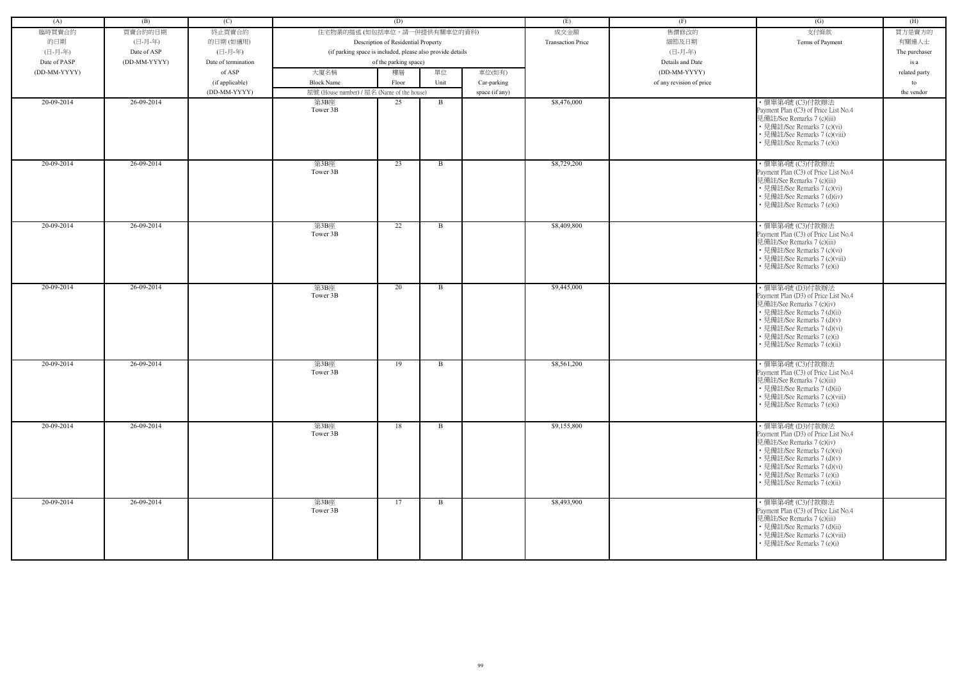|              |              |                     |                                                            | (D)                                 |              |                |                          |                          |                                                                                                                                                                                                                                               |               |
|--------------|--------------|---------------------|------------------------------------------------------------|-------------------------------------|--------------|----------------|--------------------------|--------------------------|-----------------------------------------------------------------------------------------------------------------------------------------------------------------------------------------------------------------------------------------------|---------------|
| (A)          | (B)          | (C)                 |                                                            |                                     |              |                | (E)                      | (F)                      | (G)                                                                                                                                                                                                                                           | (H)           |
| 臨時買賣合約       | 買賣合約的日期      | 終止買賣合約              | 住宅物業的描述 (如包括車位,請一併提供有關車位的資料)                               |                                     |              |                | 成交金額                     | 售價修改的                    | 支付條款                                                                                                                                                                                                                                          | 買方是賣方的        |
| 的日期          | (日-月-年)      | 的日期(如適用)            |                                                            | Description of Residential Property |              |                | <b>Transaction Price</b> | 細節及日期                    | Terms of Payment                                                                                                                                                                                                                              | 有關連人士         |
| (日-月-年)      | Date of ASP  | (日-月-年)             | (if parking space is included, please also provide details |                                     |              |                |                          | (日-月-年)                  |                                                                                                                                                                                                                                               | The purchaser |
| Date of PASP | (DD-MM-YYYY) | Date of termination |                                                            | of the parking space)               |              |                |                          | Details and Date         |                                                                                                                                                                                                                                               | is a          |
| (DD-MM-YYYY) |              | of ASP              | 大廈名稱                                                       | 樓層                                  | 單位           | 車位(如有)         |                          | (DD-MM-YYYY)             |                                                                                                                                                                                                                                               | related party |
|              |              | (if applicable)     | <b>Block Name</b>                                          | Floor                               | Unit         | Car-parking    |                          | of any revision of price |                                                                                                                                                                                                                                               | to            |
|              |              | (DD-MM-YYYY)        | 屋號 (House number) / 屋名 (Name of the house)                 |                                     |              | space (if any) |                          |                          |                                                                                                                                                                                                                                               | the vendor    |
| 20-09-2014   | 26-09-2014   |                     | 第3B座<br>Tower 3B                                           | 25                                  | B            |                | \$8,476,000              |                          | ・價單第4號 (C3)付款辦法<br>Payment Plan (C3) of Price List No.4<br>見備註/See Remarks 7 (c)(iii)<br>• 見備註/See Remarks 7 (c)(vi)<br>• 見備註/See Remarks 7 (c)(viii)<br>• 見備註/See Remarks 7 (e)(i)                                                           |               |
| 20-09-2014   | 26-09-2014   |                     | 第3B座<br>Tower 3B                                           | 23                                  | B            |                | \$8,729,200              |                          | ·價單第4號 (C3)付款辦法<br>Payment Plan (C3) of Price List No.4<br>見備註/See Remarks 7 (c)(iii)<br>• 見備註/See Remarks 7 (c)(vi)<br>• 見備註/See Remarks 7 (d)(iv)<br>• 見備註/See Remarks 7 (e)(i)                                                             |               |
| 20-09-2014   | 26-09-2014   |                     | 第3B座<br>Tower 3B                                           | 22                                  | B            |                | \$8,409,800              |                          | ・價單第4號 (C3)付款辦法<br>Payment Plan (C3) of Price List No.4<br>見備註/See Remarks 7 (c)(iii)<br>• 見備註/See Remarks 7 (c)(vi)<br>• 見備註/See Remarks 7 (c)(viii)<br>• 見備註/See Remarks 7 (e)(i)                                                           |               |
| 20-09-2014   | 26-09-2014   |                     | 第3B座<br>Tower 3B                                           | 20                                  | B            |                | \$9,445,000              |                          | ・價單第4號 (D3)付款辦法<br>Payment Plan (D3) of Price List No.4<br>見備註/See Remarks 7 (c)(iv)<br>• 見備註/See Remarks 7 (d)(ii)<br>• 見備註/See Remarks 7 (d)(v)<br>• 見備註/See Remarks 7 (d)(vi)<br>• 見備註/See Remarks 7 (e)(i)<br>· 見備註/See Remarks 7 (e)(ii) |               |
| 20-09-2014   | 26-09-2014   |                     | 第3B座<br>Tower 3B                                           | 19                                  | B            |                | \$8,561,200              |                          | · 價單第4號 (C3)付款辦法<br>Payment Plan (C3) of Price List No.4<br>見備註/See Remarks 7 (c)(iii)<br>• 見備註/See Remarks 7 (d)(ii)<br>• 見備註/See Remarks 7 (c)(viii)<br>• 見備註/See Remarks 7 (e)(i)                                                          |               |
| 20-09-2014   | 26-09-2014   |                     | 第3B座<br>Tower 3B                                           | 18                                  | $\mathbf{B}$ |                | \$9,155,800              |                          | ・價單第4號 (D3)付款辦法<br>Payment Plan (D3) of Price List No.4<br>見備註/See Remarks 7 (c)(iv)<br>• 見備註/See Remarks 7 (c)(vi)<br>• 見備註/See Remarks 7 (d)(v)<br>• 見備註/See Remarks 7 (d)(vi)<br>• 見備註/See Remarks 7 (e)(i)<br>• 見備註/See Remarks 7 (e)(ii) |               |
| 20-09-2014   | 26-09-2014   |                     | 第3B座<br>Tower 3B                                           | 17                                  | B            |                | \$8,493,900              |                          | ・價單第4號 (C3)付款辦法<br>Payment Plan (C3) of Price List No.4<br>見備註/See Remarks 7 (c)(iii)<br>• 見備註/See Remarks 7 (d)(ii)<br>• 見備註/See Remarks 7 (c)(viii)<br>• 見備註/See Remarks 7 (e)(i)                                                           |               |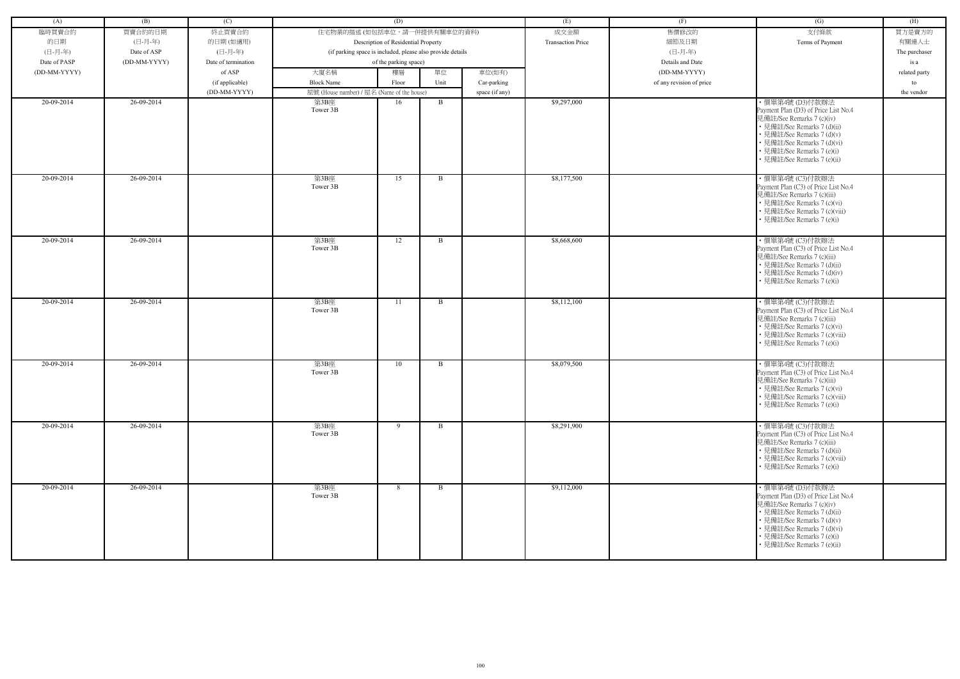| (A)          | (B)          | (C)                 |                                            | (D)                                                        |              |                | (E)                      | (F)                      | (G)                                                                                                                                                                                                                                           | (H)           |
|--------------|--------------|---------------------|--------------------------------------------|------------------------------------------------------------|--------------|----------------|--------------------------|--------------------------|-----------------------------------------------------------------------------------------------------------------------------------------------------------------------------------------------------------------------------------------------|---------------|
| 臨時買賣合約       | 買賣合約的日期      | 終止買賣合約              | 住宅物業的描述 (如包括車位,請一併提供有關車位的資料)               |                                                            |              |                | 成交金額                     | 售價修改的                    | 支付條款                                                                                                                                                                                                                                          | 買方是賣方的        |
| 的日期          | (日-月-年)      | 的日期(如適用)            |                                            | Description of Residential Property                        |              |                | <b>Transaction Price</b> | 細節及日期                    | Terms of Payment                                                                                                                                                                                                                              | 有關連人士         |
| (日-月-年)      | Date of ASP  | (日-月-年)             |                                            | (if parking space is included, please also provide details |              |                |                          | (日-月-年)                  |                                                                                                                                                                                                                                               | The purchaser |
| Date of PASP | (DD-MM-YYYY) | Date of termination |                                            | of the parking space)                                      |              |                |                          | Details and Date         |                                                                                                                                                                                                                                               | is a          |
| (DD-MM-YYYY) |              | of ASP              | 大廈名稱                                       | 樓層                                                         | 單位           | 車位(如有)         |                          | (DD-MM-YYYY)             |                                                                                                                                                                                                                                               | related party |
|              |              | (if applicable)     | <b>Block Name</b>                          | Floor                                                      | Unit         | Car-parking    |                          | of any revision of price |                                                                                                                                                                                                                                               | to            |
|              |              | (DD-MM-YYYY)        | 屋號 (House number) / 屋名 (Name of the house) |                                                            |              | space (if any) |                          |                          |                                                                                                                                                                                                                                               | the vendor    |
| 20-09-2014   | 26-09-2014   |                     | 第3B座<br>Tower 3B                           | 16                                                         | B            |                | \$9,297,000              |                          | ・價單第4號 (D3)付款辦法<br>Payment Plan (D3) of Price List No.4<br>見備註/See Remarks 7 (c)(iv)                                                                                                                                                          |               |
|              |              |                     |                                            |                                                            |              |                |                          |                          | • 見備註/See Remarks 7 (d)(ii)<br>• 見備註/See Remarks 7 (d)(v)<br>• 見備註/See Remarks 7 (d)(vi)<br>• 見備註/See Remarks 7 (e)(i)<br>• 見備註/See Remarks 7 (e)(ii)                                                                                         |               |
| 20-09-2014   | 26-09-2014   |                     | 第3B座<br>Tower 3B                           | 15                                                         | B            |                | \$8,177,500              |                          | ·價單第4號 (C3)付款辦法<br>Payment Plan (C3) of Price List No.4<br>見備註/See Remarks 7 (c)(iii)<br>• 見備註/See Remarks 7 (c)(vi)<br>• 見備註/See Remarks 7 (c)(viii)<br>見備註/See Remarks 7 (e)(i)                                                             |               |
| 20-09-2014   | 26-09-2014   |                     | 第3B座<br>Tower 3B                           | 12                                                         | B            |                | \$8,668,600              |                          | ・價單第4號 (C3)付款辦法<br>Payment Plan (C3) of Price List No.4<br>見備註/See Remarks 7 (c)(iii)<br>• 見備註/See Remarks 7 (d)(ii)<br>• 見備註/See Remarks 7 (d)(iv)<br>• 見備註/See Remarks 7 (e)(i)                                                             |               |
| 20-09-2014   | 26-09-2014   |                     | 第3B座<br>Tower 3B                           | 11                                                         | B            |                | \$8,112,100              |                          | · 價單第4號 (C3)付款辦法<br>Payment Plan (C3) of Price List No.4<br>見備註/See Remarks 7 (c)(iii)<br>• 見備註/See Remarks 7 (c)(vi)<br>• 見備註/See Remarks 7 (c)(viii)<br>• 見備註/See Remarks 7 (e)(i)                                                          |               |
| 20-09-2014   | 26-09-2014   |                     | 第3B座<br>Tower 3B                           | 10                                                         | B            |                | \$8,079,500              |                          | · 價單第4號 (C3)付款辦法<br>Payment Plan (C3) of Price List No.4<br>見備註/See Remarks 7 (c)(iii)<br>• 見備註/See Remarks 7 (c)(vi)<br>• 見備註/See Remarks 7 (c)(viii)<br>• 見備註/See Remarks 7 (e)(i)                                                          |               |
| 20-09-2014   | 26-09-2014   |                     | 第3B座<br>Tower 3B                           | 9                                                          | $\mathbf{B}$ |                | \$8,291,900              |                          | ·價單第4號 (C3)付款辦法<br>Payment Plan (C3) of Price List No.4<br>見備註/See Remarks 7 (c)(iii)<br>• 見備註/See Remarks 7 (d)(ii)<br>• 見備註/See Remarks 7 (c)(viii)<br>• 見備註/See Remarks 7 (e)(i)                                                           |               |
| 20-09-2014   | 26-09-2014   |                     | 第3B座<br>Tower 3B                           | 8                                                          | $\mathbf{B}$ |                | \$9,112,000              |                          | ・價單第4號 (D3)付款辦法<br>Payment Plan (D3) of Price List No.4<br>見備註/See Remarks 7 (c)(iv)<br>• 見備註/See Remarks 7 (d)(ii)<br>• 見備註/See Remarks 7 (d)(v)<br>• 見備註/See Remarks 7 (d)(vi)<br>• 見備註/See Remarks 7 (e)(i)<br>• 見備註/See Remarks 7 (e)(ii) |               |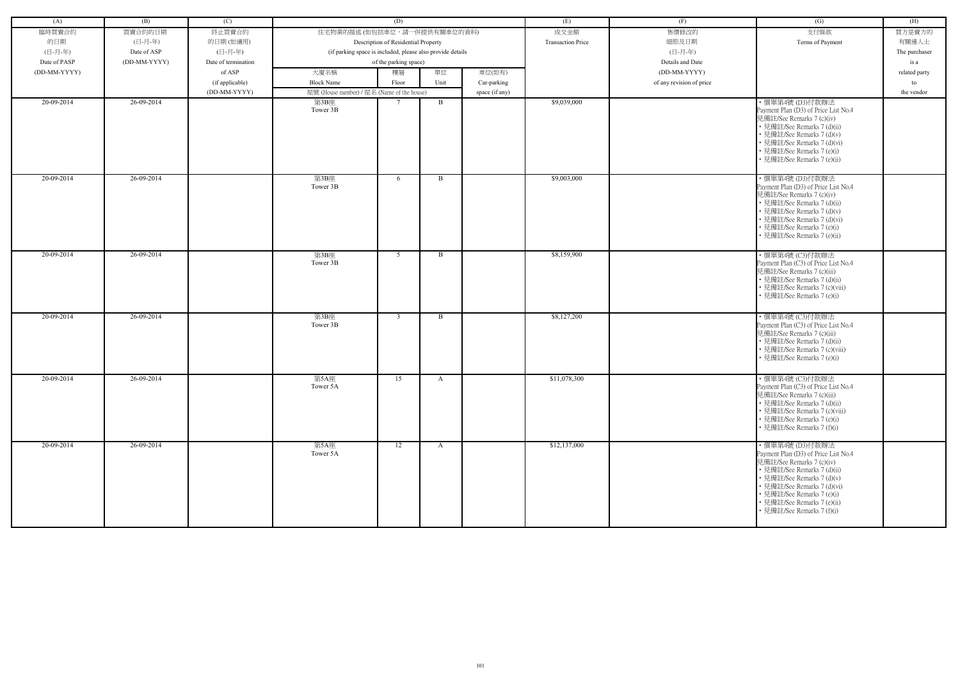| (A)          | (B)          | (C)                 |                                                            | (D)                                 |              |                | (E)                      | (F)                      | (G)                                                                                                                                                                                                                                                                         | (H)                 |
|--------------|--------------|---------------------|------------------------------------------------------------|-------------------------------------|--------------|----------------|--------------------------|--------------------------|-----------------------------------------------------------------------------------------------------------------------------------------------------------------------------------------------------------------------------------------------------------------------------|---------------------|
| 臨時買賣合約       | 買賣合約的日期      | 終止買賣合約              | 住宅物業的描述 (如包括車位,請一併提供有關車位的資料)                               |                                     |              |                | 成交金額                     | 售價修改的                    | 支付條款                                                                                                                                                                                                                                                                        | 買方是賣方的              |
| 的日期          | (日-月-年)      | 的日期(如適用)            |                                                            | Description of Residential Property |              |                | <b>Transaction Price</b> | 細節及日期                    | Terms of Payment                                                                                                                                                                                                                                                            | 有關連人士               |
| (日-月-年)      | Date of ASP  | (日-月-年)             | (if parking space is included, please also provide details |                                     |              |                |                          | (日-月-年)                  |                                                                                                                                                                                                                                                                             | The purchaser       |
| Date of PASP | (DD-MM-YYYY) | Date of termination |                                                            | of the parking space)               |              |                |                          | Details and Date         |                                                                                                                                                                                                                                                                             | is a                |
| (DD-MM-YYYY) |              | of ASP              | 大廈名稱                                                       | 樓層                                  | 單位           | 車位(如有)         |                          | (DD-MM-YYYY)             |                                                                                                                                                                                                                                                                             |                     |
|              |              | (if applicable)     | <b>Block Name</b>                                          | Floor                               | Unit         | Car-parking    |                          | of any revision of price |                                                                                                                                                                                                                                                                             | related party<br>to |
|              |              | (DD-MM-YYYY)        | 屋號 (House number) / 屋名 (Name of the house)                 |                                     |              |                |                          |                          |                                                                                                                                                                                                                                                                             | the vendor          |
| 20-09-2014   | 26-09-2014   |                     | 第3B座                                                       |                                     | B            | space (if any) | \$9,039,000              |                          | ・價單第4號 (D3)付款辦法                                                                                                                                                                                                                                                             |                     |
|              |              |                     | Tower 3B                                                   |                                     |              |                |                          |                          | Payment Plan (D3) of Price List No.4<br>見備註/See Remarks 7 (c)(iv)<br>• 見備註/See Remarks 7 (d)(ii)<br>• 見備註/See Remarks 7 (d)(v)<br>• 見備註/See Remarks 7 (d)(vi)<br>• 見備註/See Remarks 7 (e)(i)<br>• 見備註/See Remarks 7 (e)(ii)                                                  |                     |
| 20-09-2014   | 26-09-2014   |                     | 第3B座<br>Tower 3B                                           | 6                                   | B            |                | \$9,003,000              |                          | ・價單第4號 (D3)付款辦法<br>Payment Plan (D3) of Price List No.4<br>見備註/See Remarks 7 (c)(iv)<br>• 見備註/See Remarks 7 (d)(ii)<br>• 見備註/See Remarks 7 (d)(v)<br>• 見備註/See Remarks 7 (d)(vi)<br>• 見備註/See Remarks 7 (e)(i)<br>• 見備註/See Remarks 7 (e)(ii)                               |                     |
| 20-09-2014   | 26-09-2014   |                     | 第3B座<br>Tower 3B                                           | 5                                   | $\mathbf{B}$ |                | \$8,159,900              |                          | ・價單第4號 (C3)付款辦法<br>Payment Plan (C3) of Price List No.4<br>見備註/See Remarks 7 (c)(iii)<br>• 見備註/See Remarks 7 (d)(ii)<br>• 見備註/See Remarks 7 (c)(viii)<br>• 見備註/See Remarks 7 (e)(i)                                                                                         |                     |
| 20-09-2014   | 26-09-2014   |                     | 第3B座<br>Tower 3B                                           | $\overline{3}$                      | B            |                | \$8,127,200              |                          | · 價單第4號 (C3)付款辦法<br>Payment Plan (C3) of Price List No.4<br>見備註/See Remarks 7 (c)(iii)<br>• 見備註/See Remarks 7 (d)(ii)<br>• 見備註/See Remarks 7 (c)(viii)<br>• 見備註/See Remarks 7 (e)(i)                                                                                        |                     |
| 20-09-2014   | 26-09-2014   |                     | 第5A座<br>Tower 5A                                           | 15                                  | A            |                | \$11,078,300             |                          | ·價單第4號 (C3)付款辦法<br>Payment Plan (C3) of Price List No.4<br>見備註/See Remarks 7 (c)(iii)<br>• 見備註/See Remarks 7 (d)(ii)<br>• 見備註/See Remarks 7 (c)(viii)<br>• 見備註/See Remarks 7 (e)(i)<br>• 見備註/See Remarks 7 (f)(i)                                                           |                     |
| 20-09-2014   | 26-09-2014   |                     | 第5A座<br>Tower 5A                                           | 12                                  | $\mathbf{A}$ |                | \$12,137,000             |                          | ・價單第4號 (D3)付款辦法<br>Payment Plan (D3) of Price List No.4<br>見備註/See Remarks 7 (c)(iv)<br>• 見備註/See Remarks 7 (d)(ii)<br>• 見備註/See Remarks 7 (d)(v)<br>• 見備註/See Remarks 7 (d)(vi)<br>• 見備註/See Remarks 7 (e)(i)<br>• 見備註/See Remarks 7 (e)(ii)<br>• 見備註/See Remarks 7 (f)(i) |                     |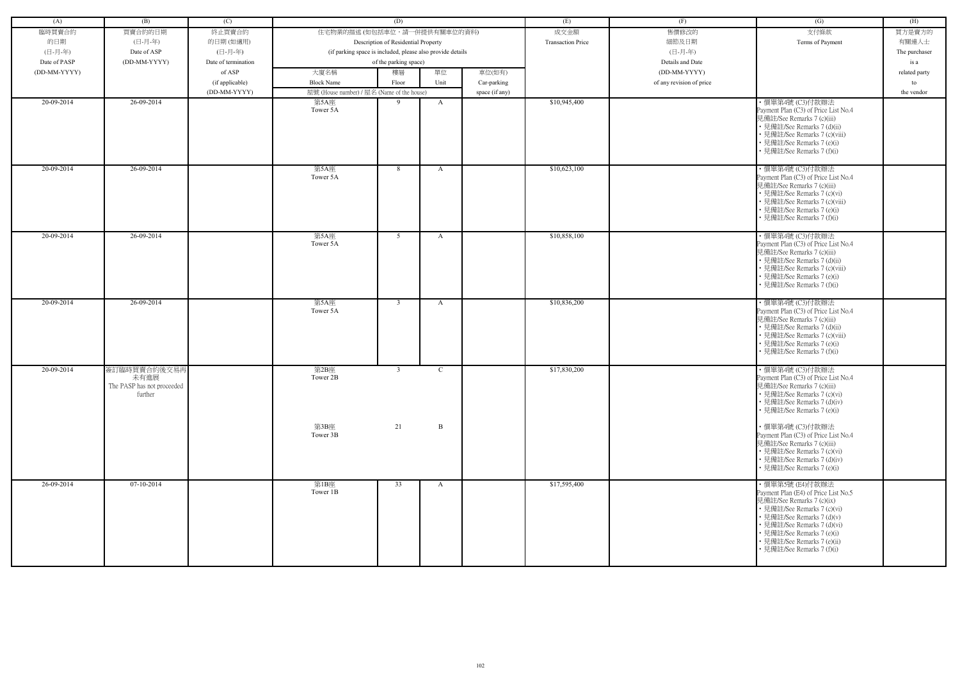| (A)          | (B)                                                           | (C)                 |                                                            | (D)                                 |              |                | (E)                      | (F)                      | (G)                                                                                                                                                                                                                                                                         | (H)           |
|--------------|---------------------------------------------------------------|---------------------|------------------------------------------------------------|-------------------------------------|--------------|----------------|--------------------------|--------------------------|-----------------------------------------------------------------------------------------------------------------------------------------------------------------------------------------------------------------------------------------------------------------------------|---------------|
|              |                                                               |                     | 住宅物業的描述 (如包括車位,請一併提供有關車位的資料)                               |                                     |              |                |                          |                          |                                                                                                                                                                                                                                                                             |               |
| 臨時買賣合約       | 買賣合約的日期                                                       | 終止買賣合約              |                                                            |                                     |              |                | 成交金額                     | 售價修改的                    | 支付條款                                                                                                                                                                                                                                                                        | 買方是賣方的        |
| 的日期          | (日-月-年)                                                       | 的日期(如適用)            |                                                            | Description of Residential Property |              |                | <b>Transaction Price</b> | 細節及日期                    | Terms of Payment                                                                                                                                                                                                                                                            | 有關連人士         |
| (日-月-年)      | Date of ASP                                                   | (日-月-年)             | (if parking space is included, please also provide details |                                     |              |                |                          | (日-月-年)                  |                                                                                                                                                                                                                                                                             | The purchaser |
| Date of PASP | (DD-MM-YYYY)                                                  | Date of termination |                                                            | of the parking space)               |              |                |                          | Details and Date         |                                                                                                                                                                                                                                                                             | is a          |
| (DD-MM-YYYY) |                                                               | of ASP              | 大廈名稱                                                       | 樓層                                  | 單位           | 車位(如有)         |                          | (DD-MM-YYYY)             |                                                                                                                                                                                                                                                                             | related party |
|              |                                                               | (if applicable)     | <b>Block Name</b>                                          | Floor                               | Unit         | Car-parking    |                          | of any revision of price |                                                                                                                                                                                                                                                                             | to            |
|              |                                                               | (DD-MM-YYYY)        | 屋號 (House number) / 屋名 (Name of the house)                 |                                     |              | space (if any) |                          |                          |                                                                                                                                                                                                                                                                             | the vendor    |
| 20-09-2014   | 26-09-2014                                                    |                     | 第5A座<br>Tower 5A                                           | 9                                   | A            |                | \$10,945,400             |                          | · 價單第4號 (C3)付款辦法<br>Payment Plan (C3) of Price List No.4<br>見備註/See Remarks 7 (c)(iii)<br>• 見備註/See Remarks 7 (d)(ii)<br>• 見備註/See Remarks 7 (c)(viii)<br>• 見備註/See Remarks 7 (e)(i)<br>• 見備註/See Remarks 7 (f)(i)                                                          |               |
| 20-09-2014   | 26-09-2014                                                    |                     | 第5A座<br>Tower 5A                                           | 8                                   | A            |                | \$10,623,100             |                          | · 價單第4號 (C3)付款辦法<br>Payment Plan (C3) of Price List No.4<br>見備註/See Remarks 7 (c)(iii)<br>• 見備註/See Remarks 7 (c)(vi)<br>• 見備註/See Remarks 7 (c)(viii)<br>• 見備註/See Remarks 7 (e)(i)<br>• 見備註/See Remarks 7 (f)(i)                                                          |               |
| 20-09-2014   | 26-09-2014                                                    |                     | 第5A座<br>Tower 5A                                           | 5                                   | A            |                | \$10,858,100             |                          | ・價單第4號 (C3)付款辦法<br>Payment Plan (C3) of Price List No.4<br>見備註/See Remarks 7 (c)(iii)<br>• 見備註/See Remarks 7 (d)(ii)<br>• 見備註/See Remarks 7 (c)(viii)<br>• 見備註/See Remarks 7 (e)(i)<br>• 見備註/See Remarks 7 (f)(i)                                                           |               |
| 20-09-2014   | 26-09-2014                                                    |                     | 第5A座<br>Tower 5A                                           | $\overline{3}$                      | A            |                | \$10,836,200             |                          | ・價單第4號 (C3)付款辦法<br>Payment Plan (C3) of Price List No.4<br>見備註/See Remarks 7 (c)(iii)<br>• 見備註/See Remarks 7 (d)(ii)<br>• 見備註/See Remarks 7 (c)(viii)<br>• 見備註/See Remarks 7 (e)(i)<br>見備註/See Remarks 7 (f)(i)                                                             |               |
| 20-09-2014   | 簽訂臨時買賣合約後交易再<br>未有進展<br>The PASP has not proceeded<br>further |                     | 第2B座<br>Tower 2B                                           | $\overline{3}$                      | $\mathbf C$  |                | \$17,830,200             |                          | · 價單第4號 (C3)付款辦法<br>Payment Plan (C3) of Price List No.4<br>見備註/See Remarks 7 (c)(iii)<br>• 見備註/See Remarks 7 (c)(vi)<br>• 見備註/See Remarks 7 (d)(iv)<br>• 見備註/See Remarks 7 (e)(i)                                                                                          |               |
|              |                                                               |                     | 第3B座<br>Tower 3B                                           | 21                                  | $\mathbf{B}$ |                |                          |                          | ·價單第4號 (C3)付款辦法<br>Payment Plan (C3) of Price List No.4<br>見備註/See Remarks 7 (c)(iii)<br>• 見備註/See Remarks 7 (c)(vi)<br>• 見備註/See Remarks 7 (d)(iv)<br>• 見備註/See Remarks 7 (e)(i)                                                                                           |               |
| 26-09-2014   | $07-10-2014$                                                  |                     | 第1B座<br>Tower 1B                                           | 33                                  | A            |                | \$17,595,400             |                          | ・價單第5號 (E4)付款辦法<br>Payment Plan (E4) of Price List No.5<br>見備註/See Remarks 7 (c)(ix)<br>• 見備註/See Remarks 7 (c)(vi)<br>• 見備註/See Remarks 7 (d)(v)<br>• 見備註/See Remarks 7 (d)(vi)<br>• 見備註/See Remarks 7 (e)(i)<br>• 見備註/See Remarks 7 (e)(ii)<br>• 見備註/See Remarks 7 (f)(i) |               |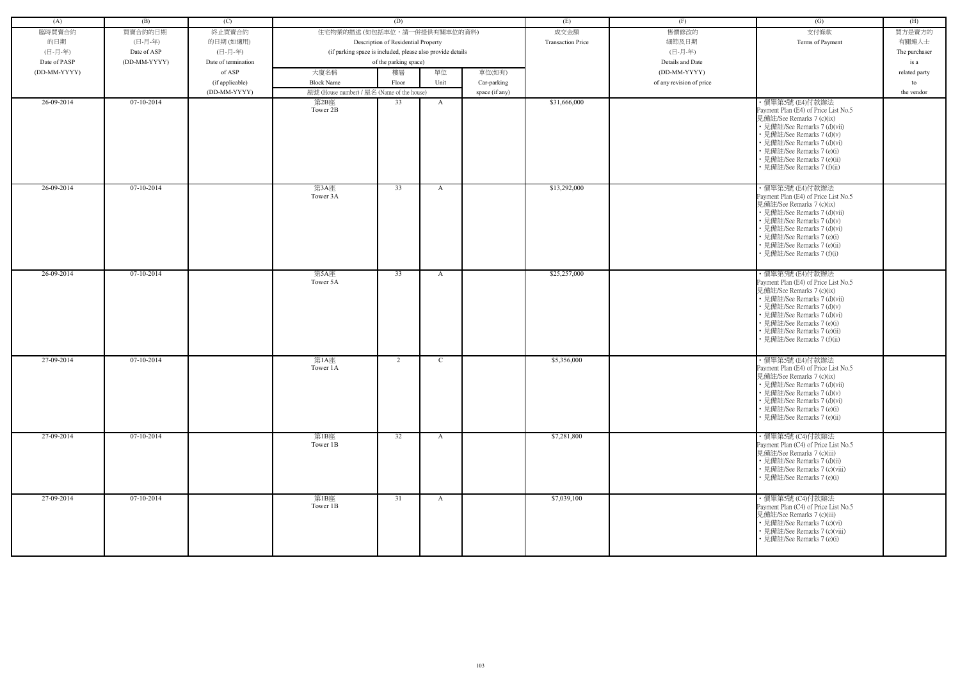| (A)          | (B)          | (C)                 |                                                            | (D)                                 |              |                | (E)                      | (F)                      | (G)                                                                                                                                                                                                                                                                           | (H)           |
|--------------|--------------|---------------------|------------------------------------------------------------|-------------------------------------|--------------|----------------|--------------------------|--------------------------|-------------------------------------------------------------------------------------------------------------------------------------------------------------------------------------------------------------------------------------------------------------------------------|---------------|
| 臨時買賣合約       | 買賣合約的日期      | 終止買賣合約              | 住宅物業的描述 (如包括車位,請一併提供有關車位的資料)                               |                                     |              |                | 成交金額                     | 售價修改的                    | 支付條款                                                                                                                                                                                                                                                                          | 買方是賣方的        |
| 的日期          | (日-月-年)      | 的日期(如適用)            |                                                            | Description of Residential Property |              |                | <b>Transaction Price</b> | 細節及日期                    | Terms of Payment                                                                                                                                                                                                                                                              | 有關連人士         |
| (日-月-年)      | Date of ASP  | (日-月-年)             | (if parking space is included, please also provide details |                                     |              |                |                          | (日-月-年)                  |                                                                                                                                                                                                                                                                               | The purchaser |
|              | (DD-MM-YYYY) |                     |                                                            |                                     |              |                |                          |                          |                                                                                                                                                                                                                                                                               |               |
| Date of PASP |              | Date of termination |                                                            | of the parking space)               |              |                |                          | Details and Date         |                                                                                                                                                                                                                                                                               | is a          |
| (DD-MM-YYYY) |              | of ASP              | 大廈名稱                                                       | 樓層                                  | 單位           | 車位(如有)         |                          | (DD-MM-YYYY)             |                                                                                                                                                                                                                                                                               | related party |
|              |              | (if applicable)     | <b>Block Name</b>                                          | Floor                               | Unit         | Car-parking    |                          | of any revision of price |                                                                                                                                                                                                                                                                               | to            |
|              | $07-10-2014$ | (DD-MM-YYYY)        | 屋號 (House number) / 屋名 (Name of the house)                 |                                     |              | space (if any) |                          |                          |                                                                                                                                                                                                                                                                               | the vendor    |
| 26-09-2014   |              |                     | 第2B座<br>Tower 2B                                           | 33                                  | A            |                | \$31,666,000             |                          | ・價單第5號 (E4)付款辦法<br>Payment Plan (E4) of Price List No.5<br>見備註/See Remarks 7 (c)(ix)<br>• 見備註/See Remarks 7 (d)(vii)<br>• 見備註/See Remarks 7 (d)(v)<br>• 見備註/See Remarks 7 (d)(vi)<br>• 見備註/See Remarks 7 (e)(i)<br>• 見備註/See Remarks 7 (e)(ii)<br>• 見備註/See Remarks 7 (f)(ii) |               |
| 26-09-2014   | 07-10-2014   |                     | 第3A座<br>Tower 3A                                           | 33                                  | A            |                | \$13,292,000             |                          | ・價單第5號 (E4)付款辦法<br>Payment Plan (E4) of Price List No.5<br>見備註/See Remarks 7 (c)(ix)<br>• 見備註/See Remarks 7 (d)(vii)<br>• 見備註/See Remarks 7 (d)(v)<br>• 見備註/See Remarks 7 (d)(vi)<br>• 見備註/See Remarks 7 (e)(i)<br>• 見備註/See Remarks 7 (e)(ii)<br>• 見備註/See Remarks 7 (f)(i)  |               |
| 26-09-2014   | $07-10-2014$ |                     | 第5A座<br>Tower 5A                                           | 33                                  | A            |                | \$25,257,000             |                          | ・價單第5號 (E4)付款辦法<br>Payment Plan (E4) of Price List No.5<br>見備註/See Remarks 7 (c)(ix)<br>• 見備註/See Remarks 7 (d)(vii)<br>• 見備註/See Remarks 7 (d)(v)<br>• 見備註/See Remarks 7 (d)(vi)<br>• 見備註/See Remarks 7 (e)(i)<br>• 見備註/See Remarks 7 (e)(ii)<br>• 見備註/See Remarks 7 (f)(ii) |               |
| 27-09-2014   | 07-10-2014   |                     | 第1A座<br>Tower 1A                                           | 2                                   | C            |                | \$5,356,000              |                          | ・價單第5號 (E4)付款辦法<br>Payment Plan (E4) of Price List No.5<br>見備註/See Remarks 7 (c)(ix)<br>• 見備註/See Remarks 7 (d)(vii)<br>• 見備註/See Remarks 7 (d)(v)<br>• 見備註/See Remarks 7 (d)(vi)<br>• 見備註/See Remarks 7 (e)(i)<br>• 見備註/See Remarks 7 (e)(ii)                                |               |
| 27-09-2014   | $07-10-2014$ |                     | 第1B座<br>Tower 1B                                           | 32                                  | $\mathbf{A}$ |                | \$7,281,800              |                          | ・價單第5號 (C4)付款辦法<br>Payment Plan (C4) of Price List No.5<br>見備註/See Remarks 7 (c)(iii)<br>• 見備註/See Remarks 7 (d)(ii)<br>• 見備註/See Remarks 7 (c)(viii)<br>• 見備註/See Remarks 7 (e)(i)                                                                                           |               |
| 27-09-2014   | $07-10-2014$ |                     | 第1B座<br>Tower 1B                                           | 31                                  | A            |                | \$7,039,100              |                          | · 價單第5號 (C4)付款辦法<br>Payment Plan (C4) of Price List No.5<br>見備註/See Remarks 7 (c)(iii)<br>• 見備註/See Remarks 7 (c)(vi)<br>• 見備註/See Remarks 7 (c)(viii)<br>• 見備註/See Remarks 7 (e)(i)                                                                                          |               |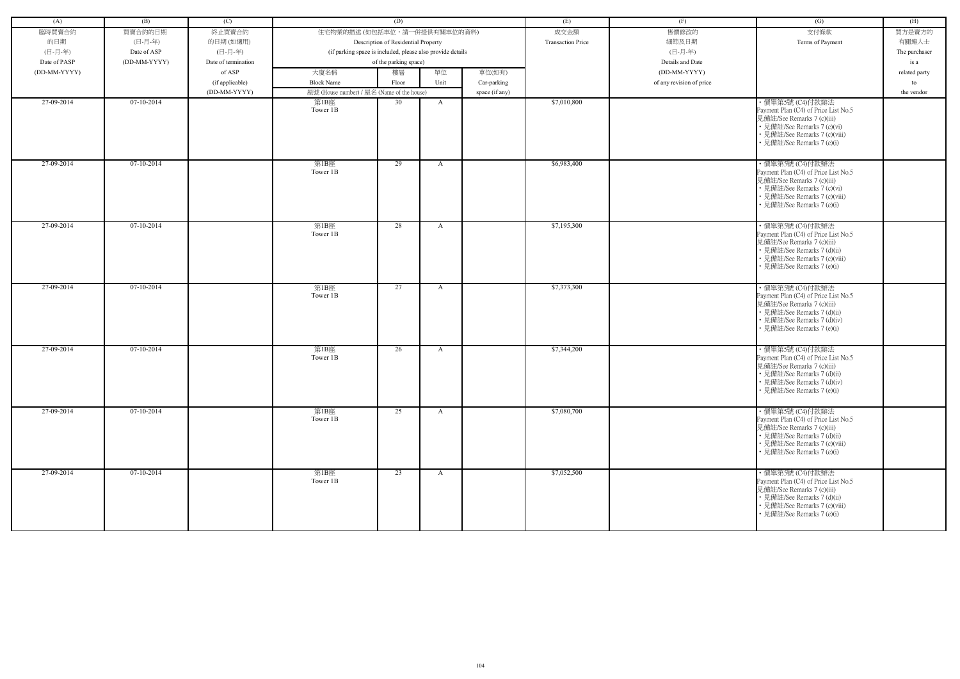| (A)          | (B)          | (C)                 |                                                            | (D)                                 |              |                | (E)                      | (F)                      | (G)                                                                                                                                                                                  | (H)           |
|--------------|--------------|---------------------|------------------------------------------------------------|-------------------------------------|--------------|----------------|--------------------------|--------------------------|--------------------------------------------------------------------------------------------------------------------------------------------------------------------------------------|---------------|
| 臨時買賣合約       | 買賣合約的日期      | 終止買賣合約              | 住宅物業的描述 (如包括車位,請一併提供有關車位的資料)                               |                                     |              |                | 成交金額                     | 售價修改的                    | 支付條款                                                                                                                                                                                 | 買方是賣方的        |
| 的日期          | (日-月-年)      | 的日期(如適用)            |                                                            | Description of Residential Property |              |                | <b>Transaction Price</b> | 細節及日期                    | Terms of Payment                                                                                                                                                                     | 有關連人士         |
| (日-月-年)      | Date of ASP  | (日-月-年)             | (if parking space is included, please also provide details |                                     |              |                |                          | (日-月-年)                  |                                                                                                                                                                                      | The purchaser |
| Date of PASP | (DD-MM-YYYY) | Date of termination |                                                            | of the parking space)               |              |                |                          | Details and Date         |                                                                                                                                                                                      | is a          |
| (DD-MM-YYYY) |              | of ASP              | 大廈名稱                                                       | 樓層                                  | 單位           | 車位(如有)         |                          | (DD-MM-YYYY)             |                                                                                                                                                                                      | related party |
|              |              | (if applicable)     | <b>Block Name</b>                                          | Floor                               | Unit         | Car-parking    |                          | of any revision of price |                                                                                                                                                                                      | to            |
|              |              | (DD-MM-YYYY)        | 屋號 (House number) / 屋名 (Name of the house)                 |                                     |              | space (if any) |                          |                          |                                                                                                                                                                                      | the vendor    |
| 27-09-2014   | 07-10-2014   |                     | 第1B座                                                       | 30                                  | A            |                | \$7,010,800              |                          | · 價單第5號 (C4)付款辦法                                                                                                                                                                     |               |
|              |              |                     | Tower 1B                                                   |                                     |              |                |                          |                          | Payment Plan (C4) of Price List No.5<br>見備註/See Remarks 7 (c)(iii)<br>• 見備註/See Remarks 7 (c)(vi)<br>• 見備註/See Remarks 7 (c)(viii)<br>• 見備註/See Remarks 7 (e)(i)                     |               |
| 27-09-2014   | 07-10-2014   |                     | 第1B座<br>Tower 1B                                           | 29                                  | $\mathbf{A}$ |                | \$6,983,400              |                          | ・價單第5號 (C4)付款辦法<br>Payment Plan (C4) of Price List No.5<br>見備註/See Remarks 7 (c)(iii)<br>• 見備註/See Remarks 7 (c)(vi)<br>• 見備註/See Remarks 7 (c)(viii)<br>• 見備註/See Remarks 7 (e)(i)  |               |
| 27-09-2014   | 07-10-2014   |                     | 第1B座<br>Tower 1B                                           | 28                                  | $\mathbf{A}$ |                | \$7,195,300              |                          | ・價單第5號 (C4)付款辦法<br>Payment Plan (C4) of Price List No.5<br>見備註/See Remarks 7 (c)(iii)<br>• 見備註/See Remarks 7 (d)(ii)<br>• 見備註/See Remarks 7 (c)(viii)<br>• 見備註/See Remarks 7 (e)(i)  |               |
| 27-09-2014   | 07-10-2014   |                     | 第1B座<br>Tower 1B                                           | 27                                  | $\mathbf{A}$ |                | \$7,373,300              |                          | · 價單第5號 (C4)付款辦法<br>Payment Plan (C4) of Price List No.5<br>見備註/See Remarks 7 (c)(iii)<br>• 見備註/See Remarks 7 (d)(ii)<br>• 見備註/See Remarks 7 (d)(iv)<br>• 見備註/See Remarks 7 (e)(i)   |               |
| 27-09-2014   | 07-10-2014   |                     | 第1B座<br>Tower 1B                                           | 26                                  | A            |                | \$7,344,200              |                          | ・價單第5號 (C4)付款辦法<br>Payment Plan (C4) of Price List No.5<br>見備註/See Remarks 7 (c)(iii)<br>• 見備註/See Remarks 7 (d)(ii)<br>• 見備註/See Remarks 7 (d)(iv)<br>• 見備註/See Remarks 7 (e)(i)    |               |
| 27-09-2014   | $07-10-2014$ |                     | 第1B座<br>Tower 1B                                           | 25                                  | $\mathbf{A}$ |                | \$7,080,700              |                          | · 價單第5號 (C4)付款辦法<br>Payment Plan (C4) of Price List No.5<br>見備註/See Remarks 7 (c)(iii)<br>• 見備註/See Remarks 7 (d)(ii)<br>• 見備註/See Remarks 7 (c)(viii)<br>• 見備註/See Remarks 7 (e)(i) |               |
| 27-09-2014   | $07-10-2014$ |                     | 第1B座<br>Tower 1B                                           | $\overline{23}$                     | A            |                | \$7,052,500              |                          | ・價單第5號 (C4)付款辦法<br>Payment Plan (C4) of Price List No.5<br>見備註/See Remarks 7 (c)(iii)<br>• 見備註/See Remarks 7 (d)(ii)<br>• 見備註/See Remarks 7 (c)(viii)<br>• 見備註/See Remarks 7 (e)(i)  |               |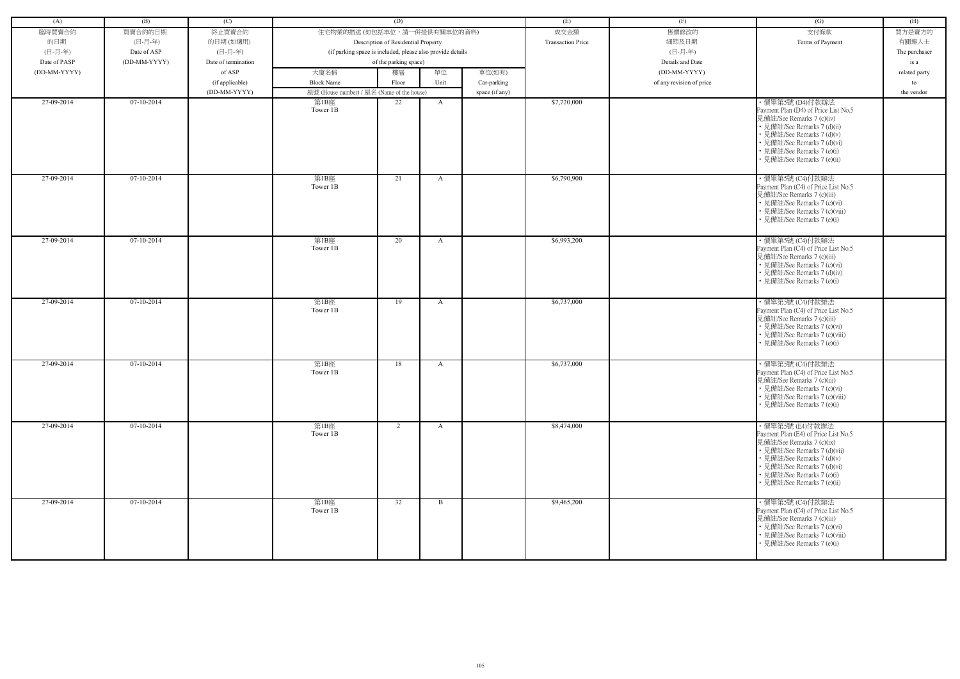| (A)          | (B)          | (C)                 |                                            | (D)                                                        |              |                | (E)                      | (F)                      | (G)                                                                                                                                                                                                                                            | (H)           |
|--------------|--------------|---------------------|--------------------------------------------|------------------------------------------------------------|--------------|----------------|--------------------------|--------------------------|------------------------------------------------------------------------------------------------------------------------------------------------------------------------------------------------------------------------------------------------|---------------|
| 臨時買賣合約       | 買賣合約的日期      | 終止買賣合約              | 住宅物業的描述 (如包括車位,請一併提供有關車位的資料)               |                                                            |              |                | 成交金額                     | 售價修改的                    | 支付條款                                                                                                                                                                                                                                           | 買方是賣方的        |
| 的日期          | (日-月-年)      | 的日期(如適用)            |                                            | Description of Residential Property                        |              |                | <b>Transaction Price</b> | 細節及日期                    | Terms of Payment                                                                                                                                                                                                                               | 有關連人士         |
| (日-月-年)      | Date of ASP  | (日-月-年)             |                                            | (if parking space is included, please also provide details |              |                |                          | (日-月-年)                  |                                                                                                                                                                                                                                                | The purchaser |
| Date of PASP | (DD-MM-YYYY) | Date of termination |                                            | of the parking space)                                      |              |                |                          | Details and Date         |                                                                                                                                                                                                                                                | is a          |
| (DD-MM-YYYY) |              | of ASP              | 大廈名稱                                       | 樓層                                                         | 單位           | 車位(如有)         |                          | (DD-MM-YYYY)             |                                                                                                                                                                                                                                                | related party |
|              |              | (if applicable)     | <b>Block Name</b>                          | Floor                                                      | Unit         | Car-parking    |                          | of any revision of price |                                                                                                                                                                                                                                                | to            |
|              |              | (DD-MM-YYYY)        | 屋號 (House number) / 屋名 (Name of the house) |                                                            |              | space (if any) |                          |                          |                                                                                                                                                                                                                                                | the vendor    |
| 27-09-2014   | 07-10-2014   |                     | 第1B座<br>Tower 1B                           | 22                                                         | A            |                | \$7,720,000              |                          | ・價單第5號 (D4)付款辦法<br>Payment Plan (D4) of Price List No.5<br>見備註/See Remarks 7 (c)(iv)<br>• 見備註/See Remarks 7 (d)(ii)<br>• 見備註/See Remarks 7 (d)(v)<br>• 見備註/See Remarks 7 (d)(vi)<br>• 見備註/See Remarks 7 (e)(i)<br>• 見備註/See Remarks 7 (e)(ii)  |               |
| 27-09-2014   | $07-10-2014$ |                     | 第1B座<br>Tower 1B                           | 21                                                         | A            |                | \$6,790,900              |                          | ・價單第5號 (C4)付款辦法<br>Payment Plan (C4) of Price List No.5<br>見備註/See Remarks 7 (c)(iii)<br>• 見備註/See Remarks 7 (c)(vi)<br>• 見備註/See Remarks 7 (c)(viii)<br>見備註/See Remarks 7 (e)(i)                                                              |               |
| $27-09-2014$ | $07-10-2014$ |                     | 第1B座<br>Tower 1B                           | 20                                                         | A            |                | \$6,993,200              |                          | ・價單第5號 (C4)付款辦法<br>Payment Plan (C4) of Price List No.5<br>見備註/See Remarks 7 (c)(iii)<br>• 見備註/See Remarks 7 (c)(vi)<br>• 見備註/See Remarks 7 (d)(iv)<br>• 見備註/See Remarks 7 (e)(i)                                                              |               |
| 27-09-2014   | $07-10-2014$ |                     | 第1B座<br>Tower 1B                           | 19                                                         | A            |                | \$6,737,000              |                          | · 價單第5號 (C4)付款辦法<br>Payment Plan (C4) of Price List No.5<br>見備註/See Remarks 7 (c)(iii)<br>• 見備註/See Remarks 7 (c)(vi)<br>• 見備註/See Remarks 7 (c)(viii)<br>• 見備註/See Remarks 7 (e)(i)                                                           |               |
| 27-09-2014   | 07-10-2014   |                     | 第1B座<br>Tower 1B                           | 18                                                         | A            |                | \$6,737,000              |                          | · 價單第5號 (C4)付款辦法<br>Payment Plan (C4) of Price List No.5<br>見備註/See Remarks 7 (c)(iii)<br>• 見備註/See Remarks 7 (c)(vi)<br>• 見備註/See Remarks 7 (c)(viii)<br>• 見備註/See Remarks 7 (e)(i)                                                           |               |
| 27-09-2014   | 07-10-2014   |                     | 第1B座<br>Tower 1B                           | 2                                                          | $\mathbf{A}$ |                | \$8,474,000              |                          | ・價單第5號 (E4)付款辦法<br>Payment Plan (E4) of Price List No.5<br>見備註/See Remarks 7 (c)(ix)<br>• 見備註/See Remarks 7 (d)(vii)<br>• 見備註/See Remarks 7 (d)(v)<br>• 見備註/See Remarks 7 (d)(vi)<br>• 見備註/See Remarks 7 (e)(i)<br>• 見備註/See Remarks 7 (e)(ii) |               |
| 27-09-2014   | $07-10-2014$ |                     | 第1B座<br>Tower 1B                           | 32                                                         | $\mathbf{B}$ |                | \$9,465,200              |                          | ・價單第5號 (C4)付款辦法<br>Payment Plan (C4) of Price List No.5<br>見備註/See Remarks 7 (c)(iii)<br>• 見備註/See Remarks 7 (c)(vi)<br>• 見備註/See Remarks 7 (c)(viii)<br>• 見備註/See Remarks 7 (e)(i)                                                            |               |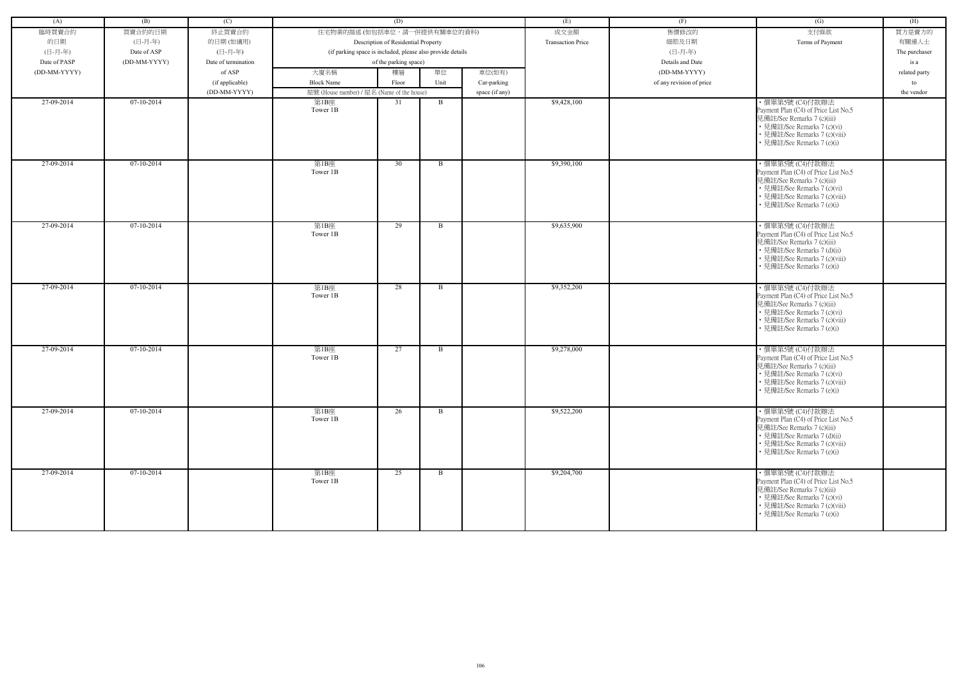| (A)          | (B)          | (C)                 |                                                            | (D)                                 |              |                | (E)                      | (F)                      | (G)                                                                                                                                                                                  | (H)           |
|--------------|--------------|---------------------|------------------------------------------------------------|-------------------------------------|--------------|----------------|--------------------------|--------------------------|--------------------------------------------------------------------------------------------------------------------------------------------------------------------------------------|---------------|
| 臨時買賣合約       | 買賣合約的日期      | 終止買賣合約              | 住宅物業的描述 (如包括車位,請一併提供有關車位的資料)                               |                                     |              |                | 成交金額                     | 售價修改的                    | 支付條款                                                                                                                                                                                 | 買方是賣方的        |
| 的日期          | (日-月-年)      | 的日期(如適用)            |                                                            | Description of Residential Property |              |                | <b>Transaction Price</b> | 細節及日期                    | Terms of Payment                                                                                                                                                                     | 有關連人士         |
| (日-月-年)      | Date of ASP  | (日-月-年)             | (if parking space is included, please also provide details |                                     |              |                |                          | (日-月-年)                  |                                                                                                                                                                                      | The purchaser |
| Date of PASP | (DD-MM-YYYY) | Date of termination |                                                            | of the parking space)               |              |                |                          | Details and Date         |                                                                                                                                                                                      | is a          |
| (DD-MM-YYYY) |              | of ASP              | 大廈名稱                                                       | 樓層                                  | 單位           | 車位(如有)         |                          | (DD-MM-YYYY)             |                                                                                                                                                                                      | related party |
|              |              | (if applicable)     | <b>Block Name</b>                                          | Floor                               | Unit         | Car-parking    |                          | of any revision of price |                                                                                                                                                                                      | to            |
|              |              | (DD-MM-YYYY)        | 屋號 (House number) / 屋名 (Name of the house)                 |                                     |              | space (if any) |                          |                          |                                                                                                                                                                                      | the vendor    |
| 27-09-2014   | 07-10-2014   |                     | 第1B座                                                       | 31                                  | B            |                | \$9,428,100              |                          | · 價單第5號 (C4)付款辦法                                                                                                                                                                     |               |
|              |              |                     | Tower 1B                                                   |                                     |              |                |                          |                          | Payment Plan (C4) of Price List No.5<br>見備註/See Remarks 7 (c)(iii)<br>• 見備註/See Remarks 7 (c)(vi)<br>• 見備註/See Remarks 7 (c)(viii)<br>• 見備註/See Remarks 7 (e)(i)                     |               |
| 27-09-2014   | 07-10-2014   |                     | 第1B座<br>Tower 1B                                           | 30                                  | $\mathbf{B}$ |                | \$9,390,100              |                          | ・價單第5號 (C4)付款辦法<br>Payment Plan (C4) of Price List No.5<br>見備註/See Remarks 7 (c)(iii)<br>• 見備註/See Remarks 7 (c)(vi)<br>• 見備註/See Remarks 7 (c)(viii)<br>• 見備註/See Remarks 7 (e)(i)  |               |
| 27-09-2014   | 07-10-2014   |                     | 第1B座<br>Tower 1B                                           | 29                                  | $\mathbf{B}$ |                | \$9,635,900              |                          | ・價單第5號 (C4)付款辦法<br>Payment Plan (C4) of Price List No.5<br>見備註/See Remarks 7 (c)(iii)<br>• 見備註/See Remarks 7 (d)(ii)<br>• 見備註/See Remarks 7 (c)(viii)<br>• 見備註/See Remarks 7 (e)(i)  |               |
| 27-09-2014   | 07-10-2014   |                     | 第1B座<br>Tower 1B                                           | 28                                  | B            |                | \$9,352,200              |                          | · 價單第5號 (C4)付款辦法<br>Payment Plan (C4) of Price List No.5<br>見備註/See Remarks 7 (c)(iii)<br>• 見備註/See Remarks 7 (c)(vi)<br>• 見備註/See Remarks 7 (c)(viii)<br>• 見備註/See Remarks 7 (e)(i) |               |
| 27-09-2014   | 07-10-2014   |                     | 第1B座<br>Tower 1B                                           | 27                                  | B            |                | \$9,278,000              |                          | ・價單第5號 (C4)付款辦法<br>Payment Plan (C4) of Price List No.5<br>見備註/See Remarks 7 (c)(iii)<br>• 見備註/See Remarks 7 (c)(vi)<br>• 見備註/See Remarks 7 (c)(viii)<br>• 見備註/See Remarks 7 (e)(i)  |               |
| 27-09-2014   | $07-10-2014$ |                     | 第1B座<br>Tower 1B                                           | 26                                  | B            |                | \$9,522,200              |                          | · 價單第5號 (C4)付款辦法<br>Payment Plan (C4) of Price List No.5<br>見備註/See Remarks 7 (c)(iii)<br>• 見備註/See Remarks 7 (d)(ii)<br>• 見備註/See Remarks 7 (c)(viii)<br>• 見備註/See Remarks 7 (e)(i) |               |
| 27-09-2014   | $07-10-2014$ |                     | 第1B座<br>Tower 1B                                           | 25                                  | B            |                | \$9,204,700              |                          | ・價單第5號 (C4)付款辦法<br>Payment Plan (C4) of Price List No.5<br>見備註/See Remarks 7 (c)(iii)<br>• 見備註/See Remarks 7 (c)(vi)<br>• 見備註/See Remarks 7 (c)(viii)<br>• 見備註/See Remarks 7 (e)(i)  |               |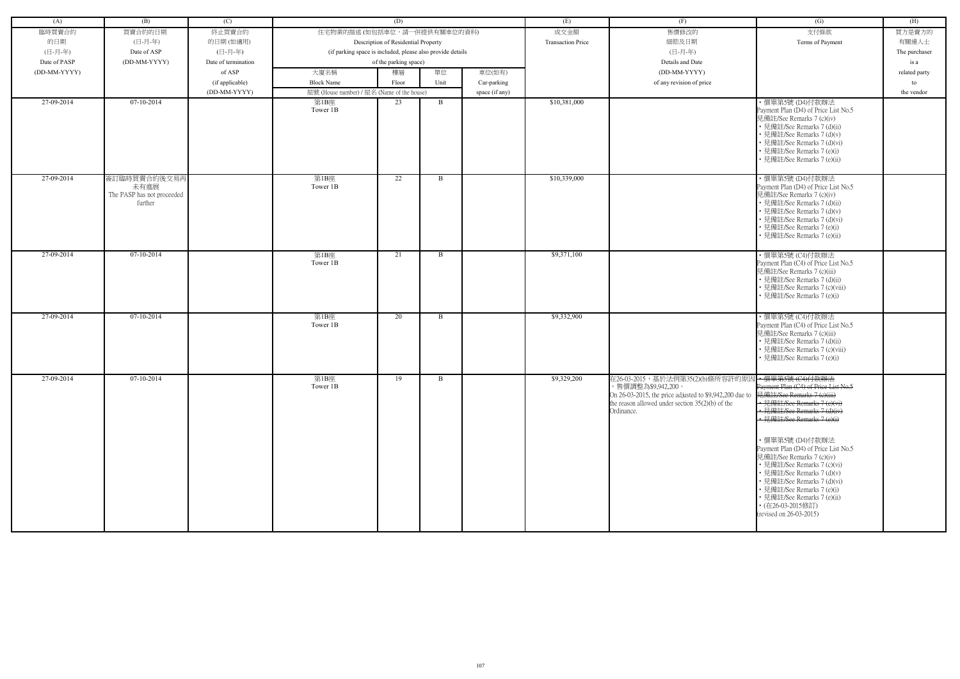| (A)          | (B)                                                           | (C)                 |                                                            | (D)                                 |              |                | (E)                      | (F)                                                                                                                                                                                                 | (G)                                                                                                                                                                                                                                                                                                                                                                                                                                                               | (H)           |
|--------------|---------------------------------------------------------------|---------------------|------------------------------------------------------------|-------------------------------------|--------------|----------------|--------------------------|-----------------------------------------------------------------------------------------------------------------------------------------------------------------------------------------------------|-------------------------------------------------------------------------------------------------------------------------------------------------------------------------------------------------------------------------------------------------------------------------------------------------------------------------------------------------------------------------------------------------------------------------------------------------------------------|---------------|
| 臨時買賣合約       | 買賣合約的日期                                                       | 終止買賣合約              | 住宅物業的描述 (如包括車位,請一併提供有關車位的資料)                               |                                     |              |                | 成交金額                     | 售價修改的                                                                                                                                                                                               | 支付條款                                                                                                                                                                                                                                                                                                                                                                                                                                                              | 買方是賣方的        |
| 的日期          | (日-月-年)                                                       | 的日期(如適用)            |                                                            | Description of Residential Property |              |                | <b>Transaction Price</b> | 細節及日期                                                                                                                                                                                               | Terms of Payment                                                                                                                                                                                                                                                                                                                                                                                                                                                  | 有關連人士         |
| (日-月-年)      | Date of ASP                                                   | (日-月-年)             | (if parking space is included, please also provide details |                                     |              |                |                          | (日-月-年)                                                                                                                                                                                             |                                                                                                                                                                                                                                                                                                                                                                                                                                                                   | The purchaser |
| Date of PASP | (DD-MM-YYYY)                                                  | Date of termination |                                                            | of the parking space)               |              |                |                          | Details and Date                                                                                                                                                                                    |                                                                                                                                                                                                                                                                                                                                                                                                                                                                   | is a          |
| (DD-MM-YYYY) |                                                               | of ASP              | 大廈名稱                                                       | 樓層                                  | 單位           | 車位(如有)         |                          | (DD-MM-YYYY)                                                                                                                                                                                        |                                                                                                                                                                                                                                                                                                                                                                                                                                                                   | related party |
|              |                                                               | (if applicable)     | <b>Block Name</b>                                          | Floor                               | Unit         | Car-parking    |                          | of any revision of price                                                                                                                                                                            |                                                                                                                                                                                                                                                                                                                                                                                                                                                                   | to            |
|              |                                                               | (DD-MM-YYYY)        | 屋號 (House number) / 屋名 (Name of the house)                 |                                     |              | space (if any) |                          |                                                                                                                                                                                                     |                                                                                                                                                                                                                                                                                                                                                                                                                                                                   | the vendor    |
| 27-09-2014   | 07-10-2014                                                    |                     | 第1B座<br>Tower 1B                                           | 23                                  | $\mathbf{B}$ |                | \$10,381,000             |                                                                                                                                                                                                     | ・價單第5號 (D4)付款辦法<br>Payment Plan (D4) of Price List No.5<br>見備註/See Remarks 7 (c)(iv)<br>• 見備註/See Remarks 7 (d)(ii)<br>• 見備註/See Remarks 7 (d)(v)<br>• 見備註/See Remarks 7 (d)(vi)<br>• 見備註/See Remarks 7 (e)(i)<br>• 見備註/See Remarks 7 (e)(ii)                                                                                                                                                                                                                     |               |
| 27-09-2014   | 簽訂臨時買賣合約後交易再<br>未有進展<br>The PASP has not proceeded<br>further |                     | 第1B座<br>Tower 1B                                           | 22                                  | B            |                | \$10,339,000             |                                                                                                                                                                                                     | ・價單第5號 (D4)付款辦法<br>Payment Plan (D4) of Price List No.5<br>見備註/See Remarks 7 (c)(iv)<br>• 見備註/See Remarks 7 (d)(ii)<br>• 見備註/See Remarks 7 (d)(v)<br>• 見備註/See Remarks 7 (d)(vi)<br>• 見備註/See Remarks 7 (e)(i)<br>• 見備註/See Remarks 7 (e)(ii)                                                                                                                                                                                                                     |               |
| 27-09-2014   | 07-10-2014                                                    |                     | 第1B座<br>Tower 1B                                           | 21                                  | B            |                | \$9,371,100              |                                                                                                                                                                                                     | ・價單第5號 (C4)付款辦法<br>Payment Plan (C4) of Price List No.5<br>見備註/See Remarks 7 (c)(iii)<br>• 見備註/See Remarks 7 (d)(ii)<br>• 見備註/See Remarks 7 (c)(viii)<br>• 見備註/See Remarks 7 (e)(i)                                                                                                                                                                                                                                                                               |               |
| 27-09-2014   | $07-10-2014$                                                  |                     | 第1B座<br>Tower 1B                                           | 20                                  | B            |                | \$9,332,900              |                                                                                                                                                                                                     | · 價單第5號 (C4)付款辦法<br>Payment Plan (C4) of Price List No.5<br>見備註/See Remarks 7 (c)(iii)<br>• 見備註/See Remarks 7 (d)(ii)<br>• 見備註/See Remarks 7 (c)(viii)<br>• 見備註/See Remarks 7 (e)(i)                                                                                                                                                                                                                                                                              |               |
| 27-09-2014   | 07-10-2014                                                    |                     | 第1B座<br>Tower 1B                                           | 19                                  | B            |                | \$9,329,200              | 在26-03-2015,基於法例第35(2)(b)條所容許的原因→價單第5號(C4)付款辦法<br>,售價調整為\$9,942,200。<br>On 26-03-2015, the price adjusted to \$9,942,200 due to<br>the reason allowed under section $35(2)(b)$ of the<br>Ordinance. | Payment Plan (C4) of Price List No.5<br>見備註/See Remarks 7 (e)(iii)<br>• 見備註/See Remarks $7$ (c)(vi)<br>• 見備註/See Remarks 7 (d)(iv)<br>• 見備註/See Remarks 7 (e)(i)<br>・價單第5號 (D4)付款辦法<br>Payment Plan (D4) of Price List No.5<br>見備註/See Remarks 7 (c)(iv)<br>• 見備註/See Remarks 7 (c)(vi)<br>• 見備註/See Remarks 7 (d)(v)<br>• 見備註/See Remarks 7 (d)(vi)<br>• 見備註/See Remarks 7 (e)(i)<br>• 見備註/See Remarks 7 (e)(ii)<br>• (在26-03-2015修訂)<br>(revised on 26-03-2015) |               |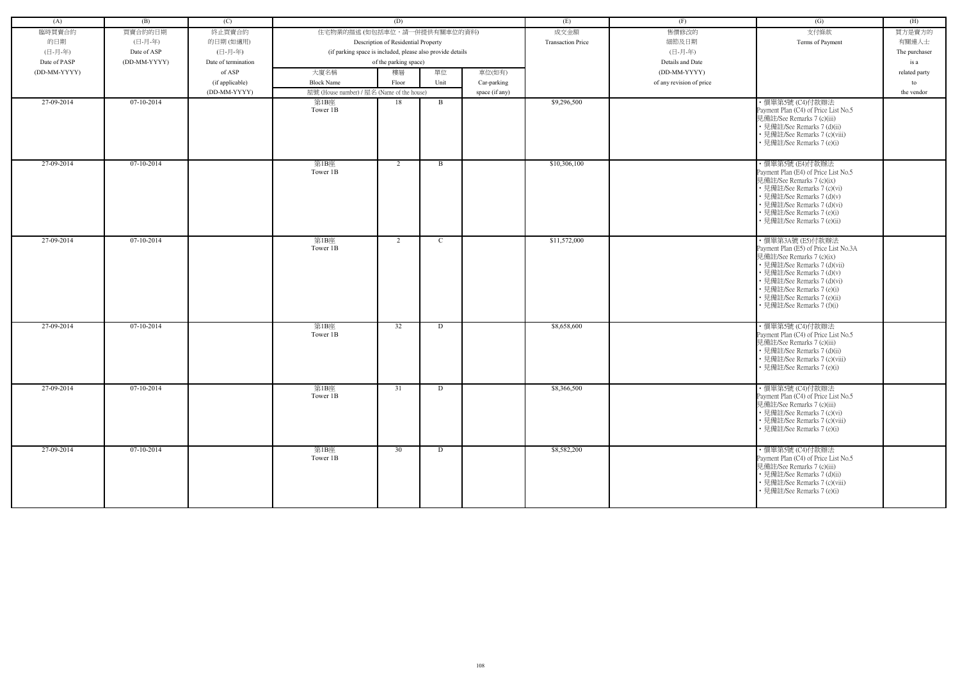| (A)          | (B)          | (C)                 |                                                            | (D)                                 |              |                | (E)                      | (F)                      | (G)                                                                                                                                                                                                                                                                            | (H)           |
|--------------|--------------|---------------------|------------------------------------------------------------|-------------------------------------|--------------|----------------|--------------------------|--------------------------|--------------------------------------------------------------------------------------------------------------------------------------------------------------------------------------------------------------------------------------------------------------------------------|---------------|
| 臨時買賣合約       | 買賣合約的日期      | 終止買賣合約              | 住宅物業的描述 (如包括車位,請一併提供有關車位的資料)                               |                                     |              |                | 成交金額                     | 售價修改的                    | 支付條款                                                                                                                                                                                                                                                                           | 買方是賣方的        |
| 的日期          | (日-月-年)      | 的日期(如適用)            |                                                            | Description of Residential Property |              |                | <b>Transaction Price</b> | 細節及日期                    | Terms of Payment                                                                                                                                                                                                                                                               | 有關連人士         |
| (日-月-年)      | Date of ASP  | (日-月-年)             | (if parking space is included, please also provide details |                                     |              |                |                          | (日-月-年)                  |                                                                                                                                                                                                                                                                                | The purchaser |
| Date of PASP | (DD-MM-YYYY) | Date of termination |                                                            | of the parking space)               |              |                |                          | Details and Date         |                                                                                                                                                                                                                                                                                | is a          |
| (DD-MM-YYYY) |              | of ASP              | 大廈名稱                                                       | 樓層                                  | 單位           | 車位(如有)         |                          | (DD-MM-YYYY)             |                                                                                                                                                                                                                                                                                | related party |
|              |              | (if applicable)     | <b>Block Name</b>                                          | Floor                               | Unit         | Car-parking    |                          | of any revision of price |                                                                                                                                                                                                                                                                                | to            |
|              |              | (DD-MM-YYYY)        | 屋號 (House number) / 屋名 (Name of the house)                 |                                     |              | space (if any) |                          |                          |                                                                                                                                                                                                                                                                                | the vendor    |
| 27-09-2014   | $07-10-2014$ |                     | 第1B座                                                       | 18                                  | $\mathbf{B}$ |                | \$9,296,500              |                          | ・價單第5號 (C4)付款辦法                                                                                                                                                                                                                                                                |               |
|              |              |                     | Tower 1B                                                   |                                     |              |                |                          |                          | Payment Plan (C4) of Price List No.5<br>見備註/See Remarks 7 (c)(iii)<br>• 見備註/See Remarks 7 (d)(ii)<br>• 見備註/See Remarks 7 (c)(viii)<br>• 見備註/See Remarks 7 (e)(i)                                                                                                               |               |
| 27-09-2014   | $07-10-2014$ |                     | 第1B座<br>Tower 1B                                           | 2                                   | $\mathbf{B}$ |                | \$10,306,100             |                          | ·價單第5號 (E4)付款辦法<br>Payment Plan (E4) of Price List No.5<br>見備註/See Remarks 7 (c)(ix)<br>• 見備註/See Remarks 7 (c)(vi)<br>• 見備註/See Remarks 7 (d)(v)<br>• 見備註/See Remarks 7 (d)(vi)<br>• 見備註/See Remarks 7 (e)(i)<br>• 見備註/See Remarks 7 (e)(ii)                                  |               |
| 27-09-2014   | 07-10-2014   |                     | 第1B座<br>Tower 1B                                           | 2                                   | $\mathbf C$  |                | \$11,572,000             |                          | ・價單第3A號 (E5)付款辦法<br>Payment Plan (E5) of Price List No.3A<br>見備註/See Remarks 7 (c)(ix)<br>• 見備註/See Remarks 7 (d)(vii)<br>• 見備註/See Remarks 7 (d)(v)<br>• 見備註/See Remarks 7 (d)(vi)<br>• 見備註/See Remarks 7 (e)(i)<br>· 見備註/See Remarks 7 (e)(ii)<br>• 見備註/See Remarks 7 (f)(i) |               |
| 27-09-2014   | $07-10-2014$ |                     | 第1B座<br>Tower 1B                                           | 32                                  | D            |                | \$8,658,600              |                          | ・價單第5號 (C4)付款辦法<br>Payment Plan (C4) of Price List No.5<br>見備註/See Remarks 7 (c)(iii)<br>• 見備註/See Remarks 7 (d)(ii)<br>• 見備註/See Remarks 7 (c)(viii)<br>• 見備註/See Remarks 7 (e)(i)                                                                                            |               |
| 27-09-2014   | 07-10-2014   |                     | 第1B座<br>Tower 1B                                           | 31                                  | D            |                | \$8,366,500              |                          | ・價單第5號 (C4)付款辦法<br>Payment Plan (C4) of Price List No.5<br>見備註/See Remarks 7 (c)(iii)<br>• 見備註/See Remarks 7 (c)(vi)<br>• 見備註/See Remarks 7 (c)(viii)<br>• 見備註/See Remarks 7 (e)(i)                                                                                            |               |
| 27-09-2014   | 07-10-2014   |                     | 第1B座<br>Tower 1B                                           | 30                                  | D            |                | \$8,582,200              |                          | ・價單第5號 (C4)付款辦法<br>Payment Plan (C4) of Price List No.5<br>見備註/See Remarks 7 (c)(iii)<br>• 見備註/See Remarks 7 (d)(ii)<br>• 見備註/See Remarks 7 (c)(viii)<br>• 見備註/See Remarks 7 (e)(i)                                                                                            |               |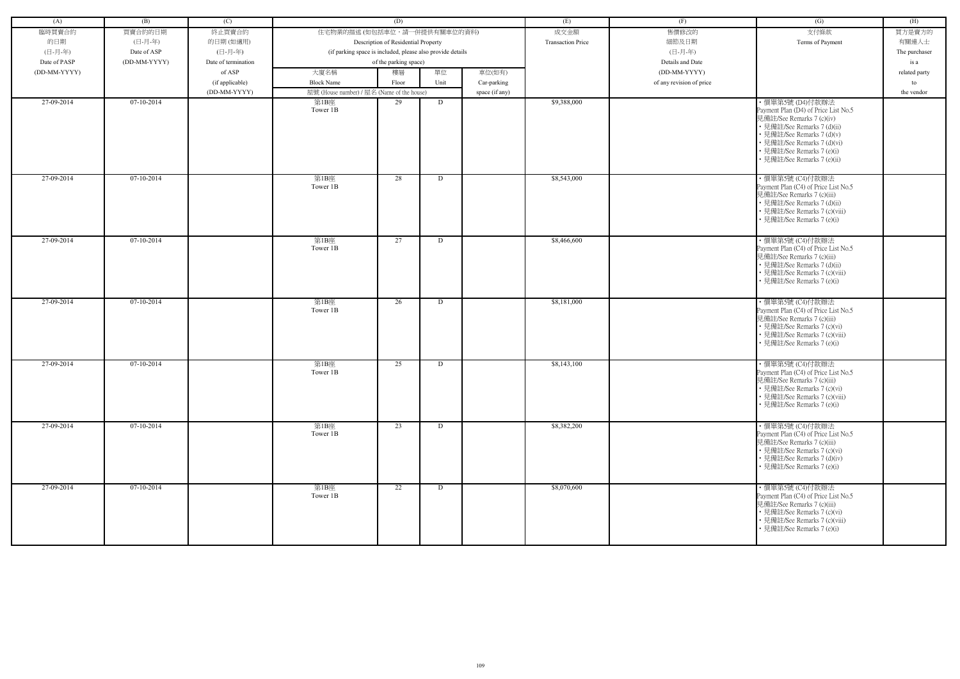| (A)          | (B)          | (C)                 |                                                            | (D)                                 |      |                | (E)                      | (F)                      | (G)                                                                                                                                                                                                                                           | (H)           |
|--------------|--------------|---------------------|------------------------------------------------------------|-------------------------------------|------|----------------|--------------------------|--------------------------|-----------------------------------------------------------------------------------------------------------------------------------------------------------------------------------------------------------------------------------------------|---------------|
| 臨時買賣合約       | 買賣合約的日期      | 終止買賣合約              | 住宅物業的描述 (如包括車位,請一併提供有關車位的資料)                               |                                     |      |                | 成交金額                     | 售價修改的                    | 支付條款                                                                                                                                                                                                                                          | 買方是賣方的        |
| 的日期          | (日-月-年)      | 的日期(如適用)            |                                                            | Description of Residential Property |      |                | <b>Transaction Price</b> | 細節及日期                    | Terms of Payment                                                                                                                                                                                                                              | 有關連人士         |
| (日-月-年)      | Date of ASP  | (日-月-年)             | (if parking space is included, please also provide details |                                     |      |                |                          | (日-月-年)                  |                                                                                                                                                                                                                                               | The purchaser |
| Date of PASP | (DD-MM-YYYY) | Date of termination |                                                            | of the parking space)               |      |                |                          | Details and Date         |                                                                                                                                                                                                                                               | is a          |
| (DD-MM-YYYY) |              | of ASP              | 大廈名稱                                                       | 樓層                                  | 單位   | 車位(如有)         |                          | (DD-MM-YYYY)             |                                                                                                                                                                                                                                               | related party |
|              |              |                     | <b>Block Name</b>                                          | Floor                               | Unit |                |                          | of any revision of price |                                                                                                                                                                                                                                               | to            |
|              |              | (if applicable)     |                                                            |                                     |      | Car-parking    |                          |                          |                                                                                                                                                                                                                                               |               |
| 27-09-2014   | $07-10-2014$ | (DD-MM-YYYY)        | 屋號 (House number) / 屋名 (Name of the house)                 | 29                                  |      | space (if any) | \$9,388,000              |                          |                                                                                                                                                                                                                                               | the vendor    |
|              |              |                     | 第1B座<br>Tower 1B                                           |                                     | D    |                |                          |                          | ・價單第5號 (D4)付款辦法<br>Payment Plan (D4) of Price List No.5<br>見備註/See Remarks 7 (c)(iv)<br>• 見備註/See Remarks 7 (d)(ii)<br>• 見備註/See Remarks 7 (d)(v)<br>• 見備註/See Remarks 7 (d)(vi)<br>• 見備註/See Remarks 7 (e)(i)<br>• 見備註/See Remarks 7 (e)(ii) |               |
| 27-09-2014   | 07-10-2014   |                     | 第1B座<br>Tower 1B                                           | 28                                  | D    |                | \$8,543,000              |                          | ・價單第5號 (C4)付款辦法<br>Payment Plan (C4) of Price List No.5<br>見備註/See Remarks 7 (c)(iii)<br>• 見備註/See Remarks 7 (d)(ii)<br>• 見備註/See Remarks 7 (c)(viii)<br>見備註/See Remarks 7 (e)(i)                                                             |               |
| 27-09-2014   | $07-10-2014$ |                     | 第1B座<br>Tower 1B                                           | 27                                  | D    |                | \$8,466,600              |                          | ・價單第5號 (C4)付款辦法<br>Payment Plan (C4) of Price List No.5<br>見備註/See Remarks 7 (c)(iii)<br>• 見備註/See Remarks 7 (d)(ii)<br>• 見備註/See Remarks 7 (c)(viii)<br>• 見備註/See Remarks 7 (e)(i)                                                           |               |
| 27-09-2014   | $07-10-2014$ |                     | 第1B座<br>Tower 1B                                           | 26                                  | D    |                | \$8,181,000              |                          | · 價單第5號 (C4)付款辦法<br>Payment Plan (C4) of Price List No.5<br>見備註/See Remarks 7 (c)(iii)<br>• 見備註/See Remarks 7 (c)(vi)<br>• 見備註/See Remarks 7 (c)(viii)<br>• 見備註/See Remarks 7 (e)(i)                                                          |               |
| 27-09-2014   | $07-10-2014$ |                     | 第1B座<br>Tower 1B                                           | 25                                  | D    |                | \$8,143,100              |                          | ・價單第5號 (C4)付款辦法<br>Payment Plan (C4) of Price List No.5<br>見備註/See Remarks 7 (c)(iii)<br>• 見備註/See Remarks 7 (c)(vi)<br>• 見備註/See Remarks 7 (c)(viii)<br>• 見備註/See Remarks 7 (e)(i)                                                           |               |
| 27-09-2014   | $07-10-2014$ |                     | 第1B座<br>Tower 1B                                           | 23                                  | D    |                | \$8,382,200              |                          | ·價單第5號 (C4)付款辦法<br>Payment Plan (C4) of Price List No.5<br>見備註/See Remarks 7 (c)(iii)<br>• 見備註/See Remarks 7 (c)(vi)<br>• 見備註/See Remarks 7 (d)(iv)<br>• 見備註/See Remarks 7 (e)(i)                                                             |               |
| 27-09-2014   | 07-10-2014   |                     | 第1B座<br>Tower 1B                                           | 22                                  | D    |                | \$8,070,600              |                          | ・價單第5號 (C4)付款辦法<br>Payment Plan (C4) of Price List No.5<br>見備註/See Remarks 7 (c)(iii)<br>• 見備註/See Remarks 7 (c)(vi)<br>• 見備註/See Remarks 7 (c)(viii)<br>• 見備註/See Remarks 7 (e)(i)                                                           |               |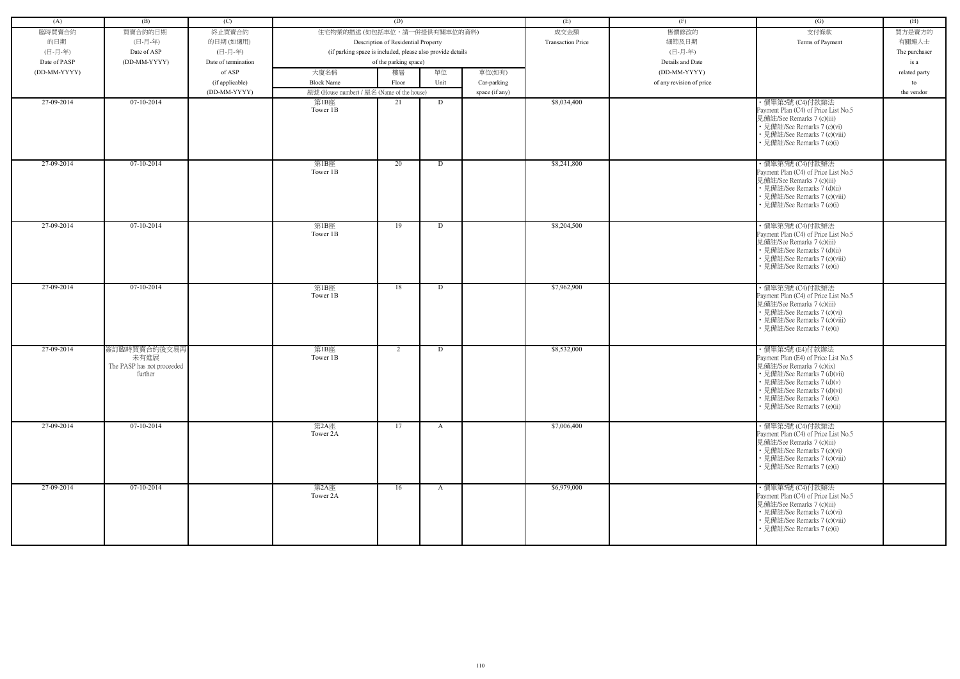| (A)          | (B)                                                           | (C)                 |                                                            | (D)                                 |              |                | (E)                      | (F)                      | (G)                                                                                                                                                                                                                                            | (H)           |
|--------------|---------------------------------------------------------------|---------------------|------------------------------------------------------------|-------------------------------------|--------------|----------------|--------------------------|--------------------------|------------------------------------------------------------------------------------------------------------------------------------------------------------------------------------------------------------------------------------------------|---------------|
| 臨時買賣合約       | 買賣合約的日期                                                       | 終止買賣合約              | 住宅物業的描述 (如包括車位,請一併提供有關車位的資料)                               |                                     |              |                | 成交金額                     | 售價修改的                    | 支付條款                                                                                                                                                                                                                                           | 買方是賣方的        |
| 的日期          | (日-月-年)                                                       | 的日期(如適用)            |                                                            | Description of Residential Property |              |                | <b>Transaction Price</b> | 細節及日期                    | Terms of Payment                                                                                                                                                                                                                               | 有關連人士         |
| (日-月-年)      | Date of ASP                                                   | (日-月-年)             | (if parking space is included, please also provide details |                                     |              |                |                          | (日-月-年)                  |                                                                                                                                                                                                                                                | The purchaser |
| Date of PASP | (DD-MM-YYYY)                                                  | Date of termination |                                                            | of the parking space)               |              |                |                          | Details and Date         |                                                                                                                                                                                                                                                | is a          |
| (DD-MM-YYYY) |                                                               | of ASP              | 大廈名稱                                                       | 樓層                                  | 單位           | 車位(如有)         |                          | (DD-MM-YYYY)             |                                                                                                                                                                                                                                                | related party |
|              |                                                               | (if applicable)     | <b>Block Name</b>                                          | Floor                               | Unit         | Car-parking    |                          | of any revision of price |                                                                                                                                                                                                                                                | to            |
|              |                                                               | (DD-MM-YYYY)        | 屋號 (House number) / 屋名 (Name of the house)                 |                                     |              | space (if any) |                          |                          |                                                                                                                                                                                                                                                | the vendor    |
| 27-09-2014   | $07-10-2014$                                                  |                     | 第1B座<br>Tower 1B                                           | 21                                  | D            |                | \$8,034,400              |                          | ・價單第5號 (C4)付款辦法<br>Payment Plan (C4) of Price List No.5<br>見備註/See Remarks 7 (c)(iii)<br>• 見備註/See Remarks 7 (c)(vi)<br>• 見備註/See Remarks 7 (c)(viii)<br>• 見備註/See Remarks 7 (e)(i)                                                            |               |
| 27-09-2014   | $07-10-2014$                                                  |                     | 第1B座<br>Tower 1B                                           | 20                                  | D            |                | \$8,241,800              |                          | ·價單第5號 (C4)付款辦法<br>Payment Plan (C4) of Price List No.5<br>見備註/See Remarks 7 (c)(iii)<br>• 見備註/See Remarks 7 (d)(ii)<br>• 見備註/See Remarks 7 (c)(viii)<br>• 見備註/See Remarks 7 (e)(i)                                                            |               |
| 27-09-2014   | 07-10-2014                                                    |                     | 第1B座<br>Tower 1B                                           | 19                                  | D            |                | \$8,204,500              |                          | ・價單第5號 (C4)付款辦法<br>Payment Plan (C4) of Price List No.5<br>見備註/See Remarks 7 (c)(iii)<br>• 見備註/See Remarks 7 (d)(ii)<br>• 見備註/See Remarks 7 (c)(viii)<br>• 見備註/See Remarks 7 (e)(i)                                                            |               |
| 27-09-2014   | $07-10-2014$                                                  |                     | 第1B座<br>Tower 1B                                           | 18                                  | D            |                | \$7,962,900              |                          | ・價單第5號 (C4)付款辦法<br>Payment Plan (C4) of Price List No.5<br>見備註/See Remarks 7 (c)(iii)<br>• 見備註/See Remarks 7 (c)(vi)<br>• 見備註/See Remarks 7 (c)(viii)<br>• 見備註/See Remarks 7 (e)(i)                                                            |               |
| 27-09-2014   | 簽訂臨時買賣合約後交易再<br>未有進展<br>The PASP has not proceeded<br>further |                     | 第1B座<br>Tower 1B                                           | $\overline{2}$                      | D            |                | \$8,532,000              |                          | ・價單第5號 (E4)付款辦法<br>Payment Plan (E4) of Price List No.5<br>見備註/See Remarks 7 (c)(ix)<br>• 見備註/See Remarks 7 (d)(vii)<br>• 見備註/See Remarks 7 (d)(v)<br>• 見備註/See Remarks 7 (d)(vi)<br>• 見備註/See Remarks 7 (e)(i)<br>• 見備註/See Remarks 7 (e)(ii) |               |
| 27-09-2014   | 07-10-2014                                                    |                     | 第2A座<br>Tower 2A                                           | 17                                  | $\mathbf{A}$ |                | \$7,006,400              |                          | ・價單第5號 (C4)付款辦法<br>Payment Plan (C4) of Price List No.5<br>見備註/See Remarks 7 (c)(iii)<br>• 見備註/See Remarks 7 (c)(vi)<br>• 見備註/See Remarks 7 (c)(viii)<br>• 見備註/See Remarks 7 (e)(i)                                                            |               |
| 27-09-2014   | 07-10-2014                                                    |                     | 第2A座<br>Tower 2A                                           | 16                                  | $\mathbf{A}$ |                | \$6,979,000              |                          | ・價單第5號 (C4)付款辦法<br>Payment Plan (C4) of Price List No.5<br>見備註/See Remarks 7 (c)(iii)<br>• 見備註/See Remarks 7 (c)(vi)<br>• 見備註/See Remarks 7 (c)(viii)<br>• 見備註/See Remarks 7 (e)(i)                                                            |               |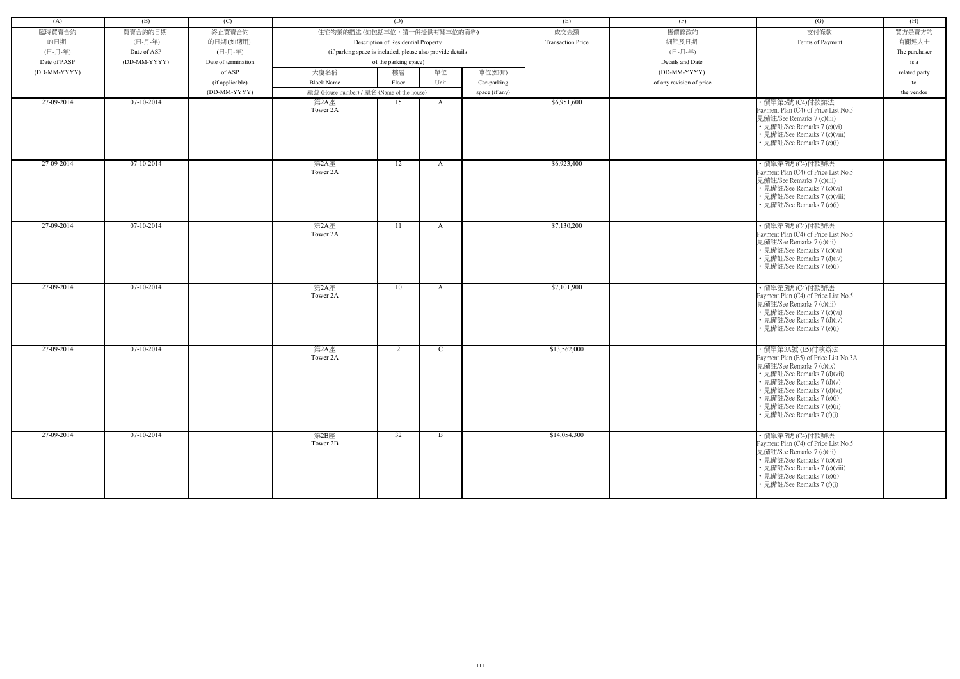| (A)          | (B)          | (C)                 |                                                            | (D)                                 |              |                | (E)                      | (F)                      | (G)                                                                                                                                                                                                                                                                        | (H)           |
|--------------|--------------|---------------------|------------------------------------------------------------|-------------------------------------|--------------|----------------|--------------------------|--------------------------|----------------------------------------------------------------------------------------------------------------------------------------------------------------------------------------------------------------------------------------------------------------------------|---------------|
| 臨時買賣合約       | 買賣合約的日期      | 終止買賣合約              | 住宅物業的描述 (如包括車位,請一併提供有關車位的資料)                               |                                     |              |                | 成交金額                     | 售價修改的                    | 支付條款                                                                                                                                                                                                                                                                       | 買方是賣方的        |
| 的日期          | (日-月-年)      |                     |                                                            |                                     |              |                | <b>Transaction Price</b> | 細節及日期                    | Terms of Payment                                                                                                                                                                                                                                                           | 有關連人士         |
|              |              | 的日期(如適用)            |                                                            | Description of Residential Property |              |                |                          |                          |                                                                                                                                                                                                                                                                            |               |
| (日-月-年)      | Date of ASP  | (日-月-年)             | (if parking space is included, please also provide details |                                     |              |                |                          | (日-月-年)                  |                                                                                                                                                                                                                                                                            | The purchaser |
| Date of PASP | (DD-MM-YYYY) | Date of termination |                                                            | of the parking space)               |              |                |                          | Details and Date         |                                                                                                                                                                                                                                                                            | is a          |
| (DD-MM-YYYY) |              | of ASP              | 大廈名稱                                                       | 樓層                                  | 單位           | 車位(如有)         |                          | (DD-MM-YYYY)             |                                                                                                                                                                                                                                                                            | related party |
|              |              | (if applicable)     | <b>Block Name</b>                                          | Floor                               | Unit         | Car-parking    |                          | of any revision of price |                                                                                                                                                                                                                                                                            | to            |
|              |              | (DD-MM-YYYY)        | 屋號 (House number) / 屋名 (Name of the house)                 |                                     |              | space (if any) |                          |                          |                                                                                                                                                                                                                                                                            | the vendor    |
| 27-09-2014   | 07-10-2014   |                     | 第2A座<br>Tower 2A                                           | 15                                  | A            |                | \$6,951,600              |                          | ・價單第5號 (C4)付款辦法<br>Payment Plan (C4) of Price List No.5<br>見備註/See Remarks 7 (c)(iii)<br>• 見備註/See Remarks 7 (c)(vi)<br>• 見備註/See Remarks 7 (c)(viii)<br>見備註/See Remarks 7 (e)(i)                                                                                          |               |
| 27-09-2014   | $07-10-2014$ |                     | 第2A座<br>Tower 2A                                           | 12                                  | $\mathbf{A}$ |                | \$6,923,400              |                          | ・價單第5號 (C4)付款辦法<br>Payment Plan (C4) of Price List No.5<br>見備註/See Remarks 7 (c)(iii)<br>• 見備註/See Remarks 7 (c)(vi)<br>• 見備註/See Remarks 7 (c)(viii)<br>見備註/See Remarks 7 (e)(i)                                                                                          |               |
| 27-09-2014   | 07-10-2014   |                     | 第2A座<br>Tower 2A                                           | 11                                  | $\mathbf{A}$ |                | \$7,130,200              |                          | ・價單第5號 (C4)付款辦法<br>Payment Plan (C4) of Price List No.5<br>見備註/See Remarks 7 (c)(iii)<br>• 見備註/See Remarks 7 (c)(vi)<br>• 見備註/See Remarks 7 (d)(iv)<br>• 見備註/See Remarks 7 (e)(i)                                                                                          |               |
| 27-09-2014   | $07-10-2014$ |                     | 第2A座<br>Tower 2A                                           | 10                                  | $\mathbf{A}$ |                | \$7,101,900              |                          | · 價單第5號 (C4)付款辦法<br>Payment Plan (C4) of Price List No.5<br>見備註/See Remarks 7 (c)(iii)<br>• 見備註/See Remarks 7 (c)(vi)<br>• 見備註/See Remarks 7 (d)(iv)<br>• 見備註/See Remarks 7 (e)(i)                                                                                         |               |
| 27-09-2014   | 07-10-2014   |                     | 第2A座<br>Tower 2A                                           | 2                                   | $\mathbf C$  |                | \$13,562,000             |                          | ・價單第3A號 (E5)付款辦法<br>Payment Plan (E5) of Price List No.3A<br>見備註/See Remarks 7 (c)(ix)<br>• 見備註/See Remarks 7 (d)(vii)<br>• 見備註/See Remarks 7 (d)(v)<br>見備註/See Remarks 7 (d)(vi)<br>• 見備註/See Remarks 7 (e)(i)<br>• 見備註/See Remarks 7 (e)(ii)<br>見備註/See Remarks 7 (f)(i) |               |
| 27-09-2014   | $07-10-2014$ |                     | 第2B座<br>Tower 2B                                           | 32                                  | $\mathbf{B}$ |                | \$14,054,300             |                          | · 價單第5號 (C4)付款辦法<br>Payment Plan (C4) of Price List No.5<br>見備註/See Remarks 7 (c)(iii)<br>• 見備註/See Remarks 7 (c)(vi)<br>• 見備註/See Remarks 7 (c)(viii)<br>• 見備註/See Remarks 7 (e)(i)<br>• 見備註/See Remarks 7 (f)(i)                                                         |               |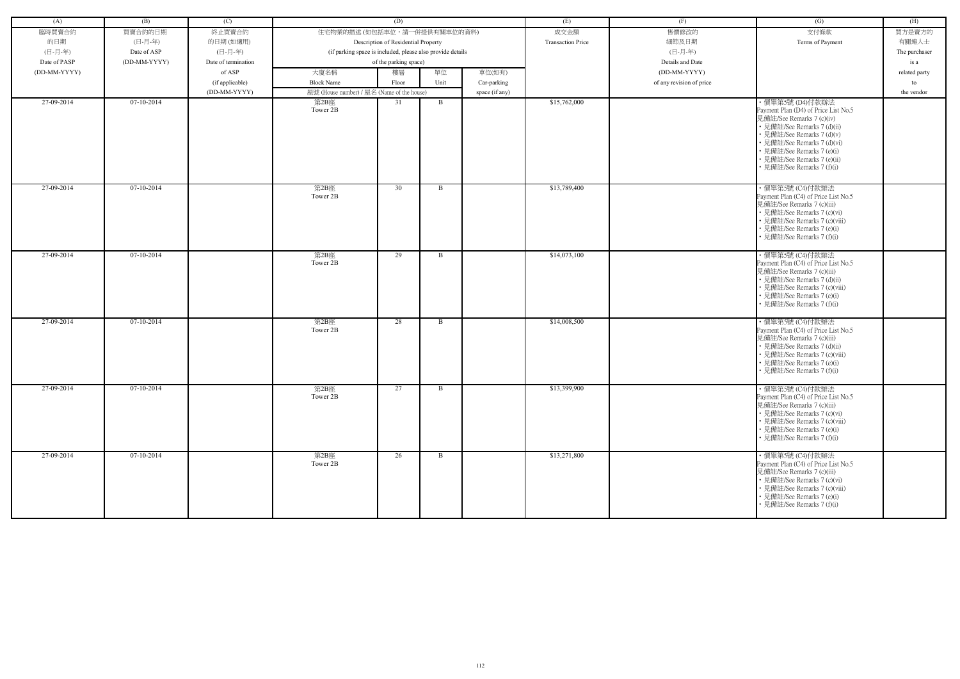| (A)          | (B)          | (C)                 |                                                            | (D)                                 |              |                | (E)                      | (F)                      | (G)                                                                                                                                                                                                                | (H)           |
|--------------|--------------|---------------------|------------------------------------------------------------|-------------------------------------|--------------|----------------|--------------------------|--------------------------|--------------------------------------------------------------------------------------------------------------------------------------------------------------------------------------------------------------------|---------------|
| 臨時買賣合約       | 買賣合約的日期      | 終止買賣合約              | 住宅物業的描述 (如包括車位,請一併提供有關車位的資料)                               |                                     |              |                | 成交金額                     | 售價修改的                    | 支付條款                                                                                                                                                                                                               | 買方是賣方的        |
| 的日期          | (日-月-年)      | 的日期(如適用)            |                                                            | Description of Residential Property |              |                | <b>Transaction Price</b> | 細節及日期                    | Terms of Payment                                                                                                                                                                                                   | 有關連人士         |
| (日-月-年)      | Date of ASP  | (日-月-年)             | (if parking space is included, please also provide details |                                     |              |                |                          | (日-月-年)                  |                                                                                                                                                                                                                    | The purchaser |
| Date of PASP | (DD-MM-YYYY) | Date of termination |                                                            | of the parking space)               |              |                |                          | Details and Date         |                                                                                                                                                                                                                    | is a          |
| (DD-MM-YYYY) |              | of ASP              | 大廈名稱                                                       | 樓層                                  | 單位           | 車位(如有)         |                          | (DD-MM-YYYY)             |                                                                                                                                                                                                                    | related party |
|              |              | (if applicable)     | <b>Block Name</b>                                          | Floor                               | Unit         | Car-parking    |                          | of any revision of price |                                                                                                                                                                                                                    | to            |
|              |              | (DD-MM-YYYY)        | 屋號 (House number) / 屋名 (Name of the house)                 |                                     |              | space (if any) |                          |                          |                                                                                                                                                                                                                    | the vendor    |
| 27-09-2014   | $07-10-2014$ |                     | 第2B座                                                       | 31                                  | $\mathbf{B}$ |                | \$15,762,000             |                          | ・價單第5號 (D4)付款辦法                                                                                                                                                                                                    |               |
|              |              |                     | Tower 2B                                                   |                                     |              |                |                          |                          | Payment Plan (D4) of Price List No.5<br>見備註/See Remarks 7 (c)(iv)<br>• 見備註/See Remarks 7 (d)(ii)<br>· 見備註/See Remarks 7 (d)(v)                                                                                     |               |
|              |              |                     |                                                            |                                     |              |                |                          |                          | • 見備註/See Remarks 7 (d)(vi)<br>• 見備註/See Remarks 7 (e)(i)<br>• 見備註/See Remarks 7 (e)(ii)<br>見備註/See Remarks 7 (f)(i)                                                                                               |               |
|              |              |                     |                                                            |                                     |              |                |                          |                          |                                                                                                                                                                                                                    |               |
| 27-09-2014   | $07-10-2014$ |                     | 第2B座<br>Tower 2B                                           | 30                                  | $\mathbf{B}$ |                | \$13,789,400             |                          | · 價單第5號 (C4)付款辦法<br>Payment Plan (C4) of Price List No.5<br>見備註/See Remarks 7 (c)(iii)<br>• 見備註/See Remarks 7 (c)(vi)<br>• 見備註/See Remarks 7 (c)(viii)<br>• 見備註/See Remarks 7 (e)(i)<br>見備註/See Remarks 7 (f)(i)   |               |
| 27-09-2014   | 07-10-2014   |                     | 第2B座<br>Tower 2B                                           | 29                                  | B            |                | \$14,073,100             |                          | ・價單第5號 (C4)付款辦法<br>Payment Plan (C4) of Price List No.5<br>見備註/See Remarks 7 (c)(iii)<br>• 見備註/See Remarks 7 (d)(ii)<br>• 見備註/See Remarks 7 (c)(viii)<br>• 見備註/See Remarks 7 (e)(i)<br>見備註/See Remarks 7 (f)(i)    |               |
| 27-09-2014   | $07-10-2014$ |                     | 第2B座<br>Tower 2B                                           | 28                                  | B            |                | \$14,008,500             |                          | ・價單第5號 (C4)付款辦法<br>Payment Plan (C4) of Price List No.5<br>見備註/See Remarks 7 (c)(iii)<br>• 見備註/See Remarks 7 (d)(ii)<br>• 見備註/See Remarks 7 (c)(viii)<br>• 見備註/See Remarks 7 (e)(i)<br>• 見備註/See Remarks 7 (f)(i)  |               |
| 27-09-2014   | 07-10-2014   |                     | 第2B座<br>Tower 2B                                           | 27                                  | B            |                | \$13,399,900             |                          | · 價單第5號 (C4)付款辦法<br>Payment Plan (C4) of Price List No.5<br>見備註/See Remarks 7 (c)(iii)<br>• 見備註/See Remarks 7 (c)(vi)<br>• 見備註/See Remarks 7 (c)(viii)<br>• 見備註/See Remarks 7 (e)(i)<br>• 見備註/See Remarks 7 (f)(i) |               |
| 27-09-2014   | 07-10-2014   |                     | 第2B座<br>Tower 2B                                           | 26                                  | B            |                | \$13,271,800             |                          | · 價單第5號 (C4)付款辦法<br>Payment Plan (C4) of Price List No.5<br>見備註/See Remarks 7 (c)(iii)<br>• 見備註/See Remarks 7 (c)(vi)<br>• 見備註/See Remarks 7 (c)(viii)<br>• 見備註/See Remarks 7 (e)(i)<br>• 見備註/See Remarks 7 (f)(i) |               |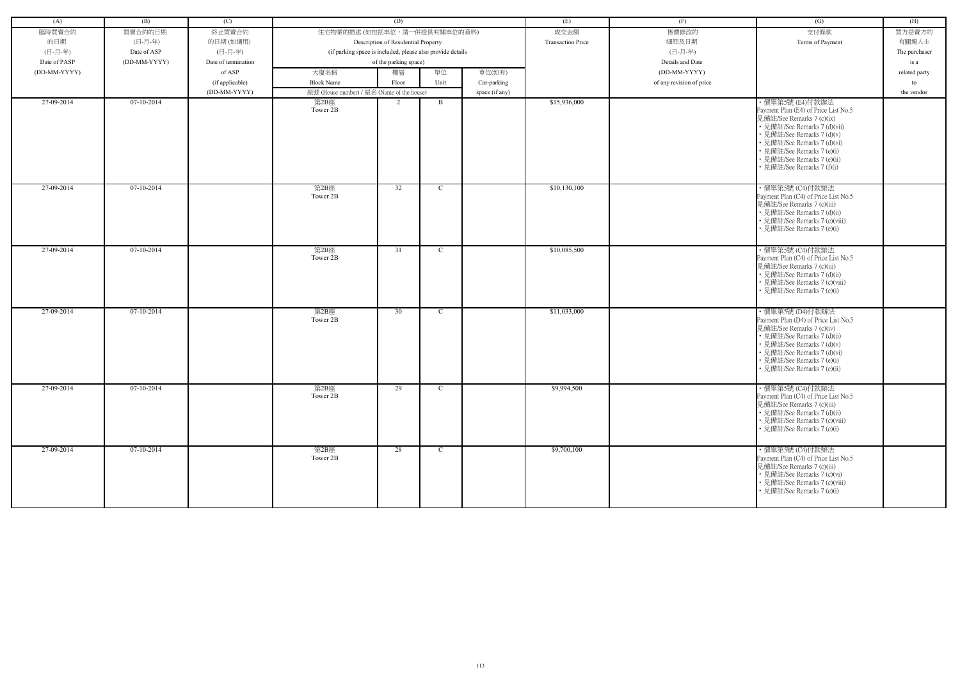| (A)          | (B)          | (C)                 |                                                            | (D)                                 |              |                | (E)                      | (F)                      | (G)                                                                                                                                                                                                                                           | (H)           |
|--------------|--------------|---------------------|------------------------------------------------------------|-------------------------------------|--------------|----------------|--------------------------|--------------------------|-----------------------------------------------------------------------------------------------------------------------------------------------------------------------------------------------------------------------------------------------|---------------|
| 臨時買賣合約       | 買賣合約的日期      | 終止買賣合約              | 住宅物業的描述 (如包括車位,請一併提供有關車位的資料)                               |                                     |              |                | 成交金額                     | 售價修改的                    | 支付條款                                                                                                                                                                                                                                          | 買方是賣方的        |
| 的日期          | (日-月-年)      | 的日期(如適用)            |                                                            | Description of Residential Property |              |                | <b>Transaction Price</b> | 細節及日期                    | Terms of Payment                                                                                                                                                                                                                              | 有關連人士         |
| (日-月-年)      | Date of ASP  | (日-月-年)             | (if parking space is included, please also provide details |                                     |              |                |                          | (日-月-年)                  |                                                                                                                                                                                                                                               | The purchaser |
| Date of PASP | (DD-MM-YYYY) | Date of termination |                                                            | of the parking space)               |              |                |                          | Details and Date         |                                                                                                                                                                                                                                               | is a          |
| (DD-MM-YYYY) |              | of ASP              | 大廈名稱                                                       | 樓層                                  | 單位           | 車位(如有)         |                          | (DD-MM-YYYY)             |                                                                                                                                                                                                                                               | related party |
|              |              | (if applicable)     | <b>Block Name</b>                                          | Floor                               | Unit         | Car-parking    |                          | of any revision of price |                                                                                                                                                                                                                                               | to            |
|              |              | (DD-MM-YYYY)        | 屋號 (House number) / 屋名 (Name of the house)                 |                                     |              | space (if any) |                          |                          |                                                                                                                                                                                                                                               | the vendor    |
| 27-09-2014   | $07-10-2014$ |                     | 第2B座<br>Tower 2B                                           | 2                                   | $\mathbf{B}$ |                | \$15,936,000             |                          | ・價單第5號 (E4)付款辦法<br>Payment Plan (E4) of Price List No.5<br>見備註/See Remarks 7 (c)(ix)<br>• 見備註/See Remarks 7 (d)(vii)<br>• 見備註/See Remarks 7 (d)(v)<br>• 見備註/See Remarks 7 (d)(vi)                                                             |               |
|              |              |                     |                                                            |                                     |              |                |                          |                          | • 見備註/See Remarks 7 (e)(i)<br>• 見備註/See Remarks 7 (e)(ii)<br>見備註/See Remarks 7 (f)(i)                                                                                                                                                         |               |
| 27-09-2014   | $07-10-2014$ |                     | 第2B座<br>Tower 2B                                           | 32                                  | C            |                | \$10,130,100             |                          | ・價單第5號 (C4)付款辦法<br>Payment Plan (C4) of Price List No.5<br>見備註/See Remarks 7 (c)(iii)<br>• 見備註/See Remarks 7 (d)(ii)<br>• 見備註/See Remarks 7 (c)(viii)<br>• 見備註/See Remarks 7 (e)(i)                                                           |               |
| 27-09-2014   | $07-10-2014$ |                     | 第2B座<br>Tower 2B                                           | 31                                  | $\mathbf C$  |                | \$10,085,500             |                          | · 價單第5號 (C4)付款辦法<br>Payment Plan (C4) of Price List No.5<br>見備註/See Remarks 7 (c)(iii)<br>• 見備註/See Remarks 7 (d)(ii)<br>• 見備註/See Remarks 7 (c)(viii)<br>• 見備註/See Remarks 7 (e)(i)                                                          |               |
| 27-09-2014   | $07-10-2014$ |                     | 第2B座<br>Tower 2B                                           | 30                                  | $\mathbf C$  |                | \$11,033,000             |                          | ・價單第5號 (D4)付款辦法<br>Payment Plan (D4) of Price List No.5<br>見備註/See Remarks 7 (c)(iv)<br>• 見備註/See Remarks 7 (d)(ii)<br>• 見備註/See Remarks 7 (d)(v)<br>• 見備註/See Remarks 7 (d)(vi)<br>• 見備註/See Remarks 7 (e)(i)<br>• 見備註/See Remarks 7 (e)(ii) |               |
| 27-09-2014   | 07-10-2014   |                     | 第2B座<br>Tower 2B                                           | 29                                  | $\mathbf C$  |                | \$9,994,500              |                          | ・價單第5號 (C4)付款辦法<br>Payment Plan (C4) of Price List No.5<br>見備註/See Remarks 7 (c)(iii)<br>• 見備註/See Remarks 7 (d)(ii)<br>• 見備註/See Remarks 7 (c)(viii)<br>• 見備註/See Remarks 7 (e)(i)                                                           |               |
| 27-09-2014   | $07-10-2014$ |                     | 第2B座<br>Tower 2B                                           | 28                                  | $\mathbf{C}$ |                | \$9,700,100              |                          | ・價單第5號 (C4)付款辦法<br>Payment Plan (C4) of Price List No.5<br>見備註/See Remarks 7 (c)(iii)<br>• 見備註/See Remarks 7 (c)(vi)<br>• 見備註/See Remarks 7 (c)(viii)<br>• 見備註/See Remarks 7 (e)(i)                                                           |               |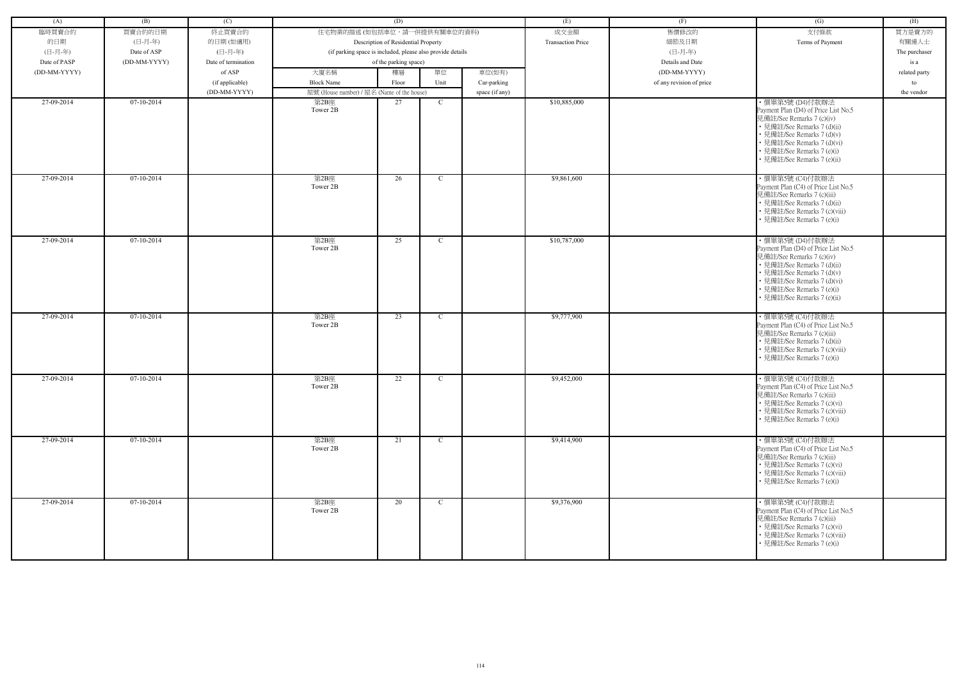| (A)          | (B)          | (C)                 |                                            | (D)                                                        |              |                | (E)                      | (F)                      | (G)                                                                                                                                                                                                                                           | (H)           |
|--------------|--------------|---------------------|--------------------------------------------|------------------------------------------------------------|--------------|----------------|--------------------------|--------------------------|-----------------------------------------------------------------------------------------------------------------------------------------------------------------------------------------------------------------------------------------------|---------------|
| 臨時買賣合約       | 買賣合約的日期      | 終止買賣合約              | 住宅物業的描述 (如包括車位,請一併提供有關車位的資料)               |                                                            |              |                | 成交金額                     | 售價修改的                    | 支付條款                                                                                                                                                                                                                                          | 買方是賣方的        |
| 的日期          | (日-月-年)      |                     |                                            |                                                            |              |                | <b>Transaction Price</b> | 細節及日期                    |                                                                                                                                                                                                                                               | 有關連人士         |
| (日-月-年)      |              | 的日期(如適用)<br>(日-月-年) |                                            | Description of Residential Property                        |              |                |                          | (日-月-年)                  | Terms of Payment                                                                                                                                                                                                                              |               |
|              | Date of ASP  |                     |                                            | (if parking space is included, please also provide details |              |                |                          |                          |                                                                                                                                                                                                                                               | The purchaser |
| Date of PASP | (DD-MM-YYYY) | Date of termination |                                            | of the parking space)                                      |              |                |                          | Details and Date         |                                                                                                                                                                                                                                               | is a          |
| (DD-MM-YYYY) |              | of ASP              | 大廈名稱                                       | 樓層                                                         | 單位           | 車位(如有)         |                          | (DD-MM-YYYY)             |                                                                                                                                                                                                                                               | related party |
|              |              | (if applicable)     | <b>Block Name</b>                          | Floor                                                      | Unit         | Car-parking    |                          | of any revision of price |                                                                                                                                                                                                                                               | to            |
|              |              | (DD-MM-YYYY)        | 屋號 (House number) / 屋名 (Name of the house) |                                                            |              | space (if any) |                          |                          |                                                                                                                                                                                                                                               | the vendor    |
| 27-09-2014   | 07-10-2014   |                     | 第2B座<br>Tower 2B                           | 27                                                         | C            |                | \$10,885,000             |                          | ・價單第5號 (D4)付款辦法<br>Payment Plan (D4) of Price List No.5<br>見備註/See Remarks 7 (c)(iv)<br>• 見備註/See Remarks 7 (d)(ii)<br>• 見備註/See Remarks 7 (d)(v)<br>• 見備註/See Remarks 7 (d)(vi)<br>• 見備註/See Remarks 7 (e)(i)<br>• 見備註/See Remarks 7 (e)(ii) |               |
| 27-09-2014   | $07-10-2014$ |                     | 第2B座<br>Tower 2B                           | 26                                                         | C            |                | \$9,861,600              |                          | · 價單第5號 (C4)付款辦法<br>Payment Plan (C4) of Price List No.5<br>見備註/See Remarks 7 (c)(iii)<br>• 見備註/See Remarks 7 (d)(ii)<br>• 見備註/See Remarks 7 (c)(viii)<br>• 見備註/See Remarks 7 (e)(i)                                                          |               |
| 27-09-2014   | $07-10-2014$ |                     | 第2B座<br>Tower 2B                           | 25                                                         | C            |                | \$10,787,000             |                          | ・價單第5號 (D4)付款辦法<br>Payment Plan (D4) of Price List No.5<br>見備註/See Remarks 7 (c)(iv)<br>• 見備註/See Remarks 7 (d)(ii)<br>• 見備註/See Remarks 7 (d)(v)<br>• 見備註/See Remarks 7 (d)(vi)<br>• 見備註/See Remarks 7 (e)(i)<br>· 見備註/See Remarks 7 (e)(ii) |               |
| 27-09-2014   | $07-10-2014$ |                     | 第2B座<br>Tower 2B                           | 23                                                         | C            |                | \$9,777,900              |                          | ・價單第5號 (C4)付款辦法<br>Payment Plan (C4) of Price List No.5<br>見備註/See Remarks 7 (c)(iii)<br>• 見備註/See Remarks 7 (d)(ii)<br>• 見備註/See Remarks 7 (c)(viii)<br>• 見備註/See Remarks 7 (e)(i)                                                           |               |
| 27-09-2014   | 07-10-2014   |                     | 第2B座<br>Tower 2B                           | 22                                                         | C            |                | \$9,452,000              |                          | ・價單第5號 (C4)付款辦法<br>Payment Plan (C4) of Price List No.5<br>見備註/See Remarks 7 (c)(iii)<br>• 見備註/See Remarks 7 (c)(vi)<br>• 見備註/See Remarks 7 (c)(viii)<br>• 見備註/See Remarks 7 (e)(i)                                                           |               |
| 27-09-2014   | $07-10-2014$ |                     | 第2B座<br>Tower 2B                           | 21                                                         | $\mathbf C$  |                | \$9,414,900              |                          | ・價單第5號 (C4)付款辦法<br>Payment Plan (C4) of Price List No.5<br>見備註/See Remarks 7 (c)(iii)<br>• 見備註/See Remarks 7 (c)(vi)<br>• 見備註/See Remarks 7 (c)(viii)<br>• 見備註/See Remarks 7 (e)(i)                                                           |               |
| 27-09-2014   | $07-10-2014$ |                     | 第2B座<br>Tower 2B                           | 20                                                         | $\mathbf{C}$ |                | \$9,376,900              |                          | · 價單第5號 (C4)付款辦法<br>Payment Plan (C4) of Price List No.5<br>見備註/See Remarks 7 (c)(iii)<br>• 見備註/See Remarks 7 (c)(vi)<br>• 見備註/See Remarks 7 (c)(viii)<br>• 見備註/See Remarks 7 (e)(i)                                                          |               |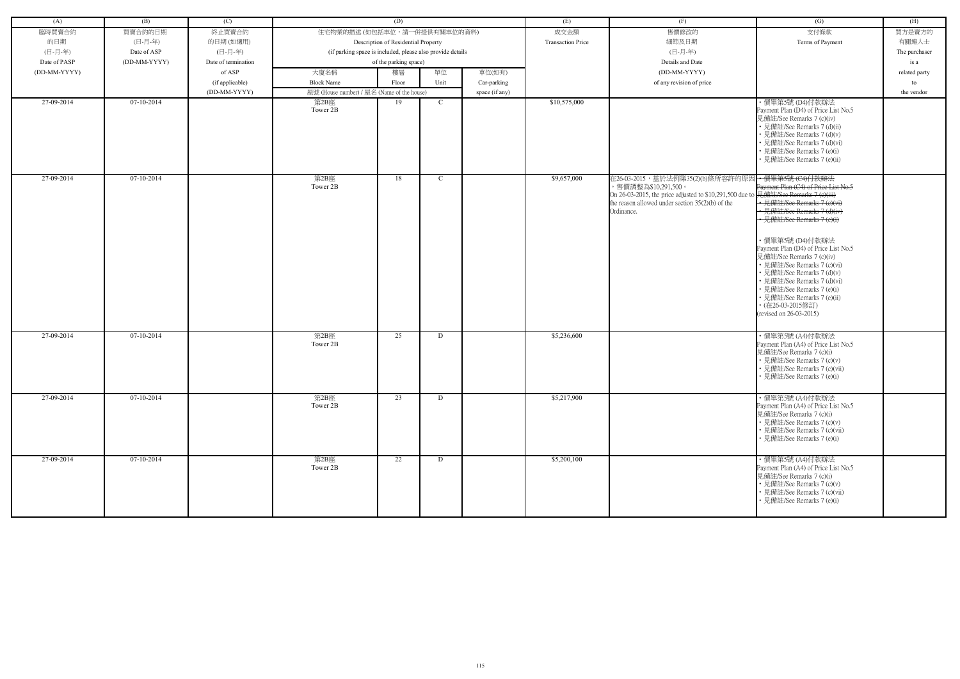| (A)          | (B)          | (C)                 |                                                            | (D)                                 |             |                | (E)                      | (F)                                                      | (G)                                                        | (H)           |
|--------------|--------------|---------------------|------------------------------------------------------------|-------------------------------------|-------------|----------------|--------------------------|----------------------------------------------------------|------------------------------------------------------------|---------------|
| 臨時買賣合約       | 買賣合約的日期      | 終止買賣合約              | 住宅物業的描述 (如包括車位,請一併提供有關車位的資料)                               |                                     |             |                | 成交金額                     | 售價修改的                                                    | 支付條款                                                       | 買方是賣方的        |
| 的日期          | (日-月-年)      | 的日期(如適用)            |                                                            | Description of Residential Property |             |                | <b>Transaction Price</b> | 細節及日期                                                    | Terms of Payment                                           | 有關連人士         |
| (日-月-年)      | Date of ASP  | (日-月-年)             | (if parking space is included, please also provide details |                                     |             |                |                          | (日-月-年)                                                  |                                                            | The purchaser |
| Date of PASP | (DD-MM-YYYY) | Date of termination |                                                            | of the parking space)               |             |                |                          | Details and Date                                         |                                                            | is a          |
| (DD-MM-YYYY) |              | of ASP              | 大廈名稱                                                       | 樓層                                  | 單位          | 車位(如有)         |                          | (DD-MM-YYYY)                                             |                                                            | related party |
|              |              | (if applicable)     | <b>Block Name</b>                                          | Floor                               | Unit        | Car-parking    |                          | of any revision of price                                 |                                                            | to            |
|              |              | (DD-MM-YYYY)        | 屋號 (House number) / 屋名 (Name of the house)                 |                                     |             | space (if any) |                          |                                                          |                                                            | the vendor    |
| 27-09-2014   | $07-10-2014$ |                     | 第2B座                                                       | 19                                  | $\mathbf C$ |                | \$10,575,000             |                                                          | ・價單第5號 (D4)付款辦法                                            |               |
|              |              |                     | Tower 2B                                                   |                                     |             |                |                          |                                                          | Payment Plan (D4) of Price List No.5                       |               |
|              |              |                     |                                                            |                                     |             |                |                          |                                                          | 見備註/See Remarks 7 (c)(iv)                                  |               |
|              |              |                     |                                                            |                                     |             |                |                          |                                                          | • 見備註/See Remarks 7 (d)(ii)<br>· 見備註/See Remarks 7 (d)(v)  |               |
|              |              |                     |                                                            |                                     |             |                |                          |                                                          | 見備註/See Remarks 7 (d)(vi)                                  |               |
|              |              |                     |                                                            |                                     |             |                |                          |                                                          | • 見備註/See Remarks 7 (e)(i)                                 |               |
|              |              |                     |                                                            |                                     |             |                |                          |                                                          | 見備註/See Remarks 7 (e)(ii)                                  |               |
|              |              |                     |                                                            |                                     |             |                |                          |                                                          |                                                            |               |
| 27-09-2014   | $07-10-2014$ |                     | 第2B座<br>Tower 2B                                           | 18                                  | $\mathbf C$ |                | \$9,657,000              | 在26-03-2015,基於法例第35(2)(b)條所容許的原因<br>,售價調整為\$10,291,500。  | + 價單第5號 (C4)付款辦法<br>Payment Plan (C4) of Price List No.5   |               |
|              |              |                     |                                                            |                                     |             |                |                          | On 26-03-2015, the price adjusted to \$10,291,500 due to | 見<br> 見備註/See Remarks 7 (e)(iii)                           |               |
|              |              |                     |                                                            |                                     |             |                |                          | the reason allowed under section $35(2)(b)$ of the       | · 見備註/See Remarks 7 (e)(vi)                                |               |
|              |              |                     |                                                            |                                     |             |                |                          | Ordinance.                                               | · 見備註/See Remarks 7 (d)(iv<br>• 見備註/See Remarks 7 (e)(i)   |               |
|              |              |                     |                                                            |                                     |             |                |                          |                                                          |                                                            |               |
|              |              |                     |                                                            |                                     |             |                |                          |                                                          | · 價單第5號 (D4)付款辦法                                           |               |
|              |              |                     |                                                            |                                     |             |                |                          |                                                          | Payment Plan (D4) of Price List No.5                       |               |
|              |              |                     |                                                            |                                     |             |                |                          |                                                          | 見備註/See Remarks 7 (c)(iv)                                  |               |
|              |              |                     |                                                            |                                     |             |                |                          |                                                          | • 見備註/See Remarks 7 (c)(vi)                                |               |
|              |              |                     |                                                            |                                     |             |                |                          |                                                          | • 見備註/See Remarks 7 (d)(v)<br>• 見備註/See Remarks 7 (d)(vi)  |               |
|              |              |                     |                                                            |                                     |             |                |                          |                                                          | 見備註/See Remarks 7 (e)(i)                                   |               |
|              |              |                     |                                                            |                                     |             |                |                          |                                                          | • 見備註/See Remarks 7 (e)(ii)                                |               |
|              |              |                     |                                                            |                                     |             |                |                          |                                                          | • (在26-03-2015修訂)<br>(revised on 26-03-2015)               |               |
|              |              |                     |                                                            |                                     |             |                |                          |                                                          |                                                            |               |
| 27-09-2014   | 07-10-2014   |                     | 第2B座                                                       | 25                                  | D           |                | \$5,236,600              |                                                          | ・價單第5號 (A4)付款辦法                                            |               |
|              |              |                     | Tower 2B                                                   |                                     |             |                |                          |                                                          | Payment Plan (A4) of Price List No.5                       |               |
|              |              |                     |                                                            |                                     |             |                |                          |                                                          | 見備註/See Remarks 7 (c)(i)                                   |               |
|              |              |                     |                                                            |                                     |             |                |                          |                                                          | • 見備註/See Remarks 7 (c)(v)<br>• 見備註/See Remarks 7 (c)(vii) |               |
|              |              |                     |                                                            |                                     |             |                |                          |                                                          | • 見備註/See Remarks 7 (e)(i)                                 |               |
|              |              |                     |                                                            |                                     |             |                |                          |                                                          |                                                            |               |
| 27-09-2014   | 07-10-2014   |                     | 第2B座                                                       | 23                                  | D           |                | \$5,217,900              |                                                          | ・價單第5號 (A4)付款辦法                                            |               |
|              |              |                     | Tower 2B                                                   |                                     |             |                |                          |                                                          | Payment Plan (A4) of Price List No.5                       |               |
|              |              |                     |                                                            |                                     |             |                |                          |                                                          | 見備註/See Remarks 7 (c)(i)<br>• 見備註/See Remarks 7 (c)(v)     |               |
|              |              |                     |                                                            |                                     |             |                |                          |                                                          | • 見備註/See Remarks 7 (c)(vii)                               |               |
|              |              |                     |                                                            |                                     |             |                |                          |                                                          | • 見備註/See Remarks 7 (e)(i)                                 |               |
|              |              |                     |                                                            |                                     |             |                |                          |                                                          |                                                            |               |
| 27-09-2014   | 07-10-2014   |                     | 第2B座<br>Tower 2B                                           | 22                                  | D           |                | \$5,200,100              |                                                          | ・價單第5號 (A4)付款辦法<br>Payment Plan (A4) of Price List No.5    |               |
|              |              |                     |                                                            |                                     |             |                |                          |                                                          | 見備註/See Remarks 7 (c)(i)                                   |               |
|              |              |                     |                                                            |                                     |             |                |                          |                                                          | • 見備註/See Remarks 7 (c)(v)                                 |               |
|              |              |                     |                                                            |                                     |             |                |                          |                                                          | • 見備註/See Remarks 7 (c)(vii)                               |               |
|              |              |                     |                                                            |                                     |             |                |                          |                                                          | • 見備註/See Remarks 7 (e)(i)                                 |               |
|              |              |                     |                                                            |                                     |             |                |                          |                                                          |                                                            |               |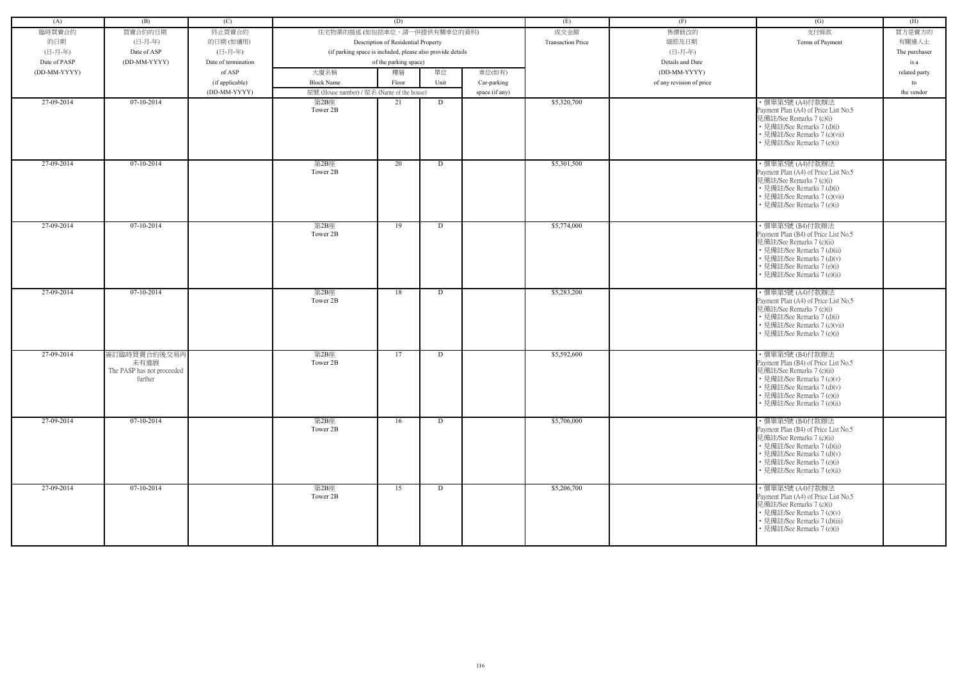| (A)          | (B)                        | (C)                 |                                                            | (D)                                 |      |                | (E)                      | (F)                      | (G)                                                      | (H)           |
|--------------|----------------------------|---------------------|------------------------------------------------------------|-------------------------------------|------|----------------|--------------------------|--------------------------|----------------------------------------------------------|---------------|
| 臨時買賣合約       | 買賣合約的日期                    | 終止買賣合約              | 住宅物業的描述 (如包括車位,請一併提供有關車位的資料)                               |                                     |      |                | 成交金額                     | 售價修改的                    | 支付條款                                                     | 買方是賣方的        |
| 的日期          | (日-月-年)                    | 的日期(如適用)            |                                                            | Description of Residential Property |      |                | <b>Transaction Price</b> | 細節及日期                    | Terms of Payment                                         | 有關連人士         |
| (日-月-年)      | Date of ASP                | (日-月-年)             | (if parking space is included, please also provide details |                                     |      |                |                          | (日-月-年)                  |                                                          | The purchaser |
| Date of PASP | (DD-MM-YYYY)               | Date of termination |                                                            | of the parking space)               |      |                |                          | Details and Date         |                                                          | is a          |
| (DD-MM-YYYY) |                            | of ASP              | 大廈名稱                                                       | 樓層                                  | 單位   | 車位(如有)         |                          | (DD-MM-YYYY)             |                                                          | related party |
|              |                            | (if applicable)     | <b>Block Name</b>                                          | Floor                               | Unit | Car-parking    |                          | of any revision of price |                                                          | to            |
|              |                            | (DD-MM-YYYY)        | 屋號 (House number) / 屋名 (Name of the house)                 |                                     |      | space (if any) |                          |                          |                                                          | the vendor    |
| 27-09-2014   | $07-10-2014$               |                     | 第2B座                                                       | 21                                  | D    |                | \$5,320,700              |                          | ・價單第5號 (A4)付款辦法                                          |               |
|              |                            |                     | Tower 2B                                                   |                                     |      |                |                          |                          | Payment Plan (A4) of Price List No.5                     |               |
|              |                            |                     |                                                            |                                     |      |                |                          |                          | 見備註/See Remarks 7 (c)(i)                                 |               |
|              |                            |                     |                                                            |                                     |      |                |                          |                          | • 見備註/See Remarks 7 (d)(i)                               |               |
|              |                            |                     |                                                            |                                     |      |                |                          |                          | • 見備註/See Remarks 7 (c)(vii)                             |               |
|              |                            |                     |                                                            |                                     |      |                |                          |                          | • 見備註/See Remarks 7 (e)(i)                               |               |
|              |                            |                     |                                                            |                                     |      |                |                          |                          |                                                          |               |
| 27-09-2014   | $07-10-2014$               |                     | 第2B座                                                       | 20                                  | D    |                | \$5,301,500              |                          | ・價單第5號 (A4)付款辦法                                          |               |
|              |                            |                     | Tower 2B                                                   |                                     |      |                |                          |                          | Payment Plan (A4) of Price List No.5                     |               |
|              |                            |                     |                                                            |                                     |      |                |                          |                          | 見備註/See Remarks 7 (c)(i)<br>• 見備註/See Remarks 7 (d)(i)   |               |
|              |                            |                     |                                                            |                                     |      |                |                          |                          | • 見備註/See Remarks 7 (c)(vii)                             |               |
|              |                            |                     |                                                            |                                     |      |                |                          |                          | • 見備註/See Remarks 7 (e)(i)                               |               |
|              |                            |                     |                                                            |                                     |      |                |                          |                          |                                                          |               |
| 27-09-2014   | $07-10-2014$               |                     | 第2B座                                                       | 19                                  | D    |                | \$5,774,000              |                          | ・價單第5號 (B4)付款辦法                                          |               |
|              |                            |                     | Tower 2B                                                   |                                     |      |                |                          |                          | Payment Plan (B4) of Price List No.5                     |               |
|              |                            |                     |                                                            |                                     |      |                |                          |                          | 見備註/See Remarks 7 (c)(ii)                                |               |
|              |                            |                     |                                                            |                                     |      |                |                          |                          | • 見備註/See Remarks 7 (d)(ii)                              |               |
|              |                            |                     |                                                            |                                     |      |                |                          |                          | • 見備註/See Remarks 7 (d)(v)<br>• 見備註/See Remarks 7 (e)(i) |               |
|              |                            |                     |                                                            |                                     |      |                |                          |                          | · 見備註/See Remarks 7 (e)(ii)                              |               |
|              |                            |                     |                                                            |                                     |      |                |                          |                          |                                                          |               |
| 27-09-2014   | 07-10-2014                 |                     | 第2B座                                                       | 18                                  | D    |                | \$5,283,200              |                          | ・價單第5號 (A4)付款辦法                                          |               |
|              |                            |                     | Tower 2B                                                   |                                     |      |                |                          |                          | Payment Plan (A4) of Price List No.5                     |               |
|              |                            |                     |                                                            |                                     |      |                |                          |                          | 見備註/See Remarks 7 (c)(i)<br>• 見備註/See Remarks 7 (d)(i)   |               |
|              |                            |                     |                                                            |                                     |      |                |                          |                          | · 見備註/See Remarks 7 (c)(vii)                             |               |
|              |                            |                     |                                                            |                                     |      |                |                          |                          | • 見備註/See Remarks 7 (e)(i)                               |               |
|              |                            |                     |                                                            |                                     |      |                |                          |                          |                                                          |               |
| 27-09-2014   | 簽訂臨時買賣合約後交易再               |                     | 第2B座                                                       | 17                                  | D    |                | \$5,592,600              |                          | ・價單第5號 (B4)付款辦法                                          |               |
|              | 未有進展                       |                     | Tower 2B                                                   |                                     |      |                |                          |                          | Payment Plan (B4) of Price List No.5                     |               |
|              | The PASP has not proceeded |                     |                                                            |                                     |      |                |                          |                          | 見備註/See Remarks 7 (c)(ii)                                |               |
|              | further                    |                     |                                                            |                                     |      |                |                          |                          | • 見備註/See Remarks 7 (c)(v)<br>• 見備註/See Remarks 7 (d)(v) |               |
|              |                            |                     |                                                            |                                     |      |                |                          |                          | • 見備註/See Remarks 7 (e)(i)                               |               |
|              |                            |                     |                                                            |                                     |      |                |                          |                          | • 見備註/See Remarks 7 (e)(ii)                              |               |
|              |                            |                     |                                                            |                                     |      |                |                          |                          |                                                          |               |
| 27-09-2014   | 07-10-2014                 |                     | 第2B座                                                       | 16                                  | D    |                | \$5,706,000              |                          | ・價單第5號 (B4)付款辦法                                          |               |
|              |                            |                     | Tower 2B                                                   |                                     |      |                |                          |                          | Payment Plan (B4) of Price List No.5                     |               |
|              |                            |                     |                                                            |                                     |      |                |                          |                          | 見備註/See Remarks 7 (c)(ii)<br>• 見備註/See Remarks 7 (d)(ii) |               |
|              |                            |                     |                                                            |                                     |      |                |                          |                          | • 見備註/See Remarks 7 (d)(v)                               |               |
|              |                            |                     |                                                            |                                     |      |                |                          |                          | • 見備註/See Remarks 7 (e)(i)                               |               |
|              |                            |                     |                                                            |                                     |      |                |                          |                          | • 見備註/See Remarks 7 (e)(ii)                              |               |
|              |                            |                     |                                                            |                                     |      |                |                          |                          |                                                          |               |
| 27-09-2014   | $07-10-2014$               |                     | 第2B座<br>Tower 2B                                           | 15                                  | D    |                | \$5,206,700              |                          | · 價單第5號 (A4)付款辦法<br>Payment Plan (A4) of Price List No.5 |               |
|              |                            |                     |                                                            |                                     |      |                |                          |                          | 見備註/See Remarks 7 (c)(i)                                 |               |
|              |                            |                     |                                                            |                                     |      |                |                          |                          | • 見備註/See Remarks 7 (c)(v)                               |               |
|              |                            |                     |                                                            |                                     |      |                |                          |                          | • 見備註/See Remarks 7 (d)(iii)                             |               |
|              |                            |                     |                                                            |                                     |      |                |                          |                          | • 見備註/See Remarks 7 (e)(i)                               |               |
|              |                            |                     |                                                            |                                     |      |                |                          |                          |                                                          |               |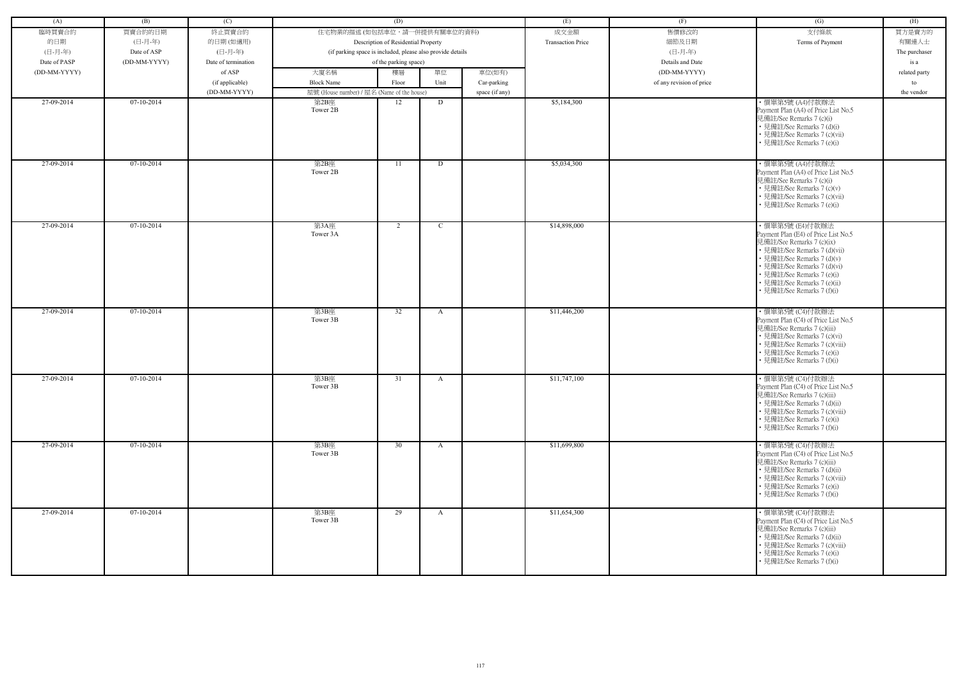| (A)          | (B)          | (C)                 |                                                            | (D)                                 |              |                | (E)                      | (F)                      | (G)                                                                                                                                                                                                                                                                          | (H)           |
|--------------|--------------|---------------------|------------------------------------------------------------|-------------------------------------|--------------|----------------|--------------------------|--------------------------|------------------------------------------------------------------------------------------------------------------------------------------------------------------------------------------------------------------------------------------------------------------------------|---------------|
| 臨時買賣合約       | 買賣合約的日期      | 終止買賣合約              | 住宅物業的描述 (如包括車位,請一併提供有關車位的資料)                               |                                     |              |                | 成交金額                     | 售價修改的                    | 支付條款                                                                                                                                                                                                                                                                         | 買方是賣方的        |
| 的日期          | (日-月-年)      | 的日期(如適用)            |                                                            | Description of Residential Property |              |                | <b>Transaction Price</b> | 細節及日期                    | Terms of Payment                                                                                                                                                                                                                                                             | 有關連人士         |
| (日-月-年)      | Date of ASP  | (日-月-年)             | (if parking space is included, please also provide details |                                     |              |                |                          | (日-月-年)                  |                                                                                                                                                                                                                                                                              | The purchaser |
| Date of PASP | (DD-MM-YYYY) | Date of termination |                                                            | of the parking space)               |              |                |                          | Details and Date         |                                                                                                                                                                                                                                                                              | is a          |
| (DD-MM-YYYY) |              | of ASP              | 大廈名稱                                                       | 樓層                                  | 單位           | 車位(如有)         |                          | (DD-MM-YYYY)             |                                                                                                                                                                                                                                                                              | related party |
|              |              | (if applicable)     | <b>Block Name</b>                                          | Floor                               | Unit         | Car-parking    |                          | of any revision of price |                                                                                                                                                                                                                                                                              | to            |
|              |              | (DD-MM-YYYY)        | 屋號 (House number) / 屋名 (Name of the house)                 |                                     |              | space (if any) |                          |                          |                                                                                                                                                                                                                                                                              | the vendor    |
| 27-09-2014   | 07-10-2014   |                     | 第2B座<br>Tower 2B                                           | 12                                  | D            |                | \$5,184,300              |                          | · 價單第5號 (A4)付款辦法<br>Payment Plan (A4) of Price List No.5                                                                                                                                                                                                                     |               |
|              |              |                     |                                                            |                                     |              |                |                          |                          | 見備註/See Remarks 7 (c)(i)<br>• 見備註/See Remarks 7 (d)(i)<br>• 見備註/See Remarks 7 (c)(vii)<br>• 見備註/See Remarks 7 (e)(i)                                                                                                                                                         |               |
| 27-09-2014   | $07-10-2014$ |                     | 第2B座<br>Tower 2B                                           | 11                                  | D            |                | \$5,034,300              |                          | ・價單第5號 (A4)付款辦法<br>Payment Plan (A4) of Price List No.5<br>見備註/See Remarks 7 (c)(i)<br>• 見備註/See Remarks 7 (c)(v)<br>• 見備註/See Remarks 7 (c)(vii)<br>• 見備註/See Remarks 7 (e)(i)                                                                                              |               |
| 27-09-2014   | 07-10-2014   |                     | 第3A座<br>Tower 3A                                           | 2                                   | C.           |                | \$14,898,000             |                          | ・價單第5號 (E4)付款辦法<br>Payment Plan (E4) of Price List No.5<br>見備註/See Remarks 7 (c)(ix)<br>• 見備註/See Remarks 7 (d)(vii)<br>• 見備註/See Remarks 7 (d)(v)<br>• 見備註/See Remarks 7 (d)(vi)<br>• 見備註/See Remarks 7 (e)(i)<br>• 見備註/See Remarks 7 (e)(ii)<br>• 見備註/See Remarks 7 (f)(i) |               |
| 27-09-2014   | 07-10-2014   |                     | 第3B座<br>Tower 3B                                           | 32                                  | A            |                | \$11,446,200             |                          | ・價單第5號 (C4)付款辦法<br>Payment Plan (C4) of Price List No.5<br>見備註/See Remarks 7 (c)(iii)<br>• 見備註/See Remarks 7 (c)(vi)<br>• 見備註/See Remarks 7 (c)(viii)<br>• 見備註/See Remarks 7 (e)(i)<br>• 見備註/See Remarks 7 (f)(i)                                                            |               |
| 27-09-2014   | 07-10-2014   |                     | 第3B座<br>Tower 3B                                           | 31                                  | A            |                | \$11,747,100             |                          | ・價單第5號 (C4)付款辦法<br>Payment Plan (C4) of Price List No.5<br>見備註/See Remarks 7 (c)(iii)<br>• 見備註/See Remarks 7 (d)(ii)<br>• 見備註/See Remarks 7 (c)(viii)<br>• 見備註/See Remarks 7 (e)(i)<br>• 見備註/See Remarks 7 (f)(i)                                                            |               |
| 27-09-2014   | $07-10-2014$ |                     | 第3B座<br>Tower 3B                                           | 30                                  | $\mathbf{A}$ |                | \$11,699,800             |                          | ・價單第5號 (C4)付款辦法<br>Payment Plan (C4) of Price List No.5<br>見備註/See Remarks 7 (c)(iii)<br>• 見備註/See Remarks 7 (d)(ii)<br>• 見備註/See Remarks 7 (c)(viii)<br>• 見備註/See Remarks 7 (e)(i)<br>• 見備註/See Remarks 7 (f)(i)                                                            |               |
| 27-09-2014   | $07-10-2014$ |                     | 第3B座<br>Tower 3B                                           | 29                                  | $\mathbf{A}$ |                | \$11,654,300             |                          | ・價單第5號 (C4)付款辦法<br>Payment Plan (C4) of Price List No.5<br>見備註/See Remarks 7 (c)(iii)<br>• 見備註/See Remarks 7 (d)(ii)<br>• 見備註/See Remarks 7 (c)(viii)<br>• 見備註/See Remarks 7 (e)(i)<br>• 見備註/See Remarks 7 (f)(i)                                                            |               |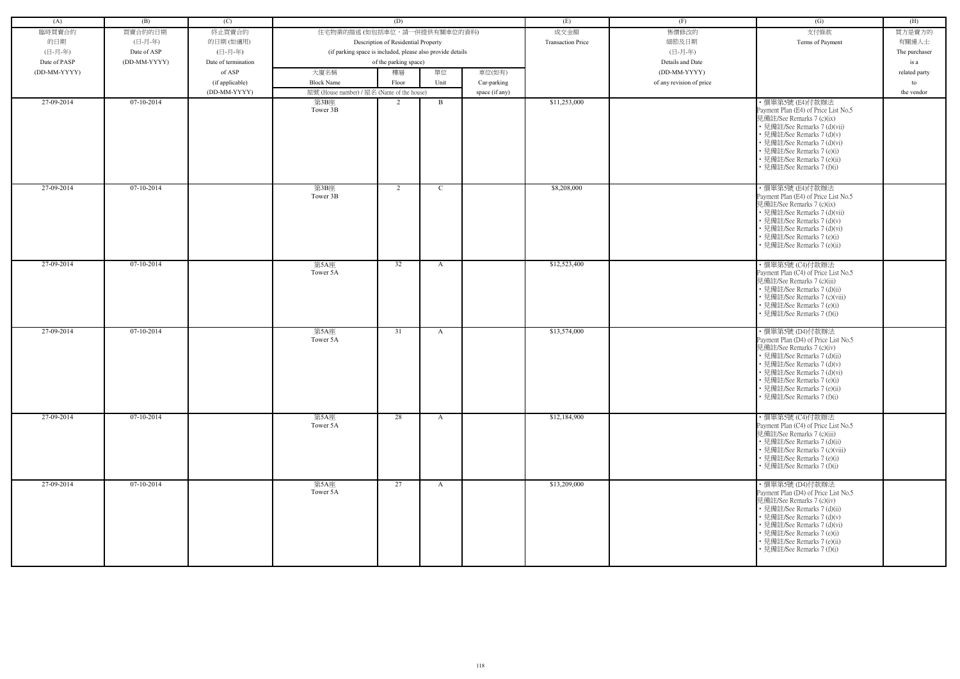| (A)          | (B)          | (C)                 |                                                            | (D)                                 |               |                | (E)                      | (F)                      | (G)                                                                                                                                                                                                                                                                          | (H)           |
|--------------|--------------|---------------------|------------------------------------------------------------|-------------------------------------|---------------|----------------|--------------------------|--------------------------|------------------------------------------------------------------------------------------------------------------------------------------------------------------------------------------------------------------------------------------------------------------------------|---------------|
| 臨時買賣合約       | 買賣合約的日期      | 終止買賣合約              | 住宅物業的描述 (如包括車位,請一併提供有關車位的資料)                               |                                     |               |                | 成交金額                     | 售價修改的                    | 支付條款                                                                                                                                                                                                                                                                         | 買方是賣方的        |
|              |              |                     |                                                            |                                     |               |                |                          |                          |                                                                                                                                                                                                                                                                              |               |
| 的日期          | (日-月-年)      | 的日期(如適用)            |                                                            | Description of Residential Property |               |                | <b>Transaction Price</b> | 細節及日期                    | Terms of Payment                                                                                                                                                                                                                                                             | 有關連人士         |
| (日-月-年)      | Date of ASP  | (日-月-年)             | (if parking space is included, please also provide details |                                     |               |                |                          | (日-月-年)                  |                                                                                                                                                                                                                                                                              | The purchaser |
| Date of PASP | (DD-MM-YYYY) | Date of termination |                                                            | of the parking space)               |               |                |                          | Details and Date         |                                                                                                                                                                                                                                                                              | is a          |
| (DD-MM-YYYY) |              | of ASP              | 大廈名稱                                                       | 樓層                                  | 單位            | 車位(如有)         |                          | (DD-MM-YYYY)             |                                                                                                                                                                                                                                                                              | related party |
|              |              | (if applicable)     | <b>Block Name</b>                                          | Floor                               | Unit          | Car-parking    |                          | of any revision of price |                                                                                                                                                                                                                                                                              | to            |
|              |              | (DD-MM-YYYY)        | 屋號 (House number) / 屋名 (Name of the house)                 |                                     |               | space (if any) |                          |                          |                                                                                                                                                                                                                                                                              | the vendor    |
| 27-09-2014   | 07-10-2014   |                     | 第3B座<br>Tower 3B                                           | $\mathcal{L}$                       | B             |                | \$11,253,000             |                          | ・價單第5號 (E4)付款辦法<br>Payment Plan (E4) of Price List No.5<br>見備註/See Remarks 7 (c)(ix)<br>• 見備註/See Remarks 7 (d)(vii)<br>• 見備註/See Remarks 7 (d)(v)<br>• 見備註/See Remarks 7 (d)(vi)<br>• 見備註/See Remarks 7 (e)(i)<br>• 見備註/See Remarks 7 (e)(ii)<br>• 見備註/See Remarks 7 (f)(i) |               |
| 27-09-2014   | $07-10-2014$ |                     | 第3B座<br>Tower 3B                                           | 2                                   | $\mathcal{C}$ |                | \$8,208,000              |                          | ・價單第5號 (E4)付款辦法<br>Payment Plan (E4) of Price List No.5<br>見備註/See Remarks 7 (c)(ix)<br>• 見備註/See Remarks 7 (d)(vii)<br>• 見備註/See Remarks 7 (d)(v)<br>• 見備註/See Remarks 7 (d)(vi)<br>• 見備註/See Remarks 7 (e)(i)<br>• 見備註/See Remarks 7 (e)(ii)                               |               |
| 27-09-2014   | 07-10-2014   |                     | 第5A座<br>Tower 5A                                           | 32                                  | A             |                | \$12,523,400             |                          | ・價單第5號 (C4)付款辦法<br>Payment Plan (C4) of Price List No.5<br>見備註/See Remarks 7 (c)(iii)<br>• 見備註/See Remarks 7 (d)(ii)<br>• 見備註/See Remarks 7 (c)(viii)<br>• 見備註/See Remarks 7 (e)(i)<br>見備註/See Remarks 7 (f)(i)                                                              |               |
| 27-09-2014   | $07-10-2014$ |                     | 第5A座<br>Tower 5A                                           | 31                                  | A             |                | \$13,574,000             |                          | ・價單第5號 (D4)付款辦法<br>Payment Plan (D4) of Price List No.5<br>見備註/See Remarks 7 (c)(iv)<br>• 見備註/See Remarks 7 (d)(ii)<br>• 見備註/See Remarks 7 (d)(v)<br>• 見備註/See Remarks 7 (d)(vi)<br>• 見備註/See Remarks 7 (e)(i)<br>• 見備註/See Remarks 7 (e)(ii)<br>• 見備註/See Remarks 7 (f)(i)  |               |
| 27-09-2014   | $07-10-2014$ |                     | 第5A座<br>Tower 5A                                           | 28                                  | $\mathbf{A}$  |                | \$12,184,900             |                          | ・價單第5號 (C4)付款辦法<br>Payment Plan (C4) of Price List No.5<br>見備註/See Remarks 7 (c)(iii)<br>• 見備註/See Remarks 7 (d)(ii)<br>• 見備註/See Remarks 7 (c)(viii)<br>• 見備註/See Remarks 7 (e)(i)<br>• 見備註/See Remarks 7 (f)(i)                                                            |               |
| 27-09-2014   | $07-10-2014$ |                     | 第5A座<br>Tower 5A                                           | 27                                  | A             |                | \$13,209,000             |                          | ・價單第5號 (D4)付款辦法<br>Payment Plan (D4) of Price List No.5<br>見備註/See Remarks 7 (c)(iv)<br>• 見備註/See Remarks 7 (d)(ii)<br>• 見備註/See Remarks 7 (d)(v)<br>• 見備註/See Remarks 7 (d)(vi)<br>• 見備註/See Remarks 7 (e)(i)<br>• 見備註/See Remarks 7 (e)(ii)<br>• 見備註/See Remarks 7 (f)(i)  |               |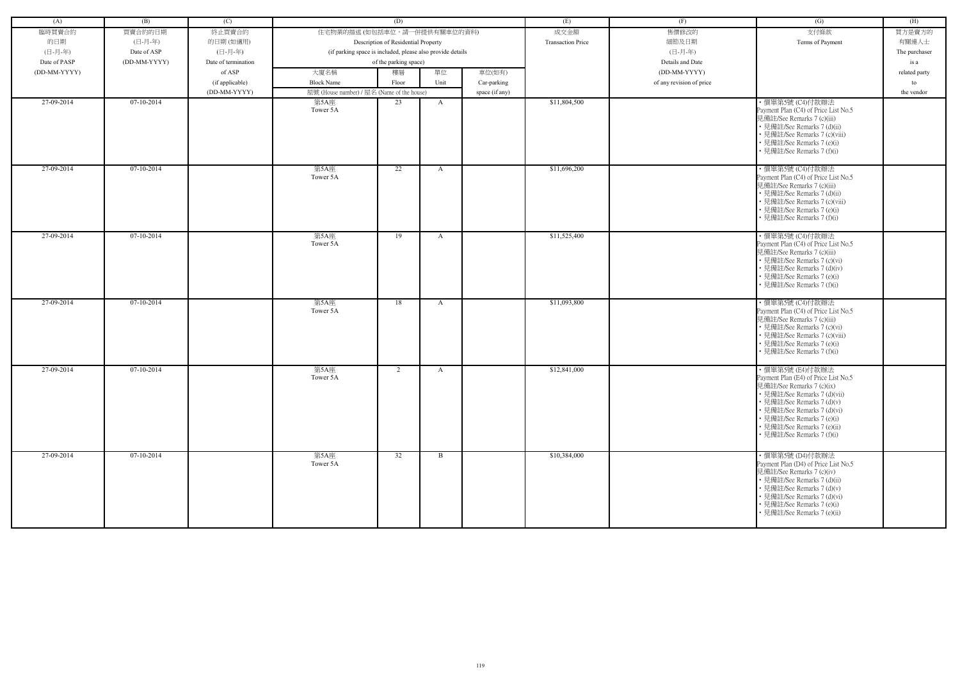| (A)          | (B)          | (C)                 |                                                            | (D)                                 |              |                | (E)                      | (F)                      | (G)                                                                | (H)           |
|--------------|--------------|---------------------|------------------------------------------------------------|-------------------------------------|--------------|----------------|--------------------------|--------------------------|--------------------------------------------------------------------|---------------|
| 臨時買賣合約       | 買賣合約的日期      | 終止買賣合約              | 住宅物業的描述 (如包括車位,請一併提供有關車位的資料)                               |                                     |              |                | 成交金額                     | 售價修改的                    | 支付條款                                                               | 買方是賣方的        |
| 的日期          | (日-月-年)      | 的日期(如適用)            |                                                            | Description of Residential Property |              |                | <b>Transaction Price</b> | 細節及日期                    | Terms of Payment                                                   | 有關連人士         |
| (日-月-年)      | Date of ASP  | (日-月-年)             | (if parking space is included, please also provide details |                                     |              |                |                          | (日-月-年)                  |                                                                    | The purchaser |
| Date of PASP | (DD-MM-YYYY) | Date of termination |                                                            | of the parking space)               |              |                |                          | Details and Date         |                                                                    | is a          |
| (DD-MM-YYYY) |              | of ASP              | 大廈名稱                                                       | 樓層                                  | 單位           | 車位(如有)         |                          | (DD-MM-YYYY)             |                                                                    | related party |
|              |              | (if applicable)     | <b>Block Name</b>                                          | Floor                               | Unit         | Car-parking    |                          | of any revision of price |                                                                    | to            |
|              |              | (DD-MM-YYYY)        | 屋號 (House number) / 屋名 (Name of the house)                 |                                     |              | space (if any) |                          |                          |                                                                    | the vendor    |
| 27-09-2014   | 07-10-2014   |                     | 第5A座                                                       | 23                                  | A            |                | \$11,804,500             |                          | · 價單第5號 (C4)付款辦法                                                   |               |
|              |              |                     | Tower 5A                                                   |                                     |              |                |                          |                          | Payment Plan (C4) of Price List No.5                               |               |
|              |              |                     |                                                            |                                     |              |                |                          |                          | 見備註/See Remarks 7 (c)(iii)                                         |               |
|              |              |                     |                                                            |                                     |              |                |                          |                          | • 見備註/See Remarks 7 (d)(ii)                                        |               |
|              |              |                     |                                                            |                                     |              |                |                          |                          | • 見備註/See Remarks 7 (c)(viii)<br>• 見備註/See Remarks 7 (e)(i)        |               |
|              |              |                     |                                                            |                                     |              |                |                          |                          | • 見備註/See Remarks 7 (f)(i)                                         |               |
|              |              |                     |                                                            |                                     |              |                |                          |                          |                                                                    |               |
| 27-09-2014   | $07-10-2014$ |                     | 第5A座                                                       | 22                                  | A            |                | \$11,696,200             |                          | ・價單第5號 (C4)付款辦法                                                    |               |
|              |              |                     | Tower 5A                                                   |                                     |              |                |                          |                          | Payment Plan (C4) of Price List No.5                               |               |
|              |              |                     |                                                            |                                     |              |                |                          |                          | 見備註/See Remarks 7 (c)(iii)                                         |               |
|              |              |                     |                                                            |                                     |              |                |                          |                          | • 見備註/See Remarks 7 (d)(ii)                                        |               |
|              |              |                     |                                                            |                                     |              |                |                          |                          | • 見備註/See Remarks 7 (c)(viii)<br>• 見備註/See Remarks 7 (e)(i)        |               |
|              |              |                     |                                                            |                                     |              |                |                          |                          | • 見備註/See Remarks 7 (f)(i)                                         |               |
|              |              |                     |                                                            |                                     |              |                |                          |                          |                                                                    |               |
| 27-09-2014   | 07-10-2014   |                     | 第5A座                                                       | 19                                  | A            |                | \$11,525,400             |                          | ・價單第5號 (C4)付款辦法                                                    |               |
|              |              |                     | Tower 5A                                                   |                                     |              |                |                          |                          | Payment Plan (C4) of Price List No.5                               |               |
|              |              |                     |                                                            |                                     |              |                |                          |                          | 見備註/See Remarks 7 (c)(iii)                                         |               |
|              |              |                     |                                                            |                                     |              |                |                          |                          | • 見備註/See Remarks 7 (c)(vi)<br>• 見備註/See Remarks 7 (d)(iv)         |               |
|              |              |                     |                                                            |                                     |              |                |                          |                          | • 見備註/See Remarks 7 (e)(i)                                         |               |
|              |              |                     |                                                            |                                     |              |                |                          |                          | • 見備註/See Remarks 7 (f)(i)                                         |               |
|              |              |                     |                                                            |                                     |              |                |                          |                          |                                                                    |               |
| 27-09-2014   | 07-10-2014   |                     | 第5A座                                                       | 18                                  | A            |                | \$11,093,800             |                          | ・價單第5號 (C4)付款辦法                                                    |               |
|              |              |                     | Tower 5A                                                   |                                     |              |                |                          |                          | Payment Plan (C4) of Price List No.5<br>見備註/See Remarks 7 (c)(iii) |               |
|              |              |                     |                                                            |                                     |              |                |                          |                          | • 見備註/See Remarks 7 (c)(vi)                                        |               |
|              |              |                     |                                                            |                                     |              |                |                          |                          | • 見備註/See Remarks 7 (c)(viii)                                      |               |
|              |              |                     |                                                            |                                     |              |                |                          |                          | • 見備註/See Remarks 7 (e)(i)                                         |               |
|              |              |                     |                                                            |                                     |              |                |                          |                          | • 見備註/See Remarks 7 (f)(i)                                         |               |
|              |              |                     |                                                            |                                     |              |                |                          |                          |                                                                    |               |
| 27-09-2014   | 07-10-2014   |                     | 第5A座                                                       | 2                                   | A            |                | \$12,841,000             |                          | · 價單第5號 (E4)付款辦法                                                   |               |
|              |              |                     | Tower 5A                                                   |                                     |              |                |                          |                          | Payment Plan (E4) of Price List No.5<br>見備註/See Remarks 7 (c)(ix)  |               |
|              |              |                     |                                                            |                                     |              |                |                          |                          | • 見備註/See Remarks 7 (d)(vii)                                       |               |
|              |              |                     |                                                            |                                     |              |                |                          |                          | • 見備註/See Remarks 7 (d)(v)                                         |               |
|              |              |                     |                                                            |                                     |              |                |                          |                          | • 見備註/See Remarks 7 (d)(vi)                                        |               |
|              |              |                     |                                                            |                                     |              |                |                          |                          | • 見備註/See Remarks 7 (e)(i)                                         |               |
|              |              |                     |                                                            |                                     |              |                |                          |                          | • 見備註/See Remarks 7 (e)(ii)                                        |               |
|              |              |                     |                                                            |                                     |              |                |                          |                          | • 見備註/See Remarks 7 (f)(i)                                         |               |
|              |              |                     |                                                            |                                     |              |                |                          |                          |                                                                    |               |
| 27-09-2014   | $07-10-2014$ |                     | 第5A座<br>Tower 5A                                           | 32                                  | $\mathbf{B}$ |                | \$10,384,000             |                          | ・價單第5號 (D4)付款辦法<br>Payment Plan (D4) of Price List No.5            |               |
|              |              |                     |                                                            |                                     |              |                |                          |                          | 見備註/See Remarks 7 (c)(iv)                                          |               |
|              |              |                     |                                                            |                                     |              |                |                          |                          | • 見備註/See Remarks 7 (d)(ii)                                        |               |
|              |              |                     |                                                            |                                     |              |                |                          |                          | • 見備註/See Remarks 7 (d)(v)                                         |               |
|              |              |                     |                                                            |                                     |              |                |                          |                          | • 見備註/See Remarks 7 (d)(vi)                                        |               |
|              |              |                     |                                                            |                                     |              |                |                          |                          | • 見備註/See Remarks 7 (e)(i)                                         |               |
|              |              |                     |                                                            |                                     |              |                |                          |                          | • 見備註/See Remarks 7 (e)(ii)                                        |               |
|              |              |                     |                                                            |                                     |              |                |                          |                          |                                                                    |               |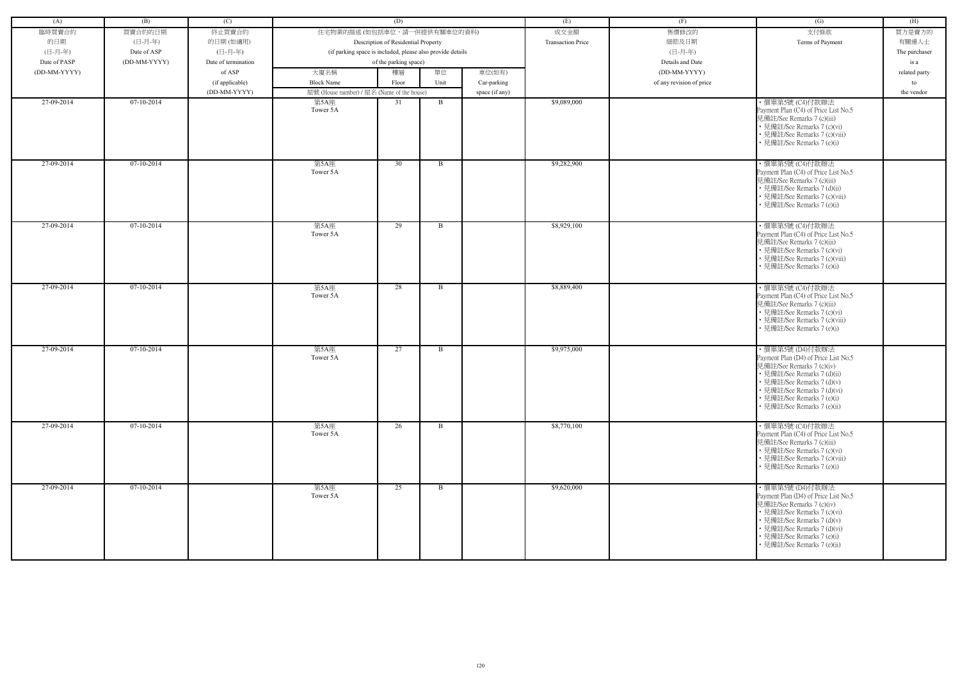| (A)          | (B)          | (C)                 |                                            | (D)                                                        |              |                | (E)                      | (F)                      | (G)                                                                                                                                                                                                                                           | (H)           |
|--------------|--------------|---------------------|--------------------------------------------|------------------------------------------------------------|--------------|----------------|--------------------------|--------------------------|-----------------------------------------------------------------------------------------------------------------------------------------------------------------------------------------------------------------------------------------------|---------------|
| 臨時買賣合約       | 買賣合約的日期      | 終止買賣合約              | 住宅物業的描述 (如包括車位,請一併提供有關車位的資料)               |                                                            |              |                | 成交金額                     | 售價修改的                    | 支付條款                                                                                                                                                                                                                                          | 買方是賣方的        |
| 的日期          | (日-月-年)      | 的日期(如適用)            |                                            | Description of Residential Property                        |              |                | <b>Transaction Price</b> | 細節及日期                    | Terms of Payment                                                                                                                                                                                                                              | 有關連人士         |
| (日-月-年)      | Date of ASP  | (日-月-年)             |                                            | (if parking space is included, please also provide details |              |                |                          | (日-月-年)                  |                                                                                                                                                                                                                                               | The purchaser |
| Date of PASP | (DD-MM-YYYY) | Date of termination |                                            | of the parking space)                                      |              |                |                          | Details and Date         |                                                                                                                                                                                                                                               | is a          |
| (DD-MM-YYYY) |              | of ASP              | 大廈名稱                                       | 樓層                                                         | 單位           | 車位(如有)         |                          | (DD-MM-YYYY)             |                                                                                                                                                                                                                                               | related party |
|              |              | (if applicable)     | <b>Block Name</b>                          | Floor                                                      | Unit         | Car-parking    |                          | of any revision of price |                                                                                                                                                                                                                                               | to            |
|              |              | (DD-MM-YYYY)        | 屋號 (House number) / 屋名 (Name of the house) |                                                            |              | space (if any) |                          |                          |                                                                                                                                                                                                                                               | the vendor    |
| 27-09-2014   | 07-10-2014   |                     | 第5A座                                       | 31                                                         | B            |                | \$9,089,000              |                          | ・價單第5號 (C4)付款辦法                                                                                                                                                                                                                               |               |
|              |              |                     | Tower 5A                                   |                                                            |              |                |                          |                          | Payment Plan (C4) of Price List No.5<br>見備註/See Remarks 7 (c)(iii)<br>• 見備註/See Remarks 7 (c)(vi)<br>• 見備註/See Remarks 7 (c)(viii)<br>• 見備註/See Remarks 7 (e)(i)                                                                              |               |
| 27-09-2014   | $07-10-2014$ |                     | 第5A座<br>Tower 5A                           | 30                                                         | B            |                | \$9,282,900              |                          | ・價單第5號 (C4)付款辦法<br>Payment Plan (C4) of Price List No.5<br>見備註/See Remarks 7 (c)(iii)<br>• 見備註/See Remarks 7 (d)(ii)<br>• 見備註/See Remarks 7 (c)(viii)<br>• 見備註/See Remarks 7 (e)(i)                                                           |               |
| 27-09-2014   | $07-10-2014$ |                     | 第5A座<br>Tower 5A                           | 29                                                         | B            |                | \$8,929,100              |                          | · 價單第5號 (C4)付款辦法<br>Payment Plan (C4) of Price List No.5<br>見備註/See Remarks 7 (c)(iii)<br>• 見備註/See Remarks 7 (c)(vi)<br>• 見備註/See Remarks 7 (c)(viii)<br>• 見備註/See Remarks 7 (e)(i)                                                          |               |
| 27-09-2014   | $07-10-2014$ |                     | 第5A座<br>Tower 5A                           | 28                                                         | B            |                | \$8,889,400              |                          | · 價單第5號 (C4)付款辦法<br>Payment Plan (C4) of Price List No.5<br>見備註/See Remarks 7 (c)(iii)<br>• 見備註/See Remarks 7 (c)(vi)<br>• 見備註/See Remarks 7 (c)(viii)<br>• 見備註/See Remarks 7 (e)(i)                                                          |               |
| 27-09-2014   | 07-10-2014   |                     | 第5A座<br>Tower 5A                           | 27                                                         | B            |                | \$9,975,000              |                          | ・價單第5號 (D4)付款辦法<br>Payment Plan (D4) of Price List No.5<br>見備註/See Remarks 7 (c)(iv)<br>• 見備註/See Remarks 7 (d)(ii)<br>• 見備註/See Remarks 7 (d)(v)<br>• 見備註/See Remarks 7 (d)(vi)<br>• 見備註/See Remarks 7 (e)(i)<br>• 見備註/See Remarks 7 (e)(ii) |               |
| 27-09-2014   | 07-10-2014   |                     | 第5A座<br>Tower 5A                           | 26                                                         | $\mathbf{B}$ |                | \$8,770,100              |                          | ・價單第5號 (C4)付款辦法<br>Payment Plan (C4) of Price List No.5<br>見備註/See Remarks 7 (c)(iii)<br>• 見備註/See Remarks 7 (c)(vi)<br>• 見備註/See Remarks 7 (c)(viii)<br>• 見備註/See Remarks 7 (e)(i)                                                           |               |
| 27-09-2014   | 07-10-2014   |                     | 第5A座<br>Tower 5A                           | 25                                                         | B            |                | \$9,620,000              |                          | ・價單第5號 (D4)付款辦法<br>Payment Plan (D4) of Price List No.5<br>見備註/See Remarks 7 (c)(iv)<br>• 見備註/See Remarks 7 (c)(vi)<br>• 見備註/See Remarks 7 (d)(v)<br>• 見備註/See Remarks 7 (d)(vi)<br>• 見備註/See Remarks 7 (e)(i)<br>• 見備註/See Remarks 7 (e)(ii) |               |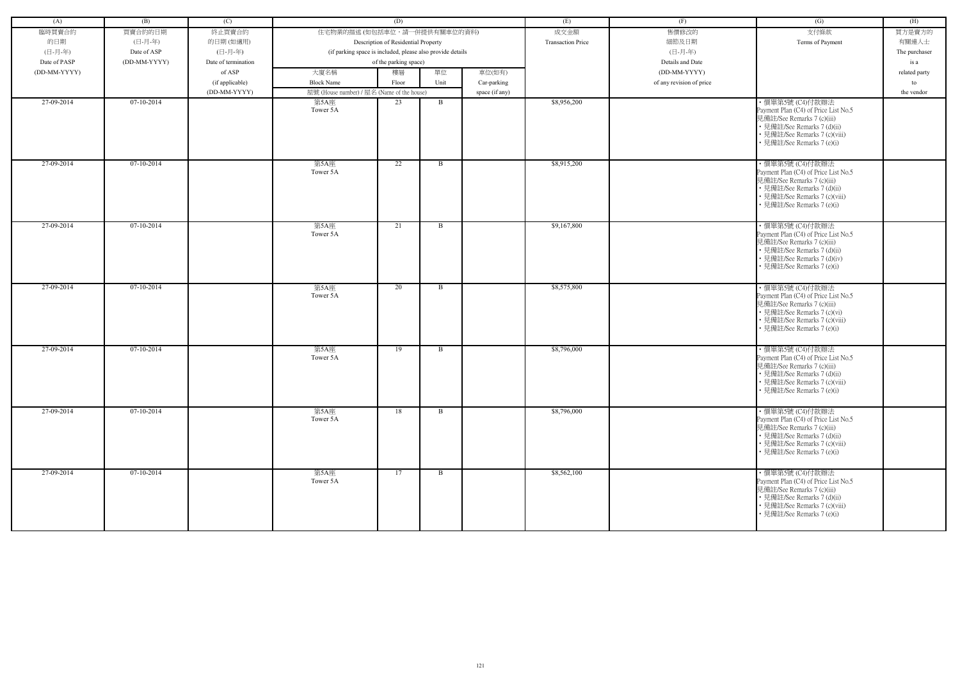| (A)          | (B)          | (C)                 |                                            | (D)                                                        |              |                | (E)                      | (F)                      | (G)                                                                                                                                                                                  | (H)           |
|--------------|--------------|---------------------|--------------------------------------------|------------------------------------------------------------|--------------|----------------|--------------------------|--------------------------|--------------------------------------------------------------------------------------------------------------------------------------------------------------------------------------|---------------|
| 臨時買賣合約       | 買賣合約的日期      | 終止買賣合約              | 住宅物業的描述 (如包括車位,請一併提供有關車位的資料)               |                                                            |              |                | 成交金額                     | 售價修改的                    | 支付條款                                                                                                                                                                                 | 買方是賣方的        |
| 的日期          | (日-月-年)      | 的日期(如適用)            |                                            | Description of Residential Property                        |              |                | <b>Transaction Price</b> | 細節及日期                    | Terms of Payment                                                                                                                                                                     | 有關連人士         |
| (日-月-年)      | Date of ASP  | (日-月-年)             |                                            | (if parking space is included, please also provide details |              |                |                          | (日-月-年)                  |                                                                                                                                                                                      | The purchaser |
| Date of PASP | (DD-MM-YYYY) | Date of termination |                                            | of the parking space)                                      |              |                |                          | Details and Date         |                                                                                                                                                                                      | is a          |
| (DD-MM-YYYY) |              | of ASP              | 大廈名稱                                       | 樓層                                                         | 單位           | 車位(如有)         |                          | (DD-MM-YYYY)             |                                                                                                                                                                                      | related party |
|              |              | (if applicable)     | <b>Block Name</b>                          | Floor                                                      | Unit         | Car-parking    |                          | of any revision of price |                                                                                                                                                                                      | to            |
|              |              | (DD-MM-YYYY)        | 屋號 (House number) / 屋名 (Name of the house) |                                                            |              | space (if any) |                          |                          |                                                                                                                                                                                      | the vendor    |
| 27-09-2014   | 07-10-2014   |                     | 第5A座                                       | 23                                                         | B            |                | \$8,956,200              |                          | · 價單第5號 (C4)付款辦法                                                                                                                                                                     |               |
|              |              |                     | Tower 5A                                   |                                                            |              |                |                          |                          | Payment Plan (C4) of Price List No.5<br>見備註/See Remarks 7 (c)(iii)<br>• 見備註/See Remarks 7 (d)(ii)<br>• 見備註/See Remarks 7 (c)(viii)<br>• 見備註/See Remarks 7 (e)(i)                     |               |
| 27-09-2014   | 07-10-2014   |                     | 第5A座<br>Tower 5A                           | 22                                                         | $\mathbf{B}$ |                | \$8,915,200              |                          | ・價單第5號 (C4)付款辦法<br>Payment Plan (C4) of Price List No.5<br>見備註/See Remarks 7 (c)(iii)<br>• 見備註/See Remarks 7 (d)(ii)<br>• 見備註/See Remarks 7 (c)(viii)<br>• 見備註/See Remarks 7 (e)(i)  |               |
| 27-09-2014   | 07-10-2014   |                     | 第5A座<br>Tower 5A                           | 21                                                         | $\mathbf{B}$ |                | \$9,167,800              |                          | ・價單第5號 (C4)付款辦法<br>Payment Plan (C4) of Price List No.5<br>見備註/See Remarks 7 (c)(iii)<br>• 見備註/See Remarks 7 (d)(ii)<br>• 見備註/See Remarks 7 (d)(iv)<br>• 見備註/See Remarks 7 (e)(i)    |               |
| 27-09-2014   | 07-10-2014   |                     | 第5A座<br>Tower 5A                           | 20                                                         | B            |                | \$8,575,800              |                          | · 價單第5號 (C4)付款辦法<br>Payment Plan (C4) of Price List No.5<br>見備註/See Remarks 7 (c)(iii)<br>• 見備註/See Remarks 7 (c)(vi)<br>• 見備註/See Remarks 7 (c)(viii)<br>• 見備註/See Remarks 7 (e)(i) |               |
| 27-09-2014   | 07-10-2014   |                     | 第5A座<br>Tower 5A                           | 19                                                         | B            |                | \$8,796,000              |                          | ・價單第5號 (C4)付款辦法<br>Payment Plan (C4) of Price List No.5<br>見備註/See Remarks 7 (c)(iii)<br>• 見備註/See Remarks 7 (d)(ii)<br>• 見備註/See Remarks 7 (c)(viii)<br>• 見備註/See Remarks 7 (e)(i)  |               |
| 27-09-2014   | 07-10-2014   |                     | 第5A座<br>Tower 5A                           | 18                                                         | $\mathbf{B}$ |                | \$8,796,000              |                          | · 價單第5號 (C4)付款辦法<br>Payment Plan (C4) of Price List No.5<br>見備註/See Remarks 7 (c)(iii)<br>• 見備註/See Remarks 7 (d)(ii)<br>• 見備註/See Remarks 7 (c)(viii)<br>• 見備註/See Remarks 7 (e)(i) |               |
| 27-09-2014   | $07-10-2014$ |                     | 第5A座<br>Tower 5A                           | 17                                                         | $\mathbf{B}$ |                | \$8,562,100              |                          | ・價單第5號 (C4)付款辦法<br>Payment Plan (C4) of Price List No.5<br>見備註/See Remarks 7 (c)(iii)<br>• 見備註/See Remarks 7 (d)(ii)<br>• 見備註/See Remarks 7 (c)(viii)<br>• 見備註/See Remarks 7 (e)(i)  |               |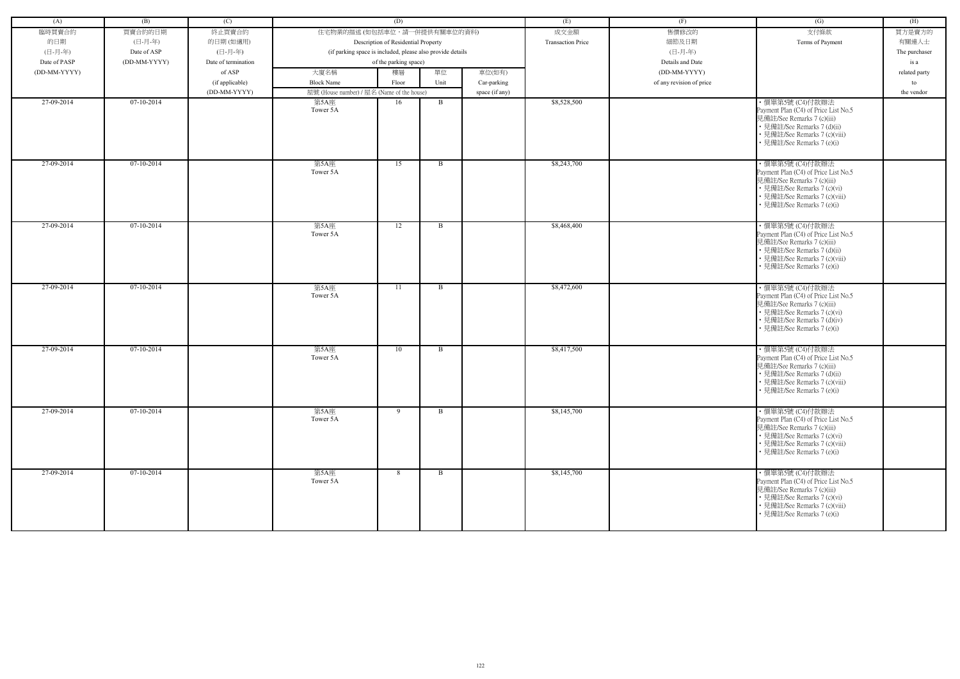| (A)          | (B)          | (C)                 |                                                            | (D)                                 |              |                | (E)                      | (F)                      | (G)                                                                                                                                                                                  | (H)           |
|--------------|--------------|---------------------|------------------------------------------------------------|-------------------------------------|--------------|----------------|--------------------------|--------------------------|--------------------------------------------------------------------------------------------------------------------------------------------------------------------------------------|---------------|
| 臨時買賣合約       | 買賣合約的日期      | 終止買賣合約              | 住宅物業的描述 (如包括車位,請一併提供有關車位的資料)                               |                                     |              |                | 成交金額                     | 售價修改的                    | 支付條款                                                                                                                                                                                 | 買方是賣方的        |
| 的日期          | (日-月-年)      | 的日期(如適用)            |                                                            | Description of Residential Property |              |                | <b>Transaction Price</b> | 細節及日期                    | Terms of Payment                                                                                                                                                                     | 有關連人士         |
| (日-月-年)      | Date of ASP  | (日-月-年)             | (if parking space is included, please also provide details |                                     |              |                |                          | (日-月-年)                  |                                                                                                                                                                                      | The purchaser |
| Date of PASP | (DD-MM-YYYY) | Date of termination |                                                            | of the parking space)               |              |                |                          | Details and Date         |                                                                                                                                                                                      | is a          |
| (DD-MM-YYYY) |              | of ASP              | 大廈名稱                                                       | 樓層                                  | 單位           | 車位(如有)         |                          | (DD-MM-YYYY)             |                                                                                                                                                                                      | related party |
|              |              | (if applicable)     | <b>Block Name</b>                                          | Floor                               | Unit         | Car-parking    |                          | of any revision of price |                                                                                                                                                                                      | to            |
|              |              | (DD-MM-YYYY)        | 屋號 (House number) / 屋名 (Name of the house)                 |                                     |              | space (if any) |                          |                          |                                                                                                                                                                                      | the vendor    |
| 27-09-2014   | 07-10-2014   |                     | 第5A座                                                       | 16                                  | B            |                | \$8,528,500              |                          | · 價單第5號 (C4)付款辦法                                                                                                                                                                     |               |
|              |              |                     | Tower 5A                                                   |                                     |              |                |                          |                          | Payment Plan (C4) of Price List No.5<br>見備註/See Remarks 7 (c)(iii)<br>• 見備註/See Remarks 7 (d)(ii)<br>• 見備註/See Remarks 7 (c)(viii)<br>• 見備註/See Remarks 7 (e)(i)                     |               |
| 27-09-2014   | 07-10-2014   |                     | 第5A座<br>Tower 5A                                           | 15                                  | $\mathbf{B}$ |                | \$8,243,700              |                          | ・價單第5號 (C4)付款辦法<br>Payment Plan (C4) of Price List No.5<br>見備註/See Remarks 7 (c)(iii)<br>• 見備註/See Remarks 7 (c)(vi)<br>• 見備註/See Remarks 7 (c)(viii)<br>• 見備註/See Remarks 7 (e)(i)  |               |
| 27-09-2014   | 07-10-2014   |                     | 第5A座<br>Tower 5A                                           | 12                                  | $\mathbf{B}$ |                | \$8,468,400              |                          | ・價單第5號 (C4)付款辦法<br>Payment Plan (C4) of Price List No.5<br>見備註/See Remarks 7 (c)(iii)<br>• 見備註/See Remarks 7 (d)(ii)<br>• 見備註/See Remarks 7 (c)(viii)<br>• 見備註/See Remarks 7 (e)(i)  |               |
| 27-09-2014   | 07-10-2014   |                     | 第5A座<br>Tower 5A                                           | -11                                 | B            |                | \$8,472,600              |                          | · 價單第5號 (C4)付款辦法<br>Payment Plan (C4) of Price List No.5<br>見備註/See Remarks 7 (c)(iii)<br>• 見備註/See Remarks 7 (c)(vi)<br>• 見備註/See Remarks 7 (d)(iv)<br>• 見備註/See Remarks 7 (e)(i)   |               |
| 27-09-2014   | 07-10-2014   |                     | 第5A座<br>Tower 5A                                           | 10                                  | B            |                | \$8,417,500              |                          | ・價單第5號 (C4)付款辦法<br>Payment Plan (C4) of Price List No.5<br>見備註/See Remarks 7 (c)(iii)<br>• 見備註/See Remarks 7 (d)(ii)<br>• 見備註/See Remarks 7 (c)(viii)<br>• 見備註/See Remarks 7 (e)(i)  |               |
| 27-09-2014   | $07-10-2014$ |                     | 第5A座<br>Tower 5A                                           | 9                                   | $\mathbf{B}$ |                | \$8,145,700              |                          | · 價單第5號 (C4)付款辦法<br>Payment Plan (C4) of Price List No.5<br>見備註/See Remarks 7 (c)(iii)<br>• 見備註/See Remarks 7 (c)(vi)<br>• 見備註/See Remarks 7 (c)(viii)<br>• 見備註/See Remarks 7 (e)(i) |               |
| 27-09-2014   | $07-10-2014$ |                     | 第5A座<br>Tower 5A                                           | 8                                   | B            |                | \$8,145,700              |                          | ・價單第5號 (C4)付款辦法<br>Payment Plan (C4) of Price List No.5<br>見備註/See Remarks 7 (c)(iii)<br>• 見備註/See Remarks 7 (c)(vi)<br>• 見備註/See Remarks 7 (c)(viii)<br>• 見備註/See Remarks 7 (e)(i)  |               |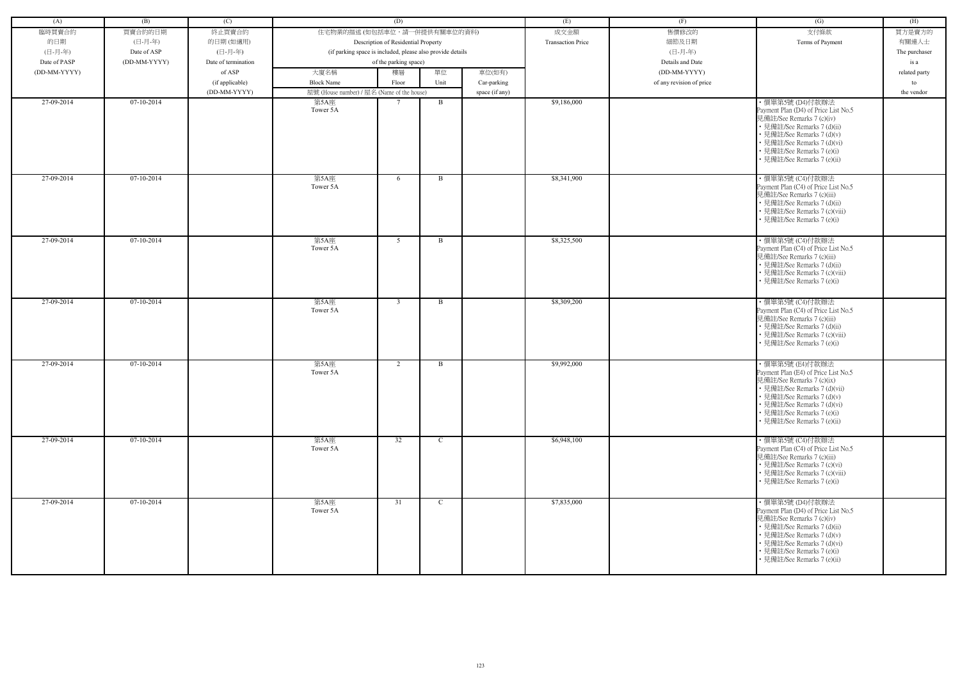| (A)          | (B)          | (C)                 |                                                            | (D)                                 |              |                | (E)                      | (F)                      | (G)                                                                                                                                                                                                                                            | (H)           |
|--------------|--------------|---------------------|------------------------------------------------------------|-------------------------------------|--------------|----------------|--------------------------|--------------------------|------------------------------------------------------------------------------------------------------------------------------------------------------------------------------------------------------------------------------------------------|---------------|
|              |              |                     |                                                            |                                     |              |                |                          |                          |                                                                                                                                                                                                                                                |               |
| 臨時買賣合約       | 買賣合約的日期      | 終止買賣合約              | 住宅物業的描述 (如包括車位,請一併提供有關車位的資料)                               |                                     |              |                | 成交金額                     | 售價修改的                    | 支付條款                                                                                                                                                                                                                                           | 買方是賣方的        |
| 的日期          | (日-月-年)      | 的日期(如適用)            |                                                            | Description of Residential Property |              |                | <b>Transaction Price</b> | 細節及日期                    | Terms of Payment                                                                                                                                                                                                                               | 有關連人士         |
| (日-月-年)      | Date of ASP  | (日-月-年)             | (if parking space is included, please also provide details |                                     |              |                |                          | (日-月-年)                  |                                                                                                                                                                                                                                                | The purchaser |
| Date of PASP | (DD-MM-YYYY) | Date of termination |                                                            | of the parking space)               |              |                |                          | Details and Date         |                                                                                                                                                                                                                                                | is a          |
| (DD-MM-YYYY) |              | of ASP              | 大廈名稱                                                       | 樓層                                  | 單位           | 車位(如有)         |                          | (DD-MM-YYYY)             |                                                                                                                                                                                                                                                | related party |
|              |              | (if applicable)     | <b>Block Name</b>                                          | Floor                               | Unit         | Car-parking    |                          | of any revision of price |                                                                                                                                                                                                                                                | to            |
|              |              | (DD-MM-YYYY)        | 屋號 (House number) / 屋名 (Name of the house)                 |                                     |              | space (if any) |                          |                          |                                                                                                                                                                                                                                                | the vendor    |
| 27-09-2014   | 07-10-2014   |                     | 第5A座                                                       |                                     | B            |                | \$9,186,000              |                          | ・價單第5號 (D4)付款辦法                                                                                                                                                                                                                                |               |
|              |              |                     | Tower 5A                                                   |                                     |              |                |                          |                          | Payment Plan (D4) of Price List No.5<br>見備註/See Remarks 7 (c)(iv)<br>• 見備註/See Remarks 7 (d)(ii)<br>• 見備註/See Remarks 7 (d)(v)<br>• 見備註/See Remarks 7 (d)(vi)<br>• 見備註/See Remarks 7 (e)(i)<br>• 見備註/See Remarks 7 (e)(ii)                     |               |
| 27-09-2014   | $07-10-2014$ |                     | 第5A座<br>Tower 5A                                           | 6                                   | B            |                | \$8,341,900              |                          | ・價單第5號 (C4)付款辦法<br>Payment Plan (C4) of Price List No.5<br>見備註/See Remarks 7 (c)(iii)<br>• 見備註/See Remarks 7 (d)(ii)<br>• 見備註/See Remarks 7 (c)(viii)<br>見備註/See Remarks 7 (e)(i)                                                              |               |
| 27-09-2014   | $07-10-2014$ |                     | 第5A座<br>Tower 5A                                           | 5 <sup>5</sup>                      | $\mathbf{B}$ |                | \$8,325,500              |                          | ・價單第5號 (C4)付款辦法<br>Payment Plan (C4) of Price List No.5<br>見備註/See Remarks 7 (c)(iii)<br>• 見備註/See Remarks 7 (d)(ii)<br>• 見備註/See Remarks 7 (c)(viii)<br>• 見備註/See Remarks 7 (e)(i)                                                            |               |
| 27-09-2014   | $07-10-2014$ |                     | 第5A座<br>Tower 5A                                           | $\overline{3}$                      | B            |                | \$8,309,200              |                          | · 價單第5號 (C4)付款辦法<br>Payment Plan (C4) of Price List No.5<br>見備註/See Remarks 7 (c)(iii)<br>• 見備註/See Remarks 7 (d)(ii)<br>• 見備註/See Remarks 7 (c)(viii)<br>• 見備註/See Remarks 7 (e)(i)                                                           |               |
| 27-09-2014   | 07-10-2014   |                     | 第5A座<br>Tower 5A                                           | 2                                   | B            |                | \$9,992,000              |                          | ・價單第5號 (E4)付款辦法<br>Payment Plan (E4) of Price List No.5<br>見備註/See Remarks 7 (c)(ix)<br>• 見備註/See Remarks 7 (d)(vii)<br>• 見備註/See Remarks 7 (d)(v)<br>• 見備註/See Remarks 7 (d)(vi)<br>• 見備註/See Remarks 7 (e)(i)<br>• 見備註/See Remarks 7 (e)(ii) |               |
| 27-09-2014   | $07-10-2014$ |                     | 第5A座<br>Tower 5A                                           | 32                                  | $\mathbf C$  |                | \$6,948,100              |                          | ・價單第5號 (C4)付款辦法<br>Payment Plan (C4) of Price List No.5<br>見備註/See Remarks 7 (c)(iii)<br>• 見備註/See Remarks 7 (c)(vi)<br>• 見備註/See Remarks 7 (c)(viii)<br>• 見備註/See Remarks 7 (e)(i)                                                            |               |
| 27-09-2014   | 07-10-2014   |                     | 第5A座<br>Tower 5A                                           | 31                                  | $\mathbf{C}$ |                | \$7,835,000              |                          | ・價單第5號 (D4)付款辦法<br>Payment Plan (D4) of Price List No.5<br>見備註/See Remarks 7 (c)(iv)<br>• 見備註/See Remarks 7 (d)(ii)<br>• 見備註/See Remarks 7 (d)(v)<br>• 見備註/See Remarks 7 (d)(vi)<br>• 見備註/See Remarks 7 (e)(i)<br>見備註/See Remarks 7 (e)(ii)    |               |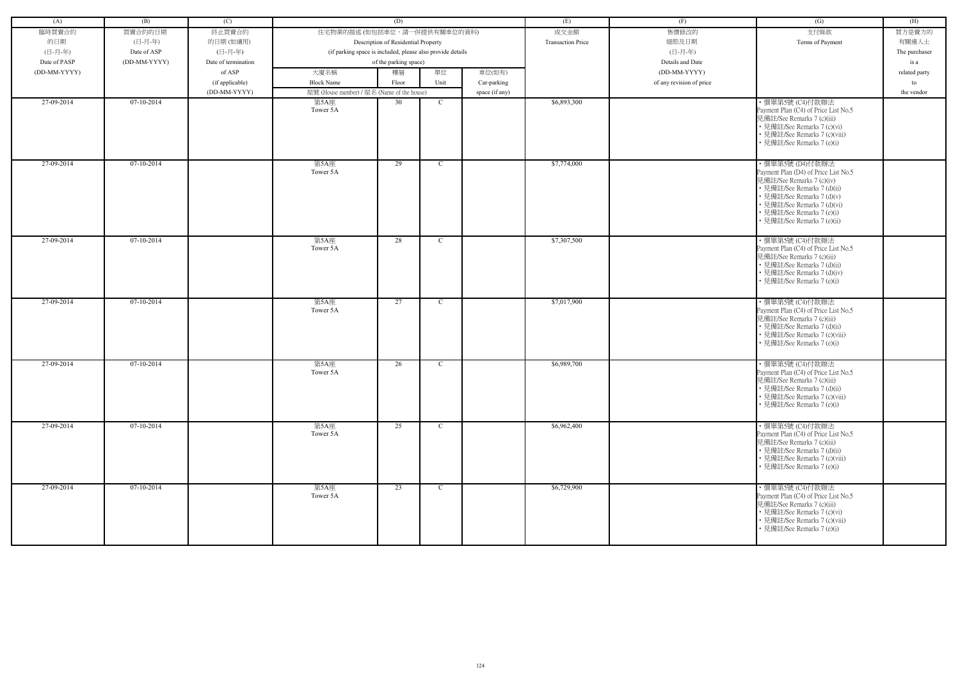| (A)          | (B)          | (C)                 |                                                            | (D)                                 |              |                | (E)                      | (F)                      | (G)                                                                                                                                                                                                                                           | (H)           |
|--------------|--------------|---------------------|------------------------------------------------------------|-------------------------------------|--------------|----------------|--------------------------|--------------------------|-----------------------------------------------------------------------------------------------------------------------------------------------------------------------------------------------------------------------------------------------|---------------|
| 臨時買賣合約       | 買賣合約的日期      | 終止買賣合約              | 住宅物業的描述 (如包括車位,請一併提供有關車位的資料)                               |                                     |              |                | 成交金額                     | 售價修改的                    | 支付條款                                                                                                                                                                                                                                          | 買方是賣方的        |
| 的日期          | (日-月-年)      | 的日期(如適用)            |                                                            | Description of Residential Property |              |                | <b>Transaction Price</b> | 細節及日期                    | Terms of Payment                                                                                                                                                                                                                              | 有關連人士         |
| (日-月-年)      | Date of ASP  | (日-月-年)             | (if parking space is included, please also provide details |                                     |              |                |                          | (日-月-年)                  |                                                                                                                                                                                                                                               | The purchaser |
| Date of PASP | (DD-MM-YYYY) | Date of termination |                                                            | of the parking space)               |              |                |                          | Details and Date         |                                                                                                                                                                                                                                               | is a          |
| (DD-MM-YYYY) |              | of ASP              | 大廈名稱                                                       | 樓層                                  | 單位           | 車位(如有)         |                          | (DD-MM-YYYY)             |                                                                                                                                                                                                                                               | related party |
|              |              |                     | <b>Block Name</b>                                          | Floor                               | Unit         |                |                          | of any revision of price |                                                                                                                                                                                                                                               | to            |
|              |              | (if applicable)     |                                                            |                                     |              | Car-parking    |                          |                          |                                                                                                                                                                                                                                               |               |
| 27-09-2014   | $07-10-2014$ | (DD-MM-YYYY)        | 屋號 (House number) / 屋名 (Name of the house)                 | 30                                  | $\mathbf C$  | space (if any) | \$6,893,300              |                          |                                                                                                                                                                                                                                               | the vendor    |
|              |              |                     | 第5A座<br>Tower 5A                                           |                                     |              |                |                          |                          | · 價單第5號 (C4)付款辦法<br>Payment Plan (C4) of Price List No.5<br>見備註/See Remarks 7 (c)(iii)<br>• 見備註/See Remarks 7 (c)(vi)<br>• 見備註/See Remarks 7 (c)(viii)<br>• 見備註/See Remarks 7 (e)(i)                                                          |               |
| 27-09-2014   | $07-10-2014$ |                     | 第5A座<br>Tower 5A                                           | 29                                  | $\mathbf C$  |                | \$7,774,000              |                          | ・價單第5號 (D4)付款辦法<br>Payment Plan (D4) of Price List No.5<br>見備註/See Remarks 7 (c)(iv)<br>• 見備註/See Remarks 7 (d)(ii)<br>• 見備註/See Remarks 7 (d)(v)<br>· 見備註/See Remarks 7 (d)(vi)<br>• 見備註/See Remarks 7 (e)(i)<br>• 見備註/See Remarks 7 (e)(ii) |               |
| 27-09-2014   | $07-10-2014$ |                     | 第5A座<br>Tower 5A                                           | 28                                  | $\mathbf C$  |                | \$7,307,500              |                          | ·價單第5號 (C4)付款辦法<br>Payment Plan (C4) of Price List No.5<br>見備註/See Remarks 7 (c)(iii)<br>• 見備註/See Remarks 7 (d)(ii)<br>• 見備註/See Remarks 7 (d)(iv)<br>• 見備註/See Remarks 7 (e)(i)                                                             |               |
| 27-09-2014   | $07-10-2014$ |                     | 第5A座<br>Tower 5A                                           | 27                                  | $\mathbf C$  |                | \$7,017,900              |                          | · 價單第5號 (C4)付款辦法<br>Payment Plan (C4) of Price List No.5<br>見備註/See Remarks 7 (c)(iii)<br>• 見備註/See Remarks 7 (d)(ii)<br>• 見備註/See Remarks 7 (c)(viii)<br>• 見備註/See Remarks 7 (e)(i)                                                          |               |
| 27-09-2014   | $07-10-2014$ |                     | 第5A座<br>Tower 5A                                           | 26                                  | C            |                | \$6,989,700              |                          | ・價單第5號 (C4)付款辦法<br>Payment Plan (C4) of Price List No.5<br>見備註/See Remarks 7 (c)(iii)<br>• 見備註/See Remarks 7 (d)(ii)<br>• 見備註/See Remarks 7 (c)(viii)<br>• 見備註/See Remarks 7 (e)(i)                                                           |               |
| 27-09-2014   | $07-10-2014$ |                     | 第5A座<br>Tower 5A                                           | 25                                  | $\mathbf C$  |                | \$6,962,400              |                          | ·價單第5號 (C4)付款辦法<br>Payment Plan (C4) of Price List No.5<br>見備註/See Remarks 7 (c)(iii)<br>• 見備註/See Remarks 7 (d)(ii)<br>• 見備註/See Remarks 7 (c)(viii)<br>• 見備註/See Remarks 7 (e)(i)                                                           |               |
| 27-09-2014   | 07-10-2014   |                     | 第5A座<br>Tower 5A                                           | 23                                  | $\mathbf{C}$ |                | \$6,729,900              |                          | ・價單第5號 (C4)付款辦法<br>Payment Plan (C4) of Price List No.5<br>見備註/See Remarks 7 (c)(iii)<br>• 見備註/See Remarks 7 (c)(vi)<br>• 見備註/See Remarks 7 (c)(viii)<br>• 見備註/See Remarks 7 (e)(i)                                                           |               |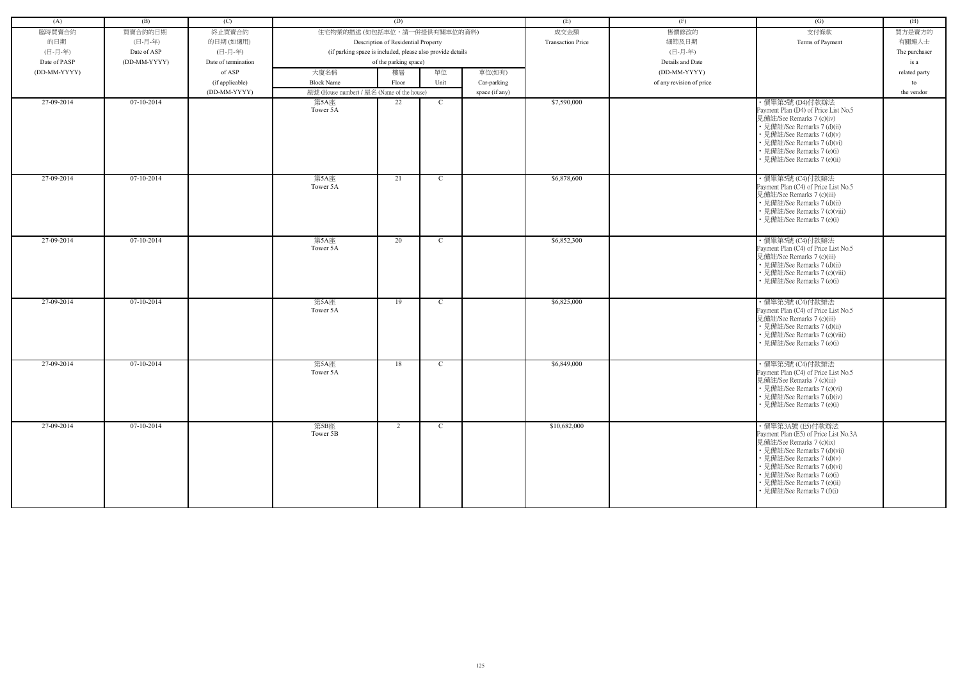| (A)          | (B)          | (C)                 |                                                            | (D)                                 |              |                | (E)                      | (F)                      | (G)                                                                                                                                                                                                                                                                             | (H)           |
|--------------|--------------|---------------------|------------------------------------------------------------|-------------------------------------|--------------|----------------|--------------------------|--------------------------|---------------------------------------------------------------------------------------------------------------------------------------------------------------------------------------------------------------------------------------------------------------------------------|---------------|
| 臨時買賣合約       | 買賣合約的日期      | 終止買賣合約              | 住宅物業的描述 (如包括車位,請一併提供有關車位的資料)                               |                                     |              |                | 成交金額                     | 售價修改的                    | 支付條款                                                                                                                                                                                                                                                                            | 買方是賣方的        |
| 的日期          | (日-月-年)      | 的日期(如適用)            |                                                            | Description of Residential Property |              |                | <b>Transaction Price</b> | 細節及日期                    | Terms of Payment                                                                                                                                                                                                                                                                | 有關連人士         |
| (日-月-年)      | Date of ASP  | (日-月-年)             | (if parking space is included, please also provide details |                                     |              |                |                          | (日-月-年)                  |                                                                                                                                                                                                                                                                                 | The purchaser |
| Date of PASP | (DD-MM-YYYY) | Date of termination |                                                            | of the parking space)               |              |                |                          | Details and Date         |                                                                                                                                                                                                                                                                                 | is a          |
|              |              |                     |                                                            |                                     |              |                |                          |                          |                                                                                                                                                                                                                                                                                 |               |
| (DD-MM-YYYY) |              | of ASP              | 大廈名稱                                                       | 樓層                                  | 單位           | 車位(如有)         |                          | (DD-MM-YYYY)             |                                                                                                                                                                                                                                                                                 | related party |
|              |              | (if applicable)     | <b>Block Name</b>                                          | Floor                               | Unit         | Car-parking    |                          | of any revision of price |                                                                                                                                                                                                                                                                                 | to            |
|              |              | (DD-MM-YYYY)        | 屋號 (House number) / 屋名 (Name of the house)                 |                                     |              | space (if any) |                          |                          |                                                                                                                                                                                                                                                                                 | the vendor    |
| 27-09-2014   | 07-10-2014   |                     | 第5A座<br>Tower 5A                                           | 22                                  | $\mathbf C$  |                | \$7,590,000              |                          | ・價單第5號 (D4)付款辦法<br>Payment Plan (D4) of Price List No.5<br>見備註/See Remarks 7 (c)(iv)<br>• 見備註/See Remarks 7 (d)(ii)<br>• 見備註/See Remarks 7 (d)(v)<br>• 見備註/See Remarks 7 (d)(vi)<br>• 見備註/See Remarks 7 (e)(i)<br>· 見備註/See Remarks 7 (e)(ii)                                   |               |
| 27-09-2014   | $07-10-2014$ |                     | 第5A座<br>Tower 5A                                           | 21                                  | $\mathbf C$  |                | \$6,878,600              |                          | ・價單第5號 (C4)付款辦法<br>Payment Plan (C4) of Price List No.5<br>見備註/See Remarks 7 (c)(iii)<br>• 見備註/See Remarks 7 (d)(ii)<br>• 見備註/See Remarks 7 (c)(viii)<br>• 見備註/See Remarks 7 (e)(i)                                                                                             |               |
| 27-09-2014   | 07-10-2014   |                     | 第5A座<br>Tower 5A                                           | 20                                  | $\mathbf{C}$ |                | \$6,852,300              |                          | · 價單第5號 (C4)付款辦法<br>Payment Plan (C4) of Price List No.5<br>見備註/See Remarks 7 (c)(iii)<br>• 見備註/See Remarks 7 (d)(ii)<br>• 見備註/See Remarks 7 (c)(viii)<br>• 見備註/See Remarks 7 (e)(i)                                                                                            |               |
| 27-09-2014   | 07-10-2014   |                     | 第5A座<br>Tower 5A                                           | 19                                  | $\mathbf C$  |                | \$6,825,000              |                          | · 價單第5號 (C4)付款辦法<br>Payment Plan (C4) of Price List No.5<br>見備註/See Remarks 7 (c)(iii)<br>• 見備註/See Remarks 7 (d)(ii)<br>• 見備註/See Remarks 7 (c)(viii)<br>• 見備註/See Remarks 7 (e)(i)                                                                                            |               |
| 27-09-2014   | 07-10-2014   |                     | 第5A座<br>Tower 5A                                           | 18                                  | $\mathbf C$  |                | \$6,849,000              |                          | · 價單第5號 (C4)付款辦法<br>Payment Plan (C4) of Price List No.5<br>見備註/See Remarks 7 (c)(iii)<br>• 見備註/See Remarks 7 (c)(vi)<br>• 見備註/See Remarks 7 (d)(iv)<br>• 見備註/See Remarks 7 (e)(i)                                                                                              |               |
| 27-09-2014   | $07-10-2014$ |                     | 第5B座<br>Tower 5B                                           | 2                                   | $\mathbf{C}$ |                | \$10,682,000             |                          | · 價單第3A號 (E5)付款辦法<br>Payment Plan (E5) of Price List No.3A<br>見備註/See Remarks 7 (c)(ix)<br>• 見備註/See Remarks 7 (d)(vii)<br>• 見備註/See Remarks 7 (d)(v)<br>• 見備註/See Remarks 7 (d)(vi)<br>• 見備註/See Remarks 7 (e)(i)<br>• 見備註/See Remarks 7 (e)(ii)<br>• 見備註/See Remarks 7 (f)(i) |               |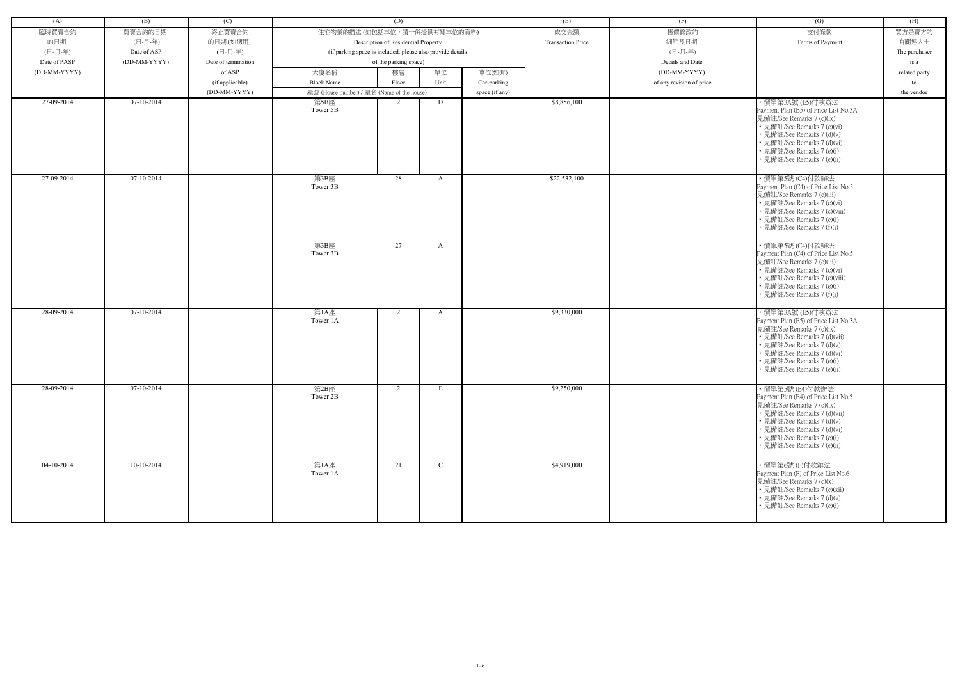| (A)          | (B)          | (C)                             |                                                            | (D)                                 |              |                               | (E)                      | (F)                      | (G)                                                                | (H)              |
|--------------|--------------|---------------------------------|------------------------------------------------------------|-------------------------------------|--------------|-------------------------------|--------------------------|--------------------------|--------------------------------------------------------------------|------------------|
| 臨時買賣合約       | 買賣合約的日期      | 終止買賣合約                          | 住宅物業的描述 (如包括車位,請一併提供有關車位的資料)                               |                                     |              |                               | 成交金額                     | 售價修改的                    | 支付條款                                                               | 買方是賣方的           |
| 的日期          | (日-月-年)      | 的日期(如適用)                        |                                                            | Description of Residential Property |              |                               | <b>Transaction Price</b> | 細節及日期                    | Terms of Payment                                                   | 有關連人士            |
| (日-月-年)      | Date of ASP  | (日-月-年)                         | (if parking space is included, please also provide details |                                     |              |                               |                          | (日-月-年)                  |                                                                    | The purchaser    |
| Date of PASP | (DD-MM-YYYY) | Date of termination             |                                                            | of the parking space)               |              |                               |                          | Details and Date         |                                                                    | is a             |
| (DD-MM-YYYY) |              | of ASP                          | 大廈名稱                                                       | 樓層                                  | 單位           | 車位(如有)                        |                          | (DD-MM-YYYY)             |                                                                    |                  |
|              |              |                                 | <b>Block Name</b>                                          | Floor                               | Unit         |                               |                          |                          |                                                                    | related party    |
|              |              | (if applicable)<br>(DD-MM-YYYY) | 屋號 (House number) / 屋名 (Name of the house)                 |                                     |              | Car-parking<br>space (if any) |                          | of any revision of price |                                                                    | to<br>the vendor |
| 27-09-2014   | $07-10-2014$ |                                 | 第5B座                                                       | 2                                   | D            |                               | \$8,856,100              |                          | ・價單第3A號 (E5)付款辦法                                                   |                  |
|              |              |                                 | Tower 5B                                                   |                                     |              |                               |                          |                          | Payment Plan (E5) of Price List No.3A                              |                  |
|              |              |                                 |                                                            |                                     |              |                               |                          |                          | 見備註/See Remarks 7 (c)(ix)                                          |                  |
|              |              |                                 |                                                            |                                     |              |                               |                          |                          | • 見備註/See Remarks 7 (c)(vi)                                        |                  |
|              |              |                                 |                                                            |                                     |              |                               |                          |                          | · 見備註/See Remarks 7 (d)(v)<br>• 見備註/See Remarks 7 (d)(vi)          |                  |
|              |              |                                 |                                                            |                                     |              |                               |                          |                          | • 見備註/See Remarks 7 (e)(i)                                         |                  |
|              |              |                                 |                                                            |                                     |              |                               |                          |                          | 見備註/See Remarks 7 (e)(ii)                                          |                  |
|              |              |                                 |                                                            |                                     |              |                               |                          |                          |                                                                    |                  |
| 27-09-2014   | $07-10-2014$ |                                 | 第3B座                                                       | 28                                  | A            |                               | \$22,532,100             |                          | ・價單第5號 (C4)付款辦法                                                    |                  |
|              |              |                                 | Tower 3B                                                   |                                     |              |                               |                          |                          | Payment Plan (C4) of Price List No.5<br>見備註/See Remarks 7 (c)(iii) |                  |
|              |              |                                 |                                                            |                                     |              |                               |                          |                          | • 見備註/See Remarks 7 (c)(vi)                                        |                  |
|              |              |                                 |                                                            |                                     |              |                               |                          |                          | • 見備註/See Remarks 7 (c)(viii)                                      |                  |
|              |              |                                 |                                                            |                                     |              |                               |                          |                          | • 見備註/See Remarks 7 (e)(i)                                         |                  |
|              |              |                                 |                                                            |                                     |              |                               |                          |                          | • 見備註/See Remarks 7 (f)(i)                                         |                  |
|              |              |                                 | 第3B座                                                       | 27                                  | A            |                               |                          |                          | ·價單第5號 (C4)付款辦法                                                    |                  |
|              |              |                                 | Tower 3B                                                   |                                     |              |                               |                          |                          | Payment Plan (C4) of Price List No.5                               |                  |
|              |              |                                 |                                                            |                                     |              |                               |                          |                          | 見備註/See Remarks 7 (c)(iii)                                         |                  |
|              |              |                                 |                                                            |                                     |              |                               |                          |                          | • 見備註/See Remarks 7 (c)(vi)<br>• 見備註/See Remarks 7 (c)(viii)       |                  |
|              |              |                                 |                                                            |                                     |              |                               |                          |                          | • 見備註/See Remarks 7 (e)(i)                                         |                  |
|              |              |                                 |                                                            |                                     |              |                               |                          |                          | 見備註/See Remarks 7 (f)(i)                                           |                  |
|              |              |                                 |                                                            |                                     |              |                               |                          |                          |                                                                    |                  |
| 28-09-2014   | $07-10-2014$ |                                 | 第1A座                                                       | $\overline{2}$                      | A            |                               | \$9,330,000              |                          | · 價單第3A號 (E5)付款辦法                                                  |                  |
|              |              |                                 | Tower 1A                                                   |                                     |              |                               |                          |                          | Payment Plan (E5) of Price List No.3A<br>見備註/See Remarks 7 (c)(ix) |                  |
|              |              |                                 |                                                            |                                     |              |                               |                          |                          | • 見備註/See Remarks 7 (d)(vii)                                       |                  |
|              |              |                                 |                                                            |                                     |              |                               |                          |                          | • 見備註/See Remarks 7 (d)(v)                                         |                  |
|              |              |                                 |                                                            |                                     |              |                               |                          |                          | • 見備註/See Remarks 7 (d)(vi)                                        |                  |
|              |              |                                 |                                                            |                                     |              |                               |                          |                          | • 見備註/See Remarks 7 (e)(i)<br>• 見備註/See Remarks 7 (e)(ii)          |                  |
|              |              |                                 |                                                            |                                     |              |                               |                          |                          |                                                                    |                  |
| 28-09-2014   | $07-10-2014$ |                                 | 第2B座                                                       | $\overline{2}$                      | E            |                               | \$9,250,000              |                          | ·價單第5號 (E4)付款辦法                                                    |                  |
|              |              |                                 | Tower 2B                                                   |                                     |              |                               |                          |                          | Payment Plan (E4) of Price List No.5                               |                  |
|              |              |                                 |                                                            |                                     |              |                               |                          |                          | 見備註/See Remarks 7 (c)(ix)                                          |                  |
|              |              |                                 |                                                            |                                     |              |                               |                          |                          | • 見備註/See Remarks 7 (d)(vii)<br>• 見備註/See Remarks 7 (d)(v)         |                  |
|              |              |                                 |                                                            |                                     |              |                               |                          |                          | • 見備註/See Remarks 7 (d)(vi)                                        |                  |
|              |              |                                 |                                                            |                                     |              |                               |                          |                          | • 見備註/See Remarks 7 (e)(i)                                         |                  |
|              |              |                                 |                                                            |                                     |              |                               |                          |                          | • 見備註/See Remarks 7 (e)(ii)                                        |                  |
|              |              |                                 |                                                            |                                     |              |                               |                          |                          |                                                                    |                  |
| $04-10-2014$ | $10-10-2014$ |                                 | 第1A座<br>Tower 1A                                           | 21                                  | $\mathbf{C}$ |                               | \$4,919,000              |                          | ・價單第6號 (F)付款辦法<br>Payment Plan (F) of Price List No.6              |                  |
|              |              |                                 |                                                            |                                     |              |                               |                          |                          | 見備註/See Remarks 7 (c)(x)                                           |                  |
|              |              |                                 |                                                            |                                     |              |                               |                          |                          | • 見備註/See Remarks 7 (c)(xii)                                       |                  |
|              |              |                                 |                                                            |                                     |              |                               |                          |                          | • 見備註/See Remarks 7 (d)(v)                                         |                  |
|              |              |                                 |                                                            |                                     |              |                               |                          |                          | • 見備註/See Remarks 7 (e)(i)                                         |                  |
|              |              |                                 |                                                            |                                     |              |                               |                          |                          |                                                                    |                  |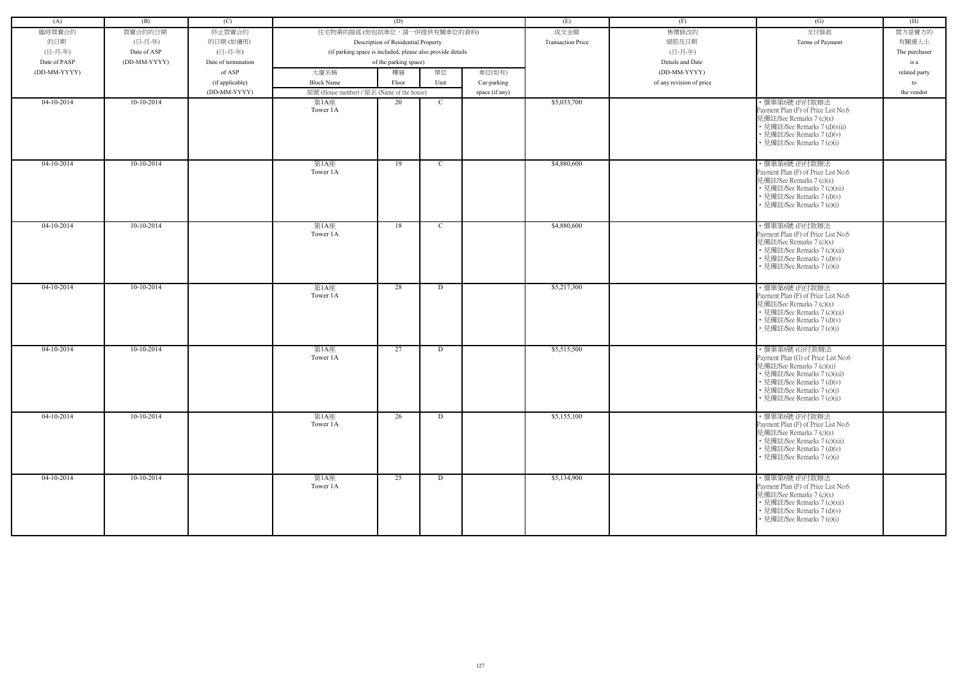| (A)          | (B)          | (C)                 |                                                            | (D)                                 |             |                | (E)                      | (F)                      | (G)                                                                                                                                                                                                         | (H)           |
|--------------|--------------|---------------------|------------------------------------------------------------|-------------------------------------|-------------|----------------|--------------------------|--------------------------|-------------------------------------------------------------------------------------------------------------------------------------------------------------------------------------------------------------|---------------|
| 臨時買賣合約       | 買賣合約的日期      | 終止買賣合約              | 住宅物業的描述 (如包括車位,請一併提供有關車位的資料)                               |                                     |             |                | 成交金額                     | 售價修改的                    | 支付條款                                                                                                                                                                                                        | 買方是賣方的        |
| 的日期          | (日-月-年)      | 的日期(如適用)            |                                                            | Description of Residential Property |             |                | <b>Transaction Price</b> | 細節及日期                    | Terms of Payment                                                                                                                                                                                            | 有關連人士         |
| (日-月-年)      | Date of ASP  | (日-月-年)             | (if parking space is included, please also provide details |                                     |             |                |                          | (日-月-年)                  |                                                                                                                                                                                                             | The purchaser |
| Date of PASP | (DD-MM-YYYY) | Date of termination |                                                            | of the parking space)               |             |                |                          | Details and Date         |                                                                                                                                                                                                             | is a          |
| (DD-MM-YYYY) |              | of ASP              | 大廈名稱                                                       | 樓層                                  | 單位          | 車位(如有)         |                          | (DD-MM-YYYY)             |                                                                                                                                                                                                             | related party |
|              |              | (if applicable)     | <b>Block Name</b>                                          | Floor                               | Unit        | Car-parking    |                          | of any revision of price |                                                                                                                                                                                                             | to            |
|              |              | (DD-MM-YYYY)        | 屋號 (House number) / 屋名 (Name of the house)                 |                                     |             | space (if any) |                          |                          |                                                                                                                                                                                                             | the vendor    |
| $04-10-2014$ | $10-10-2014$ |                     | 第1A座                                                       | 20                                  | $\mathbf C$ |                | \$5,033,700              |                          | ·價單第6號(F)付款辦法                                                                                                                                                                                               |               |
|              |              |                     | Tower 1A                                                   |                                     |             |                |                          |                          | Payment Plan (F) of Price List No.6<br>見備註/See Remarks 7 (c)(x)<br>• 見備註/See Remarks 7 (d)(viii)<br>· 見備註/See Remarks 7 (d)(v)<br>見備註/See Remarks 7 (e)(i)                                                  |               |
| $04-10-2014$ | $10-10-2014$ |                     | 第1A座<br>Tower 1A                                           | 19                                  | $\mathbf C$ |                | \$4,880,600              |                          | ·價單第6號(F)付款辦法<br>Payment Plan (F) of Price List No.6<br>見備註/See Remarks 7 (c)(x)<br>• 見備註/See Remarks 7 (c)(xii)<br>• 見備註/See Remarks 7 (d)(v)<br>· 見備註/See Remarks 7 (e)(i)                                |               |
| $04-10-2014$ | $10-10-2014$ |                     | 第1A座<br>Tower 1A                                           | 18                                  | $\mathbf C$ |                | \$4,880,600              |                          | ·價單第6號(F)付款辦法<br>Payment Plan (F) of Price List No.6<br>見備註/See Remarks 7 (c)(x)<br>• 見備註/See Remarks 7 (c)(xii)<br>• 見備註/See Remarks 7 (d)(v)<br>• 見備註/See Remarks 7 (e)(i)                                |               |
| $04-10-2014$ | $10-10-2014$ |                     | 第1A座<br>Tower 1A                                           | 28                                  | D           |                | \$5,217,300              |                          | ·價單第6號(F)付款辦法<br>Payment Plan (F) of Price List No.6<br>見備註/See Remarks 7 (c)(x)<br>• 見備註/See Remarks 7 (c)(xii)<br>• 見備註/See Remarks 7 (d)(v)<br>見備註/See Remarks 7 (e)(i)                                  |               |
| $04-10-2014$ | $10-10-2014$ |                     | 第1A座<br>Tower 1A                                           | 27                                  | D           |                | \$5,515,500              |                          | ・價單第6號 (G)付款辦法<br>Payment Plan (G) of Price List No.6<br>見備註/See Remarks 7 (c)(xi)<br>• 見備註/See Remarks 7 (c)(xii)<br>• 見備註/See Remarks 7 (d)(v)<br>見備註/See Remarks 7 (e)(i)<br>• 見備註/See Remarks 7 (e)(ii) |               |
| $04-10-2014$ | $10-10-2014$ |                     | 第1A座<br>Tower 1A                                           | 26                                  | D           |                | \$5,155,100              |                          | ·價單第6號(F)付款辦法<br>Payment Plan (F) of Price List No.6<br>見備註/See Remarks 7 (c)(x)<br>• 見備註/See Remarks 7 (c)(xii)<br>• 見備註/See Remarks 7 (d)(v)<br>• 見備註/See Remarks 7 (e)(i)                                |               |
| $04-10-2014$ | $10-10-2014$ |                     | 第1A座<br>Tower 1A                                           | 25                                  | D           |                | \$5,134,900              |                          | ・價單第6號 (F)付款辦法<br>Payment Plan (F) of Price List No.6<br>見備註/See Remarks 7 (c)(x)<br>• 見備註/See Remarks 7 (c)(xii)<br>• 見備註/See Remarks 7 (d)(v)<br>• 見備註/See Remarks 7 (e)(i)                               |               |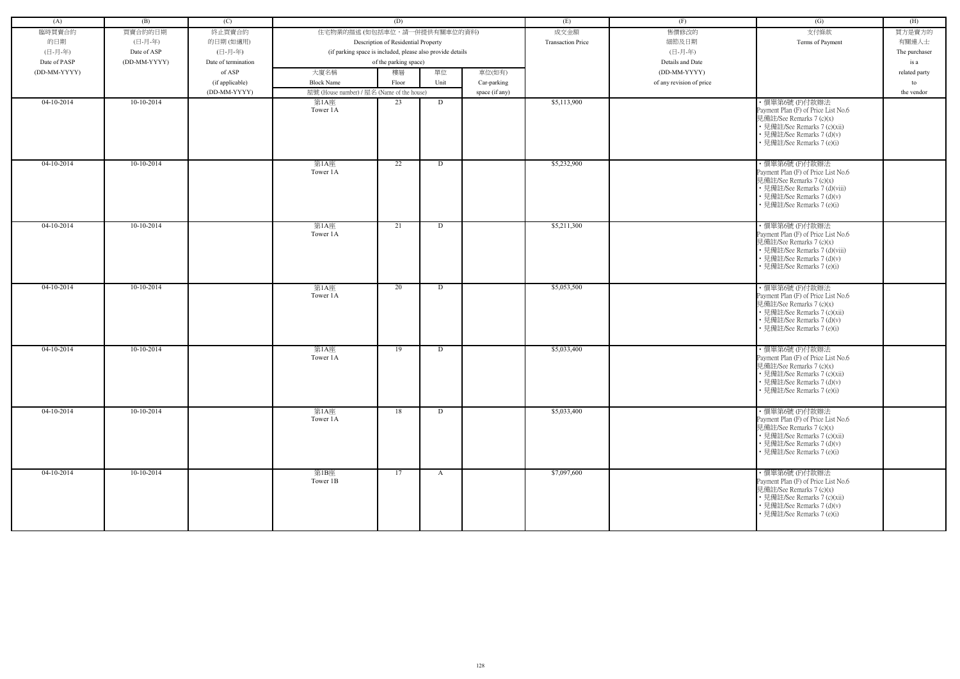|              | (B)          |                     |                                                            | (D)                                 |              |                |                          | (F)                      |                                                                                                                                                                               | (H)           |
|--------------|--------------|---------------------|------------------------------------------------------------|-------------------------------------|--------------|----------------|--------------------------|--------------------------|-------------------------------------------------------------------------------------------------------------------------------------------------------------------------------|---------------|
| (A)          |              | (C)                 |                                                            |                                     |              |                | (E)                      |                          | (G)                                                                                                                                                                           |               |
| 臨時買賣合約       | 買賣合約的日期      | 終止買賣合約              | 住宅物業的描述 (如包括車位,請一併提供有關車位的資料)                               |                                     |              |                | 成交金額                     | 售價修改的                    | 支付條款                                                                                                                                                                          | 買方是賣方的        |
| 的日期          | (日-月-年)      | 的日期(如適用)            |                                                            | Description of Residential Property |              |                | <b>Transaction Price</b> | 細節及日期                    | Terms of Payment                                                                                                                                                              | 有關連人士         |
| (日-月-年)      | Date of ASP  | (日-月-年)             | (if parking space is included, please also provide details |                                     |              |                |                          | (日-月-年)                  |                                                                                                                                                                               | The purchaser |
| Date of PASP | (DD-MM-YYYY) | Date of termination |                                                            | of the parking space)               |              |                |                          | Details and Date         |                                                                                                                                                                               | is a          |
| (DD-MM-YYYY) |              | of ASP              | 大廈名稱                                                       | 樓層                                  | 單位           | 車位(如有)         |                          | (DD-MM-YYYY)             |                                                                                                                                                                               | related party |
|              |              | (if applicable)     | <b>Block Name</b>                                          | Floor                               | Unit         | Car-parking    |                          | of any revision of price |                                                                                                                                                                               | to            |
|              |              | (DD-MM-YYYY)        | 屋號 (House number) / 屋名 (Name of the house)                 |                                     |              | space (if any) |                          |                          |                                                                                                                                                                               | the vendor    |
| 04-10-2014   | $10-10-2014$ |                     | 第1A座                                                       | 23                                  | D            |                | \$5,113,900              |                          | ·價單第6號(F)付款辦法                                                                                                                                                                 |               |
|              |              |                     | Tower 1A                                                   |                                     |              |                |                          |                          | Payment Plan (F) of Price List No.6<br>見備註/See Remarks 7 (c)(x)<br>• 見備註/See Remarks 7 (c)(xii)<br>• 見備註/See Remarks 7 (d)(v)<br>• 見備註/See Remarks 7 (e)(i)                   |               |
| $04-10-2014$ | $10-10-2014$ |                     | 第1A座<br>Tower 1A                                           | $\overline{22}$                     | D            |                | \$5,232,900              |                          | ·價單第6號(F)付款辦法<br>Payment Plan (F) of Price List No.6<br>見備註/See Remarks 7 (c)(x)<br>• 見備註/See Remarks 7 (d)(viii)<br>• 見備註/See Remarks 7 (d)(v)<br>• 見備註/See Remarks 7 (e)(i) |               |
| 04-10-2014   | 10-10-2014   |                     | 第1A座<br>Tower 1A                                           | 21                                  | D            |                | \$5,211,300              |                          | ·價單第6號(F)付款辦法<br>Payment Plan (F) of Price List No.6<br>見備註/See Remarks 7 (c)(x)<br>• 見備註/See Remarks 7 (d)(viii)<br>• 見備註/See Remarks 7 (d)(v)<br>• 見備註/See Remarks 7 (e)(i) |               |
| $04-10-2014$ | $10-10-2014$ |                     | 第1A座<br>Tower 1A                                           | 20                                  | D            |                | \$5,053,500              |                          | ·價單第6號(F)付款辦法<br>Payment Plan (F) of Price List No.6<br>見備註/See Remarks 7 (c)(x)<br>• 見備註/See Remarks 7 (c)(xii)<br>• 見備註/See Remarks 7 (d)(v)<br>• 見備註/See Remarks 7 (e)(i)  |               |
| $04-10-2014$ | $10-10-2014$ |                     | 第1A座<br>Tower 1A                                           | 19                                  | D            |                | \$5,033,400              |                          | ·價單第6號(F)付款辦法<br>Payment Plan (F) of Price List No.6<br>見備註/See Remarks 7 (c)(x)<br>• 見備註/See Remarks 7 (c)(xii)<br>• 見備註/See Remarks 7 (d)(v)<br>• 見備註/See Remarks 7 (e)(i)  |               |
| $04-10-2014$ | $10-10-2014$ |                     | 第1A座<br>Tower 1A                                           | 18                                  | D            |                | \$5,033,400              |                          | ·價單第6號(F)付款辦法<br>Payment Plan (F) of Price List No.6<br>見備註/See Remarks 7 (c)(x)<br>• 見備註/See Remarks 7 (c)(xii)<br>• 見備註/See Remarks 7 (d)(v)<br>• 見備註/See Remarks 7 (e)(i)  |               |
| $04-10-2014$ | $10-10-2014$ |                     | 第1B座<br>Tower 1B                                           | 17                                  | $\mathbf{A}$ |                | \$7,097,600              |                          | ·價單第6號(F)付款辦法<br>Payment Plan (F) of Price List No.6<br>見備註/See Remarks 7 (c)(x)<br>• 見備註/See Remarks 7 (c)(xii)<br>• 見備註/See Remarks 7 (d)(v)<br>• 見備註/See Remarks 7 (e)(i)  |               |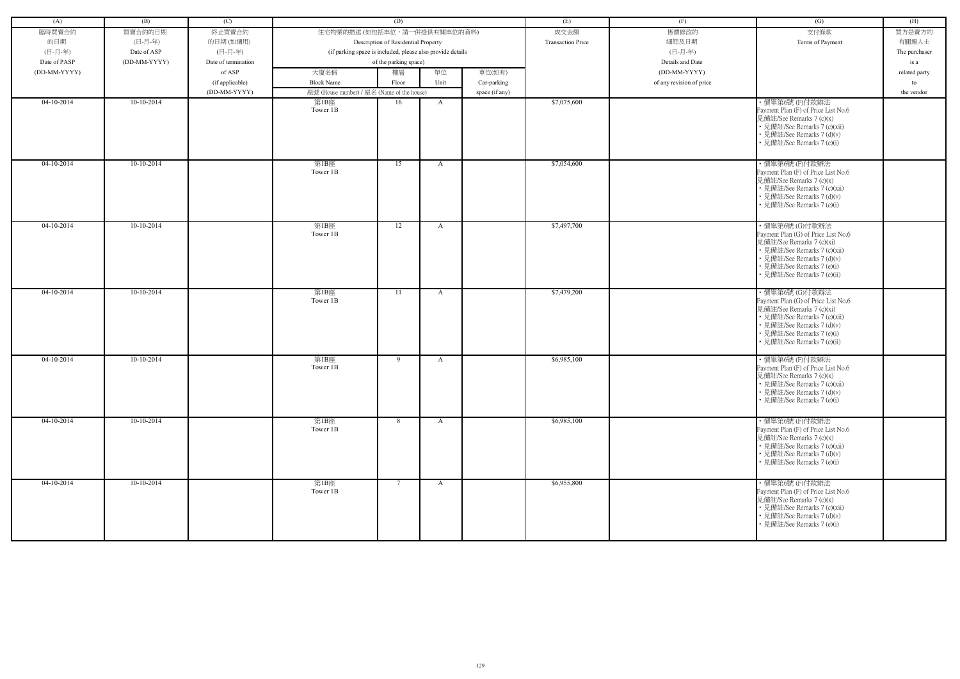| (A)          | (B)          | (C)                 |                                                            | (D)                                 |              |                | (E)                      | (F)                      | (G)                                                                                                                                                                                                           | (H)           |
|--------------|--------------|---------------------|------------------------------------------------------------|-------------------------------------|--------------|----------------|--------------------------|--------------------------|---------------------------------------------------------------------------------------------------------------------------------------------------------------------------------------------------------------|---------------|
|              |              |                     |                                                            |                                     |              |                |                          |                          |                                                                                                                                                                                                               |               |
| 臨時買賣合約       | 買賣合約的日期      | 終止買賣合約              | 住宅物業的描述 (如包括車位,請一併提供有關車位的資料)                               |                                     |              |                | 成交金額                     | 售價修改的                    | 支付條款                                                                                                                                                                                                          | 買方是賣方的        |
| 的日期          | (日-月-年)      | 的日期(如適用)            |                                                            | Description of Residential Property |              |                | <b>Transaction Price</b> | 細節及日期                    | Terms of Payment                                                                                                                                                                                              | 有關連人士         |
| (日-月-年)      | Date of ASP  | (日-月-年)             | (if parking space is included, please also provide details |                                     |              |                |                          | (日-月-年)                  |                                                                                                                                                                                                               | The purchaser |
| Date of PASP | (DD-MM-YYYY) | Date of termination |                                                            | of the parking space)               |              |                |                          | Details and Date         |                                                                                                                                                                                                               | is a          |
| (DD-MM-YYYY) |              | of ASP              | 大廈名稱                                                       | 樓層                                  | 單位           | 車位(如有)         |                          | (DD-MM-YYYY)             |                                                                                                                                                                                                               | related party |
|              |              | (if applicable)     | <b>Block Name</b>                                          | Floor                               | Unit         | Car-parking    |                          | of any revision of price |                                                                                                                                                                                                               | to            |
|              |              | (DD-MM-YYYY)        | 屋號 (House number) / 屋名 (Name of the house)                 |                                     |              | space (if any) |                          |                          |                                                                                                                                                                                                               | the vendor    |
| 04-10-2014   | 10-10-2014   |                     | 第1B座<br>Tower 1B                                           | 16                                  | A            |                | \$7,075,600              |                          | · 價單第6號(F)付款辦法<br>Payment Plan (F) of Price List No.6<br>見備註/See Remarks 7 (c)(x)<br>• 見備註/See Remarks 7 (c)(xii)<br>• 見備註/See Remarks 7 (d)(v)<br>• 見備註/See Remarks 7 (e)(i)                                 |               |
| $04-10-2014$ | $10-10-2014$ |                     | 第1B座<br>Tower 1B                                           | 15                                  | $\mathbf{A}$ |                | \$7,054,600              |                          | ·價單第6號(F)付款辦法<br>Payment Plan (F) of Price List No.6<br>見備註/See Remarks 7 (c)(x)<br>• 見備註/See Remarks 7 (c)(xii)<br>• 見備註/See Remarks 7 (d)(v)<br>• 見備註/See Remarks 7 (e)(i)                                  |               |
| 04-10-2014   | $10-10-2014$ |                     | 第1B座<br>Tower 1B                                           | 12                                  | A            |                | \$7,497,700              |                          | ・價單第6號 (G)付款辦法<br>Payment Plan (G) of Price List No.6<br>見備註/See Remarks 7 (c)(xi)<br>• 見備註/See Remarks 7 (c)(xii)<br>• 見備註/See Remarks 7 (d)(v)<br>• 見備註/See Remarks 7 (e)(i)<br>· 見備註/See Remarks 7 (e)(ii) |               |
| $04-10-2014$ | 10-10-2014   |                     | 第1B座<br>Tower 1B                                           | 11                                  | A            |                | \$7,479,200              |                          | ・價單第6號 (G)付款辦法<br>Payment Plan (G) of Price List No.6<br>見備註/See Remarks 7 (c)(xi)<br>• 見備註/See Remarks 7 (c)(xii)<br>• 見備註/See Remarks 7 (d)(v)<br>• 見備註/See Remarks 7 (e)(i)<br>• 見備註/See Remarks 7 (e)(ii) |               |
| 04-10-2014   | 10-10-2014   |                     | 第1B座<br>Tower 1B                                           | 9                                   | A            |                | \$6,985,100              |                          | ·價單第6號(F)付款辦法<br>Payment Plan (F) of Price List No.6<br>見備註/See Remarks 7 (c)(x)<br>• 見備註/See Remarks 7 (c)(xii)<br>• 見備註/See Remarks 7 (d)(v)<br>• 見備註/See Remarks 7 (e)(i)                                  |               |
| $04-10-2014$ | $10-10-2014$ |                     | 第1B座<br>Tower 1B                                           | 8                                   | $\mathbf{A}$ |                | \$6,985,100              |                          | ·價單第6號(F)付款辦法<br>Payment Plan (F) of Price List No.6<br>見備註/See Remarks 7 (c)(x)<br>• 見備註/See Remarks 7 (c)(xii)<br>• 見備註/See Remarks 7 (d)(v)<br>• 見備註/See Remarks 7 (e)(i)                                  |               |
| $04-10-2014$ | $10-10-2014$ |                     | 第1B座<br>Tower 1B                                           | $7\phantom{.0}\phantom{.0}7$        | $\mathbf{A}$ |                | \$6,955,800              |                          | ·價單第6號(F)付款辦法<br>Payment Plan (F) of Price List No.6<br>見備註/See Remarks 7 (c)(x)<br>• 見備註/See Remarks 7 (c)(xii)<br>• 見備註/See Remarks 7 (d)(v)<br>• 見備註/See Remarks 7 (e)(i)                                  |               |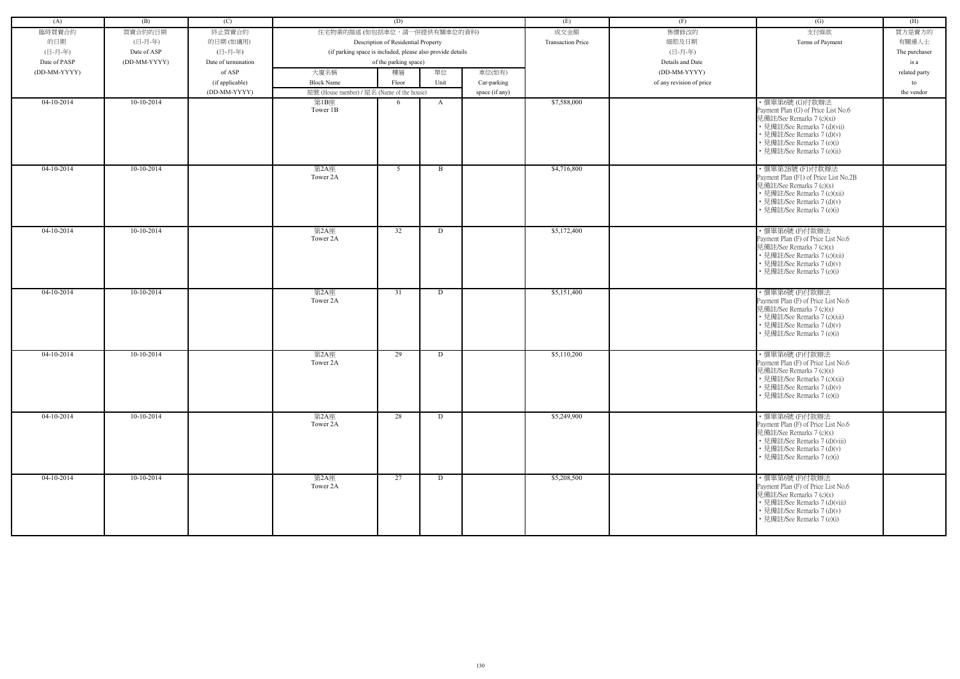| (A)          | (B)          | (C)                 |                                            | (D)                                                        |      |                | (E)                      | (F)                      | (G)                                                                                                                                                                                                           | (H)           |
|--------------|--------------|---------------------|--------------------------------------------|------------------------------------------------------------|------|----------------|--------------------------|--------------------------|---------------------------------------------------------------------------------------------------------------------------------------------------------------------------------------------------------------|---------------|
|              |              |                     |                                            |                                                            |      |                |                          |                          |                                                                                                                                                                                                               |               |
| 臨時買賣合約       | 買賣合約的日期      | 終止買賣合約              | 住宅物業的描述 (如包括車位,請一併提供有關車位的資料)               |                                                            |      |                | 成交金額                     | 售價修改的                    | 支付條款                                                                                                                                                                                                          | 買方是賣方的        |
| 的日期          | (日-月-年)      | 的日期(如適用)            |                                            | Description of Residential Property                        |      |                | <b>Transaction Price</b> | 細節及日期                    | Terms of Payment                                                                                                                                                                                              | 有關連人士         |
| (日-月-年)      | Date of ASP  | (日-月-年)             |                                            | (if parking space is included, please also provide details |      |                |                          | (日-月-年)                  |                                                                                                                                                                                                               | The purchaser |
| Date of PASP | (DD-MM-YYYY) | Date of termination |                                            | of the parking space)                                      |      |                |                          | Details and Date         |                                                                                                                                                                                                               | is a          |
| (DD-MM-YYYY) |              | of ASP              | 大廈名稱                                       | 樓層                                                         | 單位   | 車位(如有)         |                          | (DD-MM-YYYY)             |                                                                                                                                                                                                               | related party |
|              |              | (if applicable)     | <b>Block Name</b>                          | Floor                                                      | Unit | Car-parking    |                          | of any revision of price |                                                                                                                                                                                                               | to            |
|              |              | (DD-MM-YYYY)        | 屋號 (House number) / 屋名 (Name of the house) |                                                            |      | space (if any) |                          |                          |                                                                                                                                                                                                               | the vendor    |
| 04-10-2014   | 10-10-2014   |                     | 第1B座<br>Tower 1B                           | 6                                                          | A    |                | \$7,588,000              |                          | ·價單第6號 (G)付款辦法<br>Payment Plan (G) of Price List No.6<br>見備註/See Remarks 7 (c)(xi)<br>• 見備註/See Remarks 7 (d)(vii)<br>• 見備註/See Remarks 7 (d)(v)<br>• 見備註/See Remarks 7 (e)(i)<br>• 見備註/See Remarks 7 (e)(ii) |               |
| $04-10-2014$ | $10-10-2014$ |                     | 第2A座<br>Tower 2A                           | 5 <sup>5</sup>                                             | B    |                | \$4,716,800              |                          | ・價單第2B號 (F1)付款辦法<br>Payment Plan (F1) of Price List No.2B<br>見備註/See Remarks 7 (c)(x)<br>• 見備註/See Remarks 7 (c)(xii)<br>• 見備註/See Remarks 7 (d)(v)<br>• 見備註/See Remarks 7 (e)(i)                             |               |
| $04-10-2014$ | $10-10-2014$ |                     | 第2A座<br>Tower 2A                           | 32                                                         | D    |                | \$5,172,400              |                          | · 價單第6號(F)付款辦法<br>Payment Plan (F) of Price List No.6<br>見備註/See Remarks 7 (c)(x)<br>• 見備註/See Remarks 7 (c)(xii)<br>• 見備註/See Remarks 7 (d)(v)<br>• 見備註/See Remarks 7 (e)(i)                                 |               |
| $04-10-2014$ | 10-10-2014   |                     | 第2A座<br>Tower 2A                           | 31                                                         | D    |                | \$5,151,400              |                          | ·價單第6號(F)付款辦法<br>Payment Plan (F) of Price List No.6<br>見備註/See Remarks 7 (c)(x)<br>• 見備註/See Remarks 7 (c)(xii)<br>• 見備註/See Remarks 7 (d)(v)<br>• 見備註/See Remarks 7 (e)(i)                                  |               |
| 04-10-2014   | 10-10-2014   |                     | 第2A座<br>Tower 2A                           | 29                                                         | D    |                | \$5,110,200              |                          | · 價單第6號(F)付款辦法<br>Payment Plan (F) of Price List No.6<br>見備註/See Remarks 7 (c)(x)<br>· 見備註/See Remarks 7 (c)(xii)<br>• 見備註/See Remarks 7 (d)(v)<br>• 見備註/See Remarks 7 (e)(i)                                 |               |
| 04-10-2014   | 10-10-2014   |                     | 第2A座<br>Tower 2A                           | 28                                                         | D    |                | \$5,249,900              |                          | ·價單第6號(F)付款辦法<br>Payment Plan (F) of Price List No.6<br>見備註/See Remarks 7 (c)(x)<br>• 見備註/See Remarks 7 (d)(viii)<br>• 見備註/See Remarks 7 (d)(v)<br>• 見備註/See Remarks 7 (e)(i)                                 |               |
| $04-10-2014$ | $10-10-2014$ |                     | 第2A座<br>Tower 2A                           | 27                                                         | D    |                | \$5,208,500              |                          | · 價單第6號(F)付款辦法<br>Payment Plan (F) of Price List No.6<br>見備註/See Remarks 7 (c)(x)<br>• 見備註/See Remarks 7 (d)(viii)<br>• 見備註/See Remarks 7 (d)(v)<br>• 見備註/See Remarks 7 (e)(i)                                |               |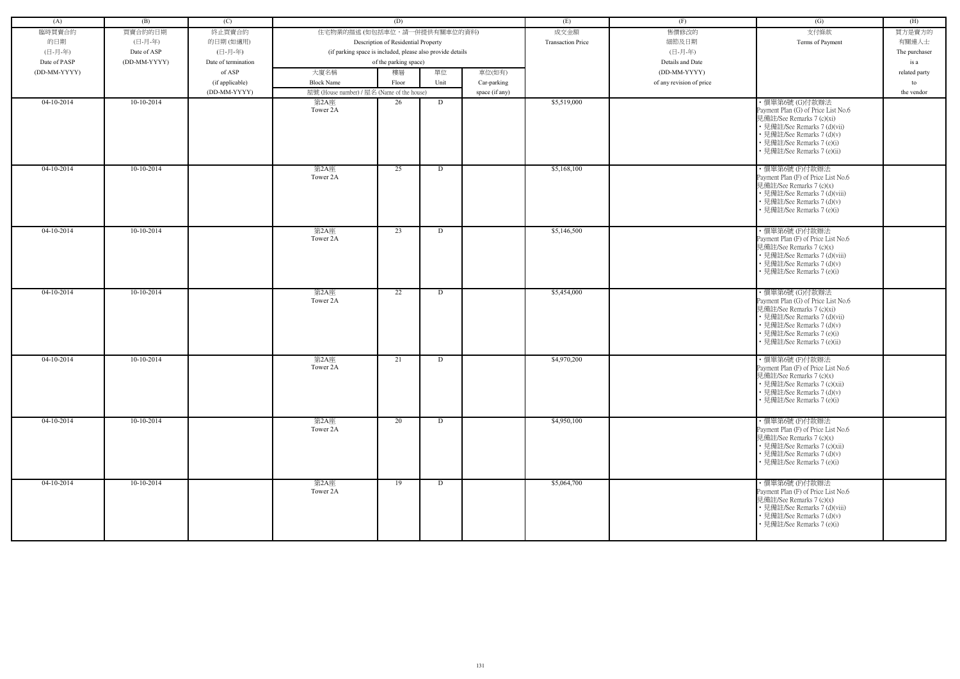| (A)          | (B)          | (C)                 |                                            | (D)                                                        |      |                | (E)                      | (F)                      | (G)                                                                                                                                                                                                           | (H)           |
|--------------|--------------|---------------------|--------------------------------------------|------------------------------------------------------------|------|----------------|--------------------------|--------------------------|---------------------------------------------------------------------------------------------------------------------------------------------------------------------------------------------------------------|---------------|
|              |              |                     |                                            |                                                            |      |                |                          |                          |                                                                                                                                                                                                               |               |
| 臨時買賣合約       | 買賣合約的日期      | 終止買賣合約              | 住宅物業的描述 (如包括車位,請一併提供有關車位的資料)               |                                                            |      |                | 成交金額                     | 售價修改的                    | 支付條款                                                                                                                                                                                                          | 買方是賣方的        |
| 的日期          | (日-月-年)      | 的日期(如適用)            |                                            | Description of Residential Property                        |      |                | <b>Transaction Price</b> | 細節及日期                    | Terms of Payment                                                                                                                                                                                              | 有關連人士         |
| (日-月-年)      | Date of ASP  | (日-月-年)             |                                            | (if parking space is included, please also provide details |      |                |                          | (日-月-年)                  |                                                                                                                                                                                                               | The purchaser |
| Date of PASP | (DD-MM-YYYY) | Date of termination |                                            | of the parking space)                                      |      |                |                          | Details and Date         |                                                                                                                                                                                                               | is a          |
| (DD-MM-YYYY) |              | of ASP              | 大廈名稱                                       | 樓層                                                         | 單位   | 車位(如有)         |                          | (DD-MM-YYYY)             |                                                                                                                                                                                                               | related party |
|              |              | (if applicable)     | <b>Block Name</b>                          | Floor                                                      | Unit | Car-parking    |                          | of any revision of price |                                                                                                                                                                                                               | to            |
|              |              | (DD-MM-YYYY)        | 屋號 (House number) / 屋名 (Name of the house) |                                                            |      | space (if any) |                          |                          |                                                                                                                                                                                                               | the vendor    |
| 04-10-2014   | 10-10-2014   |                     | 第2A座<br>Tower 2A                           | 26                                                         | D    |                | \$5,519,000              |                          | ·價單第6號 (G)付款辦法<br>Payment Plan (G) of Price List No.6<br>見備註/See Remarks 7 (c)(xi)<br>• 見備註/See Remarks 7 (d)(vii)<br>• 見備註/See Remarks 7 (d)(v)<br>• 見備註/See Remarks 7 (e)(i)<br>• 見備註/See Remarks 7 (e)(ii) |               |
| $04-10-2014$ | $10-10-2014$ |                     | 第2A座<br>Tower 2A                           | 25                                                         | D    |                | \$5,168,100              |                          | · 價單第6號(F)付款辦法<br>Payment Plan (F) of Price List No.6<br>見備註/See Remarks 7 (c)(x)<br>• 見備註/See Remarks 7 (d)(viii)<br>• 見備註/See Remarks 7 (d)(v)<br>• 見備註/See Remarks 7 (e)(i)                                |               |
| $04-10-2014$ | $10-10-2014$ |                     | 第2A座<br>Tower 2A                           | 23                                                         | D    |                | \$5,146,500              |                          | · 價單第6號(F)付款辦法<br>Payment Plan (F) of Price List No.6<br>見備註/See Remarks 7 (c)(x)<br>• 見備註/See Remarks 7 (d)(viii)<br>• 見備註/See Remarks 7 (d)(v)<br>• 見備註/See Remarks 7 (e)(i)                                |               |
| $04-10-2014$ | 10-10-2014   |                     | 第2A座<br>Tower 2A                           | 22                                                         | D    |                | \$5,454,000              |                          | ・價單第6號 (G)付款辦法<br>Payment Plan (G) of Price List No.6<br>見備註/See Remarks 7 (c)(xi)<br>• 見備註/See Remarks 7 (d)(vii)<br>• 見備註/See Remarks 7 (d)(v)<br>• 見備註/See Remarks 7 (e)(i)<br>• 見備註/See Remarks 7 (e)(ii) |               |
| 04-10-2014   | 10-10-2014   |                     | 第2A座<br>Tower 2A                           | 21                                                         | D    |                | \$4,970,200              |                          | · 價單第6號(F)付款辦法<br>Payment Plan (F) of Price List No.6<br>見備註/See Remarks 7 (c)(x)<br>• 見備註/See Remarks 7 (c)(xii)<br>• 見備註/See Remarks 7 (d)(v)<br>• 見備註/See Remarks 7 (e)(i)                                 |               |
| $04-10-2014$ | $10-10-2014$ |                     | 第2A座<br>Tower 2A                           | $\overline{20}$                                            | D    |                | \$4,950,100              |                          | ·價單第6號(F)付款辦法<br>Payment Plan (F) of Price List No.6<br>見備註/See Remarks 7 (c)(x)<br>• 見備註/See Remarks 7 (c)(xii)<br>• 見備註/See Remarks 7 (d)(v)<br>• 見備註/See Remarks 7 (e)(i)                                  |               |
| $04-10-2014$ | $10-10-2014$ |                     | 第2A座<br>Tower 2A                           | 19                                                         | D    |                | \$5,064,700              |                          | ·價單第6號(F)付款辦法<br>Payment Plan (F) of Price List No.6<br>見備註/See Remarks 7 (c)(x)<br>• 見備註/See Remarks 7 (d)(viii)<br>• 見備註/See Remarks 7 (d)(v)<br>• 見備註/See Remarks 7 (e)(i)                                 |               |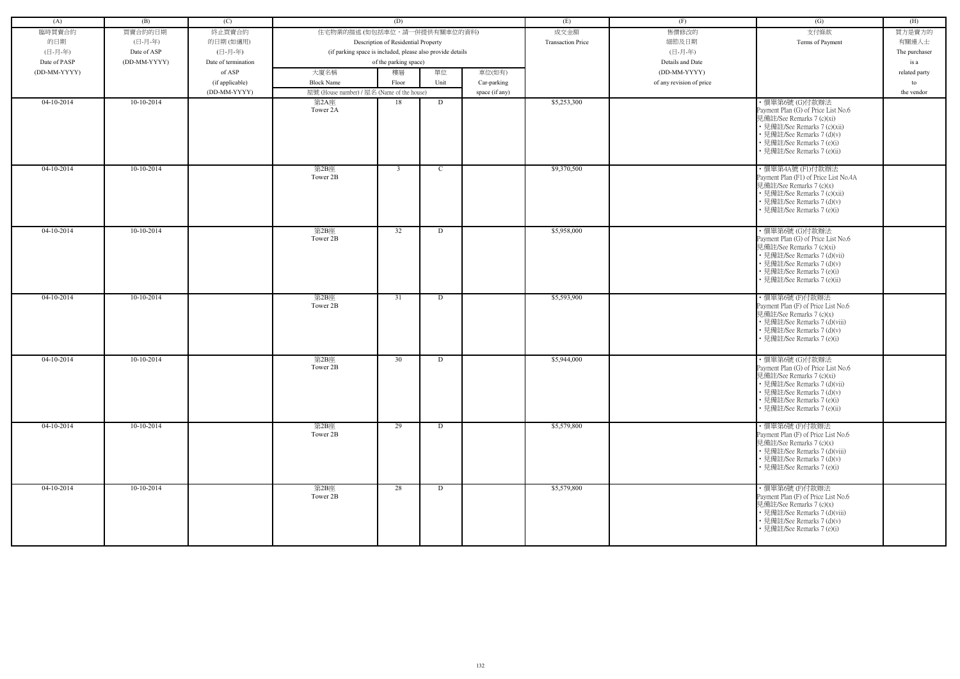| (A)          | (B)          | (C)                 |                                                            | (D)                                 |               |                | (E)                      | (F)                      | (G)                                                                                                                                                                                                            | (H)           |
|--------------|--------------|---------------------|------------------------------------------------------------|-------------------------------------|---------------|----------------|--------------------------|--------------------------|----------------------------------------------------------------------------------------------------------------------------------------------------------------------------------------------------------------|---------------|
|              |              |                     |                                                            |                                     |               |                |                          |                          |                                                                                                                                                                                                                |               |
| 臨時買賣合約       | 買賣合約的日期      | 終止買賣合約              | 住宅物業的描述 (如包括車位,請一併提供有關車位的資料)                               |                                     |               |                | 成交金額                     | 售價修改的                    | 支付條款                                                                                                                                                                                                           | 買方是賣方的        |
| 的日期          | (日-月-年)      | 的日期(如適用)            |                                                            | Description of Residential Property |               |                | <b>Transaction Price</b> | 細節及日期                    | Terms of Payment                                                                                                                                                                                               | 有關連人士         |
| (日-月-年)      | Date of ASP  | (日-月-年)             | (if parking space is included, please also provide details |                                     |               |                |                          | (日-月-年)                  |                                                                                                                                                                                                                | The purchaser |
| Date of PASP | (DD-MM-YYYY) | Date of termination |                                                            | of the parking space)               |               |                |                          | Details and Date         |                                                                                                                                                                                                                | is a          |
| (DD-MM-YYYY) |              | of ASP              | 大廈名稱                                                       | 樓層                                  | 單位            | 車位(如有)         |                          | (DD-MM-YYYY)             |                                                                                                                                                                                                                | related party |
|              |              | (if applicable)     | <b>Block Name</b>                                          | Floor                               | Unit          | Car-parking    |                          | of any revision of price |                                                                                                                                                                                                                | to            |
|              |              | (DD-MM-YYYY)        | 屋號 (House number) / 屋名 (Name of the house)                 |                                     |               | space (if any) |                          |                          |                                                                                                                                                                                                                | the vendor    |
| $04-10-2014$ | $10-10-2014$ |                     | 第2A座<br>Tower 2A                                           | 18                                  | D             |                | \$5,253,300              |                          | ·價單第6號 (G)付款辦法<br>Payment Plan (G) of Price List No.6<br>見備註/See Remarks 7 (c)(xi)<br>• 見備註/See Remarks 7 (c)(xii)<br>• 見備註/See Remarks 7 (d)(v)<br>• 見備註/See Remarks 7 (e)(i)<br>· 見備註/See Remarks 7 (e)(ii)  |               |
| 04-10-2014   | $10-10-2014$ |                     | 第2B座<br>Tower 2B                                           | $\overline{3}$                      | $\mathcal{C}$ |                | \$9,370,500              |                          | ·價單第4A號(F1)付款辦法<br>Payment Plan (F1) of Price List No.4A<br>見備註/See Remarks 7 (c)(x)<br>• 見備註/See Remarks 7 (c)(xii)<br>• 見備註/See Remarks 7 (d)(v)<br>• 見備註/See Remarks 7 (e)(i)                               |               |
| $04-10-2014$ | $10-10-2014$ |                     | 第2B座<br>Tower 2B                                           | 32                                  | D             |                | \$5,958,000              |                          | ・價單第6號 (G)付款辦法<br>Payment Plan (G) of Price List No.6<br>見備註/See Remarks 7 (c)(xi)<br>• 見備註/See Remarks 7 (d)(vii)<br>• 見備註/See Remarks 7 (d)(v)<br>• 見備註/See Remarks 7 (e)(i)<br>• 見備註/See Remarks 7 (e)(ii)  |               |
| 04-10-2014   | $10-10-2014$ |                     | 第2B座<br>Tower 2B                                           | 31                                  | D             |                | \$5,593,900              |                          | ·價單第6號(F)付款辦法<br>Payment Plan (F) of Price List No.6<br>見備註/See Remarks 7 (c)(x)<br>• 見備註/See Remarks 7 (d)(viii)<br>• 見備註/See Remarks 7 (d)(v)<br>• 見備註/See Remarks 7 (e)(i)                                  |               |
| $04-10-2014$ | 10-10-2014   |                     | 第2B座<br>Tower 2B                                           | 30                                  | D             |                | \$5,944,000              |                          | ・價單第6號 (G)付款辦法<br>Payment Plan (G) of Price List No.6<br> 見備註/See Remarks 7 (c)(xi)<br>• 見備註/See Remarks 7 (d)(vii)<br>• 見備註/See Remarks 7 (d)(v)<br>• 見備註/See Remarks 7 (e)(i)<br>• 見備註/See Remarks 7 (e)(ii) |               |
| $04-10-2014$ | $10-10-2014$ |                     | 第2B座<br>Tower 2B                                           | 29                                  | D             |                | \$5,579,800              |                          | ·價單第6號(F)付款辦法<br>Payment Plan (F) of Price List No.6<br>見備註/See Remarks 7 (c)(x)<br>• 見備註/See Remarks 7 (d)(viii)<br>• 見備註/See Remarks 7 (d)(v)<br>• 見備註/See Remarks 7 (e)(i)                                  |               |
| $04-10-2014$ | $10-10-2014$ |                     | 第2B座<br>Tower 2B                                           | 28                                  | D             |                | \$5,579,800              |                          | ·價單第6號(F)付款辦法<br>Payment Plan (F) of Price List No.6<br>見備註/See Remarks 7 (c)(x)<br>• 見備註/See Remarks 7 (d)(viii)<br>• 見備註/See Remarks 7 (d)(v)<br>• 見備註/See Remarks 7 (e)(i)                                  |               |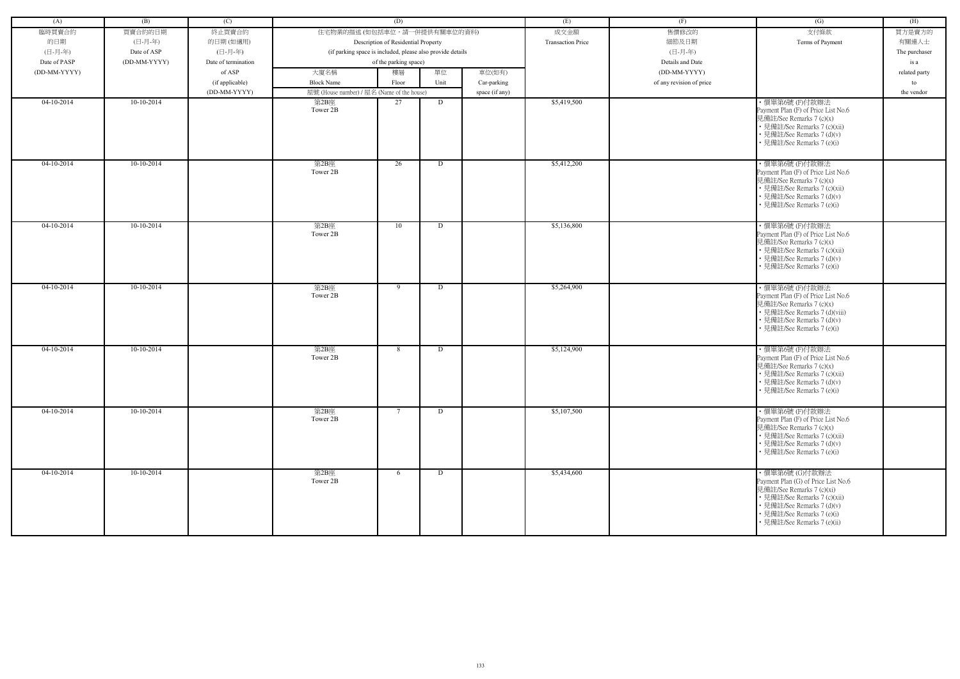| (A)          | (B)          | (C)                 |                                                            | (D)                                 |      |                | (E)                      | (F)                      | (G)                                                              | (H)           |
|--------------|--------------|---------------------|------------------------------------------------------------|-------------------------------------|------|----------------|--------------------------|--------------------------|------------------------------------------------------------------|---------------|
| 臨時買賣合約       | 買賣合約的日期      | 終止買賣合約              | 住宅物業的描述 (如包括車位,請一併提供有關車位的資料)                               |                                     |      |                | 成交金額                     | 售價修改的                    | 支付條款                                                             | 買方是賣方的        |
| 的日期          | (日-月-年)      | 的日期(如適用)            |                                                            | Description of Residential Property |      |                | <b>Transaction Price</b> | 細節及日期                    | Terms of Payment                                                 | 有關連人士         |
| (日-月-年)      | Date of ASP  | (日-月-年)             | (if parking space is included, please also provide details |                                     |      |                |                          | (日-月-年)                  |                                                                  | The purchaser |
| Date of PASP | (DD-MM-YYYY) | Date of termination |                                                            | of the parking space)               |      |                |                          | Details and Date         |                                                                  | is a          |
| (DD-MM-YYYY) |              | of ASP              | 大廈名稱                                                       | 樓層                                  | 單位   | 車位(如有)         |                          | (DD-MM-YYYY)             |                                                                  | related party |
|              |              | (if applicable)     | <b>Block Name</b>                                          | Floor                               | Unit | Car-parking    |                          | of any revision of price |                                                                  | to            |
|              |              | (DD-MM-YYYY)        | 屋號 (House number) / 屋名 (Name of the house)                 |                                     |      |                |                          |                          |                                                                  | the vendor    |
| 04-10-2014   | $10-10-2014$ |                     | 第2B座                                                       | 27                                  | D    | space (if any) | \$5,419,500              |                          | ·價單第6號(F)付款辦法                                                    |               |
|              |              |                     | Tower 2B                                                   |                                     |      |                |                          |                          | Payment Plan (F) of Price List No.6<br>見備註/See Remarks 7 (c)(x)  |               |
|              |              |                     |                                                            |                                     |      |                |                          |                          | • 見備註/See Remarks 7 (c)(xii)                                     |               |
|              |              |                     |                                                            |                                     |      |                |                          |                          | • 見備註/See Remarks 7 (d)(v)                                       |               |
|              |              |                     |                                                            |                                     |      |                |                          |                          | • 見備註/See Remarks 7 (e)(i)                                       |               |
|              |              |                     |                                                            |                                     |      |                |                          |                          |                                                                  |               |
| $04-10-2014$ | $10-10-2014$ |                     | 第2B座                                                       | 26                                  | D    |                | \$5,412,200              |                          | ·價單第6號(F)付款辦法                                                    |               |
|              |              |                     | Tower 2B                                                   |                                     |      |                |                          |                          | Payment Plan (F) of Price List No.6                              |               |
|              |              |                     |                                                            |                                     |      |                |                          |                          | 見備註/See Remarks 7 (c)(x)                                         |               |
|              |              |                     |                                                            |                                     |      |                |                          |                          | • 見備註/See Remarks 7 (c)(xii)<br>• 見備註/See Remarks 7 (d)(v)       |               |
|              |              |                     |                                                            |                                     |      |                |                          |                          | • 見備註/See Remarks 7 (e)(i)                                       |               |
|              |              |                     |                                                            |                                     |      |                |                          |                          |                                                                  |               |
|              |              |                     |                                                            |                                     |      |                |                          |                          |                                                                  |               |
| 04-10-2014   | 10-10-2014   |                     | 第2B座<br>Tower 2B                                           | 10                                  | D    |                | \$5,136,800              |                          | ·價單第6號(F)付款辦法<br>Payment Plan (F) of Price List No.6             |               |
|              |              |                     |                                                            |                                     |      |                |                          |                          | 見備註/See Remarks 7 (c)(x)                                         |               |
|              |              |                     |                                                            |                                     |      |                |                          |                          | • 見備註/See Remarks 7 (c)(xii)                                     |               |
|              |              |                     |                                                            |                                     |      |                |                          |                          | • 見備註/See Remarks 7 (d)(v)                                       |               |
|              |              |                     |                                                            |                                     |      |                |                          |                          | • 見備註/See Remarks 7 (e)(i)                                       |               |
|              |              |                     |                                                            |                                     |      |                |                          |                          |                                                                  |               |
| $04-10-2014$ | $10-10-2014$ |                     | 第2B座                                                       | 9                                   | D    |                | \$5,264,900              |                          | ·價單第6號(F)付款辦法                                                    |               |
|              |              |                     | Tower 2B                                                   |                                     |      |                |                          |                          | Payment Plan (F) of Price List No.6                              |               |
|              |              |                     |                                                            |                                     |      |                |                          |                          | 見備註/See Remarks 7 (c)(x)                                         |               |
|              |              |                     |                                                            |                                     |      |                |                          |                          | • 見備註/See Remarks 7 (d)(viii)                                    |               |
|              |              |                     |                                                            |                                     |      |                |                          |                          | • 見備註/See Remarks 7 (d)(v)<br>· 見備註/See Remarks 7 (e)(i)         |               |
|              |              |                     |                                                            |                                     |      |                |                          |                          |                                                                  |               |
|              |              |                     |                                                            |                                     |      |                |                          |                          |                                                                  |               |
| $04-10-2014$ | $10-10-2014$ |                     | 第2B座<br>Tower 2B                                           | 8                                   | D    |                | \$5,124,900              |                          | ·價單第6號(F)付款辦法<br>Payment Plan (F) of Price List No.6             |               |
|              |              |                     |                                                            |                                     |      |                |                          |                          | 見備註/See Remarks 7 (c)(x)                                         |               |
|              |              |                     |                                                            |                                     |      |                |                          |                          | • 見備註/See Remarks 7 (c)(xii)                                     |               |
|              |              |                     |                                                            |                                     |      |                |                          |                          | • 見備註/See Remarks 7 (d)(v)                                       |               |
|              |              |                     |                                                            |                                     |      |                |                          |                          | • 見備註/See Remarks 7 (e)(i)                                       |               |
|              |              |                     |                                                            |                                     |      |                |                          |                          |                                                                  |               |
| $04-10-2014$ | $10-10-2014$ |                     | 第2B座                                                       | $7\phantom{.0}$                     | D    |                | \$5,107,500              |                          | ·價單第6號(F)付款辦法                                                    |               |
|              |              |                     | Tower 2B                                                   |                                     |      |                |                          |                          | Payment Plan (F) of Price List No.6                              |               |
|              |              |                     |                                                            |                                     |      |                |                          |                          | 見備註/See Remarks 7 (c)(x)                                         |               |
|              |              |                     |                                                            |                                     |      |                |                          |                          | • 見備註/See Remarks 7 (c)(xii)                                     |               |
|              |              |                     |                                                            |                                     |      |                |                          |                          | • 見備註/See Remarks 7 (d)(v)                                       |               |
|              |              |                     |                                                            |                                     |      |                |                          |                          | • 見備註/See Remarks 7 (e)(i)                                       |               |
|              |              |                     |                                                            |                                     |      |                |                          |                          |                                                                  |               |
| $04-10-2014$ | $10-10-2014$ |                     | 第2B座<br>Tower 2B                                           | 6                                   | D    |                | \$5,434,600              |                          | ・價單第6號 (G)付款辦法                                                   |               |
|              |              |                     |                                                            |                                     |      |                |                          |                          | Payment Plan (G) of Price List No.6<br>見備註/See Remarks 7 (c)(xi) |               |
|              |              |                     |                                                            |                                     |      |                |                          |                          | • 見備註/See Remarks 7 (c)(xii)                                     |               |
|              |              |                     |                                                            |                                     |      |                |                          |                          | • 見備註/See Remarks 7 (d)(v)                                       |               |
|              |              |                     |                                                            |                                     |      |                |                          |                          | • 見備註/See Remarks 7 (e)(i)                                       |               |
|              |              |                     |                                                            |                                     |      |                |                          |                          | • 見備註/See Remarks 7 (e)(ii)                                      |               |
|              |              |                     |                                                            |                                     |      |                |                          |                          |                                                                  |               |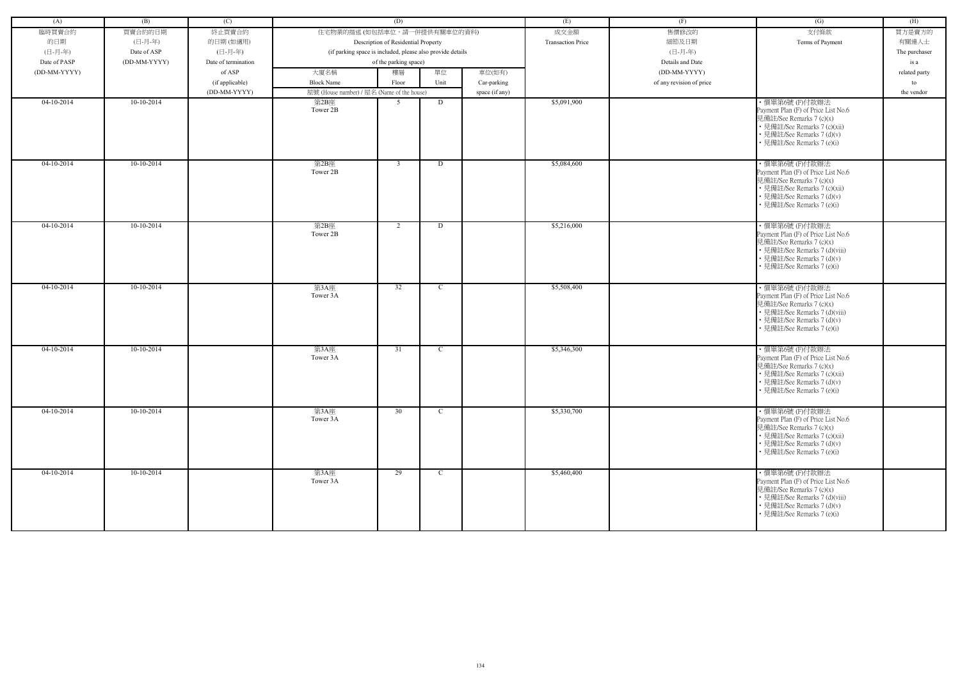| (A)          | (B)          | (C)                 |                                            | (D)                                                        |              |                | (E)                      | (F)                      | (G)                                                        | (H)           |
|--------------|--------------|---------------------|--------------------------------------------|------------------------------------------------------------|--------------|----------------|--------------------------|--------------------------|------------------------------------------------------------|---------------|
| 臨時買賣合約       | 買賣合約的日期      | 終止買賣合約              | 住宅物業的描述 (如包括車位,請一併提供有關車位的資料)               |                                                            |              |                | 成交金額                     | 售價修改的                    | 支付條款                                                       | 買方是賣方的        |
| 的日期          | (日-月-年)      | 的日期(如適用)            |                                            | Description of Residential Property                        |              |                | <b>Transaction Price</b> | 細節及日期                    | Terms of Payment                                           | 有關連人士         |
| (日-月-年)      | Date of ASP  | (日-月-年)             |                                            | (if parking space is included, please also provide details |              |                |                          | (日-月-年)                  |                                                            | The purchaser |
| Date of PASP | (DD-MM-YYYY) | Date of termination |                                            | of the parking space)                                      |              |                |                          | Details and Date         |                                                            | is a          |
| (DD-MM-YYYY) |              | of ASP              | 大廈名稱                                       | 樓層                                                         | 單位           | 車位(如有)         |                          | (DD-MM-YYYY)             |                                                            | related party |
|              |              | (if applicable)     | <b>Block Name</b>                          | Floor                                                      | Unit         | Car-parking    |                          | of any revision of price |                                                            | to            |
|              |              | (DD-MM-YYYY)        | 屋號 (House number) / 屋名 (Name of the house) |                                                            |              | space (if any) |                          |                          |                                                            | the vendor    |
| 04-10-2014   | $10-10-2014$ |                     | 第2B座                                       | 5                                                          | D            |                | \$5,091,900              |                          | ·價單第6號(F)付款辦法                                              |               |
|              |              |                     | Tower 2B                                   |                                                            |              |                |                          |                          | Payment Plan (F) of Price List No.6                        |               |
|              |              |                     |                                            |                                                            |              |                |                          |                          | 見備註/See Remarks 7 (c)(x)                                   |               |
|              |              |                     |                                            |                                                            |              |                |                          |                          | • 見備註/See Remarks 7 (c)(xii)<br>• 見備註/See Remarks 7 (d)(v) |               |
|              |              |                     |                                            |                                                            |              |                |                          |                          | • 見備註/See Remarks 7 (e)(i)                                 |               |
|              |              |                     |                                            |                                                            |              |                |                          |                          |                                                            |               |
| $04-10-2014$ | $10-10-2014$ |                     | 第2B座                                       | $\mathbf{3}$                                               | D            |                | \$5,084,600              |                          | ·價單第6號(F)付款辦法                                              |               |
|              |              |                     | Tower 2B                                   |                                                            |              |                |                          |                          | Payment Plan (F) of Price List No.6                        |               |
|              |              |                     |                                            |                                                            |              |                |                          |                          | 見備註/See Remarks 7 (c)(x)                                   |               |
|              |              |                     |                                            |                                                            |              |                |                          |                          | • 見備註/See Remarks 7 (c)(xii)                               |               |
|              |              |                     |                                            |                                                            |              |                |                          |                          | • 見備註/See Remarks 7 (d)(v)                                 |               |
|              |              |                     |                                            |                                                            |              |                |                          |                          | • 見備註/See Remarks 7 (e)(i)                                 |               |
|              |              |                     |                                            |                                                            |              |                |                          |                          |                                                            |               |
| 04-10-2014   | 10-10-2014   |                     | 第2B座<br>Tower 2B                           | 2                                                          | D            |                | \$5,216,000              |                          | ·價單第6號(F)付款辦法<br>Payment Plan (F) of Price List No.6       |               |
|              |              |                     |                                            |                                                            |              |                |                          |                          | 見備註/See Remarks 7 (c)(x)                                   |               |
|              |              |                     |                                            |                                                            |              |                |                          |                          | • 見備註/See Remarks 7 (d)(viii)                              |               |
|              |              |                     |                                            |                                                            |              |                |                          |                          | • 見備註/See Remarks 7 (d)(v)                                 |               |
|              |              |                     |                                            |                                                            |              |                |                          |                          | • 見備註/See Remarks 7 (e)(i)                                 |               |
|              |              |                     |                                            |                                                            |              |                |                          |                          |                                                            |               |
| $04-10-2014$ | $10-10-2014$ |                     | 第3A座                                       | $\overline{32}$                                            | $\mathbf C$  |                | \$5,508,400              |                          | ·價單第6號(F)付款辦法                                              |               |
|              |              |                     | Tower 3A                                   |                                                            |              |                |                          |                          | Payment Plan (F) of Price List No.6                        |               |
|              |              |                     |                                            |                                                            |              |                |                          |                          | 見備註/See Remarks 7 (c)(x)<br>• 見備註/See Remarks 7 (d)(viii)  |               |
|              |              |                     |                                            |                                                            |              |                |                          |                          | • 見備註/See Remarks 7 (d)(v)                                 |               |
|              |              |                     |                                            |                                                            |              |                |                          |                          | · 見備註/See Remarks 7 (e)(i)                                 |               |
|              |              |                     |                                            |                                                            |              |                |                          |                          |                                                            |               |
| $04-10-2014$ | $10-10-2014$ |                     | 第3A座                                       | 31                                                         | $\mathbf C$  |                | \$5,346,300              |                          | ·價單第6號(F)付款辦法                                              |               |
|              |              |                     | Tower 3A                                   |                                                            |              |                |                          |                          | Payment Plan (F) of Price List No.6                        |               |
|              |              |                     |                                            |                                                            |              |                |                          |                          | 見備註/See Remarks 7 (c)(x)                                   |               |
|              |              |                     |                                            |                                                            |              |                |                          |                          | • 見備註/See Remarks 7 (c)(xii)<br>• 見備註/See Remarks 7 (d)(v) |               |
|              |              |                     |                                            |                                                            |              |                |                          |                          | • 見備註/See Remarks 7 (e)(i)                                 |               |
|              |              |                     |                                            |                                                            |              |                |                          |                          |                                                            |               |
| $04-10-2014$ | $10-10-2014$ |                     | 第3A座                                       | 30                                                         | $\mathbf{C}$ |                | \$5,330,700              |                          | ·價單第6號(F)付款辦法                                              |               |
|              |              |                     | Tower 3A                                   |                                                            |              |                |                          |                          | Payment Plan (F) of Price List No.6                        |               |
|              |              |                     |                                            |                                                            |              |                |                          |                          | 見備註/See Remarks 7 (c)(x)                                   |               |
|              |              |                     |                                            |                                                            |              |                |                          |                          | • 見備註/See Remarks 7 (c)(xii)                               |               |
|              |              |                     |                                            |                                                            |              |                |                          |                          | • 見備註/See Remarks 7 (d)(v)                                 |               |
|              |              |                     |                                            |                                                            |              |                |                          |                          | • 見備註/See Remarks 7 (e)(i)                                 |               |
| $04-10-2014$ |              |                     |                                            |                                                            |              |                | \$5,460,400              |                          |                                                            |               |
|              | $10-10-2014$ |                     | 第3A座<br>Tower 3A                           | 29                                                         | $\mathbf{C}$ |                |                          |                          | ·價單第6號(F)付款辦法<br>Payment Plan (F) of Price List No.6       |               |
|              |              |                     |                                            |                                                            |              |                |                          |                          | 見備註/See Remarks 7 (c)(x)                                   |               |
|              |              |                     |                                            |                                                            |              |                |                          |                          | • 見備註/See Remarks 7 (d)(viii)                              |               |
|              |              |                     |                                            |                                                            |              |                |                          |                          | • 見備註/See Remarks 7 (d)(v)                                 |               |
|              |              |                     |                                            |                                                            |              |                |                          |                          | • 見備註/See Remarks 7 (e)(i)                                 |               |
|              |              |                     |                                            |                                                            |              |                |                          |                          |                                                            |               |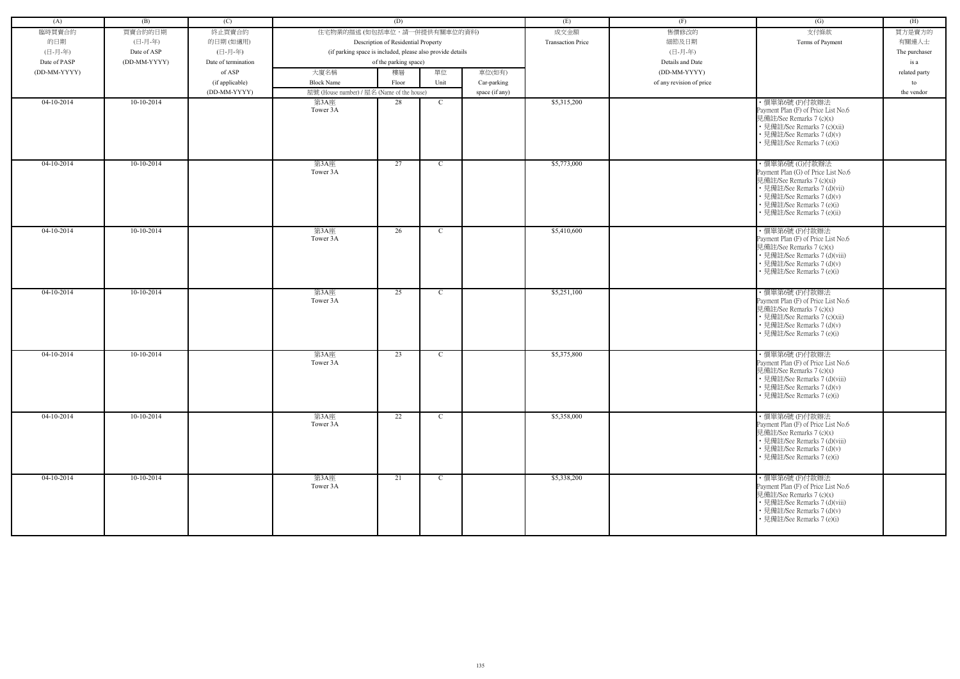| (A)          | (B)          | (C)                 |                                            | (D)                                                        |               |                | (E)                      | (F)                      | (G)                                                                                                                                                                                                           | (H)           |
|--------------|--------------|---------------------|--------------------------------------------|------------------------------------------------------------|---------------|----------------|--------------------------|--------------------------|---------------------------------------------------------------------------------------------------------------------------------------------------------------------------------------------------------------|---------------|
| 臨時買賣合約       | 買賣合約的日期      | 終止買賣合約              | 住宅物業的描述 (如包括車位,請一併提供有關車位的資料)               |                                                            |               |                | 成交金額                     | 售價修改的                    | 支付條款                                                                                                                                                                                                          | 買方是賣方的        |
| 的日期          | (日-月-年)      | 的日期(如適用)            |                                            | Description of Residential Property                        |               |                | <b>Transaction Price</b> | 細節及日期                    | Terms of Payment                                                                                                                                                                                              | 有關連人士         |
| (日-月-年)      | Date of ASP  | (日-月-年)             |                                            | (if parking space is included, please also provide details |               |                |                          | (日-月-年)                  |                                                                                                                                                                                                               | The purchaser |
| Date of PASP | (DD-MM-YYYY) | Date of termination |                                            | of the parking space)                                      |               |                |                          | Details and Date         |                                                                                                                                                                                                               | is a          |
| (DD-MM-YYYY) |              | of ASP              | 大廈名稱                                       | 樓層                                                         | 單位            | 車位(如有)         |                          | (DD-MM-YYYY)             |                                                                                                                                                                                                               | related party |
|              |              | (if applicable)     | <b>Block Name</b>                          | Floor                                                      | Unit          | Car-parking    |                          | of any revision of price |                                                                                                                                                                                                               | to            |
|              |              |                     |                                            |                                                            |               |                |                          |                          |                                                                                                                                                                                                               |               |
| $04-10-2014$ | $10-10-2014$ | (DD-MM-YYYY)        | 屋號 (House number) / 屋名 (Name of the house) |                                                            | $\mathbf C$   | space (if any) | \$5,315,200              |                          |                                                                                                                                                                                                               | the vendor    |
|              |              |                     | 第3A座<br>Tower 3A                           | 28                                                         |               |                |                          |                          | ·價單第6號(F)付款辦法<br>Payment Plan (F) of Price List No.6<br>見備註/See Remarks 7 (c)(x)<br>• 見備註/See Remarks 7 (c)(xii)<br>• 見備註/See Remarks 7 (d)(v)<br>• 見備註/See Remarks 7 (e)(i)                                  |               |
| $04-10-2014$ | $10-10-2014$ |                     | 第3A座<br>Tower 3A                           | 27                                                         | $\mathbf C$   |                | \$5,773,000              |                          | ·價單第6號 (G)付款辦法<br>Payment Plan (G) of Price List No.6<br>見備註/See Remarks 7 (c)(xi)<br>• 見備註/See Remarks 7 (d)(vii)<br>• 見備註/See Remarks 7 (d)(v)<br>• 見備註/See Remarks 7 (e)(i)<br>• 見備註/See Remarks 7 (e)(ii) |               |
| 04-10-2014   | 10-10-2014   |                     | 第3A座<br>Tower 3A                           | 26                                                         | $\mathbf C$   |                | \$5,410,600              |                          | ·價單第6號(F)付款辦法<br>Payment Plan (F) of Price List No.6<br>見備註/See Remarks 7 (c)(x)<br>• 見備註/See Remarks 7 (d)(viii)<br>• 見備註/See Remarks 7 (d)(v)<br>• 見備註/See Remarks 7 (e)(i)                                 |               |
| $04-10-2014$ | $10-10-2014$ |                     | 第3A座<br>Tower 3A                           | 25                                                         | $\mathbf C$   |                | \$5,251,100              |                          | ·價單第6號(F)付款辦法<br>Payment Plan (F) of Price List No.6<br>見備註/See Remarks 7 (c)(x)<br>• 見備註/See Remarks 7 (c)(xii)<br>• 見備註/See Remarks 7 (d)(v)<br>• 見備註/See Remarks 7 (e)(i)                                  |               |
| $04-10-2014$ | $10-10-2014$ |                     | 第3A座<br>Tower 3A                           | 23                                                         | $\mathcal{C}$ |                | \$5,375,800              |                          | ·價單第6號(F)付款辦法<br>Payment Plan (F) of Price List No.6<br>見備註/See Remarks 7 (c)(x)<br>• 見備註/See Remarks 7 (d)(viii)<br>• 見備註/See Remarks 7 (d)(v)<br>• 見備註/See Remarks 7 (e)(i)                                 |               |
| $04-10-2014$ | $10-10-2014$ |                     | 第3A座<br>Tower 3A                           | 22                                                         | $\mathbf{C}$  |                | \$5,358,000              |                          | ·價單第6號(F)付款辦法<br>Payment Plan (F) of Price List No.6<br>見備註/See Remarks 7 (c)(x)<br>• 見備註/See Remarks 7 (d)(viii)<br>• 見備註/See Remarks 7 (d)(v)<br>• 見備註/See Remarks 7 (e)(i)                                 |               |
| $04-10-2014$ | $10-10-2014$ |                     | 第3A座<br>Tower 3A                           | 21                                                         | $\mathbf{C}$  |                | \$5,338,200              |                          | ・價單第6號 (F)付款辦法<br>Payment Plan (F) of Price List No.6<br>見備註/See Remarks 7 (c)(x)<br>• 見備註/See Remarks 7 (d)(viii)<br>• 見備註/See Remarks 7 (d)(v)<br>• 見備註/See Remarks 7 (e)(i)                                |               |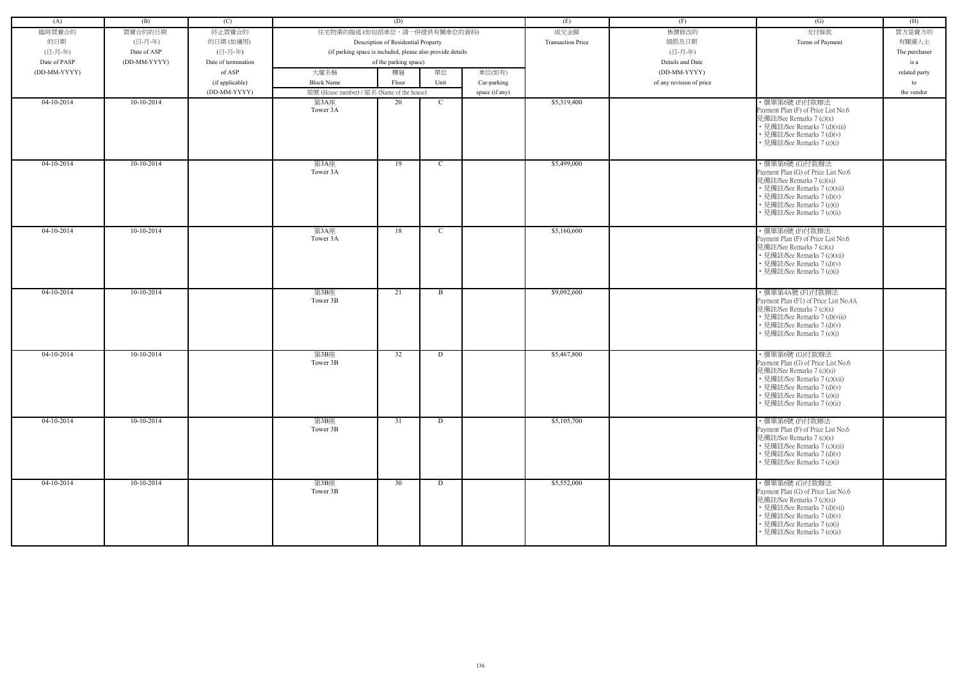| (A)          | (B)          | (C)                 |                                                            | (D)                                 |             |                | (E)                      | (F)                      | (G)                                                                                                                                                                                                           | (H)           |
|--------------|--------------|---------------------|------------------------------------------------------------|-------------------------------------|-------------|----------------|--------------------------|--------------------------|---------------------------------------------------------------------------------------------------------------------------------------------------------------------------------------------------------------|---------------|
| 臨時買賣合約       | 買賣合約的日期      | 終止買賣合約              | 住宅物業的描述 (如包括車位,請一併提供有關車位的資料)                               |                                     |             |                | 成交金額                     | 售價修改的                    | 支付條款                                                                                                                                                                                                          | 買方是賣方的        |
| 的日期          | (日-月-年)      | 的日期(如適用)            |                                                            | Description of Residential Property |             |                | <b>Transaction Price</b> | 細節及日期                    | Terms of Payment                                                                                                                                                                                              | 有關連人士         |
| (日-月-年)      | Date of ASP  | (日-月-年)             | (if parking space is included, please also provide details |                                     |             |                |                          | (日-月-年)                  |                                                                                                                                                                                                               | The purchaser |
| Date of PASP | (DD-MM-YYYY) | Date of termination |                                                            | of the parking space)               |             |                |                          | Details and Date         |                                                                                                                                                                                                               | is a          |
| (DD-MM-YYYY) |              | of ASP              | 大廈名稱                                                       | 樓層                                  | 單位          | 車位(如有)         |                          | (DD-MM-YYYY)             |                                                                                                                                                                                                               | related party |
|              |              | (if applicable)     | <b>Block Name</b>                                          | Floor                               | Unit        | Car-parking    |                          | of any revision of price |                                                                                                                                                                                                               | to            |
|              |              | (DD-MM-YYYY)        | 屋號 (House number) / 屋名 (Name of the house)                 |                                     |             | space (if any) |                          |                          |                                                                                                                                                                                                               | the vendor    |
| 04-10-2014   | 10-10-2014   |                     | 第3A座<br>Tower 3A                                           | 20                                  | $\mathbf C$ |                | \$5,319,400              |                          | ·價單第6號(F)付款辦法<br>Payment Plan (F) of Price List No.6<br>見備註/See Remarks 7 (c)(x)<br>• 見備註/See Remarks 7 (d)(viii)<br>• 見備註/See Remarks 7 (d)(v)<br>• 見備註/See Remarks 7 (e)(i)                                 |               |
| $04-10-2014$ | $10-10-2014$ |                     | 第3A座<br>Tower 3A                                           | 19                                  | $\mathbf C$ |                | \$5,499,000              |                          | ·價單第6號 (G)付款辦法<br>Payment Plan (G) of Price List No.6<br>見備註/See Remarks 7 (c)(xi)<br>• 見備註/See Remarks 7 (c)(xii)<br>• 見備註/See Remarks 7 (d)(v)<br>• 見備註/See Remarks 7 (e)(i)<br>• 見備註/See Remarks 7 (e)(ii) |               |
| $04-10-2014$ | $10-10-2014$ |                     | 第3A座<br>Tower 3A                                           | 18                                  | $\mathbf C$ |                | \$5,160,600              |                          | ·價單第6號(F)付款辦法<br>Payment Plan (F) of Price List No.6<br>見備註/See Remarks 7 (c)(x)<br>• 見備註/See Remarks 7 (c)(xii)<br>• 見備註/See Remarks 7 (d)(v)<br>• 見備註/See Remarks 7 (e)(i)                                  |               |
| $04-10-2014$ | 10-10-2014   |                     | 第3B座<br>Tower 3B                                           | 21                                  | B           |                | \$9,092,600              |                          | ・價單第4A號 (F1)付款辦法<br>Payment Plan (F1) of Price List No.4A<br>見備註/See Remarks 7 (c)(x)<br>• 見備註/See Remarks 7 (d)(viii)<br>• 見備註/See Remarks 7 (d)(v)<br>• 見備註/See Remarks 7 (e)(i)                            |               |
| $04-10-2014$ | 10-10-2014   |                     | 第3B座<br>Tower 3B                                           | 32                                  | D           |                | \$5,467,800              |                          | ·價單第6號 (G)付款辦法<br>Payment Plan (G) of Price List No.6<br>見備註/See Remarks 7 (c)(xi)<br>· 見備註/See Remarks 7 (c)(xii)<br>• 見備註/See Remarks 7 (d)(v)<br>• 見備註/See Remarks 7 (e)(i)<br>• 見備註/See Remarks 7 (e)(ii) |               |
| $04-10-2014$ | $10-10-2014$ |                     | 第3B座<br>Tower 3B                                           | 31                                  | D           |                | \$5,105,700              |                          | · 價單第6號(F)付款辦法<br>Payment Plan (F) of Price List No.6<br>見備註/See Remarks 7 (c)(x)<br>• 見備註/See Remarks 7 (c)(xii)<br>• 見備註/See Remarks 7 (d)(v)<br>• 見備註/See Remarks 7 (e)(i)                                 |               |
| $04-10-2014$ | $10-10-2014$ |                     | 第3B座<br>Tower 3B                                           | 30                                  | D           |                | \$5,552,000              |                          | ・價單第6號 (G)付款辦法<br>Payment Plan (G) of Price List No.6<br>見備註/See Remarks 7 (c)(xi)<br>• 見備註/See Remarks 7 (d)(vii)<br>• 見備註/See Remarks 7 (d)(v)<br>• 見備註/See Remarks 7 (e)(i)<br>• 見備註/See Remarks 7 (e)(ii) |               |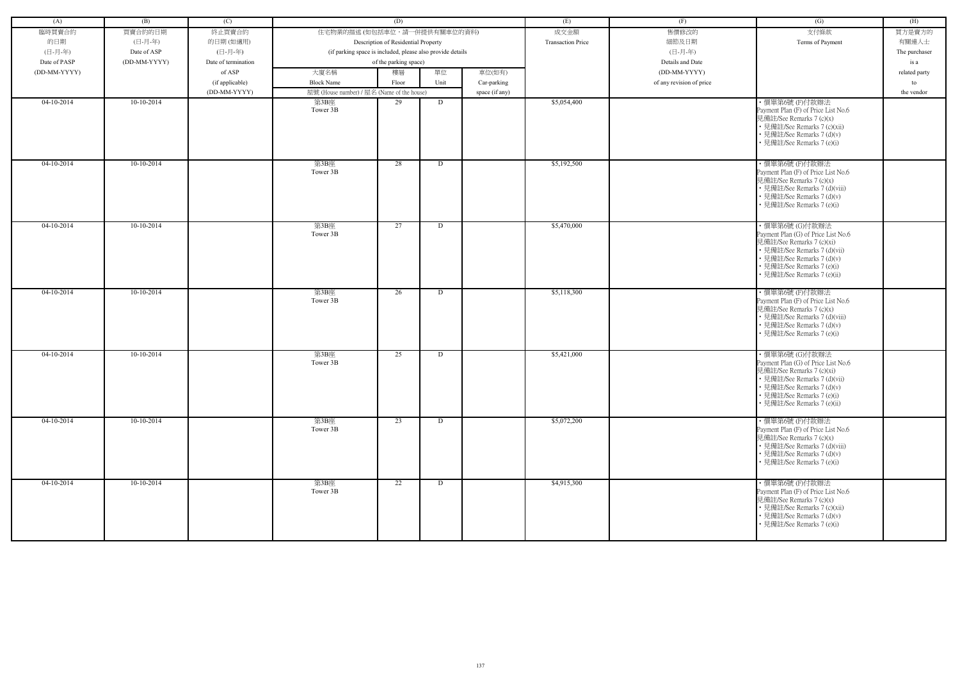| (A)          | (B)          | (C)                 |                                                            | (D)                                 |      |                | (E)                      | (F)                      | (G)                                                                                                                                                                                                           | (H)           |
|--------------|--------------|---------------------|------------------------------------------------------------|-------------------------------------|------|----------------|--------------------------|--------------------------|---------------------------------------------------------------------------------------------------------------------------------------------------------------------------------------------------------------|---------------|
| 臨時買賣合約       | 買賣合約的日期      | 終止買賣合約              | 住宅物業的描述 (如包括車位,請一併提供有關車位的資料)                               |                                     |      |                | 成交金額                     | 售價修改的                    | 支付條款                                                                                                                                                                                                          | 買方是賣方的        |
|              |              |                     |                                                            |                                     |      |                | <b>Transaction Price</b> |                          |                                                                                                                                                                                                               |               |
| 的日期          | (日-月-年)      | 的日期(如適用)            |                                                            | Description of Residential Property |      |                |                          | 細節及日期                    | Terms of Payment                                                                                                                                                                                              | 有關連人士         |
| (日-月-年)      | Date of ASP  | (日-月-年)             | (if parking space is included, please also provide details |                                     |      |                |                          | (日-月-年)                  |                                                                                                                                                                                                               | The purchaser |
| Date of PASP | (DD-MM-YYYY) | Date of termination |                                                            | of the parking space)               |      |                |                          | Details and Date         |                                                                                                                                                                                                               | is a          |
| (DD-MM-YYYY) |              | of ASP              | 大廈名稱                                                       | 樓層                                  | 單位   | 車位(如有)         |                          | (DD-MM-YYYY)             |                                                                                                                                                                                                               | related party |
|              |              | (if applicable)     | <b>Block Name</b>                                          | Floor                               | Unit | Car-parking    |                          | of any revision of price |                                                                                                                                                                                                               | to            |
|              |              | (DD-MM-YYYY)        | 屋號 (House number) / 屋名 (Name of the house)                 |                                     |      | space (if any) |                          |                          |                                                                                                                                                                                                               | the vendor    |
| 04-10-2014   | 10-10-2014   |                     | 第3B座<br>Tower 3B                                           | 29                                  | D    |                | \$5,054,400              |                          | ·價單第6號(F)付款辦法<br>Payment Plan (F) of Price List No.6<br>見備註/See Remarks 7 (c)(x)<br>• 見備註/See Remarks 7 (c)(xii)<br>• 見備註/See Remarks 7 (d)(v)<br>• 見備註/See Remarks 7 (e)(i)                                  |               |
| $04-10-2014$ | $10-10-2014$ |                     | 第3B座<br>Tower 3B                                           | 28                                  | D    |                | \$5,192,500              |                          | ·價單第6號(F)付款辦法<br>Payment Plan (F) of Price List No.6<br>見備註/See Remarks 7 (c)(x)<br>• 見備註/See Remarks 7 (d)(viii)<br>• 見備註/See Remarks 7 (d)(v)<br>• 見備註/See Remarks 7 (e)(i)                                 |               |
| 04-10-2014   | 10-10-2014   |                     | 第3B座<br>Tower 3B                                           | 27                                  | D    |                | \$5,470,000              |                          | ・價單第6號 (G)付款辦法<br>Payment Plan (G) of Price List No.6<br>見備註/See Remarks 7 (c)(xi)<br>• 見備註/See Remarks 7 (d)(vii)<br>• 見備註/See Remarks 7 (d)(v)<br>• 見備註/See Remarks 7 (e)(i)<br>· 見備註/See Remarks 7 (e)(ii) |               |
| $04-10-2014$ | $10-10-2014$ |                     | 第3B座<br>Tower 3B                                           | 26                                  | D    |                | \$5,118,300              |                          | · 價單第6號(F)付款辦法<br>Payment Plan (F) of Price List No.6<br>見備註/See Remarks 7 (c)(x)<br>• 見備註/See Remarks 7 (d)(viii)<br>• 見備註/See Remarks 7 (d)(v)<br>• 見備註/See Remarks 7 (e)(i)                                |               |
| 04-10-2014   | 10-10-2014   |                     | 第3B座<br>Tower 3B                                           | 25                                  | D    |                | \$5,421,000              |                          | ・價單第6號 (G)付款辦法<br>Payment Plan (G) of Price List No.6<br>見備註/See Remarks 7 (c)(xi)<br>• 見備註/See Remarks 7 (d)(vii)<br>• 見備註/See Remarks 7 (d)(v)<br>• 見備註/See Remarks 7 (e)(i)<br>• 見備註/See Remarks 7 (e)(ii) |               |
| $04-10-2014$ | $10-10-2014$ |                     | 第3B座<br>Tower 3B                                           | 23                                  | D    |                | \$5,072,200              |                          | · 價單第6號(F)付款辦法<br>Payment Plan (F) of Price List No.6<br>見備註/See Remarks 7 (c)(x)<br>• 見備註/See Remarks 7 (d)(viii)<br>• 見備註/See Remarks 7 (d)(v)<br>• 見備註/See Remarks 7 (e)(i)                                |               |
| $04-10-2014$ | $10-10-2014$ |                     | 第3B座<br>Tower 3B                                           | 22                                  | D    |                | \$4,915,300              |                          | ·價單第6號(F)付款辦法<br>Payment Plan (F) of Price List No.6<br>見備註/See Remarks 7 (c)(x)<br>• 見備註/See Remarks 7 (c)(xii)<br>• 見備註/See Remarks 7 (d)(v)<br>• 見備註/See Remarks 7 (e)(i)                                  |               |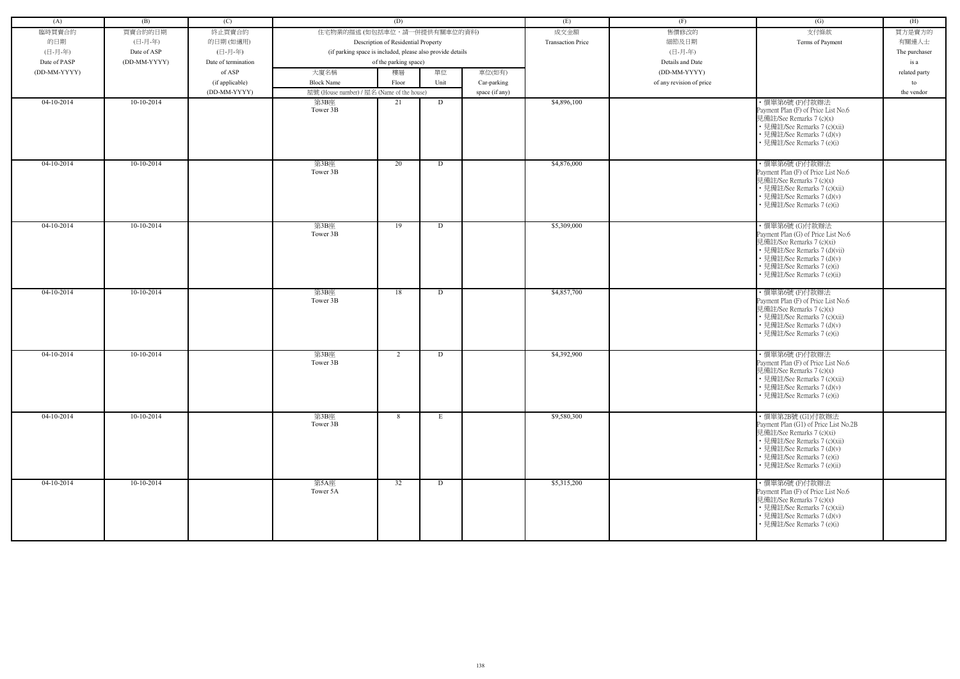| (A)          | (B)          | (C)                 |                                                            | (D)                                 |             |                | (E)                      | (F)                      | (G)                                                                                                                                                                                                               | (H)           |
|--------------|--------------|---------------------|------------------------------------------------------------|-------------------------------------|-------------|----------------|--------------------------|--------------------------|-------------------------------------------------------------------------------------------------------------------------------------------------------------------------------------------------------------------|---------------|
| 臨時買賣合約       | 買賣合約的日期      | 終止買賣合約              | 住宅物業的描述 (如包括車位,請一併提供有關車位的資料)                               |                                     |             |                | 成交金額                     | 售價修改的                    | 支付條款                                                                                                                                                                                                              | 買方是賣方的        |
| 的日期          | (日-月-年)      | 的日期(如適用)            |                                                            | Description of Residential Property |             |                | <b>Transaction Price</b> | 細節及日期                    | Terms of Payment                                                                                                                                                                                                  | 有關連人士         |
| (日-月-年)      | Date of ASP  | (日-月-年)             | (if parking space is included, please also provide details |                                     |             |                |                          | (日-月-年)                  |                                                                                                                                                                                                                   | The purchaser |
| Date of PASP | (DD-MM-YYYY) | Date of termination |                                                            | of the parking space)               |             |                |                          | Details and Date         |                                                                                                                                                                                                                   | is a          |
| (DD-MM-YYYY) |              | of ASP              | 大廈名稱                                                       | 樓層                                  | 單位          | 車位(如有)         |                          | (DD-MM-YYYY)             |                                                                                                                                                                                                                   | related party |
|              |              |                     | <b>Block Name</b>                                          |                                     | Unit        |                |                          |                          |                                                                                                                                                                                                                   |               |
|              |              | (if applicable)     |                                                            | Floor                               |             | Car-parking    |                          | of any revision of price |                                                                                                                                                                                                                   | to            |
| 04-10-2014   | 10-10-2014   | (DD-MM-YYYY)        | 屋號 (House number) / 屋名 (Name of the house)                 |                                     |             | space (if any) | \$4,896,100              |                          | ・價單第6號 (F)付款辦法                                                                                                                                                                                                    | the vendor    |
|              |              |                     | 第3B座<br>Tower 3B                                           | 21                                  | D           |                |                          |                          | Payment Plan (F) of Price List No.6<br>見備註/See Remarks 7 (c)(x)<br>• 見備註/See Remarks 7 (c)(xii)<br>• 見備註/See Remarks 7 (d)(v)<br>• 見備註/See Remarks 7 (e)(i)                                                       |               |
| $04-10-2014$ | $10-10-2014$ |                     | 第3B座<br>Tower 3B                                           | 20                                  | D           |                | \$4,876,000              |                          | ·價單第6號(F)付款辦法<br>Payment Plan (F) of Price List No.6<br>見備註/See Remarks 7 (c)(x)<br>• 見備註/See Remarks 7 (c)(xii)<br>• 見備註/See Remarks 7 (d)(v)<br>見備註/See Remarks 7 (e)(i)                                        |               |
| $04-10-2014$ | $10-10-2014$ |                     | 第3B座<br>Tower 3B                                           | 19                                  | D           |                | \$5,309,000              |                          | ・價單第6號 (G)付款辦法<br>Payment Plan (G) of Price List No.6<br>見備註/See Remarks 7 (c)(xi)<br>• 見備註/See Remarks 7 (d)(vii)<br>• 見備註/See Remarks 7 (d)(v)<br>• 見備註/See Remarks 7 (e)(i)<br>· 見備註/See Remarks 7 (e)(ii)     |               |
| $04-10-2014$ | $10-10-2014$ |                     | 第3B座<br>Tower 3B                                           | 18                                  | D           |                | \$4,857,700              |                          | ·價單第6號(F)付款辦法<br>Payment Plan (F) of Price List No.6<br>見備註/See Remarks 7 (c)(x)<br>• 見備註/See Remarks 7 (c)(xii)<br>• 見備註/See Remarks 7 (d)(v)<br>• 見備註/See Remarks 7 (e)(i)                                      |               |
| $04-10-2014$ | 10-10-2014   |                     | 第3B座<br>Tower 3B                                           | $\overline{2}$                      | D           |                | \$4,392,900              |                          | ·價單第6號(F)付款辦法<br>Payment Plan (F) of Price List No.6<br>見備註/See Remarks 7 (c)(x)<br>· 見備註/See Remarks 7 (c)(xii)<br>• 見備註/See Remarks 7 (d)(v)<br>• 見備註/See Remarks 7 (e)(i)                                      |               |
| $04-10-2014$ | 10-10-2014   |                     | 第3B座<br>Tower 3B                                           | 8                                   | $E_{\perp}$ |                | \$9,580,300              |                          | ・價單第2B號 (G1)付款辦法<br>Payment Plan (G1) of Price List No.2B<br>見備註/See Remarks 7 (c)(xi)<br>• 見備註/See Remarks 7 (c)(xii)<br>• 見備註/See Remarks 7 (d)(v)<br>• 見備註/See Remarks 7 (e)(i)<br>• 見備註/See Remarks 7 (e)(ii) |               |
| $04-10-2014$ | $10-10-2014$ |                     | 第5A座<br>Tower 5A                                           | 32                                  | D           |                | \$5,315,200              |                          | ・價單第6號 (F)付款辦法<br>Payment Plan (F) of Price List No.6<br>見備註/See Remarks 7 (c)(x)<br>• 見備註/See Remarks 7 (c)(xii)<br>• 見備註/See Remarks 7 (d)(v)<br>• 見備註/See Remarks 7 (e)(i)                                     |               |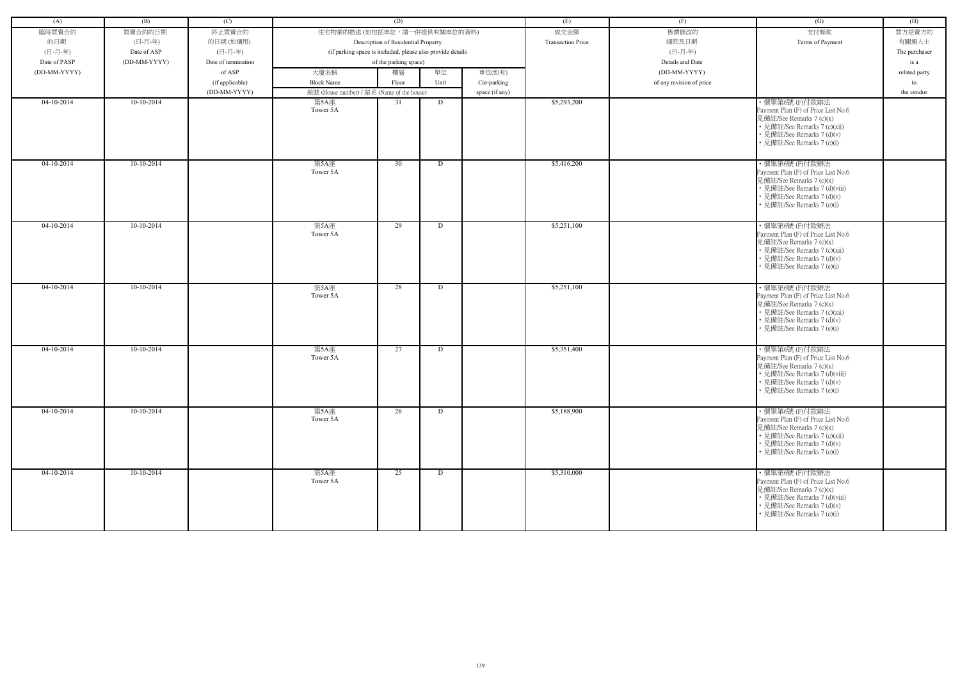| (A)          | (B)          | (C)                 |                                                            | (D)                                 |      |                | (E)                      | (F)                      | (G)                                                                                                                                                                           | (H)           |
|--------------|--------------|---------------------|------------------------------------------------------------|-------------------------------------|------|----------------|--------------------------|--------------------------|-------------------------------------------------------------------------------------------------------------------------------------------------------------------------------|---------------|
| 臨時買賣合約       | 買賣合約的日期      | 終止買賣合約              | 住宅物業的描述 (如包括車位,請一併提供有關車位的資料)                               |                                     |      |                | 成交金額                     | 售價修改的                    | 支付條款                                                                                                                                                                          | 買方是賣方的        |
| 的日期          | (日-月-年)      | 的日期(如適用)            |                                                            | Description of Residential Property |      |                | <b>Transaction Price</b> | 細節及日期                    | Terms of Payment                                                                                                                                                              | 有關連人士         |
| (日-月-年)      | Date of ASP  | (日-月-年)             | (if parking space is included, please also provide details |                                     |      |                |                          | (日-月-年)                  |                                                                                                                                                                               | The purchaser |
| Date of PASP | (DD-MM-YYYY) | Date of termination |                                                            | of the parking space)               |      |                |                          | Details and Date         |                                                                                                                                                                               | is a          |
| (DD-MM-YYYY) |              | of ASP              | 大廈名稱                                                       | 樓層                                  | 單位   | 車位(如有)         |                          | (DD-MM-YYYY)             |                                                                                                                                                                               | related party |
|              |              | (if applicable)     | <b>Block Name</b>                                          | Floor                               | Unit | Car-parking    |                          | of any revision of price |                                                                                                                                                                               | to            |
|              |              | (DD-MM-YYYY)        | 屋號 (House number) / 屋名 (Name of the house)                 |                                     |      | space (if any) |                          |                          |                                                                                                                                                                               | the vendor    |
| $04-10-2014$ | $10-10-2014$ |                     | 第5A座<br>Tower 5A                                           | 31                                  | D    |                | \$5,293,200              |                          | ·價單第6號(F)付款辦法<br>Payment Plan (F) of Price List No.6<br>見備註/See Remarks 7 (c)(x)<br>• 見備註/See Remarks 7 (c)(xii)<br>· 見備註/See Remarks 7 (d)(v)<br>• 見備註/See Remarks 7 (e)(i)  |               |
| $04-10-2014$ | $10-10-2014$ |                     | 第5A座<br>Tower 5A                                           | 30                                  | D    |                | \$5,416,200              |                          | ·價單第6號(F)付款辦法<br>Payment Plan (F) of Price List No.6<br>見備註/See Remarks 7 (c)(x)<br>• 見備註/See Remarks 7 (d)(viii)<br>• 見備註/See Remarks 7 (d)(v)<br>• 見備註/See Remarks 7 (e)(i) |               |
| $04-10-2014$ | $10-10-2014$ |                     | 第5A座<br>Tower 5A                                           | 29                                  | D    |                | \$5,251,100              |                          | ·價單第6號(F)付款辦法<br>Payment Plan (F) of Price List No.6<br>見備註/See Remarks 7 (c)(x)<br>• 見備註/See Remarks 7 (c)(xii)<br>• 見備註/See Remarks 7 (d)(v)<br>• 見備註/See Remarks 7 (e)(i)  |               |
| $04-10-2014$ | $10-10-2014$ |                     | 第5A座<br>Tower 5A                                           | 28                                  | D    |                | \$5,251,100              |                          | ·價單第6號(F)付款辦法<br>Payment Plan (F) of Price List No.6<br>見備註/See Remarks 7 (c)(x)<br>• 見備註/See Remarks 7 (c)(xii)<br>• 見備註/See Remarks 7 (d)(v)<br>• 見備註/See Remarks 7 (e)(i)  |               |
| $04-10-2014$ | $10-10-2014$ |                     | 第5A座<br>Tower 5A                                           | 27                                  | D    |                | \$5,351,400              |                          | ·價單第6號(F)付款辦法<br>Payment Plan (F) of Price List No.6<br>見備註/See Remarks 7 (c)(x)<br>• 見備註/See Remarks 7 (d)(viii)<br>• 見備註/See Remarks 7 (d)(v)<br>• 見備註/See Remarks 7 (e)(i) |               |
| $04-10-2014$ | $10-10-2014$ |                     | 第5A座<br>Tower 5A                                           | 26                                  | D    |                | \$5,188,900              |                          | ·價單第6號(F)付款辦法<br>Payment Plan (F) of Price List No.6<br>見備註/See Remarks 7 (c)(x)<br>• 見備註/See Remarks 7 (c)(xii)<br>• 見備註/See Remarks 7 (d)(v)<br>• 見備註/See Remarks 7 (e)(i)  |               |
| $04-10-2014$ | $10-10-2014$ |                     | 第5A座<br>Tower 5A                                           | 25                                  | D    |                | \$5,310,000              |                          | ·價單第6號(F)付款辦法<br>Payment Plan (F) of Price List No.6<br>見備註/See Remarks 7 (c)(x)<br>• 見備註/See Remarks 7 (d)(viii)<br>• 見備註/See Remarks 7 (d)(v)<br>• 見備註/See Remarks 7 (e)(i) |               |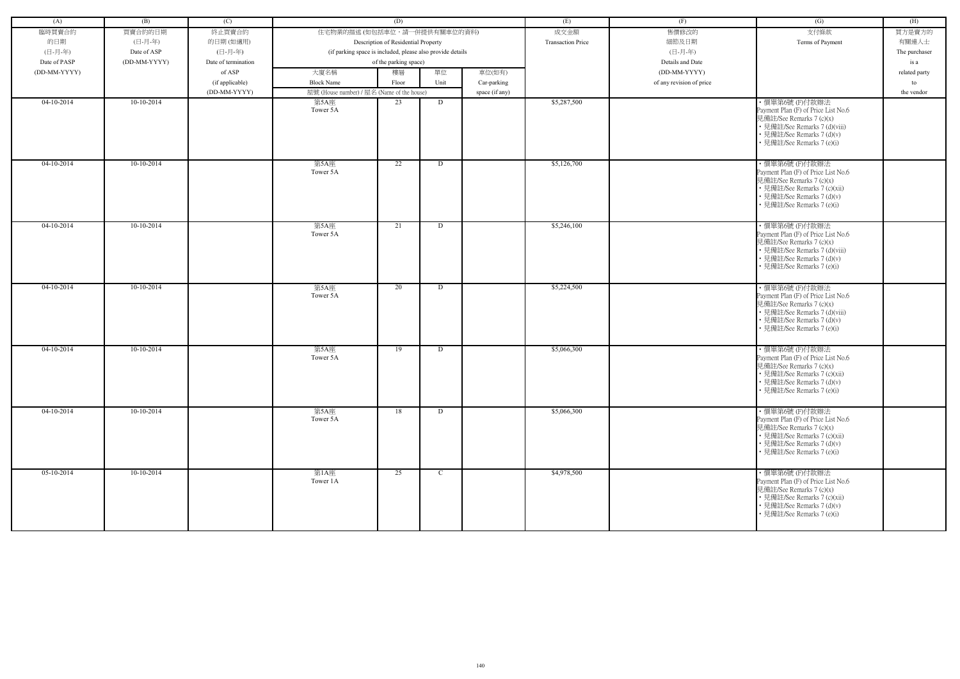| (A)          | (B)          | (C)                 |                                                            | (D)                                 |             |                | (E)                      | (F)                      | (G)                                                                                                                                                                           | (H)           |
|--------------|--------------|---------------------|------------------------------------------------------------|-------------------------------------|-------------|----------------|--------------------------|--------------------------|-------------------------------------------------------------------------------------------------------------------------------------------------------------------------------|---------------|
| 臨時買賣合約       | 買賣合約的日期      | 終止買賣合約              | 住宅物業的描述 (如包括車位,請一併提供有關車位的資料)                               |                                     |             |                | 成交金額                     | 售價修改的                    | 支付條款                                                                                                                                                                          | 買方是賣方的        |
| 的日期          | (日-月-年)      | 的日期(如適用)            |                                                            | Description of Residential Property |             |                | <b>Transaction Price</b> | 細節及日期                    | Terms of Payment                                                                                                                                                              | 有關連人士         |
| (日-月-年)      | Date of ASP  | (日-月-年)             | (if parking space is included, please also provide details |                                     |             |                |                          | (日-月-年)                  |                                                                                                                                                                               | The purchaser |
| Date of PASP | (DD-MM-YYYY) | Date of termination |                                                            | of the parking space)               |             |                |                          | Details and Date         |                                                                                                                                                                               | is a          |
| (DD-MM-YYYY) |              | of ASP              | 大廈名稱                                                       | 樓層                                  | 單位          | 車位(如有)         |                          | (DD-MM-YYYY)             |                                                                                                                                                                               | related party |
|              |              |                     | <b>Block Name</b>                                          |                                     | Unit        |                |                          |                          |                                                                                                                                                                               |               |
|              |              | (if applicable)     |                                                            | Floor                               |             | Car-parking    |                          | of any revision of price |                                                                                                                                                                               | to            |
|              |              | (DD-MM-YYYY)        | 屋號 (House number) / 屋名 (Name of the house)                 |                                     |             | space (if any) |                          |                          |                                                                                                                                                                               | the vendor    |
| $04-10-2014$ | $10-10-2014$ |                     | 第5A座<br>Tower 5A                                           | 23                                  | D           |                | \$5,287,500              |                          | ·價單第6號(F)付款辦法<br>Payment Plan (F) of Price List No.6<br>見備註/See Remarks 7 (c)(x)<br>• 見備註/See Remarks 7 (d)(viii)<br>· 見備註/See Remarks 7 (d)(v)<br>• 見備註/See Remarks 7 (e)(i) |               |
| $04-10-2014$ | $10-10-2014$ |                     | 第5A座<br>Tower 5A                                           | 22                                  | D           |                | \$5,126,700              |                          | ·價單第6號(F)付款辦法<br>Payment Plan (F) of Price List No.6<br>見備註/See Remarks 7 (c)(x)<br>• 見備註/See Remarks 7 (c)(xii)<br>• 見備註/See Remarks 7 (d)(v)<br>• 見備註/See Remarks 7 (e)(i)  |               |
| $04-10-2014$ | $10-10-2014$ |                     | 第5A座<br>Tower 5A                                           | 21                                  | D           |                | \$5,246,100              |                          | ·價單第6號(F)付款辦法<br>Payment Plan (F) of Price List No.6<br>見備註/See Remarks 7 (c)(x)<br>• 見備註/See Remarks 7 (d)(viii)<br>• 見備註/See Remarks 7 (d)(v)<br>• 見備註/See Remarks 7 (e)(i) |               |
| $04-10-2014$ | $10-10-2014$ |                     | 第5A座<br>Tower 5A                                           | 20                                  | D           |                | \$5,224,500              |                          | ·價單第6號(F)付款辦法<br>Payment Plan (F) of Price List No.6<br>見備註/See Remarks 7 (c)(x)<br>• 見備註/See Remarks 7 (d)(viii)<br>• 見備註/See Remarks 7 (d)(v)<br>• 見備註/See Remarks 7 (e)(i) |               |
| $04-10-2014$ | $10-10-2014$ |                     | 第5A座<br>Tower 5A                                           | 19                                  | D           |                | \$5,066,300              |                          | ·價單第6號(F)付款辦法<br>Payment Plan (F) of Price List No.6<br>見備註/See Remarks 7 (c)(x)<br>• 見備註/See Remarks 7 (c)(xii)<br>• 見備註/See Remarks 7 (d)(v)<br>• 見備註/See Remarks 7 (e)(i)  |               |
| $04-10-2014$ | $10-10-2014$ |                     | 第5A座<br>Tower 5A                                           | 18                                  | D           |                | \$5,066,300              |                          | ·價單第6號(F)付款辦法<br>Payment Plan (F) of Price List No.6<br>見備註/See Remarks 7 (c)(x)<br>• 見備註/See Remarks 7 (c)(xii)<br>• 見備註/See Remarks 7 (d)(v)<br>• 見備註/See Remarks 7 (e)(i)  |               |
| $05-10-2014$ | $10-10-2014$ |                     | 第1A座<br>Tower 1A                                           | 25                                  | $\mathbf C$ |                | \$4,978,500              |                          | ·價單第6號(F)付款辦法<br>Payment Plan (F) of Price List No.6<br>見備註/See Remarks 7 (c)(x)<br>• 見備註/See Remarks 7 (c)(xii)<br>• 見備註/See Remarks 7 (d)(v)<br>• 見備註/See Remarks 7 (e)(i)  |               |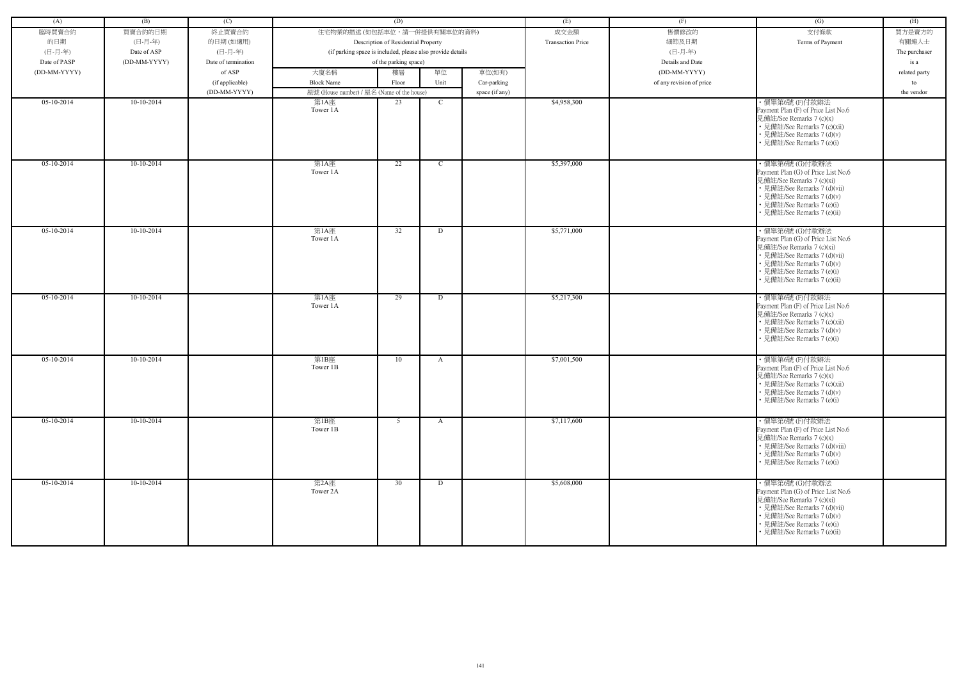| (A)          | (B)          | (C)                 |                                                            | (D)                                 |              |                | (E)                      | (F)                      | (G)                                                                                                                                                                                                           | (H)           |
|--------------|--------------|---------------------|------------------------------------------------------------|-------------------------------------|--------------|----------------|--------------------------|--------------------------|---------------------------------------------------------------------------------------------------------------------------------------------------------------------------------------------------------------|---------------|
| 臨時買賣合約       | 買賣合約的日期      | 終止買賣合約              | 住宅物業的描述 (如包括車位,請一併提供有關車位的資料)                               |                                     |              |                | 成交金額                     | 售價修改的                    | 支付條款                                                                                                                                                                                                          | 買方是賣方的        |
|              |              |                     |                                                            |                                     |              |                |                          |                          |                                                                                                                                                                                                               |               |
| 的日期          | (日-月-年)      | 的日期(如適用)            |                                                            | Description of Residential Property |              |                | <b>Transaction Price</b> | 細節及日期                    | Terms of Payment                                                                                                                                                                                              | 有關連人士         |
| (日-月-年)      | Date of ASP  | (日-月-年)             | (if parking space is included, please also provide details |                                     |              |                |                          | (日-月-年)                  |                                                                                                                                                                                                               | The purchaser |
| Date of PASP | (DD-MM-YYYY) | Date of termination |                                                            | of the parking space)               |              |                |                          | Details and Date         |                                                                                                                                                                                                               | is a          |
| (DD-MM-YYYY) |              | of ASP              | 大廈名稱                                                       | 樓層                                  | 單位           | 車位(如有)         |                          | (DD-MM-YYYY)             |                                                                                                                                                                                                               | related party |
|              |              | (if applicable)     | <b>Block Name</b>                                          | Floor                               | Unit         | Car-parking    |                          | of any revision of price |                                                                                                                                                                                                               | to            |
|              |              | (DD-MM-YYYY)        | 屋號 (House number) / 屋名 (Name of the house)                 |                                     |              | space (if any) |                          |                          |                                                                                                                                                                                                               | the vendor    |
| 05-10-2014   | 10-10-2014   |                     | 第1A座<br>Tower 1A                                           | 23                                  | $\mathbf C$  |                | \$4,958,300              |                          | · 價單第6號(F)付款辦法<br>Payment Plan (F) of Price List No.6<br>見備註/See Remarks 7 (c)(x)<br>• 見備註/See Remarks 7 (c)(xii)<br>• 見備註/See Remarks 7 (d)(v)<br>• 見備註/See Remarks 7 (e)(i)                                 |               |
| $05-10-2014$ | $10-10-2014$ |                     | 第1A座<br>Tower 1A                                           | $\overline{22}$                     | $\mathbf C$  |                | \$5,397,000              |                          | ·價單第6號 (G)付款辦法<br>Payment Plan (G) of Price List No.6<br>見備註/See Remarks 7 (c)(xi)<br>• 見備註/See Remarks 7 (d)(vii)<br>• 見備註/See Remarks 7 (d)(v)<br>• 見備註/See Remarks 7 (e)(i)<br>• 見備註/See Remarks 7 (e)(ii) |               |
| $05-10-2014$ | $10-10-2014$ |                     | 第1A座<br>Tower 1A                                           | 32                                  | D            |                | \$5,771,000              |                          | ·價單第6號 (G)付款辦法<br>Payment Plan (G) of Price List No.6<br>見備註/See Remarks 7 (c)(xi)<br>• 見備註/See Remarks 7 (d)(vii)<br>• 見備註/See Remarks 7 (d)(v)<br>• 見備註/See Remarks 7 (e)(i)<br>· 見備註/See Remarks 7 (e)(ii) |               |
| $05-10-2014$ | $10-10-2014$ |                     | 第1A座<br>Tower 1A                                           | 29                                  | D            |                | \$5,217,300              |                          | ·價單第6號(F)付款辦法<br>Payment Plan (F) of Price List No.6<br>見備註/See Remarks 7 (c)(x)<br>• 見備註/See Remarks 7 (c)(xii)<br>• 見備註/See Remarks 7 (d)(v)<br>• 見備註/See Remarks 7 (e)(i)                                  |               |
| 05-10-2014   | 10-10-2014   |                     | 第1B座<br>Tower 1B                                           | 10                                  | A            |                | \$7,001,500              |                          | ·價單第6號(F)付款辦法<br>Payment Plan (F) of Price List No.6<br>見備註/See Remarks 7 (c)(x)<br>• 見備註/See Remarks 7 (c)(xii)<br>• 見備註/See Remarks 7 (d)(v)<br>• 見備註/See Remarks 7 (e)(i)                                  |               |
| $05-10-2014$ | $10-10-2014$ |                     | 第1B座<br>Tower 1B                                           | 5 <sup>5</sup>                      | $\mathbf{A}$ |                | \$7,117,600              |                          | ·價單第6號(F)付款辦法<br>Payment Plan (F) of Price List No.6<br>見備註/See Remarks 7 (c)(x)<br>• 見備註/See Remarks 7 (d)(viii)<br>• 見備註/See Remarks 7 (d)(v)<br>• 見備註/See Remarks 7 (e)(i)                                 |               |
| $05-10-2014$ | $10-10-2014$ |                     | 第2A座<br>Tower 2A                                           | 30                                  | D            |                | \$5,608,000              |                          | ・價單第6號 (G)付款辦法<br>Payment Plan (G) of Price List No.6<br>見備註/See Remarks 7 (c)(xi)<br>• 見備註/See Remarks 7 (d)(vii)<br>• 見備註/See Remarks 7 (d)(v)<br>• 見備註/See Remarks 7 (e)(i)<br>• 見備註/See Remarks 7 (e)(ii) |               |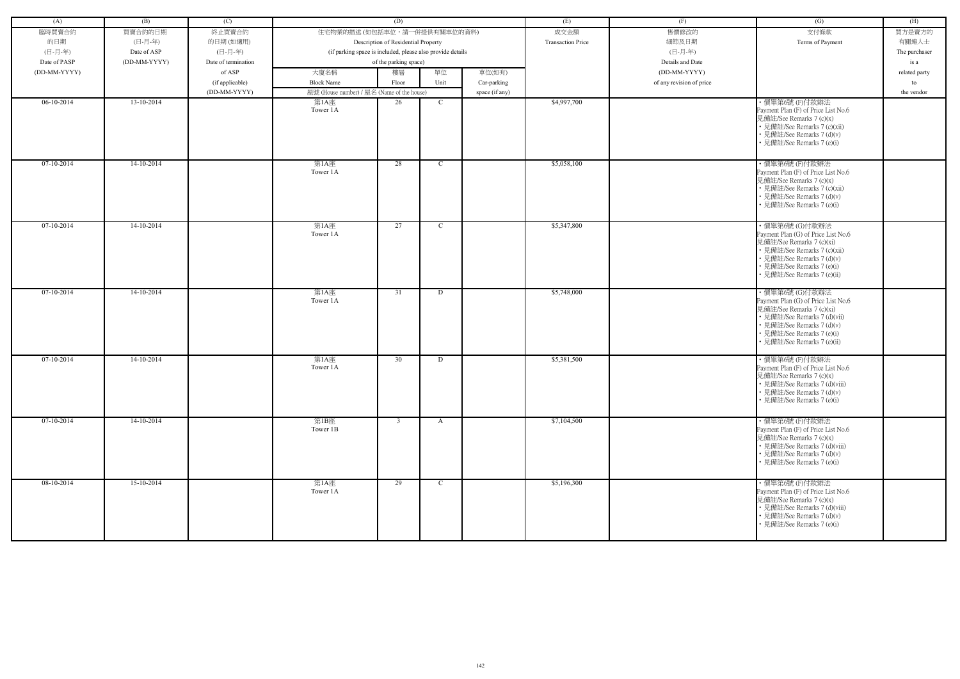| (A)          | (B)          | (C)                 |                                            | (D)                                                        |               |                | (E)                      | (F)                      | (G)                                                                                                                                                                                                           | (H)           |
|--------------|--------------|---------------------|--------------------------------------------|------------------------------------------------------------|---------------|----------------|--------------------------|--------------------------|---------------------------------------------------------------------------------------------------------------------------------------------------------------------------------------------------------------|---------------|
| 臨時買賣合約       | 買賣合約的日期      | 終止買賣合約              | 住宅物業的描述 (如包括車位,請一併提供有關車位的資料)               |                                                            |               |                | 成交金額                     | 售價修改的                    | 支付條款                                                                                                                                                                                                          | 買方是賣方的        |
| 的日期          | (日-月-年)      | 的日期(如適用)            |                                            | Description of Residential Property                        |               |                | <b>Transaction Price</b> | 細節及日期                    | Terms of Payment                                                                                                                                                                                              | 有關連人士         |
| (日-月-年)      | Date of ASP  | (日-月-年)             |                                            | (if parking space is included, please also provide details |               |                |                          | (日-月-年)                  |                                                                                                                                                                                                               | The purchaser |
| Date of PASP | (DD-MM-YYYY) | Date of termination |                                            | of the parking space)                                      |               |                |                          | Details and Date         |                                                                                                                                                                                                               | is a          |
|              |              |                     |                                            |                                                            |               |                |                          |                          |                                                                                                                                                                                                               |               |
| (DD-MM-YYYY) |              | of ASP              | 大廈名稱                                       | 樓層                                                         | 單位            | 車位(如有)         |                          | (DD-MM-YYYY)             |                                                                                                                                                                                                               | related party |
|              |              | (if applicable)     | <b>Block Name</b>                          | Floor                                                      | Unit          | Car-parking    |                          | of any revision of price |                                                                                                                                                                                                               | to            |
|              |              | (DD-MM-YYYY)        | 屋號 (House number) / 屋名 (Name of the house) |                                                            |               | space (if any) |                          |                          |                                                                                                                                                                                                               | the vendor    |
| $06-10-2014$ | 13-10-2014   |                     | 第1A座<br>Tower 1A                           | 26                                                         | $\mathbf C$   |                | \$4,997,700              |                          | ・價單第6號 (F)付款辦法<br>Payment Plan (F) of Price List No.6<br>見備註/See Remarks 7 (c)(x)<br>• 見備註/See Remarks 7 (c)(xii)<br>• 見備註/See Remarks 7 (d)(v)<br>• 見備註/See Remarks 7 (e)(i)                                 |               |
| $07-10-2014$ | $14-10-2014$ |                     | 第1A座<br>Tower 1A                           | 28                                                         | $\mathbf{C}$  |                | \$5,058,100              |                          | ·價單第6號(F)付款辦法<br>Payment Plan (F) of Price List No.6<br>見備註/See Remarks 7 (c)(x)<br>• 見備註/See Remarks 7 (c)(xii)<br>• 見備註/See Remarks 7 (d)(v)<br>見備註/See Remarks 7 (e)(i)                                    |               |
| 07-10-2014   | 14-10-2014   |                     | 第1A座<br>Tower 1A                           | 27                                                         | $\mathcal{C}$ |                | \$5,347,800              |                          | ·價單第6號 (G)付款辦法<br>Payment Plan (G) of Price List No.6<br>見備註/See Remarks 7 (c)(xi)<br>• 見備註/See Remarks 7 (c)(xii)<br>• 見備註/See Remarks 7 (d)(v)<br>• 見備註/See Remarks 7 (e)(i)<br>· 見備註/See Remarks 7 (e)(ii) |               |
| $07-10-2014$ | $14-10-2014$ |                     | 第1A座<br>Tower 1A                           | 31                                                         | D             |                | \$5,748,000              |                          | ・價單第6號 (G)付款辦法<br>Payment Plan (G) of Price List No.6<br>見備註/See Remarks 7 (c)(xi)<br>• 見備註/See Remarks 7 (d)(vii)<br>• 見備註/See Remarks 7 (d)(v)<br>• 見備註/See Remarks 7 (e)(i)<br>• 見備註/See Remarks 7 (e)(ii) |               |
| $07-10-2014$ | 14-10-2014   |                     | 第1A座<br>Tower 1A                           | 30                                                         | D             |                | \$5,381,500              |                          | ·價單第6號(F)付款辦法<br>Payment Plan (F) of Price List No.6<br>見備註/See Remarks 7 (c)(x)<br>• 見備註/See Remarks 7 (d)(viii)<br>• 見備註/See Remarks 7 (d)(v)<br>• 見備註/See Remarks 7 (e)(i)                                 |               |
| $07-10-2014$ | $14-10-2014$ |                     | 第1B座<br>Tower 1B                           | $\overline{3}$                                             | A             |                | \$7,104,500              |                          | ・價單第6號 (F)付款辦法<br>Payment Plan (F) of Price List No.6<br>見備註/See Remarks 7 (c)(x)<br>• 見備註/See Remarks 7 (d)(viii)<br>• 見備註/See Remarks 7 (d)(v)<br>• 見備註/See Remarks 7 (e)(i)                                |               |
| $08-10-2014$ | $15-10-2014$ |                     | 第1A座<br>Tower 1A                           | 29                                                         | $\mathbf{C}$  |                | \$5,196,300              |                          | ·價單第6號(F)付款辦法<br>Payment Plan (F) of Price List No.6<br>見備註/See Remarks 7 (c)(x)<br>• 見備註/See Remarks 7 (d)(viii)<br>• 見備註/See Remarks 7 (d)(v)<br>• 見備註/See Remarks 7 (e)(i)                                 |               |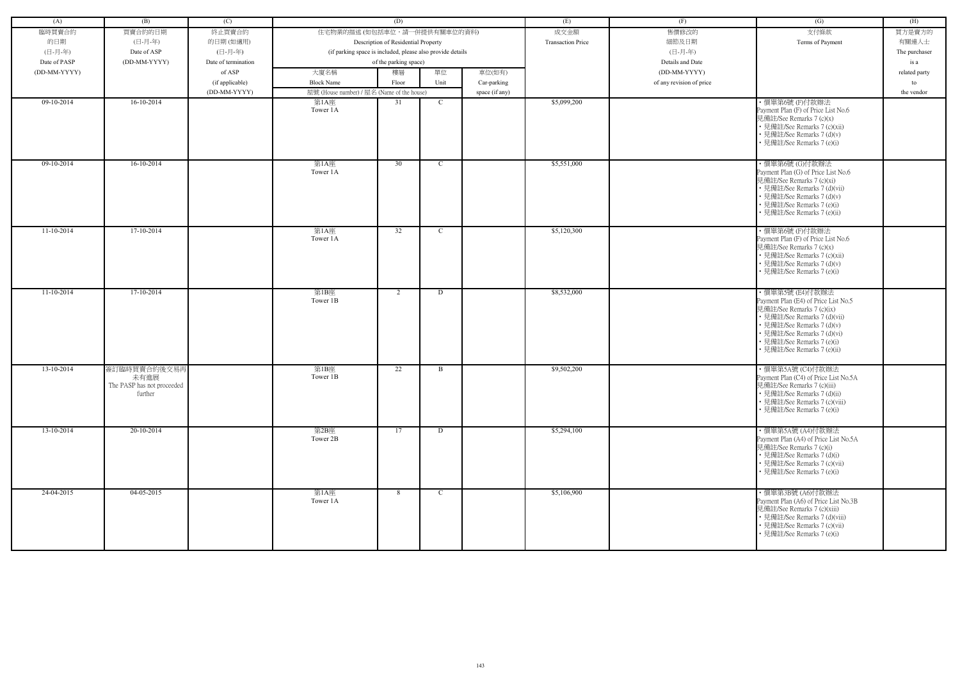| (A)          | (B)                                                           | (C)                 |                                            | (D)                                                        |              |                | (E)                      | (F)                      | (G)                                                                                                                                                                                                                                            | (H)           |
|--------------|---------------------------------------------------------------|---------------------|--------------------------------------------|------------------------------------------------------------|--------------|----------------|--------------------------|--------------------------|------------------------------------------------------------------------------------------------------------------------------------------------------------------------------------------------------------------------------------------------|---------------|
|              |                                                               |                     |                                            |                                                            |              |                |                          |                          |                                                                                                                                                                                                                                                |               |
| 臨時買賣合約       | 買賣合約的日期                                                       | 終止買賣合約              | 住宅物業的描述 (如包括車位,請一併提供有關車位的資料)               |                                                            |              |                | 成交金額                     | 售價修改的                    | 支付條款                                                                                                                                                                                                                                           | 買方是賣方的        |
| 的日期          | (日-月-年)                                                       | 的日期(如適用)            |                                            | Description of Residential Property                        |              |                | <b>Transaction Price</b> | 細節及日期                    | Terms of Payment                                                                                                                                                                                                                               | 有關連人士         |
| (日-月-年)      | Date of ASP                                                   | (日-月-年)             |                                            | (if parking space is included, please also provide details |              |                |                          | (日-月-年)                  |                                                                                                                                                                                                                                                | The purchaser |
| Date of PASP | (DD-MM-YYYY)                                                  | Date of termination |                                            | of the parking space)                                      |              |                |                          | Details and Date         |                                                                                                                                                                                                                                                | is a          |
| (DD-MM-YYYY) |                                                               | of ASP              | 大廈名稱                                       | 樓層                                                         | 單位           | 車位(如有)         |                          | (DD-MM-YYYY)             |                                                                                                                                                                                                                                                | related party |
|              |                                                               | (if applicable)     | <b>Block Name</b>                          | Floor                                                      | Unit         | Car-parking    |                          | of any revision of price |                                                                                                                                                                                                                                                | to            |
|              |                                                               | (DD-MM-YYYY)        | 屋號 (House number) / 屋名 (Name of the house) |                                                            |              | space (if any) |                          |                          |                                                                                                                                                                                                                                                | the vendor    |
| $09-10-2014$ | $16-10-2014$                                                  |                     | 第1A座<br>Tower 1A                           | 31                                                         | $\mathbf C$  |                | \$5,099,200              |                          | ·價單第6號(F)付款辦法<br>Payment Plan (F) of Price List No.6<br>見備註/See Remarks 7 (c)(x)<br>• 見備註/See Remarks 7 (c)(xii)<br>• 見備註/See Remarks 7 (d)(v)<br>• 見備註/See Remarks 7 (e)(i)                                                                   |               |
| $09-10-2014$ | $16-10-2014$                                                  |                     | 第1A座<br>Tower 1A                           | 30                                                         | $\mathbf{C}$ |                | \$5,551,000              |                          | ·價單第6號 (G)付款辦法<br>Payment Plan (G) of Price List No.6<br>見備註/See Remarks 7 (c)(xi)<br>• 見備註/See Remarks 7 (d)(vii)<br>• 見備註/See Remarks 7 (d)(v)<br>• 見備註/See Remarks 7 (e)(i)<br>· 見備註/See Remarks 7 (e)(ii)                                  |               |
| $11-10-2014$ | 17-10-2014                                                    |                     | 第1A座<br>Tower 1A                           | 32                                                         | $\mathbf C$  |                | \$5,120,300              |                          | ·價單第6號(F)付款辦法<br>Payment Plan (F) of Price List No.6<br>見備註/See Remarks 7 (c)(x)<br>• 見備註/See Remarks 7 (c)(xii)<br>• 見備註/See Remarks 7 (d)(v)<br>• 見備註/See Remarks 7 (e)(i)                                                                   |               |
| $11-10-2014$ | 17-10-2014                                                    |                     | 第1B座<br>Tower 1B                           | 2                                                          | D            |                | \$8,532,000              |                          | ·價單第5號 (E4)付款辦法<br>Payment Plan (E4) of Price List No.5<br>見備註/See Remarks 7 (c)(ix)<br>• 見備註/See Remarks 7 (d)(vii)<br>• 見備註/See Remarks 7 (d)(v)<br>• 見備註/See Remarks 7 (d)(vi)<br>• 見備註/See Remarks 7 (e)(i)<br>• 見備註/See Remarks 7 (e)(ii) |               |
| 13-10-2014   | 簽訂臨時買賣合約後交易再<br>未有進展<br>The PASP has not proceeded<br>further |                     | 第1B座<br>Tower 1B                           | 22                                                         | B            |                | \$9,502,200              |                          | ・價單第5A號 (C4)付款辦法<br>Payment Plan (C4) of Price List No.5A<br>見備註/See Remarks 7 (c)(iii)<br>• 見備註/See Remarks 7 (d)(ii)<br>• 見備註/See Remarks 7 (c)(viii)<br>• 見備註/See Remarks 7 (e)(i)                                                          |               |
| 13-10-2014   | 20-10-2014                                                    |                     | 第2B座<br>Tower 2B                           | 17                                                         | D            |                | \$5,294,100              |                          | ・價單第5A號 (A4)付款辦法<br>Payment Plan (A4) of Price List No.5A<br>見備註/See Remarks 7 (c)(i)<br>• 見備註/See Remarks 7 (d)(i)<br>• 見備註/See Remarks 7 (c)(vii)<br>• 見備註/See Remarks 7 (e)(i)                                                              |               |
| 24-04-2015   | $04-05-2015$                                                  |                     | 第1A座<br>Tower 1A                           | 8                                                          | $\mathbf C$  |                | \$5,106,900              |                          | ・價單第3B號 (A6)付款辦法<br>Payment Plan (A6) of Price List No.3B<br>見備註/See Remarks 7 (c)(xiii)<br>• 見備註/See Remarks 7 (d)(viii)<br>• 見備註/See Remarks 7 (c)(vii)<br>• 見備註/See Remarks 7 (e)(i)                                                        |               |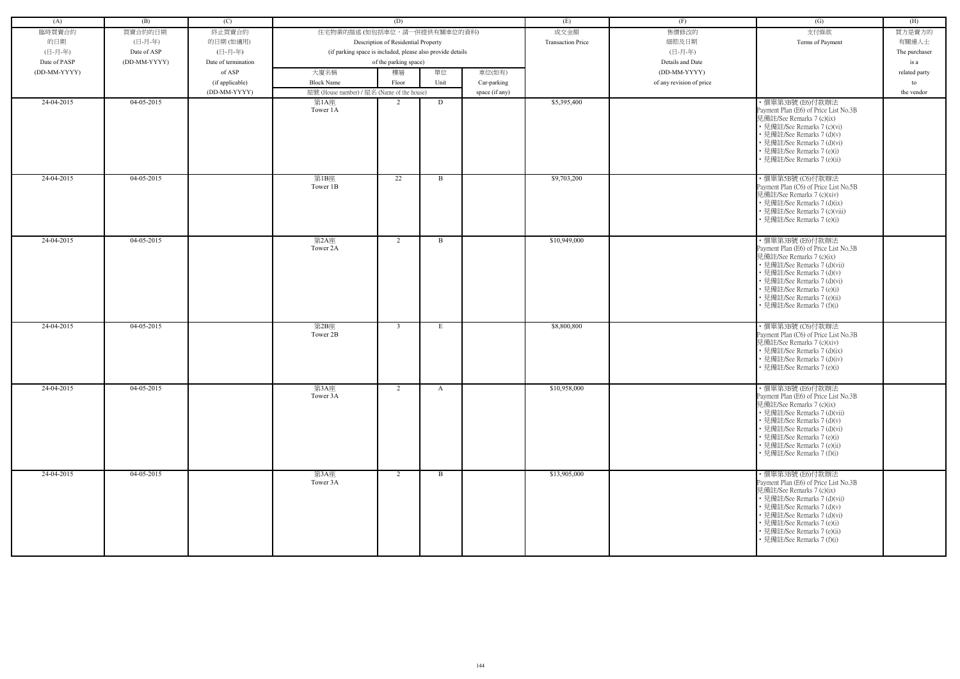| (A)          | (B)          | (C)                 |                                                            | (D)                                 |              |                | (E)                      | (F)                      | (G)                                                                                                                                                                                                                                                                            | (H)           |
|--------------|--------------|---------------------|------------------------------------------------------------|-------------------------------------|--------------|----------------|--------------------------|--------------------------|--------------------------------------------------------------------------------------------------------------------------------------------------------------------------------------------------------------------------------------------------------------------------------|---------------|
| 臨時買賣合約       | 買賣合約的日期      | 終止買賣合約              | 住宅物業的描述 (如包括車位,請一併提供有關車位的資料)                               |                                     |              |                | 成交金額                     | 售價修改的                    | 支付條款                                                                                                                                                                                                                                                                           | 買方是賣方的        |
| 的日期          | (日-月-年)      | 的日期(如適用)            |                                                            | Description of Residential Property |              |                | <b>Transaction Price</b> | 細節及日期                    | Terms of Payment                                                                                                                                                                                                                                                               | 有關連人士         |
| (日-月-年)      | Date of ASP  | (日-月-年)             | (if parking space is included, please also provide details |                                     |              |                |                          | (日-月-年)                  |                                                                                                                                                                                                                                                                                | The purchaser |
| Date of PASP | (DD-MM-YYYY) | Date of termination |                                                            | of the parking space)               |              |                |                          | Details and Date         |                                                                                                                                                                                                                                                                                | is a          |
| (DD-MM-YYYY) |              | of ASP              | 大廈名稱                                                       | 樓層                                  | 單位           | 車位(如有)         |                          | (DD-MM-YYYY)             |                                                                                                                                                                                                                                                                                | related party |
|              |              | (if applicable)     | <b>Block Name</b>                                          | Floor                               | Unit         | Car-parking    |                          | of any revision of price |                                                                                                                                                                                                                                                                                | to            |
|              |              | (DD-MM-YYYY)        | 屋號 (House number) / 屋名 (Name of the house)                 |                                     |              | space (if any) |                          |                          |                                                                                                                                                                                                                                                                                | the vendor    |
| 24-04-2015   | 04-05-2015   |                     | 第1A座                                                       | $\overline{2}$                      | D            |                | \$5,395,400              |                          | ・價單第3B號 (E6)付款辦法                                                                                                                                                                                                                                                               |               |
|              |              |                     | Tower 1A                                                   |                                     |              |                |                          |                          | Payment Plan (E6) of Price List No.3B<br>見備註/See Remarks 7 (c)(ix)<br>• 見備註/See Remarks 7 (c)(vi)<br>• 見備註/See Remarks 7 (d)(v)<br>• 見備註/See Remarks 7 (d)(vi)<br>• 見備註/See Remarks 7 (e)(i)<br>• 見備註/See Remarks 7 (e)(ii)                                                    |               |
| 24-04-2015   | 04-05-2015   |                     | 第1B座<br>Tower 1B                                           | 22                                  | B            |                | \$9,703,200              |                          | ・價單第5B號 (C6)付款辦法<br>Payment Plan (C6) of Price List No.5B<br>見備註/See Remarks 7 (c)(xiv)<br>• 見備註/See Remarks 7 (d)(ix)<br>• 見備註/See Remarks 7 (c)(viii)<br>• 見備註/See Remarks 7 (e)(i)                                                                                          |               |
| 24-04-2015   | $04-05-2015$ |                     | 第2A座<br>Tower 2A                                           | 2                                   | $\mathbf{B}$ |                | \$10,949,000             |                          | ・價單第3B號 (E6)付款辦法<br>Payment Plan (E6) of Price List No.3B<br>見備註/See Remarks 7 (c)(ix)<br>• 見備註/See Remarks 7 (d)(vii)<br>• 見備註/See Remarks 7 (d)(v)<br>• 見備註/See Remarks 7 (d)(vi)<br>• 見備註/See Remarks 7 (e)(i)<br>• 見備註/See Remarks 7 (e)(ii)<br>• 見備註/See Remarks 7 (f)(i) |               |
| 24-04-2015   | 04-05-2015   |                     | 第2B座<br>Tower 2B                                           | $\overline{3}$                      | E            |                | \$8,800,800              |                          | ・價單第3B號 (C6)付款辦法<br>Payment Plan (C6) of Price List No.3B<br>見備註/See Remarks 7 (c)(xiv)<br>• 見備註/See Remarks 7 (d)(ix)<br>• 見備註/See Remarks 7 (d)(iv)<br>• 見備註/See Remarks 7 (e)(i)                                                                                            |               |
| 24-04-2015   | 04-05-2015   |                     | 第3A座<br>Tower 3A                                           | 2                                   | $\mathbf{A}$ |                | \$10,958,000             |                          | ・價單第3B號 (E6)付款辦法<br>Payment Plan (E6) of Price List No.3B<br>見備註/See Remarks 7 (c)(ix)<br>• 見備註/See Remarks 7 (d)(vii)<br>• 見備註/See Remarks 7 (d)(v)<br>• 見備註/See Remarks 7 (d)(vi)<br>• 見備註/See Remarks 7 (e)(i)<br>• 見備註/See Remarks 7 (e)(ii)<br>• 見備註/See Remarks 7 (f)(i) |               |
| 24-04-2015   | 04-05-2015   |                     | 第3A座<br>Tower 3A                                           | 2                                   | $\mathbf{B}$ |                | \$13,905,000             |                          | ・價單第3B號 (E6)付款辦法<br>Payment Plan (E6) of Price List No.3B<br>見備註/See Remarks 7 (c)(ix)<br>• 見備註/See Remarks 7 (d)(vii)<br>• 見備註/See Remarks 7 (d)(v)<br>• 見備註/See Remarks 7 (d)(vi)<br>• 見備註/See Remarks 7 (e)(i)<br>• 見備註/See Remarks 7 (e)(ii)<br>• 見備註/See Remarks 7 (f)(i) |               |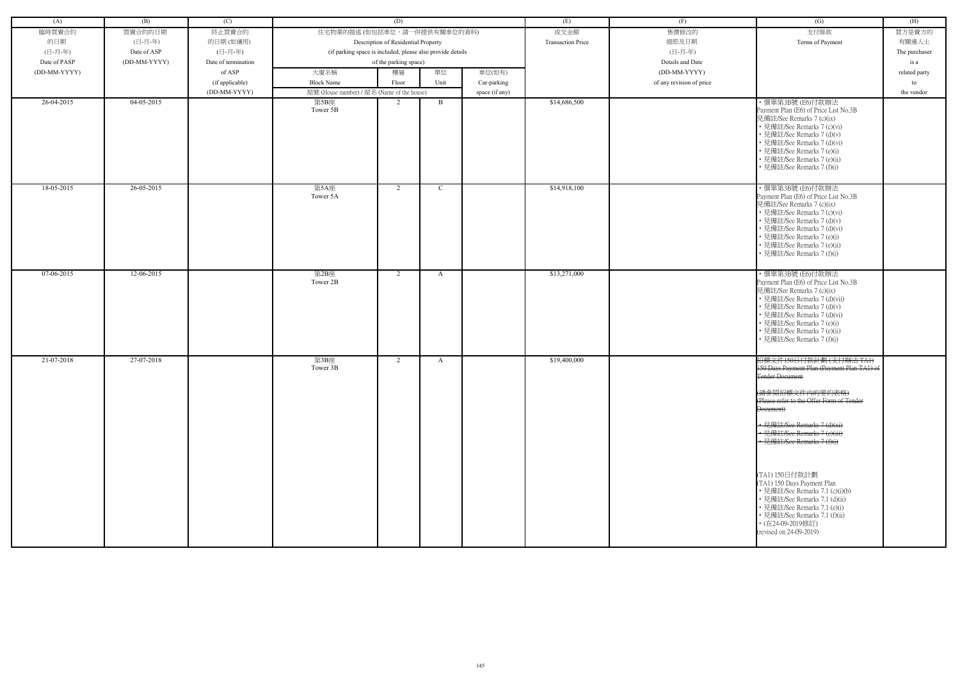| (A)          | (B)          | (C)                 |                                                            | (D)           |      |                          | (E)          | (F)                      | (G)                                                                                                                                                                                                                                                                                  | (H)           |
|--------------|--------------|---------------------|------------------------------------------------------------|---------------|------|--------------------------|--------------|--------------------------|--------------------------------------------------------------------------------------------------------------------------------------------------------------------------------------------------------------------------------------------------------------------------------------|---------------|
|              |              |                     |                                                            |               |      |                          |              |                          |                                                                                                                                                                                                                                                                                      |               |
| 臨時買賣合約       | 買賣合約的日期      | 終止買賣合約              | 住宅物業的描述 (如包括車位,請一併提供有關車位的資料)                               |               |      |                          | 成交金額         | 售價修改的                    | 支付條款                                                                                                                                                                                                                                                                                 | 買方是賣方的        |
| 的日期          | (日-月-年)      | 的日期(如適用)            | Description of Residential Property                        |               |      | <b>Transaction Price</b> | 細節及日期        | Terms of Payment         | 有關連人士                                                                                                                                                                                                                                                                                |               |
| (日-月-年)      | Date of ASP  | (日-月-年)             | (if parking space is included, please also provide details |               |      |                          | (日-月-年)      |                          | The purchaser                                                                                                                                                                                                                                                                        |               |
| Date of PASP | (DD-MM-YYYY) | Date of termination | of the parking space)                                      |               |      |                          |              | Details and Date         |                                                                                                                                                                                                                                                                                      | is a          |
| (DD-MM-YYYY) |              | of ASP              | 大廈名稱                                                       | 樓層            | 單位   | 車位(如有)                   |              | (DD-MM-YYYY)             |                                                                                                                                                                                                                                                                                      | related party |
|              |              | (if applicable)     | <b>Block Name</b>                                          | Floor         | Unit | Car-parking              |              | of any revision of price |                                                                                                                                                                                                                                                                                      | to            |
|              |              | (DD-MM-YYYY)        | 屋號 (House number) / 屋名 (Name of the house)                 |               |      | space (if any)           |              |                          |                                                                                                                                                                                                                                                                                      | the vendor    |
| 26-04-2015   | $04-05-2015$ |                     | 第5B座<br>Tower 5B                                           | $\mathcal{D}$ | B    |                          | \$14,686,500 |                          | ・價單第3B號 (E6)付款辦法<br>Payment Plan (E6) of Price List No.3B<br>見備註/See Remarks 7 (c)(ix)<br>• 見備註/See Remarks 7 (c)(vi)<br>• 見備註/See Remarks 7 (d)(v)<br>• 見備註/See Remarks 7 (d)(vi)<br>• 見備註/See Remarks 7 (e)(i)<br>• 見備註/See Remarks 7 (e)(ii)<br>• 見備註/See Remarks 7 (f)(i)        |               |
| 18-05-2015   | 26-05-2015   |                     | 第5A座<br>Tower 5A                                           | 2             | C    |                          | \$14,918,100 |                          | ・價單第3B號 (E6)付款辦法<br>Payment Plan (E6) of Price List No.3B<br>見備註/See Remarks 7 (c)(ix)<br>• 見備註/See Remarks 7 (c)(vi)<br>• 見備註/See Remarks 7 (d)(v)<br>• 見備註/See Remarks 7 (d)(vi)<br>• 見備註/See Remarks 7 (e)(i)<br>• 見備註/See Remarks 7 (e)(ii)<br>• 見備註/See Remarks 7 (f)(i)        |               |
| 07-06-2015   | 12-06-2015   |                     | 第2B座<br>Tower 2B                                           | 2             | A    |                          | \$13,271,000 |                          | ・價單第3B號 (E6)付款辦法<br>Payment Plan (E6) of Price List No.3B<br>見備註/See Remarks 7 (c)(ix)<br>• 見備註/See Remarks 7 (d)(vii)<br>• 見備註/See Remarks 7 (d)(v)<br>• 見備註/See Remarks 7 (d)(vi)<br>• 見備註/See Remarks 7 (e)(i)<br>• 見備註/See Remarks 7 (e)(ii)<br>• 見備註/See Remarks 7 (f)(i)       |               |
| 21-07-2018   | 27-07-2018   |                     | 第3B座<br>Tower 3B                                           | 2             | A    |                          | \$19,400,000 |                          | 招標文件150日付款計劃(支付辦法 TAI)<br>150 Days Payment Plan (Payment Plan TA1) of<br><b>Tender Document</b><br>(請參閱招標文件内的要約表格)<br>(Please refer to the Offer Form of Tender<br><del>Document)</del><br>• 見備註/See Remarks 7 (d)(xi)<br>• 見備註/See Remarks 7 (e)(iii)<br>• 見備註/See Remarks 7 (f)(i) |               |
|              |              |                     |                                                            |               |      |                          |              |                          | (TA1) 150日付款計劃<br>(TA1) 150 Days Payment Plan<br>• 見備註/See Remarks 7.1 (c)(i)(b)<br>• 見備註/See Remarks 7.1 (d)(ii)<br>• 見備註/See Remarks 7.1 (e)(i)<br>• 見備註/See Remarks 7.1 (f)(ii)<br>• (在24-09-2019修訂)<br>(revised on 24-09-2019)                                                   |               |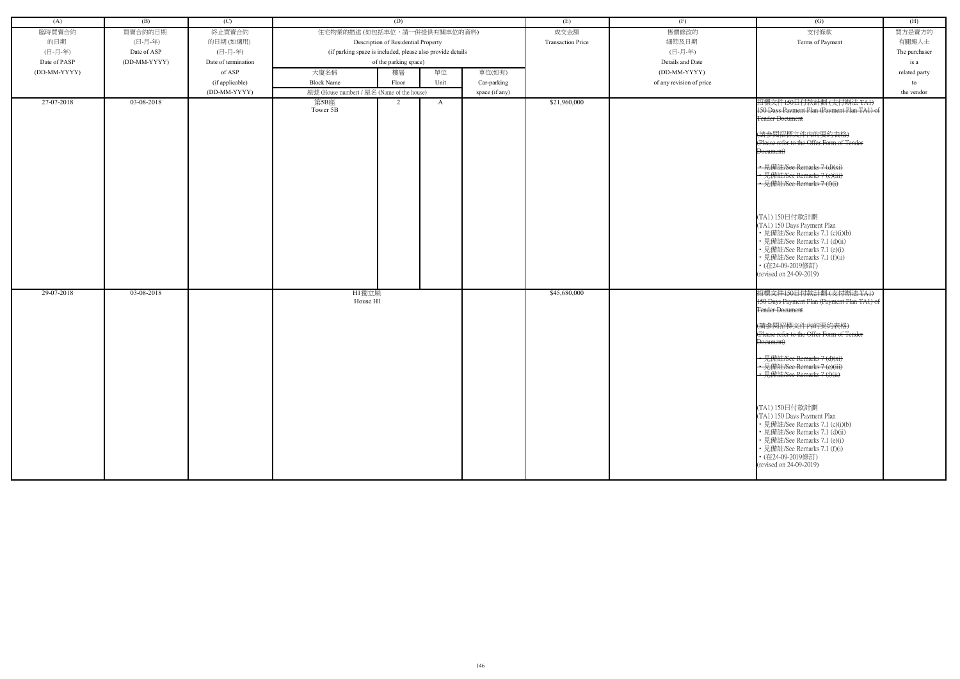| (A)          | (B)          | (C)                 | (D)                                                        |       |        |                          | (E)              | (F)                      | $\overline{(G)}$                                               | (H)        |
|--------------|--------------|---------------------|------------------------------------------------------------|-------|--------|--------------------------|------------------|--------------------------|----------------------------------------------------------------|------------|
| 臨時買賣合約       | 買賣合約的日期      | 終止買賣合約              | 住宅物業的描述 (如包括車位,請一併提供有關車位的資料)                               |       |        |                          | 成交金額             | 售價修改的                    | 支付條款                                                           | 買方是賣方的     |
| 的日期          | (日-月-年)      | 的日期(如適用)            | Description of Residential Property                        |       |        | <b>Transaction Price</b> | 細節及日期            | Terms of Payment         | 有關連人士                                                          |            |
| (日-月-年)      | Date of ASP  | (日-月-年)             | (if parking space is included, please also provide details |       |        |                          | (日-月-年)          |                          | The purchaser                                                  |            |
| Date of PASP | (DD-MM-YYYY) | Date of termination | of the parking space)                                      |       |        |                          | Details and Date |                          | is a                                                           |            |
| (DD-MM-YYYY) |              | of ASP              | 大廈名稱<br>單位<br>樓層                                           |       | 車位(如有) |                          | (DD-MM-YYYY)     |                          | related party                                                  |            |
|              |              | (if applicable)     | <b>Block Name</b>                                          | Floor | Unit   | Car-parking              |                  | of any revision of price |                                                                | to         |
|              |              | (DD-MM-YYYY)        | 屋號 (House number) / 屋名 (Name of the house)                 |       |        | space (if any)           |                  |                          |                                                                | the vendor |
| 27-07-2018   | 03-08-2018   |                     | 第5B座                                                       | 2     | A      |                          | \$21,960,000     |                          | 招標文件150日付款計劃(支付辦法 TA1)                                         |            |
|              |              |                     | Tower 5B                                                   |       |        |                          |                  |                          | 150 Days Payment Plan (Payment Plan TA1) of                    |            |
|              |              |                     |                                                            |       |        |                          |                  |                          | Tender Document                                                |            |
|              |              |                     |                                                            |       |        |                          |                  |                          | (請參閱招標文件内的要約表格)                                                |            |
|              |              |                     |                                                            |       |        |                          |                  |                          | (Please refer to the Offer Form of Tender                      |            |
|              |              |                     |                                                            |       |        |                          |                  |                          | Document)                                                      |            |
|              |              |                     |                                                            |       |        |                          |                  |                          |                                                                |            |
|              |              |                     |                                                            |       |        |                          |                  |                          | • 見備註/See Remarks 7 (d)(xi)<br>• 見備註/See Remarks 7 (e)(iii)    |            |
|              |              |                     |                                                            |       |        |                          |                  |                          | • 見備註/See Remarks 7 (f)(i)                                     |            |
|              |              |                     |                                                            |       |        |                          |                  |                          |                                                                |            |
|              |              |                     |                                                            |       |        |                          |                  |                          |                                                                |            |
|              |              |                     |                                                            |       |        |                          |                  |                          | (TA1) 150日付款計劃                                                 |            |
|              |              |                     |                                                            |       |        |                          |                  |                          | (TA1) 150 Days Payment Plan                                    |            |
|              |              |                     |                                                            |       |        |                          |                  |                          | • 見備註/See Remarks 7.1 (c)(i)(b)                                |            |
|              |              |                     |                                                            |       |        |                          |                  |                          | • 見備註/See Remarks 7.1 (d)(ii)                                  |            |
|              |              |                     |                                                            |       |        |                          |                  |                          | · 見備註/See Remarks 7.1 (e)(i)<br>• 見備註/See Remarks 7.1 (f)(ii)  |            |
|              |              |                     |                                                            |       |        |                          |                  |                          | • (在24-09-2019修訂)                                              |            |
|              |              |                     |                                                            |       |        |                          |                  |                          | (revised on 24-09-2019)                                        |            |
|              |              |                     |                                                            |       |        |                          |                  |                          |                                                                |            |
| 29-07-2018   | 03-08-2018   |                     | H1獨立屋                                                      |       |        |                          | \$45,680,000     |                          | 招標文件150日付款計劃(支付辦法 TA1)                                         |            |
|              |              |                     | House H1                                                   |       |        |                          |                  |                          | 150 Days Payment Plan (Payment Plan TA1) of<br>Fender Document |            |
|              |              |                     |                                                            |       |        |                          |                  |                          |                                                                |            |
|              |              |                     |                                                            |       |        |                          |                  |                          | (請參閱招標文件内的要約表格)                                                |            |
|              |              |                     |                                                            |       |        |                          |                  |                          | (Please refer to the Offer Form of Tender                      |            |
|              |              |                     |                                                            |       |        |                          |                  |                          | Document)                                                      |            |
|              |              |                     |                                                            |       |        |                          |                  |                          | • 見備註/See Remarks 7 (d)(xi)                                    |            |
|              |              |                     |                                                            |       |        |                          |                  |                          | • 見備註/See Remarks 7 (e)(iii)                                   |            |
|              |              |                     |                                                            |       |        |                          |                  |                          | • 見備註/See Remarks 7 (f)(ii)                                    |            |
|              |              |                     |                                                            |       |        |                          |                  |                          |                                                                |            |
|              |              |                     |                                                            |       |        |                          |                  |                          |                                                                |            |
|              |              |                     |                                                            |       |        |                          |                  |                          | (TA1) 150日付款計劃                                                 |            |
|              |              |                     |                                                            |       |        |                          |                  |                          | (TA1) 150 Days Payment Plan                                    |            |
|              |              |                     |                                                            |       |        |                          |                  |                          | • 見備註/See Remarks 7.1 (c)(i)(b)                                |            |
|              |              |                     |                                                            |       |        |                          |                  |                          | • 見備註/See Remarks 7.1 (d)(ii)<br>• 見備註/See Remarks 7.1 (e)(i)  |            |
|              |              |                     |                                                            |       |        |                          |                  |                          | • 見備註/See Remarks 7.1 (f)(i)                                   |            |
|              |              |                     |                                                            |       |        |                          |                  |                          | • (在24-09-2019修訂)                                              |            |
|              |              |                     |                                                            |       |        |                          |                  |                          | (revised on 24-09-2019)                                        |            |
|              |              |                     |                                                            |       |        |                          |                  |                          |                                                                |            |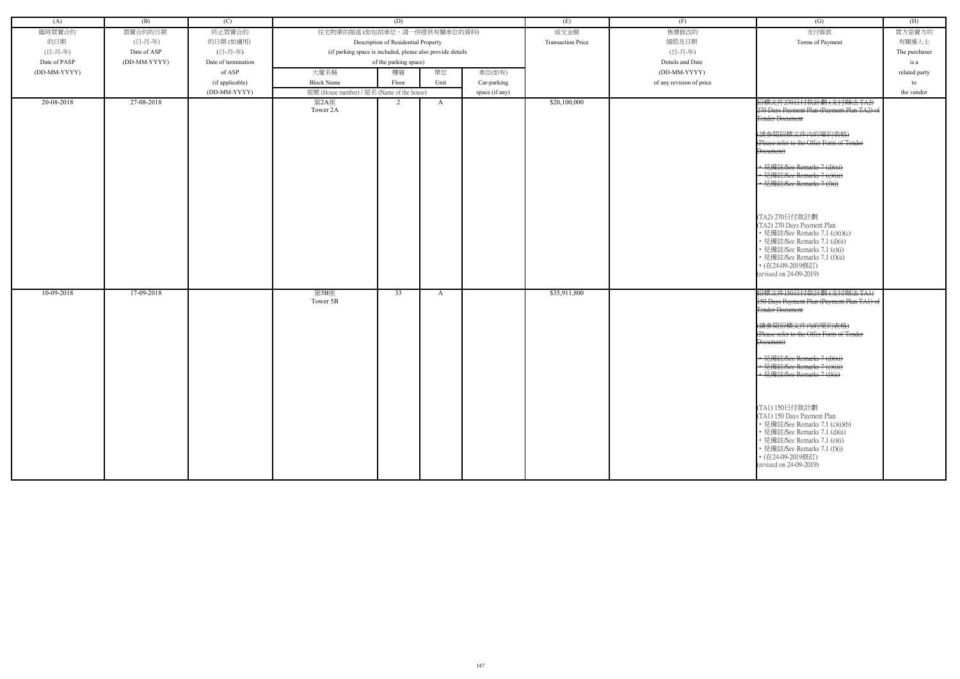| (A)          | (B)          | (C)                 | (D)                                                        |       |      | (E)                      | (F)              | (G)                      | (H)                                                          |               |
|--------------|--------------|---------------------|------------------------------------------------------------|-------|------|--------------------------|------------------|--------------------------|--------------------------------------------------------------|---------------|
| 臨時買賣合約       | 買賣合約的日期      | 終止買賣合約              | 住宅物業的描述 (如包括車位,請一併提供有關車位的資料)                               |       |      | 成交金額                     | 售價修改的            | 支付條款                     | 買方是賣方的                                                       |               |
| 的日期          | (日-月-年)      | 的日期(如適用)            | Description of Residential Property                        |       |      | <b>Transaction Price</b> | 細節及日期            | Terms of Payment         | 有關連人士                                                        |               |
| (日-月-年)      | Date of ASP  | (日-月-年)             | (if parking space is included, please also provide details |       |      |                          | (日-月-年)          |                          | The purchaser                                                |               |
| Date of PASP | (DD-MM-YYYY) | Date of termination | of the parking space)                                      |       |      |                          | Details and Date |                          | is a                                                         |               |
| (DD-MM-YYYY) |              | of ASP              | 大廈名稱                                                       | 樓層    | 單位   | 車位(如有)                   |                  | (DD-MM-YYYY)             |                                                              | related party |
|              |              | (if applicable)     | <b>Block Name</b>                                          | Floor | Unit | Car-parking              |                  | of any revision of price |                                                              | to            |
|              |              | (DD-MM-YYYY)        | 屋號 (House number) / 屋名 (Name of the house)                 |       |      | space (if any)           |                  |                          |                                                              | the vendor    |
| 20-08-2018   | 27-08-2018   |                     | 第2A座                                                       | 2     | A    |                          | \$20,100,000     |                          | 招標文件270日付款計劃(支付辦法 TA2)                                       |               |
|              |              |                     | Tower 2A                                                   |       |      |                          |                  |                          | 270 Days Payment Plan (Payment Plan TA2) of                  |               |
|              |              |                     |                                                            |       |      |                          |                  |                          | <b>Tender Document</b>                                       |               |
|              |              |                     |                                                            |       |      |                          |                  |                          | (請參閱招標文件内的要約表格)                                              |               |
|              |              |                     |                                                            |       |      |                          |                  |                          | (Please refer to the Offer Form of Tender                    |               |
|              |              |                     |                                                            |       |      |                          |                  |                          | Document)                                                    |               |
|              |              |                     |                                                            |       |      |                          |                  |                          |                                                              |               |
|              |              |                     |                                                            |       |      |                          |                  |                          | • 見備註/See Remarks 7 (d)(xi)<br>• 見備註/See Remarks 7 (e)(iii)  |               |
|              |              |                     |                                                            |       |      |                          |                  |                          | • 見備註/See Remarks 7 (f)(i)                                   |               |
|              |              |                     |                                                            |       |      |                          |                  |                          |                                                              |               |
|              |              |                     |                                                            |       |      |                          |                  |                          |                                                              |               |
|              |              |                     |                                                            |       |      |                          |                  |                          | (TA2) 270日付款計劃                                               |               |
|              |              |                     |                                                            |       |      |                          |                  |                          | (TA2) 270 Days Payment Plan                                  |               |
|              |              |                     |                                                            |       |      |                          |                  |                          | • 見備註/See Remarks 7.1 (c)(i)(c)                              |               |
|              |              |                     |                                                            |       |      |                          |                  |                          | • 見備註/See Remarks 7.1 (d)(ii)                                |               |
|              |              |                     |                                                            |       |      |                          |                  |                          | • 見備註/See Remarks 7.1 (e)(i)                                 |               |
|              |              |                     |                                                            |       |      |                          |                  |                          | • 見備註/See Remarks 7.1 (f)(ii)<br>• (在24-09-2019修訂)           |               |
|              |              |                     |                                                            |       |      |                          |                  |                          | (revised on 24-09-2019)                                      |               |
|              |              |                     |                                                            |       |      |                          |                  |                          |                                                              |               |
| 10-09-2018   | 17-09-2018   |                     | 第5B座                                                       | 33    | A    |                          | \$35,911,800     |                          | 招標文件150日付款計劃(支付辦法 TAI)                                       |               |
|              |              |                     | Tower 5B                                                   |       |      |                          |                  |                          | 150 Days Payment Plan (Payment Plan TA1) of                  |               |
|              |              |                     |                                                            |       |      |                          |                  |                          | <b>Tender Document</b>                                       |               |
|              |              |                     |                                                            |       |      |                          |                  |                          | (請參閱招標文件内的要約表格)                                              |               |
|              |              |                     |                                                            |       |      |                          |                  |                          | (Please refer to the Offer Form of Tender                    |               |
|              |              |                     |                                                            |       |      |                          |                  |                          | Document)                                                    |               |
|              |              |                     |                                                            |       |      |                          |                  |                          | • 見備註/See Remarks 7 (d)(xi)                                  |               |
|              |              |                     |                                                            |       |      |                          |                  |                          | • 見備註/See Remarks 7 (e)(iii)                                 |               |
|              |              |                     |                                                            |       |      |                          |                  |                          | · 見備註/See Remarks 7 (f)(ii)                                  |               |
|              |              |                     |                                                            |       |      |                          |                  |                          |                                                              |               |
|              |              |                     |                                                            |       |      |                          |                  |                          |                                                              |               |
|              |              |                     |                                                            |       |      |                          |                  |                          | (TA1) 150日付款計劃                                               |               |
|              |              |                     |                                                            |       |      |                          |                  |                          | (TA1) 150 Days Payment Plan                                  |               |
|              |              |                     |                                                            |       |      |                          |                  |                          | • 見備註/See Remarks 7.1 (c)(i)(b)                              |               |
|              |              |                     |                                                            |       |      |                          |                  |                          | • 見備註/See Remarks 7.1 (d)(ii)                                |               |
|              |              |                     |                                                            |       |      |                          |                  |                          | • 見備註/See Remarks 7.1 (e)(i)<br>• 見備註/See Remarks 7.1 (f)(i) |               |
|              |              |                     |                                                            |       |      |                          |                  |                          | • (在24-09-2019修訂)                                            |               |
|              |              |                     |                                                            |       |      |                          |                  |                          | (revised on 24-09-2019)                                      |               |
|              |              |                     |                                                            |       |      |                          |                  |                          |                                                              |               |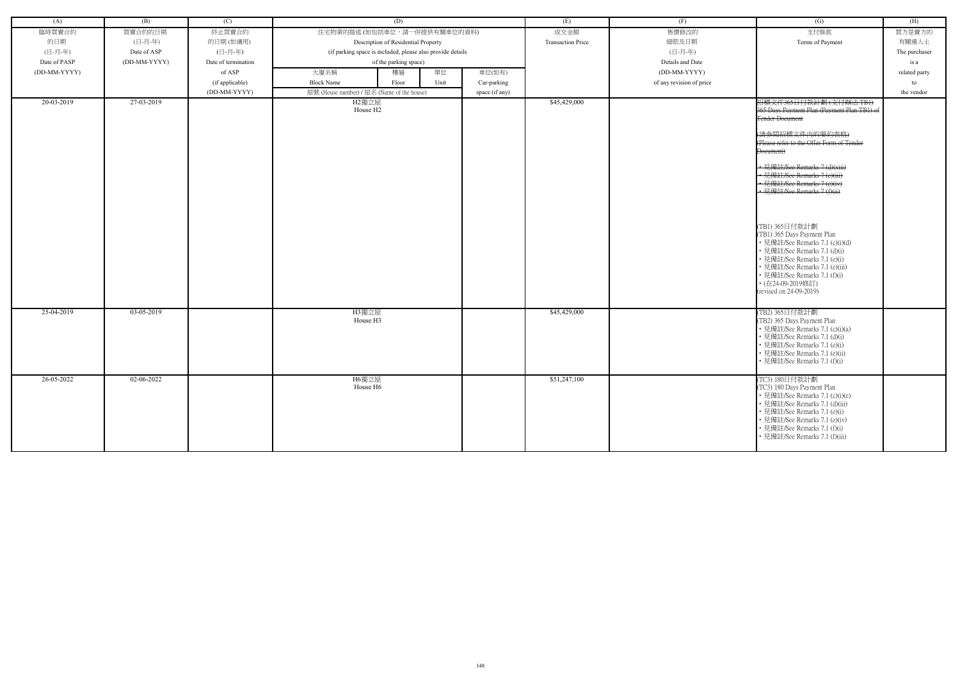| (A)          | (B)          | (C)                 | (D)                                                        |                | (E)                      | (F)                      | (G)                                                                                                                                                                                                                                                                                                                                                                                                                                                                                                                                                                               | (H)           |
|--------------|--------------|---------------------|------------------------------------------------------------|----------------|--------------------------|--------------------------|-----------------------------------------------------------------------------------------------------------------------------------------------------------------------------------------------------------------------------------------------------------------------------------------------------------------------------------------------------------------------------------------------------------------------------------------------------------------------------------------------------------------------------------------------------------------------------------|---------------|
| 臨時買賣合約       | 買賣合約的日期      | 終止買賣合約              | 住宅物業的描述 (如包括車位,請一併提供有關車位的資料)                               |                | 成交金額                     | 售價修改的                    | 支付條款                                                                                                                                                                                                                                                                                                                                                                                                                                                                                                                                                                              | 買方是賣方的        |
| 的日期          | (日-月-年)      | 的日期(如適用)            | Description of Residential Property                        |                | <b>Transaction Price</b> | 細節及日期                    | Terms of Payment                                                                                                                                                                                                                                                                                                                                                                                                                                                                                                                                                                  | 有關連人士         |
| (日-月-年)      | Date of ASP  | (日-月-年)             | (if parking space is included, please also provide details |                |                          | (日-月-年)                  |                                                                                                                                                                                                                                                                                                                                                                                                                                                                                                                                                                                   | The purchaser |
| Date of PASP | (DD-MM-YYYY) | Date of termination | of the parking space)                                      |                |                          | Details and Date         |                                                                                                                                                                                                                                                                                                                                                                                                                                                                                                                                                                                   | is a          |
| (DD-MM-YYYY) |              | of ASP              | 單位<br>大廈名稱<br>樓層                                           | 車位(如有)         |                          | (DD-MM-YYYY)             |                                                                                                                                                                                                                                                                                                                                                                                                                                                                                                                                                                                   | related party |
|              |              | (if applicable)     | <b>Block Name</b><br>Unit<br>Floor                         | Car-parking    |                          | of any revision of price |                                                                                                                                                                                                                                                                                                                                                                                                                                                                                                                                                                                   | to            |
|              |              | (DD-MM-YYYY)        | 屋號 (House number) / 屋名 (Name of the house)                 | space (if any) |                          |                          |                                                                                                                                                                                                                                                                                                                                                                                                                                                                                                                                                                                   | the vendor    |
| 20-03-2019   | 27-03-2019   |                     | H2獨立屋<br>House H <sub>2</sub>                              |                | \$45,429,000             |                          | 招標文件365日付款計劃(支付辦法 TBI)<br>365 Days Payment Plan (Payment Plan TB1) of<br><b>Tender Document</b><br>(請參閱招標文件内的要約表格)<br>(Please refer to the Offer Form of Tender<br>Document)<br>• 見備註/See Remarks 7 (d)(xiii)<br>• 見備註/See Remarks 7 (e)(iii)<br>• 見備註/See Remarks 7 (e)(iv)<br>• 見備註/See Remarks 7 (f)(ii)<br>(TB1) 365日付款計劃<br>(TB1) 365 Days Payment Plan<br>• 見備註/See Remarks 7.1 (c)(i)(d)<br>• 見備註/See Remarks 7.1 (d)(i)<br>• 見備註/See Remarks 7.1 (e)(i)<br>• 見備註/See Remarks 7.1 (e)(iii)<br>• 見備註/See Remarks 7.1 (f)(i)<br>• (在24-09-2019修訂)<br>(revised on 24-09-2019) |               |
|              |              |                     |                                                            |                |                          |                          |                                                                                                                                                                                                                                                                                                                                                                                                                                                                                                                                                                                   |               |
| 25-04-2019   | 03-05-2019   |                     | H3獨立屋<br>House H3                                          |                | \$45,429,000             |                          | (TB2) 365日付款計劃<br>(TB2) 365 Days Payment Plan<br>• 見備註/See Remarks 7.1 (c)(i)(a)<br>• 見備註/See Remarks 7.1 (d)(i)<br>• 見備註/See Remarks 7.1 (e)(i)<br>• 見備註/See Remarks 7.1 (e)(ii)<br>• 見備註/See Remarks 7.1 (f)(i)                                                                                                                                                                                                                                                                                                                                                                 |               |
| 26-05-2022   | 02-06-2022   |                     | H6獨立屋<br>House H6                                          |                | \$51,247,100             |                          | (TC3) 180日付款計劃<br>(TC3) 180 Days Payment Plan<br>• 見備註/See Remarks 7.1 (c)(i)(e)<br>• 見備註/See Remarks 7.1 (d)(iii)<br>• 見備註/See Remarks 7.1 (e)(i)<br>• 見備註/See Remarks 7.1 (e)(iv)<br>• 見備註/See Remarks 7.1 (f)(i)<br>• 見備註/See Remarks 7.1 (f)(iii)                                                                                                                                                                                                                                                                                                                             |               |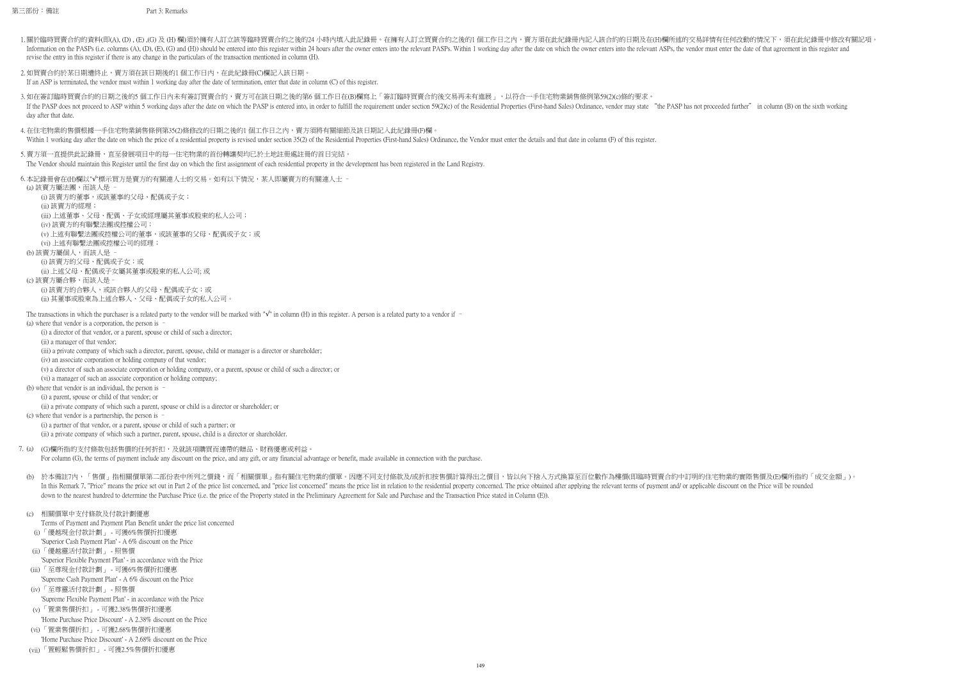第三部份:備註 Part 3: Remarks

- 1.關於臨時買賣合約的資料(即(A), (D) ,(E) ,(G) 及 (H) 欄)須於擁有人訂立該等臨時買賣合約之後的24 小時內填入此記錄冊。在擁有人訂立買賣合約之後的1個工作日之內,賣方須在此紀錄冊内記入該合約的日期及在(H)欄所述的交易詳情有任何改動的情況下,須在此紀錄冊中修改有關記項。 Information on the PASPs (i.e. columns (A), (D), (E), (G) and (H)) should be entered into this register within 24 hours after the owner enters into the relevant PASPs. Within 1 working day after the date on which the owner revise the entry in this register if there is any change in the particulars of the transaction mentioned in column (H).
- 2.如買賣合約於某日期遭終止,賣方須在該日期後的1 個工作日內,在此紀錄冊(C)欄記入該日期。 If an ASP is terminated, the vendor must within 1 working day after the date of termination, enter that date in column (C) of this register.
- 3.如在簽訂臨時買賣合約的日期之後的5 個工作日內未有簽訂買賣合約,賣方可在該日期之後的第6 個工作日在(B)欄寫上「簽訂臨時買賣合約後交易再未有進展 」,以符合一手住宅物業銷售條例第59(2)(c)條的要求。 If the PASP does not proceed to ASP within 5 working days after the date on which the PASP is entered into, in order to fulfill the requirement under section 59(2)(c) of the Residential Properties (First-hand Sales) Ordina day after that date.
- 4.在住宅物業的售價根據一手住宅物業銷售條例第35(2)條修改的日期之後的1 個工作日之內,賣方須將有關細節及該日期記入此紀錄冊(F)欄。 Within 1 working day after the date on which the price of a residential property is revised under section 35(2) of the Residential Properties (First-hand Sales) Ordinance, the Vendor must enter the details and that date in
- 5. 賣方須一直提供此記錄冊,直至發展項目中的每一住宅物業的首份轉讓契均已於土地註冊處註冊的首日完結。 The Vendor should maintain this Register until the first day on which the first assignment of each residential property in the development has been registered in the Land Registry.
- 6.本記錄冊會在(H)欄以"√"標示買方是賣方的有關連人士的交易。如有以下情況,某人即屬賣方的有關連人士 −

(a) where that vendor is a corporation, the person is –

(i) a director of that vendor, or a parent, spouse or child of such a director;

(ii) a manager of that vendor;

(iii) a private company of which such a director, parent, spouse, child or manager is a director or shareholder;

(iv) an associate corporation or holding company of that vendor;

(v) a director of such an associate corporation or holding company, or a parent, spouse or child of such a director; or

(vi) a manager of such an associate corporation or holding company;

(b) where that vendor is an individual, the person is –

(i) a parent, spouse or child of that vendor; or

(ii) a private company of which such a parent, spouse or child is a director or shareholder; or

(c) where that vendor is a partnership, the person is –

(i) a partner of that vendor, or a parent, spouse or child of such a partner; or

(ii) a private company of which such a partner, parent, spouse, child is a director or shareholder.

For column (G), the terms of payment include any discount on the price, and any gift, or any financial advantage or benefit, made available in connection with the purchase.

(b) 於本備註7內,「售價」指相關價單第二部份表中所列之價錢,而「相關價單」指有關住宅物業的價單。因應不同支付條款及/或折扣按售價計算得出之價目,皆以向下捨入方式換算至百位數作為樓價(即臨時買賣合約中訂明的住宅物業的實際售價及(E)欄所指的「成交金額」)。 In this Remark 7, "Price" means the price set out in Part 2 of the price list concerned, and "price list concerned, and "price list concerned" means the price list in relation to the residential property concerned. The pri down to the nearest hundred to determine the Purchase Price (i.e. the price of the Property stated in the Preliminary Agreement for Sale and Purchase and the Transaction Price stated in Column (E)).

#### (c) 相關價單中支付條款及付款計劃優惠

Terms of Payment and Payment Plan Benefit under the price list concerned

'Superior Cash Payment Plan' - A 6% discount on the Price

'Superior Flexible Payment Plan' - in accordance with the Price

7. (a) (G)欄所指的支付條款包括售價的任何折扣,及就該項購買而連帶的贈品、財務優惠或利益。

(i) 「優越現金付款計劃」 - 可獲6%售價折扣優惠

(ii) 「優越靈活付款計劃」 - 照售價

- (iii) 「至尊現金付款計劃」 可獲6%售價折扣優惠 'Supreme Cash Payment Plan' - A 6% discount on the Price
- (iv) 「至尊靈活付款計劃」 照售價 'Supreme Flexible Payment Plan' - in accordance with the Price
- (v) 「置業售價折扣」 可獲2.38%售價折扣優惠 'Home Purchase Price Discount' - A 2.38% discount on the Price
- (vi) 「置業售價折扣」 可獲2.68%售價折扣優惠
- 'Home Purchase Price Discount' A 2.68% discount on the Price
- (vii) 「置輕鬆售價折扣」 可獲2.5%售價折扣優惠

(a) 該賣方屬法團,而該人是 – (i) 該賣方的董事,或該董事的父母、配偶或子女; (ii) 該賣方的經理; (iii) 上述董事、父母、配偶、子女或經理屬其董事或股東的私人公司; (iv) 該賣方的有聯繫法團或控權公司; (v) 上述有聯繫法團或控權公司的董事,或該董事的父母、配偶或子女;或 (vi) 上述有聯繫法團或控權公司的經理; (b) 該賣方屬個人,而該人是 – (i) 該賣方的父母、配偶或子女;或 (ii) 上述父母、配偶或子女屬其董事或股東的私人公司; 或

(c) 該賣方屬合夥,而該人是– (i) 該賣方的合夥人,或該合夥人的父母、配偶或子女;或 (ii) 其董事或股東為上述合夥人、父母、配偶或子女的私人公司。

The transactions in which the purchaser is a related party to the vendor will be marked with " $\sqrt{ }$ " in column (H) in this register. A person is a related party to a vendor if –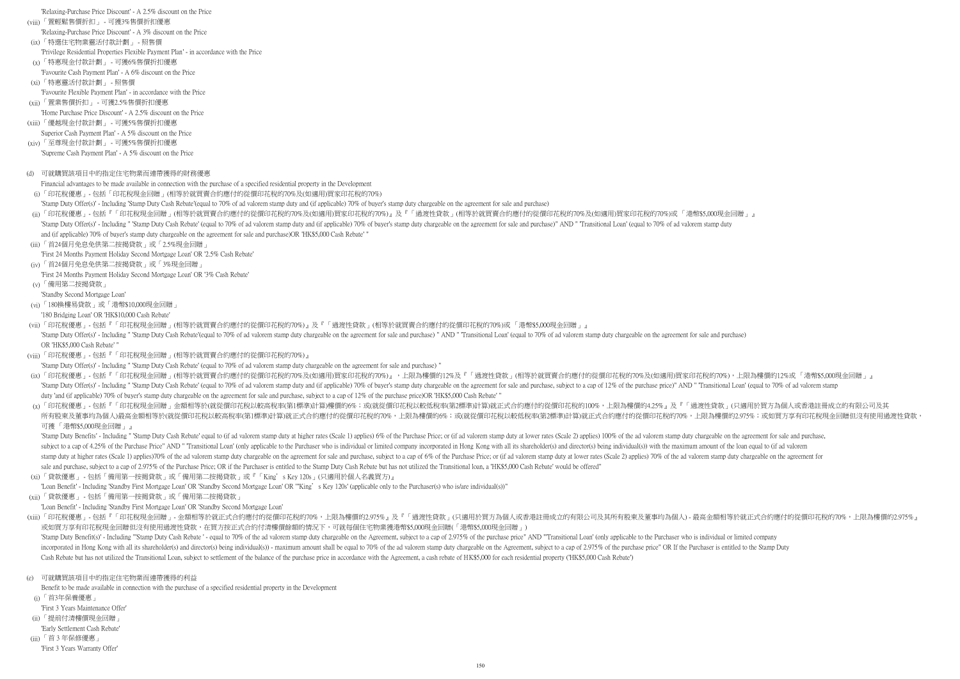'Relaxing-Purchase Price Discount' - A 2.5% discount on the Price

- (viii) 「置輕鬆售價折扣」 可獲3%售價折扣優惠
- 'Relaxing-Purchase Price Discount' A 3% discount on the Price
- (ix) 「特選住宅物業靈活付款計劃」 照售價
- 'Privilege Residential Properties Flexible Payment Plan' in accordance with the Price
- (x) 「特惠現金付款計劃」 可獲6%售價折扣優惠
- 'Favourite Cash Payment Plan' A 6% discount on the Price
- (xi) 「特惠靈活付款計劃」 照售價 'Favourite Flexible Payment Plan' - in accordance with the Price
- (xii) 「置業售價折扣」 可獲2.5%售價折扣優惠
- 'Home Purchase Price Discount' A 2.5% discount on the Price
- (xiii) 「優越現金付款計劃」 可獲5%售價折扣優惠
- Superior Cash Payment Plan' A 5% discount on the Price
- (xiv) 「至尊現金付款計劃」 可獲5%售價折扣優惠
- 'Supreme Cash Payment Plan' A 5% discount on the Price
- (d) 可就購買該項目中的指定住宅物業而連帶獲得的財務優惠

Financial advantages to be made available in connection with the purchase of a specified residential property in the Development

'Stamp Duty Offer(s)' - Including " 'Stamp Duty Cash Rebate'(equal to 70% of ad valorem stamp duty chargeable on the agreement for sale and purchase) " AND " Transitional Loan' (equal to 70% of ad valorem stamp duty charge OR 'HK\$5,000 Cash Rebate' "

'First 24 Months Payment Holiday Second Mortgage Loan' OR '3% Cash Rebate'

'180 Bridging Loan' OR 'HK\$10,000 Cash Rebate'

- (i) 「印花稅優惠」- 包括「印花稅現金回贈」(相等於就買賣合約應付的從價印花稅的70%及(如適用)買家印花稅的70%)
- 'Stamp Duty Offer(s)' Including 'Stamp Duty Cash Rebate'(equal to 70% of ad valorem stamp duty and (if applicable) 70% of buyer's stamp duty chargeable on the agreement for sale and purchase)
- (ii)「印花稅優惠」- 包括『「印花稅現金回贈」(相等於就買賣合約應付的從價印花稅的70%及(如適用)買家印花稅的70%)』及『「過渡性貸款」(相等於就買賣合約應付的從價印花稅的70%及(如適用)買家印花稅的70%)或「 港幣\$5,000現金回贈 」』 'Stamp Duty Offer(s)' - Including " 'Stamp Duty Cash Rebate' (equal to 70% of ad valorem stamp duty and (if applicable) 70% of buyer's stamp duty chargeable on the agreement for sale and purchase)" AND " Transitional Loan' and (if applicable) 70% of buyer's stamp duty chargeable on the agreement for sale and purchase)OR 'HK\$5,000 Cash Rebate' "
- (iii) 「首24個月免息免供第二按揭貸款」或「2.5%現金回贈」
- 'First 24 Months Payment Holiday Second Mortgage Loan' OR '2.5% Cash Rebate'
- (iv) 「首24個月免息免供第二按揭貸款」或「3%現金回贈」

<sub>(xiii)</sub>「印花稅優惠」- 包括『「印花稅現金回贈」- 金額相等於就正式合約應付的從價印花稅的70%,上限為樓價的2.975%』及『「過渡性貸款」(只適用於買方為個人或香港註冊成立的有限公司及其所有股東及董事均為個人)- 最高金額相等於就正式合約應付的從價印花稅的70%,上限為樓價的2.975%』 或如買方享有印花稅現金回贈但沒有使用過渡性貸款,在買方按正式合約付清樓價餘額的情況下,可就每個住宅物業獲港幣\$5,000現金回贈(「港幣\$5,000現金回贈」)

'Stamp Duty Benefit(s)' - Including "'Stamp Duty Cash Rebate' - equal to 70% of the ad valorem stamp duty chargeable on the Agreement, subject to a cap of 2.975% of the purchase price" AND "Transitional Loan' (only applica incorporated in Hong Kong with all its shareholder(s) and director(s) being individual(s)) - maximum amount shall be equal to 70% of the ad valorem stamp duty chargeable on the Agreement, subject to a cap of 2.975% of the Cash Rebate but has not utilized the Transitional Loan, subject to settlement of the balance of the purchase price in accordance with the Agreement, a cash rebate of HK\$5,000 for each residential property ('HK\$5,000 Cash R

- (v)「備用第二按揭貸款」
- 'Standby Second Mortgage Loan'
- (vi) 「180換樓易貸款」或「港幣\$10,000現金回贈」

(vii) 「印花稅優惠」- 包括『「印花稅現金回贈」(相等於就買賣合約應付的從價印花稅的70%)』及『「過渡性貸款」(相等於就買賣合約應付的從價印花稅的70%)或 「港幣\$5,000現金回贈」』

- (xii) 「貸款優惠」 包括「備用第一按揭貸款」或「備用第二按揭貸款」
- 'Loan Benefit' Including 'Standby First Mortgage Loan' OR 'Standby Second Mortgage Loan'
- (viii) 「印花稅優惠」- 包括『「印花稅現金回贈」(相等於就買賣合約應付的從價印花稅的70%)』
- 'Stamp Duty Offer(s)' Including " 'Stamp Duty Cash Rebate' (equal to 70% of ad valorem stamp duty chargeable on the agreement for sale and purchase) "
- (ix)「印花稅優惠」-包括『「印花稅現金回贈」(相等於就買賣合約應付的從價印花稅的70%及(如適用)買家印花稅的70%)』,上限為樓價的12%及『「過渡性貸款」(相等於就買賣合約應付的從價印花稅的70%及(如適用)買家印花稅的70%),上限為樓價的12%或「 港幣\$5,000現金回贈 」』 'Stamp Duty Offer(s)' - Including " 'Stamp Duty Cash Rebate' (equal to 70% of ad valorem stamp duty and (if applicable) 70% of buyer's stamp duty chargeable on the agreement for sale and purchase, subject to a cap of 12% o duty 'and (if applicable) 70% of buyer's stamp duty chargeable on the agreement for sale and purchase, subject to a cap of 12% of the purchase price)OR 'HK\$5,000 Cash Rebate' "
- (x)「印花稅優惠」- 包括『「印花稅現金回贈」金額相等於(就從價印花稅以較高稅率(第1標準)計算)樓價的6%;或(就從價印花稅以較低稅率(第2標準)計算)就正式合約應付的從價印花稅的100%,上限為樓價的4.25%』及『「過渡性貸款」(只適用於買方為個人或香港註冊成立的有限公司及其 所有股東及董事均為個人)最高金額相等於(就從價印花稅以較高稅率(第1標準)計算)就正式合約應付的從價印花稅的70%,上限為樓價的6%;或(就從價印花稅以較低稅率(第2標準)計算)就正式合約應付的從價印花稅的70%,上限為樓價的2.975%;或如買方享有印花稅現金回贈但沒有使用過渡性貸款, 可獲 「港幣\$5,000現金回贈」』

'Stamp Duty Benefits' - Including " 'Stamp Duty Cash Rebate' equal to (if ad valorem stamp duty at higher rates (Scale 1) applies) 6% of the Purchase Price; or (if ad valorem stamp duty at lower rates (Scale 2) applies) 10 subject to a cap of 4.25% of the Purchase Price" AND "Transitional Loan' (only applicable to the Purchaser who is individual or limited company incorporated in Hong Kong with all its shareholder(s) and director(s) being in stamp duty at higher rates (Scale 1) applies)70% of the ad valorem stamp duty chargeable on the agreement for sale and purchase, subject to a cap of 6% of the Purchase Price; or (if ad valorem stamp duty at lower rates (Sc sale and purchase, subject to a cap of 2.975% of the Purchase Price; OR if the Purchaser is entitled to the Stamp Duty Cash Rebate but has not utilized the Transitional loan, a 'HK\$5,000 Cash Rebate' would be offered"

(e) 可就購買該項目中的指定住宅物業而連帶獲得的利益

Benefit to be made available in connection with the purchase of a specified residential property in the Development

(xi) 「貸款優惠」 - 包括「備用第一按揭貸款」或「備用第二按揭貸款」或『「King's Key 120s」(只適用於個人名義買方)』

"Loan Benefit' - Including 'Standby First Mortgage Loan' OR 'Standby Second Mortgage Loan' OR "'King' s Key 120s' (applicable only to the Purchaser(s) who is/are individual(s))"

- (i) 「首3年保養優惠」
- 'First 3 Years Maintenance Offer'
- (ii)「提前付清樓價現金回贈」
- 'Early Settlement Cash Rebate'
- (iii) 「首 3 年保修優惠」
- 'First 3 Years Warranty Offer'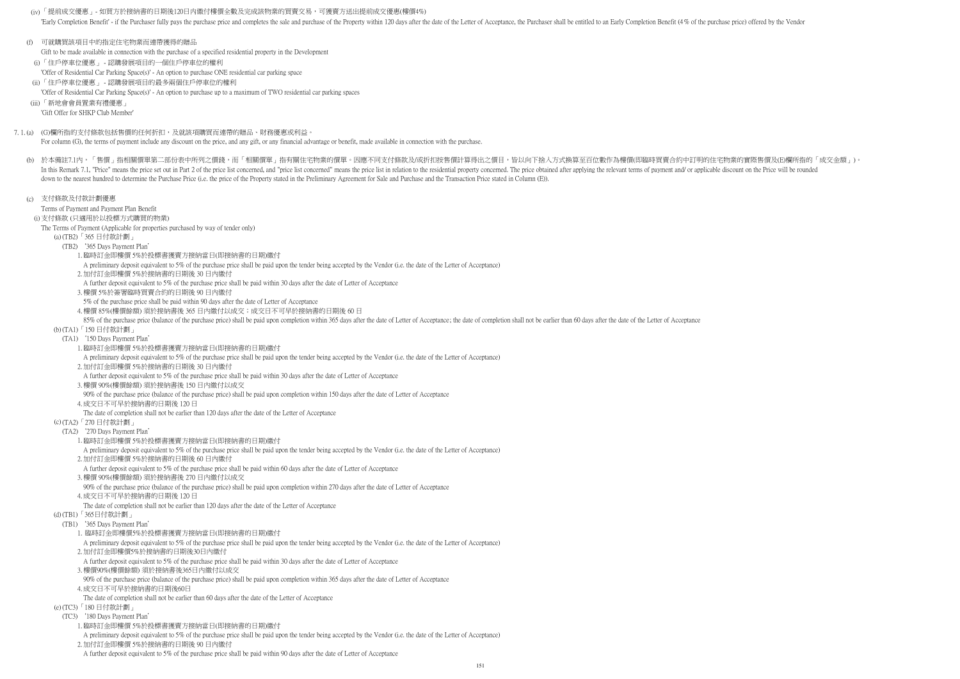(iv) 「提前成交優惠」- 如買方於接納書的日期後120日内繳付樓價全數及完成該物業的買賣交易,可獲賣方送出提前成交優惠(樓價4%) 'Early Completion Benefit' - if the Purchaser fully pays the purchase price and completes the sale and purchase of the Property within 120 days after the date of the Letter of Acceptance, the Purchaser shall be entitled to

- (b) 於本備註7.1內,「售價」指相關價單第二部份表中所列之價錢,而「相關價單」指有關住宅物業的價單。因應不同支付條款及/或折扣按售價計算得出之價目,皆以向下捨入方式換算至百位數作為樓價(即臨時買賣合約中訂明的住宅物業的實際售價及(E)欄所指的「成交金額」)。 In this Remark 7.1, "Price" means the price set out in Part 2 of the price list concerned, and "price list concerned" means the price list in relation to the residential property concerned. The price obtained after applyin down to the nearest hundred to determine the Purchase Price (i.e. the price of the Property stated in the Preliminary Agreement for Sale and Purchase and the Transaction Price stated in Column (E)).
- (c) 支付條款及付款計劃優惠

For column (G), the terms of payment include any discount on the price, and any gift, or any financial advantage or benefit, made available in connection with the purchase.

# Terms of Payment and Payment Plan Benefit

- (f) 可就購買該項目中的指定住宅物業而連帶獲得的贈品
- Gift to be made available in connection with the purchase of a specified residential property in the Development
- (i) 「住戶停車位優惠」 認購發展項目的一個住戶停車位的權利
- 'Offer of Residential Car Parking Space(s)' An option to purchase ONE residential car parking space
- (ii) 「住戶停車位優惠」 認購發展項目的最多兩個住戶停車位的權利
- 'Offer of Residential Car Parking Space(s)' An option to purchase up to a maximum of TWO residential car parking spaces
- (iii)「新地會會員置業有禮優惠」
	- 'Gift Offer for SHKP Club Member'
- 7. 1. (a) (G)欄所指的支付條款包括售價的任何折扣,及就該項購買而連帶的贈品、財務優惠或利益。

- (i) 支付條款 (只適用於以投標方式購買的物業)
- The Terms of Payment (Applicable for properties purchased by way of tender only)
	- (a) (TB2)「365 日付款計劃」
	- (TB2) '365 Days Payment Plan'
		- 1. 臨時訂金即樓價 5%於投標書獲賣方接納當日(即接納書的日期)繳付
		- A preliminary deposit equivalent to 5% of the purchase price shall be paid upon the tender being accepted by the Vendor (i.e. the date of the Letter of Acceptance)
		- 2. 加付訂金即樓價 5%於接納書的日期後 30 日內繳付
		- A further deposit equivalent to 5% of the purchase price shall be paid within 30 days after the date of Letter of Acceptance
		- 3. 樓價 5%於簽署臨時買賣合約的日期後 90 日內繳付
		- 5% of the purchase price shall be paid within 90 days after the date of Letter of Acceptance
		- 4. 樓價 85%(樓價餘額) 須於接納書後 365 日內繳付以成交;成交日不可早於接納書的日期後 60 日
	- 85% of the purchase price (balance of the purchase price) shall be paid upon completion within 365 days after the date of Letter of Acceptance; the date of completion shall not be earlier than 60 days after the date of the (b) (TA1)「150 日付款計劃」
	- (TA1) '150 Days Payment Plan'
		- 1. 臨時訂金即樓價 5%於投標書獲賣方接納當日(即接納書的日期)繳付
		- A preliminary deposit equivalent to 5% of the purchase price shall be paid upon the tender being accepted by the Vendor (i.e. the date of the Letter of Acceptance)
		- 2. 加付訂金即樓價 5%於接納書的日期後 30 日內繳付
		- A further deposit equivalent to 5% of the purchase price shall be paid within 30 days after the date of Letter of Acceptance
		- 3. 樓價 90%(樓價餘額) 須於接納書後 150 日內繳付以成交
		- 90% of the purchase price (balance of the purchase price) shall be paid upon completion within 150 days after the date of Letter of Acceptance
		- 4. 成交日不可早於接納書的日期後 120 日
		- The date of completion shall not be earlier than 120 days after the date of the Letter of Acceptance
	- (c) (TA2)「270 日付款計劃」
	- (TA2) '270 Days Payment Plan'
		- 1. 臨時訂金即樓價 5%於投標書獲賣方接納當日(即接納書的日期)繳付
		- A preliminary deposit equivalent to 5% of the purchase price shall be paid upon the tender being accepted by the Vendor (i.e. the date of the Letter of Acceptance)
		- 2. 加付訂金即樓價 5%於接納書的日期後 60 日內繳付
		- A further deposit equivalent to 5% of the purchase price shall be paid within 60 days after the date of Letter of Acceptance
		- 3. 樓價 90%(樓價餘額) 須於接納書後 270 日內繳付以成交
		- 90% of the purchase price (balance of the purchase price) shall be paid upon completion within 270 days after the date of Letter of Acceptance
		- 4. 成交日不可早於接納書的日期後 120 日
		- The date of completion shall not be earlier than 120 days after the date of the Letter of Acceptance
	- (d) (TB1)「365日付款計劃」
		- (TB1) '365 Days Payment Plan'
			- 1. 臨時訂金即樓價5%於投標書獲賣方接納當日(即接納書的日期)繳付
			- A preliminary deposit equivalent to 5% of the purchase price shall be paid upon the tender being accepted by the Vendor (i.e. the date of the Letter of Acceptance)
			- 2. 加付訂金即樓價5%於接納書的日期後30日內繳付
			- A further deposit equivalent to 5% of the purchase price shall be paid within 30 days after the date of Letter of Acceptance
			- 3. 樓價90%(樓價餘額) 須於接納書後365日內繳付以成交
			- 90% of the purchase price (balance of the purchase price) shall be paid upon completion within 365 days after the date of Letter of Acceptance
			- 4. 成交日不可早於接納書的日期後60日
			- The date of completion shall not be earlier than 60 days after the date of the Letter of Acceptance
	- (e) (TC3)「180 日付款計劃」
	- (TC3) '180 Days Payment Plan'
		- 1. 臨時訂金即樓價 5%於投標書獲賣方接納當日(即接納書的日期)繳付
		- A preliminary deposit equivalent to 5% of the purchase price shall be paid upon the tender being accepted by the Vendor (i.e. the date of the Letter of Acceptance) 2. 加付訂金即樓價 5%於接納書的日期後 90 日內繳付
		- A further deposit equivalent to 5% of the purchase price shall be paid within 90 days after the date of Letter of Acceptance